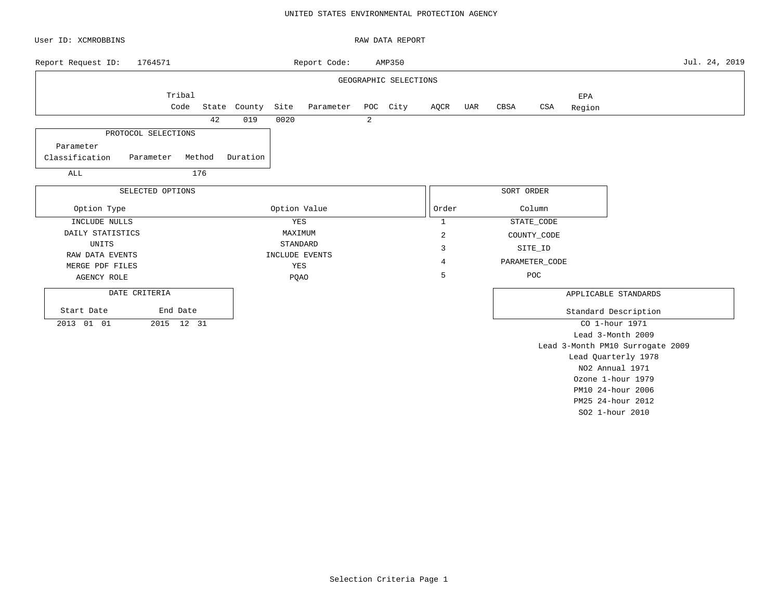#### UNITED STATES ENVIRONMENTAL PROTECTION AGENCY

| User ID: XCMROBBINS                |                  |        |              |              |                |   | RAW DATA REPORT       |                |            |                |        |                                  |               |  |
|------------------------------------|------------------|--------|--------------|--------------|----------------|---|-----------------------|----------------|------------|----------------|--------|----------------------------------|---------------|--|
| Report Request ID:                 | 1764571          |        |              |              | Report Code:   |   | AMP350                |                |            |                |        |                                  | Jul. 24, 2019 |  |
|                                    |                  |        |              |              |                |   | GEOGRAPHIC SELECTIONS |                |            |                |        |                                  |               |  |
|                                    | Tribal           |        |              |              |                |   |                       |                |            |                | EPA    |                                  |               |  |
|                                    | Code             |        | State County | Site         | Parameter      |   | POC City              | AQCR UAR       | CBSA       | CSA            | Region |                                  |               |  |
|                                    |                  | 42     | 019          | 0020         |                | 2 |                       |                |            |                |        |                                  |               |  |
| PROTOCOL SELECTIONS                |                  |        |              |              |                |   |                       |                |            |                |        |                                  |               |  |
| Parameter                          |                  |        |              |              |                |   |                       |                |            |                |        |                                  |               |  |
| Classification                     | Parameter        | Method | Duration     |              |                |   |                       |                |            |                |        |                                  |               |  |
| ALL                                |                  | 176    |              |              |                |   |                       |                |            |                |        |                                  |               |  |
|                                    | SELECTED OPTIONS |        |              |              |                |   |                       |                | SORT ORDER |                |        |                                  |               |  |
| Option Type                        |                  |        |              | Option Value |                |   |                       | Order          |            | Column         |        |                                  |               |  |
| INCLUDE NULLS                      |                  |        |              | YES          |                |   |                       | $\mathbf{1}$   |            | STATE_CODE     |        |                                  |               |  |
| DAILY STATISTICS                   |                  |        |              | MAXIMUM      |                |   |                       | $\overline{c}$ |            | COUNTY_CODE    |        |                                  |               |  |
| UNITS                              |                  |        |              |              | STANDARD       |   |                       | 3              |            | SITE_ID        |        |                                  |               |  |
| RAW DATA EVENTS<br>MERGE PDF FILES |                  |        |              | YES          | INCLUDE EVENTS |   |                       | 4              |            | PARAMETER_CODE |        |                                  |               |  |
| AGENCY ROLE                        |                  |        |              | <b>PQAO</b>  |                |   |                       | 5              |            | POC            |        |                                  |               |  |
|                                    |                  |        |              |              |                |   |                       |                |            |                |        |                                  |               |  |
| DATE CRITERIA                      |                  |        |              |              |                |   |                       |                |            |                |        | APPLICABLE STANDARDS             |               |  |
| Start Date                         | End Date         |        |              |              |                |   |                       |                |            |                |        | Standard Description             |               |  |
| 2013 01 01                         | 2015 12 31       |        |              |              |                |   |                       |                |            |                |        | CO 1-hour 1971                   |               |  |
|                                    |                  |        |              |              |                |   |                       |                |            |                |        | Lead 3-Month 2009                |               |  |
|                                    |                  |        |              |              |                |   |                       |                |            |                |        | Lead 3-Month PM10 Surrogate 2009 |               |  |
|                                    |                  |        |              |              |                |   |                       |                |            |                |        | Lead Quarterly 1978              |               |  |
|                                    |                  |        |              |              |                |   |                       |                |            |                |        | NO2 Annual 1971                  |               |  |

Ozone 1-hour 1979 PM10 24-hour 2006 PM25 24-hour 2012 SO2 1-hour 2010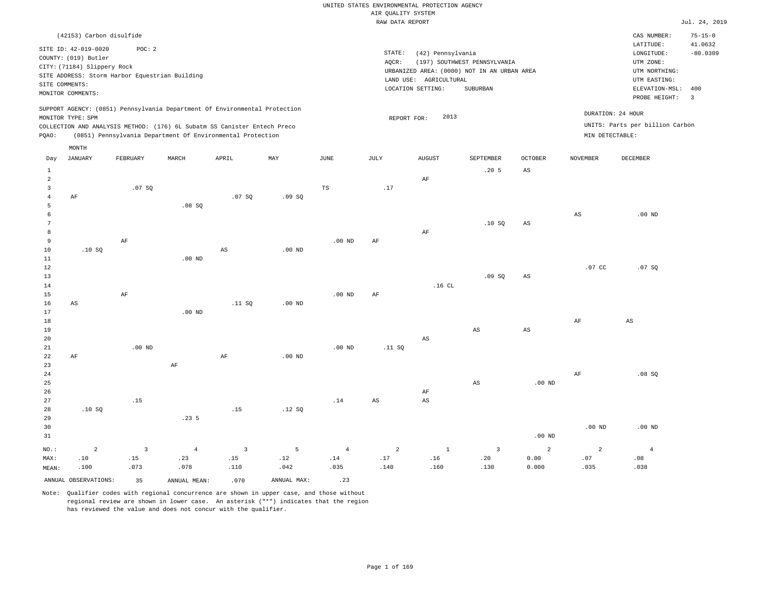|                |                             |                                                |                   |                                                                            |                   |                | RAW DATA REPORT |                        |                                             |                   |                  |                                 | Jul. 24, 2019  |
|----------------|-----------------------------|------------------------------------------------|-------------------|----------------------------------------------------------------------------|-------------------|----------------|-----------------|------------------------|---------------------------------------------|-------------------|------------------|---------------------------------|----------------|
|                | (42153) Carbon disulfide    |                                                |                   |                                                                            |                   |                |                 |                        |                                             |                   |                  | CAS NUMBER:                     | $75 - 15 - 0$  |
|                | SITE ID: 42-019-0020        | POC: 2                                         |                   |                                                                            |                   |                |                 |                        |                                             |                   |                  | LATITUDE:                       | 41.0632        |
|                | COUNTY: (019) Butler        |                                                |                   |                                                                            |                   |                | STATE:          | (42) Pennsylvania      |                                             |                   |                  | LONGITUDE:                      | $-80.0309$     |
|                | CITY: (71184) Slippery Rock |                                                |                   |                                                                            |                   |                | AOCR:           |                        | (197) SOUTHWEST PENNSYLVANIA                |                   |                  | UTM ZONE:                       |                |
|                |                             | SITE ADDRESS: Storm Harbor Equestrian Building |                   |                                                                            |                   |                |                 |                        | URBANIZED AREA: (0000) NOT IN AN URBAN AREA |                   |                  | UTM NORTHING:                   |                |
|                | SITE COMMENTS:              |                                                |                   |                                                                            |                   |                |                 | LAND USE: AGRICULTURAL |                                             |                   |                  | UTM EASTING:                    |                |
|                | MONITOR COMMENTS:           |                                                |                   |                                                                            |                   |                |                 | LOCATION SETTING:      | <b>SUBURBAN</b>                             |                   |                  | ELEVATION-MSL:                  | 400            |
|                |                             |                                                |                   |                                                                            |                   |                |                 |                        |                                             |                   |                  | PROBE HEIGHT:                   | $\overline{3}$ |
|                |                             |                                                |                   | SUPPORT AGENCY: (0851) Pennsylvania Department Of Environmental Protection |                   |                |                 |                        |                                             |                   |                  | DURATION: 24 HOUR               |                |
|                | MONITOR TYPE: SPM           |                                                |                   |                                                                            |                   |                | REPORT FOR:     | 2013                   |                                             |                   |                  |                                 |                |
|                |                             |                                                |                   | COLLECTION AND ANALYSIS METHOD: (176) 6L Subatm SS Canister Entech Preco   |                   |                |                 |                        |                                             |                   |                  | UNITS: Parts per billion Carbon |                |
| PQAO:          |                             |                                                |                   | (0851) Pennsylvania Department Of Environmental Protection                 |                   |                |                 |                        |                                             |                   | MIN DETECTABLE:  |                                 |                |
|                | MONTH                       |                                                |                   |                                                                            |                   |                |                 |                        |                                             |                   |                  |                                 |                |
| Day            | <b>JANUARY</b>              | FEBRUARY                                       | MARCH             | APRIL                                                                      | MAY               | $_{\rm JUNE}$  | JULY            | <b>AUGUST</b>          | SEPTEMBER                                   | <b>OCTOBER</b>    | <b>NOVEMBER</b>  | <b>DECEMBER</b>                 |                |
| $\mathbf{1}$   |                             |                                                |                   |                                                                            |                   |                |                 |                        | .205                                        | $_{\rm AS}$       |                  |                                 |                |
| $\overline{a}$ |                             |                                                |                   |                                                                            |                   |                |                 | AF                     |                                             |                   |                  |                                 |                |
| $\overline{3}$ |                             | .07 SQ                                         |                   |                                                                            |                   | TS             | .17             |                        |                                             |                   |                  |                                 |                |
| $\overline{4}$ | AF                          |                                                |                   | .07S                                                                       | .09S              |                |                 |                        |                                             |                   |                  |                                 |                |
| 5              |                             |                                                | .08SQ             |                                                                            |                   |                |                 |                        |                                             |                   |                  |                                 |                |
| 6              |                             |                                                |                   |                                                                            |                   |                |                 |                        |                                             |                   | $_{\rm AS}$      | $.00$ ND                        |                |
| 7<br>8         |                             |                                                |                   |                                                                            |                   |                |                 |                        | .10S                                        | AS                |                  |                                 |                |
| 9              |                             | AF                                             |                   |                                                                            |                   | $.00$ ND       | $\rm AF$        | $\rm{AF}$              |                                             |                   |                  |                                 |                |
| 10             | .10S                        |                                                |                   | $_{\rm AS}$                                                                | .00 <sub>ND</sub> |                |                 |                        |                                             |                   |                  |                                 |                |
| $11\,$         |                             |                                                | .00 <sub>ND</sub> |                                                                            |                   |                |                 |                        |                                             |                   |                  |                                 |                |
| 12             |                             |                                                |                   |                                                                            |                   |                |                 |                        |                                             |                   | .07 <sub>c</sub> | .07S                            |                |
| 13             |                             |                                                |                   |                                                                            |                   |                |                 |                        | .09SQ                                       | AS                |                  |                                 |                |
| 14             |                             |                                                |                   |                                                                            |                   |                |                 | .16CL                  |                                             |                   |                  |                                 |                |
| 15             |                             | AF                                             |                   |                                                                            |                   | $.00$ ND       | AF              |                        |                                             |                   |                  |                                 |                |
| 16             | AS                          |                                                |                   | .11 SQ                                                                     | .00 <sub>ND</sub> |                |                 |                        |                                             |                   |                  |                                 |                |
| 17             |                             |                                                | $.00$ ND          |                                                                            |                   |                |                 |                        |                                             |                   |                  |                                 |                |
| 18             |                             |                                                |                   |                                                                            |                   |                |                 |                        |                                             |                   | AF               | $_{\rm AS}$                     |                |
| 19             |                             |                                                |                   |                                                                            |                   |                |                 |                        | $\mathbb{A}\mathbb{S}$                      | $_{\rm AS}$       |                  |                                 |                |
| 20             |                             |                                                |                   |                                                                            |                   |                |                 | $\mathbb{A}\mathbb{S}$ |                                             |                   |                  |                                 |                |
| 21             |                             | $.00$ ND                                       |                   |                                                                            |                   | $.00$ ND       | .11 SQ          |                        |                                             |                   |                  |                                 |                |
| 22             | AF                          |                                                |                   | AF                                                                         | $.00$ ND          |                |                 |                        |                                             |                   |                  |                                 |                |
| 23             |                             |                                                | $\rm AF$          |                                                                            |                   |                |                 |                        |                                             |                   |                  |                                 |                |
| 24             |                             |                                                |                   |                                                                            |                   |                |                 |                        |                                             |                   | AF               | $.08$ SO                        |                |
| 25             |                             |                                                |                   |                                                                            |                   |                |                 |                        | $\mathbb{A}\mathbb{S}$                      | .00 <sub>ND</sub> |                  |                                 |                |
| 26             |                             |                                                |                   |                                                                            |                   |                |                 | AF                     |                                             |                   |                  |                                 |                |
| 27             |                             | .15                                            |                   |                                                                            |                   | .14            | AS              | AS                     |                                             |                   |                  |                                 |                |
| 28             | .10SQ                       |                                                |                   | .15                                                                        | .12S              |                |                 |                        |                                             |                   |                  |                                 |                |
| 29<br>30       |                             |                                                | .235              |                                                                            |                   |                |                 |                        |                                             |                   | $.00$ ND         | $.00$ ND                        |                |
| 31             |                             |                                                |                   |                                                                            |                   |                |                 |                        |                                             | $.00$ ND          |                  |                                 |                |
|                |                             |                                                |                   |                                                                            |                   |                |                 |                        |                                             |                   |                  |                                 |                |
| NO.:           | $\overline{a}$              | $\overline{3}$                                 | $\overline{4}$    | $\overline{3}$                                                             | 5                 | $\overline{4}$ | $\overline{a}$  | $\mathbf{1}$           | $\overline{3}$                              | 2                 | $\overline{a}$   | $\overline{4}$                  |                |
| MAX:           | .10                         | .15                                            | .23               | .15                                                                        | .12               | .14            | .17             | .16                    | .20                                         | 0.00              | .07              | .08                             |                |
| MEAN:          | .100                        | .073                                           | .078              | .110                                                                       | .042              | .035           | .140            | .160                   | .130                                        | 0.000             | .035             | .038                            |                |
|                | ANNUAL OBSERVATIONS:        | 35                                             | ANNUAL MEAN:      | .070                                                                       | ANNUAL MAX:       | .23            |                 |                        |                                             |                   |                  |                                 |                |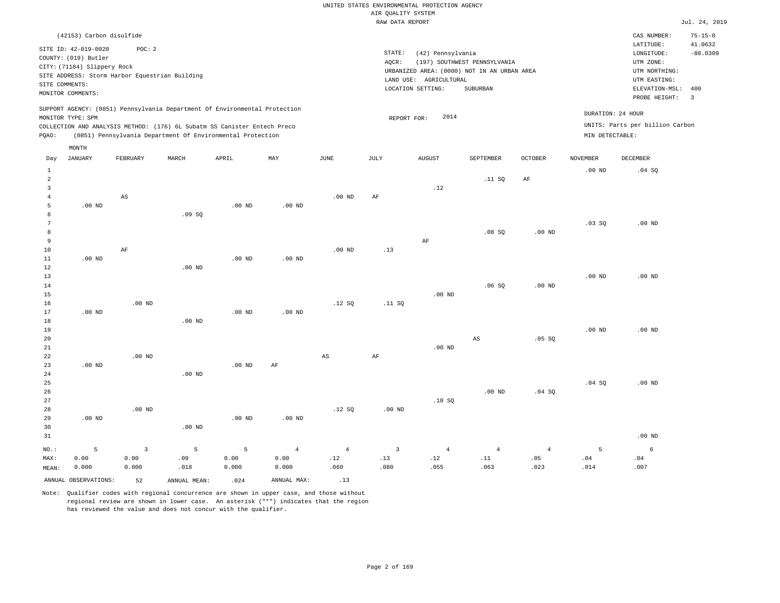#### RAW DATA REPORT JUL. 24, 2019 UNITED STATES ENVIRONMENTAL PROTECTION AGENCY AIR QUALITY SYSTEM

|                | (42153) Carbon disulfide                                         |          |       |                                                                            |     |      |        |                           |                                             |                |                 | CAS NUMBER:                     | $75 - 15 - 0$ |
|----------------|------------------------------------------------------------------|----------|-------|----------------------------------------------------------------------------|-----|------|--------|---------------------------|---------------------------------------------|----------------|-----------------|---------------------------------|---------------|
|                | SITE ID: 42-019-0020                                             | POC:2    |       |                                                                            |     |      |        |                           |                                             |                |                 | LATITUDE:                       | 41.0632       |
|                |                                                                  |          |       |                                                                            |     |      | STATE: | (42) Pennsylvania         |                                             |                |                 | LONGITUDE:                      | $-80.0309$    |
|                | COUNTY: (019) Butler                                             |          |       |                                                                            |     |      | AQCR:  |                           | (197) SOUTHWEST PENNSYLVANIA                |                |                 | UTM ZONE:                       |               |
|                | CITY: (71184) Slippery Rock                                      |          |       |                                                                            |     |      |        |                           | URBANIZED AREA: (0000) NOT IN AN URBAN AREA |                |                 | UTM NORTHING:                   |               |
|                | SITE ADDRESS: Storm Harbor Equestrian Building<br>SITE COMMENTS: |          |       |                                                                            |     |      |        | AGRICULTURAL<br>LAND USE: |                                             |                |                 | UTM EASTING:                    |               |
|                | MONITOR COMMENTS:                                                |          |       |                                                                            |     |      |        | LOCATION SETTING:         | SUBURBAN                                    |                |                 | ELEVATION-MSL: 400              |               |
|                |                                                                  |          |       |                                                                            |     |      |        |                           |                                             |                |                 | PROBE HEIGHT:                   | -3            |
|                |                                                                  |          |       | SUPPORT AGENCY: (0851) Pennsylvania Department Of Environmental Protection |     |      |        |                           |                                             |                |                 |                                 |               |
|                | MONITOR TYPE: SPM                                                |          |       |                                                                            |     |      |        | 2014<br>REPORT FOR:       |                                             |                |                 | DURATION: 24 HOUR               |               |
|                |                                                                  |          |       | COLLECTION AND ANALYSIS METHOD: (176) 6L Subatm SS Canister Entech Preco   |     |      |        |                           |                                             |                |                 | UNITS: Parts per billion Carbon |               |
| POAO:          |                                                                  |          |       | (0851) Pennsylvania Department Of Environmental Protection                 |     |      |        |                           |                                             |                | MIN DETECTABLE: |                                 |               |
|                | MONTH                                                            |          |       |                                                                            |     |      |        |                           |                                             |                |                 |                                 |               |
| Day            | JANUARY                                                          | FEBRUARY | MARCH | APRIL                                                                      | MAY | JUNE | JULY   | <b>AUGUST</b>             | SEPTEMBER                                   | <b>OCTOBER</b> | <b>NOVEMBER</b> | DECEMBER                        |               |
|                |                                                                  |          |       |                                                                            |     |      |        |                           |                                             |                |                 |                                 |               |
|                |                                                                  |          |       |                                                                            |     |      |        |                           |                                             |                | $.00$ ND        | .04 SQ                          |               |
| $\overline{2}$ |                                                                  |          |       |                                                                            |     |      |        |                           | .11 SQ                                      | ΑF             |                 |                                 |               |
|                |                                                                  |          |       |                                                                            |     |      |        | 12                        |                                             |                |                 |                                 |               |

|                |          |                         |          |          |                   |                        |                | $\cdot$ $ -$                 |                              |                |          |            |
|----------------|----------|-------------------------|----------|----------|-------------------|------------------------|----------------|------------------------------|------------------------------|----------------|----------|------------|
| $\overline{4}$ |          | $\mathbb{A}\mathbb{S}$  |          |          |                   | $.00$ ND               | $\rm{AF}$      |                              |                              |                |          |            |
| 5              | .00 $ND$ |                         |          | $.00$ ND | .00 $ND$          |                        |                |                              |                              |                |          |            |
| 6              |          |                         | .09SQ    |          |                   |                        |                |                              |                              |                |          |            |
| 7              |          |                         |          |          |                   |                        |                |                              |                              |                | .03SQ    | $.00$ ND   |
| 8              |          |                         |          |          |                   |                        |                |                              | .08 SQ                       | $.00$ ND       |          |            |
| 9              |          |                         |          |          |                   |                        |                | $\rm{AF}$                    |                              |                |          |            |
| $10$           |          | $\rm{AF}$               |          |          |                   | $.00$ ND               | .13            |                              |                              |                |          |            |
| $11\,$         | .00 $ND$ |                         |          | $.00$ ND | .00 <sub>ND</sub> |                        |                |                              |                              |                |          |            |
| $12\,$         |          |                         | $.00$ ND |          |                   |                        |                |                              |                              |                |          |            |
| 13             |          |                         |          |          |                   |                        |                |                              |                              |                | $.00$ ND | .00 $ND$   |
| 14             |          |                         |          |          |                   |                        |                |                              | .06SQ                        | $.00$ ND       |          |            |
| 15             |          |                         |          |          |                   |                        |                | $.00$ ND                     |                              |                |          |            |
| 16             |          | $.00$ ND                |          |          |                   | .12SQ                  | .11 SQ         |                              |                              |                |          |            |
| 17             | .00 $ND$ |                         |          | $.00$ ND | $.00$ ND          |                        |                |                              |                              |                |          |            |
| 18             |          |                         | $.00$ ND |          |                   |                        |                |                              |                              |                |          |            |
| 19             |          |                         |          |          |                   |                        |                |                              |                              |                | $.00$ ND | $.00$ ND   |
| 20             |          |                         |          |          |                   |                        |                |                              | $\mathbb{A}\mathbb{S}$       | .05 SQ         |          |            |
| 21             |          |                         |          |          |                   |                        |                | $.00$ ND                     |                              |                |          |            |
| 22             |          | $.00$ ND                |          |          |                   | $\mathbb{A}\mathbb{S}$ | $\rm{AF}$      |                              |                              |                |          |            |
| 23             | .00 $ND$ |                         |          | .00 $ND$ | $\rm AF$          |                        |                |                              |                              |                |          |            |
| 24             |          |                         | $.00$ ND |          |                   |                        |                |                              |                              |                |          |            |
| 25             |          |                         |          |          |                   |                        |                |                              |                              |                | .04 SQ   | $.00$ ND   |
| 26             |          |                         |          |          |                   |                        |                |                              | $.00$ ND                     | .04 SQ         |          |            |
| 27             |          |                         |          |          |                   |                        |                | .10SQ                        |                              |                |          |            |
| 28             |          | $.00$ ND                |          | $.00$ ND |                   | .12 SQ                 | $.00$ ND       |                              |                              |                |          |            |
| 29<br>30       | .00 $ND$ |                         | $.00$ ND |          | $.00$ ND          |                        |                |                              |                              |                |          |            |
| 31             |          |                         |          |          |                   |                        |                |                              |                              |                |          | $.00$ ND   |
|                |          |                         |          |          |                   |                        |                |                              |                              |                |          |            |
| $_{\rm NO.}$ : | 5        | $\overline{\mathbf{3}}$ | 5        | 5        | $\overline{4}$    | $\overline{4}$         | $\overline{3}$ | $\overline{4}$               | $\overline{4}$               | $\overline{4}$ | 5        | $\epsilon$ |
| MAX:           | 0.00     | 0.00                    | .09      | 0.00     | 0.00              | .12                    | .13            | $\footnotesize\substack{12}$ | $\footnotesize\substack{11}$ | .05            | $.04$    | .04        |
| MEAN:          | 0.000    | 0.000                   | .018     | 0.000    | 0.000             | .060                   | .080           | .055                         | .063                         | .023           | .014     | .007       |

ANNUAL OBSERVATIONS: 52 ANNUAL MEAN: .024 ANNUAL MAX: .13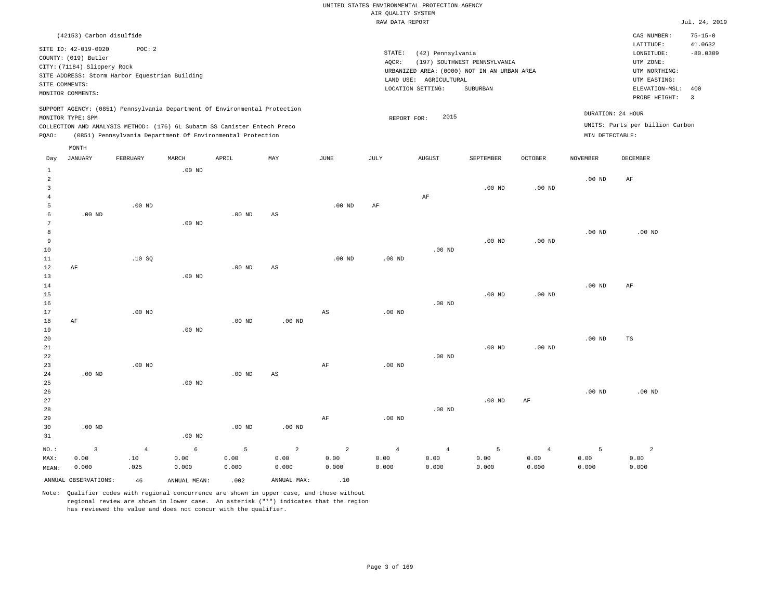|                |                                                                                                  |                                                         |          |                                                                                                                                                                                                                      |     |          |                 | RAW DATA REPORT                                                                                                 |                                          |                   |                   |                                                                                                          | Jul. 24, 2019                                            |
|----------------|--------------------------------------------------------------------------------------------------|---------------------------------------------------------|----------|----------------------------------------------------------------------------------------------------------------------------------------------------------------------------------------------------------------------|-----|----------|-----------------|-----------------------------------------------------------------------------------------------------------------|------------------------------------------|-------------------|-------------------|----------------------------------------------------------------------------------------------------------|----------------------------------------------------------|
|                | (42153) Carbon disulfide                                                                         |                                                         |          |                                                                                                                                                                                                                      |     |          |                 |                                                                                                                 |                                          |                   |                   | CAS NUMBER:                                                                                              | $75 - 15 - 0$                                            |
| SITE COMMENTS: | SITE ID: 42-019-0020<br>COUNTY: (019) Butler<br>CITY: (71184) Slippery Rock<br>MONITOR COMMENTS: | POC:2<br>SITE ADDRESS: Storm Harbor Equestrian Building |          |                                                                                                                                                                                                                      |     |          | STATE:<br>AOCR: | (42) Pennsylvania<br>URBANIZED AREA: (0000) NOT IN AN URBAN AREA<br>LAND USE: AGRICULTURAL<br>LOCATION SETTING: | (197) SOUTHWEST PENNSYLVANIA<br>SUBURBAN |                   |                   | LATITUDE:<br>LONGITUDE:<br>UTM ZONE:<br>UTM NORTHING:<br>UTM EASTING:<br>ELEVATION-MSL:<br>PROBE HEIGHT: | 41.0632<br>$-80.0309$<br>400<br>$\overline{\phantom{a}}$ |
| POAO:          | MONITOR TYPE: SPM<br>MONTH                                                                       |                                                         |          | SUPPORT AGENCY: (0851) Pennsylvania Department Of Environmental Protection<br>COLLECTION AND ANALYSIS METHOD: (176) 6L Subatm SS Canister Entech Preco<br>(0851) Pennsylvania Department Of Environmental Protection |     |          |                 | 2015<br>REPORT FOR:                                                                                             |                                          |                   | MIN DETECTABLE:   | DURATION: 24 HOUR<br>UNITS: Parts per billion Carbon                                                     |                                                          |
| Day            | JANUARY                                                                                          | FEBRUARY                                                | MARCH    | APRIL                                                                                                                                                                                                                | MAY | JUNE     | JULY            | <b>AUGUST</b>                                                                                                   | <b>SEPTEMBER</b>                         | <b>OCTOBER</b>    | <b>NOVEMBER</b>   | <b>DECEMBER</b>                                                                                          |                                                          |
| $\overline{a}$ |                                                                                                  |                                                         | $.00$ ND |                                                                                                                                                                                                                      |     |          |                 | AF                                                                                                              | $.00$ ND                                 | .00 <sub>ND</sub> | .00 <sub>ND</sub> | AF                                                                                                       |                                                          |
|                |                                                                                                  | $.00$ ND                                                |          |                                                                                                                                                                                                                      |     | $.00$ ND | AF              |                                                                                                                 |                                          |                   |                   |                                                                                                          |                                                          |
| 6<br>7         | .00 <sub>ND</sub>                                                                                |                                                         | $.00$ ND | $.00$ ND                                                                                                                                                                                                             | AS  |          |                 |                                                                                                                 |                                          |                   |                   |                                                                                                          |                                                          |

|        |    |       |                   |          |    |          |          |          |                   |          | $.00$ ND | $.00$ ND |
|--------|----|-------|-------------------|----------|----|----------|----------|----------|-------------------|----------|----------|----------|
| 9      |    |       |                   |          |    |          |          |          | .00 <sub>ND</sub> | $.00$ ND |          |          |
| 10     |    |       |                   |          |    |          |          | $.00$ ND |                   |          |          |          |
| $11\,$ |    | .10SQ |                   |          |    | $.00$ ND | .00 $ND$ |          |                   |          |          |          |
| 12     | AF |       |                   | $.00$ ND | AS |          |          |          |                   |          |          |          |
| 13     |    |       | .00 <sub>ND</sub> |          |    |          |          |          |                   |          |          |          |

| 14     |    |          |                   |          |          |    |          |          |          |          | $.00$ ND | AF |
|--------|----|----------|-------------------|----------|----------|----|----------|----------|----------|----------|----------|----|
| 15     |    |          |                   |          |          |    |          |          | $.00$ ND | $.00$ ND |          |    |
| 16     |    |          |                   |          |          |    |          | $.00$ ND |          |          |          |    |
| 17     |    | $.00$ ND |                   |          |          | AS | $.00$ ND |          |          |          |          |    |
| 18     | AF |          |                   | $.00$ ND | $.00$ ND |    |          |          |          |          |          |    |
| 19     |    |          | .00 <sub>ND</sub> |          |          |    |          |          |          |          |          |    |
| $20\,$ |    |          |                   |          |          |    |          |          |          |          | $.00$ ND | TS |

| 21          |          |          |          |          |                   |    |          |          | $.00$ ND | $.00$ ND |          |          |
|-------------|----------|----------|----------|----------|-------------------|----|----------|----------|----------|----------|----------|----------|
| $2\sqrt{2}$ |          |          |          |          |                   |    |          | $.00$ ND |          |          |          |          |
| 23          |          | $.00$ ND |          |          |                   | AF | $.00$ ND |          |          |          |          |          |
| 24          | $.00$ ND |          |          | $.00$ ND | AS                |    |          |          |          |          |          |          |
| 25          |          |          | $.00$ ND |          |                   |    |          |          |          |          |          |          |
| 26          |          |          |          |          |                   |    |          |          |          |          | $.00$ ND | $.00$ ND |
| 27          |          |          |          |          |                   |    |          |          | $.00$ ND | AF       |          |          |
| 28          |          |          |          |          |                   |    |          | $.00$ ND |          |          |          |          |
| 29          |          |          |          |          |                   | AF | $.00$ ND |          |          |          |          |          |
| 30          | $.00$ ND |          |          | $.00$ ND | .00 <sub>ND</sub> |    |          |          |          |          |          |          |
| 31          |          |          | $.00$ ND |          |                   |    |          |          |          |          |          |          |

| $NO.$ : |                      |      | $\begin{array}{ccccccccccccccccccccc} 3 & 4 & 6 & 5 & 2 & 2 & 4 & 4 & 5 \end{array}$ |       |             |       |       |       |       | $\sim$ 4 |       |       |
|---------|----------------------|------|--------------------------------------------------------------------------------------|-------|-------------|-------|-------|-------|-------|----------|-------|-------|
| MAX:    | 0.00                 | .10  | 0.00                                                                                 | 0.00  | 0.00        | 0.00  | 0.00  | 0.00  | 0.00  | 0.00     | 0.00  | 0.00  |
| MEAN:   | 0.000                | .025 | 0.000                                                                                | 0.000 | 0.000       | 0.000 | 0.000 | 0.000 | 0.000 | 0.000    | 0.000 | 0.000 |
|         | ANNUAL OBSERVATIONS: | 46   | ANNUAL MEAN:                                                                         | .002  | ANNUAL MAX: | .10   |       |       |       |          |       |       |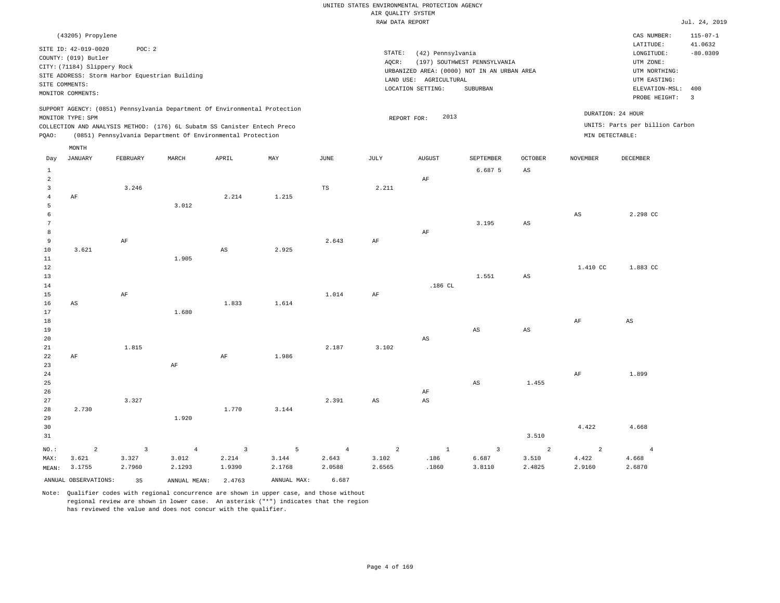|                                                                  |                                                                                                                                                                         |                                                  |                                                                                                                                                                                                                      |                                   |                                     |                                            | AIR QUALITY SYSTEM                | UNITED STATES ENVIRONMENTAL PROTECTION AGENCY                    |                                                                                         |                                          |                                      |                                                                                                                         |                                                                  |
|------------------------------------------------------------------|-------------------------------------------------------------------------------------------------------------------------------------------------------------------------|--------------------------------------------------|----------------------------------------------------------------------------------------------------------------------------------------------------------------------------------------------------------------------|-----------------------------------|-------------------------------------|--------------------------------------------|-----------------------------------|------------------------------------------------------------------|-----------------------------------------------------------------------------------------|------------------------------------------|--------------------------------------|-------------------------------------------------------------------------------------------------------------------------|------------------------------------------------------------------|
|                                                                  |                                                                                                                                                                         |                                                  |                                                                                                                                                                                                                      |                                   |                                     |                                            | RAW DATA REPORT                   |                                                                  |                                                                                         |                                          |                                      |                                                                                                                         | Jul. 24, 2019                                                    |
| SITE COMMENTS:                                                   | (43205) Propylene<br>SITE ID: 42-019-0020<br>COUNTY: (019) Butler<br>CITY: (71184) Slippery Rock<br>SITE ADDRESS: Storm Harbor Equestrian Building<br>MONITOR COMMENTS: | POC: 2                                           |                                                                                                                                                                                                                      |                                   |                                     |                                            | STATE:<br>AQCR:                   | (42) Pennsylvania<br>LAND USE: AGRICULTURAL<br>LOCATION SETTING: | (197) SOUTHWEST PENNSYLVANIA<br>URBANIZED AREA: (0000) NOT IN AN URBAN AREA<br>SUBURBAN |                                          |                                      | CAS NUMBER:<br>LATITUDE:<br>LONGITUDE:<br>UTM ZONE:<br>UTM NORTHING:<br>UTM EASTING:<br>ELEVATION-MSL:<br>PROBE HEIGHT: | $115 - 07 - 1$<br>41.0632<br>$-80.0309$<br>400<br>$\overline{3}$ |
| PQAO:                                                            | MONITOR TYPE: SPM                                                                                                                                                       |                                                  | SUPPORT AGENCY: (0851) Pennsylvania Department Of Environmental Protection<br>COLLECTION AND ANALYSIS METHOD: (176) 6L Subatm SS Canister Entech Preco<br>(0851) Pennsylvania Department Of Environmental Protection |                                   |                                     |                                            | REPORT FOR:                       | 2013                                                             |                                                                                         |                                          | DURATION: 24 HOUR<br>MIN DETECTABLE: | UNITS: Parts per billion Carbon                                                                                         |                                                                  |
|                                                                  | MONTH                                                                                                                                                                   |                                                  |                                                                                                                                                                                                                      |                                   |                                     |                                            |                                   |                                                                  |                                                                                         |                                          |                                      |                                                                                                                         |                                                                  |
| Day<br>$\mathbf{1}$<br>$\overline{a}$<br>$\overline{\mathbf{3}}$ | <b>JANUARY</b>                                                                                                                                                          | FEBRUARY<br>3.246                                | MARCH                                                                                                                                                                                                                | APRIL                             | MAY                                 | <b>JUNE</b><br>$_{\rm TS}$                 | <b>JULY</b><br>2.211              | <b>AUGUST</b><br>AF                                              | SEPTEMBER<br>6.687 5                                                                    | <b>OCTOBER</b><br>$\mathbb{A}\mathbb{S}$ | <b>NOVEMBER</b>                      | DECEMBER                                                                                                                |                                                                  |
| $\overline{4}$<br>5<br>6<br>7<br>$^{\rm 8}$                      | AF                                                                                                                                                                      |                                                  | 3.012                                                                                                                                                                                                                | 2.214                             | 1.215                               |                                            |                                   | $\rm AF$                                                         | 3.195                                                                                   | $\mathbb{A}\mathbb{S}$                   | $_{\rm AS}$                          | 2.298 CC                                                                                                                |                                                                  |
| 9<br>$10$<br>$1\,1$<br>12<br>13                                  | 3.621                                                                                                                                                                   | AF                                               | 1.905                                                                                                                                                                                                                | $_{\rm AS}$                       | 2.925                               | 2.643                                      | AF                                |                                                                  | 1.551                                                                                   | $\mathbb{A}\mathbb{S}$                   | 1.410 CC                             | 1.883 CC                                                                                                                |                                                                  |
| 14<br>15<br>16<br>$17$<br>$1\,8$                                 | AS                                                                                                                                                                      | $\rm AF$                                         | 1.680                                                                                                                                                                                                                | 1.833                             | 1.614                               | 1.014                                      | AF                                | .186 CL                                                          |                                                                                         |                                          | $\rm AF$                             | AS                                                                                                                      |                                                                  |
| 19<br>20<br>21<br>22<br>23                                       | AF                                                                                                                                                                      | 1.815                                            | AF                                                                                                                                                                                                                   | $\rm AF$                          | 1.986                               | 2.187                                      | 3.102                             | AS                                                               | $\mathbb{A}\mathbb{S}$                                                                  | $_{\rm AS}$                              |                                      |                                                                                                                         |                                                                  |
| 24<br>25<br>26<br>27<br>28                                       | 2.730                                                                                                                                                                   | 3.327                                            |                                                                                                                                                                                                                      | 1.770                             | 3.144                               | 2.391                                      | $_{\rm AS}$                       | $\rm{AF}$<br>$_{\rm AS}$                                         | $_{\rm AS}$                                                                             | 1.455                                    | $\rm AF$                             | 1.899                                                                                                                   |                                                                  |
| 29<br>30<br>31                                                   |                                                                                                                                                                         |                                                  | 1.920                                                                                                                                                                                                                |                                   |                                     |                                            |                                   |                                                                  |                                                                                         | 3.510                                    | 4.422                                | 4.668                                                                                                                   |                                                                  |
| NO.:<br>MAX:<br>MEAN:                                            | $\overline{a}$<br>3.621<br>3.1755<br>ANNUAL OBSERVATIONS:                                                                                                               | $\overline{\mathbf{3}}$<br>3.327<br>2.7960<br>35 | $\overline{4}$<br>3.012<br>2.1293<br>ANNUAL MEAN: 2.4763                                                                                                                                                             | $\overline{3}$<br>2.214<br>1.9390 | 5<br>3.144<br>2.1768<br>ANNUAL MAX: | $\overline{4}$<br>2.643<br>2.0588<br>6.687 | $\overline{a}$<br>3.102<br>2.6565 | $1\,$<br>.186<br>.1860                                           | $\overline{\mathbf{3}}$<br>6.687<br>3.8110                                              | $\overline{a}$<br>3.510<br>2.4825        | $\overline{a}$<br>4.422<br>2.9160    | $\overline{4}$<br>4.668<br>2.6870                                                                                       |                                                                  |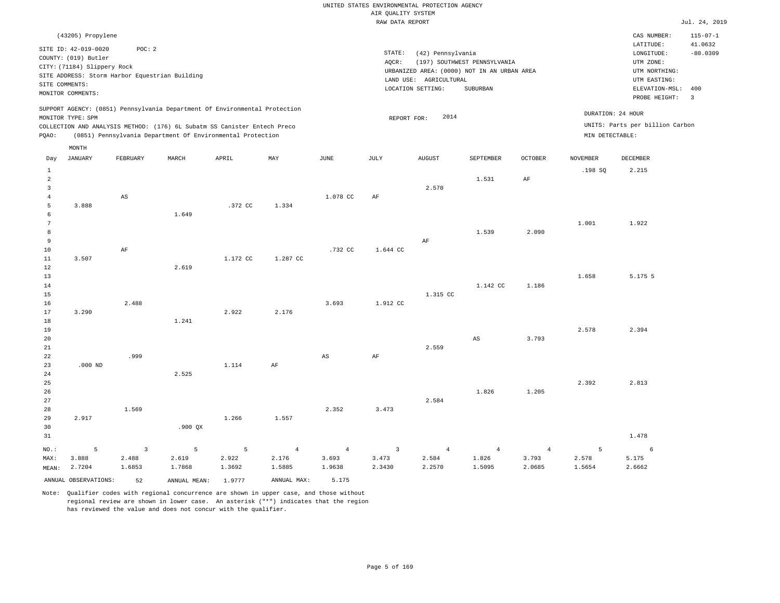|                |                                                                                                                                                                      |                        |                                                                                                                                        |          |                |                        | RAW DATA REPORT |                                                                  |                                                                                         |                |                 |                                                                                                              | Jul. 24, 2019                           |
|----------------|----------------------------------------------------------------------------------------------------------------------------------------------------------------------|------------------------|----------------------------------------------------------------------------------------------------------------------------------------|----------|----------------|------------------------|-----------------|------------------------------------------------------------------|-----------------------------------------------------------------------------------------|----------------|-----------------|--------------------------------------------------------------------------------------------------------------|-----------------------------------------|
|                | (43205) Propylene                                                                                                                                                    |                        |                                                                                                                                        |          |                |                        |                 |                                                                  |                                                                                         |                |                 | CAS NUMBER:                                                                                                  | $115 - 07 - 1$                          |
|                | SITE ID: 42-019-0020<br>COUNTY: (019) Butler<br>CITY: (71184) Slippery Rock<br>SITE ADDRESS: Storm Harbor Equestrian Building<br>SITE COMMENTS:<br>MONITOR COMMENTS: | POC: 2                 |                                                                                                                                        |          |                |                        | STATE:<br>AQCR: | (42) Pennsylvania<br>LAND USE: AGRICULTURAL<br>LOCATION SETTING: | (197) SOUTHWEST PENNSYLVANIA<br>URBANIZED AREA: (0000) NOT IN AN URBAN AREA<br>SUBURBAN |                |                 | LATITUDE:<br>LONGITUDE:<br>UTM ZONE:<br>UTM NORTHING:<br>UTM EASTING:<br>ELEVATION-MSL: 400<br>PROBE HEIGHT: | 41.0632<br>$-80.0309$<br>$\overline{3}$ |
|                |                                                                                                                                                                      |                        | SUPPORT AGENCY: (0851) Pennsylvania Department Of Environmental Protection                                                             |          |                |                        |                 |                                                                  |                                                                                         |                |                 | DURATION: 24 HOUR                                                                                            |                                         |
|                | MONITOR TYPE: SPM                                                                                                                                                    |                        |                                                                                                                                        |          |                |                        | REPORT FOR:     | 2014                                                             |                                                                                         |                |                 | UNITS: Parts per billion Carbon                                                                              |                                         |
| PQAO:          |                                                                                                                                                                      |                        | COLLECTION AND ANALYSIS METHOD: (176) 6L Subatm SS Canister Entech Preco<br>(0851) Pennsylvania Department Of Environmental Protection |          |                |                        |                 |                                                                  |                                                                                         |                | MIN DETECTABLE: |                                                                                                              |                                         |
|                |                                                                                                                                                                      |                        |                                                                                                                                        |          |                |                        |                 |                                                                  |                                                                                         |                |                 |                                                                                                              |                                         |
| Day            | MONTH<br><b>JANUARY</b>                                                                                                                                              | FEBRUARY               | MARCH                                                                                                                                  | APRIL    | MAY            | $\mathtt{JUNE}$        | JULY            | ${\tt AUGUST}$                                                   | SEPTEMBER                                                                               | <b>OCTOBER</b> | <b>NOVEMBER</b> | DECEMBER                                                                                                     |                                         |
| $\mathbf{1}$   |                                                                                                                                                                      |                        |                                                                                                                                        |          |                |                        |                 |                                                                  |                                                                                         |                | .198 SQ         | 2.215                                                                                                        |                                         |
| $\overline{a}$ |                                                                                                                                                                      |                        |                                                                                                                                        |          |                |                        |                 |                                                                  | 1.531                                                                                   | AF             |                 |                                                                                                              |                                         |
| $\overline{3}$ |                                                                                                                                                                      |                        |                                                                                                                                        |          |                |                        |                 | 2.570                                                            |                                                                                         |                |                 |                                                                                                              |                                         |
| $\overline{4}$ |                                                                                                                                                                      | $\mathbb{A}\mathbb{S}$ |                                                                                                                                        |          |                | 1.078 CC               | AF              |                                                                  |                                                                                         |                |                 |                                                                                                              |                                         |
| $\overline{5}$ | 3.888                                                                                                                                                                |                        |                                                                                                                                        | .372 CC  | 1.334          |                        |                 |                                                                  |                                                                                         |                |                 |                                                                                                              |                                         |
| 6              |                                                                                                                                                                      |                        | 1.649                                                                                                                                  |          |                |                        |                 |                                                                  |                                                                                         |                |                 |                                                                                                              |                                         |
| 7              |                                                                                                                                                                      |                        |                                                                                                                                        |          |                |                        |                 |                                                                  |                                                                                         |                | 1.001           | 1.922                                                                                                        |                                         |
| 8              |                                                                                                                                                                      |                        |                                                                                                                                        |          |                |                        |                 |                                                                  | 1.539                                                                                   | 2.090          |                 |                                                                                                              |                                         |
| $\overline{9}$ |                                                                                                                                                                      |                        |                                                                                                                                        |          |                |                        |                 | AF                                                               |                                                                                         |                |                 |                                                                                                              |                                         |
| 10             |                                                                                                                                                                      | AF                     |                                                                                                                                        |          |                | .732 CC                | 1.644 CC        |                                                                  |                                                                                         |                |                 |                                                                                                              |                                         |
| $11\,$         | 3.507                                                                                                                                                                |                        |                                                                                                                                        | 1.172 CC | 1.287 CC       |                        |                 |                                                                  |                                                                                         |                |                 |                                                                                                              |                                         |
| 12             |                                                                                                                                                                      |                        | 2.619                                                                                                                                  |          |                |                        |                 |                                                                  |                                                                                         |                |                 |                                                                                                              |                                         |
| 13             |                                                                                                                                                                      |                        |                                                                                                                                        |          |                |                        |                 |                                                                  |                                                                                         |                | 1.658           | 5.175 5                                                                                                      |                                         |
| 14             |                                                                                                                                                                      |                        |                                                                                                                                        |          |                |                        |                 |                                                                  | 1.142 CC                                                                                | 1.186          |                 |                                                                                                              |                                         |
| 15             |                                                                                                                                                                      |                        |                                                                                                                                        |          |                |                        |                 | 1.315 CC                                                         |                                                                                         |                |                 |                                                                                                              |                                         |
| 16             |                                                                                                                                                                      | 2.488                  |                                                                                                                                        |          |                | 3.693                  | 1.912 CC        |                                                                  |                                                                                         |                |                 |                                                                                                              |                                         |
| 17<br>18       | 3.290                                                                                                                                                                |                        | 1.241                                                                                                                                  | 2.922    | 2.176          |                        |                 |                                                                  |                                                                                         |                |                 |                                                                                                              |                                         |
| 19             |                                                                                                                                                                      |                        |                                                                                                                                        |          |                |                        |                 |                                                                  |                                                                                         |                | 2.578           | 2.394                                                                                                        |                                         |
| 20             |                                                                                                                                                                      |                        |                                                                                                                                        |          |                |                        |                 |                                                                  | $\mathbb{A}\mathbb{S}$                                                                  | 3.793          |                 |                                                                                                              |                                         |
| 21             |                                                                                                                                                                      |                        |                                                                                                                                        |          |                |                        |                 | 2.559                                                            |                                                                                         |                |                 |                                                                                                              |                                         |
| 22             |                                                                                                                                                                      | .999                   |                                                                                                                                        |          |                | $\mathbb{A}\mathbb{S}$ | AF              |                                                                  |                                                                                         |                |                 |                                                                                                              |                                         |
| 23             | $.000$ ND                                                                                                                                                            |                        |                                                                                                                                        | 1.114    | AF             |                        |                 |                                                                  |                                                                                         |                |                 |                                                                                                              |                                         |
| 24             |                                                                                                                                                                      |                        | 2.525                                                                                                                                  |          |                |                        |                 |                                                                  |                                                                                         |                |                 |                                                                                                              |                                         |
| 25             |                                                                                                                                                                      |                        |                                                                                                                                        |          |                |                        |                 |                                                                  |                                                                                         |                | 2.392           | 2.813                                                                                                        |                                         |
| 26             |                                                                                                                                                                      |                        |                                                                                                                                        |          |                |                        |                 |                                                                  | 1.826                                                                                   | 1.205          |                 |                                                                                                              |                                         |
| 27             |                                                                                                                                                                      |                        |                                                                                                                                        |          |                |                        |                 | 2.584                                                            |                                                                                         |                |                 |                                                                                                              |                                         |
| 28             |                                                                                                                                                                      | 1.569                  |                                                                                                                                        |          |                | 2.352                  | 3.473           |                                                                  |                                                                                         |                |                 |                                                                                                              |                                         |
| 29             | 2.917                                                                                                                                                                |                        |                                                                                                                                        | 1.266    | 1.557          |                        |                 |                                                                  |                                                                                         |                |                 |                                                                                                              |                                         |
| 30             |                                                                                                                                                                      |                        | $.900$ QX                                                                                                                              |          |                |                        |                 |                                                                  |                                                                                         |                |                 |                                                                                                              |                                         |
| 31             |                                                                                                                                                                      |                        |                                                                                                                                        |          |                |                        |                 |                                                                  |                                                                                         |                |                 | 1.478                                                                                                        |                                         |
| NO.:           | 5                                                                                                                                                                    | $\overline{3}$         | 5                                                                                                                                      | 5        | $\overline{4}$ | $\overline{4}$         | $\overline{3}$  | $\overline{4}$                                                   | $\overline{4}$                                                                          | $\overline{4}$ | 5               | 6                                                                                                            |                                         |
| MAX:           | 3.888                                                                                                                                                                | 2.488                  | 2.619                                                                                                                                  | 2.922    | 2.176          | 3.693                  | 3.473           | 2.584                                                            | 1.826                                                                                   | 3.793          | 2.578           | 5.175                                                                                                        |                                         |
| MEAN:          | 2.7204                                                                                                                                                               | 1.6853                 | 1.7868                                                                                                                                 | 1.3692   | 1.5885         | 1.9638                 | 2.3430          | 2.2570                                                           | 1.5095                                                                                  | 2.0685         | 1.5654          | 2.6662                                                                                                       |                                         |
|                | ANNUAL OBSERVATIONS:                                                                                                                                                 | 52                     | ANNUAL MEAN:                                                                                                                           | 1.9777   | ANNUAL MAX:    | 5.175                  |                 |                                                                  |                                                                                         |                |                 |                                                                                                              |                                         |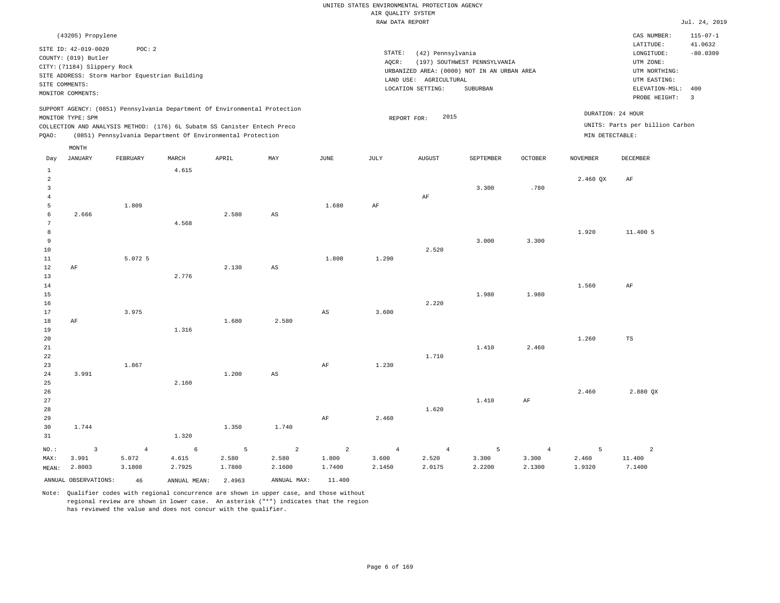|                                         |                                                                                                                                                                      |                         |                                                                                                                                        |            |                         |                        | RAW DATA REPORT         |                                                                  |                                                                                         |                         |                 |                                                                                                          | Jul. 24, 2019                                  |
|-----------------------------------------|----------------------------------------------------------------------------------------------------------------------------------------------------------------------|-------------------------|----------------------------------------------------------------------------------------------------------------------------------------|------------|-------------------------|------------------------|-------------------------|------------------------------------------------------------------|-----------------------------------------------------------------------------------------|-------------------------|-----------------|----------------------------------------------------------------------------------------------------------|------------------------------------------------|
|                                         | (43205) Propylene                                                                                                                                                    |                         |                                                                                                                                        |            |                         |                        |                         |                                                                  |                                                                                         |                         |                 | CAS NUMBER:                                                                                              | $115 - 07 - 1$                                 |
|                                         | SITE ID: 42-019-0020<br>COUNTY: (019) Butler<br>CITY: (71184) Slippery Rock<br>SITE ADDRESS: Storm Harbor Equestrian Building<br>SITE COMMENTS:<br>MONITOR COMMENTS: | POC: 2                  |                                                                                                                                        |            |                         |                        | STATE:<br>AQCR:         | (42) Pennsylvania<br>LAND USE: AGRICULTURAL<br>LOCATION SETTING: | (197) SOUTHWEST PENNSYLVANIA<br>URBANIZED AREA: (0000) NOT IN AN URBAN AREA<br>SUBURBAN |                         |                 | LATITUDE:<br>LONGITUDE:<br>UTM ZONE:<br>UTM NORTHING:<br>UTM EASTING:<br>ELEVATION-MSL:<br>PROBE HEIGHT: | 41.0632<br>$-80.0309$<br>400<br>$\overline{3}$ |
|                                         |                                                                                                                                                                      |                         | SUPPORT AGENCY: (0851) Pennsylvania Department Of Environmental Protection                                                             |            |                         |                        |                         |                                                                  |                                                                                         |                         |                 | DURATION: 24 HOUR                                                                                        |                                                |
|                                         | MONITOR TYPE: SPM                                                                                                                                                    |                         |                                                                                                                                        |            |                         |                        | REPORT FOR:             | 2015                                                             |                                                                                         |                         |                 | UNITS: Parts per billion Carbon                                                                          |                                                |
| PQAO:                                   |                                                                                                                                                                      |                         | COLLECTION AND ANALYSIS METHOD: (176) 6L Subatm SS Canister Entech Preco<br>(0851) Pennsylvania Department Of Environmental Protection |            |                         |                        |                         |                                                                  |                                                                                         |                         | MIN DETECTABLE: |                                                                                                          |                                                |
|                                         |                                                                                                                                                                      |                         |                                                                                                                                        |            |                         |                        |                         |                                                                  |                                                                                         |                         |                 |                                                                                                          |                                                |
| Day                                     | MONTH<br><b>JANUARY</b>                                                                                                                                              | FEBRUARY                | MARCH                                                                                                                                  | APRIL      | MAY                     | <b>JUNE</b>            | <b>JULY</b>             | <b>AUGUST</b>                                                    | SEPTEMBER                                                                               | <b>OCTOBER</b>          | <b>NOVEMBER</b> | DECEMBER                                                                                                 |                                                |
|                                         |                                                                                                                                                                      |                         |                                                                                                                                        |            |                         |                        |                         |                                                                  |                                                                                         |                         |                 |                                                                                                          |                                                |
| $1\,$<br>$\overline{a}$<br>$\mathbf{3}$ |                                                                                                                                                                      |                         | 4.615                                                                                                                                  |            |                         |                        |                         |                                                                  | 3.300                                                                                   | .780                    | 2.460 QX        | AF                                                                                                       |                                                |
| $\overline{4}$<br>5                     |                                                                                                                                                                      | 1.809                   |                                                                                                                                        |            |                         | 1.680                  | $\rm{AF}$               | AF                                                               |                                                                                         |                         |                 |                                                                                                          |                                                |
| 6<br>$\overline{7}$                     | 2.666                                                                                                                                                                |                         | 4.568                                                                                                                                  | 2.580      | AS                      |                        |                         |                                                                  |                                                                                         |                         |                 |                                                                                                          |                                                |
| 8<br>9                                  |                                                                                                                                                                      |                         |                                                                                                                                        |            |                         |                        |                         |                                                                  | 3.000                                                                                   | 3.300                   | 1.920           | 11.400 5                                                                                                 |                                                |
| 10                                      |                                                                                                                                                                      |                         |                                                                                                                                        |            |                         |                        |                         | 2.520                                                            |                                                                                         |                         |                 |                                                                                                          |                                                |
| 11                                      |                                                                                                                                                                      | 5.072 5                 |                                                                                                                                        |            |                         | 1.800                  | 1.290                   |                                                                  |                                                                                         |                         |                 |                                                                                                          |                                                |
| 12                                      | AF                                                                                                                                                                   |                         |                                                                                                                                        | 2.130      | AS                      |                        |                         |                                                                  |                                                                                         |                         |                 |                                                                                                          |                                                |
| 13                                      |                                                                                                                                                                      |                         | 2.776                                                                                                                                  |            |                         |                        |                         |                                                                  |                                                                                         |                         |                 |                                                                                                          |                                                |
| 14<br>15                                |                                                                                                                                                                      |                         |                                                                                                                                        |            |                         |                        |                         |                                                                  | 1.980                                                                                   | 1.980                   | 1.560           | AF                                                                                                       |                                                |
| 16                                      |                                                                                                                                                                      |                         |                                                                                                                                        |            |                         |                        |                         | 2.220                                                            |                                                                                         |                         |                 |                                                                                                          |                                                |
| 17                                      |                                                                                                                                                                      | 3.975                   |                                                                                                                                        |            |                         | $\mathbb{A}\mathbb{S}$ | 3.600                   |                                                                  |                                                                                         |                         |                 |                                                                                                          |                                                |
| 18                                      | AF                                                                                                                                                                   |                         |                                                                                                                                        | 1.680      | 2.580                   |                        |                         |                                                                  |                                                                                         |                         |                 |                                                                                                          |                                                |
| 19<br>20                                |                                                                                                                                                                      |                         | 1.316                                                                                                                                  |            |                         |                        |                         |                                                                  |                                                                                         |                         | 1.260           | TS                                                                                                       |                                                |
| 21                                      |                                                                                                                                                                      |                         |                                                                                                                                        |            |                         |                        |                         |                                                                  | 1.410                                                                                   | 2.460                   |                 |                                                                                                          |                                                |
| 22                                      |                                                                                                                                                                      |                         |                                                                                                                                        |            |                         |                        |                         | 1.710                                                            |                                                                                         |                         |                 |                                                                                                          |                                                |
| 23                                      |                                                                                                                                                                      | 1.867                   |                                                                                                                                        |            |                         | $\rm{AF}$              | 1.230                   |                                                                  |                                                                                         |                         |                 |                                                                                                          |                                                |
| 24<br>25                                | 3.991                                                                                                                                                                |                         | 2.160                                                                                                                                  | 1.200      | $\mathbb{A}\mathbb{S}$  |                        |                         |                                                                  |                                                                                         |                         |                 |                                                                                                          |                                                |
| 26                                      |                                                                                                                                                                      |                         |                                                                                                                                        |            |                         |                        |                         |                                                                  |                                                                                         |                         | 2.460           | 2.880 QX                                                                                                 |                                                |
| 27                                      |                                                                                                                                                                      |                         |                                                                                                                                        |            |                         |                        |                         |                                                                  | 1.410                                                                                   | AF                      |                 |                                                                                                          |                                                |
| 28                                      |                                                                                                                                                                      |                         |                                                                                                                                        |            |                         |                        |                         | 1.620                                                            |                                                                                         |                         |                 |                                                                                                          |                                                |
| 29                                      |                                                                                                                                                                      |                         |                                                                                                                                        |            |                         | $\rm{AF}$              | 2.460                   |                                                                  |                                                                                         |                         |                 |                                                                                                          |                                                |
| 30<br>31                                | 1.744                                                                                                                                                                |                         | 1.320                                                                                                                                  | 1.350      | 1.740                   |                        |                         |                                                                  |                                                                                         |                         |                 |                                                                                                          |                                                |
|                                         |                                                                                                                                                                      |                         |                                                                                                                                        |            |                         |                        |                         |                                                                  |                                                                                         |                         |                 |                                                                                                          |                                                |
| NO.:<br>MAX:                            | $\overline{3}$<br>3.991                                                                                                                                              | $\overline{4}$<br>5.072 | 6<br>4.615                                                                                                                             | 5<br>2.580 | $\overline{a}$<br>2.580 | 2<br>1.800             | $\overline{4}$<br>3.600 | $\overline{4}$<br>2.520                                          | 5<br>3.300                                                                              | $\overline{4}$<br>3.300 | 5<br>2.460      | $\overline{a}$<br>11.400                                                                                 |                                                |
| MEAN:                                   | 2.8003                                                                                                                                                               | 3.1808                  | 2.7925                                                                                                                                 | 1.7880     | 2.1600                  | 1.7400                 | 2.1450                  | 2.0175                                                           | 2.2200                                                                                  | 2.1300                  | 1.9320          | 7.1400                                                                                                   |                                                |
|                                         | ANNUAL OBSERVATIONS:                                                                                                                                                 | 46                      | ANNUAL MEAN:                                                                                                                           | 2.4963     | ANNUAL MAX:             | 11,400                 |                         |                                                                  |                                                                                         |                         |                 |                                                                                                          |                                                |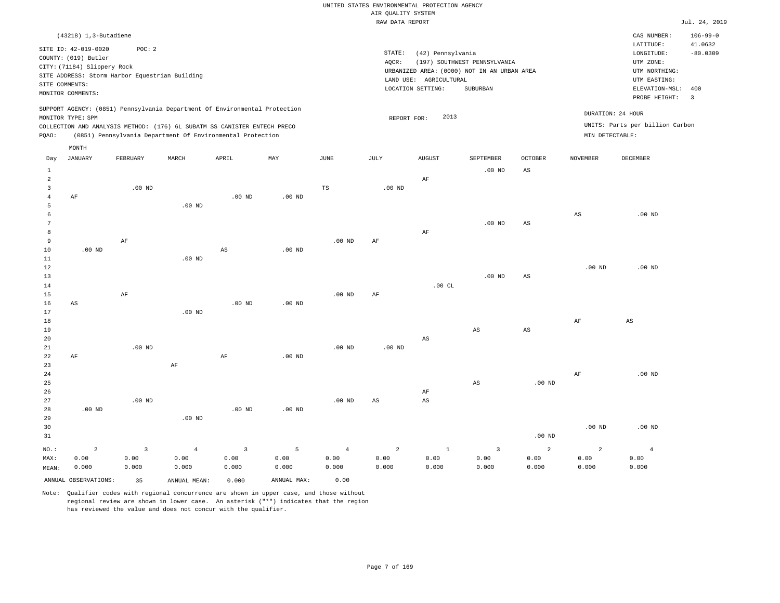| $106 - 99 - 0$<br>$(43218)$ 1, 3-Butadiene<br>CAS NUMBER:<br>41.0632<br>LATITUDE:<br>SITE ID: 42-019-0020<br>POC: 2<br>STATE:<br>(42) Pennsylvania<br>$-80.0309$<br>LONGITUDE:<br>COUNTY: (019) Butler<br>(197) SOUTHWEST PENNSYLVANIA<br>AOCR:<br>UTM ZONE:<br>CITY: (71184) Slippery Rock<br>URBANIZED AREA: (0000) NOT IN AN URBAN AREA<br>UTM NORTHING:<br>SITE ADDRESS: Storm Harbor Equestrian Building<br>LAND USE: AGRICULTURAL<br>UTM EASTING:<br>SITE COMMENTS:<br>LOCATION SETTING:<br>SUBURBAN<br>ELEVATION-MSL:<br>400<br>MONITOR COMMENTS:<br>PROBE HEIGHT:<br>$\overline{\mathbf{3}}$<br>SUPPORT AGENCY: (0851) Pennsylvania Department Of Environmental Protection<br>DURATION: 24 HOUR<br>2013<br>MONITOR TYPE: SPM<br>REPORT FOR:<br>UNITS: Parts per billion Carbon<br>COLLECTION AND ANALYSIS METHOD: (176) 6L SUBATM SS CANISTER ENTECH PRECO<br>(0851) Pennsylvania Department Of Environmental Protection<br>MIN DETECTABLE:<br>PQAO:<br>MONTH<br><b>JANUARY</b><br>FEBRUARY<br>MARCH<br>APRIL<br>MAY<br>JUNE<br>JULY<br><b>AUGUST</b><br>SEPTEMBER<br><b>OCTOBER</b><br>NOVEMBER<br>DECEMBER<br>Day<br>$1\,$<br>$.00$ ND<br>AS<br>$\overline{2}$<br>$\rm AF$<br>$\overline{3}$<br>$.00$ ND<br>TS<br>.00 <sub>ND</sub><br>$\overline{4}$<br>.00 <sub>ND</sub><br>.00 <sub>ND</sub><br>AF<br>5<br>$.00$ ND<br>6<br>AS<br>$.00$ ND<br>$\overline{7}$<br>$.00$ ND<br>$_{\rm AS}$<br>8<br>AF<br>$\overline{9}$<br>AF<br>$.00$ ND<br>AF<br>10<br>$.00$ ND<br>$_{\rm AS}$<br>.00 <sub>ND</sub><br>11<br>$.00$ ND<br>12<br>$.00$ ND<br>$.00$ ND<br>13<br>.00 <sub>ND</sub><br>$\mathbb{A}\mathbb{S}$<br>.00CL<br>14<br>15<br>$\rm AF$<br>$.00$ ND<br>AF<br>$.00$ ND<br>.00 <sub>ND</sub><br>16<br>AS<br>17<br>$.00$ ND<br>$18\,$<br>AF<br>AS<br>19<br>AS<br>$\mathbb{A}\mathbb{S}$<br>20<br>AS<br>21<br>$.00$ ND<br>$.00$ ND<br>.00 $ND$<br>22<br>AF<br>AF<br>.00 <sub>ND</sub><br>23<br>AF<br>$\rm AF$<br>24<br>$.00$ ND<br>25<br>$\mathbb{A}\mathbb{S}$<br>$.00$ ND<br>26<br>AF<br>27<br>$.00$ ND<br>$.00$ ND<br>$_{\rm AS}$<br>$\mathbb{A}\mathbb{S}$<br>28<br>$.00$ ND<br>$.00$ ND<br>.00 <sub>ND</sub><br>29<br>$.00$ ND<br>30<br>$.00$ ND<br>$.00$ ND<br>31 |  |  |  | RAW DATA REPORT |  |          |  | Jul. 24, 2019 |
|-----------------------------------------------------------------------------------------------------------------------------------------------------------------------------------------------------------------------------------------------------------------------------------------------------------------------------------------------------------------------------------------------------------------------------------------------------------------------------------------------------------------------------------------------------------------------------------------------------------------------------------------------------------------------------------------------------------------------------------------------------------------------------------------------------------------------------------------------------------------------------------------------------------------------------------------------------------------------------------------------------------------------------------------------------------------------------------------------------------------------------------------------------------------------------------------------------------------------------------------------------------------------------------------------------------------------------------------------------------------------------------------------------------------------------------------------------------------------------------------------------------------------------------------------------------------------------------------------------------------------------------------------------------------------------------------------------------------------------------------------------------------------------------------------------------------------------------------------------------------------------------------------------------------------------------------------------------------------------------------------------------------------------------------------------------------------------------------------------------------------------------------------------------------------------------|--|--|--|-----------------|--|----------|--|---------------|
|                                                                                                                                                                                                                                                                                                                                                                                                                                                                                                                                                                                                                                                                                                                                                                                                                                                                                                                                                                                                                                                                                                                                                                                                                                                                                                                                                                                                                                                                                                                                                                                                                                                                                                                                                                                                                                                                                                                                                                                                                                                                                                                                                                                   |  |  |  |                 |  |          |  |               |
|                                                                                                                                                                                                                                                                                                                                                                                                                                                                                                                                                                                                                                                                                                                                                                                                                                                                                                                                                                                                                                                                                                                                                                                                                                                                                                                                                                                                                                                                                                                                                                                                                                                                                                                                                                                                                                                                                                                                                                                                                                                                                                                                                                                   |  |  |  |                 |  |          |  |               |
|                                                                                                                                                                                                                                                                                                                                                                                                                                                                                                                                                                                                                                                                                                                                                                                                                                                                                                                                                                                                                                                                                                                                                                                                                                                                                                                                                                                                                                                                                                                                                                                                                                                                                                                                                                                                                                                                                                                                                                                                                                                                                                                                                                                   |  |  |  |                 |  |          |  |               |
|                                                                                                                                                                                                                                                                                                                                                                                                                                                                                                                                                                                                                                                                                                                                                                                                                                                                                                                                                                                                                                                                                                                                                                                                                                                                                                                                                                                                                                                                                                                                                                                                                                                                                                                                                                                                                                                                                                                                                                                                                                                                                                                                                                                   |  |  |  |                 |  |          |  |               |
|                                                                                                                                                                                                                                                                                                                                                                                                                                                                                                                                                                                                                                                                                                                                                                                                                                                                                                                                                                                                                                                                                                                                                                                                                                                                                                                                                                                                                                                                                                                                                                                                                                                                                                                                                                                                                                                                                                                                                                                                                                                                                                                                                                                   |  |  |  |                 |  |          |  |               |
|                                                                                                                                                                                                                                                                                                                                                                                                                                                                                                                                                                                                                                                                                                                                                                                                                                                                                                                                                                                                                                                                                                                                                                                                                                                                                                                                                                                                                                                                                                                                                                                                                                                                                                                                                                                                                                                                                                                                                                                                                                                                                                                                                                                   |  |  |  |                 |  |          |  |               |
|                                                                                                                                                                                                                                                                                                                                                                                                                                                                                                                                                                                                                                                                                                                                                                                                                                                                                                                                                                                                                                                                                                                                                                                                                                                                                                                                                                                                                                                                                                                                                                                                                                                                                                                                                                                                                                                                                                                                                                                                                                                                                                                                                                                   |  |  |  |                 |  |          |  |               |
|                                                                                                                                                                                                                                                                                                                                                                                                                                                                                                                                                                                                                                                                                                                                                                                                                                                                                                                                                                                                                                                                                                                                                                                                                                                                                                                                                                                                                                                                                                                                                                                                                                                                                                                                                                                                                                                                                                                                                                                                                                                                                                                                                                                   |  |  |  |                 |  |          |  |               |
|                                                                                                                                                                                                                                                                                                                                                                                                                                                                                                                                                                                                                                                                                                                                                                                                                                                                                                                                                                                                                                                                                                                                                                                                                                                                                                                                                                                                                                                                                                                                                                                                                                                                                                                                                                                                                                                                                                                                                                                                                                                                                                                                                                                   |  |  |  |                 |  |          |  |               |
|                                                                                                                                                                                                                                                                                                                                                                                                                                                                                                                                                                                                                                                                                                                                                                                                                                                                                                                                                                                                                                                                                                                                                                                                                                                                                                                                                                                                                                                                                                                                                                                                                                                                                                                                                                                                                                                                                                                                                                                                                                                                                                                                                                                   |  |  |  |                 |  |          |  |               |
|                                                                                                                                                                                                                                                                                                                                                                                                                                                                                                                                                                                                                                                                                                                                                                                                                                                                                                                                                                                                                                                                                                                                                                                                                                                                                                                                                                                                                                                                                                                                                                                                                                                                                                                                                                                                                                                                                                                                                                                                                                                                                                                                                                                   |  |  |  |                 |  |          |  |               |
|                                                                                                                                                                                                                                                                                                                                                                                                                                                                                                                                                                                                                                                                                                                                                                                                                                                                                                                                                                                                                                                                                                                                                                                                                                                                                                                                                                                                                                                                                                                                                                                                                                                                                                                                                                                                                                                                                                                                                                                                                                                                                                                                                                                   |  |  |  |                 |  |          |  |               |
|                                                                                                                                                                                                                                                                                                                                                                                                                                                                                                                                                                                                                                                                                                                                                                                                                                                                                                                                                                                                                                                                                                                                                                                                                                                                                                                                                                                                                                                                                                                                                                                                                                                                                                                                                                                                                                                                                                                                                                                                                                                                                                                                                                                   |  |  |  |                 |  |          |  |               |
|                                                                                                                                                                                                                                                                                                                                                                                                                                                                                                                                                                                                                                                                                                                                                                                                                                                                                                                                                                                                                                                                                                                                                                                                                                                                                                                                                                                                                                                                                                                                                                                                                                                                                                                                                                                                                                                                                                                                                                                                                                                                                                                                                                                   |  |  |  |                 |  |          |  |               |
|                                                                                                                                                                                                                                                                                                                                                                                                                                                                                                                                                                                                                                                                                                                                                                                                                                                                                                                                                                                                                                                                                                                                                                                                                                                                                                                                                                                                                                                                                                                                                                                                                                                                                                                                                                                                                                                                                                                                                                                                                                                                                                                                                                                   |  |  |  |                 |  |          |  |               |
|                                                                                                                                                                                                                                                                                                                                                                                                                                                                                                                                                                                                                                                                                                                                                                                                                                                                                                                                                                                                                                                                                                                                                                                                                                                                                                                                                                                                                                                                                                                                                                                                                                                                                                                                                                                                                                                                                                                                                                                                                                                                                                                                                                                   |  |  |  |                 |  |          |  |               |
|                                                                                                                                                                                                                                                                                                                                                                                                                                                                                                                                                                                                                                                                                                                                                                                                                                                                                                                                                                                                                                                                                                                                                                                                                                                                                                                                                                                                                                                                                                                                                                                                                                                                                                                                                                                                                                                                                                                                                                                                                                                                                                                                                                                   |  |  |  |                 |  |          |  |               |
|                                                                                                                                                                                                                                                                                                                                                                                                                                                                                                                                                                                                                                                                                                                                                                                                                                                                                                                                                                                                                                                                                                                                                                                                                                                                                                                                                                                                                                                                                                                                                                                                                                                                                                                                                                                                                                                                                                                                                                                                                                                                                                                                                                                   |  |  |  |                 |  |          |  |               |
|                                                                                                                                                                                                                                                                                                                                                                                                                                                                                                                                                                                                                                                                                                                                                                                                                                                                                                                                                                                                                                                                                                                                                                                                                                                                                                                                                                                                                                                                                                                                                                                                                                                                                                                                                                                                                                                                                                                                                                                                                                                                                                                                                                                   |  |  |  |                 |  |          |  |               |
|                                                                                                                                                                                                                                                                                                                                                                                                                                                                                                                                                                                                                                                                                                                                                                                                                                                                                                                                                                                                                                                                                                                                                                                                                                                                                                                                                                                                                                                                                                                                                                                                                                                                                                                                                                                                                                                                                                                                                                                                                                                                                                                                                                                   |  |  |  |                 |  |          |  |               |
|                                                                                                                                                                                                                                                                                                                                                                                                                                                                                                                                                                                                                                                                                                                                                                                                                                                                                                                                                                                                                                                                                                                                                                                                                                                                                                                                                                                                                                                                                                                                                                                                                                                                                                                                                                                                                                                                                                                                                                                                                                                                                                                                                                                   |  |  |  |                 |  |          |  |               |
|                                                                                                                                                                                                                                                                                                                                                                                                                                                                                                                                                                                                                                                                                                                                                                                                                                                                                                                                                                                                                                                                                                                                                                                                                                                                                                                                                                                                                                                                                                                                                                                                                                                                                                                                                                                                                                                                                                                                                                                                                                                                                                                                                                                   |  |  |  |                 |  |          |  |               |
|                                                                                                                                                                                                                                                                                                                                                                                                                                                                                                                                                                                                                                                                                                                                                                                                                                                                                                                                                                                                                                                                                                                                                                                                                                                                                                                                                                                                                                                                                                                                                                                                                                                                                                                                                                                                                                                                                                                                                                                                                                                                                                                                                                                   |  |  |  |                 |  |          |  |               |
|                                                                                                                                                                                                                                                                                                                                                                                                                                                                                                                                                                                                                                                                                                                                                                                                                                                                                                                                                                                                                                                                                                                                                                                                                                                                                                                                                                                                                                                                                                                                                                                                                                                                                                                                                                                                                                                                                                                                                                                                                                                                                                                                                                                   |  |  |  |                 |  |          |  |               |
|                                                                                                                                                                                                                                                                                                                                                                                                                                                                                                                                                                                                                                                                                                                                                                                                                                                                                                                                                                                                                                                                                                                                                                                                                                                                                                                                                                                                                                                                                                                                                                                                                                                                                                                                                                                                                                                                                                                                                                                                                                                                                                                                                                                   |  |  |  |                 |  |          |  |               |
|                                                                                                                                                                                                                                                                                                                                                                                                                                                                                                                                                                                                                                                                                                                                                                                                                                                                                                                                                                                                                                                                                                                                                                                                                                                                                                                                                                                                                                                                                                                                                                                                                                                                                                                                                                                                                                                                                                                                                                                                                                                                                                                                                                                   |  |  |  |                 |  |          |  |               |
|                                                                                                                                                                                                                                                                                                                                                                                                                                                                                                                                                                                                                                                                                                                                                                                                                                                                                                                                                                                                                                                                                                                                                                                                                                                                                                                                                                                                                                                                                                                                                                                                                                                                                                                                                                                                                                                                                                                                                                                                                                                                                                                                                                                   |  |  |  |                 |  |          |  |               |
|                                                                                                                                                                                                                                                                                                                                                                                                                                                                                                                                                                                                                                                                                                                                                                                                                                                                                                                                                                                                                                                                                                                                                                                                                                                                                                                                                                                                                                                                                                                                                                                                                                                                                                                                                                                                                                                                                                                                                                                                                                                                                                                                                                                   |  |  |  |                 |  |          |  |               |
|                                                                                                                                                                                                                                                                                                                                                                                                                                                                                                                                                                                                                                                                                                                                                                                                                                                                                                                                                                                                                                                                                                                                                                                                                                                                                                                                                                                                                                                                                                                                                                                                                                                                                                                                                                                                                                                                                                                                                                                                                                                                                                                                                                                   |  |  |  |                 |  |          |  |               |
|                                                                                                                                                                                                                                                                                                                                                                                                                                                                                                                                                                                                                                                                                                                                                                                                                                                                                                                                                                                                                                                                                                                                                                                                                                                                                                                                                                                                                                                                                                                                                                                                                                                                                                                                                                                                                                                                                                                                                                                                                                                                                                                                                                                   |  |  |  |                 |  |          |  |               |
|                                                                                                                                                                                                                                                                                                                                                                                                                                                                                                                                                                                                                                                                                                                                                                                                                                                                                                                                                                                                                                                                                                                                                                                                                                                                                                                                                                                                                                                                                                                                                                                                                                                                                                                                                                                                                                                                                                                                                                                                                                                                                                                                                                                   |  |  |  |                 |  |          |  |               |
|                                                                                                                                                                                                                                                                                                                                                                                                                                                                                                                                                                                                                                                                                                                                                                                                                                                                                                                                                                                                                                                                                                                                                                                                                                                                                                                                                                                                                                                                                                                                                                                                                                                                                                                                                                                                                                                                                                                                                                                                                                                                                                                                                                                   |  |  |  |                 |  |          |  |               |
|                                                                                                                                                                                                                                                                                                                                                                                                                                                                                                                                                                                                                                                                                                                                                                                                                                                                                                                                                                                                                                                                                                                                                                                                                                                                                                                                                                                                                                                                                                                                                                                                                                                                                                                                                                                                                                                                                                                                                                                                                                                                                                                                                                                   |  |  |  |                 |  |          |  |               |
|                                                                                                                                                                                                                                                                                                                                                                                                                                                                                                                                                                                                                                                                                                                                                                                                                                                                                                                                                                                                                                                                                                                                                                                                                                                                                                                                                                                                                                                                                                                                                                                                                                                                                                                                                                                                                                                                                                                                                                                                                                                                                                                                                                                   |  |  |  |                 |  |          |  |               |
|                                                                                                                                                                                                                                                                                                                                                                                                                                                                                                                                                                                                                                                                                                                                                                                                                                                                                                                                                                                                                                                                                                                                                                                                                                                                                                                                                                                                                                                                                                                                                                                                                                                                                                                                                                                                                                                                                                                                                                                                                                                                                                                                                                                   |  |  |  |                 |  |          |  |               |
|                                                                                                                                                                                                                                                                                                                                                                                                                                                                                                                                                                                                                                                                                                                                                                                                                                                                                                                                                                                                                                                                                                                                                                                                                                                                                                                                                                                                                                                                                                                                                                                                                                                                                                                                                                                                                                                                                                                                                                                                                                                                                                                                                                                   |  |  |  |                 |  |          |  |               |
|                                                                                                                                                                                                                                                                                                                                                                                                                                                                                                                                                                                                                                                                                                                                                                                                                                                                                                                                                                                                                                                                                                                                                                                                                                                                                                                                                                                                                                                                                                                                                                                                                                                                                                                                                                                                                                                                                                                                                                                                                                                                                                                                                                                   |  |  |  |                 |  |          |  |               |
|                                                                                                                                                                                                                                                                                                                                                                                                                                                                                                                                                                                                                                                                                                                                                                                                                                                                                                                                                                                                                                                                                                                                                                                                                                                                                                                                                                                                                                                                                                                                                                                                                                                                                                                                                                                                                                                                                                                                                                                                                                                                                                                                                                                   |  |  |  |                 |  |          |  |               |
|                                                                                                                                                                                                                                                                                                                                                                                                                                                                                                                                                                                                                                                                                                                                                                                                                                                                                                                                                                                                                                                                                                                                                                                                                                                                                                                                                                                                                                                                                                                                                                                                                                                                                                                                                                                                                                                                                                                                                                                                                                                                                                                                                                                   |  |  |  |                 |  |          |  |               |
|                                                                                                                                                                                                                                                                                                                                                                                                                                                                                                                                                                                                                                                                                                                                                                                                                                                                                                                                                                                                                                                                                                                                                                                                                                                                                                                                                                                                                                                                                                                                                                                                                                                                                                                                                                                                                                                                                                                                                                                                                                                                                                                                                                                   |  |  |  |                 |  |          |  |               |
|                                                                                                                                                                                                                                                                                                                                                                                                                                                                                                                                                                                                                                                                                                                                                                                                                                                                                                                                                                                                                                                                                                                                                                                                                                                                                                                                                                                                                                                                                                                                                                                                                                                                                                                                                                                                                                                                                                                                                                                                                                                                                                                                                                                   |  |  |  |                 |  |          |  |               |
|                                                                                                                                                                                                                                                                                                                                                                                                                                                                                                                                                                                                                                                                                                                                                                                                                                                                                                                                                                                                                                                                                                                                                                                                                                                                                                                                                                                                                                                                                                                                                                                                                                                                                                                                                                                                                                                                                                                                                                                                                                                                                                                                                                                   |  |  |  |                 |  |          |  |               |
|                                                                                                                                                                                                                                                                                                                                                                                                                                                                                                                                                                                                                                                                                                                                                                                                                                                                                                                                                                                                                                                                                                                                                                                                                                                                                                                                                                                                                                                                                                                                                                                                                                                                                                                                                                                                                                                                                                                                                                                                                                                                                                                                                                                   |  |  |  |                 |  |          |  |               |
|                                                                                                                                                                                                                                                                                                                                                                                                                                                                                                                                                                                                                                                                                                                                                                                                                                                                                                                                                                                                                                                                                                                                                                                                                                                                                                                                                                                                                                                                                                                                                                                                                                                                                                                                                                                                                                                                                                                                                                                                                                                                                                                                                                                   |  |  |  |                 |  | $.00$ ND |  |               |
| $\overline{a}$<br>$\mathbf{3}$<br>$\overline{4}$<br>$\overline{3}$<br>5<br>$\overline{a}$<br>$1\,$<br>$\overline{3}$<br>$\overline{a}$<br>$\overline{a}$<br>$\overline{4}$<br>$\overline{4}$<br>NO.:                                                                                                                                                                                                                                                                                                                                                                                                                                                                                                                                                                                                                                                                                                                                                                                                                                                                                                                                                                                                                                                                                                                                                                                                                                                                                                                                                                                                                                                                                                                                                                                                                                                                                                                                                                                                                                                                                                                                                                              |  |  |  |                 |  |          |  |               |
| 0.00<br>0.00<br>0.00<br>0.00<br>0.00<br>0.00<br>0.00<br>0.00<br>0.00<br>0.00<br>0.00<br>0.00<br>MAX:                                                                                                                                                                                                                                                                                                                                                                                                                                                                                                                                                                                                                                                                                                                                                                                                                                                                                                                                                                                                                                                                                                                                                                                                                                                                                                                                                                                                                                                                                                                                                                                                                                                                                                                                                                                                                                                                                                                                                                                                                                                                              |  |  |  |                 |  |          |  |               |
| 0.000<br>0.000<br>0.000<br>0.000<br>0.000<br>0.000<br>0.000<br>0.000<br>0.000<br>0.000<br>0.000<br>0.000<br>MEAN:                                                                                                                                                                                                                                                                                                                                                                                                                                                                                                                                                                                                                                                                                                                                                                                                                                                                                                                                                                                                                                                                                                                                                                                                                                                                                                                                                                                                                                                                                                                                                                                                                                                                                                                                                                                                                                                                                                                                                                                                                                                                 |  |  |  |                 |  |          |  |               |
| ANNUAL OBSERVATIONS:<br>0.00<br>ANNUAL MAX:<br>35<br>ANNUAL MEAN:<br>0.000                                                                                                                                                                                                                                                                                                                                                                                                                                                                                                                                                                                                                                                                                                                                                                                                                                                                                                                                                                                                                                                                                                                                                                                                                                                                                                                                                                                                                                                                                                                                                                                                                                                                                                                                                                                                                                                                                                                                                                                                                                                                                                        |  |  |  |                 |  |          |  |               |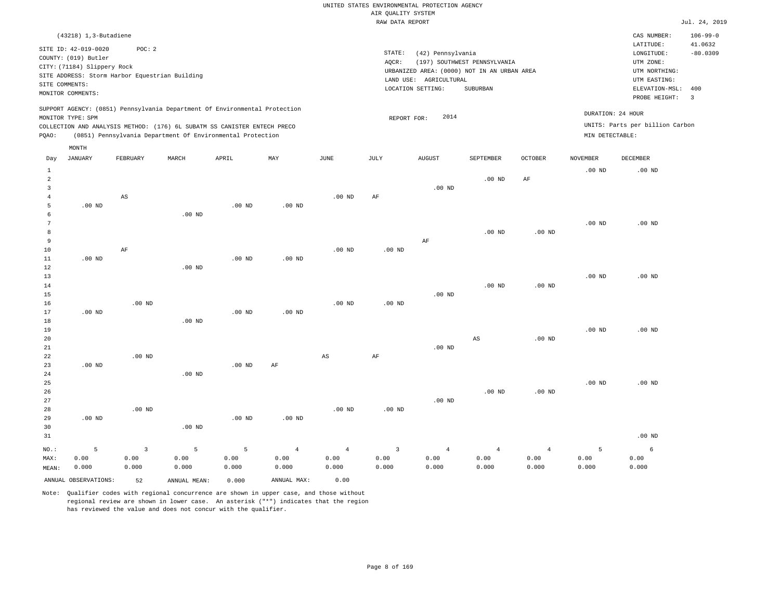#### RAW DATA REPORT  $\text{Jul. } 24, \text{ } 2019$ UNITED STATES ENVIRONMENTAL PROTECTION AGENCY AIR QUALITY SYSTEM

|                | $(43218)$ 1, 3-Butadiene                                                                                           |                                                          |       |                                                                                                                                        |                                                                            |          |                 |                                                                                                                    |                                          |                |                 | CAS NUMBER:                                                                                                  | $106 - 99 - 0$                                   |
|----------------|--------------------------------------------------------------------------------------------------------------------|----------------------------------------------------------|-------|----------------------------------------------------------------------------------------------------------------------------------------|----------------------------------------------------------------------------|----------|-----------------|--------------------------------------------------------------------------------------------------------------------|------------------------------------------|----------------|-----------------|--------------------------------------------------------------------------------------------------------------|--------------------------------------------------|
|                | SITE ID: 42-019-0020<br>COUNTY: (019) Butler<br>CITY: (71184) Slippery Rock<br>SITE COMMENTS:<br>MONITOR COMMENTS: | POC: 2<br>SITE ADDRESS: Storm Harbor Equestrian Building |       |                                                                                                                                        |                                                                            |          | STATE:<br>AQCR: | (42) Pennsylvania<br>URBANIZED AREA: (0000) NOT IN AN URBAN AREA<br>LAND USE:<br>AGRICULTURAL<br>LOCATION SETTING: | (197) SOUTHWEST PENNSYLVANIA<br>SUBURBAN |                |                 | LATITUDE:<br>LONGITUDE:<br>UTM ZONE:<br>UTM NORTHING:<br>UTM EASTING:<br>ELEVATION-MSL: 400<br>PROBE HEIGHT: | 41.0632<br>$-80.0309$<br>$\overline{\mathbf{3}}$ |
| PQAO:          | MONITOR TYPE: SPM                                                                                                  |                                                          |       | COLLECTION AND ANALYSIS METHOD: (176) 6L SUBATM SS CANISTER ENTECH PRECO<br>(0851) Pennsylvania Department Of Environmental Protection | SUPPORT AGENCY: (0851) Pennsylvania Department Of Environmental Protection |          |                 | 2014<br>REPORT FOR:                                                                                                |                                          |                | MIN DETECTABLE: | DURATION: 24 HOUR<br>UNITS: Parts per billion Carbon                                                         |                                                  |
|                | MONTH                                                                                                              |                                                          |       |                                                                                                                                        |                                                                            |          |                 |                                                                                                                    |                                          |                |                 |                                                                                                              |                                                  |
| Day            | JANUARY                                                                                                            | FEBRUARY                                                 | MARCH | APRIL                                                                                                                                  | MAY                                                                        | JUNE     | JULY            | <b>AUGUST</b>                                                                                                      | SEPTEMBER                                | <b>OCTOBER</b> | <b>NOVEMBER</b> | DECEMBER                                                                                                     |                                                  |
|                |                                                                                                                    |                                                          |       |                                                                                                                                        |                                                                            |          |                 |                                                                                                                    |                                          |                | $.00$ ND        | $.00$ ND                                                                                                     |                                                  |
| $\mathfrak{D}$ |                                                                                                                    |                                                          |       |                                                                                                                                        |                                                                            |          |                 |                                                                                                                    | $.00$ ND                                 | AF             |                 |                                                                                                              |                                                  |
|                |                                                                                                                    |                                                          |       |                                                                                                                                        |                                                                            |          |                 | $.00$ ND                                                                                                           |                                          |                |                 |                                                                                                              |                                                  |
|                |                                                                                                                    | AS                                                       |       |                                                                                                                                        |                                                                            | $.00$ ND | AF              |                                                                                                                    |                                          |                |                 |                                                                                                              |                                                  |

| 6  |          |    | $.00$ ND |          |          |                   |          |    |          |          |          |          |          |
|----|----------|----|----------|----------|----------|-------------------|----------|----|----------|----------|----------|----------|----------|
| 7  |          |    |          |          |          |                   |          |    |          |          |          | $.00$ ND | $.00$ ND |
| 8  |          |    |          |          |          |                   |          |    |          | $.00$ ND | $.00$ ND |          |          |
| 9  |          |    |          |          |          |                   |          | AF |          |          |          |          |          |
| 10 |          | AF |          |          |          | .00 <sub>ND</sub> | $.00$ ND |    |          |          |          |          |          |
| 11 | $.00$ ND |    |          | $.00$ ND | $.00$ ND |                   |          |    |          |          |          |          |          |
| 12 |          |    | $.00$ ND |          |          |                   |          |    |          |          |          |          |          |
| 13 |          |    |          |          |          |                   |          |    |          |          |          | $.00$ ND | $.00$ ND |
| 14 |          |    |          |          |          |                   |          |    |          | $.00$ ND | $.00$ ND |          |          |
| 15 |          |    |          |          |          |                   |          |    | $.00$ ND |          |          |          |          |

| 16          |          | $.00$ ND |                   |          |          | $.00$ ND | $.00$ ND |          |          |          |          |          |
|-------------|----------|----------|-------------------|----------|----------|----------|----------|----------|----------|----------|----------|----------|
| 17          | $.00$ ND |          |                   | $.00$ ND | $.00$ ND |          |          |          |          |          |          |          |
| 18          |          |          | $.00$ ND          |          |          |          |          |          |          |          |          |          |
| 19          |          |          |                   |          |          |          |          |          |          |          | $.00$ ND | $.00$ ND |
| 20          |          |          |                   |          |          |          |          |          | AS       | $.00$ ND |          |          |
| 21          |          |          |                   |          |          |          |          | $.00$ ND |          |          |          |          |
| $2\sqrt{2}$ |          | $.00$ ND |                   |          |          | AS       | AF       |          |          |          |          |          |
| 23          | $.00$ ND |          |                   | $.00$ ND | AF       |          |          |          |          |          |          |          |
| 24          |          |          | $.00$ ND          |          |          |          |          |          |          |          |          |          |
| 25          |          |          |                   |          |          |          |          |          |          |          | $.00$ ND | $.00$ ND |
| 26          |          |          |                   |          |          |          |          |          | $.00$ ND | $.00$ ND |          |          |
| 27          |          |          |                   |          |          |          |          | $.00$ ND |          |          |          |          |
| 28          |          | $.00$ ND |                   |          |          | $.00$ ND | $.00$ ND |          |          |          |          |          |
| 29          | $.00$ ND |          |                   | $.00$ ND | $.00$ ND |          |          |          |          |          |          |          |
| 30          |          |          | .00 <sub>ND</sub> |          |          |          |          |          |          |          |          |          |

| 30    |       |       | $.00$ ND |       |       |                              |       |       |       |       |       |        |
|-------|-------|-------|----------|-------|-------|------------------------------|-------|-------|-------|-------|-------|--------|
| 31    |       |       |          |       |       |                              |       |       |       |       |       | .00 ND |
|       |       |       |          |       |       | NO.: 5 3 5 5 4 4 3 4 4 4 5 6 |       |       |       |       |       |        |
| MAX:  | 0.00  | 0.00  | 0.00     | 0.00  | 0.00  | 0.00                         | 0.00  | 0.00  | 0.00  | 0.00  | 0.00  | 0.00   |
| MEAN: | 0.000 | 0.000 | 0.000    | 0.000 | 0.000 | 0.000                        | 0.000 | 0.000 | 0.000 | 0.000 | 0.000 | 0.000  |

ANNUAL OBSERVATIONS: 52 ANNUAL MEAN: 0.000 ANNUAL MAX: 0.00

5

.00 ND

Note: Qualifier codes with regional concurrence are shown in upper case, and those without regional review are shown in lower case. An asterisk ("\*") indicates that the region has reviewed the value and does not concur with the qualifier.

.00 ND

.00 ND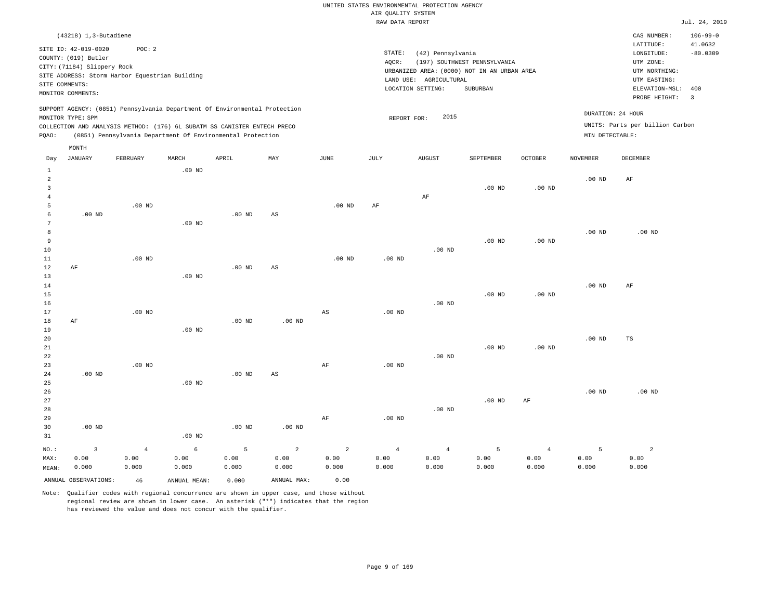|       |                                                                             |                                                                                                                                                        |                   |          |     |          |      | RAW DATA REPORT                                                                     |                              |                |                   |                                                       | Jul. 24, 2019                   |
|-------|-----------------------------------------------------------------------------|--------------------------------------------------------------------------------------------------------------------------------------------------------|-------------------|----------|-----|----------|------|-------------------------------------------------------------------------------------|------------------------------|----------------|-------------------|-------------------------------------------------------|---------------------------------|
|       | (43218) 1,3-Butadiene                                                       |                                                                                                                                                        |                   |          |     |          |      |                                                                                     |                              |                |                   | CAS NUMBER:                                           | $106 - 99 - 0$                  |
|       | SITE ID: 42-019-0020<br>COUNTY: (019) Butler<br>CITY: (71184) Slippery Rock | POC:2                                                                                                                                                  |                   |          |     |          |      | STATE:<br>(42) Pennsylvania<br>AOCR:<br>URBANIZED AREA: (0000) NOT IN AN URBAN AREA | (197) SOUTHWEST PENNSYLVANIA |                |                   | LATITUDE:<br>LONGITUDE:<br>UTM ZONE:<br>UTM NORTHING: | 41.0632<br>$-80.0309$           |
|       |                                                                             | SITE ADDRESS: Storm Harbor Equestrian Building                                                                                                         |                   |          |     |          |      | LAND USE: AGRICULTURAL                                                              |                              |                |                   | UTM EASTING:                                          |                                 |
|       | SITE COMMENTS:<br>MONITOR COMMENTS:                                         |                                                                                                                                                        |                   |          |     |          |      | LOCATION SETTING:                                                                   | SUBURBAN                     |                |                   | ELEVATION-MSL:<br>PROBE HEIGHT:                       | 400<br>$\overline{\phantom{a}}$ |
|       | MONITOR TYPE: SPM                                                           | SUPPORT AGENCY: (0851) Pennsylvania Department Of Environmental Protection<br>COLLECTION AND ANALYSIS METHOD: (176) 6L SUBATM SS CANISTER ENTECH PRECO |                   |          |     |          |      | 2015<br>REPORT FOR:                                                                 |                              |                | DURATION: 24 HOUR | UNITS: Parts per billion Carbon                       |                                 |
| POAO: |                                                                             | (0851) Pennsylvania Department Of Environmental Protection                                                                                             |                   |          |     |          |      |                                                                                     |                              |                | MIN DETECTABLE:   |                                                       |                                 |
|       | MONTH                                                                       |                                                                                                                                                        |                   |          |     |          |      |                                                                                     |                              |                |                   |                                                       |                                 |
| Day   | JANUARY                                                                     | FEBRUARY                                                                                                                                               | MARCH             | APRIL    | MAY | JUNE     | JULY | <b>AUGUST</b>                                                                       | SEPTEMBER                    | <b>OCTOBER</b> | <b>NOVEMBER</b>   | DECEMBER                                              |                                 |
| 2     |                                                                             |                                                                                                                                                        | $.00$ ND          |          |     |          |      |                                                                                     |                              |                | .00 <sub>ND</sub> | AF                                                    |                                 |
|       |                                                                             |                                                                                                                                                        |                   |          |     |          |      |                                                                                     | $.00$ ND                     | $.00$ ND       |                   |                                                       |                                 |
|       |                                                                             | $.00$ ND                                                                                                                                               |                   |          |     |          |      | AF                                                                                  |                              |                |                   |                                                       |                                 |
|       | $.00$ ND                                                                    |                                                                                                                                                        | .00 <sub>ND</sub> | $.00$ ND | AS  | $.00$ ND | AF   |                                                                                     |                              |                |                   |                                                       |                                 |
| 8     |                                                                             |                                                                                                                                                        |                   |          |     |          |      |                                                                                     |                              |                | $.00$ ND          | $.00$ ND                                              |                                 |

| 9  |    |          |          |          |    |          |          |          | $.00$ ND | $.00$ ND       |          |    |  |
|----|----|----------|----------|----------|----|----------|----------|----------|----------|----------------|----------|----|--|
| 10 |    |          |          |          |    |          |          | $.00$ ND |          |                |          |    |  |
| 11 |    | $.00$ ND |          |          |    | $.00$ ND | $.00$ ND |          |          |                |          |    |  |
| 12 | AF |          |          | $.00$ ND | AS |          |          |          |          |                |          |    |  |
| 13 |    |          | $.00$ ND |          |    |          |          |          |          |                |          |    |  |
| 14 |    |          |          |          |    |          |          |          |          |                | $.00$ ND | AF |  |
| 15 |    |          |          |          |    |          |          |          | 00 ND    | $00 \text{ N}$ |          |    |  |

| 16 |    |          |          |          |          |    |          | $.00$ ND |          |          |          |    |
|----|----|----------|----------|----------|----------|----|----------|----------|----------|----------|----------|----|
| 17 |    | $.00$ ND |          |          |          | AS | $.00$ ND |          |          |          |          |    |
| 18 | AF |          |          | $.00$ ND | $.00$ ND |    |          |          |          |          |          |    |
| 19 |    |          | $.00$ ND |          |          |    |          |          |          |          |          |    |
| 20 |    |          |          |          |          |    |          |          |          |          | $.00$ ND | TS |
| 21 |    |          |          |          |          |    |          |          | $.00$ ND | $.00$ ND |          |    |
| 22 |    |          |          |          |          |    |          | $.00$ ND |          |          |          |    |
| 23 |    | $.00$ ND |          |          |          | AF | $.00$ ND |          |          |          |          |    |

| 24      | .00 <sub>ND</sub> |                |                   | $.00$ ND | AS       |    |          |                |                |    |                |                                |          |
|---------|-------------------|----------------|-------------------|----------|----------|----|----------|----------------|----------------|----|----------------|--------------------------------|----------|
| 25      |                   |                | .00 <sub>ND</sub> |          |          |    |          |                |                |    |                |                                |          |
| 26      |                   |                |                   |          |          |    |          |                |                |    |                | $.00$ ND                       | $.00$ ND |
| 27      |                   |                |                   |          |          |    |          |                | $.00$ ND       | AF |                |                                |          |
| 28      |                   |                |                   |          |          |    |          | $.00$ ND       |                |    |                |                                |          |
| 29      |                   |                |                   |          |          | AF | $.00$ ND |                |                |    |                |                                |          |
| 30      | $.00$ ND          |                |                   | $.00$ ND | $.00$ ND |    |          |                |                |    |                |                                |          |
| 31      |                   |                | .00 <sub>ND</sub> |          |          |    |          |                |                |    |                |                                |          |
| $NO.$ : |                   | $\overline{4}$ | 6                 | 5        | 2        |    | 2        | $\overline{4}$ | $\overline{4}$ |    | $\overline{a}$ | $\overline{\phantom{a}}$<br>ъ. | $\Omega$ |

| $NO.$ : |                         |       | $\begin{array}{ccccccccccccccccccccc} 3 & 4 & 6 & 5 & 2 & 2 & 4 & 4 & 5 \end{array}$ |       |             |       |       |       |       | $\sim$ 4 |       |       |
|---------|-------------------------|-------|--------------------------------------------------------------------------------------|-------|-------------|-------|-------|-------|-------|----------|-------|-------|
| MAX:    | 0.00                    | 0.00  | 0.00                                                                                 | 0.00  | 0.00        | 0.00  | 0.00  | 0.00  | 0.00  | 0.00     | 0.00  | 0.00  |
| MEAN:   | 0.000                   | 0.000 | 0.000                                                                                | 0.000 | 0.000       | 0.000 | 0.000 | 0.000 | 0.000 | 0.000    | 0.000 | 0.000 |
|         | ANNUAL OBSERVATIONS: 46 |       | ANNUAL MEAN:                                                                         | 0.000 | ANNUAL MAX: | 0.00  |       |       |       |          |       |       |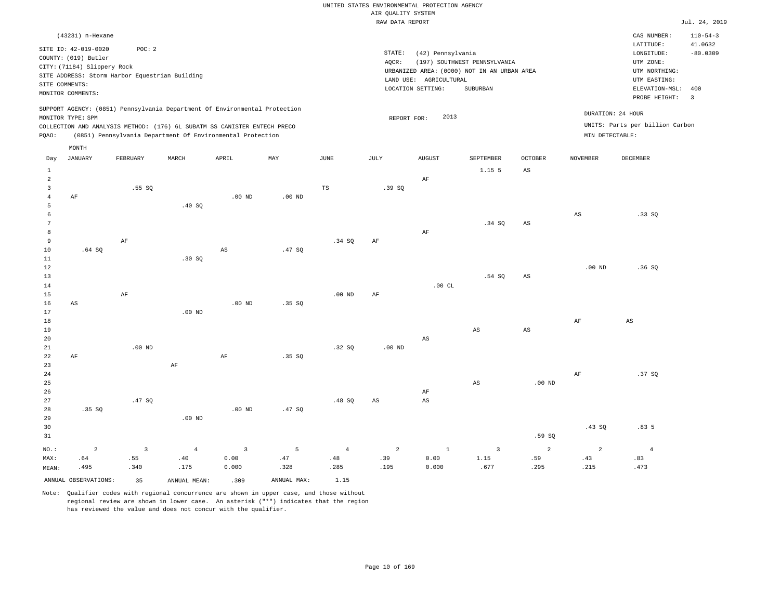#### RAW DATA REPORT JUL. 24, 2019 UNITED STATES ENVIRONMENTAL PROTECTION AGENCY AIR QUALITY SYSTEM

|                      | (43231) n-Hexane                             |                                                |                                                                            |                         |             |                |                        |                        |                                             |                |                   | CAS NUMBER:                         | $110 - 54 - 3$          |
|----------------------|----------------------------------------------|------------------------------------------------|----------------------------------------------------------------------------|-------------------------|-------------|----------------|------------------------|------------------------|---------------------------------------------|----------------|-------------------|-------------------------------------|-------------------------|
|                      | SITE ID: 42-019-0020<br>COUNTY: (019) Butler | POC: 2                                         |                                                                            |                         |             |                | STATE:                 | (42) Pennsylvania      |                                             |                |                   | LATITUDE:<br>LONGITUDE:             | 41.0632<br>$-80.0309$   |
|                      | CITY: (71184) Slippery Rock                  |                                                |                                                                            |                         |             |                | AQCR:                  |                        | (197) SOUTHWEST PENNSYLVANIA                |                |                   | UTM ZONE:                           |                         |
|                      |                                              | SITE ADDRESS: Storm Harbor Equestrian Building |                                                                            |                         |             |                |                        |                        | URBANIZED AREA: (0000) NOT IN AN URBAN AREA |                |                   | UTM NORTHING:                       |                         |
| SITE COMMENTS:       |                                              |                                                |                                                                            |                         |             |                |                        | LAND USE: AGRICULTURAL |                                             |                |                   | UTM EASTING:                        |                         |
|                      | MONITOR COMMENTS:                            |                                                |                                                                            |                         |             |                |                        | LOCATION SETTING:      | SUBURBAN                                    |                |                   | ELEVATION-MSL: 400<br>PROBE HEIGHT: | $\overline{\mathbf{3}}$ |
|                      |                                              |                                                | SUPPORT AGENCY: (0851) Pennsylvania Department Of Environmental Protection |                         |             |                |                        |                        |                                             |                | DURATION: 24 HOUR |                                     |                         |
|                      | MONITOR TYPE: SPM                            |                                                |                                                                            |                         |             |                | REPORT FOR:            | 2013                   |                                             |                |                   |                                     |                         |
|                      |                                              |                                                | COLLECTION AND ANALYSIS METHOD: (176) 6L SUBATM SS CANISTER ENTECH PRECO   |                         |             |                |                        |                        |                                             |                |                   | UNITS: Parts per billion Carbon     |                         |
| PQAO:                |                                              |                                                | (0851) Pennsylvania Department Of Environmental Protection                 |                         |             |                |                        |                        |                                             |                | MIN DETECTABLE:   |                                     |                         |
|                      | MONTH                                        |                                                |                                                                            |                         |             |                |                        |                        |                                             |                |                   |                                     |                         |
| Day                  | JANUARY                                      | FEBRUARY                                       | MARCH                                                                      | APRIL                   | MAY         | JUNE           | JULY                   | <b>AUGUST</b>          | SEPTEMBER                                   | OCTOBER        | <b>NOVEMBER</b>   | <b>DECEMBER</b>                     |                         |
| $\mathbf{1}$         |                                              |                                                |                                                                            |                         |             |                |                        |                        | 1.15 5                                      | AS             |                   |                                     |                         |
| $\overline{a}$       |                                              |                                                |                                                                            |                         |             |                |                        | $\rm AF$               |                                             |                |                   |                                     |                         |
| $\overline{3}$       |                                              | .55SQ                                          |                                                                            |                         |             | TS             | .39SQ                  |                        |                                             |                |                   |                                     |                         |
| $\overline{4}$       | AF                                           |                                                |                                                                            | .00 <sub>ND</sub>       | $.00$ ND    |                |                        |                        |                                             |                |                   |                                     |                         |
| 5                    |                                              |                                                | .40 SQ                                                                     |                         |             |                |                        |                        |                                             |                |                   |                                     |                         |
| 6<br>$7\phantom{.0}$ |                                              |                                                |                                                                            |                         |             |                |                        |                        |                                             |                | AS                | .33SQ                               |                         |
| 8                    |                                              |                                                |                                                                            |                         |             |                |                        | AF                     | .34 SQ                                      | $_{\rm AS}$    |                   |                                     |                         |
| 9                    |                                              | $\rm AF$                                       |                                                                            |                         |             | .34 SQ         | $\rm{AF}$              |                        |                                             |                |                   |                                     |                         |
| 10                   | .64SQ                                        |                                                |                                                                            | $\mathbb{A}\mathbb{S}$  | .47SQ       |                |                        |                        |                                             |                |                   |                                     |                         |
| 11                   |                                              |                                                | .30SQ                                                                      |                         |             |                |                        |                        |                                             |                |                   |                                     |                         |
| 12                   |                                              |                                                |                                                                            |                         |             |                |                        |                        |                                             |                | $.00$ ND          | .36S                                |                         |
| 13                   |                                              |                                                |                                                                            |                         |             |                |                        |                        | .54 SQ                                      | $_{\rm AS}$    |                   |                                     |                         |
| 14                   |                                              |                                                |                                                                            |                         |             |                |                        | .00CL                  |                                             |                |                   |                                     |                         |
| 15                   |                                              | AF                                             |                                                                            |                         |             | $.00$ ND       | AF                     |                        |                                             |                |                   |                                     |                         |
| 16                   | AS                                           |                                                |                                                                            | $.00$ ND                | .35SQ       |                |                        |                        |                                             |                |                   |                                     |                         |
| 17                   |                                              |                                                | $.00$ ND                                                                   |                         |             |                |                        |                        |                                             |                |                   |                                     |                         |
| $18\,$               |                                              |                                                |                                                                            |                         |             |                |                        |                        |                                             |                | AF                | $\mathbb{A}\mathbb{S}$              |                         |
| 19<br>20             |                                              |                                                |                                                                            |                         |             |                |                        | $\mathbb{A}\mathbb{S}$ | AS                                          | $_{\rm AS}$    |                   |                                     |                         |
| 21                   |                                              | $.00$ ND                                       |                                                                            |                         |             | .32S           | $.00$ ND               |                        |                                             |                |                   |                                     |                         |
| 22                   | $\rm AF$                                     |                                                |                                                                            | $\rm{AF}$               | .35 SQ      |                |                        |                        |                                             |                |                   |                                     |                         |
| 23                   |                                              |                                                | AF                                                                         |                         |             |                |                        |                        |                                             |                |                   |                                     |                         |
| 24                   |                                              |                                                |                                                                            |                         |             |                |                        |                        |                                             |                | AF                | .37SQ                               |                         |
| 25                   |                                              |                                                |                                                                            |                         |             |                |                        |                        | $\mathbb{A}\mathbb{S}$                      | $.00$ ND       |                   |                                     |                         |
| 26                   |                                              |                                                |                                                                            |                         |             |                |                        | $\rm AF$               |                                             |                |                   |                                     |                         |
| 27                   |                                              | .47SQ                                          |                                                                            |                         |             | .48SQ          | $\mathbb{A}\mathbb{S}$ | $\mathbb{A}\mathbb{S}$ |                                             |                |                   |                                     |                         |
| 28                   | .35 SQ                                       |                                                |                                                                            | $.00$ ND                | .47SQ       |                |                        |                        |                                             |                |                   |                                     |                         |
| 29                   |                                              |                                                | $.00$ ND                                                                   |                         |             |                |                        |                        |                                             |                |                   |                                     |                         |
| 30                   |                                              |                                                |                                                                            |                         |             |                |                        |                        |                                             |                | .43SQ             | .835                                |                         |
| 31                   |                                              |                                                |                                                                            |                         |             |                |                        |                        |                                             | .59SQ          |                   |                                     |                         |
| NO.:                 | $\overline{a}$                               | $\overline{3}$                                 | $\overline{4}$                                                             | $\overline{\mathbf{3}}$ | 5           | $\overline{4}$ | $\overline{a}$         | $\mathbf{1}$           | $\overline{3}$                              | $\overline{a}$ | 2                 | $\overline{4}$                      |                         |
| MAX:                 | .64                                          | .55                                            | .40                                                                        | 0.00                    | .47         | .48            | .39                    | 0.00                   | 1.15                                        | .59            | .43               | .83                                 |                         |
| MEAN:                | .495                                         | .340                                           | .175                                                                       | 0.000                   | .328        | .285           | .195                   | 0.000                  | .677                                        | .295           | .215              | .473                                |                         |
|                      | ANNUAL OBSERVATIONS:                         | 35                                             | ANNUAL MEAN:                                                               | .309                    | ANNUAL MAX: | 1.15           |                        |                        |                                             |                |                   |                                     |                         |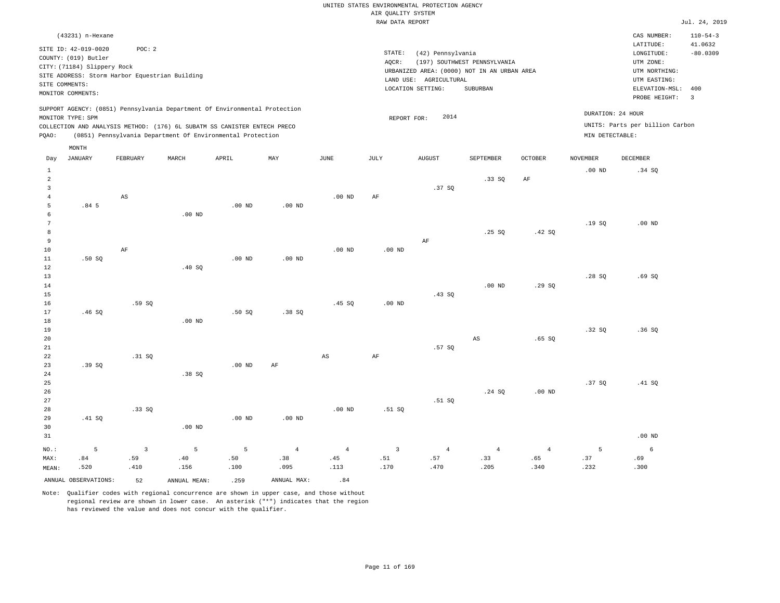#### RAW DATA REPORT JUL. 24, 2019 UNITED STATES ENVIRONMENTAL PROTECTION AGENCY AIR QUALITY SYSTEM

|       | (43231) n-Hexane                                                                                                   |                                                         |       |                                                                                                                                                                                                                      |     |      |                 |                                                                                                                    |                                          |                |                 | CAS NUMBER:                                                                                              | $110 - 54 - 3$                                          |
|-------|--------------------------------------------------------------------------------------------------------------------|---------------------------------------------------------|-------|----------------------------------------------------------------------------------------------------------------------------------------------------------------------------------------------------------------------|-----|------|-----------------|--------------------------------------------------------------------------------------------------------------------|------------------------------------------|----------------|-----------------|----------------------------------------------------------------------------------------------------------|---------------------------------------------------------|
|       | SITE ID: 42-019-0020<br>COUNTY: (019) Butler<br>CITY: (71184) Slippery Rock<br>SITE COMMENTS:<br>MONITOR COMMENTS: | POC:2<br>SITE ADDRESS: Storm Harbor Equestrian Building |       |                                                                                                                                                                                                                      |     |      | STATE:<br>AQCR: | (42) Pennsylvania<br>URBANIZED AREA: (0000) NOT IN AN URBAN AREA<br>AGRICULTURAL<br>LAND USE:<br>LOCATION SETTING: | (197) SOUTHWEST PENNSYLVANIA<br>SUBURBAN |                |                 | LATITUDE:<br>LONGITUDE:<br>UTM ZONE:<br>UTM NORTHING:<br>UTM EASTING:<br>ELEVATION-MSL:<br>PROBE HEIGHT: | 41.0632<br>$-80.0309$<br>400<br>$\overline{\mathbf{3}}$ |
| POAO: | MONITOR TYPE: SPM                                                                                                  |                                                         |       | SUPPORT AGENCY: (0851) Pennsylvania Department Of Environmental Protection<br>COLLECTION AND ANALYSIS METHOD: (176) 6L SUBATM SS CANISTER ENTECH PRECO<br>(0851) Pennsylvania Department Of Environmental Protection |     |      |                 | 2014<br>REPORT FOR:                                                                                                |                                          |                | MIN DETECTABLE: | DURATION: 24 HOUR<br>UNITS: Parts per billion Carbon                                                     |                                                         |
| Day   | MONTH<br>JANUARY                                                                                                   | FEBRUARY                                                | MARCH | APRIL                                                                                                                                                                                                                | MAY | JUNE | JULY            | <b>AUGUST</b>                                                                                                      | SEPTEMBER                                | <b>OCTOBER</b> | <b>NOVEMBER</b> | DECEMBER                                                                                                 |                                                         |
|       |                                                                                                                    |                                                         |       |                                                                                                                                                                                                                      |     |      |                 |                                                                                                                    | .33SQ                                    | AF             | $.00$ ND        | .34 SQ                                                                                                   |                                                         |
|       |                                                                                                                    |                                                         |       |                                                                                                                                                                                                                      |     |      |                 | .37 SO                                                                                                             |                                          |                |                 |                                                                                                          |                                                         |

| 5. | .84 <sub>5</sub> |    |                   | $.00$ ND | .00 <sub>ND</sub> |          |          |    |       |        |       |          |
|----|------------------|----|-------------------|----------|-------------------|----------|----------|----|-------|--------|-------|----------|
| 6  |                  |    | .00 <sub>ND</sub> |          |                   |          |          |    |       |        |       |          |
|    |                  |    |                   |          |                   |          |          |    |       |        | .19SQ | $.00$ ND |
| 8  |                  |    |                   |          |                   |          |          |    | .25SQ | .42 SQ |       |          |
| 9  |                  |    |                   |          |                   |          |          | AF |       |        |       |          |
| 10 |                  | AF |                   |          |                   | $.00$ ND | $.00$ ND |    |       |        |       |          |
| 11 | .50S             |    |                   | $.00$ ND | $.00$ ND          |          |          |    |       |        |       |          |
| 12 |                  |    | .40 SQ            |          |                   |          |          |    |       |        |       |          |
| 13 |                  |    |                   |          |                   |          |          |    |       |        | .28SQ | .69 SQ   |

.00 ND AF

| 14              |       |        |          |        |        |        |          |        | $.00$ ND | .29SQ |       |       |
|-----------------|-------|--------|----------|--------|--------|--------|----------|--------|----------|-------|-------|-------|
| 15 <sub>1</sub> |       |        |          |        |        |        |          | .43 S0 |          |       |       |       |
| 16              |       | .59 SQ |          |        |        | .45 SQ | $.00$ ND |        |          |       |       |       |
| 17              | .46SQ |        |          | .50 SQ | .38 SQ |        |          |        |          |       |       |       |
| 18              |       |        | $.00$ ND |        |        |        |          |        |          |       |       |       |
| 19              |       |        |          |        |        |        |          |        |          |       | .32SQ | .36SQ |

| 20 |       |        |       |                                  |    |    |        | AS | .65SQ |             |  |
|----|-------|--------|-------|----------------------------------|----|----|--------|----|-------|-------------|--|
| 21 |       |        |       |                                  |    |    | .57 SQ |    |       |             |  |
| 22 |       | .31 SQ |       |                                  | AS | AF |        |    |       |             |  |
| 23 | .39SQ |        |       | $.00~\mathrm{ND}$ $\mathrm{~AF}$ |    |    |        |    |       |             |  |
| 24 |       |        | .38SQ |                                  |    |    |        |    |       |             |  |
| 25 |       |        |       |                                  |    |    |        |    |       | 37 SO 41 SO |  |

| 26   |        |          |          |          |                 |                 |        |               | .24 SQ | $.00$ ND        |    |        |
|------|--------|----------|----------|----------|-----------------|-----------------|--------|---------------|--------|-----------------|----|--------|
| 27   |        |          |          |          |                 |                 |        | .51 SQ        |        |                 |    |        |
| 28   |        | .33SQ    |          |          |                 | $.00$ ND        | .51 SQ |               |        |                 |    |        |
| 29   | .41 SQ |          |          | $.00$ ND | $.00$ ND        |                 |        |               |        |                 |    |        |
| 30   |        |          | $.00$ ND |          |                 |                 |        |               |        |                 |    |        |
| 31   |        |          |          |          |                 |                 |        |               |        |                 |    | .00 ND |
| NO.: | $-5$   | $\sim$ 3 | $5 - 5$  | $5 - 5$  | $4\overline{ }$ | $4\overline{ }$ |        | $3 \t 4 \t 4$ |        | $4\overline{ }$ | -5 | 6      |

 .45 .113

| ANNUAL | 7R.<br>IN.<br>`V <del>Li</del> | IΔI<br>-MH<br>. A N<br>≧NN∟<br>. | . | MAX<br>\NNI |  |
|--------|--------------------------------|----------------------------------|---|-------------|--|

 .40 .156

4

AS

MAX: MEAN:  .84 .520  .59 .410

Note: Qualifier codes with regional concurrence are shown in upper case, and those without regional review are shown in lower case. An asterisk ("\*") indicates that the region has reviewed the value and does not concur with the qualifier.

 .50 .100  .38 .095

 .51 .170

 .57 .470  .33 .205  .65 .340  .37 .232  .69 .300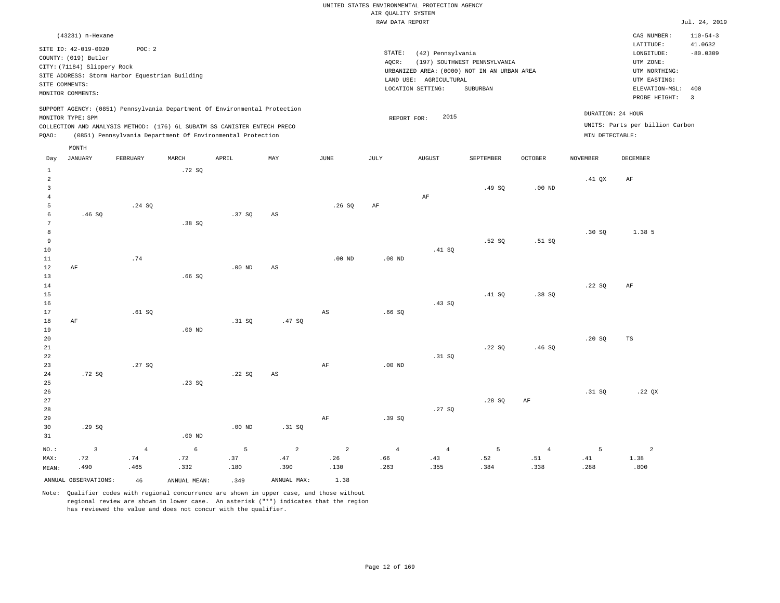|                 |                                                |                |              |                                                                            |                        |                | RAW DATA REPORT |                        |                                             |                   |                 |                                 | Jul. 24, 2019  |
|-----------------|------------------------------------------------|----------------|--------------|----------------------------------------------------------------------------|------------------------|----------------|-----------------|------------------------|---------------------------------------------|-------------------|-----------------|---------------------------------|----------------|
|                 | (43231) n-Hexane                               |                |              |                                                                            |                        |                |                 |                        |                                             |                   |                 | CAS NUMBER:                     | $110 - 54 - 3$ |
|                 |                                                |                |              |                                                                            |                        |                |                 |                        |                                             |                   |                 | LATITUDE:                       | 41.0632        |
|                 | SITE ID: 42-019-0020                           | POC: 2         |              |                                                                            |                        |                | STATE:          | (42) Pennsylvania      |                                             |                   |                 | LONGITUDE:                      | $-80.0309$     |
|                 | COUNTY: (019) Butler                           |                |              |                                                                            |                        |                | AQCR:           |                        | (197) SOUTHWEST PENNSYLVANIA                |                   |                 | UTM ZONE:                       |                |
|                 | CITY: (71184) Slippery Rock                    |                |              |                                                                            |                        |                |                 |                        | URBANIZED AREA: (0000) NOT IN AN URBAN AREA |                   |                 | UTM NORTHING:                   |                |
|                 | SITE ADDRESS: Storm Harbor Equestrian Building |                |              |                                                                            |                        |                |                 | LAND USE: AGRICULTURAL |                                             |                   |                 | UTM EASTING:                    |                |
|                 | SITE COMMENTS:                                 |                |              |                                                                            |                        |                |                 | LOCATION SETTING:      | SUBURBAN                                    |                   |                 | ELEVATION-MSL:                  | 400            |
|                 | MONITOR COMMENTS:                              |                |              |                                                                            |                        |                |                 |                        |                                             |                   |                 | PROBE HEIGHT:                   | $\overline{3}$ |
|                 |                                                |                |              | SUPPORT AGENCY: (0851) Pennsylvania Department Of Environmental Protection |                        |                |                 |                        |                                             |                   |                 |                                 |                |
|                 | MONITOR TYPE: SPM                              |                |              |                                                                            |                        |                | REPORT FOR:     | 2015                   |                                             |                   |                 | DURATION: 24 HOUR               |                |
|                 |                                                |                |              | COLLECTION AND ANALYSIS METHOD: (176) 6L SUBATM SS CANISTER ENTECH PRECO   |                        |                |                 |                        |                                             |                   |                 | UNITS: Parts per billion Carbon |                |
| PQAO:           |                                                |                |              | (0851) Pennsylvania Department Of Environmental Protection                 |                        |                |                 |                        |                                             |                   | MIN DETECTABLE: |                                 |                |
|                 | MONTH                                          |                |              |                                                                            |                        |                |                 |                        |                                             |                   |                 |                                 |                |
| Day             | JANUARY                                        | FEBRUARY       | MARCH        | APRIL                                                                      | MAY                    | JUNE           | JULY            | <b>AUGUST</b>          | SEPTEMBER                                   | <b>OCTOBER</b>    | <b>NOVEMBER</b> | DECEMBER                        |                |
| $1\,$           |                                                |                | .72SQ        |                                                                            |                        |                |                 |                        |                                             |                   |                 |                                 |                |
| $\overline{a}$  |                                                |                |              |                                                                            |                        |                |                 |                        |                                             |                   | $.41$ QX        | AF                              |                |
| $\mathbf{3}$    |                                                |                |              |                                                                            |                        |                |                 |                        | .49SQ                                       | .00 <sub>ND</sub> |                 |                                 |                |
| $\overline{4}$  |                                                |                |              |                                                                            |                        |                |                 | AF                     |                                             |                   |                 |                                 |                |
| 5               |                                                | .24 SQ         |              |                                                                            |                        | .26S           | AF              |                        |                                             |                   |                 |                                 |                |
| 6               | .46SQ                                          |                |              | .37SQ                                                                      | AS                     |                |                 |                        |                                             |                   |                 |                                 |                |
| $7\phantom{.0}$ |                                                |                | .38SQ        |                                                                            |                        |                |                 |                        |                                             |                   |                 |                                 |                |
| 8               |                                                |                |              |                                                                            |                        |                |                 |                        |                                             |                   | .30S            | 1.38 5                          |                |
| 9               |                                                |                |              |                                                                            |                        |                |                 |                        | .52S                                        | .51SQ             |                 |                                 |                |
| 10              |                                                |                |              |                                                                            |                        |                |                 | .41 SQ                 |                                             |                   |                 |                                 |                |
| 11              |                                                | .74            |              |                                                                            |                        | $.00$ ND       | $.00$ ND        |                        |                                             |                   |                 |                                 |                |
| $1\,2$          | $\rm AF$                                       |                |              | $.00$ ND                                                                   | $_{\rm AS}$            |                |                 |                        |                                             |                   |                 |                                 |                |
| 13              |                                                |                | .66S         |                                                                            |                        |                |                 |                        |                                             |                   |                 |                                 |                |
| 14              |                                                |                |              |                                                                            |                        |                |                 |                        |                                             |                   | .22SQ           | AF                              |                |
| 15              |                                                |                |              |                                                                            |                        |                |                 |                        | .41 SQ                                      | .38SQ             |                 |                                 |                |
| 16              |                                                |                |              |                                                                            |                        |                |                 | .43S                   |                                             |                   |                 |                                 |                |
| 17              |                                                | .61 SQ         |              |                                                                            |                        | $_{\rm AS}$    | .66SQ           |                        |                                             |                   |                 |                                 |                |
| 18<br>19        | $\rm{AF}$                                      |                | $.00$ ND     | .31 SQ                                                                     | .47SQ                  |                |                 |                        |                                             |                   |                 |                                 |                |
| 20              |                                                |                |              |                                                                            |                        |                |                 |                        |                                             |                   | .20S            | TS                              |                |
| 21              |                                                |                |              |                                                                            |                        |                |                 |                        | .22SQ                                       | .46SQ             |                 |                                 |                |
| 22              |                                                |                |              |                                                                            |                        |                |                 | .31 SQ                 |                                             |                   |                 |                                 |                |
| 23              |                                                | .27SQ          |              |                                                                            |                        | AF             | $.00$ ND        |                        |                                             |                   |                 |                                 |                |
| 24              | .72SQ                                          |                |              | .22SQ                                                                      | $\mathbb{A}\mathbb{S}$ |                |                 |                        |                                             |                   |                 |                                 |                |
| 25              |                                                |                | .23 S0       |                                                                            |                        |                |                 |                        |                                             |                   |                 |                                 |                |
| 26              |                                                |                |              |                                                                            |                        |                |                 |                        |                                             |                   | .31 SQ          | .22 $QX$                        |                |
| 27              |                                                |                |              |                                                                            |                        |                |                 |                        | .28SQ                                       | AF                |                 |                                 |                |
| 28              |                                                |                |              |                                                                            |                        |                |                 | .27S                   |                                             |                   |                 |                                 |                |
| 29              |                                                |                |              |                                                                            |                        | AF             | .39SQ           |                        |                                             |                   |                 |                                 |                |
| 30              | .29SQ                                          |                |              | $.00$ ND                                                                   | .31 S0                 |                |                 |                        |                                             |                   |                 |                                 |                |
| 31              |                                                |                | $.00$ ND     |                                                                            |                        |                |                 |                        |                                             |                   |                 |                                 |                |
| NO.:            | 3                                              | $\overline{4}$ | 6            | 5                                                                          | $\overline{a}$         | $\overline{a}$ | $\sqrt{4}$      | $\overline{4}$         | 5                                           | $\overline{4}$    | 5               | $\overline{a}$                  |                |
| MAX:            | .72                                            | .74            | .72          | .37                                                                        | .47                    | .26            | .66             | .43                    | .52                                         | .51               | .41             | 1.38                            |                |
| MEAN:           | .490                                           | .465           | .332         | .180                                                                       | .390                   | .130           | .263            | .355                   | .384                                        | .338              | .288            | .800                            |                |
|                 | ANNUAL OBSERVATIONS:                           | 46             | ANNUAL MEAN: | .349                                                                       | ANNUAL MAX:            | 1.38           |                 |                        |                                             |                   |                 |                                 |                |
|                 |                                                |                |              |                                                                            |                        |                |                 |                        |                                             |                   |                 |                                 |                |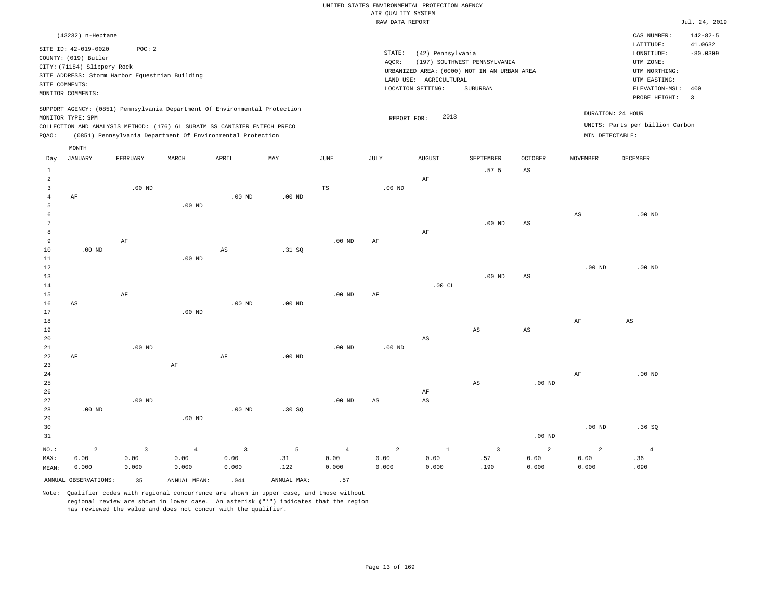#### RAW DATA REPORT JUL. 24, 2019 UNITED STATES ENVIRONMENTAL PROTECTION AGENCY AIR QUALITY SYSTEM

|                 | (43232) n-Heptane                              |                   |                                                                            |                         |             |                |                        |                        |                                             |                   |                        | CAS NUMBER:                     | $142 - 82 - 5$          |
|-----------------|------------------------------------------------|-------------------|----------------------------------------------------------------------------|-------------------------|-------------|----------------|------------------------|------------------------|---------------------------------------------|-------------------|------------------------|---------------------------------|-------------------------|
|                 | SITE ID: 42-019-0020                           | POC: 2            |                                                                            |                         |             |                |                        |                        |                                             |                   |                        | LATITUDE:                       | 41.0632                 |
|                 | COUNTY: (019) Butler                           |                   |                                                                            |                         |             |                | STATE:                 | (42) Pennsylvania      |                                             |                   |                        | LONGITUDE:                      | $-80.0309$              |
|                 | CITY: (71184) Slippery Rock                    |                   |                                                                            |                         |             |                | AQCR:                  |                        | (197) SOUTHWEST PENNSYLVANIA                |                   |                        | UTM ZONE:                       |                         |
|                 | SITE ADDRESS: Storm Harbor Equestrian Building |                   |                                                                            |                         |             |                |                        |                        | URBANIZED AREA: (0000) NOT IN AN URBAN AREA |                   |                        | UTM NORTHING:                   |                         |
| SITE COMMENTS:  |                                                |                   |                                                                            |                         |             |                |                        | LAND USE: AGRICULTURAL |                                             |                   |                        | UTM EASTING:                    |                         |
|                 | MONITOR COMMENTS:                              |                   |                                                                            |                         |             |                |                        | LOCATION SETTING:      | <b>SUBURBAN</b>                             |                   |                        | ELEVATION-MSL: 400              |                         |
|                 |                                                |                   |                                                                            |                         |             |                |                        |                        |                                             |                   |                        | PROBE HEIGHT:                   | $\overline{\mathbf{3}}$ |
|                 |                                                |                   | SUPPORT AGENCY: (0851) Pennsylvania Department Of Environmental Protection |                         |             |                |                        | 2013                   |                                             |                   | DURATION: 24 HOUR      |                                 |                         |
|                 | MONITOR TYPE: SPM                              |                   | COLLECTION AND ANALYSIS METHOD: (176) 6L SUBATM SS CANISTER ENTECH PRECO   |                         |             |                | REPORT FOR:            |                        |                                             |                   |                        | UNITS: Parts per billion Carbon |                         |
| PQAO:           |                                                |                   | (0851) Pennsylvania Department Of Environmental Protection                 |                         |             |                |                        |                        |                                             |                   | MIN DETECTABLE:        |                                 |                         |
|                 |                                                |                   |                                                                            |                         |             |                |                        |                        |                                             |                   |                        |                                 |                         |
|                 | MONTH                                          |                   |                                                                            |                         |             |                |                        |                        |                                             |                   |                        |                                 |                         |
| Day             | JANUARY                                        | FEBRUARY          | MARCH                                                                      | APRIL                   | MAY         | JUNE           | JULY                   | <b>AUGUST</b>          | SEPTEMBER                                   | <b>OCTOBER</b>    | <b>NOVEMBER</b>        | <b>DECEMBER</b>                 |                         |
| $\mathbf{1}$    |                                                |                   |                                                                            |                         |             |                |                        |                        | .57 <sub>5</sub>                            | $_{\rm AS}$       |                        |                                 |                         |
| $\overline{a}$  |                                                |                   |                                                                            |                         |             |                |                        | $\rm AF$               |                                             |                   |                        |                                 |                         |
| $\mathbf{3}$    |                                                | $.00$ ND          |                                                                            |                         |             | $_{\rm TS}$    | $.00$ ND               |                        |                                             |                   |                        |                                 |                         |
| $\overline{4}$  | AF                                             |                   |                                                                            | $.00$ ND                | $.00$ ND    |                |                        |                        |                                             |                   |                        |                                 |                         |
| 5               |                                                |                   | $.00$ ND                                                                   |                         |             |                |                        |                        |                                             |                   |                        |                                 |                         |
| 6               |                                                |                   |                                                                            |                         |             |                |                        |                        |                                             |                   | $\mathbb{A}\mathbb{S}$ | $.00$ ND                        |                         |
| $7\phantom{.0}$ |                                                |                   |                                                                            |                         |             |                |                        |                        | $.00$ ND                                    | $_{\rm AS}$       |                        |                                 |                         |
| 8               |                                                |                   |                                                                            |                         |             |                |                        | AF                     |                                             |                   |                        |                                 |                         |
| 9               |                                                | AF                |                                                                            |                         |             | $.00$ ND       | AF                     |                        |                                             |                   |                        |                                 |                         |
| 10              | $.00$ ND                                       |                   |                                                                            | AS                      | .31 SQ      |                |                        |                        |                                             |                   |                        |                                 |                         |
| 11              |                                                |                   | $.00$ ND                                                                   |                         |             |                |                        |                        |                                             |                   |                        |                                 |                         |
| 12              |                                                |                   |                                                                            |                         |             |                |                        |                        |                                             |                   | .00 <sub>ND</sub>      | $.00$ ND                        |                         |
| 13              |                                                |                   |                                                                            |                         |             |                |                        |                        | $.00$ ND                                    | AS                |                        |                                 |                         |
| 14              |                                                |                   |                                                                            |                         |             |                |                        | .00CL                  |                                             |                   |                        |                                 |                         |
| 15              |                                                | AF                |                                                                            |                         |             | $.00$ ND       | AF                     |                        |                                             |                   |                        |                                 |                         |
| 16              | AS                                             |                   |                                                                            | $.00$ ND                | $.00$ ND    |                |                        |                        |                                             |                   |                        |                                 |                         |
| 17              |                                                |                   | $.00$ ND                                                                   |                         |             |                |                        |                        |                                             |                   |                        |                                 |                         |
| 18<br>19        |                                                |                   |                                                                            |                         |             |                |                        |                        | AS                                          | $_{\rm AS}$       | AF                     | AS                              |                         |
| 20              |                                                |                   |                                                                            |                         |             |                |                        | AS                     |                                             |                   |                        |                                 |                         |
| 21              |                                                | $.00$ ND          |                                                                            |                         |             | $.00$ ND       | $.00$ ND               |                        |                                             |                   |                        |                                 |                         |
| 22              | $\rm AF$                                       |                   |                                                                            | $\rm{AF}$               | $.00$ ND    |                |                        |                        |                                             |                   |                        |                                 |                         |
| 23              |                                                |                   | $\rm AF$                                                                   |                         |             |                |                        |                        |                                             |                   |                        |                                 |                         |
| 24              |                                                |                   |                                                                            |                         |             |                |                        |                        |                                             |                   | AF                     | .00 <sub>ND</sub>               |                         |
| 25              |                                                |                   |                                                                            |                         |             |                |                        |                        | $\mathbb{A}\mathbb{S}$                      | $.00$ ND          |                        |                                 |                         |
| 26              |                                                |                   |                                                                            |                         |             |                |                        | AF                     |                                             |                   |                        |                                 |                         |
| 27              |                                                | .00 <sub>ND</sub> |                                                                            |                         |             | $.00$ ND       | $\mathbb{A}\mathbb{S}$ | $\mathbb{A}\mathbb{S}$ |                                             |                   |                        |                                 |                         |
| 28              | $.00$ ND                                       |                   |                                                                            | .00 <sub>ND</sub>       | .30S        |                |                        |                        |                                             |                   |                        |                                 |                         |
| 29              |                                                |                   | $.00$ ND                                                                   |                         |             |                |                        |                        |                                             |                   |                        |                                 |                         |
| 30              |                                                |                   |                                                                            |                         |             |                |                        |                        |                                             |                   | $.00$ ND               | .36S                            |                         |
| 31              |                                                |                   |                                                                            |                         |             |                |                        |                        |                                             | .00 <sub>ND</sub> |                        |                                 |                         |
|                 |                                                |                   |                                                                            |                         |             |                |                        |                        |                                             |                   |                        |                                 |                         |
| NO.:            | $\overline{a}$                                 | $\overline{3}$    | $\overline{4}$                                                             | $\overline{\mathbf{3}}$ | 5           | $\overline{4}$ | $\overline{a}$         | $\mathbf{1}$           | $\overline{\mathbf{3}}$                     | $\overline{a}$    | 2                      | $\overline{4}$                  |                         |
| MAX:            | 0.00                                           | 0.00              | 0.00                                                                       | 0.00                    | .31         | 0.00           | 0.00                   | 0.00                   | .57                                         | 0.00              | 0.00                   | .36                             |                         |
| MEAN:           | 0.000                                          | 0.000             | 0.000                                                                      | 0.000                   | .122        | 0.000          | 0.000                  | 0.000                  | .190                                        | 0.000             | 0.000                  | .090                            |                         |
|                 | ANNUAL OBSERVATIONS:                           | 35                | ANNUAL MEAN:                                                               | .044                    | ANNUAL MAX: | .57            |                        |                        |                                             |                   |                        |                                 |                         |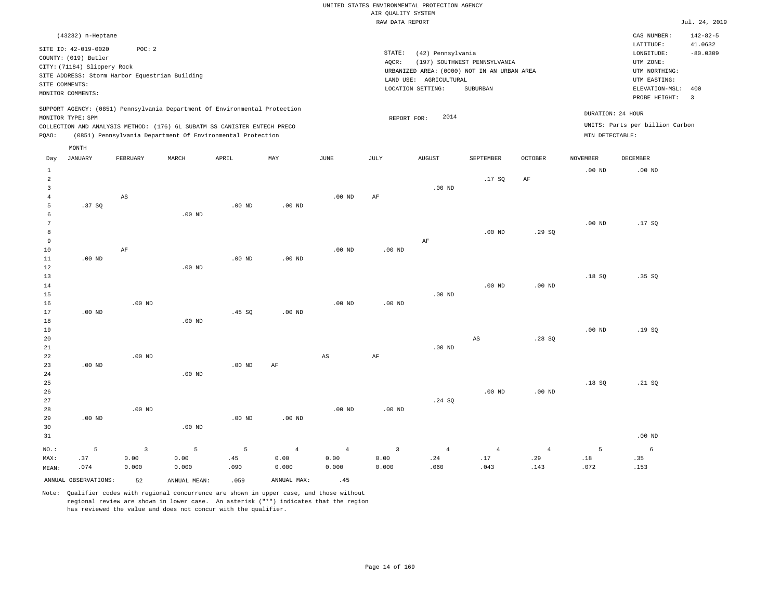|       |                                                                                                                    |                                                         |       |                                                                                                                                                                                                                      |          |                   |                 | RAW DATA REPORT                                                                                                 |                                          |                |                                      |                                                                                                          | Jul. 24, 2019                                             |
|-------|--------------------------------------------------------------------------------------------------------------------|---------------------------------------------------------|-------|----------------------------------------------------------------------------------------------------------------------------------------------------------------------------------------------------------------------|----------|-------------------|-----------------|-----------------------------------------------------------------------------------------------------------------|------------------------------------------|----------------|--------------------------------------|----------------------------------------------------------------------------------------------------------|-----------------------------------------------------------|
|       | (43232) n-Heptane                                                                                                  |                                                         |       |                                                                                                                                                                                                                      |          |                   |                 |                                                                                                                 |                                          |                |                                      | CAS NUMBER:                                                                                              | $142 - 82 - 5$                                            |
|       | SITE ID: 42-019-0020<br>COUNTY: (019) Butler<br>CITY: (71184) Slippery Rock<br>SITE COMMENTS:<br>MONITOR COMMENTS: | POC:2<br>SITE ADDRESS: Storm Harbor Equestrian Building |       |                                                                                                                                                                                                                      |          |                   | STATE:<br>AQCR: | (42) Pennsylvania<br>URBANIZED AREA: (0000) NOT IN AN URBAN AREA<br>LAND USE: AGRICULTURAL<br>LOCATION SETTING: | (197) SOUTHWEST PENNSYLVANIA<br>SUBURBAN |                |                                      | LATITUDE:<br>LONGITUDE:<br>UTM ZONE:<br>UTM NORTHING:<br>UTM EASTING:<br>ELEVATION-MSL:<br>PROBE HEIGHT: | 41.0632<br>$-80.0309$<br>400<br>$\overline{\phantom{a}3}$ |
| POAO: | MONITOR TYPE: SPM<br>MONTH                                                                                         |                                                         |       | SUPPORT AGENCY: (0851) Pennsylvania Department Of Environmental Protection<br>COLLECTION AND ANALYSIS METHOD: (176) 6L SUBATM SS CANISTER ENTECH PRECO<br>(0851) Pennsylvania Department Of Environmental Protection |          |                   |                 | 2014<br>REPORT FOR:                                                                                             |                                          |                | DURATION: 24 HOUR<br>MIN DETECTABLE: | UNITS: Parts per billion Carbon                                                                          |                                                           |
| Day   | JANUARY                                                                                                            | FEBRUARY                                                | MARCH | APRIL                                                                                                                                                                                                                | MAY      | JUNE              | JULY            | <b>AUGUST</b>                                                                                                   | SEPTEMBER                                | <b>OCTOBER</b> | <b>NOVEMBER</b>                      | DECEMBER                                                                                                 |                                                           |
|       |                                                                                                                    |                                                         |       |                                                                                                                                                                                                                      |          |                   |                 |                                                                                                                 |                                          |                | $.00$ ND                             | $.00$ ND                                                                                                 |                                                           |
|       |                                                                                                                    |                                                         |       |                                                                                                                                                                                                                      |          |                   |                 |                                                                                                                 | .17 SQ                                   | AF             |                                      |                                                                                                          |                                                           |
|       |                                                                                                                    |                                                         |       |                                                                                                                                                                                                                      |          |                   |                 | $.00$ ND                                                                                                        |                                          |                |                                      |                                                                                                          |                                                           |
|       |                                                                                                                    | AS                                                      |       |                                                                                                                                                                                                                      |          | .00 <sub>ND</sub> | AF              |                                                                                                                 |                                          |                |                                      |                                                                                                          |                                                           |
|       | .37 SO                                                                                                             |                                                         |       | $.00$ ND                                                                                                                                                                                                             | $.00$ ND |                   |                 |                                                                                                                 |                                          |                |                                      |                                                                                                          |                                                           |

 6 7 8 9 10 11 12 .00 ND AF .00 ND .00 ND .00 ND .00 ND .00 ND .00 ND AF .00 ND .29 SQ .00 ND .17 SQ

| 13   |          |          |          |        |          |          |          |          |          |          | .18S     | $.35$ SQ |
|------|----------|----------|----------|--------|----------|----------|----------|----------|----------|----------|----------|----------|
| $14$ |          |          |          |        |          |          |          |          | $.00$ ND | $.00$ ND |          |          |
| $15$ |          |          |          |        |          |          |          | $.00$ ND |          |          |          |          |
| 16   |          | $.00$ ND |          |        |          | $.00$ ND | $.00$ ND |          |          |          |          |          |
| 17   | $.00$ ND |          |          | .45 SQ | $.00$ ND |          |          |          |          |          |          |          |
| 18   |          |          | $.00$ ND |        |          |          |          |          |          |          |          |          |
| 19   |          |          |          |        |          |          |          |          |          |          | $.00$ ND | .19S     |
| 20   |          |          |          |        |          |          |          |          | AS       | .28SQ    |          |          |
| 21   |          |          |          |        |          |          |          | $.00$ ND |          |          |          |          |

AF

AS

| 23      | $.00$ ND |          |          | $.00$ ND | AF             |                |          |                |                 |                |       |          |
|---------|----------|----------|----------|----------|----------------|----------------|----------|----------------|-----------------|----------------|-------|----------|
| 24      |          |          | $.00$ ND |          |                |                |          |                |                 |                |       |          |
| 25      |          |          |          |          |                |                |          |                |                 |                | .18SQ | .21 SQ   |
| 26      |          |          |          |          |                |                |          |                | $.00$ ND        | $.00$ ND       |       |          |
| 27      |          |          |          |          |                |                |          | .24 SQ         |                 |                |       |          |
| 28      |          | $.00$ ND |          |          |                | $.00$ ND       | $.00$ ND |                |                 |                |       |          |
| 29      | $.00$ ND |          |          | $.00$ ND | $.00$ ND       |                |          |                |                 |                |       |          |
| 30      |          |          | $.00$ ND |          |                |                |          |                |                 |                |       |          |
| 31      |          |          |          |          |                |                |          |                |                 |                |       | $.00$ ND |
| $NO.$ : | 5        |          | 5        | 5        | $\overline{4}$ | $\overline{4}$ | 3        | $\overline{4}$ | $4\overline{ }$ | $\overline{4}$ | 5     | 6        |
| MAX:    | .37      | 0.00     | 0.00     | .45      | 0.00           | 0.00           | 0.00     | .24            | .17             | .29            | .18   | .35      |
| MEAN:   | .074     | 0.000    | 0.000    | .090     | 0.000          | 0.000          | 0.000    | .060           | .043            | .143           | .072  | .153     |

ANNUAL OBSERVATIONS: 52 ANNUAL MEAN: .059 ANNUAL MAX: .45

.00 ND

22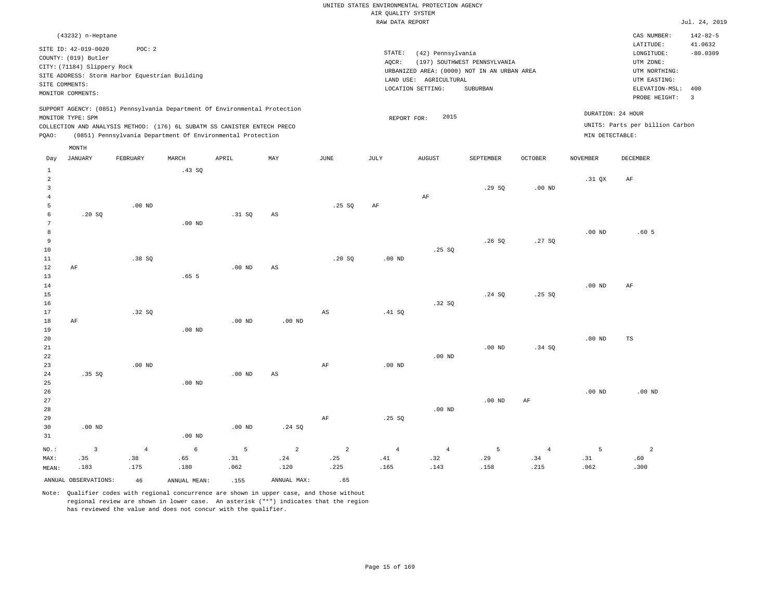|                |                             |                                                                            |                  |                   |          |                        | RAW DATA REPORT   |                        |                                             |                   |                   |                                 | Jul. 24, 2019             |
|----------------|-----------------------------|----------------------------------------------------------------------------|------------------|-------------------|----------|------------------------|-------------------|------------------------|---------------------------------------------|-------------------|-------------------|---------------------------------|---------------------------|
|                | (43232) n-Heptane           |                                                                            |                  |                   |          |                        |                   |                        |                                             |                   |                   | CAS NUMBER:<br>LATITUDE:        | $142 - 82 - 5$<br>41.0632 |
|                | SITE ID: 42-019-0020        | POC: 2                                                                     |                  |                   |          |                        | STATE:            | (42) Pennsylvania      |                                             |                   |                   | LONGITUDE:                      | $-80.0309$                |
|                | COUNTY: (019) Butler        |                                                                            |                  |                   |          |                        | AOCR:             |                        | (197) SOUTHWEST PENNSYLVANIA                |                   |                   | UTM ZONE:                       |                           |
|                | CITY: (71184) Slippery Rock |                                                                            |                  |                   |          |                        |                   |                        | URBANIZED AREA: (0000) NOT IN AN URBAN AREA |                   |                   | UTM NORTHING:                   |                           |
|                | SITE COMMENTS:              | SITE ADDRESS: Storm Harbor Equestrian Building                             |                  |                   |          |                        |                   | LAND USE: AGRICULTURAL |                                             |                   |                   | UTM EASTING:                    |                           |
|                | MONITOR COMMENTS:           |                                                                            |                  |                   |          |                        |                   | LOCATION SETTING:      | SUBURBAN                                    |                   |                   | ELEVATION-MSL:                  | 400                       |
|                |                             |                                                                            |                  |                   |          |                        |                   |                        |                                             |                   |                   | PROBE HEIGHT:                   | $\overline{3}$            |
|                | MONITOR TYPE: SPM           | SUPPORT AGENCY: (0851) Pennsylvania Department Of Environmental Protection |                  |                   |          |                        | REPORT FOR:       | 2015                   |                                             |                   |                   | DURATION: 24 HOUR               |                           |
|                |                             | COLLECTION AND ANALYSIS METHOD: (176) 6L SUBATM SS CANISTER ENTECH PRECO   |                  |                   |          |                        |                   |                        |                                             |                   |                   | UNITS: Parts per billion Carbon |                           |
| PQAO:          |                             | (0851) Pennsylvania Department Of Environmental Protection                 |                  |                   |          |                        |                   |                        |                                             |                   | MIN DETECTABLE:   |                                 |                           |
|                | MONTH                       |                                                                            |                  |                   |          |                        |                   |                        |                                             |                   |                   |                                 |                           |
| Day            | <b>JANUARY</b>              | FEBRUARY                                                                   | MARCH            | APRIL             | MAY      | <b>JUNE</b>            | JULY              | <b>AUGUST</b>          | SEPTEMBER                                   | <b>OCTOBER</b>    | <b>NOVEMBER</b>   | <b>DECEMBER</b>                 |                           |
| $\mathbf{1}$   |                             |                                                                            | .43SQ            |                   |          |                        |                   |                        |                                             |                   |                   |                                 |                           |
| $\overline{a}$ |                             |                                                                            |                  |                   |          |                        |                   |                        |                                             |                   | .31 QX            | AF                              |                           |
| $\overline{3}$ |                             |                                                                            |                  |                   |          |                        |                   |                        | .29S                                        | .00 <sub>ND</sub> |                   |                                 |                           |
| 4<br>5         |                             | $.00$ ND                                                                   |                  |                   |          | .25S                   | AF                | AF                     |                                             |                   |                   |                                 |                           |
| 6              | .20S                        |                                                                            |                  | .31 SO            | AS       |                        |                   |                        |                                             |                   |                   |                                 |                           |
| 7              |                             |                                                                            | $.00$ ND         |                   |          |                        |                   |                        |                                             |                   |                   |                                 |                           |
| 8              |                             |                                                                            |                  |                   |          |                        |                   |                        |                                             |                   | .00 <sub>ND</sub> | .60 <sub>5</sub>                |                           |
| 9              |                             |                                                                            |                  |                   |          |                        |                   |                        | .26S                                        | .27S              |                   |                                 |                           |
| 10             |                             |                                                                            |                  |                   |          |                        |                   | .25SQ                  |                                             |                   |                   |                                 |                           |
| $11\,$         |                             | .38SQ                                                                      |                  |                   |          | .20SQ                  | .00 <sub>ND</sub> |                        |                                             |                   |                   |                                 |                           |
| 12             | AF                          |                                                                            |                  | $.00$ ND          | AS       |                        |                   |                        |                                             |                   |                   |                                 |                           |
| 13<br>14       |                             |                                                                            | .65 <sub>5</sub> |                   |          |                        |                   |                        |                                             |                   | .00 <sub>ND</sub> |                                 |                           |
| 15             |                             |                                                                            |                  |                   |          |                        |                   |                        | .24 S0                                      | .25S              |                   | AF                              |                           |
| 16             |                             |                                                                            |                  |                   |          |                        |                   | .32SQ                  |                                             |                   |                   |                                 |                           |
| 17             |                             | .32 SQ                                                                     |                  |                   |          | $\mathbb{A}\mathbb{S}$ | .41 SQ            |                        |                                             |                   |                   |                                 |                           |
| 18             | AF                          |                                                                            |                  | .00 <sub>ND</sub> | $.00$ ND |                        |                   |                        |                                             |                   |                   |                                 |                           |
| 19             |                             |                                                                            | $.00$ ND         |                   |          |                        |                   |                        |                                             |                   |                   |                                 |                           |
| 20             |                             |                                                                            |                  |                   |          |                        |                   |                        |                                             |                   | .00 <sub>ND</sub> | TS                              |                           |
| 21             |                             |                                                                            |                  |                   |          |                        |                   |                        | $.00$ ND                                    | .34 S             |                   |                                 |                           |
| 22             |                             |                                                                            |                  |                   |          |                        |                   | $.00$ ND               |                                             |                   |                   |                                 |                           |
| 23<br>24       | .35SQ                       | $.00$ ND                                                                   |                  | $.00$ ND          | AS       | $\rm{AF}$              | .00 <sub>ND</sub> |                        |                                             |                   |                   |                                 |                           |
| 25             |                             |                                                                            | $.00$ ND         |                   |          |                        |                   |                        |                                             |                   |                   |                                 |                           |
| 26             |                             |                                                                            |                  |                   |          |                        |                   |                        |                                             |                   | .00 <sub>ND</sub> | $.00$ ND                        |                           |
| 27             |                             |                                                                            |                  |                   |          |                        |                   |                        | $.00$ ND                                    | AF                |                   |                                 |                           |
| 28             |                             |                                                                            |                  |                   |          |                        |                   | $.00$ ND               |                                             |                   |                   |                                 |                           |
| 29             |                             |                                                                            |                  |                   |          | $\rm AF$               | .25SQ             |                        |                                             |                   |                   |                                 |                           |
| 30             | $.00$ ND                    |                                                                            |                  | $.00$ ND          | .24 SQ   |                        |                   |                        |                                             |                   |                   |                                 |                           |
| 31             |                             |                                                                            | $.00$ ND         |                   |          |                        |                   |                        |                                             |                   |                   |                                 |                           |
| NO.:           | $\overline{3}$              | $\overline{4}$                                                             | 6                | 5                 | 2        | $\overline{2}$         | $\overline{4}$    | $\overline{4}$         | 5                                           | $\overline{4}$    | 5                 | $\overline{a}$                  |                           |
| MAX:           | .35                         | .38                                                                        | .65              | .31               | .24      | .25                    | .41               | .32                    | .29                                         | .34               | .31               | .60                             |                           |
| MEAN:          | .183                        | .175                                                                       | .180             | .062              | .120     | .225                   | .165              | .143                   | .158                                        | .215              | .062              | .300                            |                           |

ANNUAL OBSERVATIONS:  $46$  ANNUAL MEAN: .155 ANNUAL MAX: .65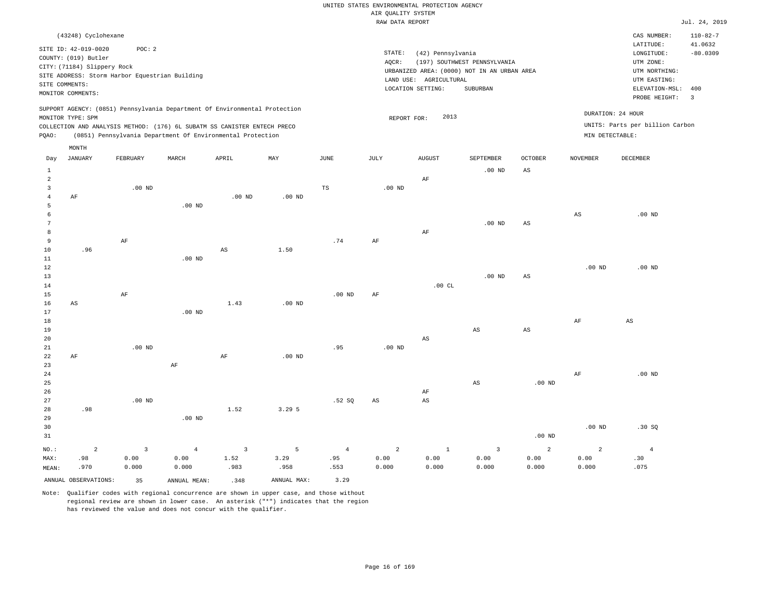|                     |                                                                            |                   |                |                                                            |             |                   | RAW DATA REPORT   |                        |                                             |                        |                   |                                 | Jul. 24, 2019  |
|---------------------|----------------------------------------------------------------------------|-------------------|----------------|------------------------------------------------------------|-------------|-------------------|-------------------|------------------------|---------------------------------------------|------------------------|-------------------|---------------------------------|----------------|
|                     | (43248) Cyclohexane                                                        |                   |                |                                                            |             |                   |                   |                        |                                             |                        |                   | CAS NUMBER:                     | $110 - 82 - 7$ |
|                     |                                                                            |                   |                |                                                            |             |                   |                   |                        |                                             |                        |                   | LATITUDE:                       | 41.0632        |
|                     | SITE ID: 42-019-0020                                                       | POC: 2            |                |                                                            |             |                   | STATE:            | (42) Pennsylvania      |                                             |                        |                   | LONGITUDE:                      | $-80.0309$     |
|                     | COUNTY: (019) Butler                                                       |                   |                |                                                            |             |                   | AQCR:             |                        | (197) SOUTHWEST PENNSYLVANIA                |                        |                   | UTM ZONE:                       |                |
|                     | CITY: (71184) Slippery Rock                                                |                   |                |                                                            |             |                   |                   |                        | URBANIZED AREA: (0000) NOT IN AN URBAN AREA |                        |                   | UTM NORTHING:                   |                |
|                     | SITE ADDRESS: Storm Harbor Equestrian Building                             |                   |                |                                                            |             |                   |                   | LAND USE: AGRICULTURAL |                                             |                        |                   | UTM EASTING:                    |                |
|                     | SITE COMMENTS:                                                             |                   |                |                                                            |             |                   |                   | LOCATION SETTING:      | SUBURBAN                                    |                        |                   | ELEVATION-MSL:                  | 400            |
|                     | MONITOR COMMENTS:                                                          |                   |                |                                                            |             |                   |                   |                        |                                             |                        |                   | PROBE HEIGHT:                   | $\overline{3}$ |
|                     | SUPPORT AGENCY: (0851) Pennsylvania Department Of Environmental Protection |                   |                |                                                            |             |                   |                   |                        |                                             |                        |                   |                                 |                |
|                     | MONITOR TYPE: SPM                                                          |                   |                |                                                            |             |                   | REPORT FOR:       | 2013                   |                                             |                        |                   | DURATION: 24 HOUR               |                |
|                     | COLLECTION AND ANALYSIS METHOD: (176) 6L SUBATM SS CANISTER ENTECH PRECO   |                   |                |                                                            |             |                   |                   |                        |                                             |                        |                   | UNITS: Parts per billion Carbon |                |
| PQAO:               |                                                                            |                   |                | (0851) Pennsylvania Department Of Environmental Protection |             |                   |                   |                        |                                             |                        | MIN DETECTABLE:   |                                 |                |
|                     |                                                                            |                   |                |                                                            |             |                   |                   |                        |                                             |                        |                   |                                 |                |
| Day                 | MONTH<br>JANUARY                                                           | FEBRUARY          | MARCH          | APRIL                                                      | MAY         | JUNE              | JULY              | <b>AUGUST</b>          | SEPTEMBER                                   | <b>OCTOBER</b>         | <b>NOVEMBER</b>   | DECEMBER                        |                |
|                     |                                                                            |                   |                |                                                            |             |                   |                   |                        |                                             |                        |                   |                                 |                |
| $\mathbf{1}$        |                                                                            |                   |                |                                                            |             |                   |                   |                        | $.00$ ND                                    | AS                     |                   |                                 |                |
| $\overline{a}$      |                                                                            |                   |                |                                                            |             |                   |                   | AF                     |                                             |                        |                   |                                 |                |
| 3                   |                                                                            | $.00$ ND          |                |                                                            |             | TS                | .00 <sub>ND</sub> |                        |                                             |                        |                   |                                 |                |
| $\overline{4}$<br>5 | AF                                                                         |                   | $.00$ ND       | $.00$ ND                                                   | $.00$ ND    |                   |                   |                        |                                             |                        |                   |                                 |                |
| 6                   |                                                                            |                   |                |                                                            |             |                   |                   |                        |                                             |                        | $_{\rm AS}$       | $.00$ ND                        |                |
| $7\phantom{.0}$     |                                                                            |                   |                |                                                            |             |                   |                   |                        | $.00$ ND                                    | AS                     |                   |                                 |                |
| 8                   |                                                                            |                   |                |                                                            |             |                   |                   | AF                     |                                             |                        |                   |                                 |                |
| 9                   |                                                                            | AF                |                |                                                            |             | .74               | AF                |                        |                                             |                        |                   |                                 |                |
| $10$                | .96                                                                        |                   |                | $\mathbb{A}\mathbb{S}$                                     | 1.50        |                   |                   |                        |                                             |                        |                   |                                 |                |
| 11                  |                                                                            |                   | $.00$ ND       |                                                            |             |                   |                   |                        |                                             |                        |                   |                                 |                |
| 12                  |                                                                            |                   |                |                                                            |             |                   |                   |                        |                                             |                        | .00 <sub>ND</sub> | $.00$ ND                        |                |
| 13                  |                                                                            |                   |                |                                                            |             |                   |                   |                        | $.00$ ND                                    | $\mathbb{A}\mathbb{S}$ |                   |                                 |                |
| 14                  |                                                                            |                   |                |                                                            |             |                   |                   | .00CL                  |                                             |                        |                   |                                 |                |
| 15                  |                                                                            | AF                |                |                                                            |             | .00 <sub>ND</sub> | AF                |                        |                                             |                        |                   |                                 |                |
| 16                  | AS                                                                         |                   |                | 1.43                                                       | $.00$ ND    |                   |                   |                        |                                             |                        |                   |                                 |                |
| 17                  |                                                                            |                   | $.00$ ND       |                                                            |             |                   |                   |                        |                                             |                        |                   |                                 |                |
| 18                  |                                                                            |                   |                |                                                            |             |                   |                   |                        |                                             |                        | AF                | AS                              |                |
| 19                  |                                                                            |                   |                |                                                            |             |                   |                   |                        | $_{\rm AS}$                                 | $\mathbb{A}\mathbb{S}$ |                   |                                 |                |
| 20                  |                                                                            |                   |                |                                                            |             |                   |                   | $_{\rm AS}$            |                                             |                        |                   |                                 |                |
| 21                  |                                                                            | .00 <sub>ND</sub> |                |                                                            |             | .95               | .00 <sub>ND</sub> |                        |                                             |                        |                   |                                 |                |
| 22                  | AF                                                                         |                   |                | AF                                                         | $.00$ ND    |                   |                   |                        |                                             |                        |                   |                                 |                |
| 23                  |                                                                            |                   | $\rm{AF}$      |                                                            |             |                   |                   |                        |                                             |                        |                   |                                 |                |
| 24                  |                                                                            |                   |                |                                                            |             |                   |                   |                        |                                             |                        | AF                | $.00$ ND                        |                |
| 25                  |                                                                            |                   |                |                                                            |             |                   |                   |                        | $\mathbb{A}\mathbb{S}$                      | .00 <sub>ND</sub>      |                   |                                 |                |
| 26                  |                                                                            |                   |                |                                                            |             |                   |                   | AF                     |                                             |                        |                   |                                 |                |
| 27                  |                                                                            | .00 <sub>ND</sub> |                |                                                            |             | .52S              | AS                | $\mathbb{A}\mathbb{S}$ |                                             |                        |                   |                                 |                |
| 28                  | .98                                                                        |                   |                | 1.52                                                       | 3.295       |                   |                   |                        |                                             |                        |                   |                                 |                |
| 29                  |                                                                            |                   | $.00$ ND       |                                                            |             |                   |                   |                        |                                             |                        |                   |                                 |                |
| 30                  |                                                                            |                   |                |                                                            |             |                   |                   |                        |                                             |                        | .00 <sub>ND</sub> | .30S                            |                |
| 31                  |                                                                            |                   |                |                                                            |             |                   |                   |                        |                                             | .00 <sub>ND</sub>      |                   |                                 |                |
| NO.:                | $\sqrt{2}$                                                                 | $\overline{3}$    | $\overline{4}$ | $\overline{3}$                                             | 5           | $\overline{4}$    | $\overline{a}$    | $1\,$                  | $\overline{3}$                              | 2                      | $\overline{2}$    | $\overline{4}$                  |                |
| MAX:                | .98                                                                        | 0.00              | 0.00           | 1.52                                                       | 3.29        | .95               | 0.00              | 0.00                   | 0.00                                        | 0.00                   | 0.00              | .30                             |                |
| MEAN:               | .970                                                                       | 0.000             | 0.000          | .983                                                       | .958        | .553              | 0.000             | 0.000                  | 0.000                                       | 0.000                  | 0.000             | .075                            |                |
|                     | ANNUAL OBSERVATIONS:                                                       | 35                | ANNUAL MEAN:   | .348                                                       | ANNUAL MAX: | 3.29              |                   |                        |                                             |                        |                   |                                 |                |
|                     |                                                                            |                   |                |                                                            |             |                   |                   |                        |                                             |                        |                   |                                 |                |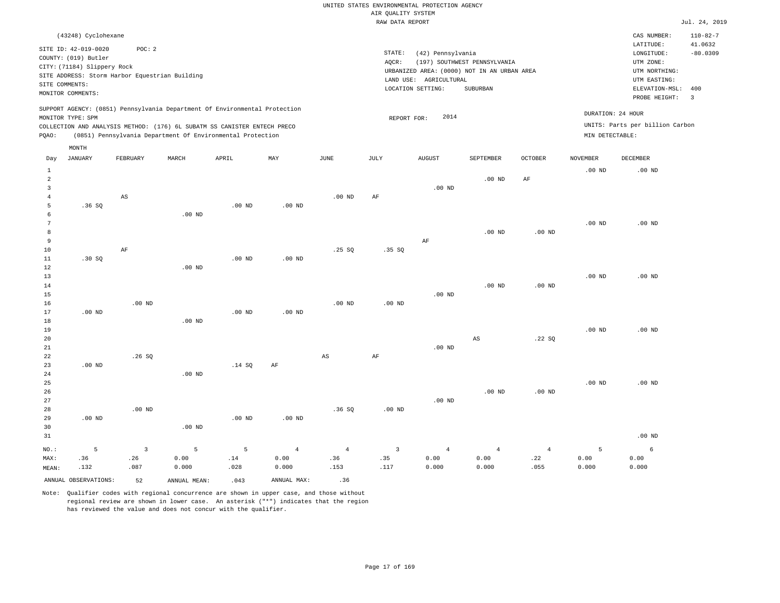|       |                             |                                                |          |                                                                            |          |          |        | RAW DATA REPORT                             |                              |         |                   |                                 | Jul. 24, 2019            |
|-------|-----------------------------|------------------------------------------------|----------|----------------------------------------------------------------------------|----------|----------|--------|---------------------------------------------|------------------------------|---------|-------------------|---------------------------------|--------------------------|
|       | (43248) Cyclohexane         |                                                |          |                                                                            |          |          |        |                                             |                              |         |                   | CAS NUMBER:                     | $110 - 82 - 7$           |
|       | SITE ID: 42-019-0020        | POC:2                                          |          |                                                                            |          |          |        |                                             |                              |         |                   | LATITUDE:                       | 41.0632                  |
|       | COUNTY: (019) Butler        |                                                |          |                                                                            |          |          | STATE: | (42) Pennsylvania                           |                              |         |                   | LONGITUDE:                      | $-80.0309$               |
|       | CITY: (71184) Slippery Rock |                                                |          |                                                                            |          |          | AOCR:  |                                             | (197) SOUTHWEST PENNSYLVANIA |         |                   | UTM ZONE:                       |                          |
|       |                             | SITE ADDRESS: Storm Harbor Equestrian Building |          |                                                                            |          |          |        | URBANIZED AREA: (0000) NOT IN AN URBAN AREA |                              |         |                   | UTM NORTHING:                   |                          |
|       | SITE COMMENTS:              |                                                |          |                                                                            |          |          |        | LAND USE: AGRICULTURAL                      |                              |         |                   | UTM EASTING:                    |                          |
|       | MONITOR COMMENTS:           |                                                |          |                                                                            |          |          |        | LOCATION SETTING:                           | SUBURBAN                     |         |                   | ELEVATION-MSL:                  | 400                      |
|       |                             |                                                |          |                                                                            |          |          |        |                                             |                              |         |                   | PROBE HEIGHT:                   | $\overline{\phantom{a}}$ |
|       | MONITOR TYPE: SPM           |                                                |          | SUPPORT AGENCY: (0851) Pennsylvania Department Of Environmental Protection |          |          |        | 2014<br>REPORT FOR:                         |                              |         | DURATION: 24 HOUR |                                 |                          |
|       |                             |                                                |          | COLLECTION AND ANALYSIS METHOD: (176) 6L SUBATM SS CANISTER ENTECH PRECO   |          |          |        |                                             |                              |         |                   | UNITS: Parts per billion Carbon |                          |
| POAO: |                             |                                                |          | (0851) Pennsylvania Department Of Environmental Protection                 |          |          |        |                                             |                              |         | MIN DETECTABLE:   |                                 |                          |
|       | MONTH                       |                                                |          |                                                                            |          |          |        |                                             |                              |         |                   |                                 |                          |
| Day   | <b>JANUARY</b>              | FEBRUARY                                       | MARCH    | APRIL                                                                      | MAY      | JUNE     | JULY   | <b>AUGUST</b>                               | <b>SEPTEMBER</b>             | OCTOBER | <b>NOVEMBER</b>   | DECEMBER                        |                          |
|       |                             |                                                |          |                                                                            |          |          |        |                                             |                              |         | $.00$ ND          | $.00$ ND                        |                          |
|       |                             |                                                |          |                                                                            |          |          |        |                                             | $.00$ ND                     | AF      |                   |                                 |                          |
|       |                             |                                                |          |                                                                            |          |          |        | $.00$ ND                                    |                              |         |                   |                                 |                          |
|       |                             | AS                                             |          |                                                                            |          | $.00$ ND | AF     |                                             |                              |         |                   |                                 |                          |
|       | .36SQ                       |                                                |          | .00 <sub>ND</sub>                                                          | $.00$ ND |          |        |                                             |                              |         |                   |                                 |                          |
| 6     |                             |                                                | $.00$ ND |                                                                            |          |          |        |                                             |                              |         |                   |                                 |                          |

| 7      |          |          |          |          |          |          |          |          |          |          | $.00$ ND | $.00$ ND |
|--------|----------|----------|----------|----------|----------|----------|----------|----------|----------|----------|----------|----------|
| 8      |          |          |          |          |          |          |          |          | $.00$ ND | $.00$ ND |          |          |
| 9      |          |          |          |          |          |          |          | AF       |          |          |          |          |
| $10$   |          | AF       |          |          |          | .25SQ    | .35SQ    |          |          |          |          |          |
| 11     | .30S     |          |          | $.00$ ND | $.00$ ND |          |          |          |          |          |          |          |
| 12     |          |          | $.00$ ND |          |          |          |          |          |          |          |          |          |
| $13$   |          |          |          |          |          |          |          |          |          |          | $.00$ ND | $.00$ ND |
| $14\,$ |          |          |          |          |          |          |          |          | $.00$ ND | $.00$ ND |          |          |
| $15\,$ |          |          |          |          |          |          |          | $.00$ ND |          |          |          |          |
| 16     |          | $.00$ ND |          |          |          | $.00$ ND | $.00$ ND |          |          |          |          |          |
| 17     | $.00$ ND |          |          | $.00$ ND | $.00$ ND |          |          |          |          |          |          |          |
| 18     |          |          | 00 ND    |          |          |          |          |          |          |          |          |          |

| 18 |          |       | $.00$ ND |        |    |    |    |          |          |          |          |          |
|----|----------|-------|----------|--------|----|----|----|----------|----------|----------|----------|----------|
| 19 |          |       |          |        |    |    |    |          |          |          | $.00$ ND | $.00$ ND |
| 20 |          |       |          |        |    |    |    |          | AS       | .22SQ    |          |          |
| 21 |          |       |          |        |    |    |    | $.00$ ND |          |          |          |          |
| 22 |          | .26SQ |          |        |    | AS | AF |          |          |          |          |          |
| 23 | $.00$ ND |       |          | .14 SQ | AF |    |    |          |          |          |          |          |
| 24 |          |       | $.00$ ND |        |    |    |    |          |          |          |          |          |
| 25 |          |       |          |        |    |    |    |          |          |          | $.00$ ND | $.00$ ND |
| 26 |          |       |          |        |    |    |    |          | $.00$ ND | $.00$ ND |          |          |

| 27      |          |          |          |                   |          |      |          | $.00$ ND |       |      |       |          |
|---------|----------|----------|----------|-------------------|----------|------|----------|----------|-------|------|-------|----------|
| 28      |          | $.00$ ND |          |                   |          | .36S | $.00$ ND |          |       |      |       |          |
| 29      | $.00$ ND |          |          | .00 <sub>ND</sub> | $.00$ ND |      |          |          |       |      |       |          |
| 30      |          |          | $.00$ ND |                   |          |      |          |          |       |      |       |          |
| 31      |          |          |          |                   |          |      |          |          |       |      |       | $.00$ ND |
| $NO.$ : |          |          |          | 5                 | 4        | 4    |          | 4        |       | 4    |       | 6        |
| MAX:    | .36      | .26      | 0.00     | .14               | 0.00     | .36  | .35      | 0.00     | 0.00  | .22  | 0.00  | 0.00     |
| MEAN:   | .132     | .087     | 0.000    | .028              | 0.000    | .153 | .117     | 0.000    | 0.000 | .055 | 0.000 | 0.000    |

Note: Qualifier codes with regional concurrence are shown in upper case, and those without regional review are shown in lower case. An asterisk ("\*") indicates that the region has reviewed the value and does not concur with the qualifier.

ANNUAL OBSERVATIONS: 52 ANNUAL MEAN: .043 ANNUAL MAX: .36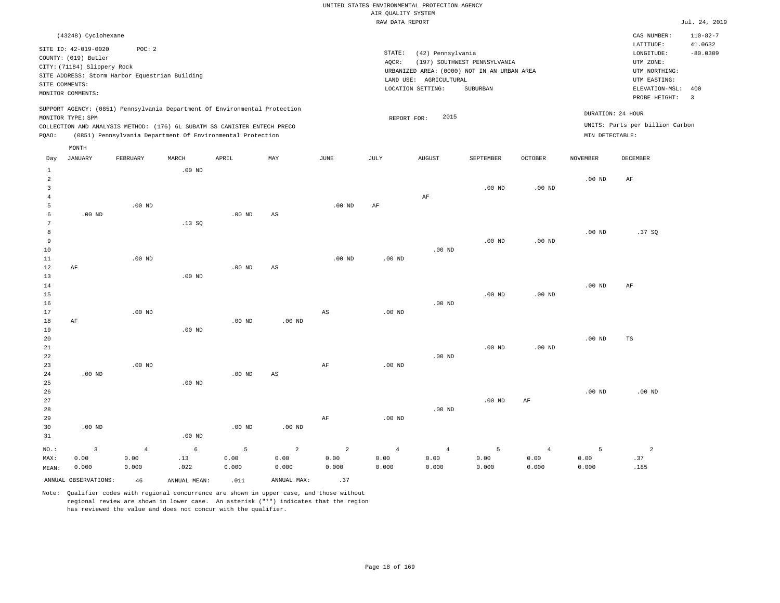|                |                             |                                                |          |                                                                            |                        |                        | RAW DATA REPORT   |                                             |                              |                |                   |                                 | Jul. 24, 2019             |
|----------------|-----------------------------|------------------------------------------------|----------|----------------------------------------------------------------------------|------------------------|------------------------|-------------------|---------------------------------------------|------------------------------|----------------|-------------------|---------------------------------|---------------------------|
|                | (43248) Cyclohexane         |                                                |          |                                                                            |                        |                        |                   |                                             |                              |                |                   | CAS NUMBER:<br>LATITUDE:        | $110 - 82 - 7$<br>41.0632 |
|                | SITE ID: 42-019-0020        | POC: 2                                         |          |                                                                            |                        |                        | STATE:            | (42) Pennsylvania                           |                              |                |                   | LONGITUDE:                      | $-80.0309$                |
|                | COUNTY: (019) Butler        |                                                |          |                                                                            |                        |                        | AQCR:             |                                             | (197) SOUTHWEST PENNSYLVANIA |                |                   | UTM ZONE:                       |                           |
|                | CITY: (71184) Slippery Rock |                                                |          |                                                                            |                        |                        |                   | URBANIZED AREA: (0000) NOT IN AN URBAN AREA |                              |                |                   | UTM NORTHING:                   |                           |
|                |                             | SITE ADDRESS: Storm Harbor Equestrian Building |          |                                                                            |                        |                        |                   | LAND USE: AGRICULTURAL                      |                              |                |                   | UTM EASTING:                    |                           |
|                | SITE COMMENTS:              |                                                |          |                                                                            |                        |                        |                   | LOCATION SETTING:                           | SUBURBAN                     |                |                   | ELEVATION-MSL:                  | 400                       |
|                | MONITOR COMMENTS:           |                                                |          |                                                                            |                        |                        |                   |                                             |                              |                |                   | PROBE HEIGHT:                   | $\overline{\mathbf{3}}$   |
|                |                             |                                                |          | SUPPORT AGENCY: (0851) Pennsylvania Department Of Environmental Protection |                        |                        |                   |                                             |                              |                |                   |                                 |                           |
|                | MONITOR TYPE: SPM           |                                                |          |                                                                            |                        |                        |                   | 2015<br>REPORT FOR:                         |                              |                |                   | DURATION: 24 HOUR               |                           |
|                |                             |                                                |          | COLLECTION AND ANALYSIS METHOD: (176) 6L SUBATM SS CANISTER ENTECH PRECO   |                        |                        |                   |                                             |                              |                |                   | UNITS: Parts per billion Carbon |                           |
| POAO:          |                             |                                                |          | (0851) Pennsylvania Department Of Environmental Protection                 |                        |                        |                   |                                             |                              |                | MIN DETECTABLE:   |                                 |                           |
|                | MONTH                       |                                                |          |                                                                            |                        |                        |                   |                                             |                              |                |                   |                                 |                           |
| Day            | JANUARY                     | FEBRUARY                                       | MARCH    | APRIL                                                                      | MAY                    | JUNE                   | JULY              | <b>AUGUST</b>                               | SEPTEMBER                    | <b>OCTOBER</b> | <b>NOVEMBER</b>   | DECEMBER                        |                           |
| 1              |                             |                                                | $.00$ ND |                                                                            |                        |                        |                   |                                             |                              |                |                   |                                 |                           |
| $\overline{a}$ |                             |                                                |          |                                                                            |                        |                        |                   |                                             |                              |                | $.00$ ND          | AF                              |                           |
| 3              |                             |                                                |          |                                                                            |                        |                        |                   |                                             | $.00$ ND                     | $.00$ ND       |                   |                                 |                           |
| 4              |                             |                                                |          |                                                                            |                        |                        |                   | AF                                          |                              |                |                   |                                 |                           |
| 5              |                             | $.00$ ND                                       |          |                                                                            |                        | $.00$ ND               | AF                |                                             |                              |                |                   |                                 |                           |
| 6              | $.00$ ND                    |                                                |          | $.00$ ND                                                                   | $\mathbb{A}\mathbb{S}$ |                        |                   |                                             |                              |                |                   |                                 |                           |
|                |                             |                                                | .13SQ    |                                                                            |                        |                        |                   |                                             |                              |                |                   |                                 |                           |
| 8              |                             |                                                |          |                                                                            |                        |                        |                   |                                             |                              |                | .00 <sub>ND</sub> | .37SQ                           |                           |
| 9              |                             |                                                |          |                                                                            |                        |                        |                   |                                             | $.00$ ND                     | $.00$ ND       |                   |                                 |                           |
| 10             |                             |                                                |          |                                                                            |                        |                        |                   | $.00$ ND                                    |                              |                |                   |                                 |                           |
| 11             |                             | $.00$ ND                                       |          |                                                                            |                        | .00 <sub>ND</sub>      | .00 <sub>ND</sub> |                                             |                              |                |                   |                                 |                           |
| 12             | AF                          |                                                |          | $.00$ ND                                                                   | $\mathbb{A}\mathbb{S}$ |                        |                   |                                             |                              |                |                   |                                 |                           |
| 13             |                             |                                                | $.00$ ND |                                                                            |                        |                        |                   |                                             |                              |                |                   |                                 |                           |
| 14             |                             |                                                |          |                                                                            |                        |                        |                   |                                             |                              |                | $.00$ ND          | AF                              |                           |
| 15             |                             |                                                |          |                                                                            |                        |                        |                   |                                             | $.00$ ND                     | $.00$ ND       |                   |                                 |                           |
| 16<br>17       |                             | $.00$ ND                                       |          |                                                                            |                        | $\mathbb{A}\mathbb{S}$ |                   | $.00$ ND                                    |                              |                |                   |                                 |                           |
| 18             | AF                          |                                                |          | $.00$ ND                                                                   | $.00$ ND               |                        | .00 <sub>ND</sub> |                                             |                              |                |                   |                                 |                           |
| 19             |                             |                                                | $.00$ ND |                                                                            |                        |                        |                   |                                             |                              |                |                   |                                 |                           |
| 20             |                             |                                                |          |                                                                            |                        |                        |                   |                                             |                              |                | $.00$ ND          | TS                              |                           |

21 22 23 24 25 26 27 28 29 30 .00 ND .00 ND .00 ND .00 ND .00 ND .00 ND AS .00 ND AF AF .00 ND .00 ND .00 ND .00 ND .00 ND .00 ND .00 ND AF .00 ND .00 ND

31 NO.: MAX: MEAN: 3 0.00 0.000 .00 ND 4 0.00 0.000 6 .13 .022 5 0.00 0.000 2 0.00 0.000 2 0.00 0.000 4 0.00 0.000 4 0.00 0.000 5 0.00 0.000 4 0.00 0.000 5 0.00 0.000 2 .37 .185 ANNUAL OBSERVATIONS:  $46$  ANNUAL MEAN: .011 ANNUAL MAX: .37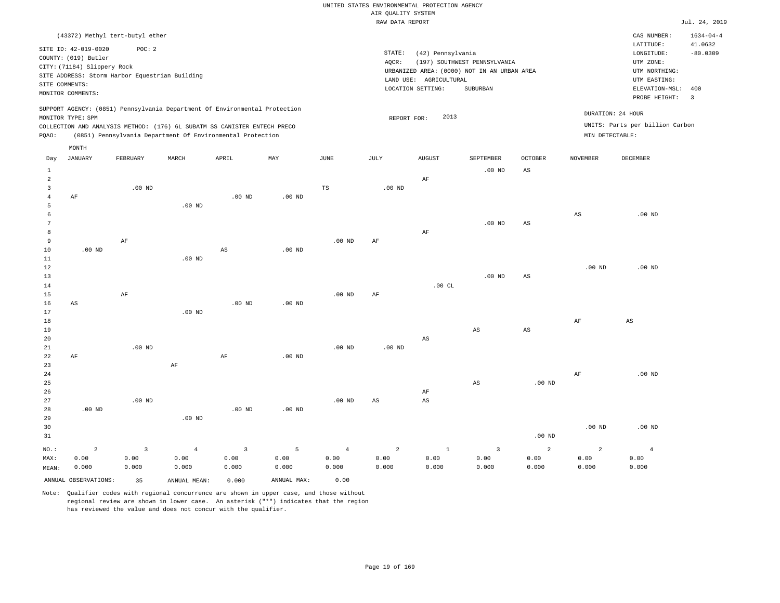|                         |                             |                                                |                   |                                                                            |             |                   | 20112222<br>RAW DATA REPORT |                        |                                             |                        |                   |                                 | Jul. 24, 2019              |
|-------------------------|-----------------------------|------------------------------------------------|-------------------|----------------------------------------------------------------------------|-------------|-------------------|-----------------------------|------------------------|---------------------------------------------|------------------------|-------------------|---------------------------------|----------------------------|
|                         |                             | (43372) Methyl tert-butyl ether                |                   |                                                                            |             |                   |                             |                        |                                             |                        |                   | CAS NUMBER:<br>LATITUDE:        | $1634 - 04 - 4$<br>41.0632 |
|                         | SITE ID: 42-019-0020        | POC: 2                                         |                   |                                                                            |             |                   | STATE:                      | (42) Pennsylvania      |                                             |                        |                   | LONGITUDE:                      | $-80.0309$                 |
|                         | COUNTY: (019) Butler        |                                                |                   |                                                                            |             |                   | AQCR:                       |                        | (197) SOUTHWEST PENNSYLVANIA                |                        |                   | UTM ZONE:                       |                            |
|                         | CITY: (71184) Slippery Rock |                                                |                   |                                                                            |             |                   |                             |                        | URBANIZED AREA: (0000) NOT IN AN URBAN AREA |                        |                   | UTM NORTHING:                   |                            |
|                         |                             | SITE ADDRESS: Storm Harbor Equestrian Building |                   |                                                                            |             |                   |                             | LAND USE: AGRICULTURAL |                                             |                        |                   | UTM EASTING:                    |                            |
| SITE COMMENTS:          |                             |                                                |                   |                                                                            |             |                   |                             | LOCATION SETTING:      | SUBURBAN                                    |                        |                   | ELEVATION-MSL:                  | 400                        |
|                         | MONITOR COMMENTS:           |                                                |                   |                                                                            |             |                   |                             |                        |                                             |                        |                   | PROBE HEIGHT:                   | $\overline{3}$             |
|                         |                             |                                                |                   | SUPPORT AGENCY: (0851) Pennsylvania Department Of Environmental Protection |             |                   |                             |                        |                                             |                        |                   |                                 |                            |
|                         | MONITOR TYPE: SPM           |                                                |                   |                                                                            |             |                   | REPORT FOR:                 | 2013                   |                                             |                        |                   | DURATION: 24 HOUR               |                            |
|                         |                             |                                                |                   | COLLECTION AND ANALYSIS METHOD: (176) 6L SUBATM SS CANISTER ENTECH PRECO   |             |                   |                             |                        |                                             |                        |                   | UNITS: Parts per billion Carbon |                            |
| PQAO:                   |                             |                                                |                   | (0851) Pennsylvania Department Of Environmental Protection                 |             |                   |                             |                        |                                             |                        | MIN DETECTABLE:   |                                 |                            |
|                         | MONTH                       |                                                |                   |                                                                            |             |                   |                             |                        |                                             |                        |                   |                                 |                            |
| Day                     | <b>JANUARY</b>              | FEBRUARY                                       | MARCH             | APRIL                                                                      | MAY         | $_{\rm JUNE}$     | <b>JULY</b>                 | <b>AUGUST</b>          | SEPTEMBER                                   | OCTOBER                | <b>NOVEMBER</b>   | DECEMBER                        |                            |
| 1                       |                             |                                                |                   |                                                                            |             |                   |                             |                        | $.00$ ND                                    | AS                     |                   |                                 |                            |
| $\overline{a}$          |                             |                                                |                   |                                                                            |             |                   |                             | AF                     |                                             |                        |                   |                                 |                            |
| $\overline{\mathbf{3}}$ |                             | $.00$ ND                                       |                   |                                                                            |             | TS                | $.00$ ND                    |                        |                                             |                        |                   |                                 |                            |
| $\overline{4}$          | AF                          |                                                |                   | $.00$ ND                                                                   | $.00$ ND    |                   |                             |                        |                                             |                        |                   |                                 |                            |
| 5                       |                             |                                                | $.00$ ND          |                                                                            |             |                   |                             |                        |                                             |                        |                   |                                 |                            |
| 6                       |                             |                                                |                   |                                                                            |             |                   |                             |                        |                                             |                        | $_{\rm AS}$       | $.00$ ND                        |                            |
| $7\phantom{.0}$         |                             |                                                |                   |                                                                            |             |                   |                             |                        | $.00$ ND                                    | AS                     |                   |                                 |                            |
| 8                       |                             |                                                |                   |                                                                            |             |                   |                             | AF                     |                                             |                        |                   |                                 |                            |
| 9                       |                             | AF                                             |                   |                                                                            |             | $.00$ ND          | AF                          |                        |                                             |                        |                   |                                 |                            |
| $10$                    | $.00$ ND                    |                                                |                   | $\mathbb{A}\mathbb{S}$                                                     | $.00$ ND    |                   |                             |                        |                                             |                        |                   |                                 |                            |
| 11                      |                             |                                                | $.00$ ND          |                                                                            |             |                   |                             |                        |                                             |                        |                   |                                 |                            |
| 12                      |                             |                                                |                   |                                                                            |             |                   |                             |                        |                                             |                        | .00 <sub>ND</sub> | $.00$ ND                        |                            |
| 13                      |                             |                                                |                   |                                                                            |             |                   |                             |                        | $.00$ ND                                    | $_{\rm AS}$            |                   |                                 |                            |
| 14                      |                             |                                                |                   |                                                                            |             |                   |                             | .00CL                  |                                             |                        |                   |                                 |                            |
| 15                      |                             | AF                                             |                   |                                                                            |             | $.00$ ND          | AF                          |                        |                                             |                        |                   |                                 |                            |
| 16                      | AS                          |                                                |                   | .00 <sub>ND</sub>                                                          | $.00$ ND    |                   |                             |                        |                                             |                        |                   |                                 |                            |
| 17                      |                             |                                                | .00 <sub>ND</sub> |                                                                            |             |                   |                             |                        |                                             |                        |                   |                                 |                            |
| 18<br>19                |                             |                                                |                   |                                                                            |             |                   |                             |                        | $\mathbb{A}\mathbb{S}$                      | $\mathbb{A}\mathbb{S}$ | $\rm{AF}$         | $\mathbb{A}\mathbb{S}$          |                            |
| 20                      |                             |                                                |                   |                                                                            |             |                   |                             | $_{\rm AS}$            |                                             |                        |                   |                                 |                            |
| 21                      |                             | $.00$ ND                                       |                   |                                                                            |             | .00 <sub>ND</sub> | .00 <sub>ND</sub>           |                        |                                             |                        |                   |                                 |                            |
| 22                      | AF                          |                                                |                   | AF                                                                         | $.00$ ND    |                   |                             |                        |                                             |                        |                   |                                 |                            |
| 23                      |                             |                                                | $\rm AF$          |                                                                            |             |                   |                             |                        |                                             |                        |                   |                                 |                            |
| 24                      |                             |                                                |                   |                                                                            |             |                   |                             |                        |                                             |                        | $\rm{AF}$         | $.00$ ND                        |                            |
| 25                      |                             |                                                |                   |                                                                            |             |                   |                             |                        | AS                                          | $.00$ ND               |                   |                                 |                            |
| 26                      |                             |                                                |                   |                                                                            |             |                   |                             | AF                     |                                             |                        |                   |                                 |                            |
| 27                      |                             | $.00$ ND                                       |                   |                                                                            |             | $.00$ ND          | AS                          | $_{\rm AS}$            |                                             |                        |                   |                                 |                            |
| 28                      | $.00$ ND                    |                                                |                   | $.00$ ND                                                                   | $.00$ ND    |                   |                             |                        |                                             |                        |                   |                                 |                            |
| 29                      |                             |                                                | $.00$ ND          |                                                                            |             |                   |                             |                        |                                             |                        |                   |                                 |                            |
| 30                      |                             |                                                |                   |                                                                            |             |                   |                             |                        |                                             |                        | $.00$ ND          | $.00$ ND                        |                            |
| 31                      |                             |                                                |                   |                                                                            |             |                   |                             |                        |                                             | $.00$ ND               |                   |                                 |                            |
| NO.:                    | $\overline{a}$              | $\overline{3}$                                 | $\overline{4}$    | $\overline{3}$                                                             | 5           | $\overline{4}$    | $\overline{a}$              | $\,1\,$                | $\overline{\mathbf{3}}$                     | $\overline{c}$         | 2                 | $\overline{4}$                  |                            |
| MAX:                    | 0.00                        | 0.00                                           | 0.00              | 0.00                                                                       | 0.00        | 0.00              | 0.00                        | 0.00                   | 0.00                                        | 0.00                   | 0.00              | 0.00                            |                            |
|                         | 0.000                       | 0.000                                          | 0.000             | 0.000                                                                      | 0.000       | 0.000             | 0.000                       | 0.000                  | 0.000                                       | 0.000                  | 0.000             | 0.000                           |                            |
| MEAN:                   | ANNUAL OBSERVATIONS:        |                                                |                   |                                                                            | ANNUAL MAX: | 0.00              |                             |                        |                                             |                        |                   |                                 |                            |
|                         |                             | 35                                             | ANNUAL MEAN:      | 0.000                                                                      |             |                   |                             |                        |                                             |                        |                   |                                 |                            |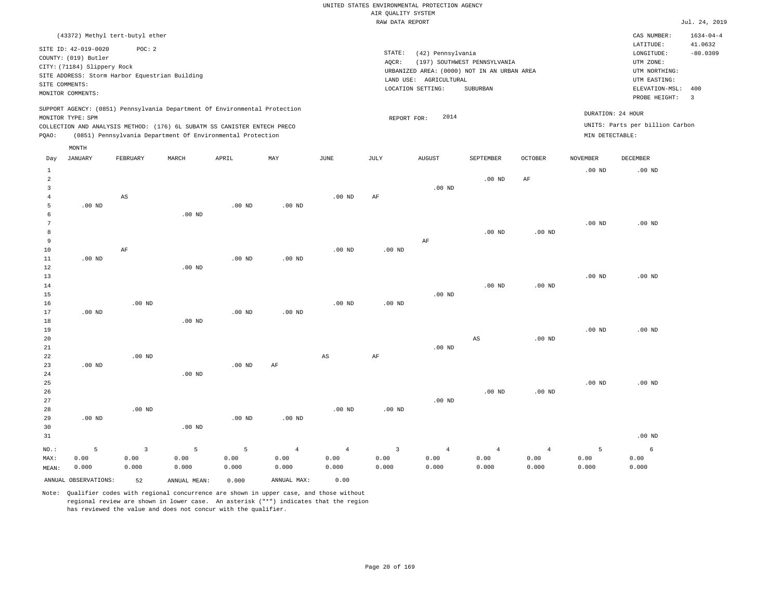|       |                                                                                                                    |                                 |                                                                                                                                                                                                                      |          |          |                   |                              | RAW DATA REPORT                                                                                       |                                          |                   |                                      |                                                                                                              | Jul. 24, 2019                                    |
|-------|--------------------------------------------------------------------------------------------------------------------|---------------------------------|----------------------------------------------------------------------------------------------------------------------------------------------------------------------------------------------------------------------|----------|----------|-------------------|------------------------------|-------------------------------------------------------------------------------------------------------|------------------------------------------|-------------------|--------------------------------------|--------------------------------------------------------------------------------------------------------------|--------------------------------------------------|
|       |                                                                                                                    | (43372) Methyl tert-butyl ether |                                                                                                                                                                                                                      |          |          |                   |                              |                                                                                                       |                                          |                   |                                      | CAS NUMBER:                                                                                                  | $1634 - 04 - 4$                                  |
|       | SITE ID: 42-019-0020<br>COUNTY: (019) Butler<br>CITY: (71184) Slippery Rock<br>SITE COMMENTS:<br>MONITOR COMMENTS: | POC: 2                          | SITE ADDRESS: Storm Harbor Equestrian Building                                                                                                                                                                       |          |          |                   | STATE:<br>AOCR:<br>LAND USE: | (42) Pennsylvania<br>URBANIZED AREA: (0000) NOT IN AN URBAN AREA<br>AGRICULTURAL<br>LOCATION SETTING: | (197) SOUTHWEST PENNSYLVANIA<br>SUBURBAN |                   |                                      | LATITUDE:<br>LONGITUDE:<br>UTM ZONE:<br>UTM NORTHING:<br>UTM EASTING:<br>ELEVATION-MSL: 400<br>PROBE HEIGHT: | 41.0632<br>$-80.0309$<br>$\overline{\mathbf{3}}$ |
| PQAO: | MONITOR TYPE: SPM                                                                                                  |                                 | SUPPORT AGENCY: (0851) Pennsylvania Department Of Environmental Protection<br>COLLECTION AND ANALYSIS METHOD: (176) 6L SUBATM SS CANISTER ENTECH PRECO<br>(0851) Pennsylvania Department Of Environmental Protection |          |          |                   |                              | 2014<br>REPORT FOR:                                                                                   |                                          |                   | DURATION: 24 HOUR<br>MIN DETECTABLE: | UNITS: Parts per billion Carbon                                                                              |                                                  |
| Day   | MONTH<br>JANUARY                                                                                                   | FEBRUARY                        | MARCH                                                                                                                                                                                                                | APRIL    | MAY      | JUNE              | JULY                         | <b>AUGUST</b>                                                                                         | SEPTEMBER                                | <b>OCTOBER</b>    | NOVEMBER                             | DECEMBER                                                                                                     |                                                  |
| 2     |                                                                                                                    | AS                              |                                                                                                                                                                                                                      |          |          | $.00$ ND          | AF                           | $.00$ ND                                                                                              | $.00$ ND                                 | AF                | .00 <sub>ND</sub>                    | $.00$ ND                                                                                                     |                                                  |
|       | $.00$ ND                                                                                                           |                                 | $.00$ ND                                                                                                                                                                                                             | $.00$ ND | $.00$ ND |                   |                              |                                                                                                       |                                          |                   | .00 <sub>ND</sub>                    | $.00$ ND                                                                                                     |                                                  |
| 10    |                                                                                                                    | AF                              |                                                                                                                                                                                                                      |          |          | .00 <sub>ND</sub> | .00 <sub>ND</sub>            | AF                                                                                                    | $.00$ ND                                 | .00 <sub>ND</sub> |                                      |                                                                                                              |                                                  |

11 12 13 14 15 16 17 18 19 20 21 22 23 24 25 26 27 28 29 .00 ND .00 ND .00 ND .00 ND .00 ND .00 ND .00 ND .00 ND .00 ND .00 ND .00 ND .00 ND .00 ND .00 ND .00 ND .00 ND AF .00 ND .00 ND AS .00 ND .00 ND AF .00 ND .00 ND .00 ND .00 ND .00 ND AS .00 ND .00 ND .00 ND .00 ND .00 ND .00 ND .00 ND .00 ND .00 ND .00 ND

| --    | .               |          |          | .     | .                 |       |       |       |       |          |       |          |
|-------|-----------------|----------|----------|-------|-------------------|-------|-------|-------|-------|----------|-------|----------|
| 30    |                 |          | $.00$ ND |       |                   |       |       |       |       |          |       |          |
| 31    |                 |          |          |       |                   |       |       |       |       |          |       | $.00$ ND |
| NO.:  | $\sim$ $\sim$ 5 | $\sim$ 3 |          |       | $5$ 5 4 4 3 4 4 4 |       |       |       |       | $\sim$ 4 | 5     | $\sim$ 6 |
| MAX:  | 0.00            | 0.00     | 0.00     | 0.00  | 0.00              | 0.00  | 0.00  | 0.00  | 0.00  | 0.00     | 0.00  | 0.00     |
| MEAN: | 0.000           | 0.000    | 0.000    | 0.000 | 0.000             | 0.000 | 0.000 | 0.000 | 0.000 | 0.000    | 0.000 | 0.000    |

ANNUAL OBSERVATIONS: 52 ANNUAL MEAN: 0.000 ANNUAL MAX: 0.00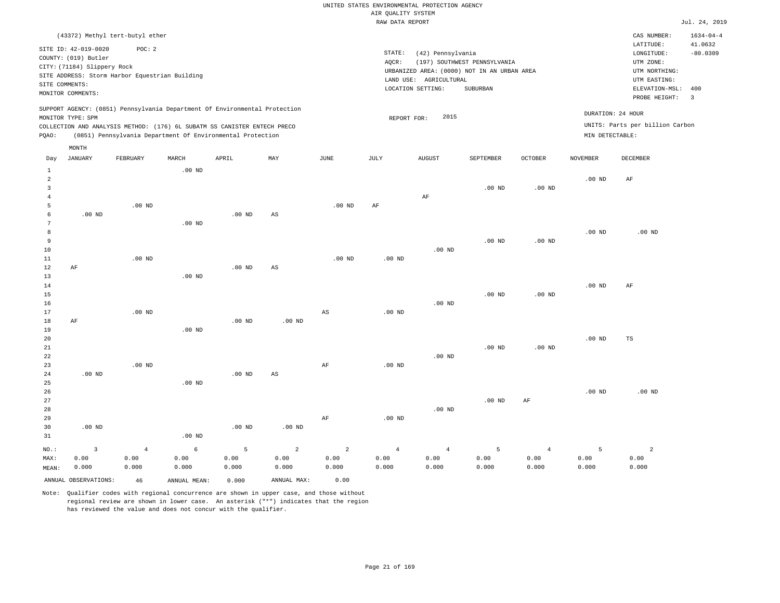|       |                             |                                                                            |          |          |     |          | RAW DATA REPORT   |                        |                                             |          |                   |                                 | Jul. 24, 2019           |
|-------|-----------------------------|----------------------------------------------------------------------------|----------|----------|-----|----------|-------------------|------------------------|---------------------------------------------|----------|-------------------|---------------------------------|-------------------------|
|       |                             | (43372) Methyl tert-butyl ether                                            |          |          |     |          |                   |                        |                                             |          |                   | CAS NUMBER:                     | $1634 - 04 - 4$         |
|       | SITE ID: 42-019-0020        | POC: 2                                                                     |          |          |     |          | STATE:            | (42) Pennsylvania      |                                             |          |                   | LATITUDE:<br>LONGITUDE:         | 41.0632<br>$-80.0309$   |
|       | COUNTY: (019) Butler        |                                                                            |          |          |     |          | AQCR:             |                        | (197) SOUTHWEST PENNSYLVANIA                |          |                   | UTM ZONE:                       |                         |
|       | CITY: (71184) Slippery Rock |                                                                            |          |          |     |          |                   |                        | URBANIZED AREA: (0000) NOT IN AN URBAN AREA |          |                   | UTM NORTHING:                   |                         |
|       |                             | SITE ADDRESS: Storm Harbor Equestrian Building                             |          |          |     |          |                   | LAND USE: AGRICULTURAL |                                             |          |                   | UTM EASTING:                    |                         |
|       | SITE COMMENTS:              |                                                                            |          |          |     |          |                   | LOCATION SETTING:      | SUBURBAN                                    |          |                   | ELEVATION-MSL:                  | 400                     |
|       | MONITOR COMMENTS:           |                                                                            |          |          |     |          |                   |                        |                                             |          |                   | PROBE HEIGHT:                   | $\overline{\mathbf{3}}$ |
|       |                             | SUPPORT AGENCY: (0851) Pennsylvania Department Of Environmental Protection |          |          |     |          |                   |                        |                                             |          |                   |                                 |                         |
|       | MONITOR TYPE: SPM           |                                                                            |          |          |     |          | REPORT FOR:       | 2015                   |                                             |          |                   | DURATION: 24 HOUR               |                         |
|       |                             | COLLECTION AND ANALYSIS METHOD: (176) 6L SUBATM SS CANISTER ENTECH PRECO   |          |          |     |          |                   |                        |                                             |          |                   | UNITS: Parts per billion Carbon |                         |
| PQAO: |                             | (0851) Pennsylvania Department Of Environmental Protection                 |          |          |     |          |                   |                        |                                             |          | MIN DETECTABLE:   |                                 |                         |
|       | MONTH                       |                                                                            |          |          |     |          |                   |                        |                                             |          |                   |                                 |                         |
| Day   | <b>JANUARY</b>              | FEBRUARY                                                                   | MARCH    | APRIL    | MAY | JUNE     | JULY              | <b>AUGUST</b>          | SEPTEMBER                                   | OCTOBER  | <b>NOVEMBER</b>   | <b>DECEMBER</b>                 |                         |
|       |                             |                                                                            |          |          |     |          |                   |                        |                                             |          |                   |                                 |                         |
| 1     |                             |                                                                            | $.00$ ND |          |     |          |                   |                        |                                             |          |                   |                                 |                         |
|       |                             |                                                                            |          |          |     |          |                   |                        |                                             |          | $.00$ ND          | AF                              |                         |
| 3     |                             |                                                                            |          |          |     |          |                   |                        | $.00$ ND                                    | $.00$ ND |                   |                                 |                         |
|       |                             | $.00$ ND                                                                   |          |          |     | $.00$ ND | AF                | AF                     |                                             |          |                   |                                 |                         |
|       | $.00$ ND                    |                                                                            |          | $.00$ ND | AS  |          |                   |                        |                                             |          |                   |                                 |                         |
|       |                             |                                                                            | $.00$ ND |          |     |          |                   |                        |                                             |          |                   |                                 |                         |
|       |                             |                                                                            |          |          |     |          |                   |                        |                                             |          | $.00$ ND          | $.00$ ND                        |                         |
| 9     |                             |                                                                            |          |          |     |          |                   |                        | $.00$ ND                                    | $.00$ ND |                   |                                 |                         |
| 10    |                             |                                                                            |          |          |     |          |                   | $.00$ ND               |                                             |          |                   |                                 |                         |
| 11    |                             | $.00$ ND                                                                   |          |          |     | $.00$ ND | .00 <sub>ND</sub> |                        |                                             |          |                   |                                 |                         |
| 12    | AF                          |                                                                            |          | $.00$ ND | AS  |          |                   |                        |                                             |          |                   |                                 |                         |
| 13    |                             |                                                                            | $.00$ ND |          |     |          |                   |                        |                                             |          |                   |                                 |                         |
| 14    |                             |                                                                            |          |          |     |          |                   |                        |                                             |          | .00 <sub>ND</sub> | AF                              |                         |

.00 ND

.00 ND

.00 ND

17 18 19 20 21 22 23 24 25 26 27 28 29 AF .00 ND .00 ND .00 ND .00 ND .00 ND .00 ND .00 ND AS .00 ND AS AF AF .00 ND .00 ND .00 ND .00 ND .00 ND .00 ND .00 ND .00 ND AF .00 ND .00 ND TS .00 ND

| 30    | $.00$ ND             |       |              | $.00$ ND | $.00$ ND    |       |       |       |       |       |       |       |
|-------|----------------------|-------|--------------|----------|-------------|-------|-------|-------|-------|-------|-------|-------|
| 31    |                      |       | $.00$ ND     |          |             |       |       |       |       |       |       |       |
| NO.:  |                      |       | 6.           | -5.      | 2           | 2     | 4     |       |       |       |       |       |
| MAX:  | 0.00                 | 0.00  | 0.00         | 0.00     | 0.00        | 0.00  | 0.00  | 0.00  | 0.00  | 0.00  | 0.00  | 0.00  |
| MEAN: | 0.000                | 0.000 | 0.000        | 0.000    | 0.000       | 0.000 | 0.000 | 0.000 | 0.000 | 0.000 | 0.000 | 0.000 |
|       | ANNUAL OBSERVATIONS: | 46    | ANNUAL MEAN: | 0.000    | ANNUAL MAX: | 0.00  |       |       |       |       |       |       |

Note: Qualifier codes with regional concurrence are shown in upper case, and those without regional review are shown in lower case. An asterisk ("\*") indicates that the region has reviewed the value and does not concur with the qualifier.

15 16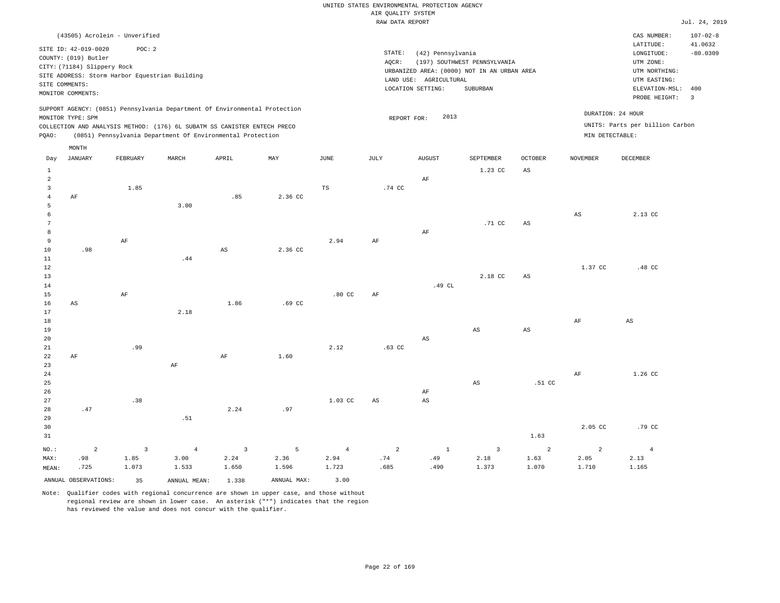|                              |                                                     |                                                |                |                                                                                                                                        |         |                | RAW DATA REPORT        |                        |                                                                             |                        |                        |                                          | Jul. 24, 2019             |
|------------------------------|-----------------------------------------------------|------------------------------------------------|----------------|----------------------------------------------------------------------------------------------------------------------------------------|---------|----------------|------------------------|------------------------|-----------------------------------------------------------------------------|------------------------|------------------------|------------------------------------------|---------------------------|
|                              | SITE ID: 42-019-0020                                | (43505) Acrolein - Unverified<br>POC: 2        |                |                                                                                                                                        |         |                |                        |                        |                                                                             |                        |                        | CAS NUMBER:<br>LATITUDE:                 | $107 - 02 - 8$<br>41.0632 |
|                              | COUNTY: (019) Butler<br>CITY: (71184) Slippery Rock | SITE ADDRESS: Storm Harbor Equestrian Building |                |                                                                                                                                        |         |                | STATE:<br>AQCR:        | (42) Pennsylvania      | (197) SOUTHWEST PENNSYLVANIA<br>URBANIZED AREA: (0000) NOT IN AN URBAN AREA |                        |                        | LONGITUDE:<br>UTM ZONE:<br>UTM NORTHING: | $-80.0309$                |
|                              | SITE COMMENTS:                                      |                                                |                |                                                                                                                                        |         |                |                        | LAND USE: AGRICULTURAL |                                                                             |                        |                        | UTM EASTING:                             |                           |
|                              | MONITOR COMMENTS:                                   |                                                |                |                                                                                                                                        |         |                |                        | LOCATION SETTING:      | SUBURBAN                                                                    |                        |                        | ELEVATION-MSL:<br>PROBE HEIGHT:          | 400<br>$\overline{3}$     |
|                              |                                                     |                                                |                | SUPPORT AGENCY: (0851) Pennsylvania Department Of Environmental Protection                                                             |         |                |                        |                        |                                                                             |                        |                        |                                          |                           |
|                              | MONITOR TYPE: SPM                                   |                                                |                |                                                                                                                                        |         |                | REPORT FOR:            | 2013                   |                                                                             |                        |                        | DURATION: 24 HOUR                        |                           |
| PQAO:                        |                                                     |                                                |                | COLLECTION AND ANALYSIS METHOD: (176) 6L SUBATM SS CANISTER ENTECH PRECO<br>(0851) Pennsylvania Department Of Environmental Protection |         |                |                        |                        |                                                                             |                        | MIN DETECTABLE:        | UNITS: Parts per billion Carbon          |                           |
|                              | MONTH                                               |                                                |                |                                                                                                                                        |         |                |                        |                        |                                                                             |                        |                        |                                          |                           |
| Day                          | <b>JANUARY</b>                                      | FEBRUARY                                       | MARCH          | APRIL                                                                                                                                  | MAY     | JUNE           | JULY                   | <b>AUGUST</b>          | SEPTEMBER                                                                   | OCTOBER                | <b>NOVEMBER</b>        | DECEMBER                                 |                           |
| $\mathbf{1}$                 |                                                     |                                                |                |                                                                                                                                        |         |                |                        |                        | 1.23 CC                                                                     | $_{\rm AS}$            |                        |                                          |                           |
| $\sqrt{2}$                   |                                                     |                                                |                |                                                                                                                                        |         |                |                        | $\rm AF$               |                                                                             |                        |                        |                                          |                           |
| $\overline{3}$<br>$\sqrt{4}$ | $\rm{AF}$                                           | 1.85                                           |                | .85                                                                                                                                    | 2.36 CC | TS             | .74 CC                 |                        |                                                                             |                        |                        |                                          |                           |
| 5                            |                                                     |                                                | 3.00           |                                                                                                                                        |         |                |                        |                        |                                                                             |                        |                        |                                          |                           |
| 6                            |                                                     |                                                |                |                                                                                                                                        |         |                |                        |                        |                                                                             |                        | $\mathbb{A}\mathbb{S}$ | 2.13 CC                                  |                           |
| $7\phantom{.0}$              |                                                     |                                                |                |                                                                                                                                        |         |                |                        |                        | .71 CC                                                                      | $\mathbb{A}\mathbb{S}$ |                        |                                          |                           |
| 8                            |                                                     |                                                |                |                                                                                                                                        |         |                |                        | $\rm{AF}$              |                                                                             |                        |                        |                                          |                           |
| 9                            |                                                     | AF                                             |                |                                                                                                                                        |         | 2.94           | AF                     |                        |                                                                             |                        |                        |                                          |                           |
| $10$<br>11                   | .98                                                 |                                                | .44            | $\mathbb{A}\mathbb{S}$                                                                                                                 | 2.36 CC |                |                        |                        |                                                                             |                        |                        |                                          |                           |
| 12                           |                                                     |                                                |                |                                                                                                                                        |         |                |                        |                        |                                                                             |                        | 1.37 CC                | .48 CC                                   |                           |
| 13                           |                                                     |                                                |                |                                                                                                                                        |         |                |                        |                        | 2.18 CC                                                                     | $\mathbb{A}\mathbb{S}$ |                        |                                          |                           |
| 14                           |                                                     |                                                |                |                                                                                                                                        |         |                |                        | .49 CL                 |                                                                             |                        |                        |                                          |                           |
| 15                           |                                                     | $\rm AF$                                       |                |                                                                                                                                        |         | $.80$ CC       | $\rm AF$               |                        |                                                                             |                        |                        |                                          |                           |
| 16                           | $_{\rm AS}$                                         |                                                |                | 1.86                                                                                                                                   | .69 CC  |                |                        |                        |                                                                             |                        |                        |                                          |                           |
| 17<br>18                     |                                                     |                                                | 2.18           |                                                                                                                                        |         |                |                        |                        |                                                                             |                        | $\rm AF$               | $_{\rm AS}$                              |                           |
| 19                           |                                                     |                                                |                |                                                                                                                                        |         |                |                        |                        | AS                                                                          | $_{\rm AS}$            |                        |                                          |                           |
| 20                           |                                                     |                                                |                |                                                                                                                                        |         |                |                        | $\mathbb{A}\mathbb{S}$ |                                                                             |                        |                        |                                          |                           |
| 21                           |                                                     | .99                                            |                |                                                                                                                                        |         | 2.12           | $.63$ CC               |                        |                                                                             |                        |                        |                                          |                           |
| 22                           | AF                                                  |                                                |                | $\rm{AF}$                                                                                                                              | 1.60    |                |                        |                        |                                                                             |                        |                        |                                          |                           |
| 23                           |                                                     |                                                | AF             |                                                                                                                                        |         |                |                        |                        |                                                                             |                        |                        |                                          |                           |
| 24<br>25                     |                                                     |                                                |                |                                                                                                                                        |         |                |                        |                        | AS                                                                          | .51 CC                 | $\rm AF$               | 1.26 CC                                  |                           |
| 26                           |                                                     |                                                |                |                                                                                                                                        |         |                |                        | AF                     |                                                                             |                        |                        |                                          |                           |
| 27                           |                                                     | .38                                            |                |                                                                                                                                        |         | 1.03 CC        | $\mathbb{A}\mathbb{S}$ | $\mathbb{A}\mathbb{S}$ |                                                                             |                        |                        |                                          |                           |
| 28                           | .47                                                 |                                                |                | 2.24                                                                                                                                   | .97     |                |                        |                        |                                                                             |                        |                        |                                          |                           |
| 29                           |                                                     |                                                | .51            |                                                                                                                                        |         |                |                        |                        |                                                                             |                        |                        |                                          |                           |
| 30                           |                                                     |                                                |                |                                                                                                                                        |         |                |                        |                        |                                                                             |                        | 2.05 CC                | .79 <sub>c</sub>                         |                           |
| 31                           |                                                     |                                                |                |                                                                                                                                        |         |                |                        |                        |                                                                             | 1.63                   |                        |                                          |                           |
| NO.:                         | 2                                                   | $\overline{3}$                                 | $\overline{4}$ | $\overline{\mathbf{3}}$                                                                                                                | 5       | $\overline{4}$ | $\overline{a}$         | $\mathbf{1}$           | $\overline{3}$                                                              | 2                      | 2                      | $\overline{4}$                           |                           |
| MAX:                         | .98                                                 | 1.85                                           | 3.00           | 2.24                                                                                                                                   | 2.36    | 2.94           | .74                    | .49                    | 2.18                                                                        | 1.63                   | 2.05                   | 2.13                                     |                           |
| MEAN:                        | .725                                                | 1.073                                          | 1.533          | 1.650                                                                                                                                  | 1.596   | 1.723          | .685                   | .490                   | 1.373                                                                       | 1.070                  | 1.710                  | 1.165                                    |                           |

ANNUAL OBSERVATIONS: 35 ANNUAL MEAN: 1.338 ANNUAL MAX: 3.00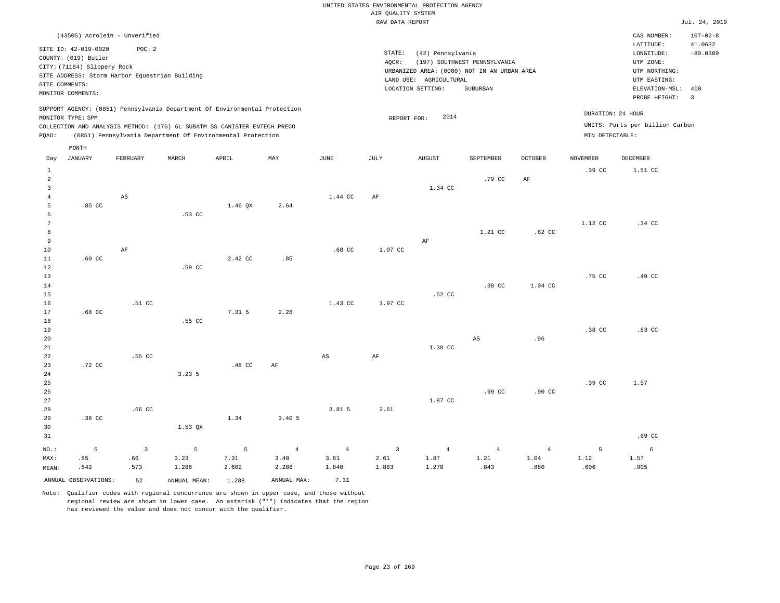|       |                                                                                                                    |          |                                                |                                                                                                                                                                                                                      |      |         |                 | RAW DATA REPORT                                                                                                 |                                          |         |                                      |                                                                                                          | Jul. 24, 2019                                            |
|-------|--------------------------------------------------------------------------------------------------------------------|----------|------------------------------------------------|----------------------------------------------------------------------------------------------------------------------------------------------------------------------------------------------------------------------|------|---------|-----------------|-----------------------------------------------------------------------------------------------------------------|------------------------------------------|---------|--------------------------------------|----------------------------------------------------------------------------------------------------------|----------------------------------------------------------|
|       | (43505) Acrolein - Unverified                                                                                      |          |                                                |                                                                                                                                                                                                                      |      |         |                 |                                                                                                                 |                                          |         |                                      | CAS NUMBER:                                                                                              | $107 - 02 - 8$                                           |
|       | SITE ID: 42-019-0020<br>COUNTY: (019) Butler<br>CITY: (71184) Slippery Rock<br>SITE COMMENTS:<br>MONITOR COMMENTS: | POC: 2   | SITE ADDRESS: Storm Harbor Equestrian Building |                                                                                                                                                                                                                      |      |         | STATE:<br>AOCR: | (42) Pennsylvania<br>URBANIZED AREA: (0000) NOT IN AN URBAN AREA<br>LAND USE: AGRICULTURAL<br>LOCATION SETTING: | (197) SOUTHWEST PENNSYLVANIA<br>SUBURBAN |         |                                      | LATITUDE:<br>LONGITUDE:<br>UTM ZONE:<br>UTM NORTHING:<br>UTM EASTING:<br>ELEVATION-MSL:<br>PROBE HEIGHT: | 41.0632<br>$-80.0309$<br>400<br>$\overline{\phantom{a}}$ |
| POAO: | MONITOR TYPE: SPM<br>MONTH                                                                                         |          |                                                | SUPPORT AGENCY: (0851) Pennsylvania Department Of Environmental Protection<br>COLLECTION AND ANALYSIS METHOD: (176) 6L SUBATM SS CANISTER ENTECH PRECO<br>(0851) Pennsylvania Department Of Environmental Protection |      |         |                 | 2014<br>REPORT FOR:                                                                                             |                                          |         | DURATION: 24 HOUR<br>MIN DETECTABLE: | UNITS: Parts per billion Carbon                                                                          |                                                          |
| Day   | <b>JANUARY</b>                                                                                                     | FEBRUARY | MARCH                                          | APRIL                                                                                                                                                                                                                | MAY  | JUNE    | JULY            | <b>AUGUST</b>                                                                                                   | <b>SEPTEMBER</b>                         | OCTOBER | <b>NOVEMBER</b>                      | DECEMBER                                                                                                 |                                                          |
|       | .85 <sub>c</sub>                                                                                                   | AS       | .53 CC                                         | $1.46$ QX                                                                                                                                                                                                            | 2.64 | 1.44 CC | AF              | 1.34 CC                                                                                                         | .79 CC                                   | AF      | .39 <sub>c</sub>                     | 1.51 CC                                                                                                  |                                                          |
| n     |                                                                                                                    |          |                                                |                                                                                                                                                                                                                      |      |         |                 |                                                                                                                 |                                          |         | 1.12 CC                              | .34 CC                                                                                                   |                                                          |

| 8  |                  |        |        |         |      |         |         |        | 1.21 CC | $.62 \text{ CC}$ |                  |                  |
|----|------------------|--------|--------|---------|------|---------|---------|--------|---------|------------------|------------------|------------------|
| 9  |                  |        |        |         |      |         |         | AF     |         |                  |                  |                  |
| 10 |                  | AF     |        |         |      | .68 CC  | 1.07 CC |        |         |                  |                  |                  |
| 11 | $.60 \text{ CC}$ |        |        | 2.42 CC | .85  |         |         |        |         |                  |                  |                  |
| 12 |                  |        | .59 CC |         |      |         |         |        |         |                  |                  |                  |
| 13 |                  |        |        |         |      |         |         |        |         |                  | .75 CC           | .49 CC           |
| 14 |                  |        |        |         |      |         |         |        | .38 CC  | 1.04 CC          |                  |                  |
| 15 |                  |        |        |         |      |         |         | .52 CC |         |                  |                  |                  |
| 16 |                  | .51 CC |        |         |      | 1.43 CC | 1.97 CC |        |         |                  |                  |                  |
| 17 | .68 CC           |        |        | 7.31 5  | 2.26 |         |         |        |         |                  |                  |                  |
| 18 |                  |        | .55 CC |         |      |         |         |        |         |                  |                  |                  |
| 19 |                  |        |        |         |      |         |         |        |         |                  | .38 <sub>C</sub> | $.83 \text{ CC}$ |

| 20     |        |        |           |                  |        |       |      |         | AS     | .96              |        |      |
|--------|--------|--------|-----------|------------------|--------|-------|------|---------|--------|------------------|--------|------|
| 21     |        |        |           |                  |        |       |      | 1.38 CC |        |                  |        |      |
| 22     |        | .55 CC |           |                  |        | AS    | AF   |         |        |                  |        |      |
| 23     | .72 CC |        |           | .48 <sub>C</sub> | AF     |       |      |         |        |                  |        |      |
| 24     |        |        | 3.23.5    |                  |        |       |      |         |        |                  |        |      |
| $25\,$ |        |        |           |                  |        |       |      |         |        |                  | .39 CC | 1.57 |
| $26\,$ |        |        |           |                  |        |       |      |         | .99 CC | $.90 \text{ CC}$ |        |      |
| 27     |        |        |           |                  |        |       |      | 1.87 CC |        |                  |        |      |
| $28\,$ |        | .66 CC |           |                  |        | 3.815 | 2.61 |         |        |                  |        |      |
| 29     | .36 CC |        |           | 1.34             | 3.40 5 |       |      |         |        |                  |        |      |
| 30     |        |        | $1.53$ QX |                  |        |       |      |         |        |                  |        |      |

| 31    |  |  |  |                                                                                                       |  |  | .69 CC |
|-------|--|--|--|-------------------------------------------------------------------------------------------------------|--|--|--------|
|       |  |  |  |                                                                                                       |  |  |        |
|       |  |  |  | MAX: 0.85 0.66 3.23 7.31 3.40 3.81 2.61 1.87 1.21 1.04 1.12 1.57                                      |  |  |        |
| MEAN: |  |  |  | .605 .606 .005 .843 .278 .288 .843 .278 .843 .905 .642 .288 .573 .286 .642 .573 .286 .642 .386 .573 . |  |  |        |

ANNUAL OBSERVATIONS: 52 ANNUAL MEAN: 1.288 ANNUAL MAX: 7.31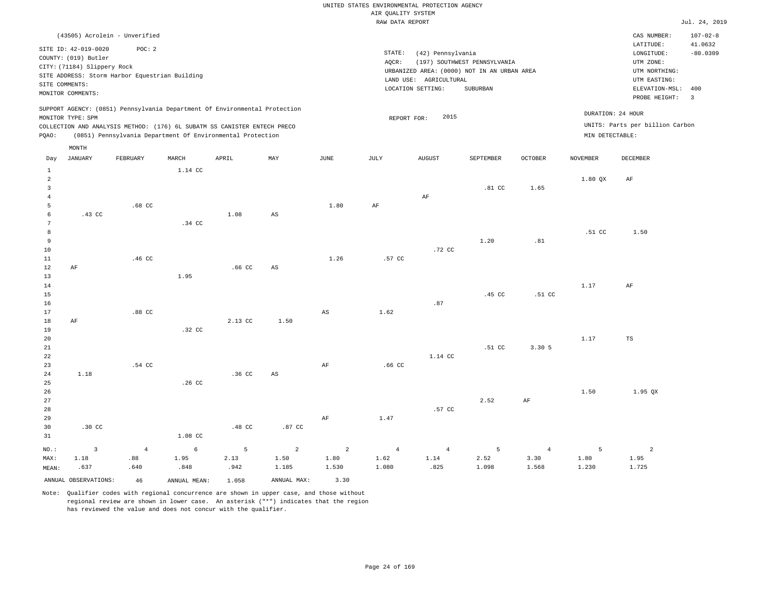|                                       |                                                                                                                    |                                                                                                                                                        |                   |                   |                                 |                                 | RAW DATA REPORT                 |                                                                  |                                                                                         |                                 |                    |                                                                                                 | Jul. 24, 2019                |
|---------------------------------------|--------------------------------------------------------------------------------------------------------------------|--------------------------------------------------------------------------------------------------------------------------------------------------------|-------------------|-------------------|---------------------------------|---------------------------------|---------------------------------|------------------------------------------------------------------|-----------------------------------------------------------------------------------------|---------------------------------|--------------------|-------------------------------------------------------------------------------------------------|------------------------------|
|                                       |                                                                                                                    | (43505) Acrolein - Unverified                                                                                                                          |                   |                   |                                 |                                 |                                 |                                                                  |                                                                                         |                                 |                    | CAS NUMBER:<br>LATITUDE:                                                                        | $107 - 02 - 8$<br>41.0632    |
|                                       | SITE ID: 42-019-0020<br>COUNTY: (019) Butler<br>CITY: (71184) Slippery Rock<br>SITE COMMENTS:<br>MONITOR COMMENTS: | POC: 2<br>SITE ADDRESS: Storm Harbor Equestrian Building                                                                                               |                   |                   |                                 |                                 | STATE:<br>AQCR:                 | (42) Pennsylvania<br>LAND USE: AGRICULTURAL<br>LOCATION SETTING: | (197) SOUTHWEST PENNSYLVANIA<br>URBANIZED AREA: (0000) NOT IN AN URBAN AREA<br>SUBURBAN |                                 |                    | LONGITUDE:<br>UTM ZONE:<br>UTM NORTHING:<br>UTM EASTING:<br>ELEVATION-MSL: 400<br>PROBE HEIGHT: | $-80.0309$<br>$\overline{3}$ |
|                                       | MONITOR TYPE: SPM                                                                                                  | SUPPORT AGENCY: (0851) Pennsylvania Department Of Environmental Protection<br>COLLECTION AND ANALYSIS METHOD: (176) 6L SUBATM SS CANISTER ENTECH PRECO |                   |                   |                                 |                                 | REPORT FOR:                     | 2015                                                             |                                                                                         |                                 |                    | DURATION: 24 HOUR<br>UNITS: Parts per billion Carbon                                            |                              |
| PQAO:                                 |                                                                                                                    | (0851) Pennsylvania Department Of Environmental Protection                                                                                             |                   |                   |                                 |                                 |                                 |                                                                  |                                                                                         |                                 | MIN DETECTABLE:    |                                                                                                 |                              |
| Day                                   | MONTH<br><b>JANUARY</b>                                                                                            | FEBRUARY                                                                                                                                               | MARCH             | APRIL             | MAY                             | JUNE                            | JULY                            | <b>AUGUST</b>                                                    | SEPTEMBER                                                                               | <b>OCTOBER</b>                  | <b>NOVEMBER</b>    | DECEMBER                                                                                        |                              |
| $\mathbf{1}$                          |                                                                                                                    |                                                                                                                                                        | 1.14 CC           |                   |                                 |                                 |                                 |                                                                  |                                                                                         |                                 |                    |                                                                                                 |                              |
| $\overline{a}$<br>3<br>$\overline{4}$ |                                                                                                                    |                                                                                                                                                        |                   |                   |                                 |                                 |                                 | $\rm{AF}$                                                        | .81 <sub>c</sub>                                                                        | 1.65                            | 1.80 OX            | AF                                                                                              |                              |
| 5<br>6<br>7                           | .43 CC                                                                                                             | .68 <sub>cc</sub>                                                                                                                                      | .34 <sub>c</sub>  | 1.08              | $\mathbb{A}\mathbb{S}$          | 1.80                            | AF                              |                                                                  |                                                                                         |                                 |                    |                                                                                                 |                              |
| 8<br>$\overline{9}$<br>10             |                                                                                                                    |                                                                                                                                                        |                   |                   |                                 |                                 |                                 | .72 CC                                                           | 1.20                                                                                    | .81                             | .51 CC             | 1.50                                                                                            |                              |
| 11<br>12<br>13<br>14                  | AF                                                                                                                 | .46 <sub>c</sub>                                                                                                                                       | 1.95              | .66 <sub>CC</sub> | $\mathbb{A}\mathbb{S}$          | 1.26                            | .57 CC                          |                                                                  |                                                                                         |                                 | 1.17               | AF                                                                                              |                              |
| 15<br>16<br>17                        |                                                                                                                    | .88CC                                                                                                                                                  |                   |                   |                                 | AS                              | 1.62                            | .87                                                              | .45 CC                                                                                  | .51 CC                          |                    |                                                                                                 |                              |
| 18<br>19<br>20                        | AF                                                                                                                 |                                                                                                                                                        | .32 CC            | 2.13 CC           | 1.50                            |                                 |                                 |                                                                  |                                                                                         |                                 | 1.17               | $_{\rm TS}$                                                                                     |                              |
| 21<br>22<br>23<br>24                  | 1.18                                                                                                               | .54 CC                                                                                                                                                 |                   | .36 <sub>c</sub>  | AS                              | AF                              | .66 <sub>cc</sub>               | 1.14 CC                                                          | .51 <sub>c</sub>                                                                        | 3.305                           |                    |                                                                                                 |                              |
| 25<br>26<br>27                        |                                                                                                                    |                                                                                                                                                        | .26 <sub>c</sub>  |                   |                                 |                                 |                                 |                                                                  | 2.52                                                                                    | AF                              | 1.50               | 1.95 QX                                                                                         |                              |
| 28<br>29<br>30<br>31                  | $.30 \text{ CC}$                                                                                                   |                                                                                                                                                        | 1.08 CC           | .48 CC            | .87 CC                          | $\rm{AF}$                       | 1.47                            | .57 CC                                                           |                                                                                         |                                 |                    |                                                                                                 |                              |
| NO.:<br>MAX:<br>MEAN:                 | $\overline{3}$<br>1.18<br>.637                                                                                     | $\overline{4}$<br>.88<br>.640                                                                                                                          | 6<br>1.95<br>.848 | 5<br>2.13<br>.942 | $\overline{a}$<br>1.50<br>1.185 | $\overline{a}$<br>1.80<br>1.530 | $\overline{4}$<br>1.62<br>1.080 | $\overline{4}$<br>1.14<br>.825                                   | 5<br>2.52<br>1.098                                                                      | $\overline{4}$<br>3.30<br>1.568 | 5<br>1.80<br>1.230 | $\overline{a}$<br>1.95<br>1.725                                                                 |                              |
|                                       | ANNUAL OBSERVATIONS:                                                                                               | 46                                                                                                                                                     | ANNUAL MEAN:      | 1.058             | ANNUAL MAX:                     | 3.30                            |                                 |                                                                  |                                                                                         |                                 |                    |                                                                                                 |                              |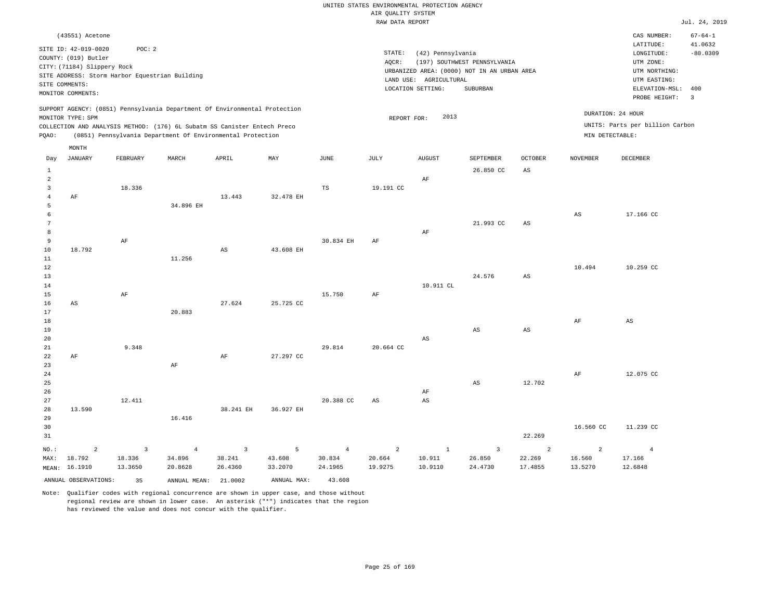|                 |                             |                                                |                |                                                                            |           |             |                                       | UNITED STATES ENVIRONMENTAL PROTECTION AGENCY |                                             |                        |                        |                                 |                         |
|-----------------|-----------------------------|------------------------------------------------|----------------|----------------------------------------------------------------------------|-----------|-------------|---------------------------------------|-----------------------------------------------|---------------------------------------------|------------------------|------------------------|---------------------------------|-------------------------|
|                 |                             |                                                |                |                                                                            |           |             | AIR QUALITY SYSTEM<br>RAW DATA REPORT |                                               |                                             |                        |                        |                                 | Jul. 24, 2019           |
|                 |                             |                                                |                |                                                                            |           |             |                                       |                                               |                                             |                        |                        |                                 |                         |
|                 | (43551) Acetone             |                                                |                |                                                                            |           |             |                                       |                                               |                                             |                        |                        | CAS NUMBER:                     | $67 - 64 - 1$           |
|                 | SITE ID: 42-019-0020        | POC: 2                                         |                |                                                                            |           |             | STATE:                                |                                               |                                             |                        |                        | LATITUDE:                       | 41.0632                 |
|                 | COUNTY: (019) Butler        |                                                |                |                                                                            |           |             |                                       | (42) Pennsylvania                             |                                             |                        |                        | LONGITUDE:<br>UTM ZONE:         | $-80.0309$              |
|                 | CITY: (71184) Slippery Rock |                                                |                |                                                                            |           |             | AQCR:                                 |                                               | (197) SOUTHWEST PENNSYLVANIA                |                        |                        |                                 |                         |
|                 |                             | SITE ADDRESS: Storm Harbor Equestrian Building |                |                                                                            |           |             |                                       | LAND USE: AGRICULTURAL                        | URBANIZED AREA: (0000) NOT IN AN URBAN AREA |                        |                        | UTM NORTHING:<br>UTM EASTING:   |                         |
| SITE COMMENTS:  |                             |                                                |                |                                                                            |           |             |                                       | LOCATION SETTING:                             | SUBURBAN                                    |                        |                        | ELEVATION-MSL:                  | 400                     |
|                 | MONITOR COMMENTS:           |                                                |                |                                                                            |           |             |                                       |                                               |                                             |                        |                        | PROBE HEIGHT:                   | $\overline{\mathbf{3}}$ |
|                 |                             |                                                |                | SUPPORT AGENCY: (0851) Pennsylvania Department Of Environmental Protection |           |             |                                       |                                               |                                             |                        |                        |                                 |                         |
|                 | MONITOR TYPE: SPM           |                                                |                |                                                                            |           |             | REPORT FOR:                           | 2013                                          |                                             |                        | DURATION: 24 HOUR      |                                 |                         |
|                 |                             |                                                |                | COLLECTION AND ANALYSIS METHOD: (176) 6L Subatm SS Canister Entech Preco   |           |             |                                       |                                               |                                             |                        |                        | UNITS: Parts per billion Carbon |                         |
| PQAO:           |                             |                                                |                | (0851) Pennsylvania Department Of Environmental Protection                 |           |             |                                       |                                               |                                             |                        | MIN DETECTABLE:        |                                 |                         |
|                 | MONTH                       |                                                |                |                                                                            |           |             |                                       |                                               |                                             |                        |                        |                                 |                         |
| Day             | <b>JANUARY</b>              | FEBRUARY                                       | MARCH          | APRIL                                                                      | MAY       | <b>JUNE</b> | $\mathtt{JULY}$                       | <b>AUGUST</b>                                 | SEPTEMBER                                   | <b>OCTOBER</b>         | <b>NOVEMBER</b>        | DECEMBER                        |                         |
| $\mathbf{1}$    |                             |                                                |                |                                                                            |           |             |                                       |                                               | 26.850 CC                                   | $\mathbb{A}\mathbb{S}$ |                        |                                 |                         |
| $\overline{2}$  |                             |                                                |                |                                                                            |           |             |                                       | AF                                            |                                             |                        |                        |                                 |                         |
| $\overline{3}$  |                             | 18.336                                         |                |                                                                            |           | TS          | 19.191 CC                             |                                               |                                             |                        |                        |                                 |                         |
| $\overline{4}$  | AF                          |                                                |                | 13.443                                                                     | 32.478 EH |             |                                       |                                               |                                             |                        |                        |                                 |                         |
| 5               |                             |                                                | 34.896 EH      |                                                                            |           |             |                                       |                                               |                                             |                        |                        |                                 |                         |
| 6               |                             |                                                |                |                                                                            |           |             |                                       |                                               |                                             |                        | $\mathbb{A}\mathbb{S}$ | 17.166 CC                       |                         |
| $7\phantom{.0}$ |                             |                                                |                |                                                                            |           |             |                                       |                                               | 21.993 CC                                   | $\mathbb{A}\mathbb{S}$ |                        |                                 |                         |
| 8               |                             |                                                |                |                                                                            |           |             |                                       | AF                                            |                                             |                        |                        |                                 |                         |
| 9               |                             | $\rm AF$                                       |                |                                                                            |           | 30.834 EH   | AF                                    |                                               |                                             |                        |                        |                                 |                         |
| $10$            | 18.792                      |                                                |                | $\mathbb{A}\mathbb{S}$                                                     | 43.608 EH |             |                                       |                                               |                                             |                        |                        |                                 |                         |
| 11              |                             |                                                | 11.256         |                                                                            |           |             |                                       |                                               |                                             |                        |                        |                                 |                         |
| 12              |                             |                                                |                |                                                                            |           |             |                                       |                                               |                                             |                        | 10.494                 | 10.259 CC                       |                         |
| 13              |                             |                                                |                |                                                                            |           |             |                                       |                                               | 24.576                                      | $\mathbb{A}\mathbb{S}$ |                        |                                 |                         |
| 14              |                             |                                                |                |                                                                            |           |             |                                       | 10.911 CL                                     |                                             |                        |                        |                                 |                         |
| 15              |                             | AF                                             |                |                                                                            |           | 15.750      | AF                                    |                                               |                                             |                        |                        |                                 |                         |
| 16              | AS                          |                                                |                | 27.624                                                                     | 25.725 CC |             |                                       |                                               |                                             |                        |                        |                                 |                         |
| 17              |                             |                                                | 20.883         |                                                                            |           |             |                                       |                                               |                                             |                        |                        |                                 |                         |
| 18              |                             |                                                |                |                                                                            |           |             |                                       |                                               |                                             |                        | AF                     | $\mathbb{A}\mathbb{S}$          |                         |
| 19              |                             |                                                |                |                                                                            |           |             |                                       |                                               | AS                                          | $\mathbb{A}\mathbb{S}$ |                        |                                 |                         |
| 20              |                             |                                                |                |                                                                            |           |             |                                       | $_{\rm AS}$                                   |                                             |                        |                        |                                 |                         |
| 21              |                             | 9.348                                          |                |                                                                            |           | 29.814      | 20.664 CC                             |                                               |                                             |                        |                        |                                 |                         |
| 22              | AF                          |                                                |                | $\rm AF$                                                                   | 27.297 CC |             |                                       |                                               |                                             |                        |                        |                                 |                         |
| 23              |                             |                                                | AF             |                                                                            |           |             |                                       |                                               |                                             |                        |                        |                                 |                         |
| $2\sqrt{4}$     |                             |                                                |                |                                                                            |           |             |                                       |                                               |                                             |                        | $\rm{AF}$              | 12.075 CC                       |                         |
| 25              |                             |                                                |                |                                                                            |           |             |                                       |                                               | AS                                          | 12.702                 |                        |                                 |                         |
| 26              |                             |                                                |                |                                                                            |           |             |                                       | $\rm{AF}$                                     |                                             |                        |                        |                                 |                         |
| 27              |                             | 12.411                                         |                |                                                                            |           | 20.388 CC   | $_{\rm AS}$                           | $_{\rm AS}$                                   |                                             |                        |                        |                                 |                         |
| 28              | 13.590                      |                                                |                | 38.241 EH                                                                  | 36.927 EH |             |                                       |                                               |                                             |                        |                        |                                 |                         |
| 29              |                             |                                                | 16.416         |                                                                            |           |             |                                       |                                               |                                             |                        |                        |                                 |                         |
| 30<br>31        |                             |                                                |                |                                                                            |           |             |                                       |                                               |                                             | 22.269                 | 16.560 CC              | 11.239 CC                       |                         |
|                 |                             |                                                |                |                                                                            |           |             |                                       |                                               |                                             |                        |                        |                                 |                         |
| NO.:            | $\overline{2}$              | $\overline{3}$                                 | $\overline{4}$ | $\overline{\mathbf{3}}$                                                    | 5         | $\sqrt{4}$  | $\overline{a}$                        | $1\,$                                         | $\overline{\mathbf{3}}$                     | $\overline{a}$         | $\overline{a}$         | $\overline{4}$                  |                         |
| MAX:            | 18.792                      | 18.336                                         | 34.896         | 38.241                                                                     | 43.608    | 30.834      | 20.664                                | 10.911                                        | 26.850                                      | 22.269                 | 16.560                 | 17.166                          |                         |
|                 | MEAN: 16.1910               | 13.3650                                        | 20.8628        | 26.4360                                                                    | 33.2070   | 24.1965     | 19.9275                               | 10.9110                                       | 24.4730                                     | 17.4855                | 13.5270                | 12.6848                         |                         |

ANNUAL OBSERVATIONS: 35 ANNUAL MEAN: 21.0002 ANNUAL MAX: 43.608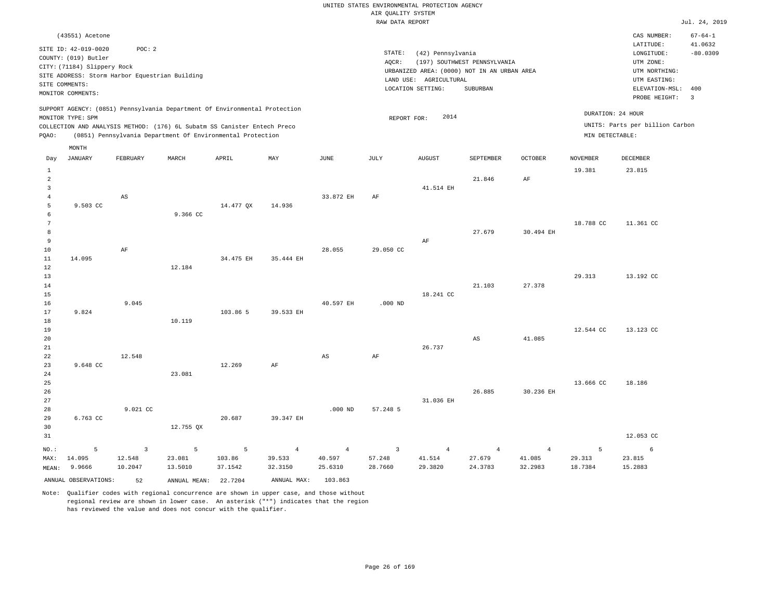|                |                                                |                |                |                                                                            |                |                        | RAW DATA REPORT         |                        |                                             |                |                 |                                 | Jul. 24, 2019  |
|----------------|------------------------------------------------|----------------|----------------|----------------------------------------------------------------------------|----------------|------------------------|-------------------------|------------------------|---------------------------------------------|----------------|-----------------|---------------------------------|----------------|
|                | (43551) Acetone                                |                |                |                                                                            |                |                        |                         |                        |                                             |                |                 | CAS NUMBER:                     | $67 - 64 - 1$  |
|                | SITE ID: 42-019-0020                           | POC: 2         |                |                                                                            |                |                        |                         |                        |                                             |                |                 | LATITUDE:                       | 41.0632        |
|                | COUNTY: (019) Butler                           |                |                |                                                                            |                |                        | $\texttt{STATE}{}:$     | (42) Pennsylvania      |                                             |                |                 | LONGITUDE:                      | $-80.0309$     |
|                | CITY: (71184) Slippery Rock                    |                |                |                                                                            |                |                        | AOCR:                   |                        | (197) SOUTHWEST PENNSYLVANIA                |                |                 | UTM ZONE:                       |                |
|                | SITE ADDRESS: Storm Harbor Equestrian Building |                |                |                                                                            |                |                        |                         |                        | URBANIZED AREA: (0000) NOT IN AN URBAN AREA |                |                 | UTM NORTHING:                   |                |
|                | SITE COMMENTS:                                 |                |                |                                                                            |                |                        |                         | LAND USE: AGRICULTURAL |                                             |                |                 | UTM EASTING:                    |                |
|                | MONITOR COMMENTS:                              |                |                |                                                                            |                |                        |                         | LOCATION SETTING:      | SUBURBAN                                    |                |                 | ELEVATION-MSL: 400              |                |
|                |                                                |                |                |                                                                            |                |                        |                         |                        |                                             |                |                 | PROBE HEIGHT:                   | $\overline{3}$ |
|                |                                                |                |                | SUPPORT AGENCY: (0851) Pennsylvania Department Of Environmental Protection |                |                        |                         | 2014                   |                                             |                |                 | DURATION: 24 HOUR               |                |
|                | MONITOR TYPE: SPM                              |                |                | COLLECTION AND ANALYSIS METHOD: (176) 6L Subatm SS Canister Entech Preco   |                |                        | REPORT FOR:             |                        |                                             |                |                 | UNITS: Parts per billion Carbon |                |
| PQAO:          |                                                |                |                | (0851) Pennsylvania Department Of Environmental Protection                 |                |                        |                         |                        |                                             |                | MIN DETECTABLE: |                                 |                |
|                | MONTH                                          |                |                |                                                                            |                |                        |                         |                        |                                             |                |                 |                                 |                |
| Day            | <b>JANUARY</b>                                 | FEBRUARY       | MARCH          | APRIL                                                                      | MAY            | <b>JUNE</b>            | JULY                    | <b>AUGUST</b>          | SEPTEMBER                                   | <b>OCTOBER</b> | <b>NOVEMBER</b> | <b>DECEMBER</b>                 |                |
| $\mathbf{1}$   |                                                |                |                |                                                                            |                |                        |                         |                        |                                             |                | 19.381          | 23.815                          |                |
| $\overline{a}$ |                                                |                |                |                                                                            |                |                        |                         |                        | 21.846                                      | AF             |                 |                                 |                |
| 3              |                                                |                |                |                                                                            |                |                        |                         | 41.514 EH              |                                             |                |                 |                                 |                |
| $\overline{4}$ |                                                | $_{\rm AS}$    |                |                                                                            |                | 33.872 EH              | AF                      |                        |                                             |                |                 |                                 |                |
| 5              | 9.503 CC                                       |                |                | 14.477 QX                                                                  | 14.936         |                        |                         |                        |                                             |                |                 |                                 |                |
| 6              |                                                |                | 9.366 CC       |                                                                            |                |                        |                         |                        |                                             |                |                 |                                 |                |
| 7              |                                                |                |                |                                                                            |                |                        |                         |                        |                                             |                | 18.788 CC       | 11.361 CC                       |                |
| 8              |                                                |                |                |                                                                            |                |                        |                         |                        | 27.679                                      | 30.494 EH      |                 |                                 |                |
| 9              |                                                |                |                |                                                                            |                |                        |                         | AF                     |                                             |                |                 |                                 |                |
| 10             |                                                | $\rm{AF}$      |                |                                                                            |                | 28.055                 | 29.050 CC               |                        |                                             |                |                 |                                 |                |
| $11\,$         | 14.095                                         |                |                | 34.475 EH                                                                  | 35.444 EH      |                        |                         |                        |                                             |                |                 |                                 |                |
| 12             |                                                |                | 12.184         |                                                                            |                |                        |                         |                        |                                             |                |                 |                                 |                |
| 13             |                                                |                |                |                                                                            |                |                        |                         |                        |                                             |                | 29.313          | 13.192 CC                       |                |
| 14             |                                                |                |                |                                                                            |                |                        |                         |                        | 21.103                                      | 27.378         |                 |                                 |                |
| 15             |                                                |                |                |                                                                            |                |                        |                         | 18.241 CC              |                                             |                |                 |                                 |                |
| 16             |                                                | 9.045          |                |                                                                            |                | 40.597 EH              | $.000$ ND               |                        |                                             |                |                 |                                 |                |
| 17             | 9.824                                          |                |                | 103.86 5                                                                   | 39.533 EH      |                        |                         |                        |                                             |                |                 |                                 |                |
| 18             |                                                |                | 10.119         |                                                                            |                |                        |                         |                        |                                             |                |                 |                                 |                |
| 19             |                                                |                |                |                                                                            |                |                        |                         |                        |                                             |                | 12.544 CC       | 13.123 CC                       |                |
| 20             |                                                |                |                |                                                                            |                |                        |                         |                        | $_{\rm AS}$                                 | 41.085         |                 |                                 |                |
| 21             |                                                |                |                |                                                                            |                |                        |                         | 26.737                 |                                             |                |                 |                                 |                |
| 22             |                                                | 12.548         |                |                                                                            |                | $\mathbb{A}\mathbb{S}$ | AF                      |                        |                                             |                |                 |                                 |                |
| 23             | 9.648 CC                                       |                |                | 12.269                                                                     | AF             |                        |                         |                        |                                             |                |                 |                                 |                |
| 24             |                                                |                | 23.081         |                                                                            |                |                        |                         |                        |                                             |                |                 |                                 |                |
| 25             |                                                |                |                |                                                                            |                |                        |                         |                        |                                             |                | 13.666 CC       | 18.186                          |                |
| 26             |                                                |                |                |                                                                            |                |                        |                         |                        | 26.885                                      | 30.236 EH      |                 |                                 |                |
| 27             |                                                |                |                |                                                                            |                |                        |                         | 31.036 EH              |                                             |                |                 |                                 |                |
| 28             |                                                | 9.021 CC       |                |                                                                            |                | $.000$ ND              | 57.248 5                |                        |                                             |                |                 |                                 |                |
| 29             | 6.763 CC                                       |                |                | 20.687                                                                     | 39.347 EH      |                        |                         |                        |                                             |                |                 |                                 |                |
| 30             |                                                |                | 12.755 QX      |                                                                            |                |                        |                         |                        |                                             |                |                 |                                 |                |
| 31             |                                                |                |                |                                                                            |                |                        |                         |                        |                                             |                |                 | 12.053 CC                       |                |
| NO.:           | 5                                              | $\overline{3}$ | $\overline{5}$ | 5                                                                          | $\overline{4}$ | $\overline{4}$         | $\overline{\mathbf{3}}$ | $\overline{4}$         | $\overline{4}$                              | $\overline{4}$ | 5               | 6                               |                |
| MAX:           | 14.095                                         | 12.548         | 23.081         | 103.86                                                                     | 39.533         | 40.597                 | 57.248                  | 41.514                 | 27.679                                      | 41.085         | 29.313          | 23.815                          |                |
| MEAN:          | 9.9666                                         | 10.2047        | 13.5010        | 37.1542                                                                    | 32.3150        | 25.6310                | 28.7660                 | 29.3820                | 24.3783                                     | 32.2983        | 18.7384         | 15.2883                         |                |
|                | ANNUAL OBSERVATIONS:                           | 52             | ANNUAL MEAN:   | 22.7204                                                                    | ANNUAL MAX:    | 103.863                |                         |                        |                                             |                |                 |                                 |                |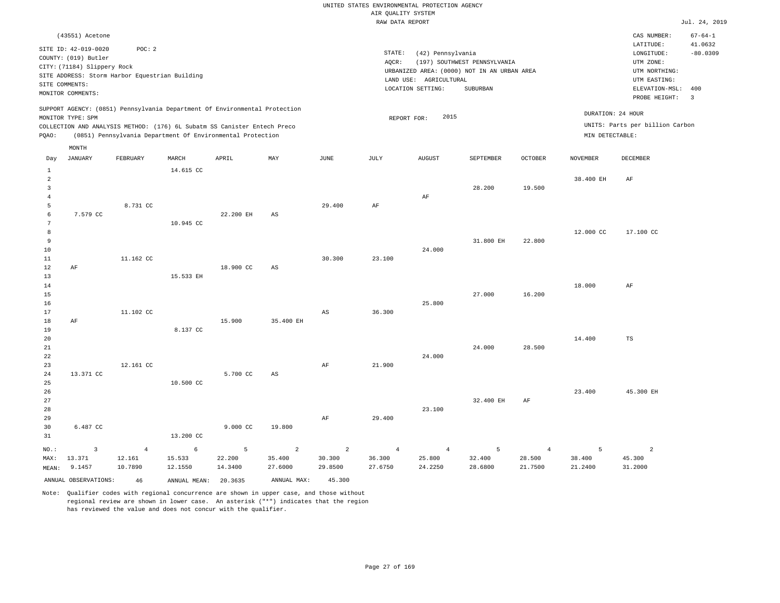#### RAW DATA REPORT **FOUND ASSESSED ASSESSED A**  $J$ ul. 24, 2019 UNITED STATES ENVIRONMENTAL PROTECTION AGENCY AIR QUALITY SYSTEM

|                                                  |                                                                                                                    |                                                          |                                                                                                                                                                                                                      |                        |                                     |                                     | tum biizii itaz oitz                |                                                                  |                                                                                         |                                     |                                      |                                                                                                              | $0.42.1$ $-2.1$                                  |
|--------------------------------------------------|--------------------------------------------------------------------------------------------------------------------|----------------------------------------------------------|----------------------------------------------------------------------------------------------------------------------------------------------------------------------------------------------------------------------|------------------------|-------------------------------------|-------------------------------------|-------------------------------------|------------------------------------------------------------------|-----------------------------------------------------------------------------------------|-------------------------------------|--------------------------------------|--------------------------------------------------------------------------------------------------------------|--------------------------------------------------|
|                                                  | (43551) Acetone                                                                                                    |                                                          |                                                                                                                                                                                                                      |                        |                                     |                                     |                                     |                                                                  |                                                                                         |                                     |                                      | CAS NUMBER:                                                                                                  | $67 - 64 - 1$                                    |
|                                                  | SITE ID: 42-019-0020<br>COUNTY: (019) Butler<br>CITY: (71184) Slippery Rock<br>SITE COMMENTS:<br>MONITOR COMMENTS: | POC: 2<br>SITE ADDRESS: Storm Harbor Equestrian Building |                                                                                                                                                                                                                      |                        |                                     |                                     | STATE:<br>AOCR:                     | (42) Pennsylvania<br>LAND USE: AGRICULTURAL<br>LOCATION SETTING: | (197) SOUTHWEST PENNSYLVANIA<br>URBANIZED AREA: (0000) NOT IN AN URBAN AREA<br>SUBURBAN |                                     |                                      | LATITUDE:<br>LONGITUDE:<br>UTM ZONE:<br>UTM NORTHING:<br>UTM EASTING:<br>ELEVATION-MSL: 400<br>PROBE HEIGHT: | 41.0632<br>$-80.0309$<br>$\overline{\mathbf{3}}$ |
| PQAO:                                            | MONITOR TYPE: SPM                                                                                                  |                                                          | SUPPORT AGENCY: (0851) Pennsylvania Department Of Environmental Protection<br>COLLECTION AND ANALYSIS METHOD: (176) 6L Subatm SS Canister Entech Preco<br>(0851) Pennsylvania Department Of Environmental Protection |                        |                                     |                                     | REPORT FOR:                         | 2015                                                             |                                                                                         |                                     | DURATION: 24 HOUR<br>MIN DETECTABLE: | UNITS: Parts per billion Carbon                                                                              |                                                  |
| Day                                              | MONTH<br><b>JANUARY</b>                                                                                            | FEBRUARY                                                 | MARCH                                                                                                                                                                                                                | APRIL                  | MAY                                 | JUNE                                | JULY                                | <b>AUGUST</b>                                                    | SEPTEMBER                                                                               | OCTOBER                             | <b>NOVEMBER</b>                      | <b>DECEMBER</b>                                                                                              |                                                  |
| $\mathbf{1}$                                     |                                                                                                                    |                                                          | 14.615 CC                                                                                                                                                                                                            |                        |                                     |                                     |                                     |                                                                  |                                                                                         |                                     |                                      |                                                                                                              |                                                  |
| $\overline{a}$<br>$\mathbf{3}$<br>$\overline{4}$ |                                                                                                                    |                                                          |                                                                                                                                                                                                                      |                        |                                     |                                     |                                     | AF                                                               | 28.200                                                                                  | 19.500                              | 38.400 EH                            | AF                                                                                                           |                                                  |
| 5                                                |                                                                                                                    | 8.731 CC                                                 |                                                                                                                                                                                                                      |                        |                                     | 29.400                              | AF                                  |                                                                  |                                                                                         |                                     |                                      |                                                                                                              |                                                  |
| $\epsilon$<br>$\overline{7}$<br>8                | 7.579 CC                                                                                                           |                                                          | 10.945 CC                                                                                                                                                                                                            | 22.200 EH              | $\mathbb{A}\mathbb{S}$              |                                     |                                     |                                                                  |                                                                                         |                                     | 12.000 CC                            | 17.100 CC                                                                                                    |                                                  |
| 9                                                |                                                                                                                    |                                                          |                                                                                                                                                                                                                      |                        |                                     |                                     |                                     |                                                                  | 31.800 EH                                                                               | 22.800                              |                                      |                                                                                                              |                                                  |
| 10<br>11                                         |                                                                                                                    | 11.162 CC                                                |                                                                                                                                                                                                                      |                        |                                     | 30.300                              | 23.100                              | 24.000                                                           |                                                                                         |                                     |                                      |                                                                                                              |                                                  |
| 12                                               | AF                                                                                                                 |                                                          |                                                                                                                                                                                                                      | 18.900 CC              | $_{\rm AS}$                         |                                     |                                     |                                                                  |                                                                                         |                                     |                                      |                                                                                                              |                                                  |
| 13                                               |                                                                                                                    |                                                          | 15.533 EH                                                                                                                                                                                                            |                        |                                     |                                     |                                     |                                                                  |                                                                                         |                                     |                                      |                                                                                                              |                                                  |
| 14<br>15                                         |                                                                                                                    |                                                          |                                                                                                                                                                                                                      |                        |                                     |                                     |                                     |                                                                  | 27,000                                                                                  | 16.200                              | 18.000                               | $\rm{AF}$                                                                                                    |                                                  |
| 16                                               |                                                                                                                    |                                                          |                                                                                                                                                                                                                      |                        |                                     |                                     |                                     | 25.800                                                           |                                                                                         |                                     |                                      |                                                                                                              |                                                  |
| 17<br>$18\,$                                     | AF                                                                                                                 | 11.102 CC                                                |                                                                                                                                                                                                                      | 15.900                 | 35.400 EH                           | AS                                  | 36.300                              |                                                                  |                                                                                         |                                     |                                      |                                                                                                              |                                                  |
| 19                                               |                                                                                                                    |                                                          | 8.137 CC                                                                                                                                                                                                             |                        |                                     |                                     |                                     |                                                                  |                                                                                         |                                     |                                      |                                                                                                              |                                                  |
| 20<br>21                                         |                                                                                                                    |                                                          |                                                                                                                                                                                                                      |                        |                                     |                                     |                                     |                                                                  | 24.000                                                                                  | 28.500                              | 14.400                               | TS                                                                                                           |                                                  |
| 22                                               |                                                                                                                    |                                                          |                                                                                                                                                                                                                      |                        |                                     |                                     |                                     | 24.000                                                           |                                                                                         |                                     |                                      |                                                                                                              |                                                  |
| 23<br>24                                         | 13.371 CC                                                                                                          | 12.161 CC                                                |                                                                                                                                                                                                                      | 5.700 CC               | AS                                  | $\rm{AF}$                           | 21.900                              |                                                                  |                                                                                         |                                     |                                      |                                                                                                              |                                                  |
| 25                                               |                                                                                                                    |                                                          | 10.500 CC                                                                                                                                                                                                            |                        |                                     |                                     |                                     |                                                                  |                                                                                         |                                     |                                      |                                                                                                              |                                                  |
| 26<br>27                                         |                                                                                                                    |                                                          |                                                                                                                                                                                                                      |                        |                                     |                                     |                                     |                                                                  | 32.400 EH                                                                               | AF                                  | 23.400                               | 45.300 EH                                                                                                    |                                                  |
| 28                                               |                                                                                                                    |                                                          |                                                                                                                                                                                                                      |                        |                                     |                                     |                                     | 23.100                                                           |                                                                                         |                                     |                                      |                                                                                                              |                                                  |
| 29<br>30<br>31                                   | 6.487 CC                                                                                                           |                                                          | 13.200 CC                                                                                                                                                                                                            | 9.000 CC               | 19.800                              | AF                                  | 29.400                              |                                                                  |                                                                                         |                                     |                                      |                                                                                                              |                                                  |
| NO.:<br>MAX:                                     | 3<br>13.371<br>9.1457                                                                                              | $\overline{4}$<br>12.161<br>10.7890                      | 6<br>15.533<br>12.1550                                                                                                                                                                                               | 5<br>22.200<br>14.3400 | $\overline{a}$<br>35.400<br>27.6000 | $\overline{c}$<br>30.300<br>29.8500 | $\overline{4}$<br>36.300<br>27.6750 | $\overline{4}$<br>25.800<br>24.2250                              | 5<br>32.400<br>28.6800                                                                  | $\overline{4}$<br>28.500<br>21.7500 | 5<br>38.400<br>21.2400               | $\overline{a}$<br>45.300<br>31.2000                                                                          |                                                  |
| MEAN:                                            | ANNUAL OBSERVATIONS:                                                                                               | 46                                                       | ANNUAL MEAN:                                                                                                                                                                                                         | 20.3635                | ANNUAL MAX:                         | 45.300                              |                                     |                                                                  |                                                                                         |                                     |                                      |                                                                                                              |                                                  |
|                                                  |                                                                                                                    |                                                          |                                                                                                                                                                                                                      |                        |                                     |                                     |                                     |                                                                  |                                                                                         |                                     |                                      |                                                                                                              |                                                  |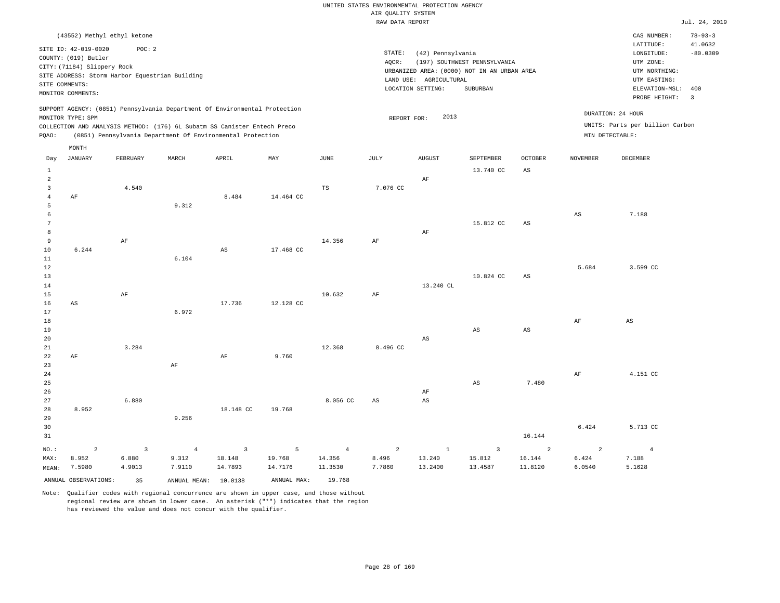|                 |                                                |                |                                                                            |                        |             |                | RAW DATA REPORT |                        |                                             |                        |                 |                                 | Jul. 24, 2019  |
|-----------------|------------------------------------------------|----------------|----------------------------------------------------------------------------|------------------------|-------------|----------------|-----------------|------------------------|---------------------------------------------|------------------------|-----------------|---------------------------------|----------------|
|                 | (43552) Methyl ethyl ketone                    |                |                                                                            |                        |             |                |                 |                        |                                             |                        |                 | CAS NUMBER:                     | $78 - 93 - 3$  |
|                 |                                                |                |                                                                            |                        |             |                |                 |                        |                                             |                        |                 | LATITUDE:                       | 41.0632        |
|                 | SITE ID: 42-019-0020                           | POC: 2         |                                                                            |                        |             |                | STATE:          | (42) Pennsylvania      |                                             |                        |                 | LONGITUDE:                      | $-80.0309$     |
|                 | COUNTY: (019) Butler                           |                |                                                                            |                        |             |                | AQCR:           |                        | (197) SOUTHWEST PENNSYLVANIA                |                        |                 | UTM ZONE:                       |                |
|                 | CITY: (71184) Slippery Rock                    |                |                                                                            |                        |             |                |                 |                        | URBANIZED AREA: (0000) NOT IN AN URBAN AREA |                        |                 | UTM NORTHING:                   |                |
|                 | SITE ADDRESS: Storm Harbor Equestrian Building |                |                                                                            |                        |             |                |                 | LAND USE: AGRICULTURAL |                                             |                        |                 | UTM EASTING:                    |                |
| SITE COMMENTS:  |                                                |                |                                                                            |                        |             |                |                 | LOCATION SETTING:      | SUBURBAN                                    |                        |                 | ELEVATION-MSL:                  | 400            |
|                 | MONITOR COMMENTS:                              |                |                                                                            |                        |             |                |                 |                        |                                             |                        |                 | PROBE HEIGHT:                   | $\overline{3}$ |
|                 |                                                |                | SUPPORT AGENCY: (0851) Pennsylvania Department Of Environmental Protection |                        |             |                |                 |                        |                                             |                        |                 |                                 |                |
|                 | MONITOR TYPE: SPM                              |                |                                                                            |                        |             |                | REPORT FOR:     | 2013                   |                                             |                        |                 | DURATION: 24 HOUR               |                |
|                 |                                                |                | COLLECTION AND ANALYSIS METHOD: (176) 6L Subatm SS Canister Entech Preco   |                        |             |                |                 |                        |                                             |                        |                 | UNITS: Parts per billion Carbon |                |
| PQAO:           |                                                |                | (0851) Pennsylvania Department Of Environmental Protection                 |                        |             |                |                 |                        |                                             |                        | MIN DETECTABLE: |                                 |                |
|                 | MONTH                                          |                |                                                                            |                        |             |                |                 |                        |                                             |                        |                 |                                 |                |
| Day             | JANUARY                                        | FEBRUARY       | MARCH                                                                      | APRIL                  | MAY         | JUNE           | JULY            | <b>AUGUST</b>          | SEPTEMBER                                   | <b>OCTOBER</b>         | <b>NOVEMBER</b> | DECEMBER                        |                |
| $\mathbf{1}$    |                                                |                |                                                                            |                        |             |                |                 |                        | 13.740 CC                                   | AS                     |                 |                                 |                |
| $\overline{a}$  |                                                |                |                                                                            |                        |             |                |                 | AF                     |                                             |                        |                 |                                 |                |
| 3               |                                                | 4.540          |                                                                            |                        |             | TS             | 7.076 CC        |                        |                                             |                        |                 |                                 |                |
| $\overline{4}$  | AF                                             |                |                                                                            | 8.484                  | 14.464 CC   |                |                 |                        |                                             |                        |                 |                                 |                |
| 5               |                                                |                | 9.312                                                                      |                        |             |                |                 |                        |                                             |                        |                 |                                 |                |
| 6               |                                                |                |                                                                            |                        |             |                |                 |                        |                                             |                        | $_{\rm AS}$     | 7.188                           |                |
| $7\phantom{.0}$ |                                                |                |                                                                            |                        |             |                |                 |                        | 15.812 CC                                   | AS                     |                 |                                 |                |
| 8               |                                                |                |                                                                            |                        |             |                |                 | AF                     |                                             |                        |                 |                                 |                |
| 9               |                                                | AF             |                                                                            |                        |             | 14.356         | AF              |                        |                                             |                        |                 |                                 |                |
| $10$            | 6.244                                          |                |                                                                            | $\mathbb{A}\mathbb{S}$ | 17.468 CC   |                |                 |                        |                                             |                        |                 |                                 |                |
| 11              |                                                |                | 6.104                                                                      |                        |             |                |                 |                        |                                             |                        |                 |                                 |                |
| 12              |                                                |                |                                                                            |                        |             |                |                 |                        |                                             |                        | 5.684           | 3.599 CC                        |                |
| 13<br>14        |                                                |                |                                                                            |                        |             |                |                 | 13.240 CL              | 10.824 CC                                   | $_{\rm AS}$            |                 |                                 |                |
| 15              |                                                | AF             |                                                                            |                        |             | 10.632         | AF              |                        |                                             |                        |                 |                                 |                |
| 16              | AS                                             |                |                                                                            | 17.736                 | 12.128 CC   |                |                 |                        |                                             |                        |                 |                                 |                |
| 17              |                                                |                | 6.972                                                                      |                        |             |                |                 |                        |                                             |                        |                 |                                 |                |
| 18              |                                                |                |                                                                            |                        |             |                |                 |                        |                                             |                        | AF              | AS                              |                |
| 19              |                                                |                |                                                                            |                        |             |                |                 |                        | $_{\rm AS}$                                 | $\mathbb{A}\mathbb{S}$ |                 |                                 |                |
| 20              |                                                |                |                                                                            |                        |             |                |                 | $_{\rm AS}$            |                                             |                        |                 |                                 |                |
| 21              |                                                | 3.284          |                                                                            |                        |             | 12.368         | 8.496 CC        |                        |                                             |                        |                 |                                 |                |
| 22              | AF                                             |                |                                                                            | $\rm{AF}$              | 9.760       |                |                 |                        |                                             |                        |                 |                                 |                |
| 23              |                                                |                | $\rm{AF}$                                                                  |                        |             |                |                 |                        |                                             |                        |                 |                                 |                |
| 24              |                                                |                |                                                                            |                        |             |                |                 |                        |                                             |                        | AF              | 4.151 CC                        |                |
| 25              |                                                |                |                                                                            |                        |             |                |                 |                        | $\mathbb{A}\mathbb{S}$                      | 7.480                  |                 |                                 |                |
| 26              |                                                |                |                                                                            |                        |             |                |                 | AF                     |                                             |                        |                 |                                 |                |
| 27              |                                                | 6.880          |                                                                            |                        |             | 8.056 CC       | AS              | $_{\rm AS}$            |                                             |                        |                 |                                 |                |
| 28              | 8.952                                          |                |                                                                            | 18.148 CC              | 19.768      |                |                 |                        |                                             |                        |                 |                                 |                |
| 29              |                                                |                | 9.256                                                                      |                        |             |                |                 |                        |                                             |                        |                 |                                 |                |
| 30              |                                                |                |                                                                            |                        |             |                |                 |                        |                                             |                        | 6.424           | 5.713 CC                        |                |
| 31              |                                                |                |                                                                            |                        |             |                |                 |                        |                                             | 16.144                 |                 |                                 |                |
| NO.:            | $\overline{2}$                                 | $\overline{3}$ | $\overline{4}$                                                             | $\overline{3}$         | 5           | $\overline{4}$ | $\overline{a}$  | $1\,$                  | $\overline{\mathbf{3}}$                     | 2                      | $\overline{a}$  | $\overline{4}$                  |                |
| MAX:            | 8.952                                          | 6.880          | 9.312                                                                      | 18.148                 | 19.768      | 14.356         | 8.496           | 13.240                 | 15.812                                      | 16.144                 | 6.424           | 7.188                           |                |
| MEAN:           | 7.5980                                         | 4.9013         | 7.9110                                                                     | 14.7893                | 14.7176     | 11.3530        | 7.7860          | 13.2400                | 13.4587                                     | 11.8120                | 6.0540          | 5.1628                          |                |
|                 | ANNUAL OBSERVATIONS:                           | 35             | ANNUAL MEAN:                                                               | 10.0138                | ANNUAL MAX: | 19.768         |                 |                        |                                             |                        |                 |                                 |                |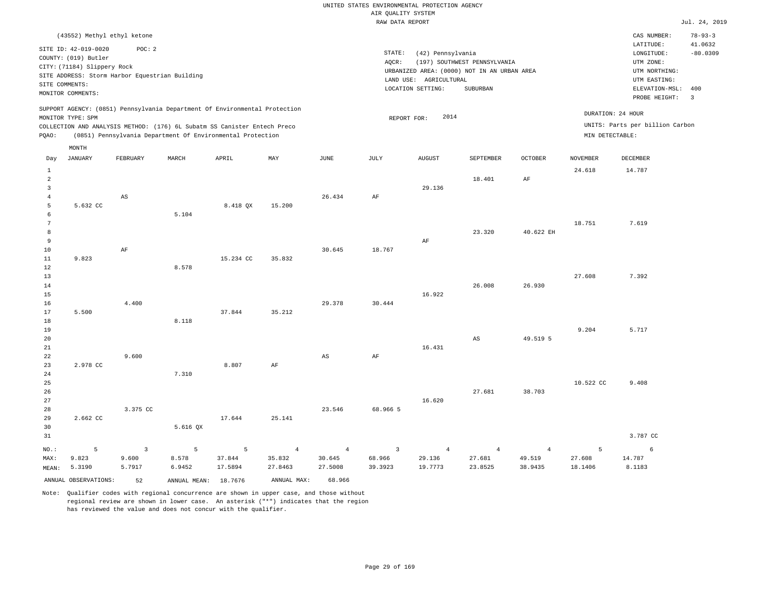|                |                                                                                                                    |                                                          |                                                                                                                                        |           |                |                | RAW DATA REPORT |                                                                  |                                                                                         |                |                 |                                                                                                              | Jul. 24, 2019                           |
|----------------|--------------------------------------------------------------------------------------------------------------------|----------------------------------------------------------|----------------------------------------------------------------------------------------------------------------------------------------|-----------|----------------|----------------|-----------------|------------------------------------------------------------------|-----------------------------------------------------------------------------------------|----------------|-----------------|--------------------------------------------------------------------------------------------------------------|-----------------------------------------|
|                | (43552) Methyl ethyl ketone                                                                                        |                                                          |                                                                                                                                        |           |                |                |                 |                                                                  |                                                                                         |                |                 | CAS NUMBER:                                                                                                  | $78 - 93 - 3$                           |
|                | SITE ID: 42-019-0020<br>COUNTY: (019) Butler<br>CITY: (71184) Slippery Rock<br>SITE COMMENTS:<br>MONITOR COMMENTS: | POC: 2<br>SITE ADDRESS: Storm Harbor Equestrian Building |                                                                                                                                        |           |                |                | STATE:<br>AQCR: | (42) Pennsylvania<br>LAND USE: AGRICULTURAL<br>LOCATION SETTING: | (197) SOUTHWEST PENNSYLVANIA<br>URBANIZED AREA: (0000) NOT IN AN URBAN AREA<br>SUBURBAN |                |                 | LATITUDE:<br>LONGITUDE:<br>UTM ZONE:<br>UTM NORTHING:<br>UTM EASTING:<br>ELEVATION-MSL: 400<br>PROBE HEIGHT: | 41.0632<br>$-80.0309$<br>$\overline{3}$ |
|                |                                                                                                                    |                                                          | SUPPORT AGENCY: (0851) Pennsylvania Department Of Environmental Protection                                                             |           |                |                |                 |                                                                  |                                                                                         |                |                 | DURATION: 24 HOUR                                                                                            |                                         |
|                | MONITOR TYPE: SPM                                                                                                  |                                                          |                                                                                                                                        |           |                |                | REPORT FOR:     | 2014                                                             |                                                                                         |                |                 | UNITS: Parts per billion Carbon                                                                              |                                         |
| PQAO:          |                                                                                                                    |                                                          | COLLECTION AND ANALYSIS METHOD: (176) 6L Subatm SS Canister Entech Preco<br>(0851) Pennsylvania Department Of Environmental Protection |           |                |                |                 |                                                                  |                                                                                         |                | MIN DETECTABLE: |                                                                                                              |                                         |
|                |                                                                                                                    |                                                          |                                                                                                                                        |           |                |                |                 |                                                                  |                                                                                         |                |                 |                                                                                                              |                                         |
| Day            | MONTH<br><b>JANUARY</b>                                                                                            | FEBRUARY                                                 | MARCH                                                                                                                                  | APRIL     | MAY            | $_{\rm JUNE}$  | JULY            | <b>AUGUST</b>                                                    | SEPTEMBER                                                                               | <b>OCTOBER</b> | <b>NOVEMBER</b> | DECEMBER                                                                                                     |                                         |
| $\mathbf{1}$   |                                                                                                                    |                                                          |                                                                                                                                        |           |                |                |                 |                                                                  |                                                                                         |                | 24.618          | 14.787                                                                                                       |                                         |
| $\overline{a}$ |                                                                                                                    |                                                          |                                                                                                                                        |           |                |                |                 |                                                                  | 18.401                                                                                  | AF             |                 |                                                                                                              |                                         |
| $\mathbf{3}$   |                                                                                                                    |                                                          |                                                                                                                                        |           |                |                |                 | 29.136                                                           |                                                                                         |                |                 |                                                                                                              |                                         |
| $\overline{4}$ |                                                                                                                    | AS                                                       |                                                                                                                                        |           |                | 26.434         | $\rm{AF}$       |                                                                  |                                                                                         |                |                 |                                                                                                              |                                         |
| 5<br>6         | 5.632 CC                                                                                                           |                                                          | 5.104                                                                                                                                  | 8.418 QX  | 15.200         |                |                 |                                                                  |                                                                                         |                |                 |                                                                                                              |                                         |
| $\overline{7}$ |                                                                                                                    |                                                          |                                                                                                                                        |           |                |                |                 |                                                                  |                                                                                         |                | 18.751          | 7.619                                                                                                        |                                         |
| 8              |                                                                                                                    |                                                          |                                                                                                                                        |           |                |                |                 |                                                                  | 23.320                                                                                  | 40.622 EH      |                 |                                                                                                              |                                         |
| 9              |                                                                                                                    |                                                          |                                                                                                                                        |           |                |                |                 | AF                                                               |                                                                                         |                |                 |                                                                                                              |                                         |
| 10             |                                                                                                                    | AF                                                       |                                                                                                                                        |           |                | 30.645         | 18.767          |                                                                  |                                                                                         |                |                 |                                                                                                              |                                         |
| 11             | 9.823                                                                                                              |                                                          |                                                                                                                                        | 15.234 CC | 35.832         |                |                 |                                                                  |                                                                                         |                |                 |                                                                                                              |                                         |
| 12             |                                                                                                                    |                                                          | 8.578                                                                                                                                  |           |                |                |                 |                                                                  |                                                                                         |                |                 |                                                                                                              |                                         |
| 13             |                                                                                                                    |                                                          |                                                                                                                                        |           |                |                |                 |                                                                  |                                                                                         |                | 27.608          | 7.392                                                                                                        |                                         |
| 14<br>15       |                                                                                                                    |                                                          |                                                                                                                                        |           |                |                |                 | 16.922                                                           | 26.008                                                                                  | 26.930         |                 |                                                                                                              |                                         |
| 16             |                                                                                                                    | 4.400                                                    |                                                                                                                                        |           |                | 29.378         | 30.444          |                                                                  |                                                                                         |                |                 |                                                                                                              |                                         |
| 17             | 5.500                                                                                                              |                                                          |                                                                                                                                        | 37.844    | 35.212         |                |                 |                                                                  |                                                                                         |                |                 |                                                                                                              |                                         |
| 18             |                                                                                                                    |                                                          | 8.118                                                                                                                                  |           |                |                |                 |                                                                  |                                                                                         |                |                 |                                                                                                              |                                         |
| 19             |                                                                                                                    |                                                          |                                                                                                                                        |           |                |                |                 |                                                                  |                                                                                         |                | 9.204           | 5.717                                                                                                        |                                         |
| 20             |                                                                                                                    |                                                          |                                                                                                                                        |           |                |                |                 |                                                                  | $\mathbb{A}\mathbb{S}$                                                                  | 49.519 5       |                 |                                                                                                              |                                         |
| 21             |                                                                                                                    |                                                          |                                                                                                                                        |           |                |                |                 | 16.431                                                           |                                                                                         |                |                 |                                                                                                              |                                         |
| 22             |                                                                                                                    | 9.600                                                    |                                                                                                                                        |           |                | $_{\rm AS}$    | AF              |                                                                  |                                                                                         |                |                 |                                                                                                              |                                         |
| 23<br>24       | 2.978 CC                                                                                                           |                                                          | 7.310                                                                                                                                  | 8.807     | AF             |                |                 |                                                                  |                                                                                         |                |                 |                                                                                                              |                                         |
| 25             |                                                                                                                    |                                                          |                                                                                                                                        |           |                |                |                 |                                                                  |                                                                                         |                | 10.522 CC       | 9.408                                                                                                        |                                         |
| 26             |                                                                                                                    |                                                          |                                                                                                                                        |           |                |                |                 |                                                                  | 27.681                                                                                  | 38,703         |                 |                                                                                                              |                                         |
| 27             |                                                                                                                    |                                                          |                                                                                                                                        |           |                |                |                 | 16.620                                                           |                                                                                         |                |                 |                                                                                                              |                                         |
| 28             |                                                                                                                    | 3.375 CC                                                 |                                                                                                                                        |           |                | 23.546         | 68.966 5        |                                                                  |                                                                                         |                |                 |                                                                                                              |                                         |
| 29             | 2.662 CC                                                                                                           |                                                          |                                                                                                                                        | 17.644    | 25.141         |                |                 |                                                                  |                                                                                         |                |                 |                                                                                                              |                                         |
| 30             |                                                                                                                    |                                                          | $5.616$ QX                                                                                                                             |           |                |                |                 |                                                                  |                                                                                         |                |                 |                                                                                                              |                                         |
| 31             |                                                                                                                    |                                                          |                                                                                                                                        |           |                |                |                 |                                                                  |                                                                                         |                |                 | 3.787 CC                                                                                                     |                                         |
| NO.:           | 5                                                                                                                  | $\overline{3}$                                           | 5                                                                                                                                      | 5         | $\overline{4}$ | $\overline{4}$ | $\overline{3}$  | $\overline{4}$                                                   | $\overline{4}$                                                                          | $\overline{4}$ | 5               | 6                                                                                                            |                                         |
| MAX:           | 9.823                                                                                                              | 9.600                                                    | 8.578                                                                                                                                  | 37.844    | 35.832         | 30.645         | 68.966          | 29.136                                                           | 27.681                                                                                  | 49.519         | 27.608          | 14.787                                                                                                       |                                         |
| MEAN:          | 5.3190                                                                                                             | 5.7917                                                   | 6.9452                                                                                                                                 | 17.5894   | 27.8463        | 27.5008        | 39.3923         | 19.7773                                                          | 23.8525                                                                                 | 38.9435        | 18.1406         | 8.1183                                                                                                       |                                         |
|                | ANNUAL OBSERVATIONS:                                                                                               | 52                                                       | ANNUAL MEAN:                                                                                                                           | 18.7676   | ANNUAL MAX:    | 68.966         |                 |                                                                  |                                                                                         |                |                 |                                                                                                              |                                         |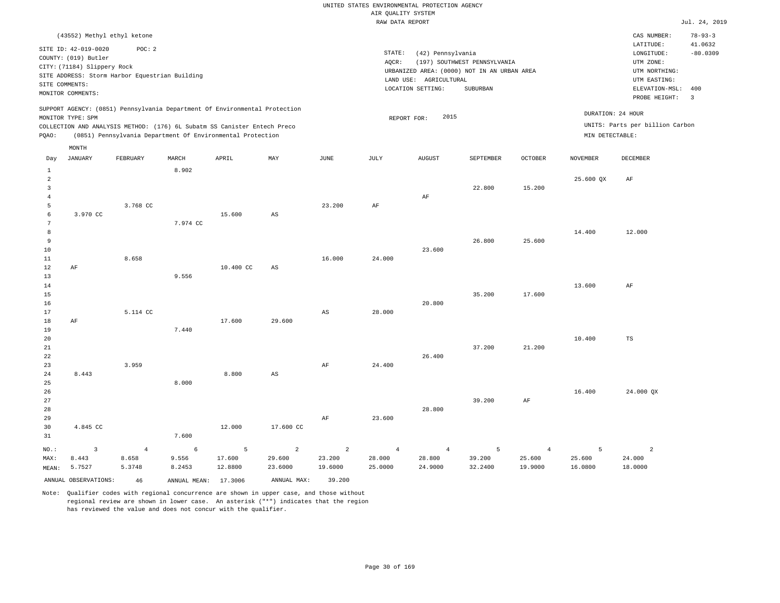|                                |                                                                                                                    |                                                          |              |                                                                                                                                        |                |                        | RAW DATA REPORT |                                                                  |                                                                                         |                |                 |                                                                                                          | Jul. 24, 2019                                  |
|--------------------------------|--------------------------------------------------------------------------------------------------------------------|----------------------------------------------------------|--------------|----------------------------------------------------------------------------------------------------------------------------------------|----------------|------------------------|-----------------|------------------------------------------------------------------|-----------------------------------------------------------------------------------------|----------------|-----------------|----------------------------------------------------------------------------------------------------------|------------------------------------------------|
|                                | (43552) Methyl ethyl ketone                                                                                        |                                                          |              |                                                                                                                                        |                |                        |                 |                                                                  |                                                                                         |                |                 | CAS NUMBER:                                                                                              | $78 - 93 - 3$                                  |
|                                | SITE ID: 42-019-0020<br>COUNTY: (019) Butler<br>CITY: (71184) Slippery Rock<br>SITE COMMENTS:<br>MONITOR COMMENTS: | POC: 2<br>SITE ADDRESS: Storm Harbor Equestrian Building |              |                                                                                                                                        |                |                        | STATE:<br>AQCR: | (42) Pennsylvania<br>LAND USE: AGRICULTURAL<br>LOCATION SETTING: | (197) SOUTHWEST PENNSYLVANIA<br>URBANIZED AREA: (0000) NOT IN AN URBAN AREA<br>SUBURBAN |                |                 | LATITUDE:<br>LONGITUDE:<br>UTM ZONE:<br>UTM NORTHING:<br>UTM EASTING:<br>ELEVATION-MSL:<br>PROBE HEIGHT: | 41.0632<br>$-80.0309$<br>400<br>$\overline{3}$ |
|                                |                                                                                                                    |                                                          |              | SUPPORT AGENCY: (0851) Pennsylvania Department Of Environmental Protection                                                             |                |                        |                 |                                                                  |                                                                                         |                |                 | DURATION: 24 HOUR                                                                                        |                                                |
|                                | MONITOR TYPE: SPM                                                                                                  |                                                          |              |                                                                                                                                        |                |                        | REPORT FOR:     | 2015                                                             |                                                                                         |                |                 | UNITS: Parts per billion Carbon                                                                          |                                                |
| POAO:                          |                                                                                                                    |                                                          |              | COLLECTION AND ANALYSIS METHOD: (176) 6L Subatm SS Canister Entech Preco<br>(0851) Pennsylvania Department Of Environmental Protection |                |                        |                 |                                                                  |                                                                                         |                | MIN DETECTABLE: |                                                                                                          |                                                |
|                                |                                                                                                                    |                                                          |              |                                                                                                                                        |                |                        |                 |                                                                  |                                                                                         |                |                 |                                                                                                          |                                                |
|                                | MONTH                                                                                                              |                                                          |              |                                                                                                                                        |                |                        |                 |                                                                  |                                                                                         |                |                 |                                                                                                          |                                                |
| Day                            | <b>JANUARY</b>                                                                                                     | FEBRUARY                                                 | MARCH        | APRIL                                                                                                                                  | MAY            | $\mathtt{JUNE}$        | JULY            | <b>AUGUST</b>                                                    | SEPTEMBER                                                                               | OCTOBER        | <b>NOVEMBER</b> | DECEMBER                                                                                                 |                                                |
| $\mathbf{1}$<br>$\overline{a}$ |                                                                                                                    |                                                          | 8.902        |                                                                                                                                        |                |                        |                 |                                                                  |                                                                                         |                | 25.600 QX       | AF                                                                                                       |                                                |
| $\overline{3}$                 |                                                                                                                    |                                                          |              |                                                                                                                                        |                |                        |                 |                                                                  | 22.800                                                                                  | 15.200         |                 |                                                                                                          |                                                |
| $\overline{4}$                 |                                                                                                                    |                                                          |              |                                                                                                                                        |                |                        |                 | AF                                                               |                                                                                         |                |                 |                                                                                                          |                                                |
| 5                              |                                                                                                                    | 3.768 CC                                                 |              |                                                                                                                                        |                | 23.200                 | AF              |                                                                  |                                                                                         |                |                 |                                                                                                          |                                                |
| 6<br>$7\phantom{.0}$           | 3.970 CC                                                                                                           |                                                          |              | 15.600                                                                                                                                 | AS             |                        |                 |                                                                  |                                                                                         |                |                 |                                                                                                          |                                                |
| 8                              |                                                                                                                    |                                                          | 7.974 CC     |                                                                                                                                        |                |                        |                 |                                                                  |                                                                                         |                | 14.400          | 12.000                                                                                                   |                                                |
| 9                              |                                                                                                                    |                                                          |              |                                                                                                                                        |                |                        |                 |                                                                  | 26.800                                                                                  | 25.600         |                 |                                                                                                          |                                                |
| 10                             |                                                                                                                    |                                                          |              |                                                                                                                                        |                |                        |                 | 23.600                                                           |                                                                                         |                |                 |                                                                                                          |                                                |
| 11                             |                                                                                                                    | 8.658                                                    |              |                                                                                                                                        |                | 16.000                 | 24.000          |                                                                  |                                                                                         |                |                 |                                                                                                          |                                                |
| 12                             | AF                                                                                                                 |                                                          |              | 10.400 CC                                                                                                                              | AS             |                        |                 |                                                                  |                                                                                         |                |                 |                                                                                                          |                                                |
| 13                             |                                                                                                                    |                                                          | 9.556        |                                                                                                                                        |                |                        |                 |                                                                  |                                                                                         |                |                 |                                                                                                          |                                                |
| 14                             |                                                                                                                    |                                                          |              |                                                                                                                                        |                |                        |                 |                                                                  |                                                                                         |                | 13.600          | AF                                                                                                       |                                                |
| 15                             |                                                                                                                    |                                                          |              |                                                                                                                                        |                |                        |                 |                                                                  | 35.200                                                                                  | 17.600         |                 |                                                                                                          |                                                |
| 16<br>17                       |                                                                                                                    |                                                          |              |                                                                                                                                        |                |                        | 28.000          | 20.800                                                           |                                                                                         |                |                 |                                                                                                          |                                                |
| 18                             | AF                                                                                                                 | 5.114 CC                                                 |              | 17.600                                                                                                                                 | 29.600         | $\mathbb{A}\mathbb{S}$ |                 |                                                                  |                                                                                         |                |                 |                                                                                                          |                                                |
| 19                             |                                                                                                                    |                                                          | 7.440        |                                                                                                                                        |                |                        |                 |                                                                  |                                                                                         |                |                 |                                                                                                          |                                                |
| 20                             |                                                                                                                    |                                                          |              |                                                                                                                                        |                |                        |                 |                                                                  |                                                                                         |                | 10.400          | TS                                                                                                       |                                                |
| 21                             |                                                                                                                    |                                                          |              |                                                                                                                                        |                |                        |                 |                                                                  | 37.200                                                                                  | 21.200         |                 |                                                                                                          |                                                |
| 22                             |                                                                                                                    |                                                          |              |                                                                                                                                        |                |                        |                 | 26.400                                                           |                                                                                         |                |                 |                                                                                                          |                                                |
| 23                             |                                                                                                                    | 3.959                                                    |              |                                                                                                                                        |                | $\rm{AF}$              | 24.400          |                                                                  |                                                                                         |                |                 |                                                                                                          |                                                |
| 24                             | 8.443                                                                                                              |                                                          |              | 8.800                                                                                                                                  | AS             |                        |                 |                                                                  |                                                                                         |                |                 |                                                                                                          |                                                |
| 25<br>26                       |                                                                                                                    |                                                          | 8.000        |                                                                                                                                        |                |                        |                 |                                                                  |                                                                                         |                | 16.400          | 24.000 QX                                                                                                |                                                |
| 27                             |                                                                                                                    |                                                          |              |                                                                                                                                        |                |                        |                 |                                                                  | 39.200                                                                                  | $\rm{AF}$      |                 |                                                                                                          |                                                |
| 28                             |                                                                                                                    |                                                          |              |                                                                                                                                        |                |                        |                 | 28.800                                                           |                                                                                         |                |                 |                                                                                                          |                                                |
| 29                             |                                                                                                                    |                                                          |              |                                                                                                                                        |                | AF                     | 23.600          |                                                                  |                                                                                         |                |                 |                                                                                                          |                                                |
| 30                             | 4.845 CC                                                                                                           |                                                          |              | 12.000                                                                                                                                 | 17.600 CC      |                        |                 |                                                                  |                                                                                         |                |                 |                                                                                                          |                                                |
| 31                             |                                                                                                                    |                                                          | 7.600        |                                                                                                                                        |                |                        |                 |                                                                  |                                                                                         |                |                 |                                                                                                          |                                                |
| $NO.$ :                        | $\overline{3}$                                                                                                     | $\overline{4}$                                           | $\epsilon$   | 5                                                                                                                                      | $\overline{a}$ | $\overline{a}$         | $\overline{4}$  | $\overline{4}$                                                   | 5                                                                                       | $\overline{4}$ | 5               | $\overline{a}$                                                                                           |                                                |
| MAX:                           | 8.443                                                                                                              | 8.658                                                    | 9.556        | 17.600                                                                                                                                 | 29.600         | 23.200                 | 28.000          | 28.800                                                           | 39.200                                                                                  | 25.600         | 25.600          | 24.000                                                                                                   |                                                |
| MEAN:                          | 5.7527                                                                                                             | 5.3748                                                   | 8.2453       | 12.8800                                                                                                                                | 23.6000        | 19.6000                | 25.0000         | 24.9000                                                          | 32.2400                                                                                 | 19.9000        | 16.0800         | 18.0000                                                                                                  |                                                |
|                                | ANNUAL OBSERVATIONS:                                                                                               | 46                                                       | ANNUAL MEAN: | 17.3006                                                                                                                                | ANNUAL MAX:    | 39.200                 |                 |                                                                  |                                                                                         |                |                 |                                                                                                          |                                                |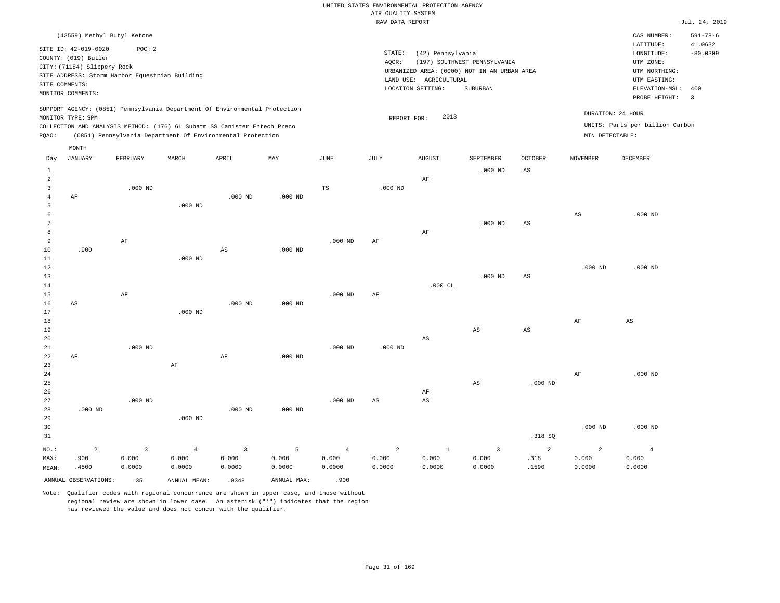|                |                             |                                                |                                                                            |                        |             |                | RAW DATA REPORT |                        |                                             |                        |                 |                                 | Jul. 24, 2019  |
|----------------|-----------------------------|------------------------------------------------|----------------------------------------------------------------------------|------------------------|-------------|----------------|-----------------|------------------------|---------------------------------------------|------------------------|-----------------|---------------------------------|----------------|
|                | (43559) Methyl Butyl Ketone |                                                |                                                                            |                        |             |                |                 |                        |                                             |                        |                 | CAS NUMBER:                     | $591 - 78 - 6$ |
|                |                             |                                                |                                                                            |                        |             |                |                 |                        |                                             |                        |                 | LATITUDE:                       | 41.0632        |
|                | SITE ID: 42-019-0020        | POC: 2                                         |                                                                            |                        |             |                | STATE:          | (42) Pennsylvania      |                                             |                        |                 | LONGITUDE:                      | $-80.0309$     |
|                | COUNTY: (019) Butler        |                                                |                                                                            |                        |             |                | AQCR:           |                        | (197) SOUTHWEST PENNSYLVANIA                |                        |                 | UTM ZONE:                       |                |
|                | CITY: (71184) Slippery Rock |                                                |                                                                            |                        |             |                |                 |                        | URBANIZED AREA: (0000) NOT IN AN URBAN AREA |                        |                 | UTM NORTHING:                   |                |
|                |                             | SITE ADDRESS: Storm Harbor Equestrian Building |                                                                            |                        |             |                |                 | LAND USE: AGRICULTURAL |                                             |                        |                 | UTM EASTING:                    |                |
|                | SITE COMMENTS:              |                                                |                                                                            |                        |             |                |                 | LOCATION SETTING:      | SUBURBAN                                    |                        |                 | ELEVATION-MSL:                  | 400            |
|                | MONITOR COMMENTS:           |                                                |                                                                            |                        |             |                |                 |                        |                                             |                        |                 | PROBE HEIGHT:                   | $\overline{3}$ |
|                |                             |                                                | SUPPORT AGENCY: (0851) Pennsylvania Department Of Environmental Protection |                        |             |                |                 |                        |                                             |                        |                 |                                 |                |
|                | MONITOR TYPE: SPM           |                                                |                                                                            |                        |             |                | REPORT FOR:     | 2013                   |                                             |                        |                 | DURATION: 24 HOUR               |                |
|                |                             |                                                | COLLECTION AND ANALYSIS METHOD: (176) 6L Subatm SS Canister Entech Preco   |                        |             |                |                 |                        |                                             |                        |                 | UNITS: Parts per billion Carbon |                |
| PQAO:          |                             |                                                | (0851) Pennsylvania Department Of Environmental Protection                 |                        |             |                |                 |                        |                                             |                        | MIN DETECTABLE: |                                 |                |
|                | MONTH                       |                                                |                                                                            |                        |             |                |                 |                        |                                             |                        |                 |                                 |                |
| Day            | <b>JANUARY</b>              | FEBRUARY                                       | MARCH                                                                      | APRIL                  | MAY         | JUNE           | JULY            | <b>AUGUST</b>          | SEPTEMBER                                   | <b>OCTOBER</b>         | <b>NOVEMBER</b> | <b>DECEMBER</b>                 |                |
| $\mathbf{1}$   |                             |                                                |                                                                            |                        |             |                |                 |                        | $.000$ ND                                   | AS                     |                 |                                 |                |
| $\overline{a}$ |                             |                                                |                                                                            |                        |             |                |                 | AF                     |                                             |                        |                 |                                 |                |
| $\overline{3}$ |                             | $.000$ ND                                      |                                                                            |                        |             | TS             | $.000$ ND       |                        |                                             |                        |                 |                                 |                |
| $\overline{4}$ | AF                          |                                                |                                                                            | $.000$ ND              | $.000$ ND   |                |                 |                        |                                             |                        |                 |                                 |                |
| 5              |                             |                                                | $.000$ ND                                                                  |                        |             |                |                 |                        |                                             |                        |                 |                                 |                |
| 6              |                             |                                                |                                                                            |                        |             |                |                 |                        |                                             |                        | $_{\rm AS}$     | $.000$ ND                       |                |
| 7              |                             |                                                |                                                                            |                        |             |                |                 |                        | $.000$ ND                                   | AS                     |                 |                                 |                |
| 8              |                             |                                                |                                                                            |                        |             |                |                 | AF                     |                                             |                        |                 |                                 |                |
| 9              |                             | AF                                             |                                                                            |                        |             | $.000$ ND      | AF              |                        |                                             |                        |                 |                                 |                |
| 10             | .900                        |                                                |                                                                            | $\mathbb{A}\mathbb{S}$ | $.000$ ND   |                |                 |                        |                                             |                        |                 |                                 |                |
| 11             |                             |                                                | $.000$ ND                                                                  |                        |             |                |                 |                        |                                             |                        |                 |                                 |                |
| 12             |                             |                                                |                                                                            |                        |             |                |                 |                        |                                             |                        | $.000$ ND       | $.000$ ND                       |                |
| 13             |                             |                                                |                                                                            |                        |             |                |                 |                        | $.000$ ND                                   | $_{\rm AS}$            |                 |                                 |                |
| 14             |                             |                                                |                                                                            |                        |             |                |                 | $.000$ CL              |                                             |                        |                 |                                 |                |
| 15             |                             | AF                                             |                                                                            |                        |             | $.000$ ND      | AF              |                        |                                             |                        |                 |                                 |                |
| 16             | AS                          |                                                |                                                                            | $.000$ ND              | $.000$ ND   |                |                 |                        |                                             |                        |                 |                                 |                |
| 17             |                             |                                                | $.000$ ND                                                                  |                        |             |                |                 |                        |                                             |                        |                 |                                 |                |
| 18             |                             |                                                |                                                                            |                        |             |                |                 |                        |                                             |                        | AF              | AS                              |                |
| 19             |                             |                                                |                                                                            |                        |             |                |                 |                        | AS                                          | $\mathbb{A}\mathbb{S}$ |                 |                                 |                |
| 20             |                             |                                                |                                                                            |                        |             |                |                 | AS                     |                                             |                        |                 |                                 |                |
| 21             |                             | $.000$ ND                                      |                                                                            |                        |             | $.000$ ND      | $.000$ ND       |                        |                                             |                        |                 |                                 |                |
| 22             | AF                          |                                                |                                                                            | $\rm AF$               | $.000$ ND   |                |                 |                        |                                             |                        |                 |                                 |                |
| 23             |                             |                                                | $\rm{AF}$                                                                  |                        |             |                |                 |                        |                                             |                        |                 |                                 |                |
| 24             |                             |                                                |                                                                            |                        |             |                |                 |                        |                                             |                        | AF              | $.000$ ND                       |                |
| 25             |                             |                                                |                                                                            |                        |             |                |                 |                        | $\mathbb{A}\mathbb{S}$                      | $.000$ ND              |                 |                                 |                |
| 26             |                             |                                                |                                                                            |                        |             |                |                 | AF                     |                                             |                        |                 |                                 |                |
| 27             |                             | $.000$ ND                                      |                                                                            |                        |             | $.000$ ND      | AS              | $\mathbb{A}\mathbb{S}$ |                                             |                        |                 |                                 |                |
| 28             | $.000$ ND                   |                                                |                                                                            | $.000$ ND              | $.000$ ND   |                |                 |                        |                                             |                        |                 |                                 |                |
| 29             |                             |                                                | $.000$ ND                                                                  |                        |             |                |                 |                        |                                             |                        |                 |                                 |                |
| 30             |                             |                                                |                                                                            |                        |             |                |                 |                        |                                             |                        | $.000$ ND       | $.000$ ND                       |                |
| 31             |                             |                                                |                                                                            |                        |             |                |                 |                        |                                             | .318 SQ                |                 |                                 |                |
| NO.:           | $\overline{2}$              | $\overline{3}$                                 | $\overline{4}$                                                             | $\overline{3}$         | 5           | $\overline{4}$ | $\overline{2}$  | $\mathbf{1}$           | $\overline{3}$                              | $\overline{a}$         | $\overline{a}$  | $\overline{4}$                  |                |
| MAX:           | .900                        | 0.000                                          | 0.000                                                                      | 0.000                  | 0.000       | 0.000          | 0.000           | 0.000                  | 0.000                                       | .318                   | 0.000           | 0.000                           |                |
| MEAN:          | .4500                       | 0.0000                                         | 0.0000                                                                     | 0.0000                 | 0.0000      | 0.0000         | 0.0000          | 0.0000                 | 0.0000                                      | .1590                  | 0.0000          | 0.0000                          |                |
|                | ANNUAL OBSERVATIONS:        | 35                                             | ANNUAL MEAN:                                                               | .0348                  | ANNUAL MAX: | .900           |                 |                        |                                             |                        |                 |                                 |                |
|                |                             |                                                |                                                                            |                        |             |                |                 |                        |                                             |                        |                 |                                 |                |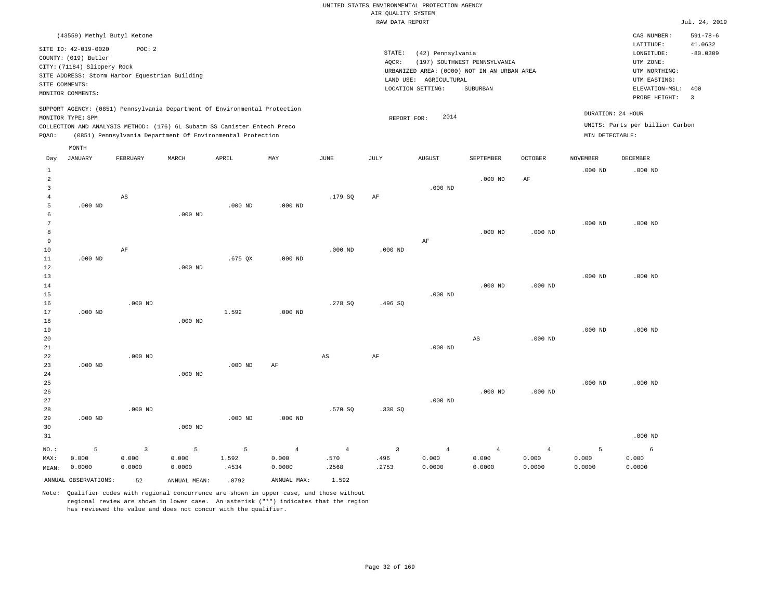|                     |                                                                                                                                                    |                |              |                                                            |                |                | <br>RAW DATA REPORT     |                                                                  |                                                                                         |                |                   |                                                                                                          | Jul. 24, 2019                                  |
|---------------------|----------------------------------------------------------------------------------------------------------------------------------------------------|----------------|--------------|------------------------------------------------------------|----------------|----------------|-------------------------|------------------------------------------------------------------|-----------------------------------------------------------------------------------------|----------------|-------------------|----------------------------------------------------------------------------------------------------------|------------------------------------------------|
|                     | (43559) Methyl Butyl Ketone                                                                                                                        |                |              |                                                            |                |                |                         |                                                                  |                                                                                         |                |                   | CAS NUMBER:                                                                                              | $591 - 78 - 6$                                 |
| SITE COMMENTS:      | SITE ID: 42-019-0020<br>COUNTY: (019) Butler<br>CITY: (71184) Slippery Rock<br>SITE ADDRESS: Storm Harbor Equestrian Building<br>MONITOR COMMENTS: | POC: 2         |              |                                                            |                |                | STATE:<br>AQCR:         | (42) Pennsylvania<br>LAND USE: AGRICULTURAL<br>LOCATION SETTING: | (197) SOUTHWEST PENNSYLVANIA<br>URBANIZED AREA: (0000) NOT IN AN URBAN AREA<br>SUBURBAN |                |                   | LATITUDE:<br>LONGITUDE:<br>UTM ZONE:<br>UTM NORTHING:<br>UTM EASTING:<br>ELEVATION-MSL:<br>PROBE HEIGHT: | 41.0632<br>$-80.0309$<br>400<br>$\overline{3}$ |
|                     | SUPPORT AGENCY: (0851) Pennsylvania Department Of Environmental Protection                                                                         |                |              |                                                            |                |                |                         |                                                                  |                                                                                         |                | DURATION: 24 HOUR |                                                                                                          |                                                |
|                     | MONITOR TYPE: SPM                                                                                                                                  |                |              |                                                            |                |                | REPORT FOR:             | 2014                                                             |                                                                                         |                |                   | UNITS: Parts per billion Carbon                                                                          |                                                |
| PQAO:               | COLLECTION AND ANALYSIS METHOD: (176) 6L Subatm SS Canister Entech Preco                                                                           |                |              | (0851) Pennsylvania Department Of Environmental Protection |                |                |                         |                                                                  |                                                                                         |                | MIN DETECTABLE:   |                                                                                                          |                                                |
|                     |                                                                                                                                                    |                |              |                                                            |                |                |                         |                                                                  |                                                                                         |                |                   |                                                                                                          |                                                |
| Day                 | MONTH<br>JANUARY                                                                                                                                   | FEBRUARY       | MARCH        | APRIL                                                      | MAY            | <b>JUNE</b>    | JULY                    | <b>AUGUST</b>                                                    | SEPTEMBER                                                                               | <b>OCTOBER</b> | <b>NOVEMBER</b>   | <b>DECEMBER</b>                                                                                          |                                                |
| $\mathbf{1}$        |                                                                                                                                                    |                |              |                                                            |                |                |                         |                                                                  |                                                                                         |                | $.000$ ND         | $.000$ ND                                                                                                |                                                |
| $\overline{2}$      |                                                                                                                                                    |                |              |                                                            |                |                |                         |                                                                  | $.000$ ND                                                                               | $\rm{AF}$      |                   |                                                                                                          |                                                |
| $\overline{3}$      |                                                                                                                                                    |                |              |                                                            |                |                |                         | $.000$ ND                                                        |                                                                                         |                |                   |                                                                                                          |                                                |
| $\overline{4}$<br>5 | $.000$ ND                                                                                                                                          | AS             |              | $.000$ ND                                                  | $.000$ ND      | .179 SQ        | AF                      |                                                                  |                                                                                         |                |                   |                                                                                                          |                                                |
| 6                   |                                                                                                                                                    |                | $.000$ ND    |                                                            |                |                |                         |                                                                  |                                                                                         |                |                   |                                                                                                          |                                                |
| $\overline{7}$      |                                                                                                                                                    |                |              |                                                            |                |                |                         |                                                                  |                                                                                         |                | $.000$ ND         | $.000$ ND                                                                                                |                                                |
| 8                   |                                                                                                                                                    |                |              |                                                            |                |                |                         |                                                                  | $.000$ ND                                                                               | $.000$ ND      |                   |                                                                                                          |                                                |
| 9                   |                                                                                                                                                    |                |              |                                                            |                |                |                         | AF                                                               |                                                                                         |                |                   |                                                                                                          |                                                |
| 10                  |                                                                                                                                                    | AF             |              |                                                            |                | $.000$ ND      | $.000$ ND               |                                                                  |                                                                                         |                |                   |                                                                                                          |                                                |
| 11                  | $.000$ ND                                                                                                                                          |                |              | $.675$ QX                                                  | $.000$ ND      |                |                         |                                                                  |                                                                                         |                |                   |                                                                                                          |                                                |
| 12                  |                                                                                                                                                    |                | $.000$ ND    |                                                            |                |                |                         |                                                                  |                                                                                         |                |                   |                                                                                                          |                                                |
| 13                  |                                                                                                                                                    |                |              |                                                            |                |                |                         |                                                                  |                                                                                         |                | $.000$ ND         | $.000$ ND                                                                                                |                                                |
| 14                  |                                                                                                                                                    |                |              |                                                            |                |                |                         |                                                                  | $.000$ ND                                                                               | $.000$ ND      |                   |                                                                                                          |                                                |
| 15                  |                                                                                                                                                    |                |              |                                                            |                |                |                         | $.000$ ND                                                        |                                                                                         |                |                   |                                                                                                          |                                                |
| 16                  |                                                                                                                                                    | $.000$ ND      |              |                                                            |                | .278 SQ        | .496SQ                  |                                                                  |                                                                                         |                |                   |                                                                                                          |                                                |
| 17                  | $.000$ ND                                                                                                                                          |                |              | 1.592                                                      | $.000$ ND      |                |                         |                                                                  |                                                                                         |                |                   |                                                                                                          |                                                |
| 18                  |                                                                                                                                                    |                | $.000$ ND    |                                                            |                |                |                         |                                                                  |                                                                                         |                |                   |                                                                                                          |                                                |
| 19                  |                                                                                                                                                    |                |              |                                                            |                |                |                         |                                                                  |                                                                                         |                | $.000$ ND         | $.000$ ND                                                                                                |                                                |
| 20<br>$2\sqrt{1}$   |                                                                                                                                                    |                |              |                                                            |                |                |                         | $.000$ ND                                                        | AS                                                                                      | $.000$ ND      |                   |                                                                                                          |                                                |
| 22                  |                                                                                                                                                    | $.000$ ND      |              |                                                            |                | $_{\rm AS}$    | AF                      |                                                                  |                                                                                         |                |                   |                                                                                                          |                                                |
| 23                  | $.000$ ND                                                                                                                                          |                |              | $.000$ ND                                                  | AF             |                |                         |                                                                  |                                                                                         |                |                   |                                                                                                          |                                                |
| 24                  |                                                                                                                                                    |                | $.000$ ND    |                                                            |                |                |                         |                                                                  |                                                                                         |                |                   |                                                                                                          |                                                |
| 25                  |                                                                                                                                                    |                |              |                                                            |                |                |                         |                                                                  |                                                                                         |                | $.000$ ND         | $.000$ ND                                                                                                |                                                |
| 26                  |                                                                                                                                                    |                |              |                                                            |                |                |                         |                                                                  | $.000$ ND                                                                               | $.000$ ND      |                   |                                                                                                          |                                                |
| 27                  |                                                                                                                                                    |                |              |                                                            |                |                |                         | $.000$ ND                                                        |                                                                                         |                |                   |                                                                                                          |                                                |
| 28                  |                                                                                                                                                    | $.000$ ND      |              |                                                            |                | .570 SQ        | .330 SQ                 |                                                                  |                                                                                         |                |                   |                                                                                                          |                                                |
| 29                  | $.000$ ND                                                                                                                                          |                |              | $.000$ ND                                                  | $.000$ ND      |                |                         |                                                                  |                                                                                         |                |                   |                                                                                                          |                                                |
| 30                  |                                                                                                                                                    |                | $.000$ ND    |                                                            |                |                |                         |                                                                  |                                                                                         |                |                   |                                                                                                          |                                                |
| 31                  |                                                                                                                                                    |                |              |                                                            |                |                |                         |                                                                  |                                                                                         |                |                   | $.000$ ND                                                                                                |                                                |
| NO.:                | 5                                                                                                                                                  | $\overline{3}$ | 5            | 5                                                          | $\overline{4}$ | $\overline{4}$ | $\overline{\mathbf{3}}$ | $\overline{4}$                                                   | $\overline{4}$                                                                          | $\overline{4}$ | 5                 | 6                                                                                                        |                                                |
| MAX:                | 0.000                                                                                                                                              | 0.000          | 0.000        | 1.592                                                      | 0.000          | .570           | .496                    | 0.000                                                            | 0.000                                                                                   | 0.000          | 0.000             | 0.000                                                                                                    |                                                |
| MEAN:               | 0.0000                                                                                                                                             | 0.0000         | 0.0000       | .4534                                                      | 0.0000         | .2568          | .2753                   | 0.0000                                                           | 0.0000                                                                                  | 0.0000         | 0.0000            | 0.0000                                                                                                   |                                                |
|                     | ANNUAL OBSERVATIONS:                                                                                                                               | 52             | ANNUAL MEAN: | .0792                                                      | ANNUAL MAX:    | 1.592          |                         |                                                                  |                                                                                         |                |                   |                                                                                                          |                                                |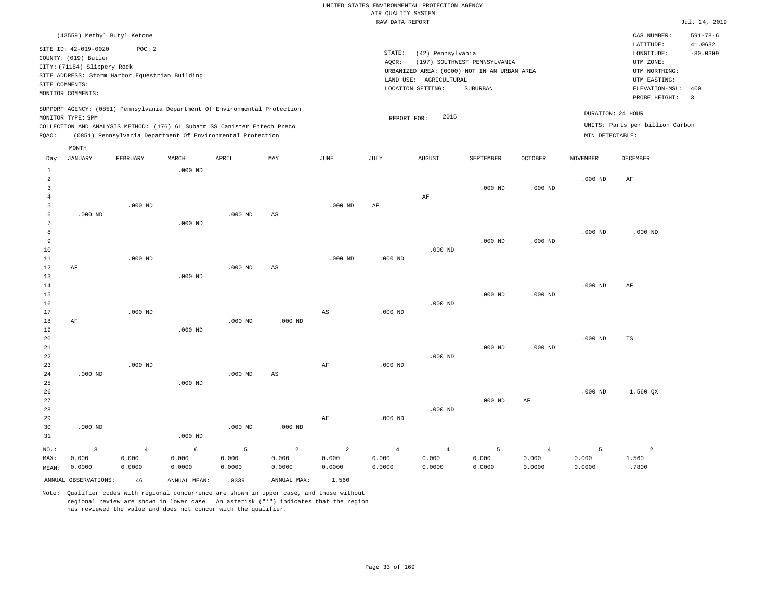|                                                                                        |                                                                                                                    |                                                          |              |                                                                            |                |                | RAW DATA REPORT                                                                                               |                                                                                                 |                              |                |                 |                                 | Jul. 24, 2019             |
|----------------------------------------------------------------------------------------|--------------------------------------------------------------------------------------------------------------------|----------------------------------------------------------|--------------|----------------------------------------------------------------------------|----------------|----------------|---------------------------------------------------------------------------------------------------------------|-------------------------------------------------------------------------------------------------|------------------------------|----------------|-----------------|---------------------------------|---------------------------|
|                                                                                        | (43559) Methyl Butyl Ketone                                                                                        |                                                          |              |                                                                            |                |                |                                                                                                               |                                                                                                 |                              |                |                 | CAS NUMBER:<br>LATITUDE:        | $591 - 78 - 6$<br>41.0632 |
|                                                                                        | SITE ID: 42-019-0020<br>COUNTY: (019) Butler<br>CITY: (71184) Slippery Rock<br>SITE COMMENTS:<br>MONITOR COMMENTS: | POC: 2<br>SITE ADDRESS: Storm Harbor Equestrian Building |              |                                                                            |                |                | STATE:<br>AQCR:<br>URBANIZED AREA: (0000) NOT IN AN URBAN AREA<br>LAND USE: AGRICULTURAL<br>LOCATION SETTING: | LONGITUDE:<br>UTM ZONE:<br>UTM NORTHING:<br>UTM EASTING:<br>ELEVATION-MSL: 400<br>PROBE HEIGHT: | $-80.0309$<br>$\overline{3}$ |                |                 |                                 |                           |
|                                                                                        |                                                                                                                    |                                                          |              | SUPPORT AGENCY: (0851) Pennsylvania Department Of Environmental Protection |                |                |                                                                                                               |                                                                                                 |                              |                |                 | DURATION: 24 HOUR               |                           |
|                                                                                        | MONITOR TYPE: SPM                                                                                                  |                                                          |              |                                                                            |                |                | REPORT FOR:                                                                                                   | 2015                                                                                            |                              |                |                 | UNITS: Parts per billion Carbon |                           |
|                                                                                        |                                                                                                                    |                                                          |              | COLLECTION AND ANALYSIS METHOD: (176) 6L Subatm SS Canister Entech Preco   |                |                |                                                                                                               |                                                                                                 |                              |                |                 |                                 |                           |
| (0851) Pennsylvania Department Of Environmental Protection<br>MIN DETECTABLE:<br>PQAO: |                                                                                                                    |                                                          |              |                                                                            |                |                |                                                                                                               |                                                                                                 |                              |                |                 |                                 |                           |
|                                                                                        | MONTH                                                                                                              |                                                          |              |                                                                            |                |                |                                                                                                               |                                                                                                 |                              |                |                 |                                 |                           |
| Day                                                                                    | JANUARY                                                                                                            | FEBRUARY                                                 | MARCH        | APRIL                                                                      | MAY            | JUNE           | JULY                                                                                                          | <b>AUGUST</b>                                                                                   | SEPTEMBER                    | <b>OCTOBER</b> | <b>NOVEMBER</b> | DECEMBER                        |                           |
| $\mathbf{1}$                                                                           |                                                                                                                    |                                                          | $.000$ ND    |                                                                            |                |                |                                                                                                               |                                                                                                 |                              |                |                 |                                 |                           |
| $\overline{a}$                                                                         |                                                                                                                    |                                                          |              |                                                                            |                |                |                                                                                                               |                                                                                                 |                              |                | $.000$ ND       | AF                              |                           |
| $\overline{3}$<br>$\overline{4}$                                                       |                                                                                                                    |                                                          |              |                                                                            |                |                |                                                                                                               | AF                                                                                              | $.000$ ND                    | $.000$ ND      |                 |                                 |                           |
| 5                                                                                      |                                                                                                                    | $.000$ ND                                                |              |                                                                            |                | $.000$ ND      | AF                                                                                                            |                                                                                                 |                              |                |                 |                                 |                           |
| 6                                                                                      | $.000$ ND                                                                                                          |                                                          |              | $.000$ ND                                                                  | AS             |                |                                                                                                               |                                                                                                 |                              |                |                 |                                 |                           |
| $7\phantom{.0}$                                                                        |                                                                                                                    |                                                          | $.000$ ND    |                                                                            |                |                |                                                                                                               |                                                                                                 |                              |                |                 |                                 |                           |
| 8                                                                                      |                                                                                                                    |                                                          |              |                                                                            |                |                |                                                                                                               |                                                                                                 |                              |                | $.000$ ND       | $.000$ ND                       |                           |
| 9                                                                                      |                                                                                                                    |                                                          |              |                                                                            |                |                |                                                                                                               |                                                                                                 | $.000$ ND                    | $.000$ ND      |                 |                                 |                           |
| 10                                                                                     |                                                                                                                    |                                                          |              |                                                                            |                |                |                                                                                                               | $.000$ ND                                                                                       |                              |                |                 |                                 |                           |
| 11                                                                                     |                                                                                                                    | $.000$ ND                                                |              |                                                                            |                | $.000$ ND      | $.000$ ND                                                                                                     |                                                                                                 |                              |                |                 |                                 |                           |
| 12                                                                                     | AF                                                                                                                 |                                                          |              | $.000$ ND                                                                  | AS             |                |                                                                                                               |                                                                                                 |                              |                |                 |                                 |                           |
| 13                                                                                     |                                                                                                                    |                                                          | $.000$ ND    |                                                                            |                |                |                                                                                                               |                                                                                                 |                              |                |                 |                                 |                           |
| 14                                                                                     |                                                                                                                    |                                                          |              |                                                                            |                |                |                                                                                                               |                                                                                                 |                              |                | $.000$ ND       | AF                              |                           |
| 15<br>16                                                                               |                                                                                                                    |                                                          |              |                                                                            |                |                |                                                                                                               | $.000$ ND                                                                                       | $.000$ ND                    | $.000$ ND      |                 |                                 |                           |
| 17                                                                                     |                                                                                                                    | $.000$ ND                                                |              |                                                                            |                | AS             | $.000$ ND                                                                                                     |                                                                                                 |                              |                |                 |                                 |                           |
| 18                                                                                     | AF                                                                                                                 |                                                          |              | $.000$ ND                                                                  | $.000$ ND      |                |                                                                                                               |                                                                                                 |                              |                |                 |                                 |                           |
| 19                                                                                     |                                                                                                                    |                                                          | $.000$ ND    |                                                                            |                |                |                                                                                                               |                                                                                                 |                              |                |                 |                                 |                           |
| 20                                                                                     |                                                                                                                    |                                                          |              |                                                                            |                |                |                                                                                                               |                                                                                                 |                              |                | $.000$ ND       | TS                              |                           |
| 21                                                                                     |                                                                                                                    |                                                          |              |                                                                            |                |                |                                                                                                               |                                                                                                 | $.000$ ND                    | $.000$ ND      |                 |                                 |                           |
| 22                                                                                     |                                                                                                                    |                                                          |              |                                                                            |                |                |                                                                                                               | $.000$ ND                                                                                       |                              |                |                 |                                 |                           |
| 23                                                                                     |                                                                                                                    | $.000$ ND                                                |              |                                                                            |                | AF             | $.000$ ND                                                                                                     |                                                                                                 |                              |                |                 |                                 |                           |
| 24                                                                                     | $.000$ ND                                                                                                          |                                                          |              | $.000$ ND                                                                  | AS             |                |                                                                                                               |                                                                                                 |                              |                |                 |                                 |                           |
| 25<br>26                                                                               |                                                                                                                    |                                                          | $.000$ ND    |                                                                            |                |                |                                                                                                               |                                                                                                 |                              |                | $.000$ ND       | 1.560 QX                        |                           |
| 27                                                                                     |                                                                                                                    |                                                          |              |                                                                            |                |                |                                                                                                               |                                                                                                 | $.000$ ND                    | $\rm AF$       |                 |                                 |                           |
| 28                                                                                     |                                                                                                                    |                                                          |              |                                                                            |                |                |                                                                                                               | $.000$ ND                                                                                       |                              |                |                 |                                 |                           |
| 29                                                                                     |                                                                                                                    |                                                          |              |                                                                            |                | AF             | $.000$ ND                                                                                                     |                                                                                                 |                              |                |                 |                                 |                           |
| 30                                                                                     | $.000$ ND                                                                                                          |                                                          |              | $.000$ ND                                                                  | $.000$ ND      |                |                                                                                                               |                                                                                                 |                              |                |                 |                                 |                           |
| 31                                                                                     |                                                                                                                    |                                                          | $.000$ ND    |                                                                            |                |                |                                                                                                               |                                                                                                 |                              |                |                 |                                 |                           |
| NO.:                                                                                   | 3                                                                                                                  | $\overline{4}$                                           | 6            | 5                                                                          | $\overline{a}$ | $\overline{2}$ | $\overline{4}$                                                                                                | $\overline{4}$                                                                                  | 5                            | $\overline{4}$ | 5               | $\overline{a}$                  |                           |
| MAX:                                                                                   | 0.000                                                                                                              | 0.000                                                    | 0.000        | 0.000                                                                      | 0.000          | 0.000          | 0.000                                                                                                         | 0.000                                                                                           | 0.000                        | 0.000          | 0.000           | 1.560                           |                           |
| MEAN:                                                                                  | 0.0000                                                                                                             | 0.0000                                                   | 0.0000       | 0.0000                                                                     | 0.0000         | 0.0000         | 0.0000                                                                                                        | 0.0000                                                                                          | 0.0000                       | 0.0000         | 0.0000          | .7800                           |                           |
|                                                                                        | ANNUAL OBSERVATIONS:                                                                                               | 46                                                       | ANNUAL MEAN: | .0339                                                                      | ANNUAL MAX:    | 1.560          |                                                                                                               |                                                                                                 |                              |                |                 |                                 |                           |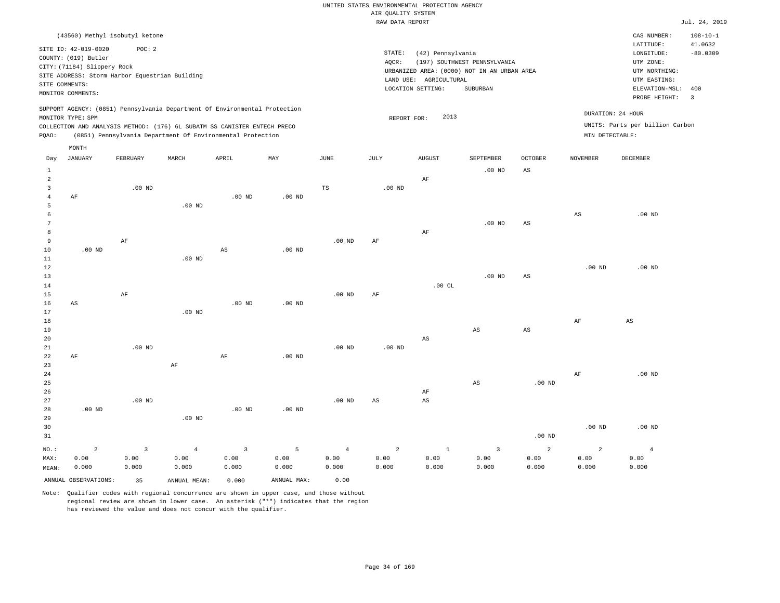|                |                                                |                |                                                                            |                   |                   |                   | RAW DATA REPORT                             |                        |                        |                   |                   |                                 | Jul. 24, 2019  |
|----------------|------------------------------------------------|----------------|----------------------------------------------------------------------------|-------------------|-------------------|-------------------|---------------------------------------------|------------------------|------------------------|-------------------|-------------------|---------------------------------|----------------|
|                | (43560) Methyl isobutyl ketone                 |                |                                                                            |                   |                   |                   |                                             |                        |                        |                   |                   | CAS NUMBER:                     | $108 - 10 - 1$ |
|                | SITE ID: 42-019-0020                           | POC: 2         |                                                                            |                   |                   |                   |                                             |                        |                        |                   |                   | LATITUDE:                       | 41.0632        |
|                | COUNTY: (019) Butler                           |                |                                                                            |                   |                   |                   | STATE:                                      | (42) Pennsylvania      |                        |                   |                   | LONGITUDE:                      | $-80.0309$     |
|                | CITY: (71184) Slippery Rock                    |                |                                                                            |                   |                   |                   | AQCR:                                       | UTM ZONE:              |                        |                   |                   |                                 |                |
|                |                                                |                |                                                                            |                   |                   |                   | URBANIZED AREA: (0000) NOT IN AN URBAN AREA | UTM NORTHING:          |                        |                   |                   |                                 |                |
|                | SITE ADDRESS: Storm Harbor Equestrian Building |                |                                                                            |                   |                   |                   |                                             | LAND USE: AGRICULTURAL |                        |                   |                   | UTM EASTING:                    |                |
| SITE COMMENTS: |                                                |                |                                                                            |                   |                   |                   |                                             | LOCATION SETTING:      | SUBURBAN               |                   |                   | ELEVATION-MSL:                  | 400            |
|                | MONITOR COMMENTS:                              |                |                                                                            |                   |                   |                   |                                             |                        |                        |                   |                   | PROBE HEIGHT:                   | $\overline{3}$ |
|                |                                                |                | SUPPORT AGENCY: (0851) Pennsylvania Department Of Environmental Protection |                   |                   |                   |                                             |                        |                        |                   |                   |                                 |                |
|                | MONITOR TYPE: SPM                              |                |                                                                            |                   |                   |                   | REPORT FOR:                                 | 2013                   |                        |                   |                   | DURATION: 24 HOUR               |                |
|                |                                                |                | COLLECTION AND ANALYSIS METHOD: (176) 6L SUBATM SS CANISTER ENTECH PRECO   |                   |                   |                   |                                             |                        |                        |                   |                   | UNITS: Parts per billion Carbon |                |
| PQAO:          |                                                |                | (0851) Pennsylvania Department Of Environmental Protection                 |                   |                   |                   |                                             |                        |                        |                   | MIN DETECTABLE:   |                                 |                |
|                | MONTH                                          |                |                                                                            |                   |                   |                   |                                             |                        |                        |                   |                   |                                 |                |
| Day            | <b>JANUARY</b>                                 | FEBRUARY       | MARCH                                                                      | APRIL             | MAY               | JUNE              | JULY                                        | <b>AUGUST</b>          | SEPTEMBER              | <b>OCTOBER</b>    | <b>NOVEMBER</b>   | <b>DECEMBER</b>                 |                |
| $\,$ $\,$ $\,$ |                                                |                |                                                                            |                   |                   |                   |                                             |                        | $.00$ ND               | AS                |                   |                                 |                |
| $\overline{a}$ |                                                |                |                                                                            |                   |                   |                   |                                             | $\rm AF$               |                        |                   |                   |                                 |                |
| $\overline{3}$ |                                                | $.00$ ND       |                                                                            |                   |                   | TS                | $.00$ ND                                    |                        |                        |                   |                   |                                 |                |
| $\overline{4}$ | AF                                             |                |                                                                            | $.00$ ND          | $.00$ ND          |                   |                                             |                        |                        |                   |                   |                                 |                |
| 5              |                                                |                | $.00$ ND                                                                   |                   |                   |                   |                                             |                        |                        |                   |                   |                                 |                |
| 6              |                                                |                |                                                                            |                   |                   |                   |                                             |                        |                        |                   | $_{\rm AS}$       | $.00$ ND                        |                |
| 7              |                                                |                |                                                                            |                   |                   |                   |                                             |                        | $.00$ ND               | AS                |                   |                                 |                |
| 8              |                                                |                |                                                                            |                   |                   |                   |                                             | $\rm{AF}$              |                        |                   |                   |                                 |                |
| 9              |                                                | AF             |                                                                            |                   |                   | $.00$ ND          | AF                                          |                        |                        |                   |                   |                                 |                |
| 10             | $.00$ ND                                       |                |                                                                            | $_{\rm AS}$       | $.00$ ND          |                   |                                             |                        |                        |                   |                   |                                 |                |
| 11             |                                                |                | $.00$ ND                                                                   |                   |                   |                   |                                             |                        |                        |                   |                   |                                 |                |
| 12             |                                                |                |                                                                            |                   |                   |                   |                                             |                        |                        |                   | .00 <sub>ND</sub> | $.00$ ND                        |                |
| 13             |                                                |                |                                                                            |                   |                   |                   |                                             |                        | $.00$ ND               | $_{\rm AS}$       |                   |                                 |                |
| 14             |                                                |                |                                                                            |                   |                   |                   |                                             | .00CL                  |                        |                   |                   |                                 |                |
| 15             |                                                | AF             |                                                                            |                   |                   | .00 <sub>ND</sub> | AF                                          |                        |                        |                   |                   |                                 |                |
| 16             | AS                                             |                |                                                                            | .00 <sub>ND</sub> | .00 <sub>ND</sub> |                   |                                             |                        |                        |                   |                   |                                 |                |
| 17             |                                                |                | $.00$ ND                                                                   |                   |                   |                   |                                             |                        |                        |                   |                   |                                 |                |
| 18             |                                                |                |                                                                            |                   |                   |                   |                                             |                        |                        |                   | AF                | AS                              |                |
| 19             |                                                |                |                                                                            |                   |                   |                   |                                             |                        | $\mathbb{A}\mathbb{S}$ | $_{\rm AS}$       |                   |                                 |                |
| 20             |                                                |                |                                                                            |                   |                   |                   |                                             | AS                     |                        |                   |                   |                                 |                |
| 21             |                                                | $.00$ ND       |                                                                            |                   |                   | $.00$ ND          | .00 <sub>ND</sub>                           |                        |                        |                   |                   |                                 |                |
| 22<br>23       | AF                                             |                |                                                                            | $\rm{AF}$         | .00 <sub>ND</sub> |                   |                                             |                        |                        |                   |                   |                                 |                |
|                |                                                |                | $\rm{AF}$                                                                  |                   |                   |                   |                                             |                        |                        |                   |                   |                                 |                |
| 24<br>25       |                                                |                |                                                                            |                   |                   |                   |                                             |                        | $_{\rm AS}$            | .00 <sub>ND</sub> | AF                | $.00$ ND                        |                |
| 26             |                                                |                |                                                                            |                   |                   |                   |                                             | AF                     |                        |                   |                   |                                 |                |
| 27             |                                                | $.00$ ND       |                                                                            |                   |                   | $.00$ ND          | AS                                          | $_{\rm AS}$            |                        |                   |                   |                                 |                |
| 28             | $.00$ ND                                       |                |                                                                            | .00 <sub>ND</sub> | .00 <sub>ND</sub> |                   |                                             |                        |                        |                   |                   |                                 |                |
| 29             |                                                |                | $.00$ ND                                                                   |                   |                   |                   |                                             |                        |                        |                   |                   |                                 |                |
| 30             |                                                |                |                                                                            |                   |                   |                   |                                             |                        |                        |                   | .00 <sub>ND</sub> | $.00$ ND                        |                |
| 31             |                                                |                |                                                                            |                   |                   |                   |                                             |                        |                        | $.00$ ND          |                   |                                 |                |
|                |                                                |                |                                                                            |                   |                   |                   |                                             |                        |                        |                   |                   |                                 |                |
| NO.:           | $\overline{a}$                                 | $\overline{3}$ | $\overline{4}$                                                             | $\overline{3}$    | 5                 | $\overline{4}$    | 2                                           | $\mathbf{1}$           | $\overline{3}$         | 2                 | $\overline{a}$    | $\overline{4}$                  |                |
| MAX:           | 0.00                                           | 0.00           | 0.00                                                                       | 0.00              | 0.00              | 0.00              | 0.00                                        | 0.00                   | 0.00                   | 0.00              | 0.00              | 0.00                            |                |
| MEAN:          | 0.000                                          | 0.000          | 0.000                                                                      | 0.000             | 0.000             | 0.000             | 0.000                                       | 0.000                  | 0.000                  | 0.000             | 0.000             | 0.000                           |                |
|                | ANNUAL OBSERVATIONS:                           | 35             | ANNUAL MEAN:                                                               | 0.000             | ANNUAL MAX:       | 0.00              |                                             |                        |                        |                   |                   |                                 |                |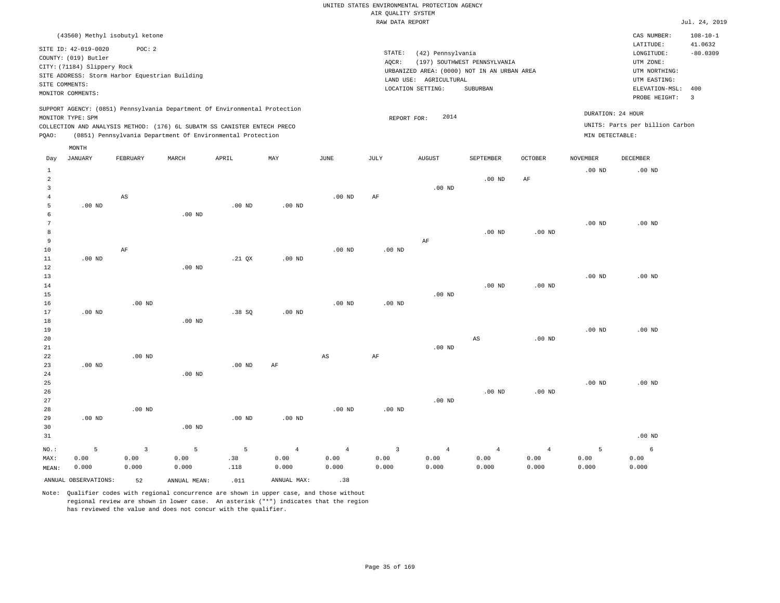#### RAW DATA REPORT JUL. 24, 2019 UNITED STATES ENVIRONMENTAL PROTECTION AGENCY AIR QUALITY SYSTEM

|                                                                                                                                                                                                                                                    | (43560) Methyl isobutyl ketone |          |       |       |     |      |        |                                                                          |                   |            |                 | CAS NUMBER:                                          | $108 - 10 - 1$ |                                     |
|----------------------------------------------------------------------------------------------------------------------------------------------------------------------------------------------------------------------------------------------------|--------------------------------|----------|-------|-------|-----|------|--------|--------------------------------------------------------------------------|-------------------|------------|-----------------|------------------------------------------------------|----------------|-------------------------------------|
|                                                                                                                                                                                                                                                    | SITE ID: 42-019-0020           |          |       |       |     |      |        |                                                                          |                   |            |                 | LATITUDE:                                            | 41.0632        |                                     |
|                                                                                                                                                                                                                                                    | POC: 2                         |          |       |       |     |      | STATE: | (42) Pennsylvania                                                        |                   | $-80.0309$ |                 |                                                      |                |                                     |
| COUNTY: (019) Butler<br>CITY: (71184) Slippery Rock<br>SITE ADDRESS: Storm Harbor Equestrian Building                                                                                                                                              |                                |          |       |       |     |      |        | (197) SOUTHWEST PENNSYLVANIA<br>AQCR:                                    |                   |            |                 |                                                      |                |                                     |
|                                                                                                                                                                                                                                                    |                                |          |       |       |     |      |        | URBANIZED AREA: (0000) NOT IN AN URBAN AREA<br>AGRICULTURAL<br>LAND USE: |                   |            |                 |                                                      |                |                                     |
|                                                                                                                                                                                                                                                    |                                |          |       |       |     |      |        |                                                                          |                   |            |                 |                                                      |                | SITE COMMENTS:<br>MONITOR COMMENTS: |
|                                                                                                                                                                                                                                                    |                                |          |       |       |     |      |        |                                                                          |                   |            |                 | PROBE HEIGHT:                                        | -3             |                                     |
| SUPPORT AGENCY: (0851) Pennsylvania Department Of Environmental Protection<br>MONITOR TYPE: SPM<br>COLLECTION AND ANALYSIS METHOD: (176) 6L SUBATM SS CANISTER ENTECH PRECO<br>(0851) Pennsylvania Department Of Environmental Protection<br>POAO: |                                |          |       |       |     |      |        | 2014<br>REPORT FOR:                                                      |                   |            | MIN DETECTABLE: | DURATION: 24 HOUR<br>UNITS: Parts per billion Carbon |                |                                     |
|                                                                                                                                                                                                                                                    | MONTH                          |          |       |       |     |      |        |                                                                          |                   |            |                 |                                                      |                |                                     |
| Day                                                                                                                                                                                                                                                | JANUARY                        | FEBRUARY | MARCH | APRIL | MAY | JUNE | JULY   | AUGUST                                                                   | SEPTEMBER         | OCTOBER    | NOVEMBER        | DECEMBER                                             |                |                                     |
|                                                                                                                                                                                                                                                    |                                |          |       |       |     |      |        |                                                                          |                   |            | $.00$ ND        | $.00$ ND                                             |                |                                     |
|                                                                                                                                                                                                                                                    |                                |          |       |       |     |      |        |                                                                          | .00 <sub>ND</sub> | AF         |                 |                                                      |                |                                     |

| MAX:          | 0.00     | 0.00                    | 0.00     | .38      | 0.00           | 0.00                   | 0.00      | 0.00           | 0.00                   | 0.00           | 0.00     | 0.00     |
|---------------|----------|-------------------------|----------|----------|----------------|------------------------|-----------|----------------|------------------------|----------------|----------|----------|
| $_{\rm NO}$ : | 5        | $\overline{\mathbf{3}}$ | 5        | 5        | $\overline{4}$ | $\overline{4}$         | 3         | $\overline{4}$ | $\overline{4}$         | $\overline{4}$ | 5        | 6        |
| 31            |          |                         |          |          |                |                        |           |                |                        |                |          | $.00$ ND |
| 30            |          |                         | $.00$ ND |          |                |                        |           |                |                        |                |          |          |
| 29            | $.00$ ND |                         |          | $.00$ ND | $.00$ ND       |                        |           |                |                        |                |          |          |
| 28            |          | $.00~\mathrm{ND}$       |          |          |                | $.00$ ND               | $.00$ ND  |                |                        |                |          |          |
| 27            |          |                         |          |          |                |                        |           | $.00$ ND       |                        |                |          |          |
| 26            |          |                         |          |          |                |                        |           |                | $.00$ ND               | $.00$ ND       |          |          |
| $25\,$        |          |                         |          |          |                |                        |           |                |                        |                | $.00$ ND | $.00$ ND |
| 24            |          |                         | $.00$ ND |          |                |                        |           |                |                        |                |          |          |
| 23            | .00 $ND$ |                         |          | $.00$ ND | $\rm{AF}$      |                        |           |                |                        |                |          |          |
| 22            |          | $.00$ ND                |          |          |                | $\mathbb{A}\mathbb{S}$ | $\rm{AF}$ |                |                        |                |          |          |
| 21            |          |                         |          |          |                |                        |           | $.00$ ND       |                        |                |          |          |
| 20            |          |                         |          |          |                |                        |           |                | $\mathbb{A}\mathbb{S}$ | .00 $ND$       |          |          |
| 19            |          |                         |          |          |                |                        |           |                |                        |                | $.00$ ND | $.00$ ND |
| 18            |          |                         | $.00$ ND |          |                |                        |           |                |                        |                |          |          |
| 17            | $.00$ ND |                         |          | .38 SQ   | $.00$ ND       |                        |           |                |                        |                |          |          |
| 16            |          | $.00$ ND                |          |          |                | $.00$ ND               | $.00$ ND  |                |                        |                |          |          |
| 15            |          |                         |          |          |                |                        |           | $.00$ ND       |                        |                |          |          |
| 14            |          |                         |          |          |                |                        |           |                | $.00$ ND               | $.00$ ND       |          |          |
| 13            |          |                         |          |          |                |                        |           |                |                        |                | $.00$ ND | $.00$ ND |
| 12            |          |                         | $.00$ ND |          |                |                        |           |                |                        |                |          |          |
| 11            | $.00$ ND |                         |          | .21 $QX$ | $.00$ ND       |                        | $.00$ ND  |                |                        |                |          |          |
| 9<br>10       |          | $\rm AF$                |          |          |                | $.00$ ND               |           | AF             |                        |                |          |          |
| 8             |          |                         |          |          |                |                        |           |                | $.00$ ND               | $.00$ ND       |          |          |
| 7             |          |                         |          |          |                |                        |           |                |                        |                | .00 $ND$ | $.00$ ND |
| 6             |          |                         | $.00$ ND |          |                |                        |           |                |                        |                |          |          |
| 5             | .00 $ND$ |                         |          | $.00$ ND | $.00$ ND       |                        |           |                |                        |                |          |          |
| 4             |          | $\mathbb{A}\mathbb{S}$  |          |          |                | $.00$ ND               | $\rm{AF}$ |                |                        |                |          |          |
| 3             |          |                         |          |          |                |                        |           | $.00$ ND       |                        |                |          |          |

0.000

Note: Qualifier codes with regional concurrence are shown in upper case, and those without regional review are shown in lower case. An asterisk ("\*") indicates that the region has reviewed the value and does not concur with the qualifier.

ANNUAL OBSERVATIONS:  $52$  ANNUAL MEAN: .011 ANNUAL MAX: .38

.118

0.000

0.000

MEAN: 0.000

0.000

0.000 0.000

0.000

0.000

0.000

0.000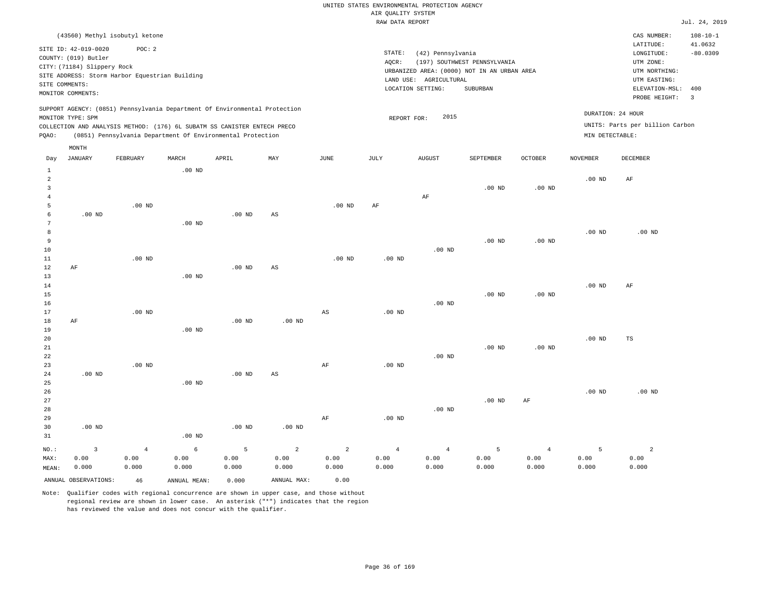|                |                             | (43560) Methyl isobutyl ketone                                           |          |       |                                                                            |      |        |                                             |                              |          |                   | CAS NUMBER:                     | $108 - 10 - 1$          |
|----------------|-----------------------------|--------------------------------------------------------------------------|----------|-------|----------------------------------------------------------------------------|------|--------|---------------------------------------------|------------------------------|----------|-------------------|---------------------------------|-------------------------|
|                |                             |                                                                          |          |       |                                                                            |      |        |                                             |                              |          |                   | LATITUDE:                       | 41.0632                 |
|                | SITE ID: 42-019-0020        | POC:2                                                                    |          |       |                                                                            |      | STATE: | (42) Pennsylvania                           |                              |          |                   | LONGITUDE:                      | $-80.0309$              |
|                | COUNTY: (019) Butler        |                                                                          |          |       |                                                                            |      | AQCR:  |                                             | (197) SOUTHWEST PENNSYLVANIA |          |                   | UTM ZONE:                       |                         |
|                | CITY: (71184) Slippery Rock |                                                                          |          |       |                                                                            |      |        | URBANIZED AREA: (0000) NOT IN AN URBAN AREA |                              |          |                   | UTM NORTHING:                   |                         |
|                |                             | SITE ADDRESS: Storm Harbor Equestrian Building                           |          |       |                                                                            |      |        | LAND USE:<br>AGRICULTURAL                   |                              |          |                   | UTM EASTING:                    |                         |
|                | SITE COMMENTS:              |                                                                          |          |       |                                                                            |      |        | LOCATION SETTING:                           | SUBURBAN                     |          |                   | ELEVATION-MSL:                  | 400                     |
|                | MONITOR COMMENTS:           |                                                                          |          |       |                                                                            |      |        |                                             |                              |          |                   | PROBE HEIGHT:                   | $\overline{\mathbf{3}}$ |
|                | MONITOR TYPE: SPM           |                                                                          |          |       | SUPPORT AGENCY: (0851) Pennsylvania Department Of Environmental Protection |      |        | 2015<br>REPORT FOR:                         |                              |          | DURATION: 24 HOUR | UNITS: Parts per billion Carbon |                         |
|                |                             | COLLECTION AND ANALYSIS METHOD: (176) 6L SUBATM SS CANISTER ENTECH PRECO |          |       |                                                                            |      |        |                                             |                              |          |                   |                                 |                         |
| POAO:          |                             | (0851) Pennsylvania Department Of Environmental Protection               |          |       |                                                                            |      |        |                                             |                              |          | MIN DETECTABLE:   |                                 |                         |
|                | MONTH                       |                                                                          |          |       |                                                                            |      |        |                                             |                              |          |                   |                                 |                         |
| Day            | JANUARY                     | FEBRUARY                                                                 | MARCH    | APRIL | MAY                                                                        | JUNE | JULY   | <b>AUGUST</b>                               | SEPTEMBER                    | OCTOBER  | NOVEMBER          | DECEMBER                        |                         |
|                |                             |                                                                          | $.00$ ND |       |                                                                            |      |        |                                             |                              |          |                   |                                 |                         |
| $\overline{2}$ |                             |                                                                          |          |       |                                                                            |      |        |                                             |                              |          | $.00$ ND          | AF                              |                         |
|                |                             |                                                                          |          |       |                                                                            |      |        |                                             | $.00$ ND                     | $.00$ ND |                   |                                 |                         |

| $\overline{4}$           |          |          |          |          |                        |             |          | AF       |          |           |          |          |
|--------------------------|----------|----------|----------|----------|------------------------|-------------|----------|----------|----------|-----------|----------|----------|
| 5                        |          | .00 $ND$ |          |          |                        | $.00$ ND    | AF       |          |          |           |          |          |
| 6                        | $.00$ ND |          |          | $.00$ ND | $\mathbb{A}\mathbb{S}$ |             |          |          |          |           |          |          |
| 7                        |          |          | $.00$ ND |          |                        |             |          |          |          |           |          |          |
| 8                        |          |          |          |          |                        |             |          |          |          |           | $.00$ ND | $.00$ ND |
| 9                        |          |          |          |          |                        |             |          |          | $.00$ ND | $.00$ ND  |          |          |
| 10                       |          |          |          |          |                        |             |          | $.00$ ND |          |           |          |          |
| 11                       |          | $.00$ ND |          |          |                        | $.00$ ND    | $.00$ ND |          |          |           |          |          |
| 12                       | $\rm AF$ |          |          | $.00$ ND | $\mathbb{A}\mathbb{S}$ |             |          |          |          |           |          |          |
| 13                       |          |          | $.00$ ND |          |                        |             |          |          |          |           |          |          |
| 14                       |          |          |          |          |                        |             |          |          |          |           | $.00$ ND | AF       |
| 15                       |          |          |          |          |                        |             |          |          | .00 $ND$ | $.00$ ND  |          |          |
| 16                       |          |          |          |          |                        |             |          | $.00$ ND |          |           |          |          |
| 17                       |          | .00 $ND$ |          |          |                        | $_{\rm AS}$ | $.00$ ND |          |          |           |          |          |
| 18                       | $\rm AF$ |          |          | $.00$ ND | $.00$ ND               |             |          |          |          |           |          |          |
| 19                       |          |          | $.00$ ND |          |                        |             |          |          |          |           |          |          |
| $20\,$                   |          |          |          |          |                        |             |          |          |          |           | .00 $ND$ | TS       |
| ${\bf 21}$<br>${\bf 22}$ |          |          |          |          |                        |             |          |          | .00 $ND$ | .00 $ND$  |          |          |
| 23                       |          | $.00$ ND |          |          |                        | $\rm{AF}$   | $.00$ ND | $.00$ ND |          |           |          |          |
| 24                       | $.00$ ND |          |          | $.00$ ND | $\mathbb{A}\mathbb{S}$ |             |          |          |          |           |          |          |
| 25                       |          |          | $.00$ ND |          |                        |             |          |          |          |           |          |          |
| 26                       |          |          |          |          |                        |             |          |          |          |           | $.00$ ND | $.00$ ND |
| 27                       |          |          |          |          |                        |             |          |          | $.00$ ND | $\rm{AF}$ |          |          |
| 28                       |          |          |          |          |                        |             |          | $.00$ ND |          |           |          |          |
| 29                       |          |          |          |          |                        | $\rm{AF}$   | $.00$ ND |          |          |           |          |          |
| 30                       | $.00$ ND |          |          | $.00$ ND | $.00$ ND               |             |          |          |          |           |          |          |
| 31                       |          |          | $.00$ ND |          |                        |             |          |          |          |           |          |          |

NO.: MAX: MEAN: 3 0.00 0.000 4 0.00 0.000 6 0.00 0.000 5 0.00 0.000 2 0.00 0.000 2 0.00 0.000 4 0.00 0.000 4 0.00 0.000 5 0.00 0.000 4 0.00 0.000 5 0.00 0.000 2 0.00 0.000 ANNUAL OBSERVATIONS: 46 ANNUAL MEAN: 0.000 ANNUAL MAX: 0.00

Note: Qualifier codes with regional concurrence are shown in upper case, and those without regional review are shown in lower case. An asterisk ("\*") indicates that the region

has reviewed the value and does not concur with the qualifier.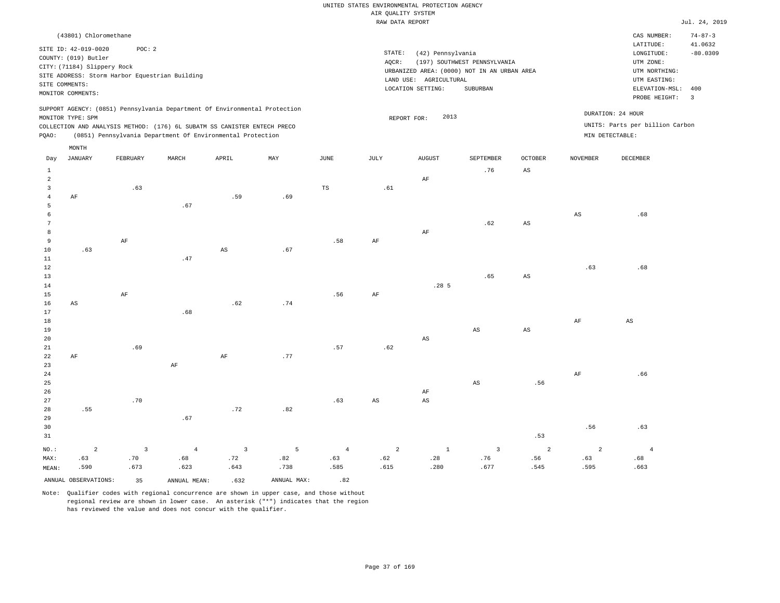|                 |                             |                                                                            |                |                        |      |                | RAW DATA REPORT        |                        |                                             |                        |                 |                                 | Jul. 24, 2019                  |
|-----------------|-----------------------------|----------------------------------------------------------------------------|----------------|------------------------|------|----------------|------------------------|------------------------|---------------------------------------------|------------------------|-----------------|---------------------------------|--------------------------------|
|                 | (43801) Chloromethane       |                                                                            |                |                        |      |                |                        |                        |                                             |                        |                 | CAS NUMBER:<br>LATITUDE:        | $74 - 87 - 3$<br>41.0632       |
|                 | SITE ID: 42-019-0020        | POC: 2                                                                     |                |                        |      |                | STATE:                 | (42) Pennsylvania      |                                             |                        |                 | LONGITUDE:                      | $-80.0309$                     |
|                 | COUNTY: (019) Butler        |                                                                            |                |                        |      |                | AQCR:                  |                        | (197) SOUTHWEST PENNSYLVANIA                |                        |                 | UTM ZONE:                       |                                |
|                 | CITY: (71184) Slippery Rock | SITE ADDRESS: Storm Harbor Equestrian Building                             |                |                        |      |                |                        |                        | URBANIZED AREA: (0000) NOT IN AN URBAN AREA |                        |                 | UTM NORTHING:                   |                                |
|                 | SITE COMMENTS:              |                                                                            |                |                        |      |                |                        | LAND USE: AGRICULTURAL |                                             |                        |                 | UTM EASTING:                    |                                |
|                 | MONITOR COMMENTS:           |                                                                            |                |                        |      |                |                        | LOCATION SETTING:      | SUBURBAN                                    |                        |                 | ELEVATION-MSL:                  | 400<br>$\overline{\mathbf{3}}$ |
|                 |                             |                                                                            |                |                        |      |                |                        |                        |                                             |                        |                 | PROBE HEIGHT:                   |                                |
|                 | MONITOR TYPE: SPM           | SUPPORT AGENCY: (0851) Pennsylvania Department Of Environmental Protection |                |                        |      |                |                        | 2013<br>REPORT FOR:    |                                             |                        |                 | DURATION: 24 HOUR               |                                |
|                 |                             | COLLECTION AND ANALYSIS METHOD: (176) 6L SUBATM SS CANISTER ENTECH PRECO   |                |                        |      |                |                        |                        |                                             |                        |                 | UNITS: Parts per billion Carbon |                                |
| PQAO:           |                             | (0851) Pennsylvania Department Of Environmental Protection                 |                |                        |      |                |                        |                        |                                             |                        |                 | MIN DETECTABLE:                 |                                |
|                 | MONTH                       |                                                                            |                |                        |      |                |                        |                        |                                             |                        |                 |                                 |                                |
| Day             | <b>JANUARY</b>              | FEBRUARY                                                                   | MARCH          | APRIL                  | MAY  | $_{\rm JUNE}$  | $\mathtt{JULY}$        | <b>AUGUST</b>          | SEPTEMBER                                   | OCTOBER                | <b>NOVEMBER</b> | DECEMBER                        |                                |
| $\mathbf{1}$    |                             |                                                                            |                |                        |      |                |                        |                        | .76                                         | $_{\rm AS}$            |                 |                                 |                                |
| $\overline{a}$  |                             |                                                                            |                |                        |      |                |                        | $\rm AF$               |                                             |                        |                 |                                 |                                |
| $\overline{3}$  |                             | .63                                                                        |                |                        |      | TS             | .61                    |                        |                                             |                        |                 |                                 |                                |
| $\overline{4}$  | AF                          |                                                                            |                | .59                    | .69  |                |                        |                        |                                             |                        |                 |                                 |                                |
| 5<br>6          |                             |                                                                            | .67            |                        |      |                |                        |                        |                                             |                        | $_{\rm AS}$     | .68                             |                                |
| $7\phantom{.0}$ |                             |                                                                            |                |                        |      |                |                        |                        | .62                                         | $\mathbb{A}\mathbb{S}$ |                 |                                 |                                |
| 8               |                             |                                                                            |                |                        |      |                |                        | AF                     |                                             |                        |                 |                                 |                                |
| 9               |                             | AF                                                                         |                |                        |      | .58            | AF                     |                        |                                             |                        |                 |                                 |                                |
| 10              | .63                         |                                                                            |                | $\mathbb{A}\mathbb{S}$ | .67  |                |                        |                        |                                             |                        |                 |                                 |                                |
| 11              |                             |                                                                            | .47            |                        |      |                |                        |                        |                                             |                        |                 |                                 |                                |
| $1\,2$<br>13    |                             |                                                                            |                |                        |      |                |                        |                        | .65                                         | $\mathbb{A}\mathbb{S}$ | .63             | .68                             |                                |
| 14              |                             |                                                                            |                |                        |      |                |                        | .285                   |                                             |                        |                 |                                 |                                |
| 15              |                             | $\rm AF$                                                                   |                |                        |      | .56            | $\rm{AF}$              |                        |                                             |                        |                 |                                 |                                |
| 16              | $_{\rm AS}$                 |                                                                            |                | .62                    | .74  |                |                        |                        |                                             |                        |                 |                                 |                                |
| 17              |                             |                                                                            | .68            |                        |      |                |                        |                        |                                             |                        |                 |                                 |                                |
| 18              |                             |                                                                            |                |                        |      |                |                        |                        |                                             |                        | AF              | AS                              |                                |
| 19<br>20        |                             |                                                                            |                |                        |      |                |                        | $\mathbb{A}\mathbb{S}$ | AS                                          | $\mathbb{A}\mathbb{S}$ |                 |                                 |                                |
| 21              |                             | .69                                                                        |                |                        |      | .57            | .62                    |                        |                                             |                        |                 |                                 |                                |
| 22              | AF                          |                                                                            |                | $\rm AF$               | .77  |                |                        |                        |                                             |                        |                 |                                 |                                |
| 23              |                             |                                                                            | AF             |                        |      |                |                        |                        |                                             |                        |                 |                                 |                                |
| 24              |                             |                                                                            |                |                        |      |                |                        |                        |                                             |                        | AF              | .66                             |                                |
| 25              |                             |                                                                            |                |                        |      |                |                        |                        | $\mathbb{A}\mathbb{S}$                      | .56                    |                 |                                 |                                |
| 26              |                             |                                                                            |                |                        |      |                |                        | AF                     |                                             |                        |                 |                                 |                                |
| 27<br>28        | .55                         | .70                                                                        |                | .72                    | .82  | .63            | $\mathbb{A}\mathbb{S}$ | $\mathbb{A}\mathbb{S}$ |                                             |                        |                 |                                 |                                |
| 29              |                             |                                                                            | .67            |                        |      |                |                        |                        |                                             |                        |                 |                                 |                                |
| 30              |                             |                                                                            |                |                        |      |                |                        |                        |                                             |                        | .56             | .63                             |                                |
| 31              |                             |                                                                            |                |                        |      |                |                        |                        |                                             | .53                    |                 |                                 |                                |
| NO.:            | $\overline{a}$              | $\overline{\mathbf{3}}$                                                    | $\overline{4}$ | $\overline{3}$         | 5    | $\overline{4}$ | $\overline{2}$         | $\mathbf{1}$           | $\overline{\mathbf{3}}$                     | $\overline{a}$         | $\overline{2}$  | $\overline{4}$                  |                                |
| MAX:            | .63                         | .70                                                                        | .68            | .72                    | .82  | .63            | .62                    | .28                    | .76                                         | .56                    | .63             | .68                             |                                |
| MEAN:           | .590                        | .673                                                                       | .623           | .643                   | .738 | .585           | .615                   | .280                   | .677                                        | .545                   | .595            | .663                            |                                |

ANNUAL OBSERVATIONS: 35 ANNUAL MEAN: .632 ANNUAL MAX: .82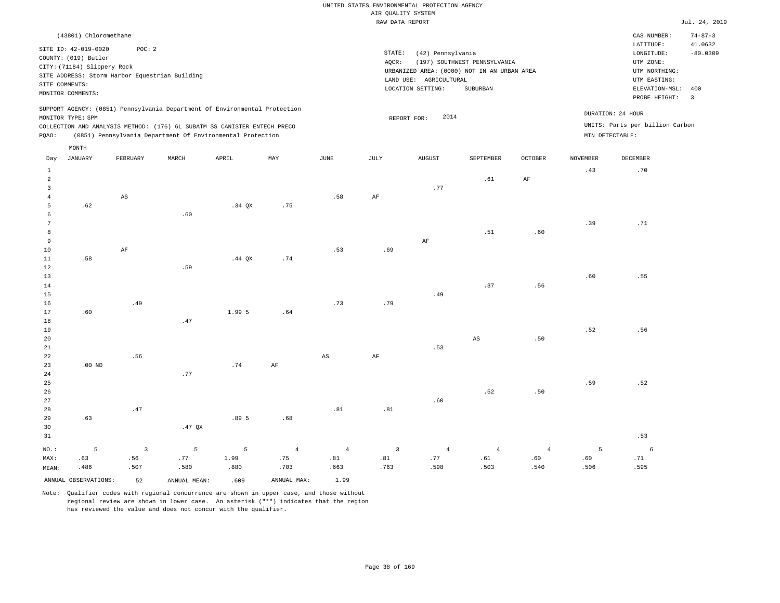|                                                                                                                                                                                   | CAS NUMBER:                                                                                 | $74 - 87 - 3$                                                                            |
|-----------------------------------------------------------------------------------------------------------------------------------------------------------------------------------|---------------------------------------------------------------------------------------------|------------------------------------------------------------------------------------------|
|                                                                                                                                                                                   |                                                                                             |                                                                                          |
| STATE:<br>(42) Pennsylvania<br>(197) SOUTHWEST PENNSYLVANIA<br>AOCR:<br>URBANIZED AREA: (0000) NOT IN AN URBAN AREA<br>LAND USE:<br>AGRICULTURAL<br>LOCATION SETTING:<br>SUBURBAN | LATITUDE:<br>LONGITUDE:<br>UTM ZONE:<br>UTM NORTHING:<br>UTM EASTING:<br>ELEVATION-MSL: 400 | 41.0632<br>$-80.0309$<br>-3                                                              |
| 2014<br>REPORT FOR:                                                                                                                                                               |                                                                                             |                                                                                          |
|                                                                                                                                                                                   |                                                                                             | PROBE HEIGHT:<br>DURATION: 24 HOUR<br>UNITS: Parts per billion Carbon<br>MIN DETECTABLE: |

| Day             | JANUARY              | FEBRUARY               | MARCH        | APRIL          | MAY            | JUNE                   | JULY                    | AUGUST         | SEPTEMBER      | OCTOBER        | NOVEMBER | DECEMBER        |
|-----------------|----------------------|------------------------|--------------|----------------|----------------|------------------------|-------------------------|----------------|----------------|----------------|----------|-----------------|
| $\mathbf{1}$    |                      |                        |              |                |                |                        |                         |                |                |                | .43      | .70             |
| $\overline{a}$  |                      |                        |              |                |                |                        |                         |                | .61            | $\rm{AF}$      |          |                 |
| 3               |                      |                        |              |                |                |                        |                         | .77            |                |                |          |                 |
| $\overline{4}$  |                      | $\mathbb{A}\mathbb{S}$ |              |                |                | .58                    | $\rm{AF}$               |                |                |                |          |                 |
| 5               | .62                  |                        |              | $.34$ QX       | .75            |                        |                         |                |                |                |          |                 |
| 6               |                      |                        | .60          |                |                |                        |                         |                |                |                |          |                 |
| $7\phantom{.0}$ |                      |                        |              |                |                |                        |                         |                |                |                | .39      | .71             |
| 8               |                      |                        |              |                |                |                        |                         |                | .51            | .60            |          |                 |
| $\overline{9}$  |                      |                        |              |                |                |                        |                         | $\rm AF$       |                |                |          |                 |
| 10              |                      | $\rm{AF}$              |              |                |                | .53                    | .69                     |                |                |                |          |                 |
| 11              | .58                  |                        |              | .44 $QX$       | .74            |                        |                         |                |                |                |          |                 |
| 12              |                      |                        | .59          |                |                |                        |                         |                |                |                |          |                 |
| 13              |                      |                        |              |                |                |                        |                         |                |                |                | .60      | .55             |
| 14              |                      |                        |              |                |                |                        |                         |                | .37            | .56            |          |                 |
| 15              |                      |                        |              |                |                |                        |                         | .49            |                |                |          |                 |
| 16              |                      | .49                    |              |                |                | .73                    | .79                     |                |                |                |          |                 |
| 17              | .60                  |                        |              | 1.99 5         | .64            |                        |                         |                |                |                |          |                 |
| 18              |                      |                        | .47          |                |                |                        |                         |                |                |                |          |                 |
| $19$            |                      |                        |              |                |                |                        |                         |                |                |                | .52      | .56             |
| $20\,$          |                      |                        |              |                |                |                        |                         |                | $_{\rm AS}$    | .50            |          |                 |
| $2\sqrt{1}$     |                      |                        |              |                |                |                        |                         | .53            |                |                |          |                 |
| $^{\rm 22}$     |                      | .56                    |              |                |                | $\mathbb{A}\mathbb{S}$ | $\rm{AF}$               |                |                |                |          |                 |
| 23              | .00 $ND$             |                        |              | .74            | $\rm{AF}$      |                        |                         |                |                |                |          |                 |
| $2\sqrt{4}$     |                      |                        | $\ldotp 77$  |                |                |                        |                         |                |                |                |          |                 |
| 25              |                      |                        |              |                |                |                        |                         |                |                |                | .59      | .52             |
| 26              |                      |                        |              |                |                |                        |                         |                | .52            | .50            |          |                 |
| 27              |                      |                        |              |                |                |                        |                         | .60            |                |                |          |                 |
| 28              |                      | .47                    |              |                |                | .81                    | .81                     |                |                |                |          |                 |
| 29              | .63                  |                        |              | .89 5          | .68            |                        |                         |                |                |                |          |                 |
| 30              |                      |                        | .47 $QX$     |                |                |                        |                         |                |                |                |          |                 |
| 31              |                      |                        |              |                |                |                        |                         |                |                |                |          | .53             |
| $NO.$ :         | $\mathsf S$          | $\sqrt{3}$             | $\mathsf S$  | $\overline{5}$ | $\overline{4}$ | $\overline{4}$         | $\overline{\mathbf{3}}$ | $\overline{4}$ | $\overline{4}$ | $\overline{4}$ | 5        | $6\overline{6}$ |
| MAX:            | .63                  | .56                    | .77          | 1.99           | .75            | $. \, 81$              | .81                     | .77            | $.61\,$        | .60            | .60      | .71             |
| MEAN:           | .486                 | .507                   | .580         | .880           | .703           | .663                   | .763                    | .598           | .503           | .540           | .506     | .595            |
|                 | ANNUAL OBSERVATIONS: | 52                     | ANNUAL MEAN: | .609           | ANNUAL MAX:    | 1.99                   |                         |                |                |                |          |                 |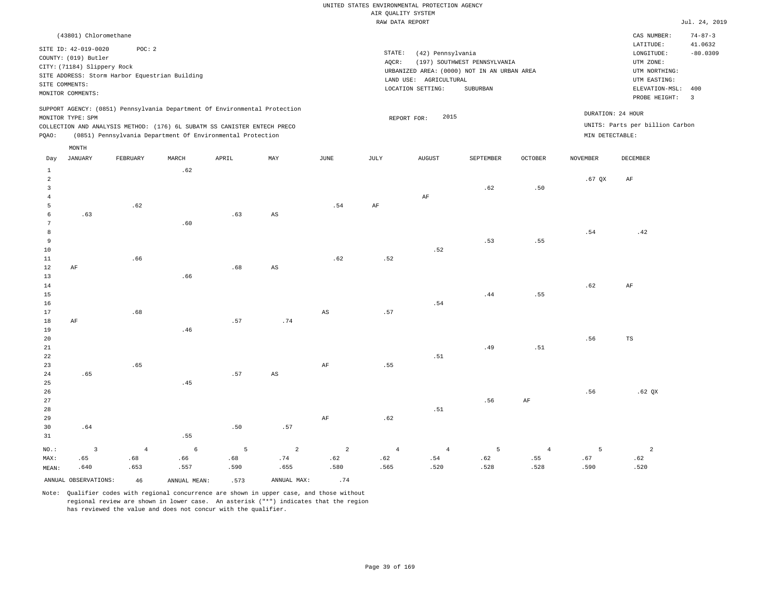|                |                                                |                |                                                                                                                                        |       |                        |                        | RAW DATA REPORT |                        |                                             |            |                 |                                 | Jul. 24, 2019  |
|----------------|------------------------------------------------|----------------|----------------------------------------------------------------------------------------------------------------------------------------|-------|------------------------|------------------------|-----------------|------------------------|---------------------------------------------|------------|-----------------|---------------------------------|----------------|
|                | (43801) Chloromethane                          |                |                                                                                                                                        |       |                        |                        |                 |                        |                                             |            |                 | CAS NUMBER:                     | $74 - 87 - 3$  |
|                | SITE ID: 42-019-0020                           | POC: 2         |                                                                                                                                        |       |                        |                        |                 |                        |                                             |            |                 | LATITUDE:                       | 41.0632        |
|                | COUNTY: (019) Butler                           |                |                                                                                                                                        |       |                        |                        | STATE:          | (42) Pennsylvania      |                                             |            |                 | LONGITUDE:                      | $-80.0309$     |
|                | CITY: (71184) Slippery Rock                    |                |                                                                                                                                        |       |                        |                        | $AQCR$ :        |                        | (197) SOUTHWEST PENNSYLVANIA                |            |                 | UTM ZONE:                       |                |
|                | SITE ADDRESS: Storm Harbor Equestrian Building |                |                                                                                                                                        |       |                        |                        |                 |                        | URBANIZED AREA: (0000) NOT IN AN URBAN AREA |            |                 | UTM NORTHING:                   |                |
|                | SITE COMMENTS:                                 |                |                                                                                                                                        |       |                        |                        |                 | LAND USE: AGRICULTURAL |                                             |            |                 | UTM EASTING:                    |                |
|                |                                                |                |                                                                                                                                        |       |                        |                        |                 | LOCATION SETTING:      | SUBURBAN                                    |            |                 | ELEVATION-MSL:                  | 400            |
|                | MONITOR COMMENTS:                              |                |                                                                                                                                        |       |                        |                        |                 |                        |                                             |            |                 | PROBE HEIGHT:                   | $\overline{3}$ |
|                |                                                |                | SUPPORT AGENCY: (0851) Pennsylvania Department Of Environmental Protection                                                             |       |                        |                        |                 |                        |                                             |            |                 | DURATION: 24 HOUR               |                |
|                | MONITOR TYPE: SPM                              |                |                                                                                                                                        |       |                        |                        |                 | 2015<br>REPORT FOR:    |                                             |            |                 | UNITS: Parts per billion Carbon |                |
| PQAO:          |                                                |                | COLLECTION AND ANALYSIS METHOD: (176) 6L SUBATM SS CANISTER ENTECH PRECO<br>(0851) Pennsylvania Department Of Environmental Protection |       |                        |                        |                 |                        |                                             |            | MIN DETECTABLE: |                                 |                |
|                |                                                |                |                                                                                                                                        |       |                        |                        |                 |                        |                                             |            |                 |                                 |                |
|                | MONTH                                          |                |                                                                                                                                        |       |                        |                        |                 |                        |                                             |            |                 |                                 |                |
| Day            | <b>JANUARY</b>                                 | FEBRUARY       | MARCH                                                                                                                                  | APRIL | MAY                    | JUNE                   | JULY            | <b>AUGUST</b>          | SEPTEMBER                                   | OCTOBER    | <b>NOVEMBER</b> | DECEMBER                        |                |
| $\mathbf{1}$   |                                                |                | .62                                                                                                                                    |       |                        |                        |                 |                        |                                             |            |                 |                                 |                |
| $\overline{a}$ |                                                |                |                                                                                                                                        |       |                        |                        |                 |                        |                                             |            | $.67$ QX        | AF                              |                |
| 3              |                                                |                |                                                                                                                                        |       |                        |                        |                 |                        | .62                                         | .50        |                 |                                 |                |
| $\overline{4}$ |                                                |                |                                                                                                                                        |       |                        |                        |                 | AF                     |                                             |            |                 |                                 |                |
| 5              |                                                | .62            |                                                                                                                                        |       |                        | .54                    | $\rm{AF}$       |                        |                                             |            |                 |                                 |                |
| 6              | .63                                            |                |                                                                                                                                        | .63   | AS                     |                        |                 |                        |                                             |            |                 |                                 |                |
| 7              |                                                |                | .60                                                                                                                                    |       |                        |                        |                 |                        |                                             |            |                 |                                 |                |
| 8              |                                                |                |                                                                                                                                        |       |                        |                        |                 |                        |                                             |            | .54             | .42                             |                |
| $\overline{9}$ |                                                |                |                                                                                                                                        |       |                        |                        |                 |                        | .53                                         | .55        |                 |                                 |                |
| 10             |                                                |                |                                                                                                                                        |       |                        |                        |                 | .52                    |                                             |            |                 |                                 |                |
| $1\,1$         |                                                | .66            |                                                                                                                                        |       |                        | .62                    | .52             |                        |                                             |            |                 |                                 |                |
| $1\,2$         | AF                                             |                |                                                                                                                                        | .68   | $\mathbb{A}\mathbb{S}$ |                        |                 |                        |                                             |            |                 |                                 |                |
| 13             |                                                |                | .66                                                                                                                                    |       |                        |                        |                 |                        |                                             |            |                 |                                 |                |
| 14             |                                                |                |                                                                                                                                        |       |                        |                        |                 |                        |                                             |            | .62             | AF                              |                |
| 15             |                                                |                |                                                                                                                                        |       |                        |                        |                 |                        | .44                                         | .55        |                 |                                 |                |
| 16             |                                                | .68            |                                                                                                                                        |       |                        |                        |                 | .54                    |                                             |            |                 |                                 |                |
| 17<br>18       |                                                |                |                                                                                                                                        | .57   | .74                    | $\mathbb{A}\mathbb{S}$ | .57             |                        |                                             |            |                 |                                 |                |
| 19             | AF                                             |                | .46                                                                                                                                    |       |                        |                        |                 |                        |                                             |            |                 |                                 |                |
| 20             |                                                |                |                                                                                                                                        |       |                        |                        |                 |                        |                                             |            | .56             | $_{\rm TS}$                     |                |
| 21             |                                                |                |                                                                                                                                        |       |                        |                        |                 |                        | .49                                         | .51        |                 |                                 |                |
| 22             |                                                |                |                                                                                                                                        |       |                        |                        |                 | .51                    |                                             |            |                 |                                 |                |
| 23             |                                                | .65            |                                                                                                                                        |       |                        | $\rm AF$               | .55             |                        |                                             |            |                 |                                 |                |
| 24             | .65                                            |                |                                                                                                                                        | .57   | AS                     |                        |                 |                        |                                             |            |                 |                                 |                |
| 25             |                                                |                | .45                                                                                                                                    |       |                        |                        |                 |                        |                                             |            |                 |                                 |                |
| 26             |                                                |                |                                                                                                                                        |       |                        |                        |                 |                        |                                             |            | .56             | .62 QX                          |                |
| 27             |                                                |                |                                                                                                                                        |       |                        |                        |                 |                        | .56                                         | AF         |                 |                                 |                |
| 28             |                                                |                |                                                                                                                                        |       |                        |                        |                 | .51                    |                                             |            |                 |                                 |                |
| 29             |                                                |                |                                                                                                                                        |       |                        | $\rm AF$               | .62             |                        |                                             |            |                 |                                 |                |
| 30             | .64                                            |                |                                                                                                                                        | .50   | .57                    |                        |                 |                        |                                             |            |                 |                                 |                |
| 31             |                                                |                | .55                                                                                                                                    |       |                        |                        |                 |                        |                                             |            |                 |                                 |                |
|                |                                                |                |                                                                                                                                        |       |                        |                        |                 |                        |                                             |            |                 |                                 |                |
| $NO.$ :        | $\overline{\mathbf{3}}$                        | $\overline{4}$ | $\epsilon$                                                                                                                             | 5     | $\overline{a}$         | $\overline{a}$         | $\overline{4}$  | $\overline{4}$         | 5                                           | $\sqrt{4}$ | $\overline{5}$  | $\overline{a}$                  |                |
| MAX:           | .65                                            | .68            | .66                                                                                                                                    | .68   | .74                    | .62                    | .62             | .54                    | .62                                         | .55        | .67             | .62                             |                |
| MEAN:          | .640                                           | .653           | .557                                                                                                                                   | .590  | .655                   | .580                   | .565            | .520                   | .528                                        | .528       | .590            | .520                            |                |
|                | ANNUAL OBSERVATIONS:                           | 46             | ANNUAL, MEAN:                                                                                                                          | .573  | ANNUAL MAX:            | .74                    |                 |                        |                                             |            |                 |                                 |                |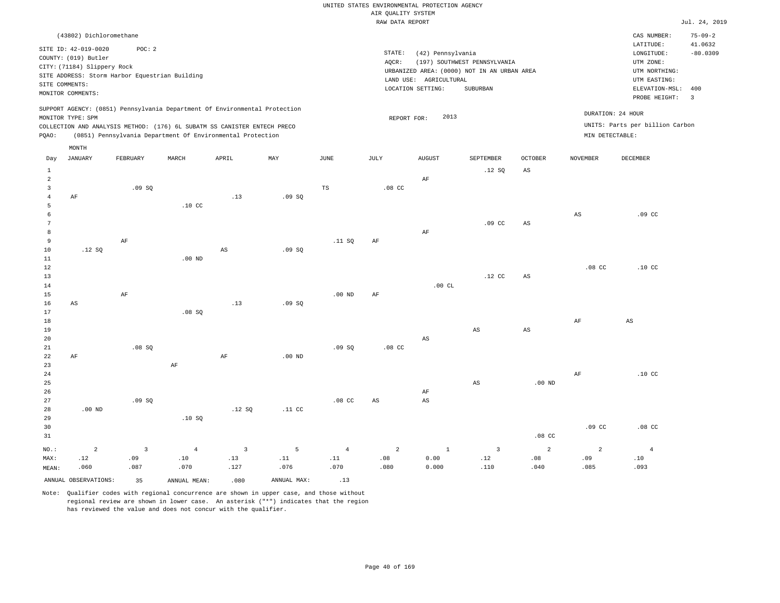|                              | (43802) Dichloromethane                                                                                                                         |                         |                                                                            |                        |                  |                       |                   |                                             |                                                                             |                        |                        | CAS NUMBER:                                                           | $75 - 09 - 2$         |
|------------------------------|-------------------------------------------------------------------------------------------------------------------------------------------------|-------------------------|----------------------------------------------------------------------------|------------------------|------------------|-----------------------|-------------------|---------------------------------------------|-----------------------------------------------------------------------------|------------------------|------------------------|-----------------------------------------------------------------------|-----------------------|
|                              | SITE ID: 42-019-0020<br>COUNTY: (019) Butler<br>CITY: (71184) Slippery Rock<br>SITE ADDRESS: Storm Harbor Equestrian Building<br>SITE COMMENTS: | POC: 2                  |                                                                            |                        |                  |                       | STATE:<br>AQCR:   | (42) Pennsylvania<br>LAND USE: AGRICULTURAL | (197) SOUTHWEST PENNSYLVANIA<br>URBANIZED AREA: (0000) NOT IN AN URBAN AREA |                        |                        | LATITUDE:<br>LONGITUDE:<br>UTM ZONE:<br>UTM NORTHING:<br>UTM EASTING: | 41.0632<br>$-80.0309$ |
|                              | MONITOR COMMENTS:                                                                                                                               |                         |                                                                            |                        |                  |                       |                   | LOCATION SETTING:                           | SUBURBAN                                                                    |                        |                        | ELEVATION-MSL:<br>PROBE HEIGHT:                                       | 400<br>$\overline{3}$ |
|                              | MONITOR TYPE: SPM                                                                                                                               |                         | SUPPORT AGENCY: (0851) Pennsylvania Department Of Environmental Protection |                        |                  |                       | REPORT FOR:       | 2013                                        |                                                                             |                        | DURATION: 24 HOUR      |                                                                       |                       |
|                              |                                                                                                                                                 |                         | COLLECTION AND ANALYSIS METHOD: (176) 6L SUBATM SS CANISTER ENTECH PRECO   |                        |                  |                       |                   |                                             |                                                                             |                        |                        | UNITS: Parts per billion Carbon                                       |                       |
| PQAO:                        |                                                                                                                                                 |                         | (0851) Pennsylvania Department Of Environmental Protection                 |                        |                  |                       |                   |                                             |                                                                             |                        | MIN DETECTABLE:        |                                                                       |                       |
|                              | MONTH                                                                                                                                           |                         |                                                                            |                        |                  |                       |                   |                                             |                                                                             |                        |                        |                                                                       |                       |
| $_{\rm Day}$                 | <b>JANUARY</b>                                                                                                                                  | FEBRUARY                | MARCH                                                                      | APRIL                  | $_{\rm MAY}$     | $\operatorname{JUNE}$ | $\mathtt{JULY}$   | <b>AUGUST</b>                               | SEPTEMBER                                                                   | <b>OCTOBER</b>         | <b>NOVEMBER</b>        | DECEMBER                                                              |                       |
| $1\,$                        |                                                                                                                                                 |                         |                                                                            |                        |                  |                       |                   |                                             | .12S                                                                        | $\mathbb{A}\mathbb{S}$ |                        |                                                                       |                       |
| 2                            |                                                                                                                                                 |                         |                                                                            |                        |                  |                       |                   | AF                                          |                                                                             |                        |                        |                                                                       |                       |
| $\overline{3}$               |                                                                                                                                                 | .09S                    |                                                                            |                        |                  | TS                    | .08 <sub>cc</sub> |                                             |                                                                             |                        |                        |                                                                       |                       |
| $\overline{4}$               | AF                                                                                                                                              |                         |                                                                            | .13                    | .09SQ            |                       |                   |                                             |                                                                             |                        |                        |                                                                       |                       |
| $\overline{5}$               |                                                                                                                                                 |                         | .10 <sub>c</sub>                                                           |                        |                  |                       |                   |                                             |                                                                             |                        |                        |                                                                       |                       |
| 6                            |                                                                                                                                                 |                         |                                                                            |                        |                  |                       |                   |                                             |                                                                             |                        | $\mathbb{A}\mathbb{S}$ | .09 <sub>c</sub>                                                      |                       |
| $\overline{7}$<br>$^{\rm 8}$ |                                                                                                                                                 |                         |                                                                            |                        |                  |                       |                   |                                             | .09 <sub>c</sub>                                                            | AS                     |                        |                                                                       |                       |
| $\overline{9}$               |                                                                                                                                                 | $\rm AF$                |                                                                            |                        |                  | .11 SQ                | $\rm{AF}$         | $\rm AF$                                    |                                                                             |                        |                        |                                                                       |                       |
| 10                           | .12 S                                                                                                                                           |                         |                                                                            | $\mathbb{A}\mathbb{S}$ | .09SQ            |                       |                   |                                             |                                                                             |                        |                        |                                                                       |                       |
| $1\,1$                       |                                                                                                                                                 |                         | $.00$ ND                                                                   |                        |                  |                       |                   |                                             |                                                                             |                        |                        |                                                                       |                       |
| $1\,2$                       |                                                                                                                                                 |                         |                                                                            |                        |                  |                       |                   |                                             |                                                                             |                        | $.08$ CC               | .10 <sub>C</sub>                                                      |                       |
| 13                           |                                                                                                                                                 |                         |                                                                            |                        |                  |                       |                   |                                             | $.12$ CC                                                                    | $_{\rm AS}$            |                        |                                                                       |                       |
| 14                           |                                                                                                                                                 |                         |                                                                            |                        |                  |                       |                   | .00CL                                       |                                                                             |                        |                        |                                                                       |                       |
| 15                           |                                                                                                                                                 | $\rm{AF}$               |                                                                            |                        |                  | $.00$ ND              | AF                |                                             |                                                                             |                        |                        |                                                                       |                       |
| 16                           | $\mathbb{A}\mathbb{S}$                                                                                                                          |                         |                                                                            | .13                    | .09SQ            |                       |                   |                                             |                                                                             |                        |                        |                                                                       |                       |
| 17                           |                                                                                                                                                 |                         | .08SQ                                                                      |                        |                  |                       |                   |                                             |                                                                             |                        |                        |                                                                       |                       |
| 18                           |                                                                                                                                                 |                         |                                                                            |                        |                  |                       |                   |                                             |                                                                             |                        | $\rm{AF}$              | $\mathbb{A}\mathbb{S}$                                                |                       |
| 19                           |                                                                                                                                                 |                         |                                                                            |                        |                  |                       |                   |                                             | AS                                                                          | $_{\rm AS}$            |                        |                                                                       |                       |
| 20                           |                                                                                                                                                 |                         |                                                                            |                        |                  |                       |                   | $_{\rm AS}$                                 |                                                                             |                        |                        |                                                                       |                       |
| 21<br>22                     | AF                                                                                                                                              | .08SQ                   |                                                                            | $\rm{AF}$              | $.00$ ND         | .09SQ                 | $.08$ CC          |                                             |                                                                             |                        |                        |                                                                       |                       |
| 23                           |                                                                                                                                                 |                         | AF                                                                         |                        |                  |                       |                   |                                             |                                                                             |                        |                        |                                                                       |                       |
| 24                           |                                                                                                                                                 |                         |                                                                            |                        |                  |                       |                   |                                             |                                                                             |                        | AF                     | .10 <sub>C</sub>                                                      |                       |
| 25                           |                                                                                                                                                 |                         |                                                                            |                        |                  |                       |                   |                                             | AS                                                                          | .00 <sub>ND</sub>      |                        |                                                                       |                       |
| 26                           |                                                                                                                                                 |                         |                                                                            |                        |                  |                       |                   | AF                                          |                                                                             |                        |                        |                                                                       |                       |
| 27                           |                                                                                                                                                 | .09S                    |                                                                            |                        |                  | .08 <sub>C</sub>      | $_{\rm AS}$       | AS                                          |                                                                             |                        |                        |                                                                       |                       |
| 28                           | $.00$ ND                                                                                                                                        |                         |                                                                            | .12S                   | .11 <sub>c</sub> |                       |                   |                                             |                                                                             |                        |                        |                                                                       |                       |
| 29                           |                                                                                                                                                 |                         | .10S                                                                       |                        |                  |                       |                   |                                             |                                                                             |                        |                        |                                                                       |                       |
| 30                           |                                                                                                                                                 |                         |                                                                            |                        |                  |                       |                   |                                             |                                                                             |                        | .09 <sub>c</sub>       | .08 <sub>cc</sub>                                                     |                       |
| 31                           |                                                                                                                                                 |                         |                                                                            |                        |                  |                       |                   |                                             |                                                                             | .08 <sub>c</sub>       |                        |                                                                       |                       |
| NO.:                         | $\overline{a}$                                                                                                                                  | $\overline{\mathbf{3}}$ | $\overline{4}$                                                             | $\overline{3}$         | $\overline{5}$   | $\overline{4}$        | $\overline{a}$    | $\mathbf{1}$                                | $\overline{3}$                                                              | $\overline{a}$         | $\overline{2}$         | $\overline{4}$                                                        |                       |
| MAX:                         | .12                                                                                                                                             | .09                     | .10                                                                        | .13                    | .11              | .11                   | .08               | 0.00                                        | .12                                                                         | .08                    | .09                    | .10                                                                   |                       |
| MEAN:                        | .060                                                                                                                                            | .087                    | .070                                                                       | .127                   | .076             | .070                  | .080              | 0.000                                       | .110                                                                        | .040                   | .085                   | .093                                                                  |                       |
|                              | ANNUAL OBSERVATIONS:                                                                                                                            | 35                      | ANNUAL MEAN:                                                               | .080                   | ANNUAL MAX:      | .13                   |                   |                                             |                                                                             |                        |                        |                                                                       |                       |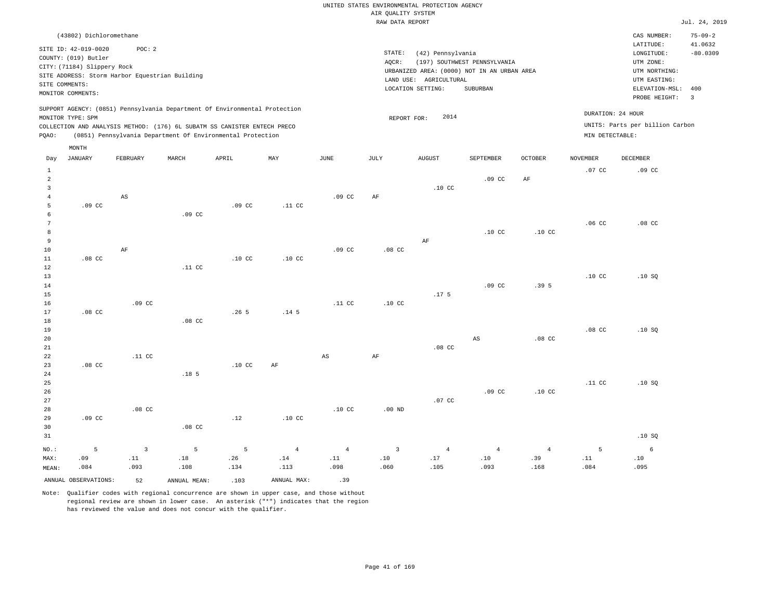| (43802) Dichloromethane                                                    |                   |                                                            |     |      |      |                                             |                              |                |                   | CAS NUMBER:                     | $75 - 09 - 2$ |
|----------------------------------------------------------------------------|-------------------|------------------------------------------------------------|-----|------|------|---------------------------------------------|------------------------------|----------------|-------------------|---------------------------------|---------------|
| SITE ID: 42-019-0020                                                       | POC:2             |                                                            |     |      |      |                                             |                              |                |                   | LATITUDE:                       | 41.0632       |
|                                                                            |                   |                                                            |     |      |      | STATE:<br>(42) Pennsylvania                 |                              |                |                   | LONGITUDE:                      | $-80.0309$    |
| COUNTY: (019) Butler                                                       |                   |                                                            |     |      |      | AOCR:                                       | (197) SOUTHWEST PENNSYLVANIA |                |                   | UTM ZONE:                       |               |
| CITY: (71184) Slippery Rock                                                |                   |                                                            |     |      |      | URBANIZED AREA: (0000) NOT IN AN URBAN AREA |                              |                |                   | UTM NORTHING:                   |               |
| SITE ADDRESS: Storm Harbor Equestrian Building                             |                   |                                                            |     |      |      | AGRICULTURAL<br>LAND USE:                   |                              |                |                   | UTM EASTING:                    |               |
| SITE COMMENTS:                                                             |                   |                                                            |     |      |      | LOCATION SETTING:                           | SUBURBAN                     |                |                   | ELEVATION-MSL:                  | -400          |
| MONITOR COMMENTS:                                                          |                   |                                                            |     |      |      |                                             |                              |                |                   | PROBE HEIGHT:                   |               |
|                                                                            |                   |                                                            |     |      |      |                                             |                              |                |                   |                                 | - 3           |
| SUPPORT AGENCY: (0851) Pennsylvania Department Of Environmental Protection |                   |                                                            |     |      |      |                                             |                              |                |                   |                                 |               |
| MONITOR TYPE: SPM                                                          |                   |                                                            |     |      |      | 2014<br>REPORT FOR:                         |                              |                | DURATION: 24 HOUR |                                 |               |
| COLLECTION AND ANALYSIS METHOD: (176) 6L SUBATM SS CANISTER ENTECH PRECO   |                   |                                                            |     |      |      |                                             |                              |                |                   | UNITS: Parts per billion Carbon |               |
| POAO:                                                                      |                   | (0851) Pennsylvania Department Of Environmental Protection |     |      |      |                                             |                              |                | MIN DETECTABLE:   |                                 |               |
|                                                                            |                   |                                                            |     |      |      |                                             |                              |                |                   |                                 |               |
| MONTH                                                                      |                   |                                                            |     |      |      |                                             |                              |                |                   |                                 |               |
| JANUARY<br>Day                                                             | FEBRUARY<br>MARCH | APRIL                                                      | MAY | JUNE | JULY | <b>AUGUST</b>                               | SEPTEMBER                    | <b>OCTOBER</b> | <b>NOVEMBER</b>   | DECEMBER                        |               |

| $\mathbf{1}$    |                      |                              |                  |                  |                  |                              |                  |                  |                                            |                  | $.07$ CC                     | $.09$ CC |
|-----------------|----------------------|------------------------------|------------------|------------------|------------------|------------------------------|------------------|------------------|--------------------------------------------|------------------|------------------------------|----------|
| $\overline{a}$  |                      |                              |                  |                  |                  |                              |                  |                  | $.09$ CC                                   | $\rm{AF}$        |                              |          |
| 3               |                      |                              |                  |                  |                  |                              |                  | .10 <sub>C</sub> |                                            |                  |                              |          |
| $\overline{4}$  |                      | $\mathbb{A}\mathbb{S}$       |                  |                  |                  | $.09$ CC                     | $\rm{AF}$        |                  |                                            |                  |                              |          |
| 5               | $.09$ CC             |                              |                  | $.09$ CC         | .11 <sub>C</sub> |                              |                  |                  |                                            |                  |                              |          |
| 6               |                      |                              | $.09$ CC         |                  |                  |                              |                  |                  |                                            |                  |                              |          |
| $7\phantom{.0}$ |                      |                              |                  |                  |                  |                              |                  |                  |                                            |                  | .06 <sub>C</sub>             | $.08$ CC |
| 8               |                      |                              |                  |                  |                  |                              |                  |                  | .10 <sub>C</sub>                           | .10 <sub>C</sub> |                              |          |
| 9               |                      |                              |                  |                  |                  |                              |                  | $\rm{AF}$        |                                            |                  |                              |          |
| $10$            |                      | $\rm AF$                     |                  |                  |                  | .09 <sub>c</sub>             | $.08$ CC         |                  |                                            |                  |                              |          |
| 11              | $.08$ CC             |                              |                  | .10 <sub>C</sub> | $.10$ CC         |                              |                  |                  |                                            |                  |                              |          |
| 12              |                      |                              | .11 $CC$         |                  |                  |                              |                  |                  |                                            |                  |                              |          |
| 13              |                      |                              |                  |                  |                  |                              |                  |                  |                                            |                  | .10 <sub>C</sub>             | .10SQ    |
| 14              |                      |                              |                  |                  |                  |                              |                  |                  | .09 <sub>c</sub>                           | .39 <sub>5</sub> |                              |          |
| 15              |                      |                              |                  |                  |                  |                              |                  | .17 <sub>5</sub> |                                            |                  |                              |          |
| 16              |                      | .09 CC                       |                  |                  |                  | .11 <sub>c</sub>             | .10 <sub>C</sub> |                  |                                            |                  |                              |          |
| 17              | $.08$ CC             |                              |                  | .265             | .14 <sub>5</sub> |                              |                  |                  |                                            |                  |                              |          |
| 18              |                      |                              | $.08$ CC         |                  |                  |                              |                  |                  |                                            |                  |                              |          |
| 19              |                      |                              |                  |                  |                  |                              |                  |                  |                                            |                  | .08 <sub>C</sub>             | .10SQ    |
| 20              |                      |                              |                  |                  |                  |                              |                  |                  | $_{\rm AS}$                                | $.08$ CC         |                              |          |
| 21              |                      |                              |                  |                  |                  |                              |                  | $.08$ CC         |                                            |                  |                              |          |
| 22              |                      | $.11$ CC                     |                  |                  |                  | $_{\rm AS}$                  | $\rm{AF}$        |                  |                                            |                  |                              |          |
| 23              | $.08$ CC             |                              |                  | .10 <sub>C</sub> | $\rm AF$         |                              |                  |                  |                                            |                  |                              |          |
| 24              |                      |                              | .18 <sub>5</sub> |                  |                  |                              |                  |                  |                                            |                  |                              |          |
| 25              |                      |                              |                  |                  |                  |                              |                  |                  |                                            |                  | .11 <sub>c</sub>             | .10SQ    |
| 26              |                      |                              |                  |                  |                  |                              |                  |                  | $.09$ CC                                   | .10 <sub>C</sub> |                              |          |
| 27              |                      |                              |                  |                  |                  |                              |                  | $.07$ CC         |                                            |                  |                              |          |
| 28              |                      | $.08$ CC                     |                  |                  |                  | .10 <sub>C</sub>             | $.00$ ND         |                  |                                            |                  |                              |          |
| 29              | .09 <sub>c</sub>     |                              |                  | .12              | $.10$ CC         |                              |                  |                  |                                            |                  |                              |          |
| 30              |                      |                              | $.08$ CC         |                  |                  |                              |                  |                  |                                            |                  |                              |          |
| 31              |                      |                              |                  |                  |                  |                              |                  |                  |                                            |                  |                              | .10SQ    |
| $NO.$ :         | 5                    | $\overline{\mathbf{3}}$      | 5                | 5                | $\overline{4}$   | $\overline{4}$               | $\overline{3}$   | $\overline{4}$   | $\overline{4}$                             | $\overline{4}$   | $\,$ 5                       | 6        |
| MAX:            | .09                  | $\footnotesize\substack{11}$ | $.18\,$          | .26              | $.14\,$          | $\footnotesize\substack{11}$ | $.10$            | $.17\,$          | $\footnotesize\relax\relax\relax0$ .<br>10 | .39              | $\footnotesize\substack{11}$ | .10      |
| MEAN:           | .084                 | .093                         | .108             | .134             | .113             | .098                         | .060             | .105             | .093                                       | .168             | .084                         | .095     |
|                 | ANNUAL OBSERVATIONS: | 52                           | ANNUAL MEAN:     | .103             | ANNUAL MAX:      | .39                          |                  |                  |                                            |                  |                              |          |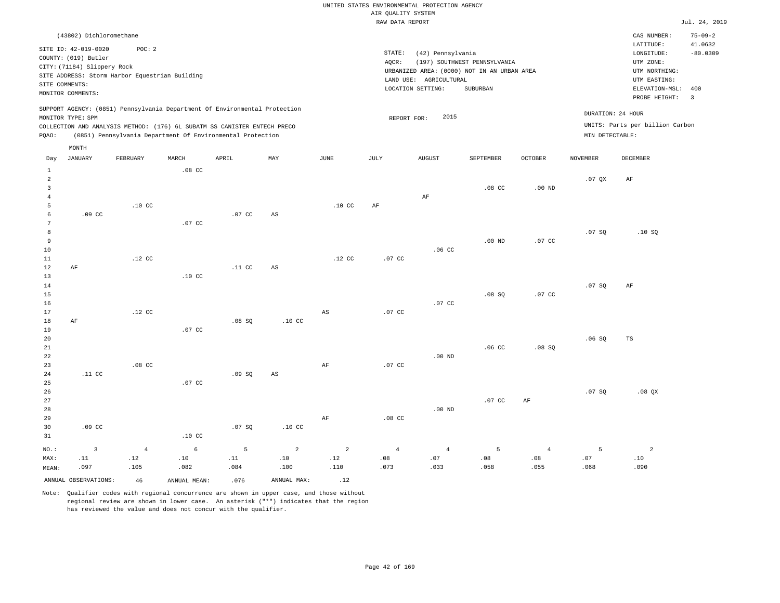|                |                             |                                                |                  |                                                                            |                  |                        | RAW DATA REPORT  |                                             |                              |                  |                 |                                 | Jul. 24, 2019            |
|----------------|-----------------------------|------------------------------------------------|------------------|----------------------------------------------------------------------------|------------------|------------------------|------------------|---------------------------------------------|------------------------------|------------------|-----------------|---------------------------------|--------------------------|
|                | (43802) Dichloromethane     |                                                |                  |                                                                            |                  |                        |                  |                                             |                              |                  |                 | CAS NUMBER:<br>LATITUDE:        | $75 - 09 - 2$<br>41.0632 |
|                | SITE ID: 42-019-0020        | POC: 2                                         |                  |                                                                            |                  |                        | STATE:           | (42) Pennsylvania                           |                              |                  |                 | LONGITUDE:                      | $-80.0309$               |
|                | COUNTY: (019) Butler        |                                                |                  |                                                                            |                  |                        | AOCR:            |                                             | (197) SOUTHWEST PENNSYLVANIA |                  |                 | UTM ZONE:                       |                          |
|                | CITY: (71184) Slippery Rock |                                                |                  |                                                                            |                  |                        |                  | URBANIZED AREA: (0000) NOT IN AN URBAN AREA |                              |                  |                 | UTM NORTHING:                   |                          |
|                |                             | SITE ADDRESS: Storm Harbor Equestrian Building |                  |                                                                            |                  |                        |                  | LAND USE: AGRICULTURAL                      |                              |                  |                 | UTM EASTING:                    |                          |
|                | SITE COMMENTS:              |                                                |                  |                                                                            |                  |                        |                  | LOCATION SETTING:                           | SUBURBAN                     |                  |                 | ELEVATION-MSL:                  | 400                      |
|                | MONITOR COMMENTS:           |                                                |                  |                                                                            |                  |                        |                  |                                             |                              |                  |                 | PROBE HEIGHT: 3                 |                          |
|                |                             |                                                |                  | SUPPORT AGENCY: (0851) Pennsylvania Department Of Environmental Protection |                  |                        |                  |                                             |                              |                  |                 |                                 |                          |
|                | MONITOR TYPE: SPM           |                                                |                  |                                                                            |                  |                        |                  | 2015<br>REPORT FOR:                         |                              |                  |                 | DURATION: 24 HOUR               |                          |
|                |                             |                                                |                  | COLLECTION AND ANALYSIS METHOD: (176) 6L SUBATM SS CANISTER ENTECH PRECO   |                  |                        |                  |                                             |                              |                  |                 | UNITS: Parts per billion Carbon |                          |
| PQAO:          |                             |                                                |                  | (0851) Pennsylvania Department Of Environmental Protection                 |                  |                        |                  |                                             |                              |                  | MIN DETECTABLE: |                                 |                          |
|                | MONTH                       |                                                |                  |                                                                            |                  |                        |                  |                                             |                              |                  |                 |                                 |                          |
| Day            | <b>JANUARY</b>              | FEBRUARY                                       | MARCH            | APRIL                                                                      | MAY              | JUNE                   | JULY             | AUGUST                                      | SEPTEMBER                    | <b>OCTOBER</b>   | <b>NOVEMBER</b> | DECEMBER                        |                          |
| 1              |                             |                                                | .08 <sub>c</sub> |                                                                            |                  |                        |                  |                                             |                              |                  |                 |                                 |                          |
| 2              |                             |                                                |                  |                                                                            |                  |                        |                  |                                             |                              |                  | .07QX           | AF                              |                          |
| $\overline{3}$ |                             |                                                |                  |                                                                            |                  |                        |                  |                                             | .08 <sub>C</sub>             | $.00$ ND         |                 |                                 |                          |
|                |                             |                                                |                  |                                                                            |                  |                        |                  | $\rm AF$                                    |                              |                  |                 |                                 |                          |
| 5              |                             | .10 <sub>C</sub>                               |                  |                                                                            |                  | .10 <sub>c</sub>       | AF               |                                             |                              |                  |                 |                                 |                          |
|                | .09 <sub>c</sub>            |                                                |                  | .07 CC                                                                     | AS               |                        |                  |                                             |                              |                  |                 |                                 |                          |
|                |                             |                                                | .07 CC           |                                                                            |                  |                        |                  |                                             |                              |                  |                 |                                 |                          |
| 8              |                             |                                                |                  |                                                                            |                  |                        |                  |                                             |                              |                  | .07SQ           | .10S                            |                          |
| 9              |                             |                                                |                  |                                                                            |                  |                        |                  |                                             | $.00$ ND                     | .07 CC           |                 |                                 |                          |
| 10             |                             |                                                |                  |                                                                            |                  |                        |                  | .06 <sub>C</sub>                            |                              |                  |                 |                                 |                          |
| 11             |                             | .12 <sub>c</sub>                               |                  |                                                                            |                  | .12 <sub>c</sub>       | .07 <sub>c</sub> |                                             |                              |                  |                 |                                 |                          |
| 12             | AF                          |                                                |                  | .11 <sub>c</sub>                                                           | AS               |                        |                  |                                             |                              |                  |                 |                                 |                          |
| 13             |                             |                                                | .10 <sub>C</sub> |                                                                            |                  |                        |                  |                                             |                              |                  |                 |                                 |                          |
| 14             |                             |                                                |                  |                                                                            |                  |                        |                  |                                             |                              |                  | .07S            | AF                              |                          |
| 15             |                             |                                                |                  |                                                                            |                  |                        |                  |                                             | .08 SQ                       | .07 <sub>c</sub> |                 |                                 |                          |
| 16<br>17       |                             | .12 <sub>c</sub>                               |                  |                                                                            |                  | $\mathbb{A}\mathbb{S}$ | .07 <sub>c</sub> | .07 <sub>c</sub>                            |                              |                  |                 |                                 |                          |
| 18             | AF                          |                                                |                  | .08S                                                                       | .10 <sub>c</sub> |                        |                  |                                             |                              |                  |                 |                                 |                          |
| 19             |                             |                                                | .07 <sub>c</sub> |                                                                            |                  |                        |                  |                                             |                              |                  |                 |                                 |                          |
|                |                             |                                                |                  |                                                                            |                  |                        |                  |                                             |                              |                  |                 |                                 |                          |

20 21 22 23 24 25 .11 CC .08 CC .07 CC .09 SQ AS AF .07 CC .00 ND .06 CC .08 SQ .06 SQ TS

26 27 28 29 30 31 .09 CC .10 CC .07 SQ .10 CC AF .08 CC .00 ND .07 CC AF .07 SQ .08 QX

NO.: MAX: MEAN: 3 .11 .097 4 .12 .105 6 .10 .082 5 .11 .084 2 .10 .100 2 .12 .110 4 .08 .073 4 .07 .033 5 .08 .058 4 .08 .055 5 .07 .068 2 .10 .090 ANNUAL OBSERVATIONS:  $46$  ANNUAL MEAN: .076 ANNUAL MAX: .12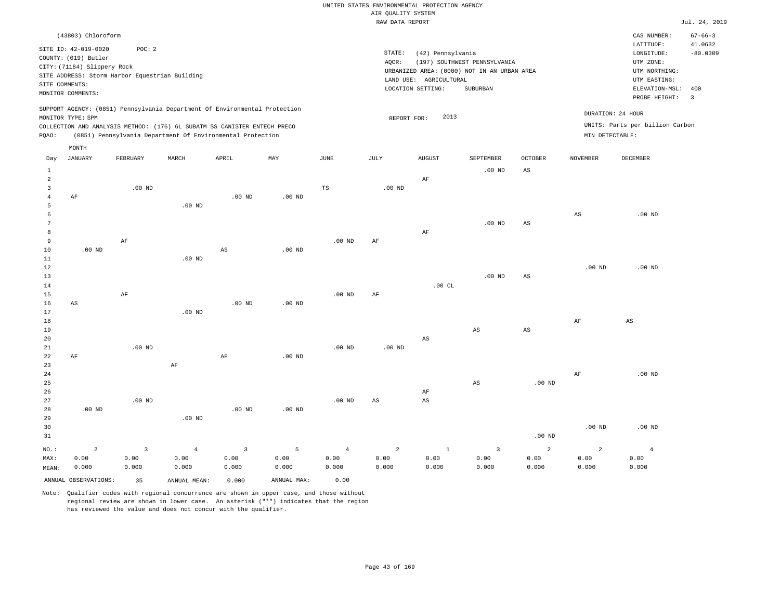|                |                                                                                                                                                    |                |                   |                                                                                                                                        |                   |                   | RAW DATA REPORT   |                                                                  |                                                                                         |                        |                   |                                                                                                              | Jul. 24, 2019                           |
|----------------|----------------------------------------------------------------------------------------------------------------------------------------------------|----------------|-------------------|----------------------------------------------------------------------------------------------------------------------------------------|-------------------|-------------------|-------------------|------------------------------------------------------------------|-----------------------------------------------------------------------------------------|------------------------|-------------------|--------------------------------------------------------------------------------------------------------------|-----------------------------------------|
|                | (43803) Chloroform                                                                                                                                 |                |                   |                                                                                                                                        |                   |                   |                   |                                                                  |                                                                                         |                        |                   | CAS NUMBER:                                                                                                  | $67 - 66 - 3$                           |
| SITE COMMENTS: | SITE ID: 42-019-0020<br>COUNTY: (019) Butler<br>CITY: (71184) Slippery Rock<br>SITE ADDRESS: Storm Harbor Equestrian Building<br>MONITOR COMMENTS: | POC: 2         |                   |                                                                                                                                        |                   |                   | STATE:<br>AQCR:   | (42) Pennsylvania<br>LAND USE: AGRICULTURAL<br>LOCATION SETTING: | (197) SOUTHWEST PENNSYLVANIA<br>URBANIZED AREA: (0000) NOT IN AN URBAN AREA<br>SUBURBAN |                        |                   | LATITUDE:<br>LONGITUDE:<br>UTM ZONE:<br>UTM NORTHING:<br>UTM EASTING:<br>ELEVATION-MSL: 400<br>PROBE HEIGHT: | 41.0632<br>$-80.0309$<br>$\overline{3}$ |
|                |                                                                                                                                                    |                |                   | SUPPORT AGENCY: (0851) Pennsylvania Department Of Environmental Protection                                                             |                   |                   |                   |                                                                  |                                                                                         |                        |                   | DURATION: 24 HOUR                                                                                            |                                         |
|                | MONITOR TYPE: SPM                                                                                                                                  |                |                   |                                                                                                                                        |                   |                   | REPORT FOR:       | 2013                                                             |                                                                                         |                        |                   | UNITS: Parts per billion Carbon                                                                              |                                         |
| PQAO:          |                                                                                                                                                    |                |                   | COLLECTION AND ANALYSIS METHOD: (176) 6L SUBATM SS CANISTER ENTECH PRECO<br>(0851) Pennsylvania Department Of Environmental Protection |                   |                   |                   |                                                                  |                                                                                         |                        | MIN DETECTABLE:   |                                                                                                              |                                         |
|                |                                                                                                                                                    |                |                   |                                                                                                                                        |                   |                   |                   |                                                                  |                                                                                         |                        |                   |                                                                                                              |                                         |
| Day            | MONTH<br><b>JANUARY</b>                                                                                                                            | FEBRUARY       | MARCH             | APRIL                                                                                                                                  | MAY               | $\mathtt{JUNE}$   | JULY              | ${\tt AUGUST}$                                                   | SEPTEMBER                                                                               | <b>OCTOBER</b>         | <b>NOVEMBER</b>   | DECEMBER                                                                                                     |                                         |
| $\mathbf{1}$   |                                                                                                                                                    |                |                   |                                                                                                                                        |                   |                   |                   |                                                                  | $.00$ ND                                                                                | $\mathbb{A}\mathbb{S}$ |                   |                                                                                                              |                                         |
| $\overline{a}$ |                                                                                                                                                    |                |                   |                                                                                                                                        |                   |                   |                   | AF                                                               |                                                                                         |                        |                   |                                                                                                              |                                         |
| $\overline{3}$ |                                                                                                                                                    | $.00$ ND       |                   |                                                                                                                                        |                   | $\mathbb{TS}$     | .00 <sub>ND</sub> |                                                                  |                                                                                         |                        |                   |                                                                                                              |                                         |
| $\overline{4}$ | AF                                                                                                                                                 |                |                   | $.00$ ND                                                                                                                               | $.00$ ND          |                   |                   |                                                                  |                                                                                         |                        |                   |                                                                                                              |                                         |
| 5              |                                                                                                                                                    |                | $.00$ ND          |                                                                                                                                        |                   |                   |                   |                                                                  |                                                                                         |                        |                   |                                                                                                              |                                         |
| 6<br>7         |                                                                                                                                                    |                |                   |                                                                                                                                        |                   |                   |                   |                                                                  | $.00$ ND                                                                                | $_{\rm AS}$            | $_{\rm AS}$       | $.00$ ND                                                                                                     |                                         |
| 8              |                                                                                                                                                    |                |                   |                                                                                                                                        |                   |                   |                   | AF                                                               |                                                                                         |                        |                   |                                                                                                              |                                         |
| $\overline{9}$ |                                                                                                                                                    | $\rm AF$       |                   |                                                                                                                                        |                   | .00 <sub>ND</sub> | AF                |                                                                  |                                                                                         |                        |                   |                                                                                                              |                                         |
| 10             | .00 <sub>ND</sub>                                                                                                                                  |                |                   | $_{\rm AS}$                                                                                                                            | $.00$ ND          |                   |                   |                                                                  |                                                                                         |                        |                   |                                                                                                              |                                         |
| $11\,$         |                                                                                                                                                    |                | $.00$ ND          |                                                                                                                                        |                   |                   |                   |                                                                  |                                                                                         |                        |                   |                                                                                                              |                                         |
| 12             |                                                                                                                                                    |                |                   |                                                                                                                                        |                   |                   |                   |                                                                  |                                                                                         |                        | .00 <sub>ND</sub> | .00 <sub>ND</sub>                                                                                            |                                         |
| 13             |                                                                                                                                                    |                |                   |                                                                                                                                        |                   |                   |                   |                                                                  | $.00$ ND                                                                                | $_{\rm AS}$            |                   |                                                                                                              |                                         |
| 14<br>15       |                                                                                                                                                    | AF             |                   |                                                                                                                                        |                   | .00 <sub>ND</sub> | AF                | .00CL                                                            |                                                                                         |                        |                   |                                                                                                              |                                         |
| 16             | AS                                                                                                                                                 |                |                   | $.00$ ND                                                                                                                               | $.00$ ND          |                   |                   |                                                                  |                                                                                         |                        |                   |                                                                                                              |                                         |
| 17             |                                                                                                                                                    |                | .00 <sub>ND</sub> |                                                                                                                                        |                   |                   |                   |                                                                  |                                                                                         |                        |                   |                                                                                                              |                                         |
| 18             |                                                                                                                                                    |                |                   |                                                                                                                                        |                   |                   |                   |                                                                  |                                                                                         |                        | AF                | $_{\rm AS}$                                                                                                  |                                         |
| 19             |                                                                                                                                                    |                |                   |                                                                                                                                        |                   |                   |                   |                                                                  | AS                                                                                      | AS                     |                   |                                                                                                              |                                         |
| 20             |                                                                                                                                                    |                |                   |                                                                                                                                        |                   |                   |                   | $\mathbb{A}\mathbb{S}$                                           |                                                                                         |                        |                   |                                                                                                              |                                         |
| 21             |                                                                                                                                                    | $.00$ ND       |                   |                                                                                                                                        |                   | $.00$ ND          | $.00$ ND          |                                                                  |                                                                                         |                        |                   |                                                                                                              |                                         |
| 22<br>23       | AF                                                                                                                                                 |                | $\rm{AF}$         | AF                                                                                                                                     | .00 <sub>ND</sub> |                   |                   |                                                                  |                                                                                         |                        |                   |                                                                                                              |                                         |
| 24             |                                                                                                                                                    |                |                   |                                                                                                                                        |                   |                   |                   |                                                                  |                                                                                         |                        | AF                | $.00$ ND                                                                                                     |                                         |
| 25             |                                                                                                                                                    |                |                   |                                                                                                                                        |                   |                   |                   |                                                                  | $_{\rm AS}$                                                                             | $.00$ ND               |                   |                                                                                                              |                                         |
| 26             |                                                                                                                                                    |                |                   |                                                                                                                                        |                   |                   |                   | AF                                                               |                                                                                         |                        |                   |                                                                                                              |                                         |
| 27             |                                                                                                                                                    | $.00$ ND       |                   |                                                                                                                                        |                   | $.00$ ND          | AS                | AS                                                               |                                                                                         |                        |                   |                                                                                                              |                                         |
| 28<br>29       | .00 <sub>ND</sub>                                                                                                                                  |                | $.00$ ND          | .00 <sub>ND</sub>                                                                                                                      | .00 <sub>ND</sub> |                   |                   |                                                                  |                                                                                         |                        |                   |                                                                                                              |                                         |
| 30             |                                                                                                                                                    |                |                   |                                                                                                                                        |                   |                   |                   |                                                                  |                                                                                         |                        | .00 <sub>ND</sub> | $.00$ ND                                                                                                     |                                         |
| 31             |                                                                                                                                                    |                |                   |                                                                                                                                        |                   |                   |                   |                                                                  |                                                                                         | .00 <sub>ND</sub>      |                   |                                                                                                              |                                         |
| NO.:           | $\overline{a}$                                                                                                                                     | $\overline{3}$ | $\overline{4}$    | $\overline{3}$                                                                                                                         | 5                 | $\overline{4}$    | $\overline{a}$    | $1\,$                                                            | $\overline{3}$                                                                          | 2                      | $\overline{a}$    | $\overline{4}$                                                                                               |                                         |
| MAX:           | 0.00                                                                                                                                               | 0.00           | 0.00              | 0.00                                                                                                                                   | 0.00              | 0.00              | 0.00              | 0.00                                                             | 0.00                                                                                    | 0.00                   | 0.00              | 0.00                                                                                                         |                                         |
| MEAN:          | 0.000                                                                                                                                              | 0.000          | 0.000             | 0.000                                                                                                                                  | 0.000             | 0.000             | 0.000             | 0.000                                                            | 0.000                                                                                   | 0.000                  | 0.000             | 0.000                                                                                                        |                                         |
|                | ANNUAL OBSERVATIONS:                                                                                                                               | 35             | ANNUAL MEAN:      | 0.000                                                                                                                                  | ANNUAL MAX:       | 0.00              |                   |                                                                  |                                                                                         |                        |                   |                                                                                                              |                                         |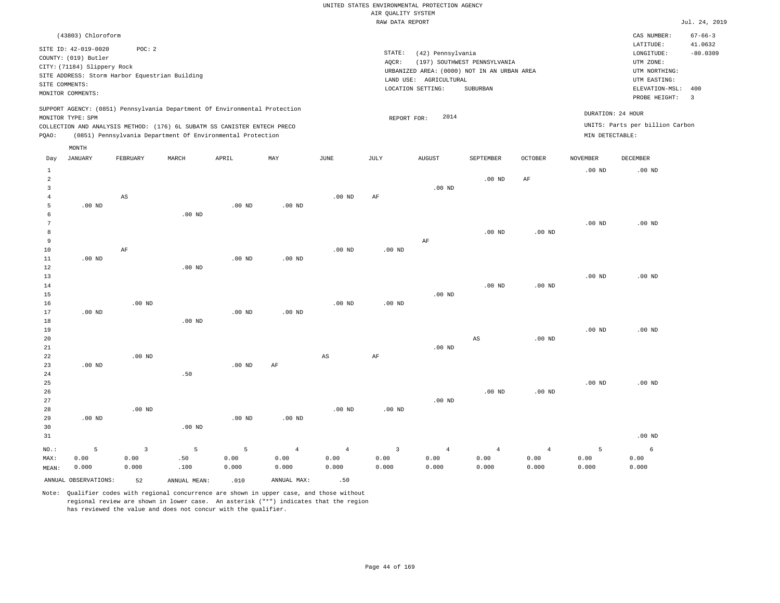| RAW DATA REPORT                                                                                                                                                                                                                                    |                      |          |                 |                                                                                            |                              |                |                                      |                                                          |                                 |  |  |  |  |
|----------------------------------------------------------------------------------------------------------------------------------------------------------------------------------------------------------------------------------------------------|----------------------|----------|-----------------|--------------------------------------------------------------------------------------------|------------------------------|----------------|--------------------------------------|----------------------------------------------------------|---------------------------------|--|--|--|--|
| (43803) Chloroform                                                                                                                                                                                                                                 |                      |          |                 |                                                                                            |                              |                |                                      | CAS NUMBER:<br>LATITUDE:                                 | $67 - 66 - 3$<br>41.0632        |  |  |  |  |
| SITE ID: 42-019-0020<br>POC: 2<br>COUNTY: (019) Butler<br>CITY: (71184) Slippery Rock<br>SITE ADDRESS: Storm Harbor Equestrian Building<br>SITE COMMENTS:                                                                                          |                      |          | STATE:<br>AOCR: | (42) Pennsylvania<br>URBANIZED AREA: (0000) NOT IN AN URBAN AREA<br>LAND USE: AGRICULTURAL | (197) SOUTHWEST PENNSYLVANIA |                |                                      | LONGITUDE:<br>UTM ZONE:<br>UTM NORTHING:<br>UTM EASTING: | $-80.0309$                      |  |  |  |  |
| MONITOR COMMENTS:                                                                                                                                                                                                                                  |                      |          |                 | LOCATION SETTING:                                                                          | SUBURBAN                     |                |                                      | ELEVATION-MSL:<br>PROBE HEIGHT:                          | 400<br>$\overline{\phantom{a}}$ |  |  |  |  |
| SUPPORT AGENCY: (0851) Pennsylvania Department Of Environmental Protection<br>MONITOR TYPE: SPM<br>COLLECTION AND ANALYSIS METHOD: (176) 6L SUBATM SS CANISTER ENTECH PRECO<br>(0851) Pennsylvania Department Of Environmental Protection<br>PQAO: |                      |          |                 | 2014<br>REPORT FOR:                                                                        |                              |                | DURATION: 24 HOUR<br>MIN DETECTABLE: | UNITS: Parts per billion Carbon                          |                                 |  |  |  |  |
| MONTH                                                                                                                                                                                                                                              |                      |          |                 |                                                                                            |                              |                |                                      |                                                          |                                 |  |  |  |  |
| JANUARY<br>FEBRUARY<br>MARCH<br>Day                                                                                                                                                                                                                | APRIL<br>MAY         | JUNE     | JULY            | <b>AUGUST</b>                                                                              | SEPTEMBER                    | <b>OCTOBER</b> | <b>NOVEMBER</b>                      | DECEMBER                                                 |                                 |  |  |  |  |
| 2<br>3                                                                                                                                                                                                                                             |                      |          |                 | $.00$ ND                                                                                   | $.00$ ND                     | AF             | $.00$ ND                             | $.00$ ND                                                 |                                 |  |  |  |  |
| AS                                                                                                                                                                                                                                                 |                      | $.00$ ND | AF              |                                                                                            |                              |                |                                      |                                                          |                                 |  |  |  |  |
| $.00$ ND<br>5<br>$.00$ ND<br>6                                                                                                                                                                                                                     | $.00$ ND<br>$.00$ ND |          |                 |                                                                                            |                              |                |                                      |                                                          |                                 |  |  |  |  |
| 9                                                                                                                                                                                                                                                  |                      |          |                 | AF                                                                                         | $.00$ ND                     | $.00$ ND       | $.00$ ND                             | $.00$ ND                                                 |                                 |  |  |  |  |

| 10          |          | AF       |          |          |           | $.00$ ND | $.00$ ND |          |          |          |          |          |
|-------------|----------|----------|----------|----------|-----------|----------|----------|----------|----------|----------|----------|----------|
| 11          | $.00$ ND |          |          | $.00$ ND | $.00$ ND  |          |          |          |          |          |          |          |
| 12          |          |          | $.00$ ND |          |           |          |          |          |          |          |          |          |
| 13          |          |          |          |          |           |          |          |          |          |          | $.00$ ND | $.00$ ND |
| $14$        |          |          |          |          |           |          |          |          | $.00$ ND | $.00$ ND |          |          |
| 15          |          |          |          |          |           |          |          | $.00$ ND |          |          |          |          |
| 16          |          | $.00$ ND |          |          |           | $.00$ ND | $.00$ ND |          |          |          |          |          |
| 17          | $.00$ ND |          |          | $.00$ ND | $.00$ ND  |          |          |          |          |          |          |          |
| 18          |          |          | $.00$ ND |          |           |          |          |          |          |          |          |          |
| 19          |          |          |          |          |           |          |          |          |          |          | $.00$ ND | $.00$ ND |
| 20          |          |          |          |          |           |          |          |          | AS       | $.00$ ND |          |          |
| $2\sqrt{1}$ |          |          |          |          |           |          |          | $.00$ ND |          |          |          |          |
| $2\sqrt{2}$ |          | $.00$ ND |          |          |           | AS       | AF       |          |          |          |          |          |
| 23          | $.00$ ND |          |          | $.00$ ND | $\rm{AF}$ |          |          |          |          |          |          |          |
| $2\sqrt{4}$ |          |          | .50      |          |           |          |          |          |          |          |          |          |
| $25\,$      |          |          |          |          |           |          |          |          |          |          | $.00$ ND | $.00$ ND |
| $26\,$      |          |          |          |          |           |          |          |          | $.00$ ND | $.00$ ND |          |          |
| 27          |          |          |          |          |           |          |          | $.00$ ND |          |          |          |          |
| 28          |          | $.00$ ND |          |          |           | $.00$ ND | $.00$ ND |          |          |          |          |          |

| 29    | $.00$ ND |                         |                  | $.00$ ND              | $.00$ ND |         |       |       |                 |                 |       |          |
|-------|----------|-------------------------|------------------|-----------------------|----------|---------|-------|-------|-----------------|-----------------|-------|----------|
| 30    |          |                         | $.00$ ND         |                       |          |         |       |       |                 |                 |       |          |
| 31    |          |                         |                  |                       |          |         |       |       |                 |                 |       | $.00$ ND |
| NO.:  | $5 - 5$  | $\overline{\mathbf{3}}$ |                  | $5 \qquad 5 \qquad 4$ |          | $4 - 4$ | 3 4   |       | $4\overline{ }$ | $4\overline{4}$ | -5    | 6        |
| MAX:  | 0.00     | 0.00                    | .50 <sub>1</sub> | 0.00                  | 0.00     | 0.00    | 0.00  | 0.00  | 0.00            | 0.00            | 0.00  | 0.00     |
| MEAN: | 0.000    | 0.000                   | .100             | 0.000                 | 0.000    | 0.000   | 0.000 | 0.000 | 0.000           | 0.000           | 0.000 | 0.000    |
|       |          |                         |                  |                       |          |         |       |       |                 |                 |       |          |

ANNUAL OBSERVATIONS: 52 ANNUAL MEAN: .010 ANNUAL MAX: .50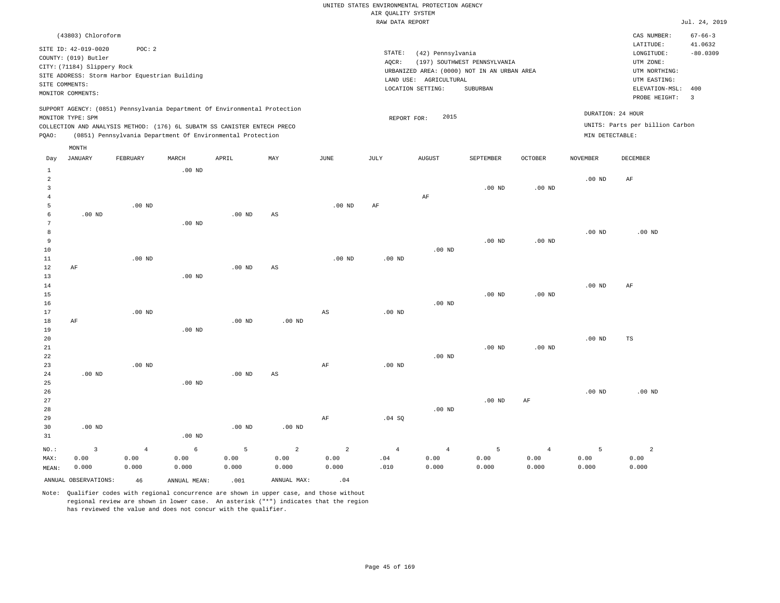|                               |                                                                    |                                                                                                                                                                                                                      |          |          |     |          | RAW DATA REPORT |                                                                                            |                              |                   |                   |                                                                  | Jul. 24, 2019                          |
|-------------------------------|--------------------------------------------------------------------|----------------------------------------------------------------------------------------------------------------------------------------------------------------------------------------------------------------------|----------|----------|-----|----------|-----------------|--------------------------------------------------------------------------------------------|------------------------------|-------------------|-------------------|------------------------------------------------------------------|----------------------------------------|
|                               | (43803) Chloroform<br>SITE ID: 42-019-0020<br>COUNTY: (019) Butler | POC:2                                                                                                                                                                                                                |          |          |     |          | STATE:<br>AOCR: | (42) Pennsylvania                                                                          | (197) SOUTHWEST PENNSYLVANIA |                   |                   | CAS NUMBER:<br>LATITUDE:<br>LONGITUDE:<br>UTM ZONE:              | $67 - 66 - 3$<br>41.0632<br>$-80.0309$ |
|                               | CITY: (71184) Slippery Rock<br>SITE COMMENTS:<br>MONITOR COMMENTS: | SITE ADDRESS: Storm Harbor Equestrian Building                                                                                                                                                                       |          |          |     |          |                 | URBANIZED AREA: (0000) NOT IN AN URBAN AREA<br>LAND USE: AGRICULTURAL<br>LOCATION SETTING: | SUBURBAN                     |                   |                   | UTM NORTHING:<br>UTM EASTING:<br>ELEVATION-MSL:<br>PROBE HEIGHT: | 400<br>$\overline{\phantom{a}}$        |
| POAO:                         | MONITOR TYPE: SPM                                                  | SUPPORT AGENCY: (0851) Pennsylvania Department Of Environmental Protection<br>COLLECTION AND ANALYSIS METHOD: (176) 6L SUBATM SS CANISTER ENTECH PRECO<br>(0851) Pennsylvania Department Of Environmental Protection |          |          |     |          |                 | 2015<br>REPORT FOR:                                                                        |                              |                   | MIN DETECTABLE:   | DURATION: 24 HOUR<br>UNITS: Parts per billion Carbon             |                                        |
|                               | MONTH                                                              |                                                                                                                                                                                                                      |          |          |     |          |                 |                                                                                            |                              |                   |                   |                                                                  |                                        |
| Day                           | JANUARY                                                            | FEBRUARY                                                                                                                                                                                                             | MARCH    | APRIL    | MAY | JUNE     | JULY            | <b>AUGUST</b>                                                                              | SEPTEMBER                    | <b>OCTOBER</b>    | <b>NOVEMBER</b>   | DECEMBER                                                         |                                        |
| 1<br>2<br>3<br>$\overline{4}$ |                                                                    |                                                                                                                                                                                                                      | $.00$ ND |          |     |          |                 | AF                                                                                         | $.00$ ND                     | .00 <sub>ND</sub> | .00 <sub>ND</sub> | AF                                                               |                                        |
| 5<br>6                        | $.00$ ND                                                           | $.00$ ND                                                                                                                                                                                                             | $.00$ ND | $.00$ ND | AS  | $.00$ ND | AF              |                                                                                            |                              |                   |                   |                                                                  |                                        |
| 8<br>9<br>10                  |                                                                    |                                                                                                                                                                                                                      |          |          |     |          |                 | $.00$ ND                                                                                   | $.00$ ND                     | $.00$ ND          | $.00$ ND          | $.00$ ND                                                         |                                        |
| 11                            |                                                                    | $.00$ ND                                                                                                                                                                                                             |          |          |     | $.00$ ND | $.00$ ND        |                                                                                            |                              |                   |                   |                                                                  |                                        |
| 12<br>13                      | AF                                                                 |                                                                                                                                                                                                                      | $.00$ ND | $.00$ ND | AS  |          |                 |                                                                                            |                              |                   |                   |                                                                  |                                        |
| 14<br>15                      |                                                                    |                                                                                                                                                                                                                      |          |          |     |          |                 |                                                                                            | .00 <sub>ND</sub>            | .00 <sub>ND</sub> | $.00$ ND          | AF                                                               |                                        |
| 16<br>17                      |                                                                    | $.00$ ND                                                                                                                                                                                                             |          |          |     | AS       | $.00$ ND        | $.00$ ND                                                                                   |                              |                   |                   |                                                                  |                                        |
|                               |                                                                    |                                                                                                                                                                                                                      |          |          |     |          |                 |                                                                                            |                              |                   |                   |                                                                  |                                        |

.00 ND

TS

19 20 21 22 23 24 .00 ND .00 ND .00 ND .00 ND AS AF .00 ND .00 ND .00 ND .00 ND

.00 ND

.00 ND

25 26 27 28 29 30 31 .00 ND NO.: MAX: MEAN: 3 0.00 0.000 .00 ND .00 ND .00 ND .00 ND AF .04 SQ .00 ND .00 ND AF .00 ND .00 ND 4 0.00 0.000 6 0.00 0.000 5 0.00 0.000 2 0.00 0.000 2 0.00 0.000 4 .04 .010 4 0.00 0.000 5 0.00 0.000 4 0.00 0.000 5 0.00 0.000 2 0.00 0.000

ANNUAL OBSERVATIONS:  $46$  ANNUAL MEAN: .001 ANNUAL MAX: .04

18

AF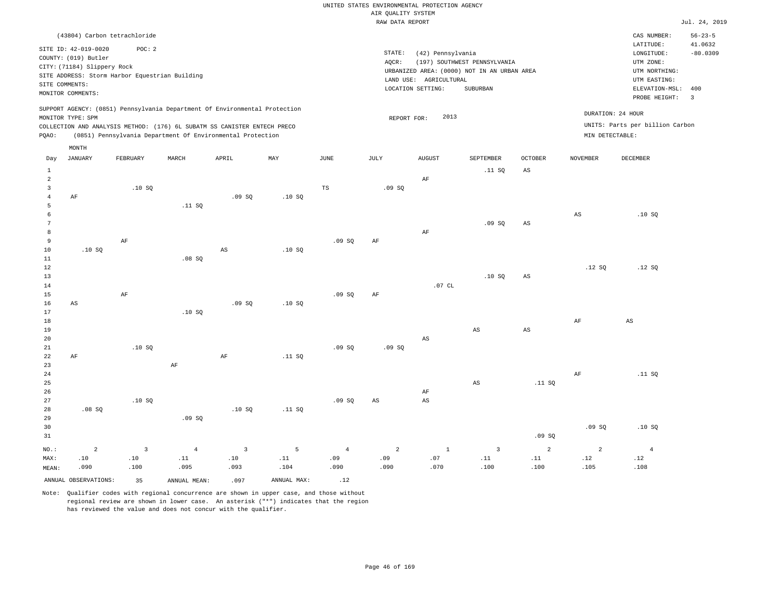|                  |                                                |                |                |                                                                            |             |                | RAW DATA REPORT |                        |                                             |                        |                 |                                 | Jul. 24, 2019  |
|------------------|------------------------------------------------|----------------|----------------|----------------------------------------------------------------------------|-------------|----------------|-----------------|------------------------|---------------------------------------------|------------------------|-----------------|---------------------------------|----------------|
|                  | (43804) Carbon tetrachloride                   |                |                |                                                                            |             |                |                 |                        |                                             |                        |                 | CAS NUMBER:                     | $56 - 23 - 5$  |
|                  |                                                |                |                |                                                                            |             |                |                 |                        |                                             |                        |                 | LATITUDE:                       | 41.0632        |
|                  | SITE ID: 42-019-0020                           | POC: 2         |                |                                                                            |             |                | STATE:          | (42) Pennsylvania      |                                             |                        |                 | LONGITUDE:                      | $-80.0309$     |
|                  | COUNTY: (019) Butler                           |                |                |                                                                            |             |                | AQCR:           |                        | (197) SOUTHWEST PENNSYLVANIA                |                        |                 | UTM ZONE:                       |                |
|                  | CITY: (71184) Slippery Rock                    |                |                |                                                                            |             |                |                 |                        | URBANIZED AREA: (0000) NOT IN AN URBAN AREA |                        |                 | UTM NORTHING:                   |                |
|                  | SITE ADDRESS: Storm Harbor Equestrian Building |                |                |                                                                            |             |                |                 | LAND USE: AGRICULTURAL |                                             |                        |                 | UTM EASTING:                    |                |
|                  | SITE COMMENTS:                                 |                |                |                                                                            |             |                |                 | LOCATION SETTING:      | SUBURBAN                                    |                        |                 | ELEVATION-MSL:                  | 400            |
|                  | MONITOR COMMENTS:                              |                |                |                                                                            |             |                |                 |                        |                                             |                        |                 | PROBE HEIGHT:                   | $\overline{3}$ |
|                  |                                                |                |                | SUPPORT AGENCY: (0851) Pennsylvania Department Of Environmental Protection |             |                |                 |                        |                                             |                        |                 |                                 |                |
|                  | MONITOR TYPE: SPM                              |                |                |                                                                            |             |                | REPORT FOR:     | 2013                   |                                             |                        |                 | DURATION: 24 HOUR               |                |
|                  |                                                |                |                | COLLECTION AND ANALYSIS METHOD: (176) 6L SUBATM SS CANISTER ENTECH PRECO   |             |                |                 |                        |                                             |                        |                 | UNITS: Parts per billion Carbon |                |
| PQAO:            |                                                |                |                | (0851) Pennsylvania Department Of Environmental Protection                 |             |                |                 |                        |                                             |                        | MIN DETECTABLE: |                                 |                |
|                  | MONTH                                          |                |                |                                                                            |             |                |                 |                        |                                             |                        |                 |                                 |                |
| Day              | JANUARY                                        | FEBRUARY       | MARCH          | APRIL                                                                      | MAY         | JUNE           | JULY            | <b>AUGUST</b>          | SEPTEMBER                                   | <b>OCTOBER</b>         | <b>NOVEMBER</b> | DECEMBER                        |                |
| $\,1\,$          |                                                |                |                |                                                                            |             |                |                 |                        | .11 SQ                                      | $\mathbb{A}\mathbb{S}$ |                 |                                 |                |
| $\overline{a}$   |                                                |                |                |                                                                            |             |                |                 | AF                     |                                             |                        |                 |                                 |                |
| $\overline{3}$   |                                                | .10S           |                |                                                                            |             | TS             | .09S            |                        |                                             |                        |                 |                                 |                |
| $\overline{4}$   | AF                                             |                |                | .09SQ                                                                      | .10S        |                |                 |                        |                                             |                        |                 |                                 |                |
| 5                |                                                |                | .11 SQ         |                                                                            |             |                |                 |                        |                                             |                        |                 |                                 |                |
| 6                |                                                |                |                |                                                                            |             |                |                 |                        |                                             |                        | $_{\rm AS}$     | .10S                            |                |
| $\boldsymbol{7}$ |                                                |                |                |                                                                            |             |                |                 |                        | .09 SQ                                      | $_{\rm AS}$            |                 |                                 |                |
| 8                |                                                |                |                |                                                                            |             |                |                 | AF                     |                                             |                        |                 |                                 |                |
| 9                |                                                | AF             |                |                                                                            |             | .09SQ          | AF              |                        |                                             |                        |                 |                                 |                |
| 10               | .10S                                           |                |                | $_{\rm AS}$                                                                | .10S        |                |                 |                        |                                             |                        |                 |                                 |                |
| 11               |                                                |                | .08S           |                                                                            |             |                |                 |                        |                                             |                        |                 |                                 |                |
| $1\,2$           |                                                |                |                |                                                                            |             |                |                 |                        |                                             |                        | .12S            | .12S                            |                |
| 13               |                                                |                |                |                                                                            |             |                |                 |                        | .10S                                        | $\mathbb{A}\mathbb{S}$ |                 |                                 |                |
| 14               |                                                |                |                |                                                                            |             |                |                 | .07CL                  |                                             |                        |                 |                                 |                |
| 15               |                                                | AF             |                |                                                                            |             | .09SQ          | AF              |                        |                                             |                        |                 |                                 |                |
| 16<br>17         | AS                                             |                | .10S           | .09SQ                                                                      | .10SQ       |                |                 |                        |                                             |                        |                 |                                 |                |
| 18               |                                                |                |                |                                                                            |             |                |                 |                        |                                             |                        | $\rm{AF}$       | AS                              |                |
| 19               |                                                |                |                |                                                                            |             |                |                 |                        | AS                                          | $\mathbb{A}\mathbb{S}$ |                 |                                 |                |
| 20               |                                                |                |                |                                                                            |             |                |                 | AS                     |                                             |                        |                 |                                 |                |
| 21               |                                                | .10SQ          |                |                                                                            |             | .09SQ          | .09SQ           |                        |                                             |                        |                 |                                 |                |
| 22               | AF                                             |                |                | AF                                                                         | .11 SQ      |                |                 |                        |                                             |                        |                 |                                 |                |
| 23               |                                                |                | AF             |                                                                            |             |                |                 |                        |                                             |                        |                 |                                 |                |
| 24               |                                                |                |                |                                                                            |             |                |                 |                        |                                             |                        | $\rm{AF}$       | .11 SQ                          |                |
| 25               |                                                |                |                |                                                                            |             |                |                 |                        | AS                                          | .11 SQ                 |                 |                                 |                |
| 26               |                                                |                |                |                                                                            |             |                |                 | AF                     |                                             |                        |                 |                                 |                |
| 27               |                                                | .10S           |                |                                                                            |             | .09SQ          | AS              | AS                     |                                             |                        |                 |                                 |                |
| 28               | .08SQ                                          |                |                | .10SQ                                                                      | .11 SQ      |                |                 |                        |                                             |                        |                 |                                 |                |
| 29               |                                                |                | .09SQ          |                                                                            |             |                |                 |                        |                                             |                        |                 |                                 |                |
| 30               |                                                |                |                |                                                                            |             |                |                 |                        |                                             |                        | .09SQ           | .10S                            |                |
| 31               |                                                |                |                |                                                                            |             |                |                 |                        |                                             | .09SQ                  |                 |                                 |                |
| NO.:             | $\overline{a}$                                 | $\overline{3}$ | $\overline{4}$ | $\overline{3}$                                                             | 5           | $\overline{4}$ | $\sqrt{2}$      | $1\,$                  | $\overline{\mathbf{3}}$                     | $\overline{a}$         | $\overline{2}$  | $\overline{4}$                  |                |
| MAX:             | .10                                            | .10            | .11            | .10                                                                        | .11         | .09            | .09             | .07                    | .11                                         | .11                    | .12             | .12                             |                |
| MEAN:            | .090                                           | .100           | .095           | .093                                                                       | .104        | .090           | .090            | .070                   | .100                                        | .100                   | .105            | .108                            |                |
|                  | ANNUAL OBSERVATIONS:                           | 35             | ANNUAL MEAN:   | .097                                                                       | ANNUAL MAX: | .12            |                 |                        |                                             |                        |                 |                                 |                |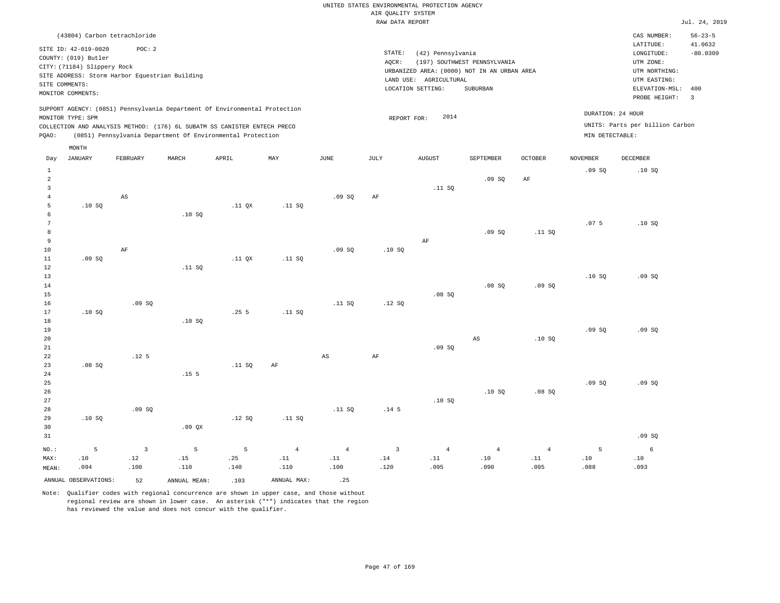| (43804) Carbon tetrachloride                                                                                                                                                                                                                                |                                                                                                                                                                                | CAS NUMBER:                                                                                                  | $56 - 23 - 5$                                    |
|-------------------------------------------------------------------------------------------------------------------------------------------------------------------------------------------------------------------------------------------------------------|--------------------------------------------------------------------------------------------------------------------------------------------------------------------------------|--------------------------------------------------------------------------------------------------------------|--------------------------------------------------|
| SITE ID: 42-019-0020<br>POC: 2<br>COUNTY: (019) Butler<br>CITY: (71184) Slippery Rock<br>SITE ADDRESS: Storm Harbor Equestrian Building<br>SITE COMMENTS:<br>MONITOR COMMENTS:                                                                              | STATE:<br>(42) Pennsylvania<br>(197) SOUTHWEST PENNSYLVANIA<br>AOCR:<br>URBANIZED AREA: (0000) NOT IN AN URBAN AREA<br>LAND USE: AGRICULTURAL<br>LOCATION SETTING:<br>SUBURBAN | LATITUDE:<br>LONGITUDE:<br>UTM ZONE:<br>UTM NORTHING:<br>UTM EASTING:<br>ELEVATION-MSL: 400<br>PROBE HEIGHT: | 41.0632<br>$-80.0309$<br>$\overline{\mathbf{3}}$ |
| SUPPORT AGENCY: (0851) Pennsylvania Department Of Environmental Protection<br>MONITOR TYPE: SPM<br>COLLECTION AND ANALYSIS METHOD: (176) 6L SUBATM SS CANISTER ENTECH PRECO<br>(0851) Pennsylvania Department Of Environmental Protection<br>POAO:<br>MONTH | 2014<br>REPORT FOR:                                                                                                                                                            | DURATION: 24 HOUR<br>UNITS: Parts per billion Carbon<br>MIN DETECTABLE:                                      |                                                  |

| Day                     | <b>JANUARY</b>       | ${\tt FEBRUARY}$       | $\tt MARCH$      | APRIL    | MAY                          | $_{\rm JUNE}$                | $\mathtt{JULY}$  | AUGUST                       | SEPTEMBER                    | $\mathtt{OCTOBER}$           | NOVEMBER | DECEMBER |
|-------------------------|----------------------|------------------------|------------------|----------|------------------------------|------------------------------|------------------|------------------------------|------------------------------|------------------------------|----------|----------|
| $\mathbf{1}$            |                      |                        |                  |          |                              |                              |                  |                              |                              |                              | .09SQ    | .10SQ    |
| $\overline{\mathbf{c}}$ |                      |                        |                  |          |                              |                              |                  |                              | .09SQ                        | $\rm{AF}$                    |          |          |
| 3                       |                      |                        |                  |          |                              |                              |                  | .11 SQ                       |                              |                              |          |          |
| $\overline{4}$          |                      | $\mathbb{A}\mathbb{S}$ |                  |          |                              | .09SQ                        | AF               |                              |                              |                              |          |          |
| 5                       | .10SQ                |                        |                  | $.11$ QX | .11 SQ                       |                              |                  |                              |                              |                              |          |          |
| 6                       |                      |                        | .10SQ            |          |                              |                              |                  |                              |                              |                              |          |          |
| $7\phantom{.0}$         |                      |                        |                  |          |                              |                              |                  |                              |                              |                              | .075     | .10SQ    |
| 8                       |                      |                        |                  |          |                              |                              |                  |                              | .09SQ                        | .11 SQ                       |          |          |
| 9                       |                      |                        |                  |          |                              |                              |                  | AF                           |                              |                              |          |          |
| 10                      |                      | AF                     |                  |          |                              | .09SQ                        | .10SQ            |                              |                              |                              |          |          |
| 11                      | .09SQ                |                        |                  | $.11$ QX | .11 SQ                       |                              |                  |                              |                              |                              |          |          |
| 12                      |                      |                        | .11 SQ           |          |                              |                              |                  |                              |                              |                              |          |          |
| 13                      |                      |                        |                  |          |                              |                              |                  |                              |                              |                              | .10SQ    | .09SQ    |
| 14                      |                      |                        |                  |          |                              |                              |                  |                              | .08 SQ                       | .09SQ                        |          |          |
| 15                      |                      |                        |                  |          |                              |                              |                  | .08SQ                        |                              |                              |          |          |
| 16                      |                      | .09SQ                  |                  |          |                              | .11 SQ                       | .12SQ            |                              |                              |                              |          |          |
| 17                      | .10SQ                |                        |                  | .255     | .11 SQ                       |                              |                  |                              |                              |                              |          |          |
| 18                      |                      |                        | .10SQ            |          |                              |                              |                  |                              |                              |                              |          |          |
| 19                      |                      |                        |                  |          |                              |                              |                  |                              |                              |                              | .09SQ    | .09SQ    |
| 20                      |                      |                        |                  |          |                              |                              |                  |                              | AS                           | .10SQ                        |          |          |
| 21                      |                      |                        |                  |          |                              |                              |                  | .09SQ                        |                              |                              |          |          |
| $2\sqrt{2}$             |                      | .12 <sub>5</sub>       |                  |          |                              | $\mathbb{A}\mathbb{S}$       | $\rm AF$         |                              |                              |                              |          |          |
| 23                      | .08SQ                |                        |                  | .11 SQ   | $\rm AF$                     |                              |                  |                              |                              |                              |          |          |
| 24                      |                      |                        | .15 <sub>5</sub> |          |                              |                              |                  |                              |                              |                              |          |          |
| 25                      |                      |                        |                  |          |                              |                              |                  |                              |                              |                              | .09SQ    | .09SQ    |
| 26                      |                      |                        |                  |          |                              |                              |                  |                              | .10S                         | .08SQ                        |          |          |
| $2\,7$                  |                      |                        |                  |          |                              |                              |                  | .10SQ                        |                              |                              |          |          |
| 28                      |                      | .09SQ                  |                  |          |                              | .11 SQ                       | .14 <sub>5</sub> |                              |                              |                              |          |          |
| 29                      | .10SQ                |                        |                  | .12 SQ   | .11 SQ                       |                              |                  |                              |                              |                              |          |          |
| 30                      |                      |                        | .09 QX           |          |                              |                              |                  |                              |                              |                              |          |          |
| 31                      |                      |                        |                  |          |                              |                              |                  |                              |                              |                              |          | .09SQ    |
| $NO.$ :                 | 5                    | $\overline{3}$         | 5                | 5        | $\overline{4}$               | $\overline{4}$               | $\overline{3}$   | $\overline{4}$               | $\overline{4}$               | $\sqrt{4}$                   | 5        | 6        |
| MAX:                    | $.10$                | .12                    | .15              | .25      | $\footnotesize\substack{11}$ | $\footnotesize\substack{11}$ | .14              | $\footnotesize\substack{11}$ | $\footnotesize\substack{10}$ | $\footnotesize\substack{11}$ | $.10\,$  | .10      |
| MEAN:                   | .094                 | .100                   | .110             | .140     | .110                         | .100                         | .120             | .095                         | .090                         | .095                         | .088     | .093     |
|                         | ANNUAL OBSERVATIONS: | 52                     | ANNUAL MEAN:     | .103     | ANNUAL MAX:                  | .25                          |                  |                              |                              |                              |          |          |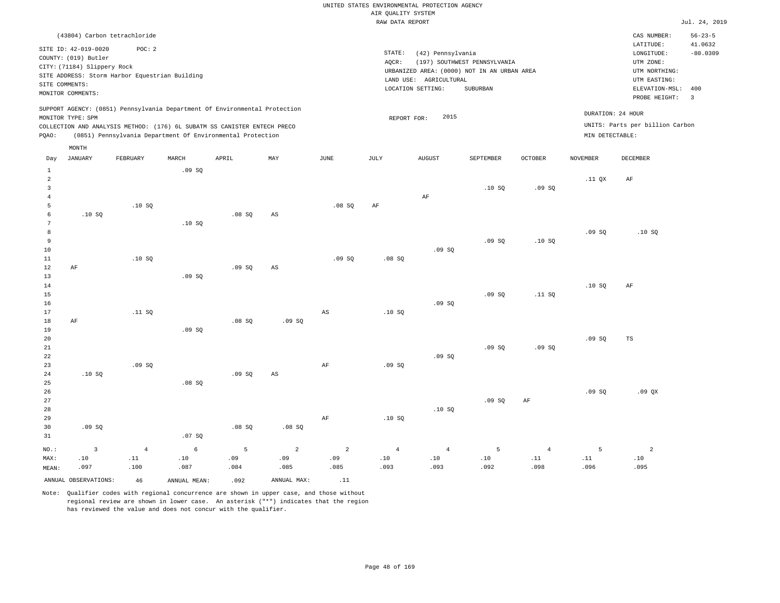|                                  |                                                                                                                    |                                                                                                                                        |       |       |                |                | RAW DATA REPORT |                                                                  |                                                                                         |                |                 |                                                                                                          | Jul. 24, 2019                                  |
|----------------------------------|--------------------------------------------------------------------------------------------------------------------|----------------------------------------------------------------------------------------------------------------------------------------|-------|-------|----------------|----------------|-----------------|------------------------------------------------------------------|-----------------------------------------------------------------------------------------|----------------|-----------------|----------------------------------------------------------------------------------------------------------|------------------------------------------------|
|                                  |                                                                                                                    | (43804) Carbon tetrachloride                                                                                                           |       |       |                |                |                 |                                                                  |                                                                                         |                |                 | CAS NUMBER:                                                                                              | $56 - 23 - 5$                                  |
|                                  | SITE ID: 42-019-0020<br>COUNTY: (019) Butler<br>CITY: (71184) Slippery Rock<br>SITE COMMENTS:<br>MONITOR COMMENTS: | POC: 2<br>SITE ADDRESS: Storm Harbor Equestrian Building                                                                               |       |       |                |                | STATE:<br>AQCR: | (42) Pennsylvania<br>LAND USE: AGRICULTURAL<br>LOCATION SETTING: | (197) SOUTHWEST PENNSYLVANIA<br>URBANIZED AREA: (0000) NOT IN AN URBAN AREA<br>SUBURBAN |                |                 | LATITUDE:<br>LONGITUDE:<br>UTM ZONE:<br>UTM NORTHING:<br>UTM EASTING:<br>ELEVATION-MSL:<br>PROBE HEIGHT: | 41.0632<br>$-80.0309$<br>400<br>$\overline{3}$ |
|                                  |                                                                                                                    | SUPPORT AGENCY: (0851) Pennsylvania Department Of Environmental Protection                                                             |       |       |                |                |                 |                                                                  |                                                                                         |                |                 | DURATION: 24 HOUR                                                                                        |                                                |
| PQAO:                            | MONITOR TYPE: SPM                                                                                                  | COLLECTION AND ANALYSIS METHOD: (176) 6L SUBATM SS CANISTER ENTECH PRECO<br>(0851) Pennsylvania Department Of Environmental Protection |       |       |                |                | REPORT FOR:     | 2015                                                             |                                                                                         |                | MIN DETECTABLE: | UNITS: Parts per billion Carbon                                                                          |                                                |
| Day                              | MONTH<br>JANUARY                                                                                                   | FEBRUARY                                                                                                                               | MARCH | APRIL | MAY            | JUNE           | JULY            | <b>AUGUST</b>                                                    | SEPTEMBER                                                                               | <b>OCTOBER</b> | <b>NOVEMBER</b> | <b>DECEMBER</b>                                                                                          |                                                |
| $\mathbf{1}$                     |                                                                                                                    |                                                                                                                                        | .09SQ |       |                |                |                 |                                                                  |                                                                                         |                |                 |                                                                                                          |                                                |
| $\overline{a}$<br>$\overline{3}$ |                                                                                                                    |                                                                                                                                        |       |       |                |                |                 |                                                                  | .10S                                                                                    | .09S           | .11 QX          | $\rm{AF}$                                                                                                |                                                |
| $\overline{4}$<br>5<br>6         | .10S                                                                                                               | .10S                                                                                                                                   |       | .08SQ | AS             | .08SQ          | AF              | AF                                                               |                                                                                         |                |                 |                                                                                                          |                                                |
| 7<br>8                           |                                                                                                                    |                                                                                                                                        | .10S  |       |                |                |                 |                                                                  |                                                                                         |                | .09SQ           | .10SQ                                                                                                    |                                                |
| 9<br>10<br>11                    |                                                                                                                    | .10S                                                                                                                                   |       |       |                | .09SQ          | .08SQ           | .09S                                                             | .09SQ                                                                                   | .10SQ          |                 |                                                                                                          |                                                |
| 12<br>13<br>14                   | AF                                                                                                                 |                                                                                                                                        | .09SQ | .09S  | AS             |                |                 |                                                                  |                                                                                         |                | .10SQ           | $\rm AF$                                                                                                 |                                                |
| 15<br>16                         |                                                                                                                    |                                                                                                                                        |       |       |                |                |                 | .09SQ                                                            | .09SQ                                                                                   | .11 SQ         |                 |                                                                                                          |                                                |
| 17<br>18<br>19                   | AF                                                                                                                 | .11 S0                                                                                                                                 | .09SQ | .08SQ | .09SQ          | AS             | .10S            |                                                                  |                                                                                         |                |                 |                                                                                                          |                                                |
| 20<br>21<br>22                   |                                                                                                                    |                                                                                                                                        |       |       |                |                |                 | .09SQ                                                            | .09SQ                                                                                   | .09SQ          | .09SQ           | TS                                                                                                       |                                                |
| 23<br>24                         | .10S                                                                                                               | .09SQ                                                                                                                                  |       | .09S  | AS             | $\rm{AF}$      | .09SQ           |                                                                  |                                                                                         |                |                 |                                                                                                          |                                                |
| 25<br>26<br>27                   |                                                                                                                    |                                                                                                                                        | .08SQ |       |                |                |                 |                                                                  | .09SQ                                                                                   | $\rm AF$       | .09S            | .09 QX                                                                                                   |                                                |
| 28<br>29<br>30                   | .09SQ                                                                                                              |                                                                                                                                        |       | .08SQ | .08 SQ         | AF             | .10S            | .10SQ                                                            |                                                                                         |                |                 |                                                                                                          |                                                |
| 31                               |                                                                                                                    |                                                                                                                                        | .07SQ |       |                |                |                 |                                                                  |                                                                                         |                |                 |                                                                                                          |                                                |
| NO.:                             | $\overline{3}$                                                                                                     | $\overline{4}$                                                                                                                         | 6     | 5     | $\overline{2}$ | $\overline{a}$ | $\overline{4}$  | $\overline{4}$                                                   | 5                                                                                       | $\overline{4}$ | 5               | $\overline{a}$                                                                                           |                                                |

ANNUAL OBSERVATIONS:  $46$  ANNUAL MEAN: .092 ANNUAL MAX: .11

 .10 .087

MAX: MEAN:  .10 .097  .11 .100

Note: Qualifier codes with regional concurrence are shown in upper case, and those without regional review are shown in lower case. An asterisk ("\*") indicates that the region has reviewed the value and does not concur with the qualifier.

 .09 .084  .09 .085  .09 .085

 .10 .093  .10 .093  .10 .092  .11 .098  .11 .096  .10 .095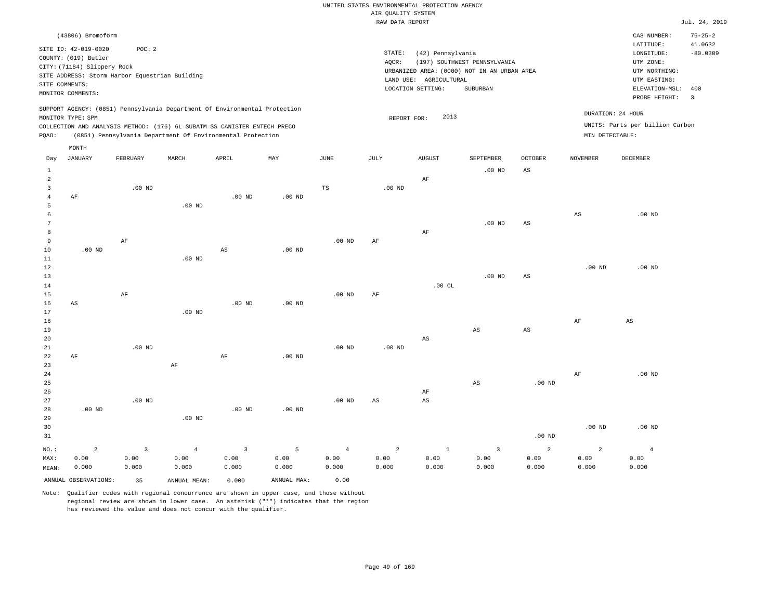|                                |                                                                                                                                                                      |                |                                                                            |                |                   |                | RAW DATA REPORT |                                                                  |                                                                                         |                        |                   |                                                                                             | Jul. 24, 2019         |
|--------------------------------|----------------------------------------------------------------------------------------------------------------------------------------------------------------------|----------------|----------------------------------------------------------------------------|----------------|-------------------|----------------|-----------------|------------------------------------------------------------------|-----------------------------------------------------------------------------------------|------------------------|-------------------|---------------------------------------------------------------------------------------------|-----------------------|
|                                | (43806) Bromoform                                                                                                                                                    |                |                                                                            |                |                   |                |                 |                                                                  |                                                                                         |                        |                   | CAS NUMBER:                                                                                 | $75 - 25 - 2$         |
|                                | SITE ID: 42-019-0020<br>COUNTY: (019) Butler<br>CITY: (71184) Slippery Rock<br>SITE ADDRESS: Storm Harbor Equestrian Building<br>SITE COMMENTS:<br>MONITOR COMMENTS: | POC: 2         |                                                                            |                |                   |                | STATE:<br>AQCR: | (42) Pennsylvania<br>LAND USE: AGRICULTURAL<br>LOCATION SETTING: | (197) SOUTHWEST PENNSYLVANIA<br>URBANIZED AREA: (0000) NOT IN AN URBAN AREA<br>SUBURBAN |                        |                   | LATITUDE:<br>LONGITUDE:<br>UTM ZONE:<br>UTM NORTHING:<br>UTM EASTING:<br>ELEVATION-MSL: 400 | 41.0632<br>$-80.0309$ |
|                                |                                                                                                                                                                      |                |                                                                            |                |                   |                |                 |                                                                  |                                                                                         |                        |                   | PROBE HEIGHT:                                                                               | $\overline{3}$        |
|                                | MONITOR TYPE: SPM                                                                                                                                                    |                | SUPPORT AGENCY: (0851) Pennsylvania Department Of Environmental Protection |                |                   |                | REPORT FOR:     | 2013                                                             |                                                                                         |                        |                   | DURATION: 24 HOUR                                                                           |                       |
|                                |                                                                                                                                                                      |                | COLLECTION AND ANALYSIS METHOD: (176) 6L SUBATM SS CANISTER ENTECH PRECO   |                |                   |                |                 |                                                                  |                                                                                         |                        |                   | UNITS: Parts per billion Carbon                                                             |                       |
| POAO:                          |                                                                                                                                                                      |                | (0851) Pennsylvania Department Of Environmental Protection                 |                |                   |                |                 |                                                                  |                                                                                         |                        | MIN DETECTABLE:   |                                                                                             |                       |
|                                | MONTH                                                                                                                                                                |                |                                                                            |                |                   |                |                 |                                                                  |                                                                                         |                        |                   |                                                                                             |                       |
| Day                            | <b>JANUARY</b>                                                                                                                                                       | FEBRUARY       | MARCH                                                                      | APRIL          | MAY               | $_{\rm JUNE}$  | JULY            | <b>AUGUST</b>                                                    | SEPTEMBER                                                                               | OCTOBER                | <b>NOVEMBER</b>   | DECEMBER                                                                                    |                       |
| $\mathbf{1}$                   |                                                                                                                                                                      |                |                                                                            |                |                   |                |                 |                                                                  | $.00$ ND                                                                                | $_{\rm AS}$            |                   |                                                                                             |                       |
| $\overline{a}$                 |                                                                                                                                                                      |                |                                                                            |                |                   |                |                 | AF                                                               |                                                                                         |                        |                   |                                                                                             |                       |
| $\mathbf{3}$<br>$\overline{4}$ | AF                                                                                                                                                                   | $.00$ ND       |                                                                            | $.00$ ND       | $.00$ ND          | $_{\rm TS}$    | $.00$ ND        |                                                                  |                                                                                         |                        |                   |                                                                                             |                       |
| 5                              |                                                                                                                                                                      |                | .00 <sub>ND</sub>                                                          |                |                   |                |                 |                                                                  |                                                                                         |                        |                   |                                                                                             |                       |
| 6                              |                                                                                                                                                                      |                |                                                                            |                |                   |                |                 |                                                                  |                                                                                         |                        | $_{\rm AS}$       | $.00$ ND                                                                                    |                       |
| 7                              |                                                                                                                                                                      |                |                                                                            |                |                   |                |                 |                                                                  | $.00$ ND                                                                                | AS                     |                   |                                                                                             |                       |
| 8                              |                                                                                                                                                                      |                |                                                                            |                |                   |                |                 | AF                                                               |                                                                                         |                        |                   |                                                                                             |                       |
| 9<br>10                        | $.00$ ND                                                                                                                                                             | AF             |                                                                            | AS             | $.00$ ND          | $.00$ ND       | AF              |                                                                  |                                                                                         |                        |                   |                                                                                             |                       |
| 11                             |                                                                                                                                                                      |                | .00 <sub>ND</sub>                                                          |                |                   |                |                 |                                                                  |                                                                                         |                        |                   |                                                                                             |                       |
| 12                             |                                                                                                                                                                      |                |                                                                            |                |                   |                |                 |                                                                  |                                                                                         |                        | .00 <sub>ND</sub> | $.00$ ND                                                                                    |                       |
| 13                             |                                                                                                                                                                      |                |                                                                            |                |                   |                |                 |                                                                  | $.00$ ND                                                                                | AS                     |                   |                                                                                             |                       |
| 14                             |                                                                                                                                                                      |                |                                                                            |                |                   |                |                 | .00CL                                                            |                                                                                         |                        |                   |                                                                                             |                       |
| 15                             |                                                                                                                                                                      | AF             |                                                                            |                |                   | $.00$ ND       | AF              |                                                                  |                                                                                         |                        |                   |                                                                                             |                       |
| 16<br>17                       | AS                                                                                                                                                                   |                | $.00$ ND                                                                   | $.00$ ND       | .00 <sub>ND</sub> |                |                 |                                                                  |                                                                                         |                        |                   |                                                                                             |                       |
| 18                             |                                                                                                                                                                      |                |                                                                            |                |                   |                |                 |                                                                  |                                                                                         |                        | AF                | AS                                                                                          |                       |
| 19                             |                                                                                                                                                                      |                |                                                                            |                |                   |                |                 |                                                                  | $\mathbb{A}\mathbb{S}$                                                                  | $\mathbb{A}\mathbb{S}$ |                   |                                                                                             |                       |
| 20                             |                                                                                                                                                                      |                |                                                                            |                |                   |                |                 | AS                                                               |                                                                                         |                        |                   |                                                                                             |                       |
| 21                             |                                                                                                                                                                      | $.00$ ND       |                                                                            |                |                   | $.00$ ND       | $.00$ ND        |                                                                  |                                                                                         |                        |                   |                                                                                             |                       |
| 22<br>23                       | AF                                                                                                                                                                   |                | $\rm AF$                                                                   | AF             | .00 <sub>ND</sub> |                |                 |                                                                  |                                                                                         |                        |                   |                                                                                             |                       |
| 24                             |                                                                                                                                                                      |                |                                                                            |                |                   |                |                 |                                                                  |                                                                                         |                        | AF                | $.00$ ND                                                                                    |                       |
| 25                             |                                                                                                                                                                      |                |                                                                            |                |                   |                |                 |                                                                  | AS                                                                                      | .00 <sub>ND</sub>      |                   |                                                                                             |                       |
| 26                             |                                                                                                                                                                      |                |                                                                            |                |                   |                |                 | AF                                                               |                                                                                         |                        |                   |                                                                                             |                       |
| 27                             |                                                                                                                                                                      | $.00$ ND       |                                                                            |                |                   | $.00$ ND       | AS              | $\mathbb{A}\mathbb{S}$                                           |                                                                                         |                        |                   |                                                                                             |                       |
| 28                             | $.00$ ND                                                                                                                                                             |                |                                                                            | $.00$ ND       | .00 <sub>ND</sub> |                |                 |                                                                  |                                                                                         |                        |                   |                                                                                             |                       |
| 29<br>30                       |                                                                                                                                                                      |                | $.00$ ND                                                                   |                |                   |                |                 |                                                                  |                                                                                         |                        | .00 <sub>ND</sub> | $.00$ ND                                                                                    |                       |
| 31                             |                                                                                                                                                                      |                |                                                                            |                |                   |                |                 |                                                                  |                                                                                         | .00 <sub>ND</sub>      |                   |                                                                                             |                       |
| NO.:                           | $\overline{a}$                                                                                                                                                       | $\overline{3}$ | $\overline{4}$                                                             | $\overline{3}$ | 5                 | $\overline{4}$ | $\overline{a}$  | $\mathbf{1}$                                                     | $\overline{\mathbf{3}}$                                                                 | $\overline{a}$         | $\overline{a}$    | $\overline{4}$                                                                              |                       |
| MAX:                           | 0.00                                                                                                                                                                 | 0.00           | 0.00                                                                       | 0.00           | 0.00              | 0.00           | 0.00            | 0.00                                                             | 0.00                                                                                    | 0.00                   | 0.00              | 0.00                                                                                        |                       |
| MEAN:                          | 0.000                                                                                                                                                                | 0.000          | 0.000                                                                      | 0.000          | 0.000             | 0.000          | 0.000           | 0.000                                                            | 0.000                                                                                   | 0.000                  | 0.000             | 0.000                                                                                       |                       |
|                                | ANNUAL OBSERVATIONS:                                                                                                                                                 | 35             | ANNUAL MEAN:                                                               | 0.000          | ANNUAL MAX:       | 0.00           |                 |                                                                  |                                                                                         |                        |                   |                                                                                             |                       |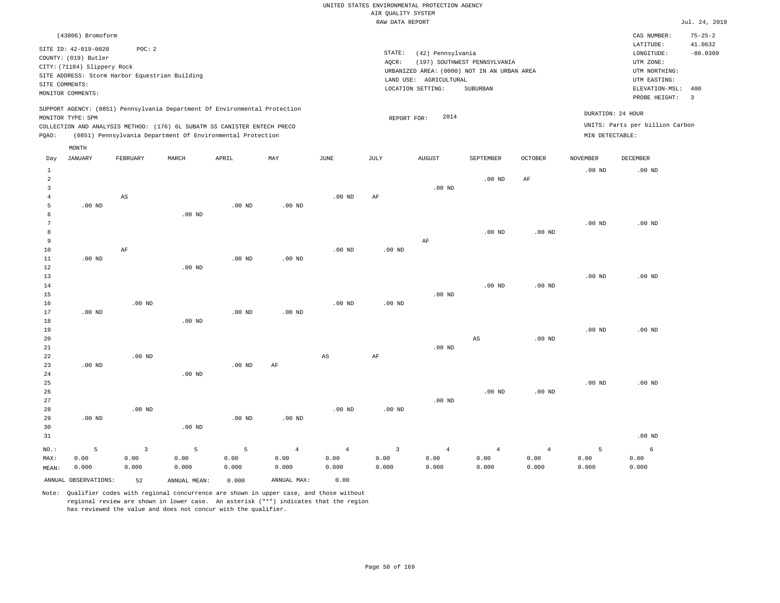|              |                                                                                                                                                                      |          |                                                                                                                                                                                                                      |          |          |          | RAW DATA REPORT |                                                                  |                                                                                         |                |                 |                                                                                                          | Jul. 24, 2019                                            |
|--------------|----------------------------------------------------------------------------------------------------------------------------------------------------------------------|----------|----------------------------------------------------------------------------------------------------------------------------------------------------------------------------------------------------------------------|----------|----------|----------|-----------------|------------------------------------------------------------------|-----------------------------------------------------------------------------------------|----------------|-----------------|----------------------------------------------------------------------------------------------------------|----------------------------------------------------------|
|              | (43806) Bromoform                                                                                                                                                    |          |                                                                                                                                                                                                                      |          |          |          |                 |                                                                  |                                                                                         |                |                 | CAS NUMBER:                                                                                              | $75 - 25 - 2$                                            |
|              | SITE ID: 42-019-0020<br>COUNTY: (019) Butler<br>CITY: (71184) Slippery Rock<br>SITE ADDRESS: Storm Harbor Equestrian Building<br>SITE COMMENTS:<br>MONITOR COMMENTS: | POC: 2   |                                                                                                                                                                                                                      |          |          |          | STATE:<br>AOCR: | (42) Pennsylvania<br>LAND USE: AGRICULTURAL<br>LOCATION SETTING: | (197) SOUTHWEST PENNSYLVANIA<br>URBANIZED AREA: (0000) NOT IN AN URBAN AREA<br>SUBURBAN |                |                 | LATITUDE:<br>LONGITUDE:<br>UTM ZONE:<br>UTM NORTHING:<br>UTM EASTING:<br>ELEVATION-MSL:<br>PROBE HEIGHT: | 41.0632<br>$-80.0309$<br>400<br>$\overline{\phantom{a}}$ |
| POAO:        | MONITOR TYPE: SPM                                                                                                                                                    |          | SUPPORT AGENCY: (0851) Pennsylvania Department Of Environmental Protection<br>COLLECTION AND ANALYSIS METHOD: (176) 6L SUBATM SS CANISTER ENTECH PRECO<br>(0851) Pennsylvania Department Of Environmental Protection |          |          |          | REPORT FOR:     | 2014                                                             |                                                                                         |                | MIN DETECTABLE: | DURATION: 24 HOUR<br>UNITS: Parts per billion Carbon                                                     |                                                          |
| Day          | MONTH<br><b>JANUARY</b>                                                                                                                                              | FEBRUARY | MARCH                                                                                                                                                                                                                | APRIL    | MAY      | JUNE     | JULY            | <b>AUGUST</b>                                                    | SEPTEMBER                                                                               | <b>OCTOBER</b> | <b>NOVEMBER</b> | <b>DECEMBER</b>                                                                                          |                                                          |
| 2<br>3<br>5  | $.00$ ND                                                                                                                                                             | AS       |                                                                                                                                                                                                                      | $.00$ ND | $.00$ ND | $.00$ ND | AF              | $.00$ ND                                                         | $.00$ ND                                                                                | AF             | $.00$ ND        | $.00$ ND                                                                                                 |                                                          |
| 8<br>9<br>10 |                                                                                                                                                                      | AF       | $.00$ ND                                                                                                                                                                                                             |          |          | $.00$ ND | $.00$ ND        | AF                                                               | $.00$ ND                                                                                | $.00$ ND       | $.00$ ND        | $.00$ ND                                                                                                 |                                                          |
| 11<br>12     | $.00$ ND                                                                                                                                                             |          | $.00$ ND                                                                                                                                                                                                             | $.00$ ND | $.00$ ND |          |                 |                                                                  |                                                                                         |                |                 |                                                                                                          |                                                          |

| $ -$ |          |          | .        |          |          |          |          |          |          |          |          |          |
|------|----------|----------|----------|----------|----------|----------|----------|----------|----------|----------|----------|----------|
| 13   |          |          |          |          |          |          |          |          |          |          | $.00$ ND | $.00$ ND |
| 14   |          |          |          |          |          |          |          |          | $.00$ ND | $.00$ ND |          |          |
| 15   |          |          |          |          |          |          |          | $.00$ ND |          |          |          |          |
| 16   |          | $.00$ ND |          |          |          | $.00$ ND | $.00$ ND |          |          |          |          |          |
| 17   | $.00$ ND |          |          | $.00$ ND | $.00$ ND |          |          |          |          |          |          |          |
| 18   |          |          | $.00$ ND |          |          |          |          |          |          |          |          |          |
| 19   |          |          |          |          |          |          |          |          |          |          | $.00$ ND | $.00$ ND |
| 20   |          |          |          |          |          |          |          |          | AS       | $.00$ ND |          |          |

| 21             |          |          |          |          |                |                |                | $.00$ ND       |                |          |          |          |
|----------------|----------|----------|----------|----------|----------------|----------------|----------------|----------------|----------------|----------|----------|----------|
| $2\sqrt{2}$    |          | $.00$ ND |          |          |                | AS             | AF             |                |                |          |          |          |
| 23             | $.00$ ND |          |          | $.00$ ND | AF             |                |                |                |                |          |          |          |
| 24             |          |          | $.00$ ND |          |                |                |                |                |                |          |          |          |
| $25\,$         |          |          |          |          |                |                |                |                |                |          | $.00$ ND | $.00$ ND |
| $26\,$         |          |          |          |          |                |                |                |                | $.00$ ND       | $.00$ ND |          |          |
| 27             |          |          |          |          |                |                |                | $.00$ ND       |                |          |          |          |
| 28             |          | $.00$ ND |          |          |                | $.00$ ND       | $.00$ ND       |                |                |          |          |          |
| 29             | $.00$ ND |          |          | $.00$ ND | $.00$ ND       |                |                |                |                |          |          |          |
| 30             |          |          | $.00$ ND |          |                |                |                |                |                |          |          |          |
| 31             |          |          |          |          |                |                |                |                |                |          |          | $.00$ ND |
| $_{\rm NO.}$ : | 5        | 3        | 5        | 5        | $\overline{4}$ | $\overline{4}$ | $\overline{3}$ | $\overline{4}$ | $\overline{4}$ | 4        | 5        | 6        |
| MAX:           | 0.00     | 0.00     | 0.00     | 0.00     | 0.00           | 0.00           | 0.00           | 0.00           | 0.00           | 0.00     | 0.00     | 0.00     |

0.000

Note: Qualifier codes with regional concurrence are shown in upper case, and those without regional review are shown in lower case. An asterisk ("\*") indicates that the region has reviewed the value and does not concur with the qualifier.

ANNUAL OBSERVATIONS: 52 ANNUAL MEAN: 0.000 ANNUAL MAX: 0.00

0.000

0.000

0.000

MEAN: 0.000

0.000

0.000 0.000

0.000

0.000

0.000

0.000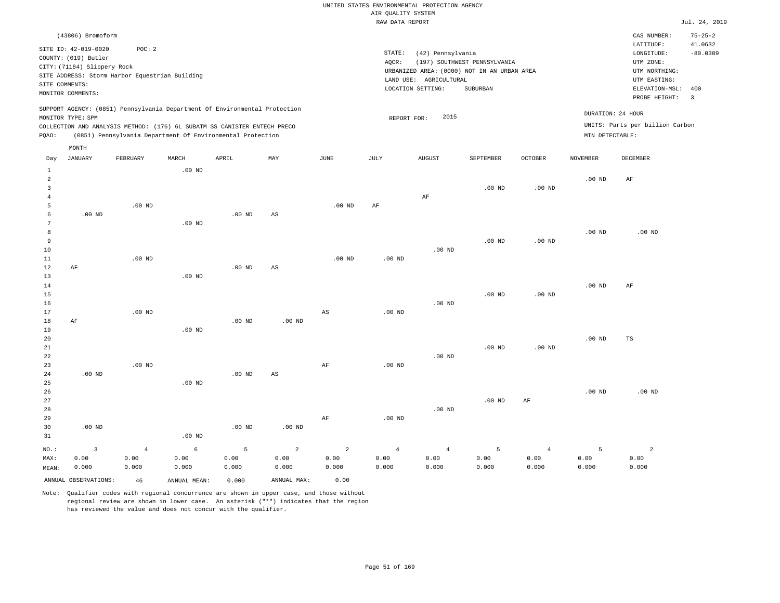|       |                             |                                                |          |                                                                                                                                                                                                                      |     |          | RAW DATA REPORT   |                        |                                             |                |                 |                                                      | Jul. 24, 2019 |
|-------|-----------------------------|------------------------------------------------|----------|----------------------------------------------------------------------------------------------------------------------------------------------------------------------------------------------------------------------|-----|----------|-------------------|------------------------|---------------------------------------------|----------------|-----------------|------------------------------------------------------|---------------|
|       | (43806) Bromoform           |                                                |          |                                                                                                                                                                                                                      |     |          |                   |                        |                                             |                |                 | CAS NUMBER:                                          | $75 - 25 - 2$ |
|       | SITE ID: 42-019-0020        | POC: 2                                         |          |                                                                                                                                                                                                                      |     |          |                   |                        |                                             |                |                 | LATITUDE:                                            | 41.0632       |
|       | COUNTY: (019) Butler        |                                                |          |                                                                                                                                                                                                                      |     |          | STATE:            | (42) Pennsylvania      |                                             |                |                 | LONGITUDE:                                           | $-80.0309$    |
|       |                             |                                                |          |                                                                                                                                                                                                                      |     |          | AQCR:             |                        | (197) SOUTHWEST PENNSYLVANIA                |                |                 | UTM ZONE:                                            |               |
|       | CITY: (71184) Slippery Rock |                                                |          |                                                                                                                                                                                                                      |     |          |                   |                        | URBANIZED AREA: (0000) NOT IN AN URBAN AREA |                |                 | UTM NORTHING:                                        |               |
|       |                             | SITE ADDRESS: Storm Harbor Equestrian Building |          |                                                                                                                                                                                                                      |     |          |                   | LAND USE: AGRICULTURAL |                                             |                |                 | UTM EASTING:                                         |               |
|       | SITE COMMENTS:              |                                                |          |                                                                                                                                                                                                                      |     |          |                   | LOCATION SETTING:      | SUBURBAN                                    |                |                 | ELEVATION-MSL:                                       | 400           |
|       | MONITOR COMMENTS:           |                                                |          |                                                                                                                                                                                                                      |     |          |                   |                        |                                             |                |                 | PROBE HEIGHT: 3                                      |               |
| PQAO: | MONITOR TYPE: SPM           |                                                |          | SUPPORT AGENCY: (0851) Pennsylvania Department Of Environmental Protection<br>COLLECTION AND ANALYSIS METHOD: (176) 6L SUBATM SS CANISTER ENTECH PRECO<br>(0851) Pennsylvania Department Of Environmental Protection |     |          | REPORT FOR:       | 2015                   |                                             |                | MIN DETECTABLE: | DURATION: 24 HOUR<br>UNITS: Parts per billion Carbon |               |
|       | MONTH                       |                                                |          |                                                                                                                                                                                                                      |     |          |                   |                        |                                             |                |                 |                                                      |               |
| Day   | JANUARY                     | FEBRUARY                                       | MARCH    | APRIL                                                                                                                                                                                                                | MAY | JUNE     | JULY              | <b>AUGUST</b>          | SEPTEMBER                                   | <b>OCTOBER</b> | NOVEMBER        | DECEMBER                                             |               |
|       |                             |                                                | $.00$ ND |                                                                                                                                                                                                                      |     |          |                   |                        |                                             |                |                 |                                                      |               |
| 2     |                             |                                                |          |                                                                                                                                                                                                                      |     |          |                   |                        |                                             |                | $.00$ ND        | AF                                                   |               |
| 3     |                             |                                                |          |                                                                                                                                                                                                                      |     |          |                   |                        | $.00$ ND                                    | $.00$ ND       |                 |                                                      |               |
|       |                             |                                                |          |                                                                                                                                                                                                                      |     |          |                   | AF                     |                                             |                |                 |                                                      |               |
| 5     |                             | $.00$ ND                                       |          |                                                                                                                                                                                                                      |     | $.00$ ND | AF                |                        |                                             |                |                 |                                                      |               |
| 6     | $.00$ ND                    |                                                |          | $.00$ ND                                                                                                                                                                                                             | AS  |          |                   |                        |                                             |                |                 |                                                      |               |
|       |                             |                                                | $.00$ ND |                                                                                                                                                                                                                      |     |          |                   |                        |                                             |                |                 |                                                      |               |
| 8     |                             |                                                |          |                                                                                                                                                                                                                      |     |          |                   |                        |                                             |                | $.00$ ND        | $.00$ ND                                             |               |
| 9     |                             |                                                |          |                                                                                                                                                                                                                      |     |          |                   |                        | $.00$ ND                                    | $.00$ ND       |                 |                                                      |               |
| 10    |                             |                                                |          |                                                                                                                                                                                                                      |     |          |                   | $.00$ ND               |                                             |                |                 |                                                      |               |
| 11    |                             | $.00$ ND                                       |          |                                                                                                                                                                                                                      |     | $.00$ ND | .00 <sub>ND</sub> |                        |                                             |                |                 |                                                      |               |
| 12    | AF                          |                                                |          | $.00$ ND                                                                                                                                                                                                             | AS  |          |                   |                        |                                             |                |                 |                                                      |               |
| 13    |                             |                                                | $.00$ ND |                                                                                                                                                                                                                      |     |          |                   |                        |                                             |                |                 |                                                      |               |
| 14    |                             |                                                |          |                                                                                                                                                                                                                      |     |          |                   |                        |                                             |                | $.00$ ND        | AF                                                   |               |

15 16 17 18 19 20 21 22 23 AF .00 ND .00 ND .00 ND .00 ND .00 ND AS AF .00 ND .00 ND .00 ND .00 ND .00 ND .00 ND .00 ND .00 ND .00 ND TS

| 24      | $.00$ ND |       |          | $.00$ ND | AS       |       |                   |          |          |       |          |                |
|---------|----------|-------|----------|----------|----------|-------|-------------------|----------|----------|-------|----------|----------------|
| 25      |          |       | $.00$ ND |          |          |       |                   |          |          |       |          |                |
| 26      |          |       |          |          |          |       |                   |          |          |       | $.00$ ND | $.00$ ND       |
| 27      |          |       |          |          |          |       |                   |          | $.00$ ND | AF    |          |                |
| 28      |          |       |          |          |          |       |                   | $.00$ ND |          |       |          |                |
| 29      |          |       |          |          |          | AF    | .00 <sub>ND</sub> |          |          |       |          |                |
| 30      | $.00$ ND |       |          | $.00$ ND | $.00$ ND |       |                   |          |          |       |          |                |
| 31      |          |       | $.00$ ND |          |          |       |                   |          |          |       |          |                |
| $NO.$ : | 3        |       | 6        | 5        | 2        | 2     | $\overline{4}$    | 4        | 5        |       | 5        | $\overline{2}$ |
| MAX:    | 0.00     | 0.00  | 0.00     | 0.00     | 0.00     | 0.00  | 0.00              | 0.00     | 0.00     | 0.00  | 0.00     | 0.00           |
| MEAN:   | 0.000    | 0.000 | 0.000    | 0.000    | 0.000    | 0.000 | 0.000             | 0.000    | 0.000    | 0.000 | 0.000    | 0.000          |

ANNUAL OBSERVATIONS: 46 ANNUAL MEAN: 0.000 ANNUAL MAX: 0.00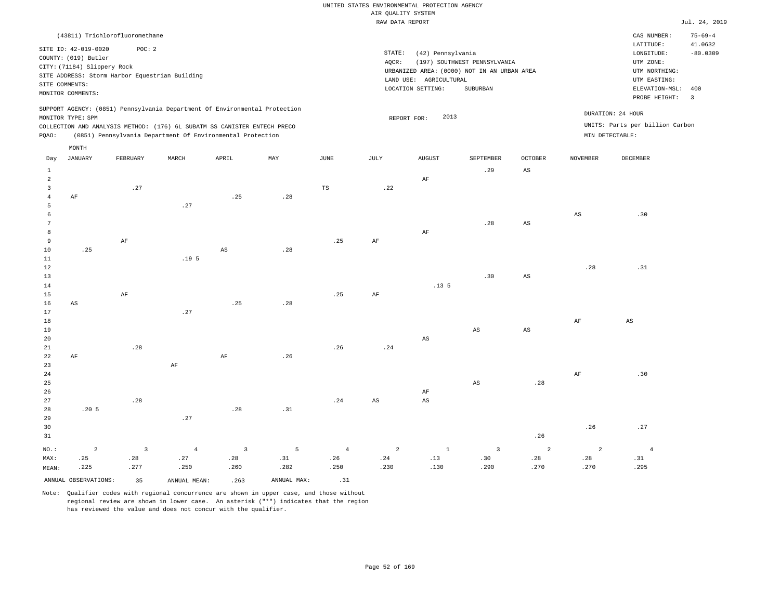|                                | (43811) Trichlorofluoromethane |                         |                                                                            |                |             |             |                |                        |                                             |                         |                 | CAS NUMBER:<br>LATITUDE:        | $75 - 69 - 4$<br>41.0632 |
|--------------------------------|--------------------------------|-------------------------|----------------------------------------------------------------------------|----------------|-------------|-------------|----------------|------------------------|---------------------------------------------|-------------------------|-----------------|---------------------------------|--------------------------|
|                                | SITE ID: 42-019-0020           | POC: 2                  |                                                                            |                |             |             | STATE:         | (42) Pennsylvania      |                                             |                         |                 | LONGITUDE:                      | $-80.0309$               |
|                                | COUNTY: (019) Butler           |                         |                                                                            |                |             |             | AQCR:          |                        | (197) SOUTHWEST PENNSYLVANIA                |                         |                 | UTM ZONE:                       |                          |
|                                | CITY: (71184) Slippery Rock    |                         |                                                                            |                |             |             |                |                        | URBANIZED AREA: (0000) NOT IN AN URBAN AREA |                         |                 | UTM NORTHING:                   |                          |
|                                |                                |                         | SITE ADDRESS: Storm Harbor Equestrian Building                             |                |             |             |                | LAND USE: AGRICULTURAL |                                             |                         |                 | UTM EASTING:                    |                          |
|                                | SITE COMMENTS:                 |                         |                                                                            |                |             |             |                | LOCATION SETTING:      | SUBURBAN                                    |                         |                 | ELEVATION-MSL:                  | 400                      |
|                                | MONITOR COMMENTS:              |                         |                                                                            |                |             |             |                |                        |                                             |                         |                 | PROBE HEIGHT:                   | $\overline{\mathbf{3}}$  |
|                                | MONITOR TYPE: SPM              |                         | SUPPORT AGENCY: (0851) Pennsylvania Department Of Environmental Protection |                |             |             |                | 2013                   |                                             |                         |                 | DURATION: 24 HOUR               |                          |
|                                |                                |                         | COLLECTION AND ANALYSIS METHOD: (176) 6L SUBATM SS CANISTER ENTECH PRECO   |                |             |             | REPORT FOR:    |                        |                                             |                         |                 | UNITS: Parts per billion Carbon |                          |
| PQAO:                          |                                |                         | (0851) Pennsylvania Department Of Environmental Protection                 |                |             |             |                |                        |                                             |                         | MIN DETECTABLE: |                                 |                          |
|                                | MONTH                          |                         |                                                                            |                |             |             |                |                        |                                             |                         |                 |                                 |                          |
| Day                            | <b>JANUARY</b>                 | FEBRUARY                | MARCH                                                                      | APRIL          | MAY         | <b>JUNE</b> | JULY           | <b>AUGUST</b>          | SEPTEMBER                                   | <b>OCTOBER</b>          | <b>NOVEMBER</b> | DECEMBER                        |                          |
|                                |                                |                         |                                                                            |                |             |             |                |                        |                                             |                         |                 |                                 |                          |
| $\mathbf{1}$<br>$\overline{a}$ |                                |                         |                                                                            |                |             |             |                | $\rm AF$               | .29                                         | AS                      |                 |                                 |                          |
| $\overline{3}$                 |                                | .27                     |                                                                            |                |             | $_{\rm TS}$ | .22            |                        |                                             |                         |                 |                                 |                          |
| $\overline{4}$                 | AF                             |                         |                                                                            | .25            | .28         |             |                |                        |                                             |                         |                 |                                 |                          |
| 5                              |                                |                         | .27                                                                        |                |             |             |                |                        |                                             |                         |                 |                                 |                          |
| 6                              |                                |                         |                                                                            |                |             |             |                |                        |                                             |                         | $_{\rm AS}$     | .30                             |                          |
| $7\phantom{.0}$                |                                |                         |                                                                            |                |             |             |                |                        | .28                                         | AS                      |                 |                                 |                          |
| 8                              |                                |                         |                                                                            |                |             |             |                | $\rm AF$               |                                             |                         |                 |                                 |                          |
| 9                              |                                | $\rm{AF}$               |                                                                            |                |             | .25         | $\rm{AF}$      |                        |                                             |                         |                 |                                 |                          |
| 10                             | .25                            |                         |                                                                            | AS             | .28         |             |                |                        |                                             |                         |                 |                                 |                          |
| 11                             |                                |                         | .19 <sub>5</sub>                                                           |                |             |             |                |                        |                                             |                         |                 |                                 |                          |
| 12                             |                                |                         |                                                                            |                |             |             |                |                        |                                             |                         | .28             | .31                             |                          |
| 13                             |                                |                         |                                                                            |                |             |             |                |                        | .30                                         | $\mathbb{A}\mathcal{S}$ |                 |                                 |                          |
| 14                             |                                |                         |                                                                            |                |             |             |                | .13 <sub>5</sub>       |                                             |                         |                 |                                 |                          |
| 15                             |                                | AF                      |                                                                            |                |             | .25         | AF             |                        |                                             |                         |                 |                                 |                          |
| 16                             | AS                             |                         | .27                                                                        | .25            | .28         |             |                |                        |                                             |                         |                 |                                 |                          |
| 17<br>18                       |                                |                         |                                                                            |                |             |             |                |                        |                                             |                         | $\rm{AF}$       | $\mathbb{A}\mathbb{S}$          |                          |
| 19                             |                                |                         |                                                                            |                |             |             |                |                        | AS                                          | $_{\rm AS}$             |                 |                                 |                          |
| 20                             |                                |                         |                                                                            |                |             |             |                | AS                     |                                             |                         |                 |                                 |                          |
| 21                             |                                | .28                     |                                                                            |                |             | .26         | .24            |                        |                                             |                         |                 |                                 |                          |
| 22                             | AF                             |                         |                                                                            | $\rm{AF}$      | .26         |             |                |                        |                                             |                         |                 |                                 |                          |
| 23                             |                                |                         | $\rm{AF}$                                                                  |                |             |             |                |                        |                                             |                         |                 |                                 |                          |
| 24                             |                                |                         |                                                                            |                |             |             |                |                        |                                             |                         | $\rm AF$        | .30                             |                          |
| 25                             |                                |                         |                                                                            |                |             |             |                |                        | AS                                          | .28                     |                 |                                 |                          |
| 26                             |                                |                         |                                                                            |                |             |             |                | AF                     |                                             |                         |                 |                                 |                          |
| 27                             |                                | .28                     |                                                                            |                |             | .24         | $_{\rm AS}$    | $_{\rm AS}$            |                                             |                         |                 |                                 |                          |
| 28                             | .205                           |                         |                                                                            | .28            | .31         |             |                |                        |                                             |                         |                 |                                 |                          |
| 29                             |                                |                         | .27                                                                        |                |             |             |                |                        |                                             |                         |                 |                                 |                          |
| 30                             |                                |                         |                                                                            |                |             |             |                |                        |                                             |                         | .26             | .27                             |                          |
| 31                             |                                |                         |                                                                            |                |             |             |                |                        |                                             | .26                     |                 |                                 |                          |
| NO.:                           | $\overline{a}$                 | $\overline{\mathbf{3}}$ | $\bf{4}$                                                                   | $\overline{3}$ | 5           | $\bf{4}$    | $\overline{a}$ | $\,$ 1                 | $\overline{\mathbf{3}}$                     | $\sqrt{2}$              | $\overline{a}$  | $\sqrt{4}$                      |                          |
| MAX:                           | .25                            | .28                     | .27                                                                        | .28            | .31         | .26         | .24            | .13                    | .30                                         | .28                     | .28             | .31                             |                          |
| MEAN:                          | .225                           | .277                    | .250                                                                       | .260           | .282        | .250        | .230           | .130                   | .290                                        | .270                    | .270            | .295                            |                          |
|                                | ANNUAL OBSERVATIONS:           | 35                      | ANNUAL MEAN:                                                               | .263           | ANNUAL MAX: | .31         |                |                        |                                             |                         |                 |                                 |                          |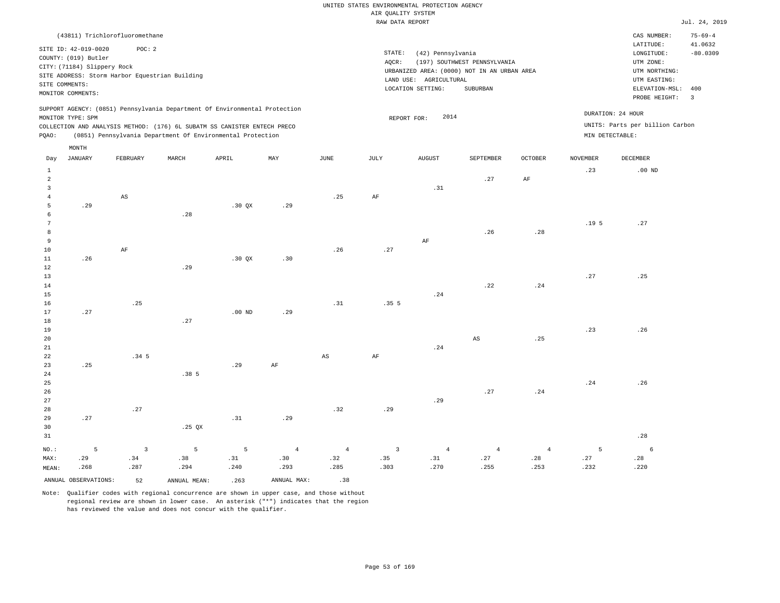| (43811) Trichlorofluoromethane                                                                                                                                                                                                                              |                                                                                                                                                                                | CAS NUMBER:                                                                                                  | $75 - 69 - 4$         |
|-------------------------------------------------------------------------------------------------------------------------------------------------------------------------------------------------------------------------------------------------------------|--------------------------------------------------------------------------------------------------------------------------------------------------------------------------------|--------------------------------------------------------------------------------------------------------------|-----------------------|
| SITE ID: 42-019-0020<br>POC:2<br>COUNTY: (019) Butler<br>CITY: (71184) Slippery Rock<br>SITE ADDRESS: Storm Harbor Equestrian Building<br>SITE COMMENTS:<br>MONITOR COMMENTS:                                                                               | STATE:<br>(42) Pennsylvania<br>AOCR:<br>(197) SOUTHWEST PENNSYLVANIA<br>URBANIZED AREA: (0000) NOT IN AN URBAN AREA<br>LAND USE: AGRICULTURAL<br>LOCATION SETTING:<br>SUBURBAN | LATITUDE:<br>LONGITUDE:<br>UTM ZONE:<br>UTM NORTHING:<br>UTM EASTING:<br>ELEVATION-MSL: 400<br>PROBE HEIGHT: | 41.0632<br>$-80.0309$ |
| SUPPORT AGENCY: (0851) Pennsylvania Department Of Environmental Protection<br>MONITOR TYPE: SPM<br>COLLECTION AND ANALYSIS METHOD: (176) 6L SUBATM SS CANISTER ENTECH PRECO<br>(0851) Pennsylvania Department Of Environmental Protection<br>POAO:<br>MONTH | 2014<br>REPORT FOR:                                                                                                                                                            | DURATION: 24 HOUR<br>UNITS: Parts per billion Carbon<br>MIN DETECTABLE:                                      |                       |

| Day             | JANUARY              | FEBRUARY                | $\tt MARCH$      | APRIL                       | $_{\rm MAY}$ | $_{\rm JUNE}$          | JULY                         | ${\tt AUGUST}$ | SEPTEMBER      | $\mathtt{OCTOBER}$      | NOVEMBER         | DECEMBER        |
|-----------------|----------------------|-------------------------|------------------|-----------------------------|--------------|------------------------|------------------------------|----------------|----------------|-------------------------|------------------|-----------------|
| $\mathbf{1}$    |                      |                         |                  |                             |              |                        |                              |                |                |                         | .23              | $.00$ ND        |
| $\overline{a}$  |                      |                         |                  |                             |              |                        |                              |                | .27            | $\rm{AF}$               |                  |                 |
| 3               |                      |                         |                  |                             |              |                        |                              | .31            |                |                         |                  |                 |
| $\overline{4}$  |                      | $\mathbb{A}\mathbb{S}$  |                  |                             |              | .25                    | $\rm{AF}$                    |                |                |                         |                  |                 |
| 5               | .29                  |                         |                  | .30 QX                      | .29          |                        |                              |                |                |                         |                  |                 |
| 6               |                      |                         | .28              |                             |              |                        |                              |                |                |                         |                  |                 |
| $7\phantom{.0}$ |                      |                         |                  |                             |              |                        |                              |                |                |                         | .19 <sub>5</sub> | .27             |
| 8               |                      |                         |                  |                             |              |                        |                              |                | .26            | .28                     |                  |                 |
| 9               |                      |                         |                  |                             |              |                        |                              | $\rm AF$       |                |                         |                  |                 |
| 10              |                      | $\rm{AF}$               |                  |                             |              | .26                    | $\boldsymbol{\mathcal{.}}27$ |                |                |                         |                  |                 |
| $11\,$          | .26                  |                         |                  | .30 QX                      | .30          |                        |                              |                |                |                         |                  |                 |
| 12              |                      |                         | .29              |                             |              |                        |                              |                |                |                         |                  |                 |
| 13              |                      |                         |                  |                             |              |                        |                              |                |                |                         | $\sqrt{27}$      | .25             |
| 14              |                      |                         |                  |                             |              |                        |                              |                | .22            | .24                     |                  |                 |
| 15              |                      |                         |                  |                             |              |                        |                              | .24            |                |                         |                  |                 |
| 16              |                      | .25                     |                  |                             |              | .31                    | .35 <sub>5</sub>             |                |                |                         |                  |                 |
| 17              | .27                  |                         |                  | $.00$ ND                    | .29          |                        |                              |                |                |                         |                  |                 |
| 18              |                      |                         | .27              |                             |              |                        |                              |                |                |                         |                  |                 |
| 19              |                      |                         |                  |                             |              |                        |                              |                |                |                         | .23              | .26             |
| 20              |                      |                         |                  |                             |              |                        |                              |                | AS             | $\boldsymbol{\cdot}$ 25 |                  |                 |
| 21              |                      |                         |                  |                             |              |                        |                              | .24            |                |                         |                  |                 |
| $2\sqrt{2}$     |                      | .34 <sub>5</sub>        |                  |                             |              | $\mathbb{A}\mathbb{S}$ | $\rm{AF}$                    |                |                |                         |                  |                 |
| 23              | .25                  |                         |                  | .29                         | $\rm{AF}$    |                        |                              |                |                |                         |                  |                 |
| 24              |                      |                         | .38 <sub>5</sub> |                             |              |                        |                              |                |                |                         |                  |                 |
| 25              |                      |                         |                  |                             |              |                        |                              |                |                |                         | .24              | .26             |
| 26              |                      |                         |                  |                             |              |                        |                              |                | .27            | .24                     |                  |                 |
| 27              |                      |                         |                  |                             |              |                        |                              | .29            |                |                         |                  |                 |
| 28              |                      | .27                     |                  |                             |              | .32                    | .29                          |                |                |                         |                  |                 |
| 29              | .27                  |                         |                  | .31                         | .29          |                        |                              |                |                |                         |                  |                 |
| 30              |                      |                         | .25 $QX$         |                             |              |                        |                              |                |                |                         |                  |                 |
| 31              |                      |                         |                  |                             |              |                        |                              |                |                |                         |                  | .28             |
| $_{\rm NO.}$ :  | 5                    | $\overline{\mathbf{3}}$ | $\overline{5}$   | 5                           | $\sqrt{4}$   | $\sqrt{4}$             | $\overline{\mathbf{3}}$      | $\overline{4}$ | $\overline{4}$ | $\overline{4}$          | 5                | $6\overline{6}$ |
| MAX:            | .29                  | .34                     | .38              | $\boldsymbol{\mathsf{.31}}$ | .30          | .32                    | .35                          | .31            | .27            | .28                     | .27              | .28             |
| MEAN:           | .268                 | .287                    | .294             | .240                        | .293         | .285                   | .303                         | .270           | .255           | .253                    | .232             | .220            |
|                 | ANNUAL OBSERVATIONS: | 52                      | ANNUAL MEAN:     | .263                        | ANNUAL MAX:  | .38                    |                              |                |                |                         |                  |                 |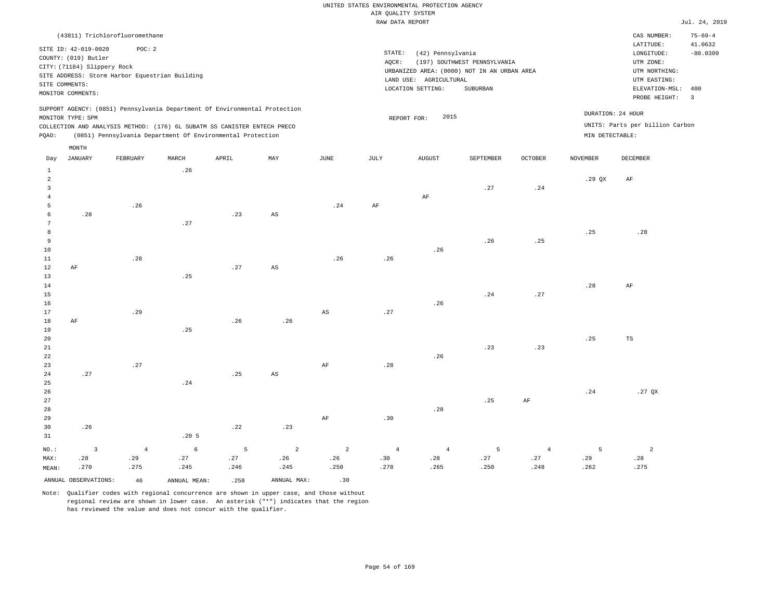|               |                                                                                                                    |                                                          |       |                                                                                                                                                                                                                      |     |      |                 | RAW DATA REPORT                                                                                                 |                                          |                |                 |                                                                                                          | Jul. 24, 2019                                            |
|---------------|--------------------------------------------------------------------------------------------------------------------|----------------------------------------------------------|-------|----------------------------------------------------------------------------------------------------------------------------------------------------------------------------------------------------------------------|-----|------|-----------------|-----------------------------------------------------------------------------------------------------------------|------------------------------------------|----------------|-----------------|----------------------------------------------------------------------------------------------------------|----------------------------------------------------------|
|               |                                                                                                                    | (43811) Trichlorofluoromethane                           |       |                                                                                                                                                                                                                      |     |      |                 |                                                                                                                 |                                          |                |                 | CAS NUMBER:                                                                                              | $75 - 69 - 4$                                            |
|               | SITE ID: 42-019-0020<br>COUNTY: (019) Butler<br>CITY: (71184) Slippery Rock<br>SITE COMMENTS:<br>MONITOR COMMENTS: | POC: 2<br>SITE ADDRESS: Storm Harbor Equestrian Building |       |                                                                                                                                                                                                                      |     |      | STATE:<br>AQCR: | (42) Pennsylvania<br>URBANIZED AREA: (0000) NOT IN AN URBAN AREA<br>LAND USE: AGRICULTURAL<br>LOCATION SETTING: | (197) SOUTHWEST PENNSYLVANIA<br>SUBURBAN |                |                 | LATITUDE:<br>LONGITUDE:<br>UTM ZONE:<br>UTM NORTHING:<br>UTM EASTING:<br>ELEVATION-MSL:<br>PROBE HEIGHT: | 41.0632<br>$-80.0309$<br>400<br>$\overline{\phantom{a}}$ |
| POAO:         | MONITOR TYPE: SPM                                                                                                  |                                                          |       | SUPPORT AGENCY: (0851) Pennsylvania Department Of Environmental Protection<br>COLLECTION AND ANALYSIS METHOD: (176) 6L SUBATM SS CANISTER ENTECH PRECO<br>(0851) Pennsylvania Department Of Environmental Protection |     |      |                 | 2015<br>REPORT FOR:                                                                                             |                                          |                | MIN DETECTABLE: | DURATION: 24 HOUR<br>UNITS: Parts per billion Carbon                                                     |                                                          |
| Day           | MONTH<br>JANUARY                                                                                                   | FEBRUARY                                                 | MARCH | APRIL                                                                                                                                                                                                                | MAY | JUNE | JULY            | <b>AUGUST</b>                                                                                                   | SEPTEMBER                                | <b>OCTOBER</b> | <b>NOVEMBER</b> | DECEMBER                                                                                                 |                                                          |
| 2             |                                                                                                                    |                                                          | .26   |                                                                                                                                                                                                                      |     |      |                 | AF                                                                                                              | .27                                      | .24            | $.29$ QX        | AF                                                                                                       |                                                          |
| 5<br>6        | .28                                                                                                                | .26                                                      | .27   | .23                                                                                                                                                                                                                  | AS  | .24  | AF              |                                                                                                                 |                                          |                |                 |                                                                                                          |                                                          |
| 9<br>10<br>11 |                                                                                                                    | .28                                                      |       |                                                                                                                                                                                                                      |     | .26  | .26             | .26                                                                                                             | .26                                      | .25            | .25             | .28                                                                                                      |                                                          |

| $12\hskip 4.6cm \text{AF}$ |     |     | $.27$ AS    |       |     |     |     |     |    |
|----------------------------|-----|-----|-------------|-------|-----|-----|-----|-----|----|
| 13                         |     | .25 |             |       |     |     |     |     |    |
| 14                         |     |     |             |       |     |     |     | .28 | AF |
| 15                         |     |     |             |       |     | .24 | .27 |     |    |
| 16                         |     |     |             |       | .26 |     |     |     |    |
| 17                         | .29 |     |             | AS 27 |     |     |     |     |    |
| $18\hskip 4.0cm\text{AF}$  |     |     | $.26$ $.26$ |       |     |     |     |     |    |
| 19                         |     | .25 |             |       |     |     |     |     |    |
| 20                         |     |     |             |       |     |     |     | .25 | TS |

| 21 |     |     |     |     |    |    |     |     | .23               | .23 |     |          |
|----|-----|-----|-----|-----|----|----|-----|-----|-------------------|-----|-----|----------|
| 22 |     |     |     |     |    |    |     | .26 |                   |     |     |          |
| 23 |     | .27 |     |     |    | AF | .28 |     |                   |     |     |          |
| 24 | .27 |     |     | .25 | AS |    |     |     |                   |     |     |          |
| 25 |     |     | .24 |     |    |    |     |     |                   |     |     |          |
| 26 |     |     |     |     |    |    |     |     |                   |     | .24 | $.27$ QX |
| 27 |     |     |     |     |    |    |     |     | $125$ $\hbox{AF}$ |     |     |          |
| 28 |     |     |     |     |    |    |     | .28 |                   |     |     |          |
| 29 |     |     |     |     |    | AF | .30 |     |                   |     |     |          |

| 30    | .26                  |      |              | .22  | .23         |      |      |      |      |      |      |               |
|-------|----------------------|------|--------------|------|-------------|------|------|------|------|------|------|---------------|
| 31    |                      |      | $.20\,5$     |      |             |      |      |      |      |      |      |               |
| NO.:  |                      |      | <sub>6</sub> |      |             |      |      |      |      |      |      | $\mathcal{D}$ |
| MAX:  | .28                  | .29  | .27          | .27  | .26         | .26  | .30  | .28  | .27  | .27  | .29  | .28           |
| MEAN: | .270                 | .275 | .245         | .246 | .245        | .250 | .278 | .265 | .250 | .248 | .262 | .275          |
|       | ANNUAL OBSERVATIONS: | 46   | ANNUAL MEAN: | .258 | ANNUAL MAX: | .30  |      |      |      |      |      |               |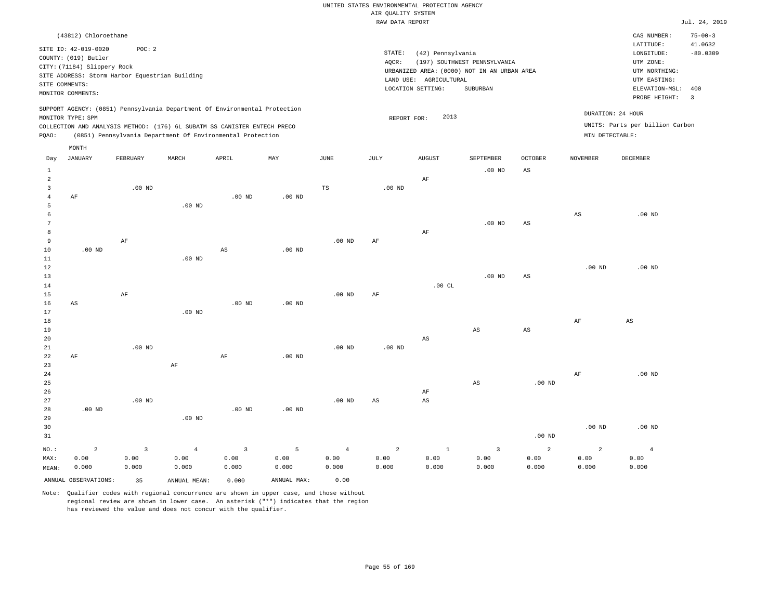|                 |                                                |          |                |                                                                            |                   |                   | RAW DATA REPORT   |                        |                                             |                        |                   |                                 | Jul. 24, 2019  |
|-----------------|------------------------------------------------|----------|----------------|----------------------------------------------------------------------------|-------------------|-------------------|-------------------|------------------------|---------------------------------------------|------------------------|-------------------|---------------------------------|----------------|
|                 | (43812) Chloroethane                           |          |                |                                                                            |                   |                   |                   |                        |                                             |                        |                   | CAS NUMBER:                     | $75 - 00 - 3$  |
|                 |                                                |          |                |                                                                            |                   |                   |                   |                        |                                             |                        |                   | LATITUDE:                       | 41.0632        |
|                 | SITE ID: 42-019-0020                           | POC: 2   |                |                                                                            |                   |                   | STATE:            | (42) Pennsylvania      |                                             |                        |                   | LONGITUDE:                      | $-80.0309$     |
|                 | COUNTY: (019) Butler                           |          |                |                                                                            |                   |                   | AQCR:             |                        | (197) SOUTHWEST PENNSYLVANIA                |                        |                   | UTM ZONE:                       |                |
|                 | CITY: (71184) Slippery Rock                    |          |                |                                                                            |                   |                   |                   |                        | URBANIZED AREA: (0000) NOT IN AN URBAN AREA |                        |                   | UTM NORTHING:                   |                |
|                 | SITE ADDRESS: Storm Harbor Equestrian Building |          |                |                                                                            |                   |                   |                   | LAND USE: AGRICULTURAL |                                             |                        |                   | UTM EASTING:                    |                |
|                 | SITE COMMENTS:                                 |          |                |                                                                            |                   |                   |                   | LOCATION SETTING:      | SUBURBAN                                    |                        |                   | ELEVATION-MSL:                  | 400            |
|                 | MONITOR COMMENTS:                              |          |                |                                                                            |                   |                   |                   |                        |                                             |                        |                   | PROBE HEIGHT:                   | $\overline{3}$ |
|                 |                                                |          |                | SUPPORT AGENCY: (0851) Pennsylvania Department Of Environmental Protection |                   |                   |                   |                        |                                             |                        |                   |                                 |                |
|                 | MONITOR TYPE: SPM                              |          |                |                                                                            |                   |                   | REPORT FOR:       | 2013                   |                                             |                        |                   | DURATION: 24 HOUR               |                |
|                 |                                                |          |                | COLLECTION AND ANALYSIS METHOD: (176) 6L SUBATM SS CANISTER ENTECH PRECO   |                   |                   |                   |                        |                                             |                        |                   | UNITS: Parts per billion Carbon |                |
| PQAO:           |                                                |          |                | (0851) Pennsylvania Department Of Environmental Protection                 |                   |                   |                   |                        |                                             |                        | MIN DETECTABLE:   |                                 |                |
|                 | MONTH                                          |          |                |                                                                            |                   |                   |                   |                        |                                             |                        |                   |                                 |                |
| Day             | JANUARY                                        | FEBRUARY | MARCH          | APRIL                                                                      | MAY               | JUNE              | JULY              | <b>AUGUST</b>          | SEPTEMBER                                   | OCTOBER                | NOVEMBER          | DECEMBER                        |                |
| $\mathbf{1}$    |                                                |          |                |                                                                            |                   |                   |                   |                        | $.00$ ND                                    | $\mathbb{A}\mathbb{S}$ |                   |                                 |                |
| $\overline{2}$  |                                                |          |                |                                                                            |                   |                   |                   | AF                     |                                             |                        |                   |                                 |                |
| $\overline{3}$  |                                                | $.00$ ND |                |                                                                            |                   | TS                | .00 <sub>ND</sub> |                        |                                             |                        |                   |                                 |                |
| $\overline{4}$  | AF                                             |          |                | $.00$ ND                                                                   | .00 <sub>ND</sub> |                   |                   |                        |                                             |                        |                   |                                 |                |
| 5               |                                                |          | $.00$ ND       |                                                                            |                   |                   |                   |                        |                                             |                        |                   |                                 |                |
| 6               |                                                |          |                |                                                                            |                   |                   |                   |                        |                                             |                        | AS                | $.00$ ND                        |                |
| $7\phantom{.0}$ |                                                |          |                |                                                                            |                   |                   |                   |                        | $.00$ ND                                    | $\mathbb{A}\mathbb{S}$ |                   |                                 |                |
| 8               |                                                |          |                |                                                                            |                   |                   |                   | $\rm{AF}$              |                                             |                        |                   |                                 |                |
| 9               |                                                | AF       |                |                                                                            |                   | .00 <sub>ND</sub> | AF                |                        |                                             |                        |                   |                                 |                |
| 10              | $.00$ ND                                       |          |                | $\mathbb{A}\mathbb{S}$                                                     | .00 <sub>ND</sub> |                   |                   |                        |                                             |                        |                   |                                 |                |
| 11              |                                                |          | $.00$ ND       |                                                                            |                   |                   |                   |                        |                                             |                        |                   |                                 |                |
| $12\,$          |                                                |          |                |                                                                            |                   |                   |                   |                        |                                             |                        | $.00$ ND          | $.00$ ND                        |                |
| 13              |                                                |          |                |                                                                            |                   |                   |                   |                        | $.00$ ND                                    | $\mathbb{A}\mathbb{S}$ |                   |                                 |                |
| 14              |                                                |          |                |                                                                            |                   |                   |                   | .00CL                  |                                             |                        |                   |                                 |                |
| 15              |                                                | $\rm AF$ |                |                                                                            |                   | .00 <sub>ND</sub> | AF                |                        |                                             |                        |                   |                                 |                |
| 16              | AS                                             |          |                | $.00$ ND                                                                   | .00 <sub>ND</sub> |                   |                   |                        |                                             |                        |                   |                                 |                |
| 17              |                                                |          | $.00$ ND       |                                                                            |                   |                   |                   |                        |                                             |                        |                   |                                 |                |
| 18              |                                                |          |                |                                                                            |                   |                   |                   |                        |                                             |                        | $\rm{AF}$         | AS                              |                |
| 19              |                                                |          |                |                                                                            |                   |                   |                   |                        | AS                                          | $\mathbb{A}\mathbb{S}$ |                   |                                 |                |
| 20<br>21        |                                                | $.00$ ND |                |                                                                            |                   | $.00$ ND          |                   | $_{\rm AS}$            |                                             |                        |                   |                                 |                |
|                 |                                                |          |                |                                                                            |                   |                   | .00 <sub>ND</sub> |                        |                                             |                        |                   |                                 |                |
| 22<br>23        | AF                                             |          | AF             | AF                                                                         | .00 <sub>ND</sub> |                   |                   |                        |                                             |                        |                   |                                 |                |
| 24              |                                                |          |                |                                                                            |                   |                   |                   |                        |                                             |                        | $\rm{AF}$         | $.00$ ND                        |                |
| 25              |                                                |          |                |                                                                            |                   |                   |                   |                        | AS                                          | $.00$ ND               |                   |                                 |                |
| 26              |                                                |          |                |                                                                            |                   |                   |                   | AF                     |                                             |                        |                   |                                 |                |
| 27              |                                                | $.00$ ND |                |                                                                            |                   | .00 <sub>ND</sub> | AS                | AS                     |                                             |                        |                   |                                 |                |
| 28              | $.00$ ND                                       |          |                | $.00$ ND                                                                   | .00 <sub>ND</sub> |                   |                   |                        |                                             |                        |                   |                                 |                |
| 29              |                                                |          | $.00$ ND       |                                                                            |                   |                   |                   |                        |                                             |                        |                   |                                 |                |
| 30              |                                                |          |                |                                                                            |                   |                   |                   |                        |                                             |                        | .00 <sub>ND</sub> | $.00$ ND                        |                |
| 31              |                                                |          |                |                                                                            |                   |                   |                   |                        |                                             | $.00$ ND               |                   |                                 |                |
|                 |                                                |          |                |                                                                            |                   |                   |                   |                        |                                             |                        |                   |                                 |                |
| NO.:            | $\overline{a}$                                 | 3        | $\overline{4}$ | $\mathbf{3}$                                                               | 5                 | $\overline{4}$    | $\overline{a}$    | $\,1\,$                | $\overline{3}$                              | $\overline{a}$         | $\overline{a}$    | $\overline{4}$                  |                |
| MAX:            | 0.00                                           | 0.00     | 0.00           | 0.00                                                                       | 0.00              | 0.00              | 0.00              | 0.00                   | 0.00                                        | 0.00                   | 0.00              | 0.00                            |                |
| MEAN:           | 0.000                                          | 0.000    | 0.000          | 0.000                                                                      | 0.000             | 0.000             | 0.000             | 0.000                  | 0.000                                       | 0.000                  | 0.000             | 0.000                           |                |
|                 | ANNUAL OBSERVATIONS:                           | 35       | ANNUAL MEAN:   | 0.000                                                                      | ANNUAL MAX:       | 0.00              |                   |                        |                                             |                        |                   |                                 |                |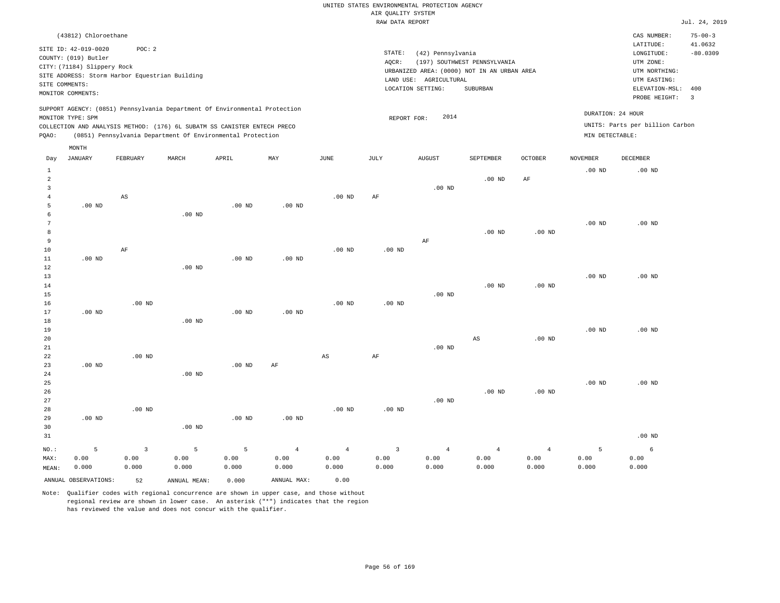|          |                             |          |                                                                            |          |          |          |        | RAW DATA REPORT                             |                              |                |                 |                                 | Jul. 24, 2019            |
|----------|-----------------------------|----------|----------------------------------------------------------------------------|----------|----------|----------|--------|---------------------------------------------|------------------------------|----------------|-----------------|---------------------------------|--------------------------|
|          | (43812) Chloroethane        |          |                                                                            |          |          |          |        |                                             |                              |                |                 | CAS NUMBER:                     | $75 - 00 - 3$            |
|          | SITE ID: 42-019-0020        | POC: 2   |                                                                            |          |          |          |        |                                             |                              |                |                 | LATITUDE:                       | 41.0632                  |
|          | COUNTY: (019) Butler        |          |                                                                            |          |          |          | STATE: | (42) Pennsylvania                           |                              |                |                 | LONGITUDE:                      | $-80.0309$               |
|          | CITY: (71184) Slippery Rock |          |                                                                            |          |          |          | AOCR:  |                                             | (197) SOUTHWEST PENNSYLVANIA |                |                 | UTM ZONE:                       |                          |
|          |                             |          | SITE ADDRESS: Storm Harbor Equestrian Building                             |          |          |          |        | URBANIZED AREA: (0000) NOT IN AN URBAN AREA |                              |                |                 | UTM NORTHING:                   |                          |
|          | SITE COMMENTS:              |          |                                                                            |          |          |          |        | LAND USE: AGRICULTURAL                      |                              |                |                 | UTM EASTING:                    |                          |
|          | MONITOR COMMENTS:           |          |                                                                            |          |          |          |        | LOCATION SETTING:                           | SUBURBAN                     |                |                 | ELEVATION-MSL: 400              |                          |
|          |                             |          |                                                                            |          |          |          |        |                                             |                              |                |                 | PROBE HEIGHT:                   | $\overline{\phantom{a}}$ |
|          |                             |          | SUPPORT AGENCY: (0851) Pennsylvania Department Of Environmental Protection |          |          |          |        |                                             |                              |                |                 | DURATION: 24 HOUR               |                          |
|          | MONITOR TYPE: SPM           |          |                                                                            |          |          |          |        | 2014<br>REPORT FOR:                         |                              |                |                 |                                 |                          |
|          |                             |          | COLLECTION AND ANALYSIS METHOD: (176) 6L SUBATM SS CANISTER ENTECH PRECO   |          |          |          |        |                                             |                              |                |                 | UNITS: Parts per billion Carbon |                          |
| PQAO:    |                             |          | (0851) Pennsylvania Department Of Environmental Protection                 |          |          |          |        |                                             |                              |                | MIN DETECTABLE: |                                 |                          |
|          | MONTH                       |          |                                                                            |          |          |          |        |                                             |                              |                |                 |                                 |                          |
| Day      | JANUARY                     | FEBRUARY | MARCH                                                                      | APRIL    | MAY      | JUNE     | JULY   | <b>AUGUST</b>                               | SEPTEMBER                    | <b>OCTOBER</b> | <b>NOVEMBER</b> | DECEMBER                        |                          |
|          |                             |          |                                                                            |          |          |          |        |                                             |                              |                | $.00$ ND        | $.00$ ND                        |                          |
| 2        |                             |          |                                                                            |          |          |          |        |                                             | $.00$ ND                     | AF             |                 |                                 |                          |
| 3        |                             |          |                                                                            |          |          |          |        | $.00$ ND                                    |                              |                |                 |                                 |                          |
|          |                             | AS       |                                                                            |          |          | $.00$ ND | AF     |                                             |                              |                |                 |                                 |                          |
|          | $.00$ ND                    |          |                                                                            | $.00$ ND | $.00$ ND |          |        |                                             |                              |                |                 |                                 |                          |
|          |                             |          | $.00$ ND                                                                   |          |          |          |        |                                             |                              |                |                 |                                 |                          |
|          |                             |          |                                                                            |          |          |          |        |                                             |                              |                | $.00$ ND        | $.00$ ND                        |                          |
|          |                             |          |                                                                            |          |          |          |        |                                             | $.00$ ND                     | $.00$ ND       |                 |                                 |                          |
| $\Omega$ |                             |          |                                                                            |          |          |          |        | AF                                          |                              |                |                 |                                 |                          |

| __          |          |          |          |          |          |                   |                   | $\ddotsc$ |          |          |          |          |
|-------------|----------|----------|----------|----------|----------|-------------------|-------------------|-----------|----------|----------|----------|----------|
| $10$        |          | AF       |          |          |          | $.00$ ND          | .00 <sub>ND</sub> |           |          |          |          |          |
| $11\,$      | $.00$ ND |          |          | $.00$ ND | $.00$ ND |                   |                   |           |          |          |          |          |
| $1\,2$      |          |          | $.00$ ND |          |          |                   |                   |           |          |          |          |          |
| 13          |          |          |          |          |          |                   |                   |           |          |          | .00 $ND$ | .00 $ND$ |
| $14\,$      |          |          |          |          |          |                   |                   |           | $.00$ ND | .00 $ND$ |          |          |
| $1\,5$      |          |          |          |          |          |                   |                   | $.00$ ND  |          |          |          |          |
| 16          |          | $.00$ ND |          |          |          | .00 <sub>ND</sub> | .00 <sub>ND</sub> |           |          |          |          |          |
| $17\,$      | $.00$ ND |          |          | $.00$ ND | $.00$ ND |                   |                   |           |          |          |          |          |
| $1\,8$      |          |          | $.00$ ND |          |          |                   |                   |           |          |          |          |          |
| 19          |          |          |          |          |          |                   |                   |           |          |          | .00 $ND$ | $.00$ ND |
| $20\,$      |          |          |          |          |          |                   |                   |           | AS       | $.00$ ND |          |          |
| $2\sqrt{1}$ |          |          |          |          |          |                   |                   | $.00$ ND  |          |          |          |          |
| 22          |          | $.00$ ND |          |          |          | AS                | AF                |           |          |          |          |          |
| 23          | $.00$ ND |          |          | $.00$ ND | AF       |                   |                   |           |          |          |          |          |
| $2\,4$      |          |          | $.00$ ND |          |          |                   |                   |           |          |          |          |          |
| 25          |          |          |          |          |          |                   |                   |           |          |          | $.00$ ND | $.00$ ND |
| 26          |          |          |          |          |          |                   |                   |           | $.00$ ND | $.00$ ND |          |          |
| 27          |          |          |          |          |          |                   |                   | $.00$ ND  |          |          |          |          |
| 28          |          | .00 $ND$ |          |          |          | $.00$ ND          | .00 <sub>ND</sub> |           |          |          |          |          |
| 29          | $.00$ ND |          |          | $.00$ ND | $.00$ ND |                   |                   |           |          |          |          |          |
| 20          |          |          | 00 MD    |          |          |                   |                   |           |          |          |          |          |

| 30               |       |       | $.00$ ND |       |       |       |       |       |       |       |       |                   |
|------------------|-------|-------|----------|-------|-------|-------|-------|-------|-------|-------|-------|-------------------|
| 31               |       |       |          |       |       |       |       |       |       |       |       | .00 <sub>ND</sub> |
|                  |       |       |          |       |       |       |       |       |       |       |       | 6                 |
| $\texttt{MAX}$ : | 0.00  | 0.00  | 0.00     | 0.00  | 0.00  | 0.00  | 0.00  | 0.00  | 0.00  | 0.00  | 0.00  | 0.00              |
| MEAN:            | 0.000 | 0.000 | 0.000    | 0.000 | 0.000 | 0.000 | 0.000 | 0.000 | 0.000 | 0.000 | 0.000 | 0.000             |
|                  |       |       |          |       |       |       |       |       |       |       |       |                   |

ANNUAL OBSERVATIONS: 52 ANNUAL MEAN: 0.000 ANNUAL MAX: 0.00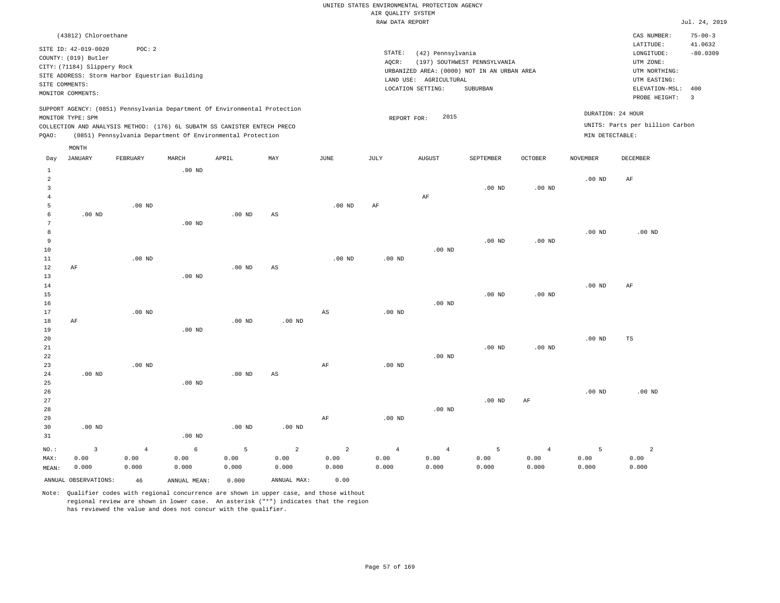|       |                             |                                                |                   |                                                                            |     |          | RAW DATA REPORT   |                        |                                             |                |                 |                                 | Jul. 24, 2019            |
|-------|-----------------------------|------------------------------------------------|-------------------|----------------------------------------------------------------------------|-----|----------|-------------------|------------------------|---------------------------------------------|----------------|-----------------|---------------------------------|--------------------------|
|       | (43812) Chloroethane        |                                                |                   |                                                                            |     |          |                   |                        |                                             |                |                 | CAS NUMBER:                     | $75 - 00 - 3$            |
|       | SITE ID: 42-019-0020        | POC: 2                                         |                   |                                                                            |     |          |                   |                        |                                             |                |                 | LATITUDE:                       | 41.0632                  |
|       | COUNTY: (019) Butler        |                                                |                   |                                                                            |     |          | STATE:            | (42) Pennsylvania      |                                             |                |                 | LONGITUDE:                      | $-80.0309$               |
|       | CITY: (71184) Slippery Rock |                                                |                   |                                                                            |     |          | AOCR:             |                        | (197) SOUTHWEST PENNSYLVANIA                |                |                 | UTM ZONE:                       |                          |
|       |                             | SITE ADDRESS: Storm Harbor Equestrian Building |                   |                                                                            |     |          |                   |                        | URBANIZED AREA: (0000) NOT IN AN URBAN AREA |                |                 | UTM NORTHING:                   |                          |
|       | SITE COMMENTS:              |                                                |                   |                                                                            |     |          |                   | LAND USE: AGRICULTURAL |                                             |                |                 | UTM EASTING:                    |                          |
|       | MONITOR COMMENTS:           |                                                |                   |                                                                            |     |          |                   | LOCATION SETTING:      | SUBURBAN                                    |                |                 | ELEVATION-MSL:                  | 400                      |
|       |                             |                                                |                   |                                                                            |     |          |                   |                        |                                             |                |                 | PROBE HEIGHT:                   | $\overline{\phantom{a}}$ |
|       | MONITOR TYPE: SPM           |                                                |                   | SUPPORT AGENCY: (0851) Pennsylvania Department Of Environmental Protection |     |          | REPORT FOR:       | 2015                   |                                             |                |                 | DURATION: 24 HOUR               |                          |
|       |                             |                                                |                   | COLLECTION AND ANALYSIS METHOD: (176) 6L SUBATM SS CANISTER ENTECH PRECO   |     |          |                   |                        |                                             |                |                 | UNITS: Parts per billion Carbon |                          |
| POAO: |                             |                                                |                   | (0851) Pennsylvania Department Of Environmental Protection                 |     |          |                   |                        |                                             |                | MIN DETECTABLE: |                                 |                          |
|       |                             |                                                |                   |                                                                            |     |          |                   |                        |                                             |                |                 |                                 |                          |
|       | MONTH                       |                                                |                   |                                                                            |     |          |                   |                        |                                             |                |                 |                                 |                          |
| Day   | <b>JANUARY</b>              | FEBRUARY                                       | MARCH             | APRIL                                                                      | MAY | JUNE     | JULY              | <b>AUGUST</b>          | SEPTEMBER                                   | <b>OCTOBER</b> | <b>NOVEMBER</b> | <b>DECEMBER</b>                 |                          |
|       |                             |                                                | $.00$ ND          |                                                                            |     |          |                   |                        |                                             |                |                 |                                 |                          |
| 2     |                             |                                                |                   |                                                                            |     |          |                   |                        |                                             |                | $.00$ ND        | AF                              |                          |
| 3     |                             |                                                |                   |                                                                            |     |          |                   |                        | $.00$ ND                                    | $.00$ ND       |                 |                                 |                          |
|       |                             |                                                |                   |                                                                            |     |          |                   | AF                     |                                             |                |                 |                                 |                          |
| 5     |                             | $.00$ ND                                       |                   |                                                                            |     | $.00$ ND | AF                |                        |                                             |                |                 |                                 |                          |
| 6     | $.00$ ND                    |                                                |                   | $.00$ ND                                                                   | AS  |          |                   |                        |                                             |                |                 |                                 |                          |
|       |                             |                                                | .00 <sub>ND</sub> |                                                                            |     |          |                   |                        |                                             |                |                 |                                 |                          |
| 8     |                             |                                                |                   |                                                                            |     |          |                   |                        |                                             |                | $.00$ ND        | $.00$ ND                        |                          |
| 9     |                             |                                                |                   |                                                                            |     |          |                   |                        | $.00$ ND                                    | $.00$ ND       |                 |                                 |                          |
| 10    |                             |                                                |                   |                                                                            |     |          |                   | $.00$ ND               |                                             |                |                 |                                 |                          |
| 11    |                             | $.00$ ND                                       |                   |                                                                            |     | $.00$ ND | .00 <sub>ND</sub> |                        |                                             |                |                 |                                 |                          |
| 12    | AF                          |                                                |                   | $.00$ ND                                                                   | AS  |          |                   |                        |                                             |                |                 |                                 |                          |
| 13    |                             |                                                | $.00$ ND          |                                                                            |     |          |                   |                        |                                             |                |                 |                                 |                          |
| 14    |                             |                                                |                   |                                                                            |     |          |                   |                        |                                             |                | $.00$ ND        | AF                              |                          |

.00 ND

.00 ND

.00 ND

.00 ND

19 20 21 22 23 24 25 26 27 28 29 .00 ND .00 ND .00 ND .00 ND .00 ND AS AF AF .00 ND .00 ND .00 ND .00 ND .00 ND .00 ND .00 ND AF .00 ND .00 ND TS .00 ND

30 31 .00 ND NO.: MAX: MEAN: 3 0.00 0.000 .00 ND .00 ND .00 ND 4 0.00 0.000 6 0.00 0.000 5 0.00 0.000 2 0.00 0.000 2 0.00 0.000 4 0.00 0.000 4 0.00 0.000 5 0.00 0.000 4 0.00 0.000 5 0.00 0.000 2 0.00 0.000 ANNUAL OBSERVATIONS: 46 ANNUAL MEAN: 0.000 ANNUAL MAX: 0.00

Note: Qualifier codes with regional concurrence are shown in upper case, and those without regional review are shown in lower case. An asterisk ("\*") indicates that the region has reviewed the value and does not concur with the qualifier.

.00 ND

.00 ND

AS

AF

.00 ND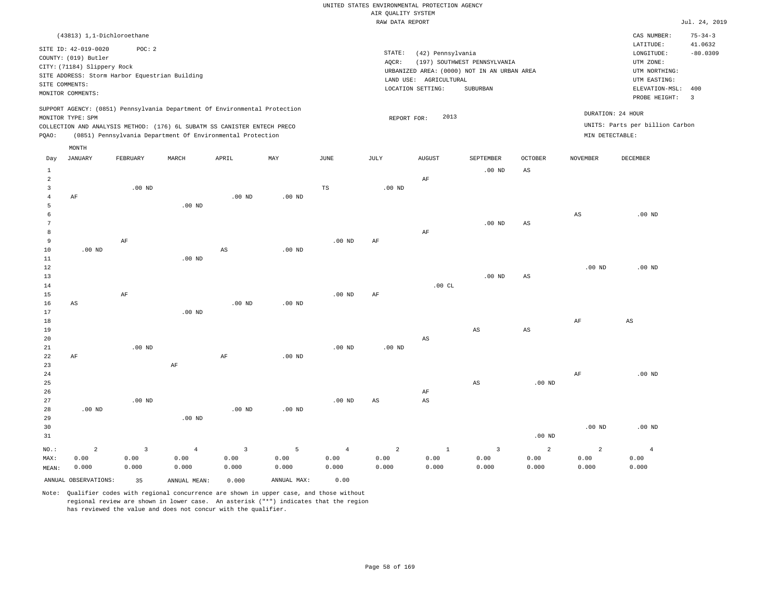|                |                                                |                   |                |                                                                            |                   |                   | RAW DATA REPORT   |                        |                                             |                         |                        |                                 | Jul. 24, 2019  |
|----------------|------------------------------------------------|-------------------|----------------|----------------------------------------------------------------------------|-------------------|-------------------|-------------------|------------------------|---------------------------------------------|-------------------------|------------------------|---------------------------------|----------------|
|                | (43813) 1,1-Dichloroethane                     |                   |                |                                                                            |                   |                   |                   |                        |                                             |                         |                        | CAS NUMBER:                     | $75 - 34 - 3$  |
|                |                                                |                   |                |                                                                            |                   |                   |                   |                        |                                             |                         |                        | LATITUDE:                       | 41.0632        |
|                | SITE ID: 42-019-0020                           | POC: 2            |                |                                                                            |                   |                   | STATE:            | (42) Pennsylvania      |                                             |                         |                        | LONGITUDE:                      | $-80.0309$     |
|                | COUNTY: (019) Butler                           |                   |                |                                                                            |                   |                   | AQCR:             |                        | (197) SOUTHWEST PENNSYLVANIA                |                         |                        | UTM ZONE:                       |                |
|                | CITY: (71184) Slippery Rock                    |                   |                |                                                                            |                   |                   |                   |                        | URBANIZED AREA: (0000) NOT IN AN URBAN AREA |                         |                        | UTM NORTHING:                   |                |
|                | SITE ADDRESS: Storm Harbor Equestrian Building |                   |                |                                                                            |                   |                   |                   | LAND USE: AGRICULTURAL |                                             |                         |                        | UTM EASTING:                    |                |
|                | SITE COMMENTS:                                 |                   |                |                                                                            |                   |                   |                   | LOCATION SETTING:      | SUBURBAN                                    |                         |                        | ELEVATION-MSL:                  | 400            |
|                | MONITOR COMMENTS:                              |                   |                |                                                                            |                   |                   |                   |                        |                                             |                         |                        | PROBE HEIGHT:                   | $\overline{3}$ |
|                |                                                |                   |                | SUPPORT AGENCY: (0851) Pennsylvania Department Of Environmental Protection |                   |                   |                   |                        |                                             |                         |                        |                                 |                |
|                | MONITOR TYPE: SPM                              |                   |                |                                                                            |                   |                   | REPORT FOR:       | 2013                   |                                             |                         |                        | DURATION: 24 HOUR               |                |
|                |                                                |                   |                | COLLECTION AND ANALYSIS METHOD: (176) 6L SUBATM SS CANISTER ENTECH PRECO   |                   |                   |                   |                        |                                             |                         |                        | UNITS: Parts per billion Carbon |                |
| PQAO:          |                                                |                   |                | (0851) Pennsylvania Department Of Environmental Protection                 |                   |                   |                   |                        |                                             |                         | MIN DETECTABLE:        |                                 |                |
|                | MONTH                                          |                   |                |                                                                            |                   |                   |                   |                        |                                             |                         |                        |                                 |                |
| Day            | JANUARY                                        | FEBRUARY          | MARCH          | APRIL                                                                      | MAY               | JUNE              | JULY              | <b>AUGUST</b>          | SEPTEMBER                                   | <b>OCTOBER</b>          | <b>NOVEMBER</b>        | DECEMBER                        |                |
| $\mathbf{1}$   |                                                |                   |                |                                                                            |                   |                   |                   |                        | $.00$ ND                                    | AS                      |                        |                                 |                |
| $\overline{2}$ |                                                |                   |                |                                                                            |                   |                   |                   | $\rm AF$               |                                             |                         |                        |                                 |                |
| $\overline{3}$ |                                                | $.00$ ND          |                |                                                                            |                   | TS                | $.00$ ND          |                        |                                             |                         |                        |                                 |                |
| $\overline{4}$ | AF                                             |                   |                | $.00$ ND                                                                   | $.00$ ND          |                   |                   |                        |                                             |                         |                        |                                 |                |
| 5              |                                                |                   | $.00$ ND       |                                                                            |                   |                   |                   |                        |                                             |                         |                        |                                 |                |
| 6              |                                                |                   |                |                                                                            |                   |                   |                   |                        |                                             |                         | $\mathbb{A}\mathbb{S}$ | $.00$ ND                        |                |
| $\overline{7}$ |                                                |                   |                |                                                                            |                   |                   |                   |                        | $.00$ ND                                    | AS                      |                        |                                 |                |
| 8              |                                                |                   |                |                                                                            |                   |                   |                   | AF                     |                                             |                         |                        |                                 |                |
| $\overline{9}$ |                                                | AF                |                |                                                                            |                   | $.00$ ND          | AF                |                        |                                             |                         |                        |                                 |                |
| 10             | $.00$ ND                                       |                   |                | $_{\rm AS}$                                                                | .00 <sub>ND</sub> |                   |                   |                        |                                             |                         |                        |                                 |                |
| 11             |                                                |                   | $.00$ ND       |                                                                            |                   |                   |                   |                        |                                             |                         |                        |                                 |                |
| 12             |                                                |                   |                |                                                                            |                   |                   |                   |                        |                                             |                         | $.00$ ND               | $.00$ ND                        |                |
| 13             |                                                |                   |                |                                                                            |                   |                   |                   |                        | $.00$ ND                                    | $\mathbb{A}\mathcal{S}$ |                        |                                 |                |
| 14             |                                                |                   |                |                                                                            |                   |                   |                   | .00CL                  |                                             |                         |                        |                                 |                |
| 15             |                                                | AF                |                |                                                                            |                   | $.00$ ND          | AF                |                        |                                             |                         |                        |                                 |                |
| 16             | AS                                             |                   |                | $.00$ ND                                                                   | .00 <sub>ND</sub> |                   |                   |                        |                                             |                         |                        |                                 |                |
| 17             |                                                |                   | $.00$ ND       |                                                                            |                   |                   |                   |                        |                                             |                         |                        |                                 |                |
| 18             |                                                |                   |                |                                                                            |                   |                   |                   |                        |                                             |                         | AF                     | AS                              |                |
| 19             |                                                |                   |                |                                                                            |                   |                   |                   |                        | AS                                          | $\mathbb{A}\mathbb{S}$  |                        |                                 |                |
| 20             |                                                |                   |                |                                                                            |                   |                   |                   | $\mathbb{A}\mathbb{S}$ |                                             |                         |                        |                                 |                |
| 21<br>22       |                                                | .00 <sub>ND</sub> |                |                                                                            | $.00$ ND          | .00 <sub>ND</sub> | .00 <sub>ND</sub> |                        |                                             |                         |                        |                                 |                |
| 23             | AF                                             |                   | $\rm{AF}$      | AF                                                                         |                   |                   |                   |                        |                                             |                         |                        |                                 |                |
| 24             |                                                |                   |                |                                                                            |                   |                   |                   |                        |                                             |                         | AF                     | $.00$ ND                        |                |
| 25             |                                                |                   |                |                                                                            |                   |                   |                   |                        | $\mathbb{A}\mathbb{S}$                      | $.00$ ND                |                        |                                 |                |
| 26             |                                                |                   |                |                                                                            |                   |                   |                   | AF                     |                                             |                         |                        |                                 |                |
| 27             |                                                | .00 <sub>ND</sub> |                |                                                                            |                   | .00 <sub>ND</sub> | AS                | $\mathbb{A}\mathbb{S}$ |                                             |                         |                        |                                 |                |
| 28             | $.00$ ND                                       |                   |                | $.00$ ND                                                                   | $.00$ ND          |                   |                   |                        |                                             |                         |                        |                                 |                |
| 29             |                                                |                   | $.00$ ND       |                                                                            |                   |                   |                   |                        |                                             |                         |                        |                                 |                |
| 30             |                                                |                   |                |                                                                            |                   |                   |                   |                        |                                             |                         | $.00$ ND               | $.00$ ND                        |                |
| 31             |                                                |                   |                |                                                                            |                   |                   |                   |                        |                                             | $.00$ ND                |                        |                                 |                |
|                |                                                |                   |                |                                                                            |                   |                   |                   |                        |                                             |                         |                        |                                 |                |
| NO.:           | $\overline{2}$                                 | $\mathbf{3}$      | $\overline{4}$ | $\overline{3}$                                                             | 5                 | $\overline{4}$    | $\overline{a}$    | $1\,$                  | $\overline{3}$                              | 2                       | $\overline{a}$         | $\overline{4}$                  |                |
| MAX:           | 0.00                                           | 0.00              | 0.00           | 0.00                                                                       | 0.00              | 0.00              | 0.00              | 0.00                   | 0.00                                        | 0.00                    | 0.00                   | 0.00                            |                |
| MEAN:          | 0.000                                          | 0.000             | 0.000          | 0.000                                                                      | 0.000             | 0.000             | 0.000             | 0.000                  | 0.000                                       | 0.000                   | 0.000                  | 0.000                           |                |
|                | ANNUAL OBSERVATIONS:                           | 35                | ANNUAL MEAN:   | 0.000                                                                      | ANNUAL MAX:       | 0.00              |                   |                        |                                             |                         |                        |                                 |                |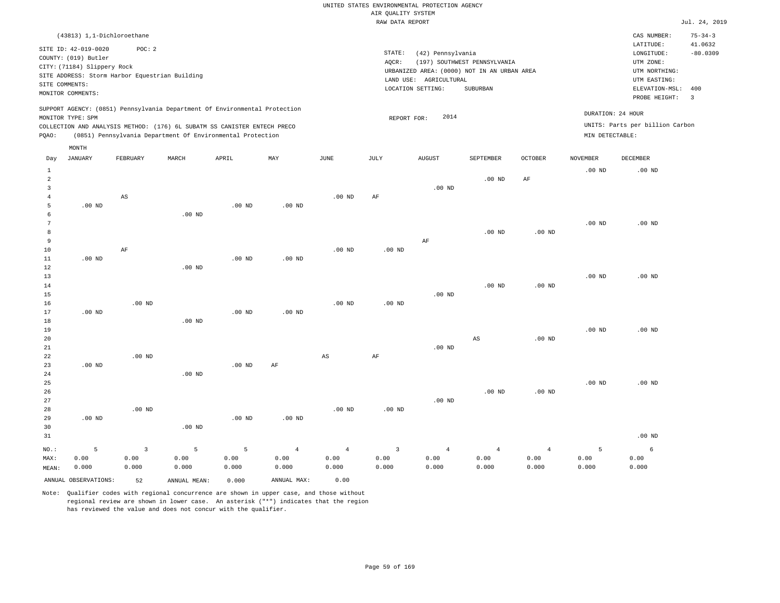|       |                             |                                                |          |                                                                                                                                                        |                   |          |        | RAW DATA REPORT                             |                              |                |                   |                                 | Jul. 24, 2019            |
|-------|-----------------------------|------------------------------------------------|----------|--------------------------------------------------------------------------------------------------------------------------------------------------------|-------------------|----------|--------|---------------------------------------------|------------------------------|----------------|-------------------|---------------------------------|--------------------------|
|       |                             | (43813) 1,1-Dichloroethane                     |          |                                                                                                                                                        |                   |          |        |                                             |                              |                |                   | CAS NUMBER:                     | $75 - 34 - 3$            |
|       | SITE ID: 42-019-0020        | POC:2                                          |          |                                                                                                                                                        |                   |          |        |                                             |                              |                |                   | LATITUDE:                       | 41.0632                  |
|       | COUNTY: (019) Butler        |                                                |          |                                                                                                                                                        |                   |          | STATE: | (42) Pennsylvania                           |                              |                |                   | LONGITUDE:                      | $-80.0309$               |
|       | CITY: (71184) Slippery Rock |                                                |          |                                                                                                                                                        |                   |          | AQCR:  |                                             | (197) SOUTHWEST PENNSYLVANIA |                |                   | UTM ZONE:                       |                          |
|       |                             | SITE ADDRESS: Storm Harbor Equestrian Building |          |                                                                                                                                                        |                   |          |        | URBANIZED AREA: (0000) NOT IN AN URBAN AREA |                              |                |                   | UTM NORTHING:                   |                          |
|       | SITE COMMENTS:              |                                                |          |                                                                                                                                                        |                   |          |        | LAND USE: AGRICULTURAL                      |                              |                |                   | UTM EASTING:                    |                          |
|       | MONITOR COMMENTS:           |                                                |          |                                                                                                                                                        |                   |          |        | LOCATION SETTING:                           | SUBURBAN                     |                |                   | ELEVATION-MSL:                  | 400                      |
|       |                             |                                                |          |                                                                                                                                                        |                   |          |        |                                             |                              |                |                   | PROBE HEIGHT:                   | $\overline{\phantom{a}}$ |
|       | MONITOR TYPE: SPM           |                                                |          | SUPPORT AGENCY: (0851) Pennsylvania Department Of Environmental Protection<br>COLLECTION AND ANALYSIS METHOD: (176) 6L SUBATM SS CANISTER ENTECH PRECO |                   |          |        | 2014<br>REPORT FOR:                         |                              |                | DURATION: 24 HOUR | UNITS: Parts per billion Carbon |                          |
| POAO: |                             |                                                |          | (0851) Pennsylvania Department Of Environmental Protection                                                                                             |                   |          |        |                                             |                              |                | MIN DETECTABLE:   |                                 |                          |
|       | MONTH                       |                                                |          |                                                                                                                                                        |                   |          |        |                                             |                              |                |                   |                                 |                          |
| Day   | JANUARY                     | FEBRUARY                                       | MARCH    | APRIL                                                                                                                                                  | MAY               | JUNE     | JULY   | <b>AUGUST</b>                               | SEPTEMBER                    | <b>OCTOBER</b> | <b>NOVEMBER</b>   | DECEMBER                        |                          |
|       |                             |                                                |          |                                                                                                                                                        |                   |          |        |                                             |                              |                | $.00$ ND          | $.00$ ND                        |                          |
|       |                             |                                                |          |                                                                                                                                                        |                   |          |        |                                             | $.00$ ND                     | AF             |                   |                                 |                          |
|       |                             |                                                |          |                                                                                                                                                        |                   |          |        | $.00$ ND                                    |                              |                |                   |                                 |                          |
|       |                             | AS                                             |          |                                                                                                                                                        |                   | $.00$ ND | AF     |                                             |                              |                |                   |                                 |                          |
| 5     | .00 <sub>ND</sub>           |                                                |          | $.00$ ND                                                                                                                                               | .00 <sub>ND</sub> |          |        |                                             |                              |                |                   |                                 |                          |
| 6     |                             |                                                | $.00$ ND |                                                                                                                                                        |                   |          |        |                                             |                              |                |                   |                                 |                          |

| 7      |          |          |          |          |          |          |          |          |          |          | $.00$ ND | $.00$ ND |
|--------|----------|----------|----------|----------|----------|----------|----------|----------|----------|----------|----------|----------|
| 8      |          |          |          |          |          |          |          |          | $.00$ ND | $.00$ ND |          |          |
| 9      |          |          |          |          |          |          |          | AF       |          |          |          |          |
| 10     |          | AF       |          |          |          | $.00$ ND | $.00$ ND |          |          |          |          |          |
| 11     | $.00$ ND |          |          | $.00$ ND | $.00$ ND |          |          |          |          |          |          |          |
| 12     |          |          | $.00$ ND |          |          |          |          |          |          |          |          |          |
| 13     |          |          |          |          |          |          |          |          |          |          | $.00$ ND | $.00$ ND |
| $14\,$ |          |          |          |          |          |          |          |          | $.00$ ND | $.00$ ND |          |          |
| $15\,$ |          |          |          |          |          |          |          | $.00$ ND |          |          |          |          |
| 16     |          | $.00$ ND |          |          |          | $.00$ ND | $.00$ ND |          |          |          |          |          |
| 17     | $.00$ ND |          |          | $.00$ ND | $.00$ ND |          |          |          |          |          |          |          |
| 18     |          |          | $.00$ ND |          |          |          |          |          |          |          |          |          |
| 19     |          |          |          |          |          |          |          |          |          |          | $.00$ ND | $.00$ ND |

| 20          |          |          |          |          |          |    |    |          | AS | .00 <sub>ND</sub> |          |          |
|-------------|----------|----------|----------|----------|----------|----|----|----------|----|-------------------|----------|----------|
| $2\sqrt{1}$ |          |          |          |          |          |    |    | $.00$ ND |    |                   |          |          |
| $2\sqrt{2}$ |          | $.00$ ND |          |          |          | AS | AF |          |    |                   |          |          |
| 23          | $.00$ ND |          |          | $.00$ ND | $\rm AF$ |    |    |          |    |                   |          |          |
| 24          |          |          | .00 $ND$ |          |          |    |    |          |    |                   |          |          |
| 25          |          |          |          |          |          |    |    |          |    |                   | $.00$ ND | $.00$ ND |

 0.00 0.000

| 26   |          |              |          |          |          |          |                         |          | $.00$ ND | $.00$ ND       |          |
|------|----------|--------------|----------|----------|----------|----------|-------------------------|----------|----------|----------------|----------|
| 27   |          |              |          |          |          |          |                         | $.00$ ND |          |                |          |
| 28   |          | $.00$ ND     |          |          |          | $.00$ ND | $.00$ ND                |          |          |                |          |
| 29   | $.00$ ND |              |          | $.00$ ND | $.00$ ND |          |                         |          |          |                |          |
| 30   |          |              | $.00$ ND |          |          |          |                         |          |          |                |          |
| 31   |          |              |          |          |          |          |                         |          |          |                | $.00$ ND |
| NO.: |          | $\mathbf{3}$ | 5        | -5.      | 4        | $\sim$ 4 | $\overline{\mathbf{3}}$ | $\sim$ 4 | -4       | $\overline{4}$ | 6        |

|       | ANNUAL OBSERVATIONS: | 52    | ANNUAL MEAN: | 0.000 | ANNUAL MAX: | 0.00  |       |       |
|-------|----------------------|-------|--------------|-------|-------------|-------|-------|-------|
| MEAN: | 0.000                | 0.000 | 0.000        | 0.000 | 0.000       | 0.000 | 0.000 | 0.000 |
| MAX:  | 0.00                 | 0.00  | 0.OO         | 0.00  | 0.00        | 0.00  | 0.00  | 0.00  |

Note: Qualifier codes with regional concurrence are shown in upper case, and those without regional review are shown in lower case. An asterisk ("\*") indicates that the region has reviewed the value and does not concur with the qualifier.

0.00

 0.00 0.000

 0.00 0.000  0.00 0.000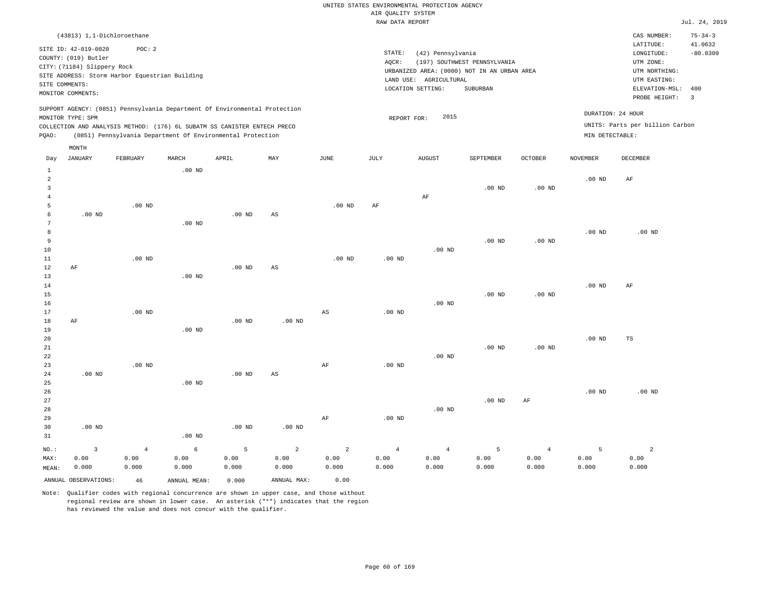|                          |                                                                                                                    |                                                          |          |                                                                                                                                                                                                                      |     |          | RAW DATA REPORT |                                                                                                                 |                                          |                |                 |                                                                                                          | Jul. 24, 2019                                            |
|--------------------------|--------------------------------------------------------------------------------------------------------------------|----------------------------------------------------------|----------|----------------------------------------------------------------------------------------------------------------------------------------------------------------------------------------------------------------------|-----|----------|-----------------|-----------------------------------------------------------------------------------------------------------------|------------------------------------------|----------------|-----------------|----------------------------------------------------------------------------------------------------------|----------------------------------------------------------|
|                          | (43813) 1,1-Dichloroethane                                                                                         |                                                          |          |                                                                                                                                                                                                                      |     |          |                 |                                                                                                                 |                                          |                |                 | CAS NUMBER:                                                                                              | $75 - 34 - 3$                                            |
|                          | SITE ID: 42-019-0020<br>COUNTY: (019) Butler<br>CITY: (71184) Slippery Rock<br>SITE COMMENTS:<br>MONITOR COMMENTS: | POC: 2<br>SITE ADDRESS: Storm Harbor Equestrian Building |          |                                                                                                                                                                                                                      |     |          | STATE:<br>AQCR: | (42) Pennsylvania<br>URBANIZED AREA: (0000) NOT IN AN URBAN AREA<br>LAND USE: AGRICULTURAL<br>LOCATION SETTING: | (197) SOUTHWEST PENNSYLVANIA<br>SUBURBAN |                |                 | LATITUDE:<br>LONGITUDE:<br>UTM ZONE:<br>UTM NORTHING:<br>UTM EASTING:<br>ELEVATION-MSL:<br>PROBE HEIGHT: | 41.0632<br>$-80.0309$<br>400<br>$\overline{\phantom{a}}$ |
| POAO:                    | MONITOR TYPE: SPM                                                                                                  |                                                          |          | SUPPORT AGENCY: (0851) Pennsylvania Department Of Environmental Protection<br>COLLECTION AND ANALYSIS METHOD: (176) 6L SUBATM SS CANISTER ENTECH PRECO<br>(0851) Pennsylvania Department Of Environmental Protection |     |          |                 | 2015<br>REPORT FOR:                                                                                             |                                          |                | MIN DETECTABLE: | DURATION: 24 HOUR<br>UNITS: Parts per billion Carbon                                                     |                                                          |
|                          | MONTH                                                                                                              | FEBRUARY                                                 | MARCH    | APRIL                                                                                                                                                                                                                | MAY | JUNE     | JULY            | <b>AUGUST</b>                                                                                                   | SEPTEMBER                                | <b>OCTOBER</b> | <b>NOVEMBER</b> | <b>DECEMBER</b>                                                                                          |                                                          |
| Day<br>$\mathbf{1}$<br>2 | JANUARY                                                                                                            |                                                          | $.00$ ND |                                                                                                                                                                                                                      |     |          |                 |                                                                                                                 |                                          |                | $.00$ ND        | AF                                                                                                       |                                                          |
| 5                        |                                                                                                                    | $.00$ ND                                                 |          |                                                                                                                                                                                                                      |     | $.00$ ND | AF              | AF                                                                                                              | $.00$ ND                                 | $.00$ ND       |                 |                                                                                                          |                                                          |
| 6<br>8                   | .00 <sub>ND</sub>                                                                                                  |                                                          | $.00$ ND | $.00$ ND                                                                                                                                                                                                             | AS  |          |                 |                                                                                                                 |                                          |                | $.00$ ND        | $.00$ ND                                                                                                 |                                                          |
| 9<br>10<br>11            |                                                                                                                    | $.00$ ND                                                 |          |                                                                                                                                                                                                                      |     | $.00$ ND | $.00$ ND        | $.00$ ND                                                                                                        | $.00$ ND                                 | $.00$ ND       |                 |                                                                                                          |                                                          |
| 12                       | ΑF                                                                                                                 |                                                          |          | $.00$ ND                                                                                                                                                                                                             | AS  |          |                 |                                                                                                                 |                                          |                |                 |                                                                                                          |                                                          |

14 15 16 17 18 19 20 21 22 AF .00 ND .00 ND .00 ND .00 ND AS .00 ND .00 ND .00 ND .00 ND .00 ND .00 ND .00 ND .00 ND .00 ND AF TS

| 23      |          | $.00$ ND       |          |          |          | AF    | $.00$ ND       |                |          |                |          |                |
|---------|----------|----------------|----------|----------|----------|-------|----------------|----------------|----------|----------------|----------|----------------|
| 24      | $.00$ ND |                |          | $.00$ ND | AS       |       |                |                |          |                |          |                |
| 25      |          |                | $.00$ ND |          |          |       |                |                |          |                |          |                |
| 26      |          |                |          |          |          |       |                |                |          |                | $.00$ ND | $.00$ ND       |
| 27      |          |                |          |          |          |       |                |                | $.00$ ND | AF             |          |                |
| 28      |          |                |          |          |          |       |                | $.00$ ND       |          |                |          |                |
| 29      |          |                |          |          |          | AF    | $.00$ ND       |                |          |                |          |                |
| 30      | $.00$ ND |                |          | $.00$ ND | $.00$ ND |       |                |                |          |                |          |                |
| 31      |          |                | $.00$ ND |          |          |       |                |                |          |                |          |                |
| $NO.$ : | 3        | $\overline{4}$ | 6        | 5        | 2        | 2     | $\overline{4}$ | $\overline{4}$ | 5        | $\overline{4}$ | 5        | $\mathfrak{D}$ |
| MAX:    | 0.00     | 0.00           | 0.00     | 0.00     | 0.00     | 0.00  | 0.00           | 0.00           | 0.00     | 0.00           | 0.00     | 0.00           |
| MEAN:   | 0.000    | 0.000          | 0.000    | 0.000    | 0.000    | 0.000 | 0.000          | 0.000          | 0.000    | 0.000          | 0.000    | 0.000          |

ANNUAL OBSERVATIONS: 46 ANNUAL MEAN: 0.000 ANNUAL MAX: 0.00

.00 ND

13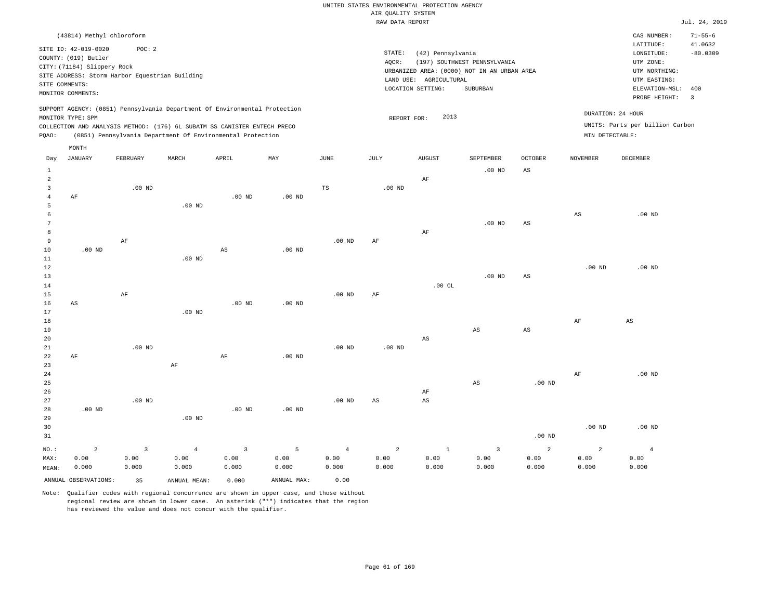|                                |                                                                                                  |                                                          |                                                                                                                                                                                                                      |                   |                   |                       | RAW DATA REPORT   |                                                                  |                                                                                         |                        |                   |                                                                                             | Jul. 24, 2019         |
|--------------------------------|--------------------------------------------------------------------------------------------------|----------------------------------------------------------|----------------------------------------------------------------------------------------------------------------------------------------------------------------------------------------------------------------------|-------------------|-------------------|-----------------------|-------------------|------------------------------------------------------------------|-----------------------------------------------------------------------------------------|------------------------|-------------------|---------------------------------------------------------------------------------------------|-----------------------|
|                                | (43814) Methyl chloroform                                                                        |                                                          |                                                                                                                                                                                                                      |                   |                   |                       |                   |                                                                  |                                                                                         |                        |                   | CAS NUMBER:                                                                                 | $71 - 55 - 6$         |
| SITE COMMENTS:                 | SITE ID: 42-019-0020<br>COUNTY: (019) Butler<br>CITY: (71184) Slippery Rock<br>MONITOR COMMENTS: | POC: 2<br>SITE ADDRESS: Storm Harbor Equestrian Building |                                                                                                                                                                                                                      |                   |                   |                       | STATE:<br>AQCR:   | (42) Pennsylvania<br>LAND USE: AGRICULTURAL<br>LOCATION SETTING: | (197) SOUTHWEST PENNSYLVANIA<br>URBANIZED AREA: (0000) NOT IN AN URBAN AREA<br>SUBURBAN |                        |                   | LATITUDE:<br>LONGITUDE:<br>UTM ZONE:<br>UTM NORTHING:<br>UTM EASTING:<br>ELEVATION-MSL: 400 | 41.0632<br>$-80.0309$ |
|                                |                                                                                                  |                                                          |                                                                                                                                                                                                                      |                   |                   |                       |                   |                                                                  |                                                                                         |                        |                   | PROBE HEIGHT:                                                                               | $\overline{3}$        |
| PQAO:                          | MONITOR TYPE: SPM                                                                                |                                                          | SUPPORT AGENCY: (0851) Pennsylvania Department Of Environmental Protection<br>COLLECTION AND ANALYSIS METHOD: (176) 6L SUBATM SS CANISTER ENTECH PRECO<br>(0851) Pennsylvania Department Of Environmental Protection |                   |                   |                       | REPORT FOR:       | 2013                                                             |                                                                                         |                        | MIN DETECTABLE:   | DURATION: 24 HOUR<br>UNITS: Parts per billion Carbon                                        |                       |
|                                | MONTH                                                                                            |                                                          |                                                                                                                                                                                                                      |                   |                   |                       |                   |                                                                  |                                                                                         |                        |                   |                                                                                             |                       |
| Day                            | <b>JANUARY</b>                                                                                   | FEBRUARY                                                 | MARCH                                                                                                                                                                                                                | APRIL             | MAY               | $\operatorname{JUNE}$ | JULY              | ${\tt AUGUST}$                                                   | SEPTEMBER                                                                               | <b>OCTOBER</b>         | <b>NOVEMBER</b>   | DECEMBER                                                                                    |                       |
| $\mathbf{1}$<br>$\overline{a}$ |                                                                                                  |                                                          |                                                                                                                                                                                                                      |                   |                   |                       |                   | AF                                                               | $.00$ ND                                                                                | $\mathbb{A}\mathbb{S}$ |                   |                                                                                             |                       |
| $\overline{3}$                 |                                                                                                  | $.00$ ND                                                 |                                                                                                                                                                                                                      |                   |                   | $\mathbb{TS}$         | .00 <sub>ND</sub> |                                                                  |                                                                                         |                        |                   |                                                                                             |                       |
| $\overline{4}$                 | AF                                                                                               |                                                          |                                                                                                                                                                                                                      | $.00$ ND          | $.00$ ND          |                       |                   |                                                                  |                                                                                         |                        |                   |                                                                                             |                       |
| 5                              |                                                                                                  |                                                          | $.00$ ND                                                                                                                                                                                                             |                   |                   |                       |                   |                                                                  |                                                                                         |                        |                   |                                                                                             |                       |
| 6<br>7                         |                                                                                                  |                                                          |                                                                                                                                                                                                                      |                   |                   |                       |                   |                                                                  | $.00$ ND                                                                                | $_{\rm AS}$            | $_{\rm AS}$       | $.00$ ND                                                                                    |                       |
| 8                              |                                                                                                  |                                                          |                                                                                                                                                                                                                      |                   |                   |                       |                   | AF                                                               |                                                                                         |                        |                   |                                                                                             |                       |
| $\overline{9}$                 |                                                                                                  | $\rm AF$                                                 |                                                                                                                                                                                                                      |                   |                   | .00 <sub>ND</sub>     | AF                |                                                                  |                                                                                         |                        |                   |                                                                                             |                       |
| 10                             | $.00$ ND                                                                                         |                                                          |                                                                                                                                                                                                                      | $_{\rm AS}$       | $.00$ ND          |                       |                   |                                                                  |                                                                                         |                        |                   |                                                                                             |                       |
| $11\,$<br>12                   |                                                                                                  |                                                          | $.00$ ND                                                                                                                                                                                                             |                   |                   |                       |                   |                                                                  |                                                                                         |                        | .00 <sub>ND</sub> | .00 <sub>ND</sub>                                                                           |                       |
| 13                             |                                                                                                  |                                                          |                                                                                                                                                                                                                      |                   |                   |                       |                   |                                                                  | $.00$ ND                                                                                | $_{\rm AS}$            |                   |                                                                                             |                       |
| 14                             |                                                                                                  |                                                          |                                                                                                                                                                                                                      |                   |                   |                       |                   | .00CL                                                            |                                                                                         |                        |                   |                                                                                             |                       |
| 15                             |                                                                                                  | AF                                                       |                                                                                                                                                                                                                      |                   |                   | .00 <sub>ND</sub>     | AF                |                                                                  |                                                                                         |                        |                   |                                                                                             |                       |
| 16                             | AS                                                                                               |                                                          |                                                                                                                                                                                                                      | $.00$ ND          | $.00$ ND          |                       |                   |                                                                  |                                                                                         |                        |                   |                                                                                             |                       |
| 17<br>18                       |                                                                                                  |                                                          | .00 <sub>ND</sub>                                                                                                                                                                                                    |                   |                   |                       |                   |                                                                  |                                                                                         |                        | AF                | $_{\rm AS}$                                                                                 |                       |
| 19                             |                                                                                                  |                                                          |                                                                                                                                                                                                                      |                   |                   |                       |                   |                                                                  | AS                                                                                      | AS                     |                   |                                                                                             |                       |
| 20                             |                                                                                                  |                                                          |                                                                                                                                                                                                                      |                   |                   |                       |                   | $\mathbb{A}\mathbb{S}$                                           |                                                                                         |                        |                   |                                                                                             |                       |
| 21                             |                                                                                                  | $.00$ ND                                                 |                                                                                                                                                                                                                      |                   |                   | $.00$ ND              | $.00$ ND          |                                                                  |                                                                                         |                        |                   |                                                                                             |                       |
| 22<br>23                       | AF                                                                                               |                                                          | $\rm{AF}$                                                                                                                                                                                                            | AF                | .00 <sub>ND</sub> |                       |                   |                                                                  |                                                                                         |                        |                   |                                                                                             |                       |
| 24                             |                                                                                                  |                                                          |                                                                                                                                                                                                                      |                   |                   |                       |                   |                                                                  |                                                                                         |                        | AF                | $.00$ ND                                                                                    |                       |
| 25                             |                                                                                                  |                                                          |                                                                                                                                                                                                                      |                   |                   |                       |                   |                                                                  | $_{\rm AS}$                                                                             | $.00$ ND               |                   |                                                                                             |                       |
| 26                             |                                                                                                  |                                                          |                                                                                                                                                                                                                      |                   |                   |                       |                   | AF                                                               |                                                                                         |                        |                   |                                                                                             |                       |
| 27<br>28                       | .00 <sub>ND</sub>                                                                                | $.00$ ND                                                 |                                                                                                                                                                                                                      | .00 <sub>ND</sub> | $.00$ ND          | .00 <sub>ND</sub>     | AS                | AS                                                               |                                                                                         |                        |                   |                                                                                             |                       |
| 29                             |                                                                                                  |                                                          | $.00$ ND                                                                                                                                                                                                             |                   |                   |                       |                   |                                                                  |                                                                                         |                        |                   |                                                                                             |                       |
| 30                             |                                                                                                  |                                                          |                                                                                                                                                                                                                      |                   |                   |                       |                   |                                                                  |                                                                                         |                        | .00 <sub>ND</sub> | $.00$ ND                                                                                    |                       |
| 31                             |                                                                                                  |                                                          |                                                                                                                                                                                                                      |                   |                   |                       |                   |                                                                  |                                                                                         | .00 <sub>ND</sub>      |                   |                                                                                             |                       |
| NO.:                           | $\overline{a}$                                                                                   | $\overline{3}$                                           | $\overline{4}$                                                                                                                                                                                                       | $\overline{3}$    | 5                 | $\overline{4}$        | $\overline{a}$    | $1\,$                                                            | $\overline{3}$                                                                          | 2                      | $\overline{a}$    | $\overline{4}$                                                                              |                       |
| MAX:                           | 0.00                                                                                             | 0.00                                                     | 0.00                                                                                                                                                                                                                 | 0.00              | 0.00              | 0.00                  | 0.00              | 0.00                                                             | 0.00                                                                                    | 0.00                   | 0.00              | 0.00                                                                                        |                       |
| MEAN:                          | 0.000                                                                                            | 0.000                                                    | 0.000                                                                                                                                                                                                                | 0.000             | 0.000             | 0.000                 | 0.000             | 0.000                                                            | 0.000                                                                                   | 0.000                  | 0.000             | 0.000                                                                                       |                       |
|                                | ANNUAL OBSERVATIONS:                                                                             | 35                                                       | ANNUAL MEAN:                                                                                                                                                                                                         | 0.000             | ANNUAL MAX:       | 0.00                  |                   |                                                                  |                                                                                         |                        |                   |                                                                                             |                       |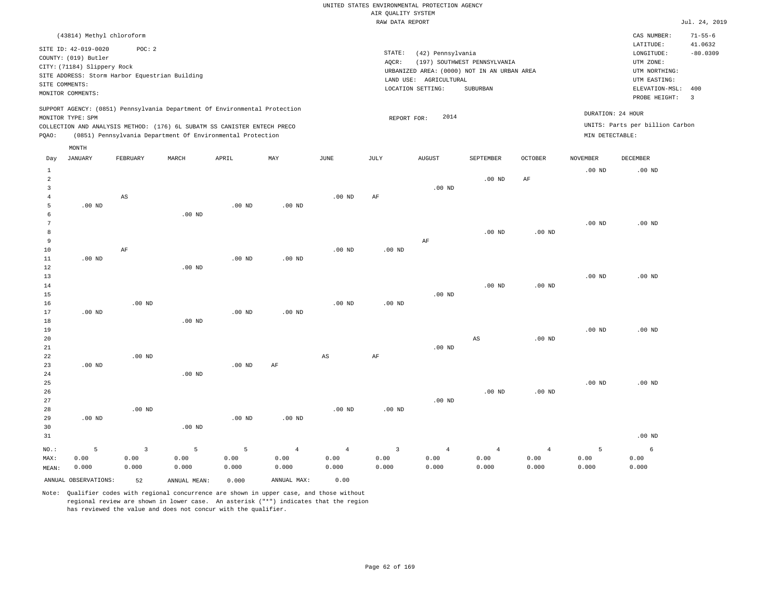|       |                                                                                                                    | (43814) Methyl chloroform                               |       |                                                                                                                                        |                                                                            |          |                 |                                                                                                                 |                                          |                |                 | CAS NUMBER:                                                                                                  | $71 - 55 - 6$                |
|-------|--------------------------------------------------------------------------------------------------------------------|---------------------------------------------------------|-------|----------------------------------------------------------------------------------------------------------------------------------------|----------------------------------------------------------------------------|----------|-----------------|-----------------------------------------------------------------------------------------------------------------|------------------------------------------|----------------|-----------------|--------------------------------------------------------------------------------------------------------------|------------------------------|
|       | SITE ID: 42-019-0020<br>COUNTY: (019) Butler<br>CITY: (71184) Slippery Rock<br>SITE COMMENTS:<br>MONITOR COMMENTS: | POC:2<br>SITE ADDRESS: Storm Harbor Equestrian Building |       |                                                                                                                                        |                                                                            |          | STATE:<br>AQCR: | (42) Pennsylvania<br>URBANIZED AREA: (0000) NOT IN AN URBAN AREA<br>LAND USE: AGRICULTURAL<br>LOCATION SETTING: | (197) SOUTHWEST PENNSYLVANIA<br>SUBURBAN |                |                 | LATITUDE:<br>LONGITUDE:<br>UTM ZONE:<br>UTM NORTHING:<br>UTM EASTING:<br>ELEVATION-MSL: 400<br>PROBE HEIGHT: | 41.0632<br>$-80.0309$<br>- 3 |
| POAO: | MONITOR TYPE: SPM                                                                                                  |                                                         |       | COLLECTION AND ANALYSIS METHOD: (176) 6L SUBATM SS CANISTER ENTECH PRECO<br>(0851) Pennsylvania Department Of Environmental Protection | SUPPORT AGENCY: (0851) Pennsylvania Department Of Environmental Protection |          |                 | 2014<br>REPORT FOR:                                                                                             |                                          |                | MIN DETECTABLE: | DURATION: 24 HOUR<br>UNITS: Parts per billion Carbon                                                         |                              |
|       | MONTH                                                                                                              |                                                         |       |                                                                                                                                        |                                                                            |          |                 |                                                                                                                 |                                          |                |                 |                                                                                                              |                              |
| Day   | JANUARY                                                                                                            | FEBRUARY                                                | MARCH | APRIL                                                                                                                                  | MAY                                                                        | JUNE     | JULY            | <b>AUGUST</b>                                                                                                   | SEPTEMBER                                | <b>OCTOBER</b> | NOVEMBER        | DECEMBER                                                                                                     |                              |
|       |                                                                                                                    |                                                         |       |                                                                                                                                        |                                                                            |          |                 |                                                                                                                 |                                          |                | $.00$ ND        | $.00$ ND                                                                                                     |                              |
|       |                                                                                                                    |                                                         |       |                                                                                                                                        |                                                                            |          |                 |                                                                                                                 | $.00$ ND                                 | AF             |                 |                                                                                                              |                              |
|       |                                                                                                                    |                                                         |       |                                                                                                                                        |                                                                            |          |                 | $.00$ ND                                                                                                        |                                          |                |                 |                                                                                                              |                              |
|       |                                                                                                                    | AS                                                      |       |                                                                                                                                        |                                                                            | $.00$ ND | AF              |                                                                                                                 |                                          |                |                 |                                                                                                              |                              |

 5 6 7 8 9 10 11 12 13 14 .00 ND .00 ND AF .00 ND .00 ND .00 ND .00 ND .00 ND .00 ND .00 ND .00 ND AF .00 ND .00 ND .00 ND .00 ND .00 ND .00 ND .00 ND .00 ND

15 16 17 18 19 20 21 22 23 24 .00 ND .00 ND .00 ND .00 ND .00 ND .00 ND .00 ND .00 ND .00 ND AF .00 ND AS .00 ND AF .00 ND .00 ND AS .00 ND .00 ND .00 ND

25 26 27 28 29 30 31 .00 ND NO.: 5 .00 ND .00 ND .00 ND .00 ND .00 ND .00 ND .00 ND .00 ND .00 ND .00 ND .00 ND .00 ND 3 5 5 4 4 3 4 4 4 5 6

| MAX:  | 0.00                    | 0.00  | 0.00         | 0.00  | 0.00        | 0.00  | 0.00  | 0.00  | 0.00  | 0.00  | 0.00  | 0.00  |
|-------|-------------------------|-------|--------------|-------|-------------|-------|-------|-------|-------|-------|-------|-------|
| MEAN: | 0.000                   | 0.000 | 0.000        | 0.000 | 0.000       | 0.000 | 0.000 | 0.000 | 0.000 | 0.000 | 0.000 | 0.000 |
|       | ANNUAL OBSERVATIONS: 52 |       | ANNUAL MEAN: | 0.000 | ANNUAL MAX: | 0.00  |       |       |       |       |       |       |

Note: Qualifier codes with regional concurrence are shown in upper case, and those without regional review are shown in lower case. An asterisk ("\*") indicates that the region has reviewed the value and does not concur with the qualifier.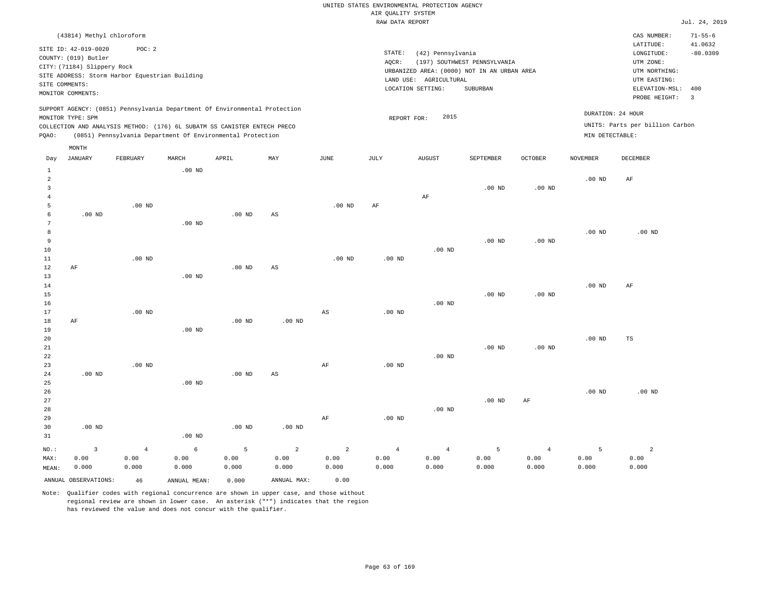|               |                                                                                                                    |                                                                                                                                                                                                                      |          |          |     |          |                 | RAW DATA REPORT                                                                                                 |                                          |                |                 |                                                                                             | Jul. 24, 2019            |
|---------------|--------------------------------------------------------------------------------------------------------------------|----------------------------------------------------------------------------------------------------------------------------------------------------------------------------------------------------------------------|----------|----------|-----|----------|-----------------|-----------------------------------------------------------------------------------------------------------------|------------------------------------------|----------------|-----------------|---------------------------------------------------------------------------------------------|--------------------------|
|               | (43814) Methyl chloroform                                                                                          |                                                                                                                                                                                                                      |          |          |     |          |                 |                                                                                                                 |                                          |                |                 | CAS NUMBER:                                                                                 | $71 - 55 - 6$            |
|               | SITE ID: 42-019-0020<br>COUNTY: (019) Butler<br>CITY: (71184) Slippery Rock<br>SITE COMMENTS:<br>MONITOR COMMENTS: | POC: 2<br>SITE ADDRESS: Storm Harbor Equestrian Building                                                                                                                                                             |          |          |     |          | STATE:<br>AQCR: | (42) Pennsylvania<br>URBANIZED AREA: (0000) NOT IN AN URBAN AREA<br>LAND USE: AGRICULTURAL<br>LOCATION SETTING: | (197) SOUTHWEST PENNSYLVANIA<br>SUBURBAN |                |                 | LATITUDE:<br>LONGITUDE:<br>UTM ZONE:<br>UTM NORTHING:<br>UTM EASTING:<br>ELEVATION-MSL: 400 | 41.0632<br>$-80.0309$    |
| POAO:         | MONITOR TYPE: SPM                                                                                                  | SUPPORT AGENCY: (0851) Pennsylvania Department Of Environmental Protection<br>COLLECTION AND ANALYSIS METHOD: (176) 6L SUBATM SS CANISTER ENTECH PRECO<br>(0851) Pennsylvania Department Of Environmental Protection |          |          |     |          |                 | 2015<br>REPORT FOR:                                                                                             |                                          |                | MIN DETECTABLE: | PROBE HEIGHT:<br>DURATION: 24 HOUR<br>UNITS: Parts per billion Carbon                       | $\overline{\phantom{a}}$ |
| Day           | MONTH<br>JANUARY                                                                                                   | FEBRUARY                                                                                                                                                                                                             | MARCH    | APRIL    | MAY | JUNE     | JULY            | <b>AUGUST</b>                                                                                                   | SEPTEMBER                                | <b>OCTOBER</b> | <b>NOVEMBER</b> | DECEMBER                                                                                    |                          |
| 2             |                                                                                                                    |                                                                                                                                                                                                                      | $.00$ ND |          |     |          |                 |                                                                                                                 | $.00$ ND                                 | $.00$ ND       | $.00$ ND        | AF                                                                                          |                          |
|               |                                                                                                                    |                                                                                                                                                                                                                      |          |          |     |          |                 | AF                                                                                                              |                                          |                |                 |                                                                                             |                          |
| 6             | .00 <sub>ND</sub>                                                                                                  | $.00$ ND                                                                                                                                                                                                             | $.00$ ND | $.00$ ND | AS  | $.00$ ND | AF              |                                                                                                                 |                                          |                |                 |                                                                                             |                          |
| 8<br>$\Omega$ |                                                                                                                    |                                                                                                                                                                                                                      |          |          |     |          |                 |                                                                                                                 | nn m                                     | OO ND          | $.00$ ND        | $.00$ ND                                                                                    |                          |

| 9  |    |          |          |          |          |          |          |          | $.00$ ND | $.00$ ND |          |    |
|----|----|----------|----------|----------|----------|----------|----------|----------|----------|----------|----------|----|
| 10 |    |          |          |          |          |          |          | $.00$ ND |          |          |          |    |
| 11 |    | $.00$ ND |          |          |          | $.00$ ND | $.00$ ND |          |          |          |          |    |
| 12 | AF |          |          | $.00$ ND | AS       |          |          |          |          |          |          |    |
| 13 |    |          | $.00$ ND |          |          |          |          |          |          |          |          |    |
| 14 |    |          |          |          |          |          |          |          |          |          | $.00$ ND | AF |
| 15 |    |          |          |          |          |          |          |          | $.00$ ND | $.00$ ND |          |    |
| 16 |    |          |          |          |          |          |          | $.00$ ND |          |          |          |    |
| 17 |    | $.00$ ND |          |          |          | AS       | $.00$ ND |          |          |          |          |    |
| 18 | AF |          |          | $.00$ ND | $.00$ ND |          |          |          |          |          |          |    |
| 19 |    |          | $.00$ ND |          |          |          |          |          |          |          |          |    |
| 20 |    |          |          |          |          |          |          |          |          |          | $.00$ ND | TS |
| 21 |    |          |          |          |          |          |          |          | $.00$ ND | $.00$ ND |          |    |
| 22 |    |          |          |          |          |          |          | $.00$ ND |          |          |          |    |
| 23 |    | $.00$ ND |          |          |          | AF       | $.00$ ND |          |          |          |          |    |

| 24    | $.00$ ND |                |          | $.00$ ND | AS             |       |                |                |          |       |          |          |
|-------|----------|----------------|----------|----------|----------------|-------|----------------|----------------|----------|-------|----------|----------|
| 25    |          |                | $.00$ ND |          |                |       |                |                |          |       |          |          |
| 26    |          |                |          |          |                |       |                |                |          |       | $.00$ ND | $.00$ ND |
| 27    |          |                |          |          |                |       |                |                | $.00$ ND | AF    |          |          |
| 28    |          |                |          |          |                |       |                | $.00$ ND       |          |       |          |          |
| 29    |          |                |          |          |                | AF    | $.00$ ND       |                |          |       |          |          |
| 30    | $.00$ ND |                |          | $.00$ ND | $.00$ ND       |       |                |                |          |       |          |          |
| 31    |          |                | $.00$ ND |          |                |       |                |                |          |       |          |          |
| NO.:  |          | $\overline{4}$ | 6        |          | $\overline{a}$ | 2     | $\overline{4}$ | $\overline{4}$ | 5        |       | 5        | 2        |
| MAX:  | 0.00     | 0.00           | 0.00     | 0.00     | 0.00           | 0.00  | 0.00           | 0.00           | 0.00     | 0.00  | 0.00     | 0.00     |
| MEAN: | 0.000    | 0.000          | 0.000    | 0.000    | 0.000          | 0.000 | 0.000          | 0.000          | 0.000    | 0.000 | 0.000    | 0.000    |

Note: Qualifier codes with regional concurrence are shown in upper case, and those without regional review are shown in lower case. An asterisk ("\*") indicates that the region has reviewed the value and does not concur with the qualifier.

ANNUAL OBSERVATIONS: 46 ANNUAL MEAN: 0.000 ANNUAL MAX: 0.00

24

.00 ND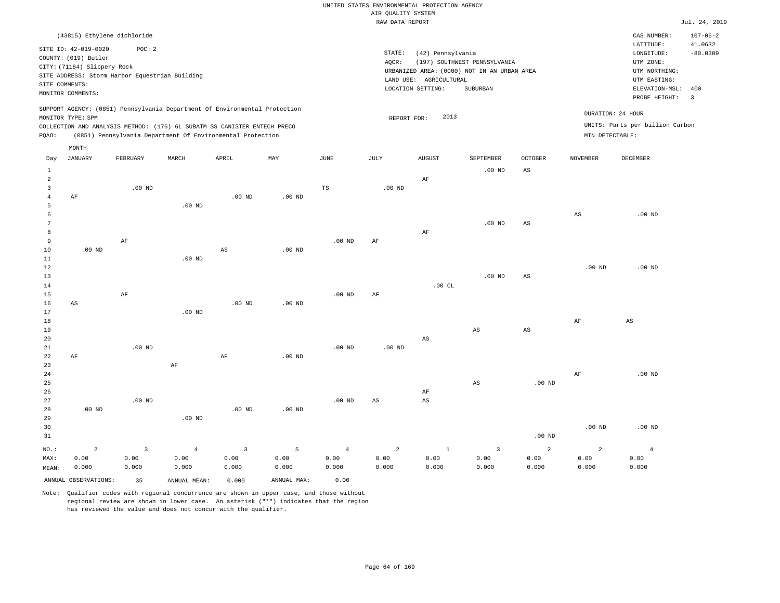|                                |                                                                                                                                                    |                         |                                                                            |                |                   |                | RAW DATA REPORT        |                                                                  |                                                                                         |                   |                   |                                                                                                              | Jul. 24, 2019                           |
|--------------------------------|----------------------------------------------------------------------------------------------------------------------------------------------------|-------------------------|----------------------------------------------------------------------------|----------------|-------------------|----------------|------------------------|------------------------------------------------------------------|-----------------------------------------------------------------------------------------|-------------------|-------------------|--------------------------------------------------------------------------------------------------------------|-----------------------------------------|
|                                | (43815) Ethylene dichloride                                                                                                                        |                         |                                                                            |                |                   |                |                        |                                                                  |                                                                                         |                   |                   | CAS NUMBER:                                                                                                  | $107 - 06 - 2$                          |
| SITE COMMENTS:                 | SITE ID: 42-019-0020<br>COUNTY: (019) Butler<br>CITY: (71184) Slippery Rock<br>SITE ADDRESS: Storm Harbor Equestrian Building<br>MONITOR COMMENTS: | POC: 2                  |                                                                            |                |                   |                | STATE:<br>AQCR:        | (42) Pennsylvania<br>LAND USE: AGRICULTURAL<br>LOCATION SETTING: | (197) SOUTHWEST PENNSYLVANIA<br>URBANIZED AREA: (0000) NOT IN AN URBAN AREA<br>SUBURBAN |                   |                   | LATITUDE:<br>LONGITUDE:<br>UTM ZONE:<br>UTM NORTHING:<br>UTM EASTING:<br>ELEVATION-MSL: 400<br>PROBE HEIGHT: | 41.0632<br>$-80.0309$<br>$\overline{3}$ |
|                                |                                                                                                                                                    |                         | SUPPORT AGENCY: (0851) Pennsylvania Department Of Environmental Protection |                |                   |                |                        |                                                                  |                                                                                         |                   |                   | DURATION: 24 HOUR                                                                                            |                                         |
|                                | MONITOR TYPE: SPM                                                                                                                                  |                         |                                                                            |                |                   |                | REPORT FOR:            | 2013                                                             |                                                                                         |                   |                   |                                                                                                              |                                         |
|                                |                                                                                                                                                    |                         | COLLECTION AND ANALYSIS METHOD: (176) 6L SUBATM SS CANISTER ENTECH PRECO   |                |                   |                |                        |                                                                  |                                                                                         |                   | MIN DETECTABLE:   | UNITS: Parts per billion Carbon                                                                              |                                         |
| PQAO:                          |                                                                                                                                                    |                         | (0851) Pennsylvania Department Of Environmental Protection                 |                |                   |                |                        |                                                                  |                                                                                         |                   |                   |                                                                                                              |                                         |
|                                | MONTH                                                                                                                                              |                         |                                                                            |                |                   |                |                        |                                                                  |                                                                                         |                   |                   |                                                                                                              |                                         |
| Day                            | <b>JANUARY</b>                                                                                                                                     | FEBRUARY                | MARCH                                                                      | APRIL          | MAY               | $_{\rm JUNE}$  | JULY                   | ${\tt AUGUST}$                                                   | SEPTEMBER                                                                               | <b>OCTOBER</b>    | <b>NOVEMBER</b>   | DECEMBER                                                                                                     |                                         |
| $\mathbf{1}$                   |                                                                                                                                                    |                         |                                                                            |                |                   |                |                        |                                                                  | $.00$ ND                                                                                | $_{\rm AS}$       |                   |                                                                                                              |                                         |
| $\overline{a}$                 |                                                                                                                                                    |                         |                                                                            |                |                   |                |                        | AF                                                               |                                                                                         |                   |                   |                                                                                                              |                                         |
| $\mathbf{3}$<br>$\overline{4}$ | AF                                                                                                                                                 | $.00$ ND                |                                                                            | $.00$ ND       | $.00$ ND          | $_{\rm TS}$    | $.00$ ND               |                                                                  |                                                                                         |                   |                   |                                                                                                              |                                         |
| 5                              |                                                                                                                                                    |                         | .00 <sub>ND</sub>                                                          |                |                   |                |                        |                                                                  |                                                                                         |                   |                   |                                                                                                              |                                         |
| 6                              |                                                                                                                                                    |                         |                                                                            |                |                   |                |                        |                                                                  |                                                                                         |                   | $_{\rm AS}$       | $.00$ ND                                                                                                     |                                         |
| 7                              |                                                                                                                                                    |                         |                                                                            |                |                   |                |                        |                                                                  | $.00$ ND                                                                                | AS                |                   |                                                                                                              |                                         |
| 8                              |                                                                                                                                                    |                         |                                                                            |                |                   |                |                        | AF                                                               |                                                                                         |                   |                   |                                                                                                              |                                         |
| 9                              |                                                                                                                                                    | $\rm AF$                |                                                                            |                |                   | $.00$ ND       | $\rm{AF}$              |                                                                  |                                                                                         |                   |                   |                                                                                                              |                                         |
| 10                             | $.00$ ND                                                                                                                                           |                         |                                                                            | AS             | $.00$ ND          |                |                        |                                                                  |                                                                                         |                   |                   |                                                                                                              |                                         |
| 11                             |                                                                                                                                                    |                         | .00 <sub>ND</sub>                                                          |                |                   |                |                        |                                                                  |                                                                                         |                   |                   |                                                                                                              |                                         |
| 12                             |                                                                                                                                                    |                         |                                                                            |                |                   |                |                        |                                                                  |                                                                                         |                   | .00 <sub>ND</sub> | .00 <sub>ND</sub>                                                                                            |                                         |
| 13                             |                                                                                                                                                    |                         |                                                                            |                |                   |                |                        | .00CL                                                            | $.00$ ND                                                                                | AS                |                   |                                                                                                              |                                         |
| 14<br>15                       |                                                                                                                                                    | AF                      |                                                                            |                |                   | $.00$ ND       | AF                     |                                                                  |                                                                                         |                   |                   |                                                                                                              |                                         |
| 16                             | AS                                                                                                                                                 |                         |                                                                            | $.00$ ND       | $.00$ ND          |                |                        |                                                                  |                                                                                         |                   |                   |                                                                                                              |                                         |
| 17                             |                                                                                                                                                    |                         | $.00$ ND                                                                   |                |                   |                |                        |                                                                  |                                                                                         |                   |                   |                                                                                                              |                                         |
| 18                             |                                                                                                                                                    |                         |                                                                            |                |                   |                |                        |                                                                  |                                                                                         |                   | AF                | $_{\rm AS}$                                                                                                  |                                         |
| 19                             |                                                                                                                                                    |                         |                                                                            |                |                   |                |                        |                                                                  | AS                                                                                      | AS                |                   |                                                                                                              |                                         |
| 20                             |                                                                                                                                                    |                         |                                                                            |                |                   |                |                        | $\mathbb{A}\mathbb{S}$                                           |                                                                                         |                   |                   |                                                                                                              |                                         |
| 21                             |                                                                                                                                                    | $.00$ ND                |                                                                            |                |                   | $.00$ ND       | $.00$ ND               |                                                                  |                                                                                         |                   |                   |                                                                                                              |                                         |
| 22                             | AF                                                                                                                                                 |                         |                                                                            | AF             | .00 <sub>ND</sub> |                |                        |                                                                  |                                                                                         |                   |                   |                                                                                                              |                                         |
| 23                             |                                                                                                                                                    |                         | $\rm AF$                                                                   |                |                   |                |                        |                                                                  |                                                                                         |                   |                   |                                                                                                              |                                         |
| 24<br>25                       |                                                                                                                                                    |                         |                                                                            |                |                   |                |                        |                                                                  |                                                                                         |                   | AF                | $.00$ ND                                                                                                     |                                         |
| 26                             |                                                                                                                                                    |                         |                                                                            |                |                   |                |                        | AF                                                               | AS                                                                                      | .00 <sub>ND</sub> |                   |                                                                                                              |                                         |
| 27                             |                                                                                                                                                    | $.00$ ND                |                                                                            |                |                   | $.00$ ND       | $\mathbb{A}\mathbb{S}$ | AS                                                               |                                                                                         |                   |                   |                                                                                                              |                                         |
| 28                             | .00 <sub>ND</sub>                                                                                                                                  |                         |                                                                            | $.00$ ND       | $.00$ ND          |                |                        |                                                                  |                                                                                         |                   |                   |                                                                                                              |                                         |
| 29                             |                                                                                                                                                    |                         | $.00$ ND                                                                   |                |                   |                |                        |                                                                  |                                                                                         |                   |                   |                                                                                                              |                                         |
| 30                             |                                                                                                                                                    |                         |                                                                            |                |                   |                |                        |                                                                  |                                                                                         |                   | $.00$ ND          | $.00$ ND                                                                                                     |                                         |
| 31                             |                                                                                                                                                    |                         |                                                                            |                |                   |                |                        |                                                                  |                                                                                         | .00 <sub>ND</sub> |                   |                                                                                                              |                                         |
| NO.:                           | $\overline{a}$                                                                                                                                     | $\overline{\mathbf{3}}$ | $\overline{4}$                                                             | $\overline{3}$ | 5                 | $\overline{4}$ | $\overline{a}$         | $\mathbf{1}$                                                     | $\overline{\mathbf{3}}$                                                                 | $\overline{a}$    | $\overline{a}$    | $\overline{4}$                                                                                               |                                         |
| MAX:                           | 0.00                                                                                                                                               | 0.00                    | 0.00                                                                       | 0.00           | 0.00              | 0.00           | 0.00                   | 0.00                                                             | 0.00                                                                                    | 0.00              | 0.00              | 0.00                                                                                                         |                                         |
| MEAN:                          | 0.000                                                                                                                                              | 0.000                   | 0.000                                                                      | 0.000          | 0.000             | 0.000          | 0.000                  | 0.000                                                            | 0.000                                                                                   | 0.000             | 0.000             | 0.000                                                                                                        |                                         |
|                                | ANNUAL OBSERVATIONS:                                                                                                                               | 35                      | ANNUAL MEAN:                                                               | 0.000          | ANNUAL MAX:       | 0.00           |                        |                                                                  |                                                                                         |                   |                   |                                                                                                              |                                         |
|                                |                                                                                                                                                    |                         |                                                                            |                |                   |                |                        |                                                                  |                                                                                         |                   |                   |                                                                                                              |                                         |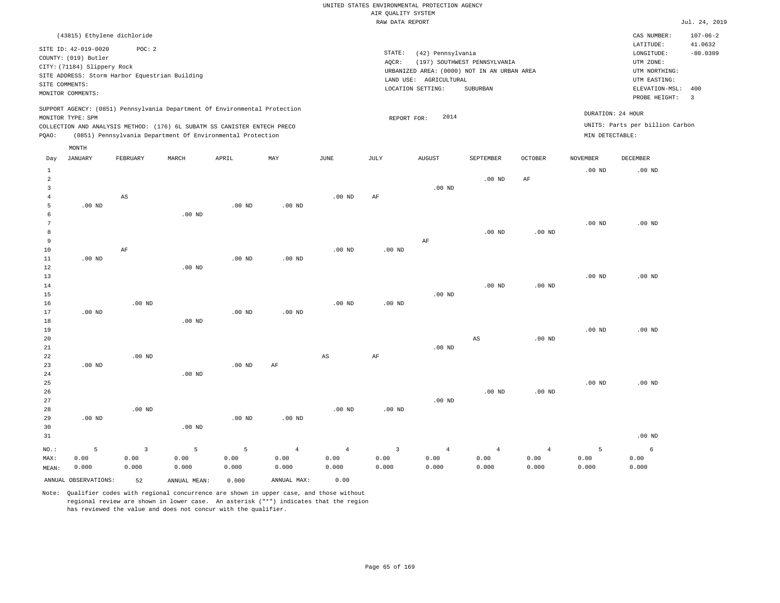|        |                                                                                                                    |                             |                                                |                                                                                                                                                                                                                      |                   |          |       | RAW DATA REPORT                                                                                                           |                                          |                |                                      |                                                                                         | Jul. 24, 2019                |
|--------|--------------------------------------------------------------------------------------------------------------------|-----------------------------|------------------------------------------------|----------------------------------------------------------------------------------------------------------------------------------------------------------------------------------------------------------------------|-------------------|----------|-------|---------------------------------------------------------------------------------------------------------------------------|------------------------------------------|----------------|--------------------------------------|-----------------------------------------------------------------------------------------|------------------------------|
|        |                                                                                                                    | (43815) Ethylene dichloride |                                                |                                                                                                                                                                                                                      |                   |          |       |                                                                                                                           |                                          |                |                                      | CAS NUMBER:                                                                             | $107 - 06 - 2$               |
|        | SITE ID: 42-019-0020<br>COUNTY: (019) Butler<br>CITY: (71184) Slippery Rock<br>SITE COMMENTS:<br>MONITOR COMMENTS: | POC:2                       | SITE ADDRESS: Storm Harbor Equestrian Building |                                                                                                                                                                                                                      |                   |          | AQCR: | STATE:<br>(42) Pennsylvania<br>URBANIZED AREA: (0000) NOT IN AN URBAN AREA<br>LAND USE: AGRICULTURAL<br>LOCATION SETTING: | (197) SOUTHWEST PENNSYLVANIA<br>SUBURBAN |                |                                      | LATITUDE:<br>LONGITUDE:<br>UTM ZONE:<br>UTM NORTHING:<br>UTM EASTING:<br>ELEVATION-MSL: | 41.0632<br>$-80.0309$<br>400 |
|        |                                                                                                                    |                             |                                                |                                                                                                                                                                                                                      |                   |          |       |                                                                                                                           |                                          |                |                                      | PROBE HEIGHT:                                                                           | $\overline{\phantom{a}}$     |
| PQAO:  | MONITOR TYPE: SPM                                                                                                  |                             |                                                | SUPPORT AGENCY: (0851) Pennsylvania Department Of Environmental Protection<br>COLLECTION AND ANALYSIS METHOD: (176) 6L SUBATM SS CANISTER ENTECH PRECO<br>(0851) Pennsylvania Department Of Environmental Protection |                   |          |       | 2014<br>REPORT FOR:                                                                                                       |                                          |                | DURATION: 24 HOUR<br>MIN DETECTABLE: | UNITS: Parts per billion Carbon                                                         |                              |
|        | MONTH                                                                                                              |                             |                                                |                                                                                                                                                                                                                      |                   |          |       |                                                                                                                           |                                          |                |                                      |                                                                                         |                              |
| Day    | JANUARY                                                                                                            | FEBRUARY                    | MARCH                                          | APRIL                                                                                                                                                                                                                | MAY               | JUNE     | JULY  | <b>AUGUST</b>                                                                                                             | SEPTEMBER                                | <b>OCTOBER</b> | <b>NOVEMBER</b>                      | DECEMBER                                                                                |                              |
| 2<br>3 |                                                                                                                    |                             |                                                |                                                                                                                                                                                                                      |                   |          |       | $.00$ ND                                                                                                                  | $.00$ ND                                 | AF             | $.00$ ND                             | $.00$ ND                                                                                |                              |
| 5      | $.00$ ND                                                                                                           | AS                          |                                                | $.00$ ND                                                                                                                                                                                                             | .00 <sub>ND</sub> | $.00$ ND | AF    |                                                                                                                           |                                          |                |                                      |                                                                                         |                              |
| 6      |                                                                                                                    |                             | .00 <sub>ND</sub>                              |                                                                                                                                                                                                                      |                   |          |       |                                                                                                                           |                                          |                |                                      |                                                                                         |                              |

| 7      |          |          |          |          |          |          |          |          |          |          | $.00$ ND | $.00$ ND |
|--------|----------|----------|----------|----------|----------|----------|----------|----------|----------|----------|----------|----------|
| 8      |          |          |          |          |          |          |          |          | $.00$ ND | $.00$ ND |          |          |
| 9      |          |          |          |          |          |          |          | AF       |          |          |          |          |
| 10     |          | AF       |          |          |          | $.00$ ND | $.00$ ND |          |          |          |          |          |
| 11     | $.00$ ND |          |          | $.00$ ND | $.00$ ND |          |          |          |          |          |          |          |
| 12     |          |          | $.00$ ND |          |          |          |          |          |          |          |          |          |
| 13     |          |          |          |          |          |          |          |          |          |          | $.00$ ND | $.00$ ND |
| $14\,$ |          |          |          |          |          |          |          |          | $.00$ ND | $.00$ ND |          |          |
| $15\,$ |          |          |          |          |          |          |          | $.00$ ND |          |          |          |          |
| 16     |          | $.00$ ND |          |          |          | $.00$ ND | $.00$ ND |          |          |          |          |          |
| 17     | $.00$ ND |          |          | $.00$ ND | $.00$ ND |          |          |          |          |          |          |          |
| 18     |          |          | $.00$ ND |          |          |          |          |          |          |          |          |          |
| 19     |          |          |          |          |          |          |          |          |          |          | $.00$ ND | $.00$ ND |

| 20          |          |          |          |          |    |          |          |          | AS       | $.00$ ND |          |          |
|-------------|----------|----------|----------|----------|----|----------|----------|----------|----------|----------|----------|----------|
| $2\sqrt{1}$ |          |          |          |          |    |          |          | $.00$ ND |          |          |          |          |
| 22          |          | $.00$ ND |          |          |    | AS       | AF       |          |          |          |          |          |
| 23          | $.00$ ND |          |          | $.00$ ND | AF |          |          |          |          |          |          |          |
| 24          |          |          | $.00$ ND |          |    |          |          |          |          |          |          |          |
| 25          |          |          |          |          |    |          |          |          |          |          | $.00$ ND | $.00$ ND |
| 26          |          |          |          |          |    |          |          |          | $.00$ ND | $.00$ ND |          |          |
| 27          |          |          |          |          |    |          |          | $.00$ ND |          |          |          |          |
| 28          |          | $.00$ ND |          |          |    | $.00$ ND | $.00$ ND |          |          |          |          |          |

.00 ND .00 ND

| 29    | $.00$ ND |                         |          | $.00$ ND | $.00$ ND |                 |                           |       |       |       |       |                   |
|-------|----------|-------------------------|----------|----------|----------|-----------------|---------------------------|-------|-------|-------|-------|-------------------|
| 30    |          |                         | $.00$ ND |          |          |                 |                           |       |       |       |       |                   |
| 31    |          |                         |          |          |          |                 |                           |       |       |       |       | .00 <sub>ND</sub> |
| NO.:  | 5        | $\overline{\mathbf{3}}$ | 5        | 5        | 4        | $\sim$ 4 $\sim$ | $\overline{\phantom{a}3}$ | 4     | 4     | 4     |       | 6                 |
| MAX:  | 0.00     | 0.00                    | 0.00     | 0.00     | 0.00     | 0.00            | 0.00                      | 0.00  | 0.00  | 0.00  | 0.00  | 0.00              |
| MEAN: | 0.000    | 0.000                   | 0.000    | 0.000    | 0.000    | 0.000           | 0.000                     | 0.000 | 0.000 | 0.000 | 0.000 | 0.000             |
|       |          |                         |          |          |          |                 |                           |       |       |       |       |                   |

ANNUAL OBSERVATIONS: 52 ANNUAL MEAN: 0.000 ANNUAL MAX: 0.00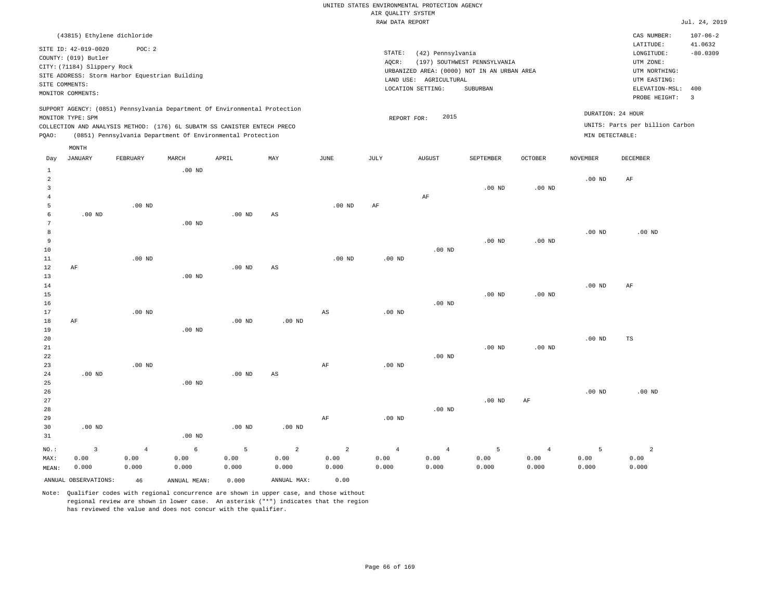|       |                             |                                                                            |          |          |     |          | RAW DATA REPORT |                        |                                             |                   |                   |                                 | Jul. 24, 2019           |
|-------|-----------------------------|----------------------------------------------------------------------------|----------|----------|-----|----------|-----------------|------------------------|---------------------------------------------|-------------------|-------------------|---------------------------------|-------------------------|
|       | (43815) Ethylene dichloride |                                                                            |          |          |     |          |                 |                        |                                             |                   |                   | CAS NUMBER:                     | $107 - 06 - 2$          |
|       | SITE ID: 42-019-0020        | POC:2                                                                      |          |          |     |          |                 |                        |                                             |                   |                   | LATITUDE:                       | 41.0632                 |
|       | COUNTY: (019) Butler        |                                                                            |          |          |     |          | STATE:          | (42) Pennsylvania      |                                             |                   |                   | LONGITUDE:                      | $-80.0309$              |
|       | CITY: (71184) Slippery Rock |                                                                            |          |          |     |          | AOCR:           |                        | (197) SOUTHWEST PENNSYLVANIA                |                   |                   | UTM ZONE:                       |                         |
|       |                             | SITE ADDRESS: Storm Harbor Equestrian Building                             |          |          |     |          |                 |                        | URBANIZED AREA: (0000) NOT IN AN URBAN AREA |                   |                   | UTM NORTHING:                   |                         |
|       | SITE COMMENTS:              |                                                                            |          |          |     |          |                 | LAND USE: AGRICULTURAL |                                             |                   |                   | UTM EASTING:                    |                         |
|       | MONITOR COMMENTS:           |                                                                            |          |          |     |          |                 | LOCATION SETTING:      | SUBURBAN                                    |                   |                   | ELEVATION-MSL: 400              |                         |
|       |                             |                                                                            |          |          |     |          |                 |                        |                                             |                   |                   | PROBE HEIGHT:                   | $\overline{\mathbf{3}}$ |
|       |                             | SUPPORT AGENCY: (0851) Pennsylvania Department Of Environmental Protection |          |          |     |          |                 |                        |                                             |                   |                   | DURATION: 24 HOUR               |                         |
|       | MONITOR TYPE: SPM           |                                                                            |          |          |     |          | REPORT FOR:     | 2015                   |                                             |                   |                   |                                 |                         |
|       |                             | COLLECTION AND ANALYSIS METHOD: (176) 6L SUBATM SS CANISTER ENTECH PRECO   |          |          |     |          |                 |                        |                                             |                   |                   | UNITS: Parts per billion Carbon |                         |
| PQAO: |                             | (0851) Pennsylvania Department Of Environmental Protection                 |          |          |     |          |                 |                        |                                             |                   | MIN DETECTABLE:   |                                 |                         |
|       | MONTH                       |                                                                            |          |          |     |          |                 |                        |                                             |                   |                   |                                 |                         |
| Day   | JANUARY                     | FEBRUARY                                                                   | MARCH    | APRIL    | MAY | JUNE     | JULY            | <b>AUGUST</b>          | SEPTEMBER                                   | <b>OCTOBER</b>    | <b>NOVEMBER</b>   | <b>DECEMBER</b>                 |                         |
|       |                             |                                                                            | $.00$ ND |          |     |          |                 |                        |                                             |                   |                   |                                 |                         |
| 2     |                             |                                                                            |          |          |     |          |                 |                        |                                             |                   | .00 <sub>ND</sub> | AF                              |                         |
| 3     |                             |                                                                            |          |          |     |          |                 |                        | $.00$ ND                                    | $.00$ ND          |                   |                                 |                         |
|       |                             |                                                                            |          |          |     |          |                 | AF                     |                                             |                   |                   |                                 |                         |
| 5     |                             | $.00$ ND                                                                   |          |          |     | $.00$ ND | AF              |                        |                                             |                   |                   |                                 |                         |
| 6     | $.00$ ND                    |                                                                            |          | $.00$ ND | AS  |          |                 |                        |                                             |                   |                   |                                 |                         |
|       |                             |                                                                            | $.00$ ND |          |     |          |                 |                        |                                             |                   |                   |                                 |                         |
| 8     |                             |                                                                            |          |          |     |          |                 |                        |                                             |                   | $.00$ ND          | $.00$ ND                        |                         |
| 9     |                             |                                                                            |          |          |     |          |                 |                        | $.00$ ND                                    | .00 <sub>ND</sub> |                   |                                 |                         |
| 10    |                             |                                                                            |          |          |     |          |                 | $.00$ ND               |                                             |                   |                   |                                 |                         |
| 11    |                             | $.00$ ND                                                                   |          |          |     | $.00$ ND | $.00$ ND        |                        |                                             |                   |                   |                                 |                         |
| 12    | AF                          |                                                                            |          | $.00$ ND | AS  |          |                 |                        |                                             |                   |                   |                                 |                         |
| 13    |                             |                                                                            | $.00$ ND |          |     |          |                 |                        |                                             |                   |                   |                                 |                         |
| 14    |                             |                                                                            |          |          |     |          |                 |                        |                                             |                   | .00 <sub>ND</sub> | AF                              |                         |

.00 ND

.00 ND

16 17 18 19 20 21 22 23 24 25 26 AF .00 ND .00 ND .00 ND .00 ND .00 ND .00 ND .00 ND AS .00 ND AS AF .00 ND .00 ND .00 ND .00 ND .00 ND .00 ND .00 ND .00 ND TS .00 ND

| 27    |          |                |          |          |          |       |          |          | $.00$ ND | AF    |       |       |
|-------|----------|----------------|----------|----------|----------|-------|----------|----------|----------|-------|-------|-------|
| 28    |          |                |          |          |          |       |          | $.00$ ND |          |       |       |       |
| 29    |          |                |          |          |          | AF    | $.00$ ND |          |          |       |       |       |
| 30    | $.00$ ND |                |          | $.00$ ND | $.00$ ND |       |          |          |          |       |       |       |
| 31    |          |                | $.00$ ND |          |          |       |          |          |          |       |       |       |
| NO.:  |          | $\overline{4}$ | 6        | 5        | 2        | 2     | 4        | 4        | 5        | 4     |       |       |
| MAX:  | 0.00     | 0.00           | 0.00     | 0.00     | 0.00     | 0.00  | 0.00     | 0.00     | 0.00     | 0.00  | 0.00  | 0.00  |
| MEAN: | 0.000    | 0.000          | 0.000    | 0.000    | 0.000    | 0.000 | 0.000    | 0.000    | 0.000    | 0.000 | 0.000 | 0.000 |
|       |          |                |          |          |          |       |          |          |          |       |       |       |

ANNUAL OBSERVATIONS: 46 ANNUAL MEAN: 0.000 ANNUAL MAX: 0.00

15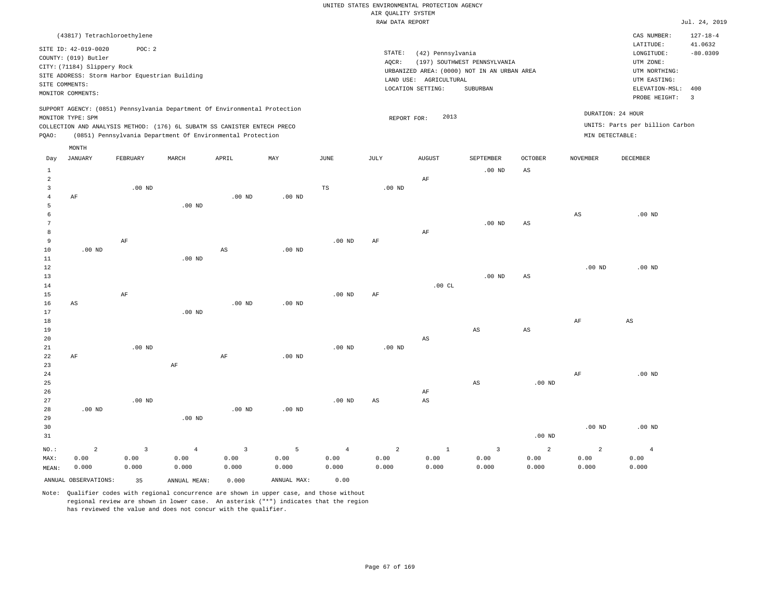|                                |                                                                                                                                                    |                         |                                                                            |                |                   |                | RAW DATA REPORT        |                                                                  |                                                                                         |                   |                   |                                                                                             | Jul. 24, 2019         |
|--------------------------------|----------------------------------------------------------------------------------------------------------------------------------------------------|-------------------------|----------------------------------------------------------------------------|----------------|-------------------|----------------|------------------------|------------------------------------------------------------------|-----------------------------------------------------------------------------------------|-------------------|-------------------|---------------------------------------------------------------------------------------------|-----------------------|
|                                | (43817) Tetrachloroethylene                                                                                                                        |                         |                                                                            |                |                   |                |                        |                                                                  |                                                                                         |                   |                   | CAS NUMBER:                                                                                 | $127 - 18 - 4$        |
| SITE COMMENTS:                 | SITE ID: 42-019-0020<br>COUNTY: (019) Butler<br>CITY: (71184) Slippery Rock<br>SITE ADDRESS: Storm Harbor Equestrian Building<br>MONITOR COMMENTS: | POC: 2                  |                                                                            |                |                   |                | STATE:<br>AQCR:        | (42) Pennsylvania<br>LAND USE: AGRICULTURAL<br>LOCATION SETTING: | (197) SOUTHWEST PENNSYLVANIA<br>URBANIZED AREA: (0000) NOT IN AN URBAN AREA<br>SUBURBAN |                   |                   | LATITUDE:<br>LONGITUDE:<br>UTM ZONE:<br>UTM NORTHING:<br>UTM EASTING:<br>ELEVATION-MSL: 400 | 41.0632<br>$-80.0309$ |
|                                |                                                                                                                                                    |                         | SUPPORT AGENCY: (0851) Pennsylvania Department Of Environmental Protection |                |                   |                |                        |                                                                  |                                                                                         |                   |                   | PROBE HEIGHT:                                                                               | $\overline{3}$        |
|                                | MONITOR TYPE: SPM                                                                                                                                  |                         |                                                                            |                |                   |                | REPORT FOR:            | 2013                                                             |                                                                                         |                   |                   | DURATION: 24 HOUR                                                                           |                       |
|                                |                                                                                                                                                    |                         | COLLECTION AND ANALYSIS METHOD: (176) 6L SUBATM SS CANISTER ENTECH PRECO   |                |                   |                |                        |                                                                  |                                                                                         |                   |                   | UNITS: Parts per billion Carbon                                                             |                       |
| PQAO:                          |                                                                                                                                                    |                         | (0851) Pennsylvania Department Of Environmental Protection                 |                |                   |                |                        |                                                                  |                                                                                         |                   | MIN DETECTABLE:   |                                                                                             |                       |
|                                | MONTH                                                                                                                                              |                         |                                                                            |                |                   |                |                        |                                                                  |                                                                                         |                   |                   |                                                                                             |                       |
| Day                            | <b>JANUARY</b>                                                                                                                                     | FEBRUARY                | MARCH                                                                      | APRIL          | MAY               | $_{\rm JUNE}$  | JULY                   | AUGUST                                                           | SEPTEMBER                                                                               | <b>OCTOBER</b>    | <b>NOVEMBER</b>   | DECEMBER                                                                                    |                       |
| $\mathbf{1}$                   |                                                                                                                                                    |                         |                                                                            |                |                   |                |                        |                                                                  | $.00$ ND                                                                                | $_{\rm AS}$       |                   |                                                                                             |                       |
| $\overline{a}$                 |                                                                                                                                                    |                         |                                                                            |                |                   |                |                        | AF                                                               |                                                                                         |                   |                   |                                                                                             |                       |
| $\mathbf{3}$<br>$\overline{4}$ | AF                                                                                                                                                 | $.00$ ND                |                                                                            | $.00$ ND       | $.00$ ND          | $_{\rm TS}$    | $.00$ ND               |                                                                  |                                                                                         |                   |                   |                                                                                             |                       |
| 5                              |                                                                                                                                                    |                         | .00 <sub>ND</sub>                                                          |                |                   |                |                        |                                                                  |                                                                                         |                   |                   |                                                                                             |                       |
| 6                              |                                                                                                                                                    |                         |                                                                            |                |                   |                |                        |                                                                  |                                                                                         |                   | $_{\rm AS}$       | $.00$ ND                                                                                    |                       |
| 7                              |                                                                                                                                                    |                         |                                                                            |                |                   |                |                        |                                                                  | $.00$ ND                                                                                | AS                |                   |                                                                                             |                       |
| 8                              |                                                                                                                                                    |                         |                                                                            |                |                   |                |                        | AF                                                               |                                                                                         |                   |                   |                                                                                             |                       |
| 9<br>10                        | $.00$ ND                                                                                                                                           | $\rm AF$                |                                                                            | AS             | $.00$ ND          | $.00$ ND       | $\rm{AF}$              |                                                                  |                                                                                         |                   |                   |                                                                                             |                       |
| 11                             |                                                                                                                                                    |                         | .00 <sub>ND</sub>                                                          |                |                   |                |                        |                                                                  |                                                                                         |                   |                   |                                                                                             |                       |
| 12                             |                                                                                                                                                    |                         |                                                                            |                |                   |                |                        |                                                                  |                                                                                         |                   | .00 <sub>ND</sub> | .00 <sub>ND</sub>                                                                           |                       |
| 13                             |                                                                                                                                                    |                         |                                                                            |                |                   |                |                        |                                                                  | $.00$ ND                                                                                | AS                |                   |                                                                                             |                       |
| 14                             |                                                                                                                                                    |                         |                                                                            |                |                   |                |                        | .00CL                                                            |                                                                                         |                   |                   |                                                                                             |                       |
| 15                             |                                                                                                                                                    | AF                      |                                                                            | $.00$ ND       |                   | $.00$ ND       | AF                     |                                                                  |                                                                                         |                   |                   |                                                                                             |                       |
| 16<br>17                       | AS                                                                                                                                                 |                         | $.00$ ND                                                                   |                | $.00$ ND          |                |                        |                                                                  |                                                                                         |                   |                   |                                                                                             |                       |
| 18                             |                                                                                                                                                    |                         |                                                                            |                |                   |                |                        |                                                                  |                                                                                         |                   | AF                | $_{\rm AS}$                                                                                 |                       |
| 19                             |                                                                                                                                                    |                         |                                                                            |                |                   |                |                        |                                                                  | AS                                                                                      | AS                |                   |                                                                                             |                       |
| 20                             |                                                                                                                                                    |                         |                                                                            |                |                   |                |                        | $\mathbb{A}\mathbb{S}$                                           |                                                                                         |                   |                   |                                                                                             |                       |
| 21                             |                                                                                                                                                    | $.00$ ND                |                                                                            |                |                   | $.00$ ND       | $.00$ ND               |                                                                  |                                                                                         |                   |                   |                                                                                             |                       |
| 22<br>23                       | AF                                                                                                                                                 |                         | $\rm AF$                                                                   | AF             | .00 <sub>ND</sub> |                |                        |                                                                  |                                                                                         |                   |                   |                                                                                             |                       |
| 24                             |                                                                                                                                                    |                         |                                                                            |                |                   |                |                        |                                                                  |                                                                                         |                   | AF                | $.00$ ND                                                                                    |                       |
| 25                             |                                                                                                                                                    |                         |                                                                            |                |                   |                |                        |                                                                  | AS                                                                                      | .00 <sub>ND</sub> |                   |                                                                                             |                       |
| 26                             |                                                                                                                                                    |                         |                                                                            |                |                   |                |                        | AF                                                               |                                                                                         |                   |                   |                                                                                             |                       |
| 27                             |                                                                                                                                                    | $.00$ ND                |                                                                            |                |                   | $.00$ ND       | $\mathbb{A}\mathbb{S}$ | AS                                                               |                                                                                         |                   |                   |                                                                                             |                       |
| 28<br>29                       | .00 <sub>ND</sub>                                                                                                                                  |                         | $.00$ ND                                                                   | $.00$ ND       | $.00$ ND          |                |                        |                                                                  |                                                                                         |                   |                   |                                                                                             |                       |
| 30                             |                                                                                                                                                    |                         |                                                                            |                |                   |                |                        |                                                                  |                                                                                         |                   | .00 <sub>ND</sub> | $.00$ ND                                                                                    |                       |
| 31                             |                                                                                                                                                    |                         |                                                                            |                |                   |                |                        |                                                                  |                                                                                         | .00 <sub>ND</sub> |                   |                                                                                             |                       |
| NO.:                           | $\overline{a}$                                                                                                                                     | $\overline{\mathbf{3}}$ | $\overline{4}$                                                             | $\overline{3}$ | 5                 | $\overline{4}$ | $\overline{a}$         | $\mathbf{1}$                                                     | $\overline{\mathbf{3}}$                                                                 | $\overline{a}$    | $\overline{a}$    | $\overline{4}$                                                                              |                       |
| MAX:                           | 0.00                                                                                                                                               | 0.00                    | 0.00                                                                       | 0.00           | 0.00              | 0.00           | 0.00                   | 0.00                                                             | 0.00                                                                                    | 0.00              | 0.00              | 0.00                                                                                        |                       |
| MEAN:                          | 0.000                                                                                                                                              | 0.000                   | 0.000                                                                      | 0.000          | 0.000             | 0.000          | 0.000                  | 0.000                                                            | 0.000                                                                                   | 0.000             | 0.000             | 0.000                                                                                       |                       |
|                                | ANNUAL OBSERVATIONS:                                                                                                                               | 35                      | ANNUAL MEAN:                                                               | 0.000          | ANNUAL MAX:       | 0.00           |                        |                                                                  |                                                                                         |                   |                   |                                                                                             |                       |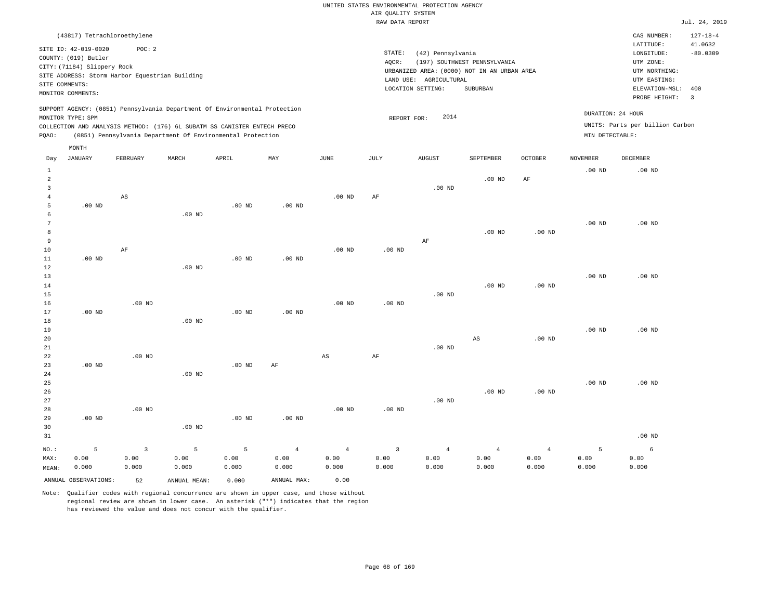|                                                                                                                                             |                             |                                                |       |                                                                          |          |          |        | RAW DATA REPORT                             |                              |         |                 |                                 | Jul. 24, 2019  |
|---------------------------------------------------------------------------------------------------------------------------------------------|-----------------------------|------------------------------------------------|-------|--------------------------------------------------------------------------|----------|----------|--------|---------------------------------------------|------------------------------|---------|-----------------|---------------------------------|----------------|
|                                                                                                                                             |                             | (43817) Tetrachloroethylene                    |       |                                                                          |          |          |        |                                             |                              |         |                 | CAS NUMBER:                     | $127 - 18 - 4$ |
|                                                                                                                                             | SITE ID: 42-019-0020        | POC:2                                          |       |                                                                          |          |          |        |                                             |                              |         |                 | LATITUDE:                       | 41.0632        |
|                                                                                                                                             | COUNTY: (019) Butler        |                                                |       |                                                                          |          |          | STATE: | (42) Pennsylvania                           |                              |         |                 | LONGITUDE:                      | $-80.0309$     |
|                                                                                                                                             | CITY: (71184) Slippery Rock |                                                |       |                                                                          |          |          | AQCR:  |                                             | (197) SOUTHWEST PENNSYLVANIA |         |                 | UTM ZONE:                       |                |
|                                                                                                                                             |                             | SITE ADDRESS: Storm Harbor Equestrian Building |       |                                                                          |          |          |        | URBANIZED AREA: (0000) NOT IN AN URBAN AREA |                              |         |                 | UTM NORTHING:                   |                |
|                                                                                                                                             | SITE COMMENTS:              |                                                |       |                                                                          |          |          |        | LAND USE: AGRICULTURAL                      |                              |         |                 | UTM EASTING:                    |                |
|                                                                                                                                             | MONITOR COMMENTS:           |                                                |       |                                                                          |          |          |        | LOCATION SETTING:                           | SUBURBAN                     |         |                 | ELEVATION-MSL:                  | 400            |
|                                                                                                                                             |                             |                                                |       |                                                                          |          |          |        |                                             |                              |         |                 | PROBE HEIGHT:                   | $_{3}$         |
| SUPPORT AGENCY: (0851) Pennsylvania Department Of Environmental Protection<br>DURATION: 24 HOUR<br>2014<br>MONITOR TYPE: SPM<br>REPORT FOR: |                             |                                                |       |                                                                          |          |          |        |                                             |                              |         |                 |                                 |                |
|                                                                                                                                             |                             |                                                |       | COLLECTION AND ANALYSIS METHOD: (176) 6L SUBATM SS CANISTER ENTECH PRECO |          |          |        |                                             |                              |         |                 | UNITS: Parts per billion Carbon |                |
| POAO:                                                                                                                                       |                             |                                                |       | (0851) Pennsylvania Department Of Environmental Protection               |          |          |        |                                             |                              |         | MIN DETECTABLE: |                                 |                |
|                                                                                                                                             | MONTH                       |                                                |       |                                                                          |          |          |        |                                             |                              |         |                 |                                 |                |
| Day                                                                                                                                         | JANUARY                     | FEBRUARY                                       | MARCH | APRIL                                                                    | MAY      | JUNE     | JULY   | <b>AUGUST</b>                               | SEPTEMBER                    | OCTOBER | NOVEMBER        | DECEMBER                        |                |
|                                                                                                                                             |                             |                                                |       |                                                                          |          |          |        |                                             |                              |         | $.00$ ND        | $.00$ ND                        |                |
| 2                                                                                                                                           |                             |                                                |       |                                                                          |          |          |        |                                             | $.00$ ND                     | AF      |                 |                                 |                |
|                                                                                                                                             |                             |                                                |       |                                                                          |          |          |        | $.00$ ND                                    |                              |         |                 |                                 |                |
|                                                                                                                                             |                             | AS                                             |       |                                                                          |          | $.00$ ND | AF     |                                             |                              |         |                 |                                 |                |
| 5                                                                                                                                           | $.00$ ND                    |                                                |       | $.00$ ND                                                                 | $.00$ ND |          |        |                                             |                              |         |                 |                                 |                |
| Б.                                                                                                                                          |                             |                                                | 00 ND |                                                                          |          |          |        |                                             |                              |         |                 |                                 |                |

| 6  |          | .00 <sub>ND</sub> |          |          |                   |          |    |          |          |          |          |
|----|----------|-------------------|----------|----------|-------------------|----------|----|----------|----------|----------|----------|
| 7  |          |                   |          |          |                   |          |    |          |          | $.00$ ND | $.00$ ND |
| 8  |          |                   |          |          |                   |          |    | $.00$ ND | $.00$ ND |          |          |
| 9  |          |                   |          |          |                   |          | AF |          |          |          |          |
| 10 | AF       |                   |          |          | .00 <sub>ND</sub> | $.00$ ND |    |          |          |          |          |
| 11 | $.00$ ND |                   | $.00$ ND | $.00$ ND |                   |          |    |          |          |          |          |
| 12 |          | $.00$ ND          |          |          |                   |          |    |          |          |          |          |
| 13 |          |                   |          |          |                   |          |    |          |          | $.00$ ND | $.00$ ND |

| 13 |          |          |          |          |          |          |          |          |          |          | $.00$ ND | $.00$ ND |
|----|----------|----------|----------|----------|----------|----------|----------|----------|----------|----------|----------|----------|
| 14 |          |          |          |          |          |          |          |          | $.00$ ND | $.00$ ND |          |          |
| 15 |          |          |          |          |          |          |          | $.00$ ND |          |          |          |          |
| 16 |          | $.00$ ND |          |          |          | $.00$ ND | $.00$ ND |          |          |          |          |          |
| 17 | $.00$ ND |          |          | $.00$ ND | $.00$ ND |          |          |          |          |          |          |          |
| 18 |          |          | $.00$ ND |          |          |          |          |          |          |          |          |          |
| 19 |          |          |          |          |          |          |          |          |          |          | $.00$ ND | $.00$ ND |

| $ -$ |          |          |          |          |    |    |    |          |    |          | $\cdots$ | .        |
|------|----------|----------|----------|----------|----|----|----|----------|----|----------|----------|----------|
| 20   |          |          |          |          |    |    |    |          | AS | $.00$ ND |          |          |
| 21   |          |          |          |          |    |    |    | $.00$ ND |    |          |          |          |
| 22   |          | $.00$ ND |          |          |    | AS | AF |          |    |          |          |          |
| 23   | $.00$ ND |          |          | $.00$ ND | AF |    |    |          |    |          |          |          |
| 24   |          |          | $.00$ ND |          |    |    |    |          |    |          |          |          |
| 25   |          |          |          |          |    |    |    |          |    |          | $.00$ ND | $.00$ ND |

| 26    |          |                   |          |          |                   |          |          |          | $.00$ ND | $.00$ ND |          |
|-------|----------|-------------------|----------|----------|-------------------|----------|----------|----------|----------|----------|----------|
| 27    |          |                   |          |          |                   |          |          | $.00$ ND |          |          |          |
| 28    |          | .00 <sub>ND</sub> |          |          |                   | $.00$ ND | $.00$ ND |          |          |          |          |
| 29    | $.00$ ND |                   |          | $.00$ ND | .00 <sub>ND</sub> |          |          |          |          |          |          |
| 30    |          |                   | $.00$ ND |          |                   |          |          |          |          |          |          |
| 31    |          |                   |          |          |                   |          |          |          |          |          | $.00$ ND |
| : .OM | -5       |                   | -5       | -5       | -4                | -4       |          | $\sim$ 4 | 4        | -4       | 6        |

|       |       |       |                                            |       | NO.: 5 3 5 5 4 4 3 4 4 4 |       |               |             |       |       |       |       |
|-------|-------|-------|--------------------------------------------|-------|--------------------------|-------|---------------|-------------|-------|-------|-------|-------|
| MAX:  |       |       | $0.00$ $0.00$ $0.00$ $0.00$ $0.00$         |       | 0.00                     | 0.00  |               | $0.00$ 0.00 | 0.00  | 0.00  | 0.00  | 0.00  |
| MEAN: | 0.000 | 0.000 | 0.000                                      | 0.000 | 0.000                    | 0.000 | $0.000$ 0.000 |             | 0.000 | 0.000 | 0.000 | 0.000 |
|       |       |       | ANNUAL OBSERVATIONS: 52 ANNUAL MEAN: 0.000 |       | ANNUAL MAX:              | 0.00  |               |             |       |       |       |       |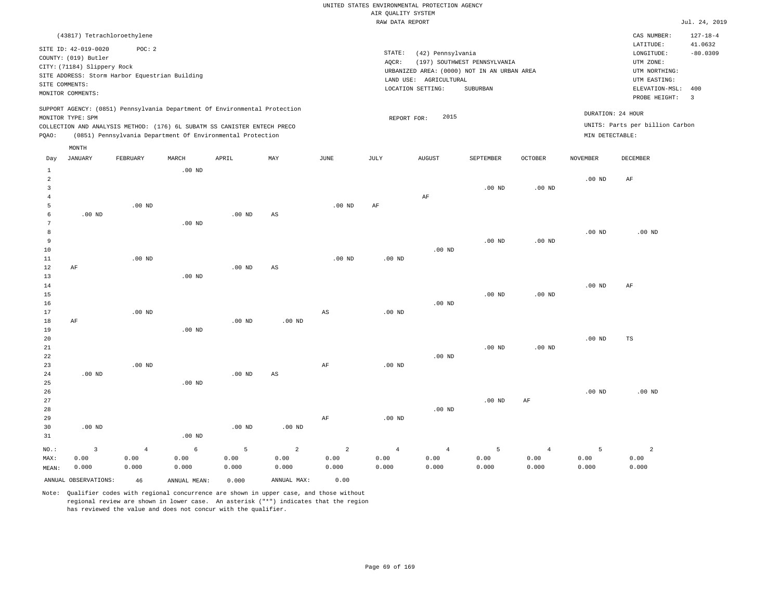|                         |                                                                                                                    |                                                                                                                                                                                                                      |          |          |     | RAW DATA REPORT |                                                                                                               |                                                                                                          |                                                          |                   | Jul. 24, 2019 |             |                |
|-------------------------|--------------------------------------------------------------------------------------------------------------------|----------------------------------------------------------------------------------------------------------------------------------------------------------------------------------------------------------------------|----------|----------|-----|-----------------|---------------------------------------------------------------------------------------------------------------|----------------------------------------------------------------------------------------------------------|----------------------------------------------------------|-------------------|---------------|-------------|----------------|
|                         |                                                                                                                    | (43817) Tetrachloroethylene                                                                                                                                                                                          |          |          |     |                 |                                                                                                               |                                                                                                          |                                                          |                   |               | CAS NUMBER: | $127 - 18 - 4$ |
|                         | SITE ID: 42-019-0020<br>COUNTY: (019) Butler<br>CITY: (71184) Slippery Rock<br>SITE COMMENTS:<br>MONITOR COMMENTS: | POC: 2<br>SITE ADDRESS: Storm Harbor Equestrian Building                                                                                                                                                             |          |          |     |                 | STATE:<br>AOCR:<br>URBANIZED AREA: (0000) NOT IN AN URBAN AREA<br>LAND USE: AGRICULTURAL<br>LOCATION SETTING: | LATITUDE:<br>LONGITUDE:<br>UTM ZONE:<br>UTM NORTHING:<br>UTM EASTING:<br>ELEVATION-MSL:<br>PROBE HEIGHT: | 41.0632<br>$-80.0309$<br>400<br>$\overline{\phantom{a}}$ |                   |               |             |                |
| PQAO:                   | MONITOR TYPE: SPM                                                                                                  | SUPPORT AGENCY: (0851) Pennsylvania Department Of Environmental Protection<br>COLLECTION AND ANALYSIS METHOD: (176) 6L SUBATM SS CANISTER ENTECH PRECO<br>(0851) Pennsylvania Department Of Environmental Protection |          |          |     |                 | DURATION: 24 HOUR<br>2015<br>REPORT FOR:<br>UNITS: Parts per billion Carbon<br>MIN DETECTABLE:                |                                                                                                          |                                                          |                   |               |             |                |
| Day                     | MONTH<br>JANUARY                                                                                                   | FEBRUARY                                                                                                                                                                                                             | MARCH    | APRIL    | MAY | JUNE            | JULY                                                                                                          | <b>AUGUST</b>                                                                                            | SEPTEMBER                                                | <b>OCTOBER</b>    | NOVEMBER      | DECEMBER    |                |
| 2<br>3<br>5             |                                                                                                                    | $.00$ ND                                                                                                                                                                                                             | $.00$ ND |          |     | $.00$ ND        | AF                                                                                                            | AF                                                                                                       | $.00$ ND                                                 | .00 <sub>ND</sub> | $.00$ ND      | AF          |                |
| 6<br>8<br>9<br>10<br>11 | $.00$ ND                                                                                                           | $.00$ ND                                                                                                                                                                                                             | $.00$ ND | $.00$ ND | AS  | $.00$ ND        | $.00$ ND                                                                                                      | $.00$ ND                                                                                                 | $.00$ ND                                                 | $.00$ ND          | $.00$ ND      | $.00$ ND    |                |
| 12                      | AF                                                                                                                 |                                                                                                                                                                                                                      |          | $.00$ ND | AS  |                 |                                                                                                               |                                                                                                          |                                                          |                   |               |             |                |

13 14 15 16 17 18 19 20 21 22 23 AF .00 ND .00 ND .00 ND .00 ND .00 ND .00 ND AS AF .00 ND .00 ND .00 ND .00 ND .00 ND .00 ND .00 ND .00 ND .00 ND .00 ND AF TS

24 25 26 27 28 29 30 31 .00 ND .00 ND NO.: MAX: 3 0.00 .00 ND .00 ND .00 ND .00 ND AS .00 ND AF .00 ND .00 ND .00 ND AF .00 ND .00 ND 4 0.00 0.000 6 0.00 5 0.00 2 0.00 2 0.00 4 0.00 0.000 4 0.00 0.000 5 0.00 0.000 4 0.00 0.000 5 0.00 0.000 2 0.00 0.000

0.000

Note: Qualifier codes with regional concurrence are shown in upper case, and those without regional review are shown in lower case. An asterisk ("\*") indicates that the region has reviewed the value and does not concur with the qualifier.

ANNUAL OBSERVATIONS: 46 ANNUAL MEAN: 0.000 ANNUAL MAX: 0.00

0.000

0.000

0.000

MEAN:

0.000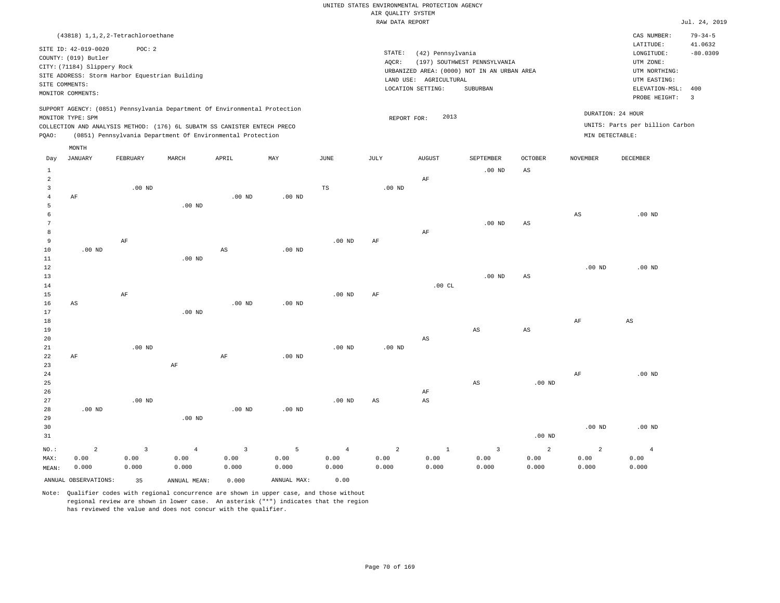|                 |                                                |                |                   |                                                                            |                   |                   | RAW DATA REPORT                                         |                        |                         |                   |                 |                                 | Jul. 24, 2019         |
|-----------------|------------------------------------------------|----------------|-------------------|----------------------------------------------------------------------------|-------------------|-------------------|---------------------------------------------------------|------------------------|-------------------------|-------------------|-----------------|---------------------------------|-----------------------|
|                 | $(43818)$ 1, 1, 2, 2-Tetrachloroethane         |                |                   |                                                                            |                   |                   |                                                         |                        |                         |                   |                 | CAS NUMBER:                     | $79 - 34 - 5$         |
|                 |                                                |                |                   |                                                                            |                   |                   |                                                         |                        |                         |                   |                 | LATITUDE:                       | 41.0632               |
|                 | SITE ID: 42-019-0020                           | POC: 2         |                   |                                                                            |                   |                   | $\texttt{STATE}$ :                                      | (42) Pennsylvania      |                         |                   |                 | LONGITUDE:                      | $-80.0309$            |
|                 | COUNTY: (019) Butler                           |                |                   |                                                                            |                   |                   | UTM ZONE:                                               |                        |                         |                   |                 |                                 |                       |
|                 | CITY: (71184) Slippery Rock                    |                |                   |                                                                            |                   |                   | UTM NORTHING:                                           |                        |                         |                   |                 |                                 |                       |
|                 | SITE ADDRESS: Storm Harbor Equestrian Building |                |                   |                                                                            |                   |                   | UTM EASTING:                                            |                        |                         |                   |                 |                                 |                       |
| SITE COMMENTS:  |                                                |                |                   |                                                                            |                   |                   | LAND USE: AGRICULTURAL<br>LOCATION SETTING:<br>SUBURBAN |                        |                         |                   |                 |                                 | ELEVATION-MSL:<br>400 |
|                 | MONITOR COMMENTS:                              |                |                   |                                                                            |                   |                   |                                                         |                        |                         |                   |                 | PROBE HEIGHT:                   | $\overline{3}$        |
|                 |                                                |                |                   | SUPPORT AGENCY: (0851) Pennsylvania Department Of Environmental Protection |                   |                   |                                                         |                        |                         |                   |                 |                                 |                       |
|                 | MONITOR TYPE: SPM                              |                |                   |                                                                            |                   |                   | REPORT FOR:                                             | 2013                   |                         |                   |                 | DURATION: 24 HOUR               |                       |
|                 |                                                |                |                   | COLLECTION AND ANALYSIS METHOD: (176) 6L SUBATM SS CANISTER ENTECH PRECO   |                   |                   |                                                         |                        |                         |                   |                 | UNITS: Parts per billion Carbon |                       |
| PQAO:           |                                                |                |                   | (0851) Pennsylvania Department Of Environmental Protection                 |                   |                   |                                                         |                        |                         |                   | MIN DETECTABLE: |                                 |                       |
|                 | $\texttt{MONTH}$                               |                |                   |                                                                            |                   |                   |                                                         |                        |                         |                   |                 |                                 |                       |
| Day             | <b>JANUARY</b>                                 | FEBRUARY       | MARCH             | APRIL                                                                      | MAY               | JUNE              | JULY                                                    | <b>AUGUST</b>          | SEPTEMBER               | <b>OCTOBER</b>    | <b>NOVEMBER</b> | DECEMBER                        |                       |
| $\mathbf{1}$    |                                                |                |                   |                                                                            |                   |                   |                                                         |                        | $.00$ ND                | $_{\rm AS}$       |                 |                                 |                       |
| $\overline{a}$  |                                                |                |                   |                                                                            |                   |                   |                                                         | $\rm AF$               |                         |                   |                 |                                 |                       |
| 3               |                                                | $.00$ ND       |                   |                                                                            |                   | TS                | $.00$ ND                                                |                        |                         |                   |                 |                                 |                       |
| $\overline{4}$  | AF                                             |                |                   | $.00$ ND                                                                   | $.00$ ND          |                   |                                                         |                        |                         |                   |                 |                                 |                       |
| 5               |                                                |                | $.00$ ND          |                                                                            |                   |                   |                                                         |                        |                         |                   |                 |                                 |                       |
| 6               |                                                |                |                   |                                                                            |                   |                   |                                                         |                        |                         |                   | $_{\rm AS}$     | $.00$ ND                        |                       |
| $7\phantom{.0}$ |                                                |                |                   |                                                                            |                   |                   |                                                         |                        | $.00$ ND                | $_{\rm AS}$       |                 |                                 |                       |
| 8               |                                                |                |                   |                                                                            |                   |                   |                                                         | AF                     |                         |                   |                 |                                 |                       |
| 9               |                                                | AF             |                   |                                                                            |                   | $.00$ ND          | AF                                                      |                        |                         |                   |                 |                                 |                       |
| 10              | $.00$ ND                                       |                |                   | AS                                                                         | .00 <sub>ND</sub> |                   |                                                         |                        |                         |                   |                 |                                 |                       |
| $1\,1$          |                                                |                | $.00$ ND          |                                                                            |                   |                   |                                                         |                        |                         |                   |                 |                                 |                       |
| $1\,2$          |                                                |                |                   |                                                                            |                   |                   |                                                         |                        |                         |                   | $.00$ ND        | $.00$ ND                        |                       |
| 13              |                                                |                |                   |                                                                            |                   |                   |                                                         |                        | $.00$ ND                | $_{\rm AS}$       |                 |                                 |                       |
| 14              |                                                |                |                   |                                                                            |                   |                   |                                                         | .00CL                  |                         |                   |                 |                                 |                       |
| 15              |                                                | $\rm{AF}$      |                   |                                                                            |                   | .00 <sub>ND</sub> | AF                                                      |                        |                         |                   |                 |                                 |                       |
| 16              | AS                                             |                |                   | $.00$ ND                                                                   | $.00$ ND          |                   |                                                         |                        |                         |                   |                 |                                 |                       |
| 17              |                                                |                | $.00$ ND          |                                                                            |                   |                   |                                                         |                        |                         |                   |                 |                                 |                       |
| 18              |                                                |                |                   |                                                                            |                   |                   |                                                         |                        |                         |                   | $\rm{AF}$       | $\mathbb{A}\mathbb{S}$          |                       |
| 19              |                                                |                |                   |                                                                            |                   |                   |                                                         |                        | AS                      | $_{\rm AS}$       |                 |                                 |                       |
| 20              |                                                |                |                   |                                                                            |                   |                   |                                                         | AS                     |                         |                   |                 |                                 |                       |
| 21              |                                                | $.00$ ND       |                   |                                                                            |                   | .00 <sub>ND</sub> | .00 <sub>ND</sub>                                       |                        |                         |                   |                 |                                 |                       |
| 22              | AF                                             |                |                   | $\rm AF$                                                                   | $.00$ ND          |                   |                                                         |                        |                         |                   |                 |                                 |                       |
| 23              |                                                |                | AF                |                                                                            |                   |                   |                                                         |                        |                         |                   |                 |                                 |                       |
| 24              |                                                |                |                   |                                                                            |                   |                   |                                                         |                        |                         |                   | AF              | $.00$ ND                        |                       |
| 25              |                                                |                |                   |                                                                            |                   |                   |                                                         |                        | $\mathbb{A}\mathbb{S}$  | .00 <sub>ND</sub> |                 |                                 |                       |
| 26              |                                                |                |                   |                                                                            |                   |                   |                                                         | AF                     |                         |                   |                 |                                 |                       |
| 27              |                                                | $.00$ ND       |                   |                                                                            |                   | $.00$ ND          | $\mathbb{A}\mathbb{S}$                                  | $\mathbb{A}\mathbb{S}$ |                         |                   |                 |                                 |                       |
| 28              | $.00$ ND                                       |                |                   | $.00$ ND                                                                   | $.00$ ND          |                   |                                                         |                        |                         |                   |                 |                                 |                       |
| 29              |                                                |                | .00 <sub>ND</sub> |                                                                            |                   |                   |                                                         |                        |                         |                   |                 |                                 |                       |
| 30              |                                                |                |                   |                                                                            |                   |                   |                                                         |                        |                         |                   | $.00$ ND        | $.00$ ND                        |                       |
| 31              |                                                |                |                   |                                                                            |                   |                   |                                                         |                        |                         | $.00$ ND          |                 |                                 |                       |
| NO.:            | $\overline{a}$                                 | $\overline{3}$ | $\overline{4}$    | $\overline{3}$                                                             | 5                 | $\overline{4}$    | $\overline{a}$                                          | $\mathbf{1}$           | $\overline{\mathbf{3}}$ | $\overline{a}$    | $\overline{a}$  | $\overline{4}$                  |                       |
| MAX:            | 0.00                                           | 0.00           | 0.00              | 0.00                                                                       | 0.00              | 0.00              | 0.00                                                    | 0.00                   | 0.00                    | 0.00              | 0.00            | 0.00                            |                       |
| MEAN:           | 0.000                                          | 0.000          | 0.000             | 0.000                                                                      | 0.000             | 0.000             | 0.000                                                   | 0.000                  | 0.000                   | 0.000             | 0.000           | 0.000                           |                       |
|                 | ANNUAL OBSERVATIONS:                           | 35             | ANNUAL MEAN:      | 0.000                                                                      | ANNUAL MAX:       | 0.00              |                                                         |                        |                         |                   |                 |                                 |                       |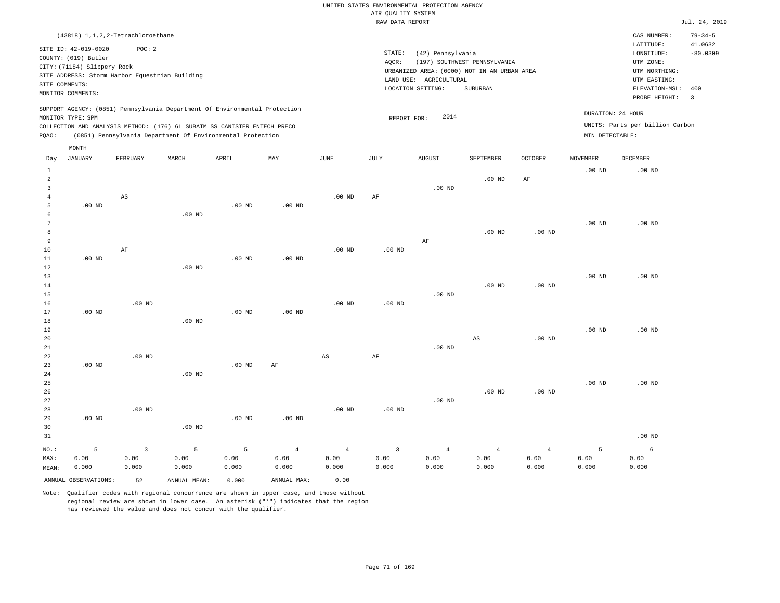|                                     | (43818) 1, 1, 2, 2-Tetrachloroethane                                                                                                                                 |                        |                                                                                                                                                        |                   |                   |                   |                                                                                                          |                                                         |                |                   |                   | CAS NUMBER:                     | $79 - 34 - 5$ |
|-------------------------------------|----------------------------------------------------------------------------------------------------------------------------------------------------------------------|------------------------|--------------------------------------------------------------------------------------------------------------------------------------------------------|-------------------|-------------------|-------------------|----------------------------------------------------------------------------------------------------------|---------------------------------------------------------|----------------|-------------------|-------------------|---------------------------------|---------------|
|                                     | SITE ID: 42-019-0020<br>COUNTY: (019) Butler<br>CITY: (71184) Slippery Rock<br>SITE ADDRESS: Storm Harbor Equestrian Building<br>SITE COMMENTS:<br>MONITOR COMMENTS: | POC: 2                 |                                                                                                                                                        |                   |                   |                   | LATITUDE:<br>LONGITUDE:<br>UTM ZONE:<br>UTM NORTHING:<br>UTM EASTING:<br>ELEVATION-MSL:<br>PROBE HEIGHT: | 41.0632<br>$-80.0309$<br>400<br>$\overline{\mathbf{3}}$ |                |                   |                   |                                 |               |
|                                     | MONITOR TYPE: SPM                                                                                                                                                    |                        | SUPPORT AGENCY: (0851) Pennsylvania Department Of Environmental Protection<br>COLLECTION AND ANALYSIS METHOD: (176) 6L SUBATM SS CANISTER ENTECH PRECO |                   |                   |                   | REPORT FOR:                                                                                              | 2014                                                    |                |                   | DURATION: 24 HOUR | UNITS: Parts per billion Carbon |               |
| PQAO:                               |                                                                                                                                                                      |                        | (0851) Pennsylvania Department Of Environmental Protection                                                                                             |                   |                   |                   |                                                                                                          |                                                         |                |                   | MIN DETECTABLE:   |                                 |               |
|                                     | MONTH                                                                                                                                                                |                        |                                                                                                                                                        |                   |                   |                   |                                                                                                          |                                                         |                |                   |                   |                                 |               |
| Day                                 | <b>JANUARY</b>                                                                                                                                                       | FEBRUARY               | MARCH                                                                                                                                                  | APRIL             | MAY               | JUNE              | JULY                                                                                                     | <b>AUGUST</b>                                           | SEPTEMBER      | OCTOBER           | <b>NOVEMBER</b>   | DECEMBER                        |               |
| $\mathbf{1}$<br>$\overline{2}$<br>3 |                                                                                                                                                                      |                        |                                                                                                                                                        |                   |                   |                   |                                                                                                          | $.00$ ND                                                | $.00$ ND       | AF                | $.00$ ND          | $.00$ ND                        |               |
| $\overline{4}$                      |                                                                                                                                                                      | $\mathbb{A}\mathbb{S}$ |                                                                                                                                                        |                   |                   | $.00$ ND          | AF                                                                                                       |                                                         |                |                   |                   |                                 |               |
| $\overline{5}$<br>6<br>7            | $.00$ ND                                                                                                                                                             |                        | $.00$ ND                                                                                                                                               | $.00$ ND          | .00 <sub>ND</sub> |                   |                                                                                                          |                                                         |                |                   | $.00$ ND          | $.00$ ND                        |               |
| 8                                   |                                                                                                                                                                      |                        |                                                                                                                                                        |                   |                   |                   |                                                                                                          |                                                         | $.00$ ND       | .00 <sub>ND</sub> |                   |                                 |               |
| 9                                   |                                                                                                                                                                      |                        |                                                                                                                                                        |                   |                   |                   |                                                                                                          | AF                                                      |                |                   |                   |                                 |               |
| $10$                                |                                                                                                                                                                      | $\rm AF$               |                                                                                                                                                        |                   |                   | .00 <sub>ND</sub> | $.00$ ND                                                                                                 |                                                         |                |                   |                   |                                 |               |
| $1\,1$                              | $.00$ ND                                                                                                                                                             |                        |                                                                                                                                                        | $.00$ ND          | .00 <sub>ND</sub> |                   |                                                                                                          |                                                         |                |                   |                   |                                 |               |
| 12<br>13                            |                                                                                                                                                                      |                        | $.00$ ND                                                                                                                                               |                   |                   |                   |                                                                                                          |                                                         |                |                   | $.00$ ND          | $.00$ ND                        |               |
| 14                                  |                                                                                                                                                                      |                        |                                                                                                                                                        |                   |                   |                   |                                                                                                          |                                                         | $.00$ ND       | .00 <sub>ND</sub> |                   |                                 |               |
| 15                                  |                                                                                                                                                                      |                        |                                                                                                                                                        |                   |                   |                   |                                                                                                          | .00 <sub>ND</sub>                                       |                |                   |                   |                                 |               |
| 16                                  |                                                                                                                                                                      | $.00$ ND               |                                                                                                                                                        |                   |                   | .00 <sub>ND</sub> | $.00$ ND                                                                                                 |                                                         |                |                   |                   |                                 |               |
| 17                                  | $.00$ ND                                                                                                                                                             |                        |                                                                                                                                                        | $.00$ ND          | $.00$ ND          |                   |                                                                                                          |                                                         |                |                   |                   |                                 |               |
| $1\,8$                              |                                                                                                                                                                      |                        | $.00$ ND                                                                                                                                               |                   |                   |                   |                                                                                                          |                                                         |                |                   |                   |                                 |               |
| 19<br>20                            |                                                                                                                                                                      |                        |                                                                                                                                                        |                   |                   |                   |                                                                                                          |                                                         | $_{\rm AS}$    | .00 <sub>ND</sub> | $.00$ ND          | $.00$ ND                        |               |
| 21                                  |                                                                                                                                                                      |                        |                                                                                                                                                        |                   |                   |                   |                                                                                                          | $.00$ ND                                                |                |                   |                   |                                 |               |
| 22                                  |                                                                                                                                                                      | $.00$ ND               |                                                                                                                                                        |                   |                   | $_{\rm AS}$       | AF                                                                                                       |                                                         |                |                   |                   |                                 |               |
| 23                                  | $.00$ ND                                                                                                                                                             |                        |                                                                                                                                                        | .00 <sub>ND</sub> | AF                |                   |                                                                                                          |                                                         |                |                   |                   |                                 |               |
| 24                                  |                                                                                                                                                                      |                        | $.00$ ND                                                                                                                                               |                   |                   |                   |                                                                                                          |                                                         |                |                   |                   |                                 |               |
| 25<br>26                            |                                                                                                                                                                      |                        |                                                                                                                                                        |                   |                   |                   |                                                                                                          |                                                         | $.00$ ND       | .00 <sub>ND</sub> | .00 <sub>ND</sub> | $.00$ ND                        |               |
| 27                                  |                                                                                                                                                                      |                        |                                                                                                                                                        |                   |                   |                   |                                                                                                          | $.00$ ND                                                |                |                   |                   |                                 |               |
| 28                                  |                                                                                                                                                                      | $.00$ ND               |                                                                                                                                                        |                   |                   | $.00$ ND          | $.00$ ND                                                                                                 |                                                         |                |                   |                   |                                 |               |
| 29                                  | $.00$ ND                                                                                                                                                             |                        |                                                                                                                                                        | $.00$ ND          | $.00$ ND          |                   |                                                                                                          |                                                         |                |                   |                   |                                 |               |
| 30                                  |                                                                                                                                                                      |                        | $.00$ ND                                                                                                                                               |                   |                   |                   |                                                                                                          |                                                         |                |                   |                   |                                 |               |
| 31                                  |                                                                                                                                                                      |                        |                                                                                                                                                        |                   |                   |                   |                                                                                                          |                                                         |                |                   |                   | $.00$ ND                        |               |
| NO.:                                | 5                                                                                                                                                                    | $\overline{3}$         | 5                                                                                                                                                      | 5                 | $\overline{4}$    | $\overline{4}$    | $\overline{3}$                                                                                           | $\overline{4}$                                          | $\overline{4}$ | $\overline{4}$    | 5                 | 6                               |               |
| MAX:                                | 0.00                                                                                                                                                                 | 0.00                   | 0.00                                                                                                                                                   | 0.00              | 0.00              | 0.00              | 0.00                                                                                                     | 0.00                                                    | 0.00           | 0.00              | 0.00              | 0.00                            |               |
| MEAN:                               | 0.000                                                                                                                                                                | 0.000                  | 0.000                                                                                                                                                  | 0.000             | 0.000             | 0.000             | 0.000                                                                                                    | 0.000                                                   | 0.000          | 0.000             | 0.000             | 0.000                           |               |
|                                     | ANNUAL OBSERVATIONS:                                                                                                                                                 | 52                     | ANNUAL MEAN:                                                                                                                                           | 0.000             | ANNUAL MAX:       | 0.00              |                                                                                                          |                                                         |                |                   |                   |                                 |               |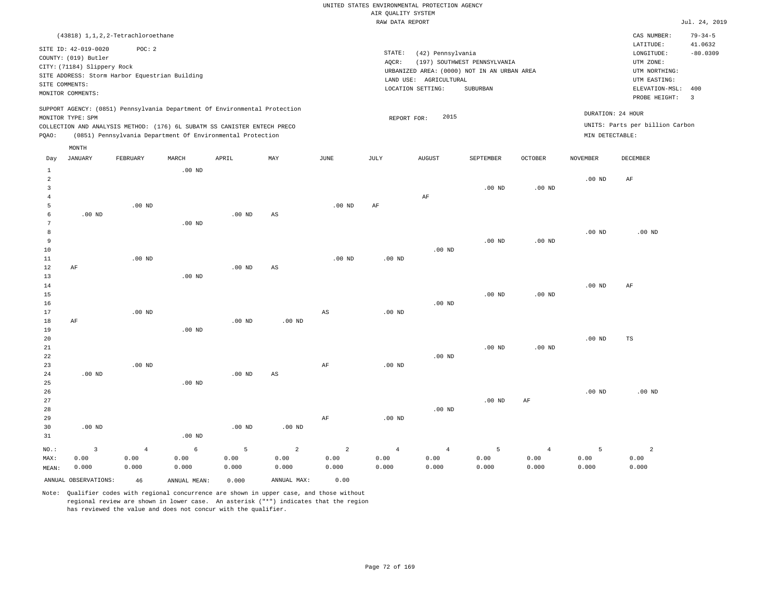|                 | (43818) 1, 1, 2, 2-Tetrachloroethane                                                                                          |                   |              |                                                                            |                        |                        |                   |                                             |                                                                             |                    |                   | CAS NUMBER:                                           | $79 - 34 - 5$           |
|-----------------|-------------------------------------------------------------------------------------------------------------------------------|-------------------|--------------|----------------------------------------------------------------------------|------------------------|------------------------|-------------------|---------------------------------------------|-----------------------------------------------------------------------------|--------------------|-------------------|-------------------------------------------------------|-------------------------|
|                 | SITE ID: 42-019-0020<br>COUNTY: (019) Butler<br>CITY: (71184) Slippery Rock<br>SITE ADDRESS: Storm Harbor Equestrian Building | POC: 2            |              |                                                                            |                        |                        | STATE:<br>AQCR:   | (42) Pennsylvania                           | (197) SOUTHWEST PENNSYLVANIA<br>URBANIZED AREA: (0000) NOT IN AN URBAN AREA |                    |                   | LATITUDE:<br>LONGITUDE:<br>UTM ZONE:<br>UTM NORTHING: | 41.0632<br>$-80.0309$   |
|                 | SITE COMMENTS:                                                                                                                |                   |              |                                                                            |                        |                        |                   | LAND USE: AGRICULTURAL<br>LOCATION SETTING: | SUBURBAN                                                                    |                    |                   | UTM EASTING:<br>ELEVATION-MSL: 400                    |                         |
|                 | MONITOR COMMENTS:                                                                                                             |                   |              |                                                                            |                        |                        |                   |                                             |                                                                             |                    |                   | PROBE HEIGHT:                                         | $\overline{\mathbf{3}}$ |
|                 | MONITOR TYPE: SPM                                                                                                             |                   |              | SUPPORT AGENCY: (0851) Pennsylvania Department Of Environmental Protection |                        |                        | REPORT FOR:       | 2015                                        |                                                                             |                    | DURATION: 24 HOUR |                                                       |                         |
|                 |                                                                                                                               |                   |              | COLLECTION AND ANALYSIS METHOD: (176) 6L SUBATM SS CANISTER ENTECH PRECO   |                        |                        |                   |                                             |                                                                             |                    |                   | UNITS: Parts per billion Carbon                       |                         |
| PQAO:           |                                                                                                                               |                   |              | (0851) Pennsylvania Department Of Environmental Protection                 |                        |                        |                   |                                             |                                                                             |                    | MIN DETECTABLE:   |                                                       |                         |
|                 | MONTH                                                                                                                         |                   |              |                                                                            |                        |                        |                   |                                             |                                                                             |                    |                   |                                                       |                         |
| Day             | JANUARY                                                                                                                       | FEBRUARY          | MARCH        | APRIL                                                                      | MAY                    | JUNE                   | JULY              | <b>AUGUST</b>                               | SEPTEMBER                                                                   | $\mathtt{OCTOBER}$ | NOVEMBER          | DECEMBER                                              |                         |
| $\mathbf{1}$    |                                                                                                                               |                   | $.00$ ND     |                                                                            |                        |                        |                   |                                             |                                                                             |                    |                   |                                                       |                         |
| $\overline{a}$  |                                                                                                                               |                   |              |                                                                            |                        |                        |                   |                                             |                                                                             |                    | $.00$ ND          | $\rm{AF}$                                             |                         |
| $\overline{3}$  |                                                                                                                               |                   |              |                                                                            |                        |                        |                   |                                             | $.00$ ND                                                                    | .00 <sub>ND</sub>  |                   |                                                       |                         |
| $\overline{4}$  |                                                                                                                               |                   |              |                                                                            |                        |                        |                   | $\rm{AF}$                                   |                                                                             |                    |                   |                                                       |                         |
| 5               |                                                                                                                               | $.00$ ND          |              |                                                                            |                        | $.00$ ND               | $\rm{AF}$         |                                             |                                                                             |                    |                   |                                                       |                         |
| 6               | $.00$ ND                                                                                                                      |                   |              | $.00$ ND                                                                   | $\mathbb{A}\mathbb{S}$ |                        |                   |                                             |                                                                             |                    |                   |                                                       |                         |
| $7\phantom{.0}$ |                                                                                                                               |                   | $.00$ ND     |                                                                            |                        |                        |                   |                                             |                                                                             |                    |                   |                                                       |                         |
| 8               |                                                                                                                               |                   |              |                                                                            |                        |                        |                   |                                             |                                                                             |                    | .00 <sub>ND</sub> | $.00$ ND                                              |                         |
| 9               |                                                                                                                               |                   |              |                                                                            |                        |                        |                   |                                             | $.00$ ND                                                                    | $.00$ ND           |                   |                                                       |                         |
| 10<br>$1\,1$    |                                                                                                                               |                   |              |                                                                            |                        |                        |                   | $.00$ ND                                    |                                                                             |                    |                   |                                                       |                         |
| 12              |                                                                                                                               | $.00$ ND          |              | .00 <sub>ND</sub>                                                          | $\mathbb{A}\mathbb{S}$ | .00 <sub>ND</sub>      | .00 <sub>ND</sub> |                                             |                                                                             |                    |                   |                                                       |                         |
| 13              | AF                                                                                                                            |                   | $.00$ ND     |                                                                            |                        |                        |                   |                                             |                                                                             |                    |                   |                                                       |                         |
| $1\,4$          |                                                                                                                               |                   |              |                                                                            |                        |                        |                   |                                             |                                                                             |                    | .00 <sub>ND</sub> | $\rm{AF}$                                             |                         |
| 15              |                                                                                                                               |                   |              |                                                                            |                        |                        |                   |                                             | $.00$ ND                                                                    | .00 <sub>ND</sub>  |                   |                                                       |                         |
| 16              |                                                                                                                               |                   |              |                                                                            |                        |                        |                   | $.00$ ND                                    |                                                                             |                    |                   |                                                       |                         |
| 17              |                                                                                                                               | $.00$ ND          |              |                                                                            |                        | $\mathbb{A}\mathbb{S}$ | $.00$ ND          |                                             |                                                                             |                    |                   |                                                       |                         |
| 18              | AF                                                                                                                            |                   |              | $.00$ ND                                                                   | $.00$ ND               |                        |                   |                                             |                                                                             |                    |                   |                                                       |                         |
| 19              |                                                                                                                               |                   | $.00$ ND     |                                                                            |                        |                        |                   |                                             |                                                                             |                    |                   |                                                       |                         |
| 20              |                                                                                                                               |                   |              |                                                                            |                        |                        |                   |                                             |                                                                             |                    | $.00$ ND          | TS                                                    |                         |
| 21              |                                                                                                                               |                   |              |                                                                            |                        |                        |                   |                                             | $.00$ ND                                                                    | .00 <sub>ND</sub>  |                   |                                                       |                         |
| 22              |                                                                                                                               |                   |              |                                                                            |                        |                        |                   | $.00$ ND                                    |                                                                             |                    |                   |                                                       |                         |
| 23              |                                                                                                                               | .00 <sub>ND</sub> |              |                                                                            |                        | AF                     | $.00$ ND          |                                             |                                                                             |                    |                   |                                                       |                         |
| 24              | $.00$ ND                                                                                                                      |                   |              | .00 <sub>ND</sub>                                                          | AS                     |                        |                   |                                             |                                                                             |                    |                   |                                                       |                         |
| 25              |                                                                                                                               |                   | $.00$ ND     |                                                                            |                        |                        |                   |                                             |                                                                             |                    |                   |                                                       |                         |
| 26              |                                                                                                                               |                   |              |                                                                            |                        |                        |                   |                                             |                                                                             |                    | .00 <sub>ND</sub> | $.00$ ND                                              |                         |
| 27              |                                                                                                                               |                   |              |                                                                            |                        |                        |                   |                                             | $.00$ ND                                                                    | AF                 |                   |                                                       |                         |
| 28<br>29        |                                                                                                                               |                   |              |                                                                            |                        |                        |                   | $.00$ ND                                    |                                                                             |                    |                   |                                                       |                         |
| 30              | $.00$ ND                                                                                                                      |                   |              | $.00$ ND                                                                   | $.00$ ND               | AF                     | .00 <sub>ND</sub> |                                             |                                                                             |                    |                   |                                                       |                         |
| 31              |                                                                                                                               |                   | $.00$ ND     |                                                                            |                        |                        |                   |                                             |                                                                             |                    |                   |                                                       |                         |
|                 |                                                                                                                               |                   |              |                                                                            |                        |                        |                   |                                             |                                                                             |                    |                   |                                                       |                         |
| NO.:            | $\overline{3}$                                                                                                                | $\overline{4}$    | 6            | 5                                                                          | $\sqrt{2}$             | $\overline{a}$         | $\overline{4}$    | $\overline{4}$                              | 5                                                                           | $\overline{4}$     | 5                 | $\overline{a}$                                        |                         |
| MAX:            | 0.00                                                                                                                          | 0.00              | 0.00         | 0.00                                                                       | 0.00                   | 0.00                   | 0.00              | 0.00                                        | 0.00                                                                        | 0.00               | 0.00              | 0.00                                                  |                         |
| MEAN:           | 0.000                                                                                                                         | 0.000             | 0.000        | 0.000                                                                      | 0.000                  | 0.000                  | 0.000             | 0.000                                       | 0.000                                                                       | 0.000              | 0.000             | 0.000                                                 |                         |
|                 | ANNUAL OBSERVATIONS:                                                                                                          | 46                | ANNUAL MEAN: | 0.000                                                                      | ANNUAL MAX:            | 0.00                   |                   |                                             |                                                                             |                    |                   |                                                       |                         |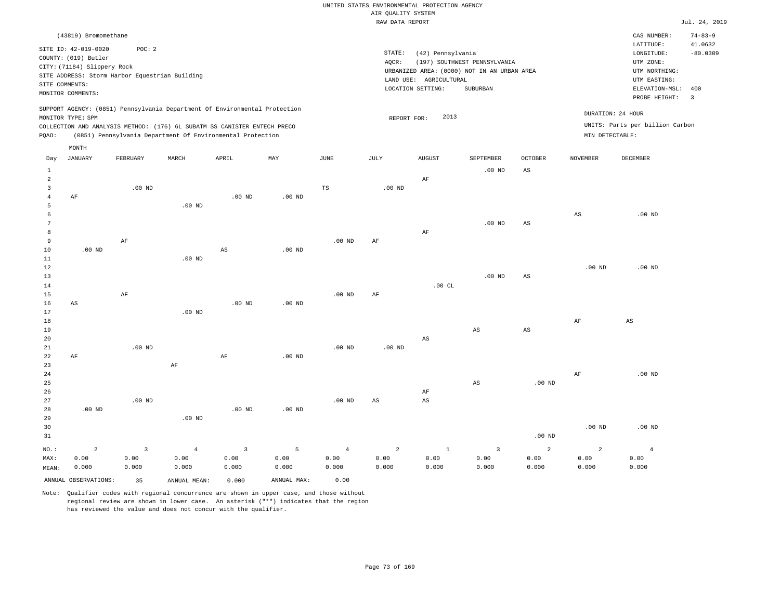|                |                                                                                                  |                                                          |                                                                                                                                        |                   |                   |                   | RAW DATA REPORT   |                                                                  |                                                                                         |                        |                   |                                                                                                              | Jul. 24, 2019                           |
|----------------|--------------------------------------------------------------------------------------------------|----------------------------------------------------------|----------------------------------------------------------------------------------------------------------------------------------------|-------------------|-------------------|-------------------|-------------------|------------------------------------------------------------------|-----------------------------------------------------------------------------------------|------------------------|-------------------|--------------------------------------------------------------------------------------------------------------|-----------------------------------------|
|                | (43819) Bromomethane                                                                             |                                                          |                                                                                                                                        |                   |                   |                   |                   |                                                                  |                                                                                         |                        |                   | CAS NUMBER:                                                                                                  | $74 - 83 - 9$                           |
| SITE COMMENTS: | SITE ID: 42-019-0020<br>COUNTY: (019) Butler<br>CITY: (71184) Slippery Rock<br>MONITOR COMMENTS: | POC: 2<br>SITE ADDRESS: Storm Harbor Equestrian Building |                                                                                                                                        |                   |                   |                   | STATE:<br>AQCR:   | (42) Pennsylvania<br>LAND USE: AGRICULTURAL<br>LOCATION SETTING: | (197) SOUTHWEST PENNSYLVANIA<br>URBANIZED AREA: (0000) NOT IN AN URBAN AREA<br>SUBURBAN |                        |                   | LATITUDE:<br>LONGITUDE:<br>UTM ZONE:<br>UTM NORTHING:<br>UTM EASTING:<br>ELEVATION-MSL: 400<br>PROBE HEIGHT: | 41.0632<br>$-80.0309$<br>$\overline{3}$ |
|                |                                                                                                  |                                                          | SUPPORT AGENCY: (0851) Pennsylvania Department Of Environmental Protection                                                             |                   |                   |                   |                   |                                                                  |                                                                                         |                        |                   | DURATION: 24 HOUR                                                                                            |                                         |
|                | MONITOR TYPE: SPM                                                                                |                                                          |                                                                                                                                        |                   |                   |                   | REPORT FOR:       | 2013                                                             |                                                                                         |                        |                   | UNITS: Parts per billion Carbon                                                                              |                                         |
| PQAO:          |                                                                                                  |                                                          | COLLECTION AND ANALYSIS METHOD: (176) 6L SUBATM SS CANISTER ENTECH PRECO<br>(0851) Pennsylvania Department Of Environmental Protection |                   |                   |                   |                   |                                                                  |                                                                                         |                        | MIN DETECTABLE:   |                                                                                                              |                                         |
|                |                                                                                                  |                                                          |                                                                                                                                        |                   |                   |                   |                   |                                                                  |                                                                                         |                        |                   |                                                                                                              |                                         |
| Day            | MONTH<br><b>JANUARY</b>                                                                          | FEBRUARY                                                 | MARCH                                                                                                                                  | APRIL             | MAY               | $\mathtt{JUNE}$   | JULY              | ${\tt AUGUST}$                                                   | SEPTEMBER                                                                               | <b>OCTOBER</b>         | <b>NOVEMBER</b>   | DECEMBER                                                                                                     |                                         |
| $\mathbf{1}$   |                                                                                                  |                                                          |                                                                                                                                        |                   |                   |                   |                   |                                                                  | $.00$ ND                                                                                | $\mathbb{A}\mathbb{S}$ |                   |                                                                                                              |                                         |
| $\overline{a}$ |                                                                                                  |                                                          |                                                                                                                                        |                   |                   |                   |                   | AF                                                               |                                                                                         |                        |                   |                                                                                                              |                                         |
| $\overline{3}$ |                                                                                                  | $.00$ ND                                                 |                                                                                                                                        |                   |                   | $\mathbb{TS}$     | .00 <sub>ND</sub> |                                                                  |                                                                                         |                        |                   |                                                                                                              |                                         |
| $\overline{4}$ | AF                                                                                               |                                                          |                                                                                                                                        | $.00$ ND          | $.00$ ND          |                   |                   |                                                                  |                                                                                         |                        |                   |                                                                                                              |                                         |
| 5              |                                                                                                  |                                                          | $.00$ ND                                                                                                                               |                   |                   |                   |                   |                                                                  |                                                                                         |                        |                   |                                                                                                              |                                         |
| 6              |                                                                                                  |                                                          |                                                                                                                                        |                   |                   |                   |                   |                                                                  |                                                                                         |                        | $_{\rm AS}$       | $.00$ ND                                                                                                     |                                         |
| 7<br>8         |                                                                                                  |                                                          |                                                                                                                                        |                   |                   |                   |                   | AF                                                               | $.00$ ND                                                                                | $_{\rm AS}$            |                   |                                                                                                              |                                         |
| $\overline{9}$ |                                                                                                  | $\rm AF$                                                 |                                                                                                                                        |                   |                   | .00 <sub>ND</sub> | AF                |                                                                  |                                                                                         |                        |                   |                                                                                                              |                                         |
| 10             | $.00$ ND                                                                                         |                                                          |                                                                                                                                        | $_{\rm AS}$       | $.00$ ND          |                   |                   |                                                                  |                                                                                         |                        |                   |                                                                                                              |                                         |
| $11\,$         |                                                                                                  |                                                          | $.00$ ND                                                                                                                               |                   |                   |                   |                   |                                                                  |                                                                                         |                        |                   |                                                                                                              |                                         |
| 12             |                                                                                                  |                                                          |                                                                                                                                        |                   |                   |                   |                   |                                                                  |                                                                                         |                        | .00 <sub>ND</sub> | .00 <sub>ND</sub>                                                                                            |                                         |
| 13             |                                                                                                  |                                                          |                                                                                                                                        |                   |                   |                   |                   |                                                                  | $.00$ ND                                                                                | $_{\rm AS}$            |                   |                                                                                                              |                                         |
| 14             |                                                                                                  |                                                          |                                                                                                                                        |                   |                   |                   |                   | .00CL                                                            |                                                                                         |                        |                   |                                                                                                              |                                         |
| 15             |                                                                                                  | AF                                                       |                                                                                                                                        |                   |                   | .00 <sub>ND</sub> | AF                |                                                                  |                                                                                         |                        |                   |                                                                                                              |                                         |
| 16             | AS                                                                                               |                                                          |                                                                                                                                        | $.00$ ND          | $.00$ ND          |                   |                   |                                                                  |                                                                                         |                        |                   |                                                                                                              |                                         |
| 17             |                                                                                                  |                                                          | .00 <sub>ND</sub>                                                                                                                      |                   |                   |                   |                   |                                                                  |                                                                                         |                        |                   |                                                                                                              |                                         |
| 18<br>19       |                                                                                                  |                                                          |                                                                                                                                        |                   |                   |                   |                   |                                                                  | AS                                                                                      | AS                     | AF                | $_{\rm AS}$                                                                                                  |                                         |
| 20             |                                                                                                  |                                                          |                                                                                                                                        |                   |                   |                   |                   | $\mathbb{A}\mathbb{S}$                                           |                                                                                         |                        |                   |                                                                                                              |                                         |
| 21             |                                                                                                  | $.00$ ND                                                 |                                                                                                                                        |                   |                   | $.00$ ND          | $.00$ ND          |                                                                  |                                                                                         |                        |                   |                                                                                                              |                                         |
| 22             | AF                                                                                               |                                                          |                                                                                                                                        | AF                | .00 <sub>ND</sub> |                   |                   |                                                                  |                                                                                         |                        |                   |                                                                                                              |                                         |
| 23             |                                                                                                  |                                                          | $\rm{AF}$                                                                                                                              |                   |                   |                   |                   |                                                                  |                                                                                         |                        |                   |                                                                                                              |                                         |
| 24             |                                                                                                  |                                                          |                                                                                                                                        |                   |                   |                   |                   |                                                                  |                                                                                         |                        | AF                | $.00$ ND                                                                                                     |                                         |
| 25             |                                                                                                  |                                                          |                                                                                                                                        |                   |                   |                   |                   |                                                                  | $_{\rm AS}$                                                                             | $.00$ ND               |                   |                                                                                                              |                                         |
| 26             |                                                                                                  |                                                          |                                                                                                                                        |                   |                   |                   |                   | AF                                                               |                                                                                         |                        |                   |                                                                                                              |                                         |
| 27             |                                                                                                  | $.00$ ND                                                 |                                                                                                                                        |                   |                   | $.00$ ND          | AS                | AS                                                               |                                                                                         |                        |                   |                                                                                                              |                                         |
| 28<br>29       | .00 <sub>ND</sub>                                                                                |                                                          | $.00$ ND                                                                                                                               | .00 <sub>ND</sub> | .00 <sub>ND</sub> |                   |                   |                                                                  |                                                                                         |                        |                   |                                                                                                              |                                         |
| 30             |                                                                                                  |                                                          |                                                                                                                                        |                   |                   |                   |                   |                                                                  |                                                                                         |                        | .00 <sub>ND</sub> | $.00$ ND                                                                                                     |                                         |
| 31             |                                                                                                  |                                                          |                                                                                                                                        |                   |                   |                   |                   |                                                                  |                                                                                         | .00 <sub>ND</sub>      |                   |                                                                                                              |                                         |
|                |                                                                                                  |                                                          |                                                                                                                                        |                   |                   |                   |                   |                                                                  |                                                                                         |                        |                   |                                                                                                              |                                         |
| NO.:           | $\overline{a}$                                                                                   | $\overline{3}$                                           | $\overline{4}$                                                                                                                         | $\overline{3}$    | 5                 | $\overline{4}$    | $\overline{a}$    | $1\,$                                                            | $\overline{3}$                                                                          | 2                      | $\overline{a}$    | $\overline{4}$                                                                                               |                                         |
| MAX:           | 0.00<br>0.000                                                                                    | 0.00<br>0.000                                            | 0.00<br>0.000                                                                                                                          | 0.00<br>0.000     | 0.00<br>0.000     | 0.00<br>0.000     | 0.00<br>0.000     | 0.00<br>0.000                                                    | 0.00<br>0.000                                                                           | 0.00<br>0.000          | 0.00<br>0.000     | 0.00<br>0.000                                                                                                |                                         |
| MEAN:          |                                                                                                  |                                                          |                                                                                                                                        |                   |                   |                   |                   |                                                                  |                                                                                         |                        |                   |                                                                                                              |                                         |
|                | ANNUAL OBSERVATIONS:                                                                             | 35                                                       | ANNUAL MEAN:                                                                                                                           | 0.000             | ANNUAL MAX:       | 0.00              |                   |                                                                  |                                                                                         |                        |                   |                                                                                                              |                                         |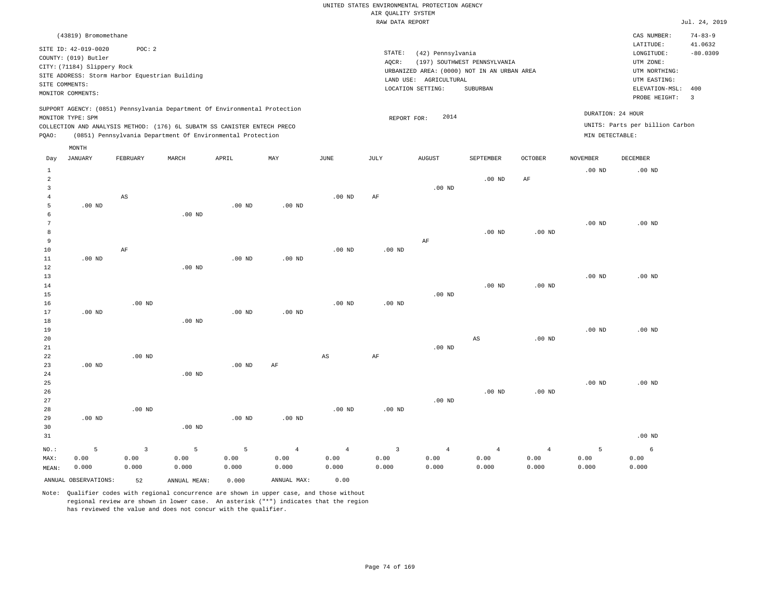|       |                             |          |                                                                                                                                                                                                                      |          |          |          | RAW DATA REPORT   |                        |                                             |                |                   |                                                      | Jul. 24, 2019            |
|-------|-----------------------------|----------|----------------------------------------------------------------------------------------------------------------------------------------------------------------------------------------------------------------------|----------|----------|----------|-------------------|------------------------|---------------------------------------------|----------------|-------------------|------------------------------------------------------|--------------------------|
|       | (43819) Bromomethane        |          |                                                                                                                                                                                                                      |          |          |          |                   |                        |                                             |                |                   | CAS NUMBER:                                          | $74 - 83 - 9$            |
|       | SITE ID: 42-019-0020        | POC: 2   |                                                                                                                                                                                                                      |          |          |          |                   |                        |                                             |                |                   | LATITUDE:                                            | 41.0632                  |
|       | COUNTY: (019) Butler        |          |                                                                                                                                                                                                                      |          |          |          | STATE:            | (42) Pennsylvania      |                                             |                |                   | LONGITUDE:                                           | $-80.0309$               |
|       |                             |          |                                                                                                                                                                                                                      |          |          |          | AQCR:             |                        | (197) SOUTHWEST PENNSYLVANIA                |                |                   | UTM ZONE:                                            |                          |
|       | CITY: (71184) Slippery Rock |          |                                                                                                                                                                                                                      |          |          |          |                   |                        | URBANIZED AREA: (0000) NOT IN AN URBAN AREA |                |                   | UTM NORTHING:                                        |                          |
|       |                             |          | SITE ADDRESS: Storm Harbor Equestrian Building                                                                                                                                                                       |          |          |          |                   | LAND USE: AGRICULTURAL |                                             |                |                   | UTM EASTING:                                         |                          |
|       | SITE COMMENTS:              |          |                                                                                                                                                                                                                      |          |          |          |                   | LOCATION SETTING:      | SUBURBAN                                    |                |                   | ELEVATION-MSL: 400                                   |                          |
|       | MONITOR COMMENTS:           |          |                                                                                                                                                                                                                      |          |          |          |                   |                        |                                             |                |                   | PROBE HEIGHT:                                        | $\overline{\phantom{a}}$ |
| PQAO: | MONITOR TYPE: SPM           |          | SUPPORT AGENCY: (0851) Pennsylvania Department Of Environmental Protection<br>COLLECTION AND ANALYSIS METHOD: (176) 6L SUBATM SS CANISTER ENTECH PRECO<br>(0851) Pennsylvania Department Of Environmental Protection |          |          |          |                   | 2014<br>REPORT FOR:    |                                             |                | MIN DETECTABLE:   | DURATION: 24 HOUR<br>UNITS: Parts per billion Carbon |                          |
|       | MONTH                       |          |                                                                                                                                                                                                                      |          |          |          |                   |                        |                                             |                |                   |                                                      |                          |
| Day   | JANUARY                     | FEBRUARY | MARCH                                                                                                                                                                                                                | APRIL    | MAY      | JUNE     | JULY              | <b>AUGUST</b>          | SEPTEMBER                                   | <b>OCTOBER</b> | NOVEMBER          | <b>DECEMBER</b>                                      |                          |
|       |                             |          |                                                                                                                                                                                                                      |          |          |          |                   |                        |                                             |                | $.00$ ND          | $.00$ ND                                             |                          |
| 2     |                             |          |                                                                                                                                                                                                                      |          |          |          |                   |                        | $.00$ ND                                    | AF             |                   |                                                      |                          |
| 3     |                             |          |                                                                                                                                                                                                                      |          |          |          |                   | $.00$ ND               |                                             |                |                   |                                                      |                          |
|       |                             | AS       |                                                                                                                                                                                                                      |          |          | $.00$ ND | AF                |                        |                                             |                |                   |                                                      |                          |
| 5     | $.00$ ND                    |          |                                                                                                                                                                                                                      | $.00$ ND | $.00$ ND |          |                   |                        |                                             |                |                   |                                                      |                          |
| 6     |                             |          | $.00$ ND                                                                                                                                                                                                             |          |          |          |                   |                        |                                             |                |                   |                                                      |                          |
|       |                             |          |                                                                                                                                                                                                                      |          |          |          |                   |                        |                                             |                | $.00$ ND          | $.00$ ND                                             |                          |
| 8     |                             |          |                                                                                                                                                                                                                      |          |          |          |                   |                        | $.00$ ND                                    | $.00$ ND       |                   |                                                      |                          |
| 9     |                             |          |                                                                                                                                                                                                                      |          |          |          |                   | AF                     |                                             |                |                   |                                                      |                          |
| 10    |                             | AF       |                                                                                                                                                                                                                      |          |          | $.00$ ND | .00 <sub>ND</sub> |                        |                                             |                |                   |                                                      |                          |
| 11    | $.00$ ND                    |          |                                                                                                                                                                                                                      | $.00$ ND | $.00$ ND |          |                   |                        |                                             |                |                   |                                                      |                          |
| 12    |                             |          | $.00$ ND                                                                                                                                                                                                             |          |          |          |                   |                        |                                             |                |                   |                                                      |                          |
| 13    |                             |          |                                                                                                                                                                                                                      |          |          |          |                   |                        |                                             |                | .00 <sub>ND</sub> | $.00$ ND                                             |                          |

| 14              |          |          |          |          |          |          |          |          | $.00$ ND | $.00$ ND |          |          |
|-----------------|----------|----------|----------|----------|----------|----------|----------|----------|----------|----------|----------|----------|
| 15              |          |          |          |          |          |          |          | $.00$ ND |          |          |          |          |
| 16              |          | $.00$ ND |          |          |          | $.00$ ND | $.00$ ND |          |          |          |          |          |
| 17              | $.00$ ND |          |          | $.00$ ND | $.00$ ND |          |          |          |          |          |          |          |
| 18              |          |          | $.00$ ND |          |          |          |          |          |          |          |          |          |
| 19              |          |          |          |          |          |          |          |          |          |          | $.00$ ND | $.00$ ND |
| 20 <sub>o</sub> |          |          |          |          |          |          |          |          | AS       | $.00$ ND |          |          |
| 21              |          |          |          |          |          |          |          | $.00$ ND |          |          |          |          |

| 22      |          | $.00$ ND       |          |          |                | AS             | AF             |                |                |          |          |          |
|---------|----------|----------------|----------|----------|----------------|----------------|----------------|----------------|----------------|----------|----------|----------|
| 23      | $.00$ ND |                |          | $.00$ ND | AF             |                |                |                |                |          |          |          |
| 24      |          |                | $.00$ ND |          |                |                |                |                |                |          |          |          |
| 25      |          |                |          |          |                |                |                |                |                |          | $.00$ ND | $.00$ ND |
| 26      |          |                |          |          |                |                |                |                | $.00$ ND       | $.00$ ND |          |          |
| 27      |          |                |          |          |                |                |                | $.00$ ND       |                |          |          |          |
| 28      |          | $.00$ ND       |          |          |                | $.00$ ND       | $.00$ ND       |                |                |          |          |          |
| 29      | $.00$ ND |                |          | $.00$ ND | $.00$ ND       |                |                |                |                |          |          |          |
| 30      |          |                | $.00$ ND |          |                |                |                |                |                |          |          |          |
| 31      |          |                |          |          |                |                |                |                |                |          |          | $.00$ ND |
| $NO.$ : | 5        | $\overline{3}$ | 5        | 5        | $\overline{4}$ | $\overline{4}$ | $\overline{3}$ | $\overline{4}$ | $\overline{4}$ | 4        | 5        | 6        |
| MAX:    | 0.00     | 0.00           | 0.00     | 0.00     | 0.00           | 0.00           | 0.00           | 0.00           | 0.00           | 0.00     | 0.00     | 0.00     |
| MEAN:   | 0.000    | 0.000          | 0.000    | 0.000    | 0.000          | 0.000          | 0.000          | 0.000          | 0.000          | 0.000    | 0.000    | 0.000    |

ANNUAL OBSERVATIONS: 52 ANNUAL MEAN: 0.000 ANNUAL MAX: 0.00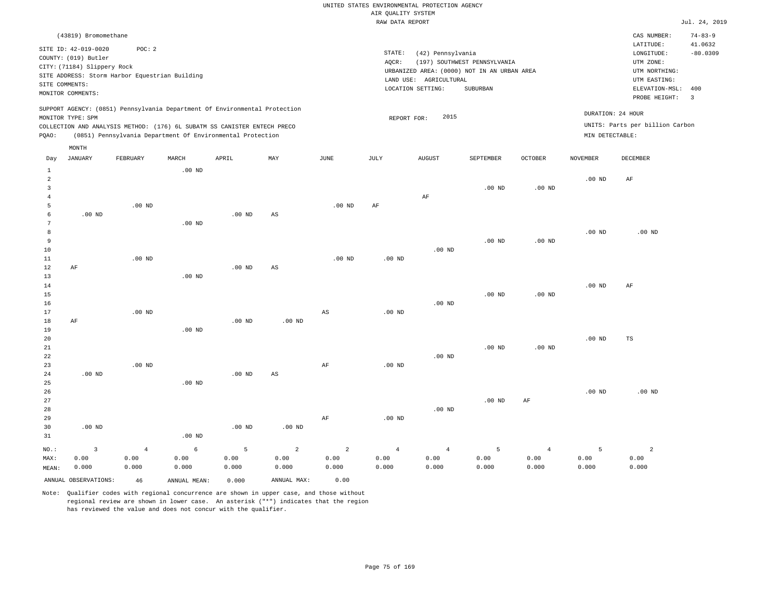|                |                                              |                                                                            |          |          |          |                        | RAW DATA REPORT |                                             |                              |                   |                   |                                 | Jul. 24, 2019            |
|----------------|----------------------------------------------|----------------------------------------------------------------------------|----------|----------|----------|------------------------|-----------------|---------------------------------------------|------------------------------|-------------------|-------------------|---------------------------------|--------------------------|
|                | (43819) Bromomethane<br>SITE ID: 42-019-0020 | POC: 2                                                                     |          |          |          |                        |                 |                                             |                              |                   |                   | CAS NUMBER:<br>LATITUDE:        | $74 - 83 - 9$<br>41.0632 |
|                | COUNTY: (019) Butler                         |                                                                            |          |          |          |                        | STATE:          | (42) Pennsylvania                           |                              |                   |                   | LONGITUDE:                      | $-80.0309$               |
|                | CITY: (71184) Slippery Rock                  |                                                                            |          |          |          |                        | AOCR:           |                                             | (197) SOUTHWEST PENNSYLVANIA |                   |                   | UTM ZONE:                       |                          |
|                |                                              | SITE ADDRESS: Storm Harbor Equestrian Building                             |          |          |          |                        |                 | URBANIZED AREA: (0000) NOT IN AN URBAN AREA |                              |                   |                   | UTM NORTHING:                   |                          |
|                | SITE COMMENTS:                               |                                                                            |          |          |          |                        |                 | LAND USE: AGRICULTURAL                      |                              |                   |                   | UTM EASTING:                    |                          |
|                | MONITOR COMMENTS:                            |                                                                            |          |          |          |                        |                 | LOCATION SETTING:                           | SUBURBAN                     |                   |                   | ELEVATION-MSL:                  | 400                      |
|                |                                              |                                                                            |          |          |          |                        |                 |                                             |                              |                   |                   | PROBE HEIGHT: 3                 |                          |
|                |                                              | SUPPORT AGENCY: (0851) Pennsylvania Department Of Environmental Protection |          |          |          |                        |                 |                                             |                              |                   |                   | DURATION: 24 HOUR               |                          |
|                | MONITOR TYPE: SPM                            |                                                                            |          |          |          |                        |                 | 2015<br>REPORT FOR:                         |                              |                   |                   |                                 |                          |
|                |                                              | COLLECTION AND ANALYSIS METHOD: (176) 6L SUBATM SS CANISTER ENTECH PRECO   |          |          |          |                        |                 |                                             |                              |                   |                   | UNITS: Parts per billion Carbon |                          |
| PQAO:          |                                              | (0851) Pennsylvania Department Of Environmental Protection                 |          |          |          |                        |                 |                                             |                              |                   | MIN DETECTABLE:   |                                 |                          |
|                | MONTH                                        |                                                                            |          |          |          |                        |                 |                                             |                              |                   |                   |                                 |                          |
| Day            | JANUARY                                      | FEBRUARY                                                                   | MARCH    | APRIL    | MAY      | JUNE                   | JULY            | AUGUST                                      | SEPTEMBER                    | <b>OCTOBER</b>    | <b>NOVEMBER</b>   | DECEMBER                        |                          |
| $\mathbf{1}$   |                                              |                                                                            | $.00$ ND |          |          |                        |                 |                                             |                              |                   |                   |                                 |                          |
| 2              |                                              |                                                                            |          |          |          |                        |                 |                                             |                              |                   | $.00$ ND          | AF                              |                          |
| $\overline{3}$ |                                              |                                                                            |          |          |          |                        |                 |                                             | $.00$ ND                     | .00 <sub>ND</sub> |                   |                                 |                          |
| $\overline{4}$ |                                              |                                                                            |          |          |          |                        |                 | AF                                          |                              |                   |                   |                                 |                          |
| 5              |                                              | $.00$ ND                                                                   |          |          |          | $.00$ ND               | AF              |                                             |                              |                   |                   |                                 |                          |
| 6              | $.00$ ND                                     |                                                                            |          | $.00$ ND | AS       |                        |                 |                                             |                              |                   |                   |                                 |                          |
| 7              |                                              |                                                                            | $.00$ ND |          |          |                        |                 |                                             |                              |                   |                   |                                 |                          |
| 8              |                                              |                                                                            |          |          |          |                        |                 |                                             |                              |                   | .00 <sub>ND</sub> | $.00$ ND                        |                          |
| 9              |                                              |                                                                            |          |          |          |                        |                 |                                             | $.00$ ND                     | $.00$ ND          |                   |                                 |                          |
| 10             |                                              |                                                                            |          |          |          |                        |                 | $.00$ ND                                    |                              |                   |                   |                                 |                          |
| 11             |                                              | $.00$ ND                                                                   |          |          |          | $.00$ ND               | $.00$ ND        |                                             |                              |                   |                   |                                 |                          |
| 12             | AF                                           |                                                                            |          | $.00$ ND | AS       |                        |                 |                                             |                              |                   |                   |                                 |                          |
| 13             |                                              |                                                                            | $.00$ ND |          |          |                        |                 |                                             |                              |                   |                   |                                 |                          |
| 14             |                                              |                                                                            |          |          |          |                        |                 |                                             |                              |                   | $.00$ ND          | AF                              |                          |
| 15             |                                              |                                                                            |          |          |          |                        |                 |                                             | $.00$ ND                     | .00 <sub>ND</sub> |                   |                                 |                          |
| 16             |                                              |                                                                            |          |          |          |                        |                 | $.00$ ND                                    |                              |                   |                   |                                 |                          |
| 17             |                                              | $.00$ ND                                                                   |          |          |          | $\mathbb{A}\mathbb{S}$ | $.00$ ND        |                                             |                              |                   |                   |                                 |                          |
| 18             | AF                                           |                                                                            |          | $.00$ ND | $.00$ ND |                        |                 |                                             |                              |                   |                   |                                 |                          |
| 19             |                                              |                                                                            | $.00$ ND |          |          |                        |                 |                                             |                              |                   |                   |                                 |                          |

20 21 22 23 24 .00 ND .00 ND .00 ND AS AF .00 ND .00 ND .00 ND .00 ND .00 ND TS

25 26 27 28 29 30 31 .00 ND NO.: 3 .00 ND .00 ND .00 ND .00 ND AF .00 ND .00 ND .00 ND AF .00 ND .00 ND 4 6 5 2 2 4 4 5 4 5 2

MAX: MEAN: 0.00 0.000 0.00 0.000 0.00 0.000 0.00 0.000 0.00 0.000 0.00 0.000 0.00 0.000 0.00 0.000 0.00 0.000 0.00 0.000 0.00 0.000 0.00 0.000 ANNUAL OBSERVATIONS: 46 ANNUAL MEAN: 0.000 ANNUAL MAX: 0.00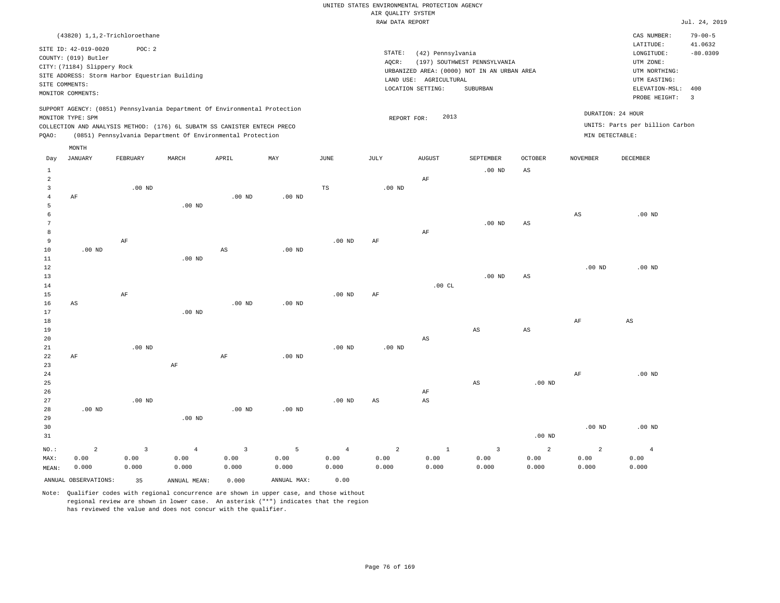|                                |                                                                                                  |                                                          |                   |                                                                                                                                        |                   |                       | RAW DATA REPORT   |                                                                  |                                                                                         |                        |                   |                                                                                                              | Jul. 24, 2019                           |
|--------------------------------|--------------------------------------------------------------------------------------------------|----------------------------------------------------------|-------------------|----------------------------------------------------------------------------------------------------------------------------------------|-------------------|-----------------------|-------------------|------------------------------------------------------------------|-----------------------------------------------------------------------------------------|------------------------|-------------------|--------------------------------------------------------------------------------------------------------------|-----------------------------------------|
|                                |                                                                                                  | (43820) 1,1,2-Trichloroethane                            |                   |                                                                                                                                        |                   |                       |                   |                                                                  |                                                                                         |                        |                   | CAS NUMBER:                                                                                                  | $79 - 00 - 5$                           |
| SITE COMMENTS:                 | SITE ID: 42-019-0020<br>COUNTY: (019) Butler<br>CITY: (71184) Slippery Rock<br>MONITOR COMMENTS: | POC: 2<br>SITE ADDRESS: Storm Harbor Equestrian Building |                   |                                                                                                                                        |                   |                       | STATE:<br>AQCR:   | (42) Pennsylvania<br>LAND USE: AGRICULTURAL<br>LOCATION SETTING: | (197) SOUTHWEST PENNSYLVANIA<br>URBANIZED AREA: (0000) NOT IN AN URBAN AREA<br>SUBURBAN |                        |                   | LATITUDE:<br>LONGITUDE:<br>UTM ZONE:<br>UTM NORTHING:<br>UTM EASTING:<br>ELEVATION-MSL: 400<br>PROBE HEIGHT: | 41.0632<br>$-80.0309$<br>$\overline{3}$ |
|                                |                                                                                                  |                                                          |                   | SUPPORT AGENCY: (0851) Pennsylvania Department Of Environmental Protection                                                             |                   |                       |                   |                                                                  |                                                                                         |                        |                   |                                                                                                              |                                         |
|                                | MONITOR TYPE: SPM                                                                                |                                                          |                   |                                                                                                                                        |                   |                       | REPORT FOR:       | 2013                                                             |                                                                                         |                        |                   | DURATION: 24 HOUR                                                                                            |                                         |
| PQAO:                          |                                                                                                  |                                                          |                   | COLLECTION AND ANALYSIS METHOD: (176) 6L SUBATM SS CANISTER ENTECH PRECO<br>(0851) Pennsylvania Department Of Environmental Protection |                   |                       |                   |                                                                  |                                                                                         |                        | MIN DETECTABLE:   | UNITS: Parts per billion Carbon                                                                              |                                         |
|                                |                                                                                                  |                                                          |                   |                                                                                                                                        |                   |                       |                   |                                                                  |                                                                                         |                        |                   |                                                                                                              |                                         |
| Day                            | MONTH<br><b>JANUARY</b>                                                                          | FEBRUARY                                                 | MARCH             | APRIL                                                                                                                                  | MAY               | $\operatorname{JUNE}$ | JULY              | ${\tt AUGUST}$                                                   | SEPTEMBER                                                                               | <b>OCTOBER</b>         | <b>NOVEMBER</b>   | DECEMBER                                                                                                     |                                         |
|                                |                                                                                                  |                                                          |                   |                                                                                                                                        |                   |                       |                   |                                                                  |                                                                                         |                        |                   |                                                                                                              |                                         |
| $\mathbf{1}$<br>$\overline{a}$ |                                                                                                  |                                                          |                   |                                                                                                                                        |                   |                       |                   | AF                                                               | $.00$ ND                                                                                | $\mathbb{A}\mathbb{S}$ |                   |                                                                                                              |                                         |
| $\overline{3}$                 |                                                                                                  | $.00$ ND                                                 |                   |                                                                                                                                        |                   | $\mathbb{TS}$         | .00 <sub>ND</sub> |                                                                  |                                                                                         |                        |                   |                                                                                                              |                                         |
| $\overline{4}$                 | AF                                                                                               |                                                          |                   | $.00$ ND                                                                                                                               | $.00$ ND          |                       |                   |                                                                  |                                                                                         |                        |                   |                                                                                                              |                                         |
| 5                              |                                                                                                  |                                                          | $.00$ ND          |                                                                                                                                        |                   |                       |                   |                                                                  |                                                                                         |                        |                   |                                                                                                              |                                         |
| 6<br>7                         |                                                                                                  |                                                          |                   |                                                                                                                                        |                   |                       |                   |                                                                  |                                                                                         |                        | $_{\rm AS}$       | $.00$ ND                                                                                                     |                                         |
| 8                              |                                                                                                  |                                                          |                   |                                                                                                                                        |                   |                       |                   | AF                                                               | $.00$ ND                                                                                | $_{\rm AS}$            |                   |                                                                                                              |                                         |
| $\overline{9}$                 |                                                                                                  | $\rm AF$                                                 |                   |                                                                                                                                        |                   | .00 <sub>ND</sub>     | AF                |                                                                  |                                                                                         |                        |                   |                                                                                                              |                                         |
| 10                             | $.00$ ND                                                                                         |                                                          |                   | $_{\rm AS}$                                                                                                                            | $.00$ ND          |                       |                   |                                                                  |                                                                                         |                        |                   |                                                                                                              |                                         |
| $11\,$                         |                                                                                                  |                                                          | $.00$ ND          |                                                                                                                                        |                   |                       |                   |                                                                  |                                                                                         |                        |                   |                                                                                                              |                                         |
| 12                             |                                                                                                  |                                                          |                   |                                                                                                                                        |                   |                       |                   |                                                                  |                                                                                         |                        | .00 <sub>ND</sub> | .00 <sub>ND</sub>                                                                                            |                                         |
| 13                             |                                                                                                  |                                                          |                   |                                                                                                                                        |                   |                       |                   | .00CL                                                            | $.00$ ND                                                                                | $_{\rm AS}$            |                   |                                                                                                              |                                         |
| 14<br>15                       |                                                                                                  | AF                                                       |                   |                                                                                                                                        |                   | .00 <sub>ND</sub>     | AF                |                                                                  |                                                                                         |                        |                   |                                                                                                              |                                         |
| 16                             | AS                                                                                               |                                                          |                   | $.00$ ND                                                                                                                               | $.00$ ND          |                       |                   |                                                                  |                                                                                         |                        |                   |                                                                                                              |                                         |
| 17                             |                                                                                                  |                                                          | .00 <sub>ND</sub> |                                                                                                                                        |                   |                       |                   |                                                                  |                                                                                         |                        |                   |                                                                                                              |                                         |
| 18                             |                                                                                                  |                                                          |                   |                                                                                                                                        |                   |                       |                   |                                                                  |                                                                                         |                        | AF                | $_{\rm AS}$                                                                                                  |                                         |
| 19                             |                                                                                                  |                                                          |                   |                                                                                                                                        |                   |                       |                   |                                                                  | AS                                                                                      | AS                     |                   |                                                                                                              |                                         |
| 20<br>21                       |                                                                                                  | $.00$ ND                                                 |                   |                                                                                                                                        |                   | $.00$ ND              | $.00$ ND          | $\mathbb{A}\mathbb{S}$                                           |                                                                                         |                        |                   |                                                                                                              |                                         |
| 22                             | AF                                                                                               |                                                          |                   | AF                                                                                                                                     | .00 <sub>ND</sub> |                       |                   |                                                                  |                                                                                         |                        |                   |                                                                                                              |                                         |
| 23                             |                                                                                                  |                                                          | $\rm{AF}$         |                                                                                                                                        |                   |                       |                   |                                                                  |                                                                                         |                        |                   |                                                                                                              |                                         |
| 24                             |                                                                                                  |                                                          |                   |                                                                                                                                        |                   |                       |                   |                                                                  |                                                                                         |                        | AF                | $.00$ ND                                                                                                     |                                         |
| 25                             |                                                                                                  |                                                          |                   |                                                                                                                                        |                   |                       |                   |                                                                  | $_{\rm AS}$                                                                             | $.00$ ND               |                   |                                                                                                              |                                         |
| 26<br>27                       |                                                                                                  | $.00$ ND                                                 |                   |                                                                                                                                        |                   | $.00$ ND              | AS                | AF<br>AS                                                         |                                                                                         |                        |                   |                                                                                                              |                                         |
| 28                             | .00 <sub>ND</sub>                                                                                |                                                          |                   | .00 <sub>ND</sub>                                                                                                                      | $.00$ ND          |                       |                   |                                                                  |                                                                                         |                        |                   |                                                                                                              |                                         |
| 29                             |                                                                                                  |                                                          | $.00$ ND          |                                                                                                                                        |                   |                       |                   |                                                                  |                                                                                         |                        |                   |                                                                                                              |                                         |
| 30                             |                                                                                                  |                                                          |                   |                                                                                                                                        |                   |                       |                   |                                                                  |                                                                                         |                        | .00 <sub>ND</sub> | $.00$ ND                                                                                                     |                                         |
| 31                             |                                                                                                  |                                                          |                   |                                                                                                                                        |                   |                       |                   |                                                                  |                                                                                         | .00 <sub>ND</sub>      |                   |                                                                                                              |                                         |
| NO.:                           | $\overline{a}$                                                                                   | $\overline{3}$                                           | $\overline{4}$    | $\overline{3}$                                                                                                                         | 5                 | $\overline{4}$        | $\overline{a}$    | $1\,$                                                            | $\overline{3}$                                                                          | 2                      | $\overline{a}$    | $\overline{4}$                                                                                               |                                         |
| MAX:                           | 0.00                                                                                             | 0.00                                                     | 0.00              | 0.00                                                                                                                                   | 0.00              | 0.00                  | 0.00              | 0.00                                                             | 0.00                                                                                    | 0.00                   | 0.00              | 0.00                                                                                                         |                                         |
| MEAN:                          | 0.000                                                                                            | 0.000                                                    | 0.000             | 0.000                                                                                                                                  | 0.000             | 0.000                 | 0.000             | 0.000                                                            | 0.000                                                                                   | 0.000                  | 0.000             | 0.000                                                                                                        |                                         |
|                                | ANNUAL OBSERVATIONS:                                                                             | 35                                                       | ANNUAL MEAN:      | 0.000                                                                                                                                  | ANNUAL MAX:       | 0.00                  |                   |                                                                  |                                                                                         |                        |                   |                                                                                                              |                                         |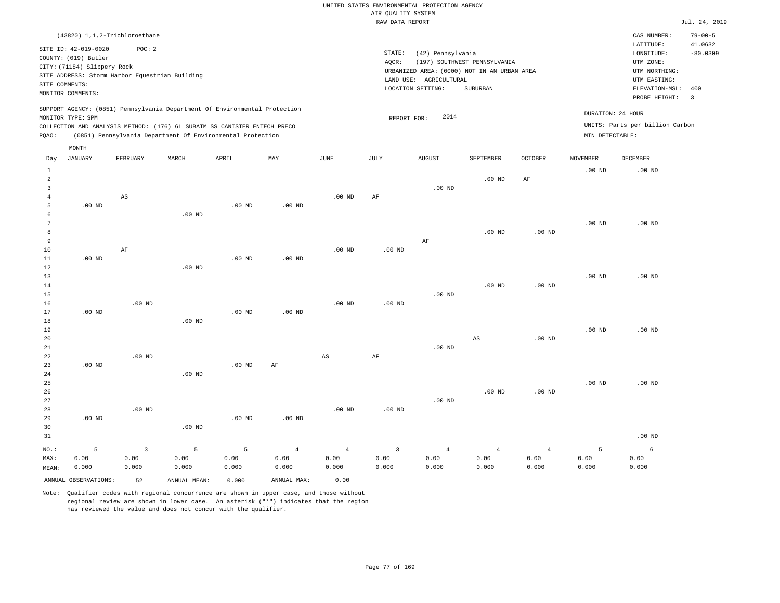|                |                                                                                                                    | (43820) 1,1,2-Trichloroethane                           |       |                                                                                                                                        |                                                                            |          |                 |                                                                                                                    |                                          |                |                 | CAS NUMBER:                                                                                                  | $79 - 00 - 5$              |
|----------------|--------------------------------------------------------------------------------------------------------------------|---------------------------------------------------------|-------|----------------------------------------------------------------------------------------------------------------------------------------|----------------------------------------------------------------------------|----------|-----------------|--------------------------------------------------------------------------------------------------------------------|------------------------------------------|----------------|-----------------|--------------------------------------------------------------------------------------------------------------|----------------------------|
|                | SITE ID: 42-019-0020<br>COUNTY: (019) Butler<br>CITY: (71184) Slippery Rock<br>SITE COMMENTS:<br>MONITOR COMMENTS: | POC:2<br>SITE ADDRESS: Storm Harbor Equestrian Building |       |                                                                                                                                        |                                                                            |          | STATE:<br>AQCR: | (42) Pennsylvania<br>URBANIZED AREA: (0000) NOT IN AN URBAN AREA<br>LAND USE:<br>AGRICULTURAL<br>LOCATION SETTING: | (197) SOUTHWEST PENNSYLVANIA<br>SUBURBAN |                |                 | LATITUDE:<br>LONGITUDE:<br>UTM ZONE:<br>UTM NORTHING:<br>UTM EASTING:<br>ELEVATION-MSL: 400<br>PROBE HEIGHT: | 41.0632<br>$-80.0309$<br>3 |
| PQAO:          | MONITOR TYPE: SPM                                                                                                  |                                                         |       | COLLECTION AND ANALYSIS METHOD: (176) 6L SUBATM SS CANISTER ENTECH PRECO<br>(0851) Pennsylvania Department Of Environmental Protection | SUPPORT AGENCY: (0851) Pennsylvania Department Of Environmental Protection |          |                 | 2014<br>REPORT FOR:                                                                                                |                                          |                | MIN DETECTABLE: | DURATION: 24 HOUR<br>UNITS: Parts per billion Carbon                                                         |                            |
|                | MONTH                                                                                                              |                                                         |       |                                                                                                                                        |                                                                            |          |                 |                                                                                                                    |                                          |                |                 |                                                                                                              |                            |
| Day            | JANUARY                                                                                                            | FEBRUARY                                                | MARCH | APRIL                                                                                                                                  | MAY                                                                        | JUNE     | JULY            | <b>AUGUST</b>                                                                                                      | SEPTEMBER                                | <b>OCTOBER</b> | <b>NOVEMBER</b> | DECEMBER                                                                                                     |                            |
|                |                                                                                                                    |                                                         |       |                                                                                                                                        |                                                                            |          |                 |                                                                                                                    |                                          |                | $.00$ ND        | $.00$ ND                                                                                                     |                            |
| $\overline{2}$ |                                                                                                                    |                                                         |       |                                                                                                                                        |                                                                            |          |                 |                                                                                                                    | $.00$ ND                                 | AF             |                 |                                                                                                              |                            |
|                |                                                                                                                    |                                                         |       |                                                                                                                                        |                                                                            |          |                 | $.00$ ND                                                                                                           |                                          |                |                 |                                                                                                              |                            |
|                |                                                                                                                    | AS                                                      |       |                                                                                                                                        |                                                                            | $.00$ ND | AF              |                                                                                                                    |                                          |                |                 |                                                                                                              |                            |

 5 6 7 8 9 10 11 12 13 .00 ND .00 ND AF .00 ND .00 ND .00 ND .00 ND .00 ND .00 ND .00 ND .00 ND AF .00 ND .00 ND .00 ND .00 ND .00 ND .00 ND

| 14 |          |          |          |          |          |          |          |          | $.00$ ND | $.00$ ND |          |          |
|----|----------|----------|----------|----------|----------|----------|----------|----------|----------|----------|----------|----------|
| 15 |          |          |          |          |          |          |          | $.00$ ND |          |          |          |          |
| 16 |          | $.00$ ND |          |          |          | $.00$ ND | $.00$ ND |          |          |          |          |          |
| 17 | $.00$ ND |          |          | $.00$ ND | $.00$ ND |          |          |          |          |          |          |          |
| 18 |          |          | $.00$ ND |          |          |          |          |          |          |          |          |          |
| 19 |          |          |          |          |          |          |          |          |          |          | $.00$ ND | $.00$ ND |
| 20 |          |          |          |          |          |          |          |          | AS       | $.00$ ND |          |          |
| 21 |          |          |          |          |          |          |          | $.00$ ND |          |          |          |          |

AF

AS

| 23      | $.00$ ND |          |          | $.00$ ND | AF             |                |          |                |                |                |          |          |
|---------|----------|----------|----------|----------|----------------|----------------|----------|----------------|----------------|----------------|----------|----------|
| 24      |          |          | $.00$ ND |          |                |                |          |                |                |                |          |          |
| 25      |          |          |          |          |                |                |          |                |                |                | $.00$ ND | $.00$ ND |
| 26      |          |          |          |          |                |                |          |                | $.00$ ND       | $.00$ ND       |          |          |
| 27      |          |          |          |          |                |                |          | $.00$ ND       |                |                |          |          |
| 28      |          | $.00$ ND |          |          |                | $.00$ ND       | $.00$ ND |                |                |                |          |          |
| 29      | $.00$ ND |          |          | $.00$ ND | $.00$ ND       |                |          |                |                |                |          |          |
| 30      |          |          | $.00$ ND |          |                |                |          |                |                |                |          |          |
| 31      |          |          |          |          |                |                |          |                |                |                |          | $.00$ ND |
| $NO.$ : | 5        | 3        | 5        | 5        | $\overline{4}$ | $\overline{4}$ | 3        | $\overline{4}$ | $\overline{4}$ | $\overline{4}$ | 5        | 6        |
| MAX:    | 0.00     | 0.00     | 0.00     | 0.00     | 0.00           | 0.00           | 0.00     | 0.00           | 0.00           | 0.00           | 0.00     | 0.00     |
| MEAN:   | 0.000    | 0.000    | 0.000    | 0.000    | 0.000          | 0.000          | 0.000    | 0.000          | 0.000          | 0.000          | 0.000    | 0.000    |

ANNUAL OBSERVATIONS: 52 ANNUAL MEAN: 0.000 ANNUAL MAX: 0.00

.00 ND

22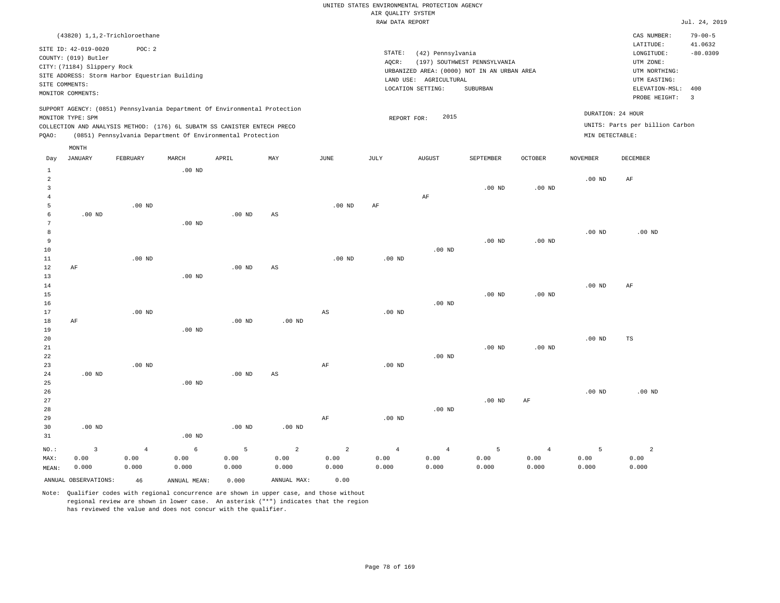|        |                                                                    |                                                                                                                                                                                                                      |          |          |     |          |                 | RAW DATA REPORT                                                                            |                              |                   |                             |                                                                  | Jul. 24, 2019                   |
|--------|--------------------------------------------------------------------|----------------------------------------------------------------------------------------------------------------------------------------------------------------------------------------------------------------------|----------|----------|-----|----------|-----------------|--------------------------------------------------------------------------------------------|------------------------------|-------------------|-----------------------------|------------------------------------------------------------------|---------------------------------|
|        |                                                                    | (43820) 1,1,2-Trichloroethane                                                                                                                                                                                        |          |          |     |          |                 |                                                                                            |                              |                   |                             | CAS NUMBER:                                                      | $79 - 00 - 5$                   |
|        | SITE ID: 42-019-0020<br>COUNTY: (019) Butler                       | POC:2                                                                                                                                                                                                                |          |          |     |          | STATE:<br>AOCR: | (42) Pennsylvania                                                                          | (197) SOUTHWEST PENNSYLVANIA |                   |                             | LATITUDE:<br>LONGITUDE:<br>UTM ZONE:                             | 41.0632<br>$-80.0309$           |
|        | CITY: (71184) Slippery Rock<br>SITE COMMENTS:<br>MONITOR COMMENTS: | SITE ADDRESS: Storm Harbor Equestrian Building                                                                                                                                                                       |          |          |     |          |                 | URBANIZED AREA: (0000) NOT IN AN URBAN AREA<br>LAND USE: AGRICULTURAL<br>LOCATION SETTING: | SUBURBAN                     |                   |                             | UTM NORTHING:<br>UTM EASTING:<br>ELEVATION-MSL:<br>PROBE HEIGHT: | 400<br>$\overline{\phantom{a}}$ |
| POAO:  | MONITOR TYPE: SPM                                                  | SUPPORT AGENCY: (0851) Pennsylvania Department Of Environmental Protection<br>COLLECTION AND ANALYSIS METHOD: (176) 6L SUBATM SS CANISTER ENTECH PRECO<br>(0851) Pennsylvania Department Of Environmental Protection |          |          |     |          |                 | 2015<br>REPORT FOR:                                                                        |                              |                   | MIN DETECTABLE:             | DURATION: 24 HOUR<br>UNITS: Parts per billion Carbon             |                                 |
| Day    | MONTH<br>JANUARY                                                   | FEBRUARY                                                                                                                                                                                                             | MARCH    | APRIL    | MAY | JUNE     | JULY            | <b>AUGUST</b>                                                                              | SEPTEMBER                    | <b>OCTOBER</b>    | <b>NOVEMBER</b>             | DECEMBER                                                         |                                 |
| 2      |                                                                    |                                                                                                                                                                                                                      | $.00$ ND |          |     |          |                 |                                                                                            |                              |                   | .00 <sub>ND</sub>           | AF                                                               |                                 |
|        |                                                                    |                                                                                                                                                                                                                      |          |          |     |          |                 | AF                                                                                         | .00 <sub>ND</sub>            | .00 <sub>ND</sub> |                             |                                                                  |                                 |
| 5<br>6 | $.00$ ND                                                           | $.00$ ND                                                                                                                                                                                                             |          | $.00$ ND | AS  | $.00$ ND | AF              |                                                                                            |                              |                   |                             |                                                                  |                                 |
|        |                                                                    |                                                                                                                                                                                                                      | $.00$ ND |          |     |          |                 |                                                                                            |                              |                   | $\sim$ $\sim$ $\sim$ $\sim$ | 0.01                                                             |                                 |

| 8  |    |          |          |          |    |          |          |          |          |          | $.00$ ND | $.00$ ND |  |
|----|----|----------|----------|----------|----|----------|----------|----------|----------|----------|----------|----------|--|
| 9  |    |          |          |          |    |          |          |          | $.00$ ND | $.00$ ND |          |          |  |
| 10 |    |          |          |          |    |          |          | $.00$ ND |          |          |          |          |  |
| 11 |    | $.00$ ND |          |          |    | $.00$ ND | $.00$ ND |          |          |          |          |          |  |
| 12 | AF |          |          | $.00$ ND | AS |          |          |          |          |          |          |          |  |
| 13 |    |          | $.00$ ND |          |    |          |          |          |          |          |          |          |  |
| 14 |    |          |          |          |    |          |          |          |          |          | $.00$ ND | AF       |  |

| 15 |    |          |          |          |          |    |          |          | $.00$ ND | $.00$ ND          |          |    |  |
|----|----|----------|----------|----------|----------|----|----------|----------|----------|-------------------|----------|----|--|
| 16 |    |          |          |          |          |    |          | $.00$ ND |          |                   |          |    |  |
| 17 |    | $.00$ ND |          |          |          | AS | $.00$ ND |          |          |                   |          |    |  |
| 18 | AF |          |          | $.00$ ND | $.00$ ND |    |          |          |          |                   |          |    |  |
| 19 |    |          | $.00$ ND |          |          |    |          |          |          |                   |          |    |  |
| 20 |    |          |          |          |          |    |          |          |          |                   | $.00$ ND | TS |  |
| 21 |    |          |          |          |          |    |          |          | $.00$ ND | .00 <sub>ND</sub> |          |    |  |
| 22 |    |          |          |          |          |    |          | $.00$ ND |          |                   |          |    |  |

| 23      |          | $.00$ ND       |          |          |                | AF             | $.00$ ND |                |          |                |          |                |
|---------|----------|----------------|----------|----------|----------------|----------------|----------|----------------|----------|----------------|----------|----------------|
| 24      | $.00$ ND |                |          | $.00$ ND | AS             |                |          |                |          |                |          |                |
| 25      |          |                | $.00$ ND |          |                |                |          |                |          |                |          |                |
| 26      |          |                |          |          |                |                |          |                |          |                | $.00$ ND | $.00$ ND       |
| 27      |          |                |          |          |                |                |          |                | $.00$ ND | AF             |          |                |
| 28      |          |                |          |          |                |                |          | $.00$ ND       |          |                |          |                |
| 29      |          |                |          |          |                | AF             | $.00$ ND |                |          |                |          |                |
| 30      | $.00$ ND |                |          | $.00$ ND | $.00$ ND       |                |          |                |          |                |          |                |
| 31      |          |                | $.00$ ND |          |                |                |          |                |          |                |          |                |
| $NO.$ : | 3        | $\overline{4}$ | 6        | 5        | $\overline{a}$ | $\overline{2}$ | 4        | $\overline{4}$ | 5        | $\overline{4}$ | 5        | $\overline{2}$ |
| MAX:    | 0.00     | 0.00           | 0.00     | 0.00     | 0.00           | 0.00           | 0.00     | 0.00           | 0.00     | 0.00           | 0.00     | 0.00           |
| MEAN:   | 0.000    | 0.000          | 0.000    | 0.000    | 0.000          | 0.000          | 0.000    | 0.000          | 0.000    | 0.000          | 0.000    | 0.000          |

ANNUAL OBSERVATIONS: 46 ANNUAL MEAN: 0.000 ANNUAL MAX: 0.00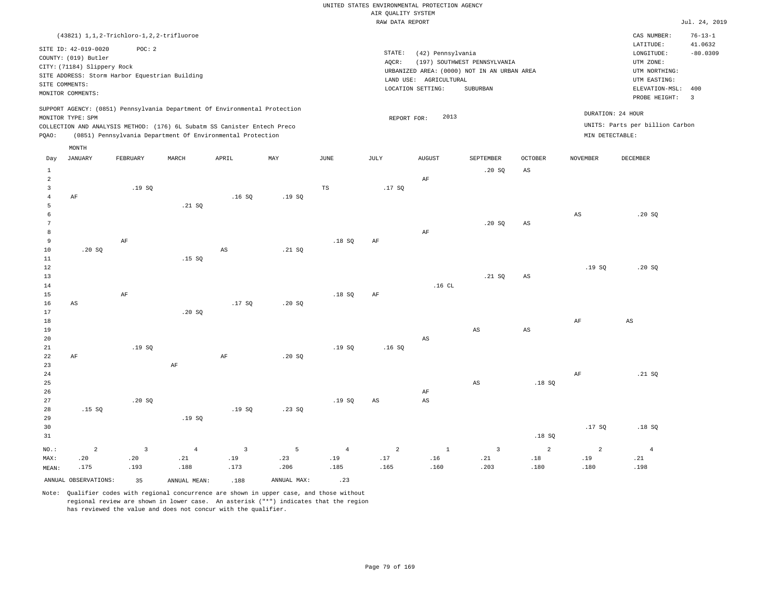|                |                                                |                |                |                                                                            |             |                | RAW DATA REPORT |                        |                                             |                |                 |                                 | Jul. 24, 2019 |
|----------------|------------------------------------------------|----------------|----------------|----------------------------------------------------------------------------|-------------|----------------|-----------------|------------------------|---------------------------------------------|----------------|-----------------|---------------------------------|---------------|
|                | (43821) 1, 1, 2-Trichloro-1, 2, 2-trifluoroe   |                |                |                                                                            |             |                |                 |                        |                                             |                |                 | CAS NUMBER:                     | $76 - 13 - 1$ |
|                |                                                |                |                |                                                                            |             |                |                 |                        |                                             |                |                 | LATITUDE:                       | 41.0632       |
|                | SITE ID: 42-019-0020                           | POC: 2         |                |                                                                            |             |                | STATE:          | (42) Pennsylvania      |                                             |                |                 | LONGITUDE:                      | $-80.0309$    |
|                | COUNTY: (019) Butler                           |                |                |                                                                            |             |                | AOCR:           |                        | (197) SOUTHWEST PENNSYLVANIA                |                |                 | UTM ZONE:                       |               |
|                | CITY: (71184) Slippery Rock                    |                |                |                                                                            |             |                |                 |                        | URBANIZED AREA: (0000) NOT IN AN URBAN AREA |                |                 | UTM NORTHING:                   |               |
|                | SITE ADDRESS: Storm Harbor Equestrian Building |                |                |                                                                            |             |                |                 | LAND USE: AGRICULTURAL |                                             |                |                 | UTM EASTING:                    |               |
| SITE COMMENTS: |                                                |                |                |                                                                            |             |                |                 | LOCATION SETTING:      | SUBURBAN                                    |                |                 | ELEVATION-MSL:                  | 400           |
|                | MONITOR COMMENTS:                              |                |                |                                                                            |             |                |                 |                        |                                             |                |                 | PROBE HEIGHT:                   | 3             |
|                |                                                |                |                | SUPPORT AGENCY: (0851) Pennsylvania Department Of Environmental Protection |             |                |                 |                        |                                             |                |                 |                                 |               |
|                | MONITOR TYPE: SPM                              |                |                |                                                                            |             |                | REPORT FOR:     | 2013                   |                                             |                |                 | DURATION: 24 HOUR               |               |
|                |                                                |                |                | COLLECTION AND ANALYSIS METHOD: (176) 6L Subatm SS Canister Entech Preco   |             |                |                 |                        |                                             |                |                 | UNITS: Parts per billion Carbon |               |
| PQAO:          |                                                |                |                | (0851) Pennsylvania Department Of Environmental Protection                 |             |                |                 |                        |                                             |                | MIN DETECTABLE: |                                 |               |
|                | MONTH                                          |                |                |                                                                            |             |                |                 |                        |                                             |                |                 |                                 |               |
| Day            | <b>JANUARY</b>                                 | FEBRUARY       | MARCH          | APRIL                                                                      | MAY         | JUNE           | JULY            | <b>AUGUST</b>          | SEPTEMBER                                   | OCTOBER        | <b>NOVEMBER</b> | DECEMBER                        |               |
| $\mathbf{1}$   |                                                |                |                |                                                                            |             |                |                 |                        | .20 SQ                                      | $_{\rm AS}$    |                 |                                 |               |
| $\overline{a}$ |                                                |                |                |                                                                            |             |                |                 | AF                     |                                             |                |                 |                                 |               |
| $\overline{3}$ |                                                | .19SQ          |                |                                                                            |             | TS             | .17SQ           |                        |                                             |                |                 |                                 |               |
| $\overline{4}$ | AF                                             |                |                | .16S                                                                       | .19SQ       |                |                 |                        |                                             |                |                 |                                 |               |
| 5              |                                                |                | .21 SQ         |                                                                            |             |                |                 |                        |                                             |                |                 |                                 |               |
| 6              |                                                |                |                |                                                                            |             |                |                 |                        |                                             |                | $_{\rm AS}$     | .20S                            |               |
| $\overline{7}$ |                                                |                |                |                                                                            |             |                |                 |                        | .20 SQ                                      | $_{\rm AS}$    |                 |                                 |               |
| 8              |                                                |                |                |                                                                            |             |                |                 | AF                     |                                             |                |                 |                                 |               |
| 9              |                                                | $\rm{AF}$      |                |                                                                            |             | .18S           | AF              |                        |                                             |                |                 |                                 |               |
| $10$           | .20SQ                                          |                |                | AS                                                                         | .21 SQ      |                |                 |                        |                                             |                |                 |                                 |               |
| 11             |                                                |                | .15S           |                                                                            |             |                |                 |                        |                                             |                |                 |                                 |               |
| 12             |                                                |                |                |                                                                            |             |                |                 |                        |                                             |                | .19S            | .20S                            |               |
| 13             |                                                |                |                |                                                                            |             |                |                 |                        | .21 SQ                                      | $_{\rm AS}$    |                 |                                 |               |
| 14             |                                                |                |                |                                                                            |             |                |                 | $.16$ CL               |                                             |                |                 |                                 |               |
| 15             |                                                | $\rm{AF}$      |                |                                                                            |             | .18S           | AF              |                        |                                             |                |                 |                                 |               |
| 16             | AS                                             |                |                | .17S                                                                       | .20S        |                |                 |                        |                                             |                |                 |                                 |               |
| 17             |                                                |                | .20SQ          |                                                                            |             |                |                 |                        |                                             |                |                 |                                 |               |
| 18             |                                                |                |                |                                                                            |             |                |                 |                        |                                             |                | $\rm{AF}$       | AS                              |               |
| 19             |                                                |                |                |                                                                            |             |                |                 |                        | AS                                          | $_{\rm AS}$    |                 |                                 |               |
| 20             |                                                |                |                |                                                                            |             |                |                 | AS                     |                                             |                |                 |                                 |               |
| 21             |                                                | .19SQ          |                |                                                                            |             | .19S           | .16S            |                        |                                             |                |                 |                                 |               |
| 22             | AF                                             |                |                | AF                                                                         | .20S        |                |                 |                        |                                             |                |                 |                                 |               |
| 23             |                                                |                | AF             |                                                                            |             |                |                 |                        |                                             |                |                 |                                 |               |
| 24             |                                                |                |                |                                                                            |             |                |                 |                        |                                             |                | $\rm{AF}$       | .21 SQ                          |               |
| 25             |                                                |                |                |                                                                            |             |                |                 |                        | AS                                          | .18S           |                 |                                 |               |
| 26             |                                                |                |                |                                                                            |             |                |                 | AF                     |                                             |                |                 |                                 |               |
| 27             |                                                | .20SQ          |                |                                                                            |             | .19S           | $_{\rm AS}$     | AS                     |                                             |                |                 |                                 |               |
| 28             | .15S                                           |                |                | .19S                                                                       | .23 S0      |                |                 |                        |                                             |                |                 |                                 |               |
| 29             |                                                |                | .19SQ          |                                                                            |             |                |                 |                        |                                             |                |                 |                                 |               |
| 30             |                                                |                |                |                                                                            |             |                |                 |                        |                                             |                | .17SQ           | .18S                            |               |
| 31             |                                                |                |                |                                                                            |             |                |                 |                        |                                             | .18S           |                 |                                 |               |
|                |                                                |                |                |                                                                            |             |                |                 |                        |                                             |                |                 |                                 |               |
| NO.:           | $\overline{2}$                                 | $\overline{3}$ | $\overline{4}$ | $\overline{3}$                                                             | 5           | $\overline{4}$ | 2               | $\mathbf{1}$           | $\overline{3}$                              | $\overline{a}$ | $\overline{2}$  | $\overline{4}$                  |               |
| MAX:           | .20<br>.175                                    | .20<br>.193    | .21<br>.188    | .19<br>.173                                                                | .23<br>.206 | .19<br>.185    | .17<br>.165     | .16<br>.160            | .21<br>.203                                 | .18<br>.180    | .19<br>.180     | .21<br>.198                     |               |
| MEAN:          |                                                |                |                |                                                                            |             |                |                 |                        |                                             |                |                 |                                 |               |
|                | ANNUAL OBSERVATIONS:                           | 35             | ANNUAL MEAN:   | .188                                                                       | ANNUAL MAX: | .23            |                 |                        |                                             |                |                 |                                 |               |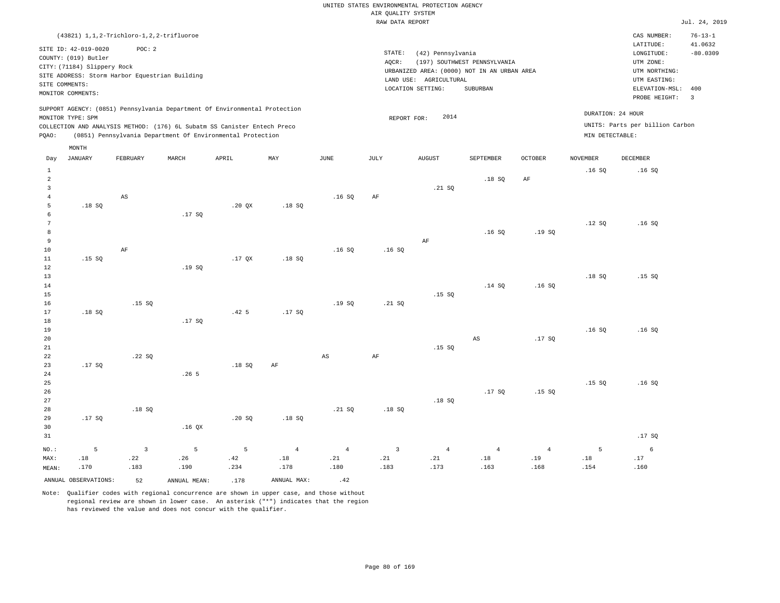|                | (43821) 1, 1, 2-Trichloro-1, 2, 2-trifluoroe                                                                                                                         |                |                   |                                                                            |                |                |                 |                                                                  |                                                                                                |                |                 | CAS NUMBER:                                                                                              | $76 - 13 - 1$                                  |
|----------------|----------------------------------------------------------------------------------------------------------------------------------------------------------------------|----------------|-------------------|----------------------------------------------------------------------------|----------------|----------------|-----------------|------------------------------------------------------------------|------------------------------------------------------------------------------------------------|----------------|-----------------|----------------------------------------------------------------------------------------------------------|------------------------------------------------|
|                | SITE ID: 42-019-0020<br>COUNTY: (019) Butler<br>CITY: (71184) Slippery Rock<br>SITE ADDRESS: Storm Harbor Equestrian Building<br>SITE COMMENTS:<br>MONITOR COMMENTS: | POC: 2         |                   |                                                                            |                |                | STATE:<br>AQCR: | (42) Pennsylvania<br>LAND USE: AGRICULTURAL<br>LOCATION SETTING: | (197) SOUTHWEST PENNSYLVANIA<br>URBANIZED AREA: (0000) NOT IN AN URBAN AREA<br><b>SUBURBAN</b> |                |                 | LATITUDE:<br>LONGITUDE:<br>UTM ZONE:<br>UTM NORTHING:<br>UTM EASTING:<br>ELEVATION-MSL:<br>PROBE HEIGHT: | 41.0632<br>$-80.0309$<br>400<br>$\overline{3}$ |
|                |                                                                                                                                                                      |                |                   | SUPPORT AGENCY: (0851) Pennsylvania Department Of Environmental Protection |                |                |                 |                                                                  |                                                                                                |                |                 | DURATION: 24 HOUR                                                                                        |                                                |
|                | MONITOR TYPE: SPM                                                                                                                                                    |                |                   | COLLECTION AND ANALYSIS METHOD: (176) 6L Subatm SS Canister Entech Preco   |                |                | REPORT FOR:     | 2014                                                             |                                                                                                |                |                 | UNITS: Parts per billion Carbon                                                                          |                                                |
| PQAO:          |                                                                                                                                                                      |                |                   | (0851) Pennsylvania Department Of Environmental Protection                 |                |                |                 |                                                                  |                                                                                                |                | MIN DETECTABLE: |                                                                                                          |                                                |
|                | MONTH                                                                                                                                                                |                |                   |                                                                            |                |                |                 |                                                                  |                                                                                                |                |                 |                                                                                                          |                                                |
| Day            | JANUARY                                                                                                                                                              | FEBRUARY       | MARCH             | APRIL                                                                      | MAY            | $_{\rm JUNE}$  | <b>JULY</b>     | <b>AUGUST</b>                                                    | SEPTEMBER                                                                                      | <b>OCTOBER</b> | <b>NOVEMBER</b> | DECEMBER                                                                                                 |                                                |
| $1\,$          |                                                                                                                                                                      |                |                   |                                                                            |                |                |                 |                                                                  |                                                                                                |                | .16SQ           | .16S                                                                                                     |                                                |
| $\overline{a}$ |                                                                                                                                                                      |                |                   |                                                                            |                |                |                 |                                                                  | .18SQ                                                                                          | $\rm{AF}$      |                 |                                                                                                          |                                                |
| $\overline{3}$ |                                                                                                                                                                      |                |                   |                                                                            |                |                |                 | .21 S0                                                           |                                                                                                |                |                 |                                                                                                          |                                                |
| $\overline{4}$ |                                                                                                                                                                      | AS             |                   |                                                                            |                | .16S           | AF              |                                                                  |                                                                                                |                |                 |                                                                                                          |                                                |
| 5<br>6         | .18SQ                                                                                                                                                                |                | .17SQ             | .20 QX                                                                     | .18S           |                |                 |                                                                  |                                                                                                |                |                 |                                                                                                          |                                                |
| 7              |                                                                                                                                                                      |                |                   |                                                                            |                |                |                 |                                                                  |                                                                                                |                | .12S            | .16S                                                                                                     |                                                |
| 8              |                                                                                                                                                                      |                |                   |                                                                            |                |                |                 |                                                                  | .16S                                                                                           | .19S           |                 |                                                                                                          |                                                |
| $\overline{9}$ |                                                                                                                                                                      |                |                   |                                                                            |                |                |                 | $\rm{AF}$                                                        |                                                                                                |                |                 |                                                                                                          |                                                |
| 10             |                                                                                                                                                                      | $\rm AF$       |                   |                                                                            |                | .16SQ          | .16S            |                                                                  |                                                                                                |                |                 |                                                                                                          |                                                |
| 11             | .15S                                                                                                                                                                 |                |                   | .17 <sub>OX</sub>                                                          | .18S           |                |                 |                                                                  |                                                                                                |                |                 |                                                                                                          |                                                |
| 12<br>13       |                                                                                                                                                                      |                | .19SQ             |                                                                            |                |                |                 |                                                                  |                                                                                                |                | .18SQ           | .15S                                                                                                     |                                                |
| $14\,$         |                                                                                                                                                                      |                |                   |                                                                            |                |                |                 |                                                                  | .14 SQ                                                                                         | .16S           |                 |                                                                                                          |                                                |
| 15             |                                                                                                                                                                      |                |                   |                                                                            |                |                |                 | .15 SQ                                                           |                                                                                                |                |                 |                                                                                                          |                                                |
| 16             |                                                                                                                                                                      | .15S           |                   |                                                                            |                | .19S           | .21 S0          |                                                                  |                                                                                                |                |                 |                                                                                                          |                                                |
| 17             | .18S                                                                                                                                                                 |                |                   | .42 <sub>5</sub>                                                           | .17S           |                |                 |                                                                  |                                                                                                |                |                 |                                                                                                          |                                                |
| 18             |                                                                                                                                                                      |                | .17SQ             |                                                                            |                |                |                 |                                                                  |                                                                                                |                |                 |                                                                                                          |                                                |
| 19<br>20       |                                                                                                                                                                      |                |                   |                                                                            |                |                |                 |                                                                  | AS                                                                                             | .17S           | .16S            | .16S                                                                                                     |                                                |
| 21             |                                                                                                                                                                      |                |                   |                                                                            |                |                |                 | .15S                                                             |                                                                                                |                |                 |                                                                                                          |                                                |
| 22             |                                                                                                                                                                      | .22SQ          |                   |                                                                            |                | $_{\rm AS}$    | $\rm{AF}$       |                                                                  |                                                                                                |                |                 |                                                                                                          |                                                |
| 23             | .17SQ                                                                                                                                                                |                |                   | .18SQ                                                                      | $\rm{AF}$      |                |                 |                                                                  |                                                                                                |                |                 |                                                                                                          |                                                |
| 24             |                                                                                                                                                                      |                | .26 <sub>5</sub>  |                                                                            |                |                |                 |                                                                  |                                                                                                |                |                 |                                                                                                          |                                                |
| 25             |                                                                                                                                                                      |                |                   |                                                                            |                |                |                 |                                                                  |                                                                                                |                | .15S            | .16S                                                                                                     |                                                |
| 26<br>27       |                                                                                                                                                                      |                |                   |                                                                            |                |                |                 | .18S                                                             | .17SQ                                                                                          | .15SQ          |                 |                                                                                                          |                                                |
| 28             |                                                                                                                                                                      | .18SQ          |                   |                                                                            |                | .21 SQ         | .18S            |                                                                  |                                                                                                |                |                 |                                                                                                          |                                                |
| 29             | .17S                                                                                                                                                                 |                |                   | .20S                                                                       | .18S           |                |                 |                                                                  |                                                                                                |                |                 |                                                                                                          |                                                |
| 30             |                                                                                                                                                                      |                | .16 <sub>OX</sub> |                                                                            |                |                |                 |                                                                  |                                                                                                |                |                 |                                                                                                          |                                                |
| 31             |                                                                                                                                                                      |                |                   |                                                                            |                |                |                 |                                                                  |                                                                                                |                |                 | .17SQ                                                                                                    |                                                |
| NO.:           | 5                                                                                                                                                                    | $\overline{3}$ | 5                 | 5                                                                          | $\overline{4}$ | $\overline{4}$ | $\overline{3}$  | $\overline{4}$                                                   | $\overline{4}$                                                                                 | $\overline{4}$ | 5               | 6                                                                                                        |                                                |
| MAX:           | .18                                                                                                                                                                  | .22            | .26               | .42                                                                        | .18            | .21            | .21             | .21                                                              | .18                                                                                            | .19            | .18             | .17                                                                                                      |                                                |
| MEAN:          | .170                                                                                                                                                                 | .183           | .190              | .234                                                                       | .178           | .180           | .183            | .173                                                             | .163                                                                                           | .168           | .154            | .160                                                                                                     |                                                |
|                | ANNUAL OBSERVATIONS:                                                                                                                                                 | 52             | ANNUAL MEAN:      | .178                                                                       | ANNUAL MAX:    | .42            |                 |                                                                  |                                                                                                |                |                 |                                                                                                          |                                                |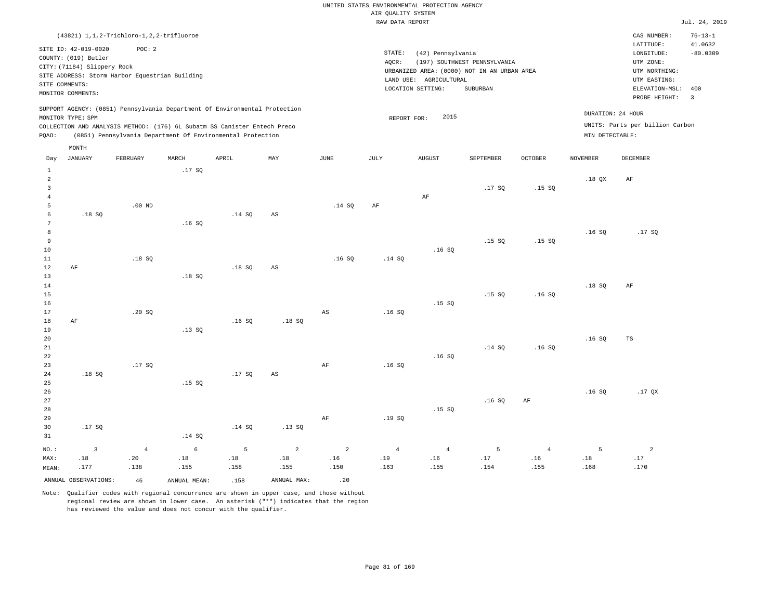|                     |                                              | (43821) 1, 1, 2-Trichloro-1, 2, 2-trifluoroe   |              |                                                                            |                |                |                 |                        |                                             |                |                   | CAS NUMBER:                          | $76 - 13 - 1$           |
|---------------------|----------------------------------------------|------------------------------------------------|--------------|----------------------------------------------------------------------------|----------------|----------------|-----------------|------------------------|---------------------------------------------|----------------|-------------------|--------------------------------------|-------------------------|
|                     | SITE ID: 42-019-0020<br>COUNTY: (019) Butler | POC: 2                                         |              |                                                                            |                |                | STATE:<br>AQCR: | (42) Pennsylvania      | (197) SOUTHWEST PENNSYLVANIA                |                |                   | LATITUDE:<br>LONGITUDE:<br>UTM ZONE: | 41.0632<br>$-80.0309$   |
|                     | CITY: (71184) Slippery Rock                  |                                                |              |                                                                            |                |                |                 |                        | URBANIZED AREA: (0000) NOT IN AN URBAN AREA |                |                   | UTM NORTHING:                        |                         |
|                     | SITE COMMENTS:                               | SITE ADDRESS: Storm Harbor Equestrian Building |              |                                                                            |                |                |                 | LAND USE: AGRICULTURAL |                                             |                |                   | UTM EASTING:                         |                         |
|                     | MONITOR COMMENTS:                            |                                                |              |                                                                            |                |                |                 | LOCATION SETTING:      | SUBURBAN                                    |                |                   | ELEVATION-MSL:                       | 400                     |
|                     |                                              |                                                |              | SUPPORT AGENCY: (0851) Pennsylvania Department Of Environmental Protection |                |                |                 |                        |                                             |                |                   | PROBE HEIGHT:                        | $\overline{\mathbf{3}}$ |
|                     | MONITOR TYPE: SPM                            |                                                |              |                                                                            |                |                | REPORT FOR:     | 2015                   |                                             |                | DURATION: 24 HOUR |                                      |                         |
|                     |                                              |                                                |              | COLLECTION AND ANALYSIS METHOD: (176) 6L Subatm SS Canister Entech Preco   |                |                |                 |                        |                                             |                |                   | UNITS: Parts per billion Carbon      |                         |
| PQAO:               |                                              |                                                |              | (0851) Pennsylvania Department Of Environmental Protection                 |                |                |                 |                        |                                             |                | MIN DETECTABLE:   |                                      |                         |
|                     | MONTH                                        |                                                |              |                                                                            |                |                |                 |                        |                                             |                |                   |                                      |                         |
| Day                 | <b>JANUARY</b>                               | FEBRUARY                                       | MARCH        | APRIL                                                                      | MAY            | $_{\rm JUNE}$  | JULY            | <b>AUGUST</b>          | SEPTEMBER                                   | OCTOBER        | <b>NOVEMBER</b>   | DECEMBER                             |                         |
| $\mathbf{1}$        |                                              |                                                | .17SQ        |                                                                            |                |                |                 |                        |                                             |                |                   |                                      |                         |
| $\overline{a}$      |                                              |                                                |              |                                                                            |                |                |                 |                        |                                             |                | $.18$ QX          | AF                                   |                         |
| $\overline{3}$      |                                              |                                                |              |                                                                            |                |                |                 |                        | .17S                                        | .15S           |                   |                                      |                         |
| $\overline{4}$<br>5 |                                              | $.00$ ND                                       |              |                                                                            |                | .14 SQ         | AF              | $\rm{AF}$              |                                             |                |                   |                                      |                         |
| 6                   | .18S                                         |                                                |              | .14S                                                                       | $_{\rm AS}$    |                |                 |                        |                                             |                |                   |                                      |                         |
| $7\phantom{.0}$     |                                              |                                                | .16S         |                                                                            |                |                |                 |                        |                                             |                |                   |                                      |                         |
| 8                   |                                              |                                                |              |                                                                            |                |                |                 |                        |                                             |                | .16SQ             | .17SQ                                |                         |
| 9                   |                                              |                                                |              |                                                                            |                |                |                 |                        | .15S                                        | .15S           |                   |                                      |                         |
| 10                  |                                              |                                                |              |                                                                            |                |                |                 | .16S                   |                                             |                |                   |                                      |                         |
| 11                  |                                              | .18S                                           |              |                                                                            |                | .16S           | .14 S0          |                        |                                             |                |                   |                                      |                         |
| 12                  | AF                                           |                                                |              | .18SQ                                                                      | $_{\rm AS}$    |                |                 |                        |                                             |                |                   |                                      |                         |
| 13                  |                                              |                                                | .18S         |                                                                            |                |                |                 |                        |                                             |                |                   |                                      |                         |
| $14\,$              |                                              |                                                |              |                                                                            |                |                |                 |                        |                                             |                | .18S              | AF                                   |                         |
| $15$                |                                              |                                                |              |                                                                            |                |                |                 |                        | .15S                                        | .16SQ          |                   |                                      |                         |
| 16<br>$17$          |                                              |                                                |              |                                                                            |                |                |                 | .15S                   |                                             |                |                   |                                      |                         |
| 18                  | AF                                           | .20S                                           |              | .16S                                                                       | .18S           | AS             | .16S            |                        |                                             |                |                   |                                      |                         |
| 19                  |                                              |                                                | .13SQ        |                                                                            |                |                |                 |                        |                                             |                |                   |                                      |                         |
| 20                  |                                              |                                                |              |                                                                            |                |                |                 |                        |                                             |                | .16S              | TS                                   |                         |
| $2\sqrt{1}$         |                                              |                                                |              |                                                                            |                |                |                 |                        | .14 SQ                                      | .16S           |                   |                                      |                         |
| 22                  |                                              |                                                |              |                                                                            |                |                |                 | .16S                   |                                             |                |                   |                                      |                         |
| 23                  |                                              | .17SQ                                          |              |                                                                            |                | AF             | .16S            |                        |                                             |                |                   |                                      |                         |
| 24                  | .18S                                         |                                                |              | .17S                                                                       | $_{\rm AS}$    |                |                 |                        |                                             |                |                   |                                      |                         |
| 25                  |                                              |                                                | .15SQ        |                                                                            |                |                |                 |                        |                                             |                |                   |                                      |                         |
| 26                  |                                              |                                                |              |                                                                            |                |                |                 |                        |                                             |                | .16S              | .17 <sub>OX</sub>                    |                         |
| 27                  |                                              |                                                |              |                                                                            |                |                |                 |                        | .16S                                        | AF             |                   |                                      |                         |
| 28                  |                                              |                                                |              |                                                                            |                |                |                 | .15S                   |                                             |                |                   |                                      |                         |
| 29                  |                                              |                                                |              |                                                                            |                | $\rm{AF}$      | .19SQ           |                        |                                             |                |                   |                                      |                         |
| 30<br>31            | .17SQ                                        |                                                | .14 SQ       | .14 SQ                                                                     | .13SQ          |                |                 |                        |                                             |                |                   |                                      |                         |
|                     |                                              |                                                |              |                                                                            |                |                |                 |                        |                                             |                |                   |                                      |                         |
| NO.:                | $\overline{3}$                               | $\overline{4}$                                 | $\epsilon$   | 5                                                                          | $\overline{a}$ | $\overline{a}$ | $\overline{4}$  | $\sqrt{4}$             | 5                                           | $\overline{4}$ | 5                 | $\overline{a}$                       |                         |
| MAX:                | .18                                          | .20                                            | .18          | .18                                                                        | .18            | .16            | .19             | .16                    | .17                                         | .16            | .18               | .17                                  |                         |
| MEAN:               | .177                                         | .138                                           | .155         | .158                                                                       | .155           | .150           | .163            | .155                   | .154                                        | .155           | .168              | .170                                 |                         |
|                     | ANNUAL OBSERVATIONS:                         | 46                                             | ANNUAL MEAN: | .158                                                                       | ANNUAL MAX:    | .20            |                 |                        |                                             |                |                   |                                      |                         |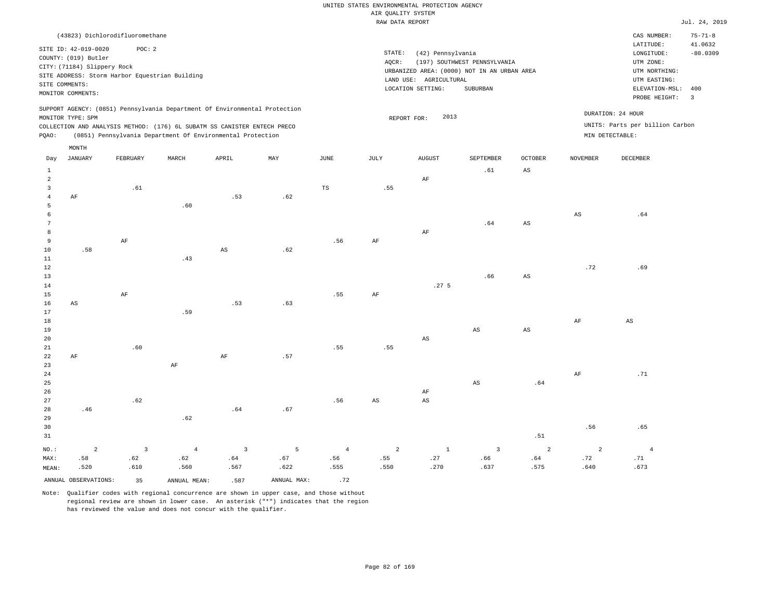|                 | (43823) Dichlorodifluoromethane |                         |                                                                            |                        |             |                |                        |                        |                                             |                        |                        | CAS NUMBER:<br>LATITUDE:        | $75 - 71 - 8$<br>41.0632 |
|-----------------|---------------------------------|-------------------------|----------------------------------------------------------------------------|------------------------|-------------|----------------|------------------------|------------------------|---------------------------------------------|------------------------|------------------------|---------------------------------|--------------------------|
|                 | SITE ID: 42-019-0020            | POC: 2                  |                                                                            |                        |             |                | STATE:                 | (42) Pennsylvania      |                                             |                        |                        | LONGITUDE:                      | $-80.0309$               |
|                 | COUNTY: (019) Butler            |                         |                                                                            |                        |             |                | AQCR:                  |                        | (197) SOUTHWEST PENNSYLVANIA                |                        |                        | UTM ZONE:                       |                          |
|                 | CITY: (71184) Slippery Rock     |                         |                                                                            |                        |             |                |                        |                        | URBANIZED AREA: (0000) NOT IN AN URBAN AREA |                        |                        | UTM NORTHING:                   |                          |
|                 |                                 |                         | SITE ADDRESS: Storm Harbor Equestrian Building                             |                        |             |                |                        | LAND USE: AGRICULTURAL |                                             |                        |                        | UTM EASTING:                    |                          |
|                 | SITE COMMENTS:                  |                         |                                                                            |                        |             |                |                        | LOCATION SETTING:      | SUBURBAN                                    |                        |                        | ELEVATION-MSL:                  | 400                      |
|                 | MONITOR COMMENTS:               |                         |                                                                            |                        |             |                |                        |                        |                                             |                        |                        | PROBE HEIGHT:                   | $\overline{\mathbf{3}}$  |
|                 |                                 |                         | SUPPORT AGENCY: (0851) Pennsylvania Department Of Environmental Protection |                        |             |                |                        |                        |                                             |                        |                        | DURATION: 24 HOUR               |                          |
|                 | MONITOR TYPE: SPM               |                         |                                                                            |                        |             |                | REPORT FOR:            | 2013                   |                                             |                        |                        | UNITS: Parts per billion Carbon |                          |
| PQAO:           |                                 |                         | COLLECTION AND ANALYSIS METHOD: (176) 6L SUBATM SS CANISTER ENTECH PRECO   |                        |             |                |                        |                        |                                             |                        | MIN DETECTABLE:        |                                 |                          |
|                 |                                 |                         | (0851) Pennsylvania Department Of Environmental Protection                 |                        |             |                |                        |                        |                                             |                        |                        |                                 |                          |
|                 | MONTH                           |                         |                                                                            |                        |             |                |                        |                        |                                             |                        |                        |                                 |                          |
| Day             | <b>JANUARY</b>                  | FEBRUARY                | MARCH                                                                      | APRIL                  | MAY         | <b>JUNE</b>    | JULY                   | <b>AUGUST</b>          | SEPTEMBER                                   | <b>OCTOBER</b>         | <b>NOVEMBER</b>        | DECEMBER                        |                          |
| $\mathbf{1}$    |                                 |                         |                                                                            |                        |             |                |                        |                        | .61                                         | $_{\rm AS}$            |                        |                                 |                          |
| $\overline{a}$  |                                 |                         |                                                                            |                        |             |                |                        | AF                     |                                             |                        |                        |                                 |                          |
| $\overline{3}$  |                                 | .61                     |                                                                            |                        |             | TS             | .55                    |                        |                                             |                        |                        |                                 |                          |
| $\overline{4}$  | AF                              |                         |                                                                            | .53                    | .62         |                |                        |                        |                                             |                        |                        |                                 |                          |
| 5               |                                 |                         | .60                                                                        |                        |             |                |                        |                        |                                             |                        |                        |                                 |                          |
| 6               |                                 |                         |                                                                            |                        |             |                |                        |                        |                                             |                        | $\mathbb{A}\mathbb{S}$ | .64                             |                          |
| $7\phantom{.0}$ |                                 |                         |                                                                            |                        |             |                |                        |                        | .64                                         | $\mathbb{A}\mathbb{S}$ |                        |                                 |                          |
| 8               |                                 |                         |                                                                            |                        |             |                |                        | $\rm AF$               |                                             |                        |                        |                                 |                          |
| 9               |                                 | $\rm{AF}$               |                                                                            |                        |             | .56            | AF                     |                        |                                             |                        |                        |                                 |                          |
| 10              | .58                             |                         |                                                                            | $\mathbb{A}\mathbb{S}$ | .62         |                |                        |                        |                                             |                        |                        |                                 |                          |
| $11\,$          |                                 |                         | .43                                                                        |                        |             |                |                        |                        |                                             |                        |                        |                                 |                          |
| 12              |                                 |                         |                                                                            |                        |             |                |                        |                        |                                             |                        | .72                    | .69                             |                          |
| 13              |                                 |                         |                                                                            |                        |             |                |                        |                        | .66                                         | $_{\rm AS}$            |                        |                                 |                          |
| 14              |                                 |                         |                                                                            |                        |             |                |                        | .27 <sub>5</sub>       |                                             |                        |                        |                                 |                          |
| 15              |                                 | AF                      |                                                                            |                        |             | .55            | AF                     |                        |                                             |                        |                        |                                 |                          |
| 16<br>17        | AS                              |                         | .59                                                                        | .53                    | .63         |                |                        |                        |                                             |                        |                        |                                 |                          |
| 18              |                                 |                         |                                                                            |                        |             |                |                        |                        |                                             |                        | $\rm{AF}$              | $\mathbb{A}\mathbb{S}$          |                          |
| 19              |                                 |                         |                                                                            |                        |             |                |                        |                        | AS                                          | $_{\rm AS}$            |                        |                                 |                          |
| 20              |                                 |                         |                                                                            |                        |             |                |                        | $_{\rm AS}$            |                                             |                        |                        |                                 |                          |
| 21              |                                 | .60                     |                                                                            |                        |             | .55            | .55                    |                        |                                             |                        |                        |                                 |                          |
| $2\sqrt{2}$     | AF                              |                         |                                                                            | $\rm{AF}$              | .57         |                |                        |                        |                                             |                        |                        |                                 |                          |
| 23              |                                 |                         | AF                                                                         |                        |             |                |                        |                        |                                             |                        |                        |                                 |                          |
| 24              |                                 |                         |                                                                            |                        |             |                |                        |                        |                                             |                        | AF                     | .71                             |                          |
| 25              |                                 |                         |                                                                            |                        |             |                |                        |                        | AS                                          | .64                    |                        |                                 |                          |
| 26              |                                 |                         |                                                                            |                        |             |                |                        | AF                     |                                             |                        |                        |                                 |                          |
| 27              |                                 | .62                     |                                                                            |                        |             | .56            | $\mathbb{A}\mathbb{S}$ | $_{\rm AS}$            |                                             |                        |                        |                                 |                          |
| 28              | .46                             |                         |                                                                            | .64                    | .67         |                |                        |                        |                                             |                        |                        |                                 |                          |
| 29              |                                 |                         | .62                                                                        |                        |             |                |                        |                        |                                             |                        |                        |                                 |                          |
| 30              |                                 |                         |                                                                            |                        |             |                |                        |                        |                                             |                        | .56                    | .65                             |                          |
| 31              |                                 |                         |                                                                            |                        |             |                |                        |                        |                                             | .51                    |                        |                                 |                          |
| NO.:            | 2                               | $\overline{\mathbf{3}}$ | $\overline{4}$                                                             | $\overline{3}$         | 5           | $\overline{4}$ | $\overline{a}$         | $1\,$                  | $\overline{3}$                              | 2                      | 2                      | $\overline{4}$                  |                          |
| MAX:            | .58                             | .62                     | .62                                                                        | .64                    | .67         | .56            | .55                    | .27                    | .66                                         | .64                    | .72                    | .71                             |                          |
| MEAN:           | .520                            | .610                    | .560                                                                       | .567                   | .622        | .555           | .550                   | .270                   | .637                                        | .575                   | .640                   | .673                            |                          |
|                 | ANNUAL OBSERVATIONS:            | 35                      | ANNUAL MEAN:                                                               | .587                   | ANNUAL MAX: | .72            |                        |                        |                                             |                        |                        |                                 |                          |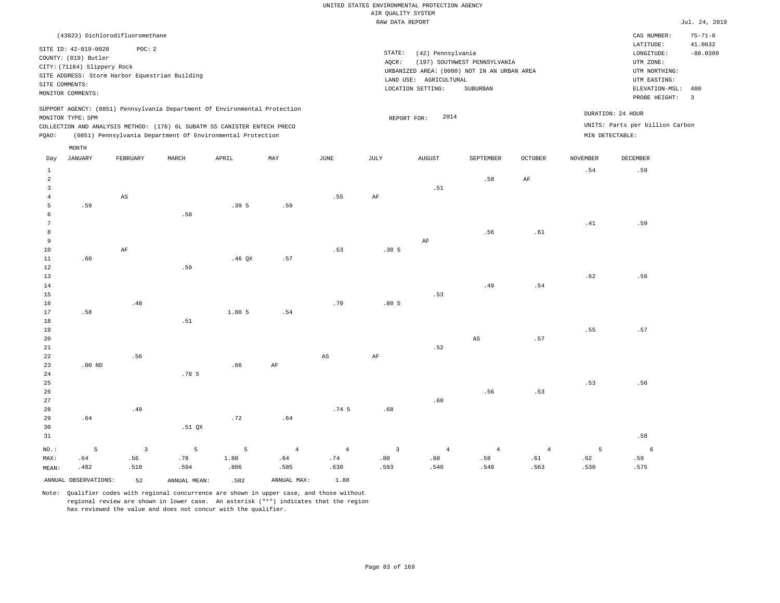|               |                             |                                                |       |                                                                            |     |      | RAW DATA REPORT  |                        |                                             |                |          |                                 | Jul. 24, 2019           |
|---------------|-----------------------------|------------------------------------------------|-------|----------------------------------------------------------------------------|-----|------|------------------|------------------------|---------------------------------------------|----------------|----------|---------------------------------|-------------------------|
|               |                             | (43823) Dichlorodifluoromethane                |       |                                                                            |     |      |                  |                        |                                             |                |          | CAS NUMBER:                     | $75 - 71 - 8$           |
|               | SITE ID: 42-019-0020        | POC: 2                                         |       |                                                                            |     |      | STATE:           |                        |                                             |                |          | LATITUDE:                       | 41.0632                 |
|               | COUNTY: (019) Butler        |                                                |       |                                                                            |     |      | AOCR:            | (42) Pennsylvania      | (197) SOUTHWEST PENNSYLVANIA                |                |          | LONGITUDE:<br>UTM ZONE:         | $-80.0309$              |
|               | CITY: (71184) Slippery Rock |                                                |       |                                                                            |     |      |                  |                        | URBANIZED AREA: (0000) NOT IN AN URBAN AREA |                |          | UTM NORTHING:                   |                         |
|               |                             | SITE ADDRESS: Storm Harbor Equestrian Building |       |                                                                            |     |      |                  | LAND USE: AGRICULTURAL |                                             |                |          | UTM EASTING:                    |                         |
|               | SITE COMMENTS:              |                                                |       |                                                                            |     |      |                  | LOCATION SETTING:      | SUBURBAN                                    |                |          | ELEVATION-MSL:                  | 400                     |
|               | MONITOR COMMENTS:           |                                                |       |                                                                            |     |      |                  |                        |                                             |                |          | PROBE HEIGHT:                   | $\overline{\mathbf{3}}$ |
|               |                             |                                                |       | SUPPORT AGENCY: (0851) Pennsylvania Department Of Environmental Protection |     |      |                  |                        |                                             |                |          |                                 |                         |
|               | MONITOR TYPE: SPM           |                                                |       |                                                                            |     |      |                  | 2014<br>REPORT FOR:    |                                             |                |          | DURATION: 24 HOUR               |                         |
|               |                             |                                                |       | COLLECTION AND ANALYSIS METHOD: (176) 6L SUBATM SS CANISTER ENTECH PRECO   |     |      |                  |                        |                                             |                |          | UNITS: Parts per billion Carbon |                         |
| POAO:         |                             |                                                |       | (0851) Pennsylvania Department Of Environmental Protection                 |     |      |                  |                        |                                             |                |          | MIN DETECTABLE:                 |                         |
|               | MONTH                       |                                                |       |                                                                            |     |      |                  |                        |                                             |                |          |                                 |                         |
|               |                             |                                                |       |                                                                            |     |      |                  |                        |                                             |                |          |                                 |                         |
| Day           | JANUARY                     | FEBRUARY                                       | MARCH | APRIL                                                                      | MAY | JUNE | JULY             | AUGUST                 | SEPTEMBER                                   | <b>OCTOBER</b> | NOVEMBER | <b>DECEMBER</b>                 |                         |
| $\mathbf{1}$  |                             |                                                |       |                                                                            |     |      |                  |                        |                                             |                | .54      | .59                             |                         |
| $\mathcal{L}$ |                             |                                                |       |                                                                            |     |      |                  |                        | .58                                         | AF             |          |                                 |                         |
| 3             |                             |                                                |       |                                                                            |     |      |                  | .51                    |                                             |                |          |                                 |                         |
|               |                             | AS                                             |       |                                                                            |     | .55  | AF               |                        |                                             |                |          |                                 |                         |
| 5             | .59                         |                                                | .58   | .395                                                                       | .59 |      |                  |                        |                                             |                |          |                                 |                         |
|               |                             |                                                |       |                                                                            |     |      |                  |                        |                                             |                | .41      | .59                             |                         |
| 8             |                             |                                                |       |                                                                            |     |      |                  |                        | .56                                         | .61            |          |                                 |                         |
| 9             |                             |                                                |       |                                                                            |     |      |                  | AF                     |                                             |                |          |                                 |                         |
| 10            |                             | AF                                             |       |                                                                            |     | .53  | .30 <sub>5</sub> |                        |                                             |                |          |                                 |                         |
| 11            | .60                         |                                                |       | $.46$ QX                                                                   | .57 |      |                  |                        |                                             |                |          |                                 |                         |
| 12            |                             |                                                | .59   |                                                                            |     |      |                  |                        |                                             |                |          |                                 |                         |
| 13            |                             |                                                |       |                                                                            |     |      |                  |                        |                                             |                | .62      | .56                             |                         |
| 14            |                             |                                                |       |                                                                            |     |      |                  |                        | .49                                         | .54            |          |                                 |                         |

| 15     |          |     |       |        |     |     |      | .53 |     |     |     |     |
|--------|----------|-----|-------|--------|-----|-----|------|-----|-----|-----|-----|-----|
| 16     |          | .48 |       |        |     | .70 | .805 |     |     |     |     |     |
| $17\,$ | .58      |     |       | 1.80 5 | .54 |     |      |     |     |     |     |     |
| $18\,$ |          |     | .51   |        |     |     |      |     |     |     |     |     |
| 19     |          |     |       |        |     |     |      |     |     |     | .55 | .57 |
| 20     |          |     |       |        |     |     |      |     | AS  | .57 |     |     |
| $21\,$ |          |     |       |        |     |     |      | .52 |     |     |     |     |
| 22     |          | .56 |       |        |     | AS  | AF   |     |     |     |     |     |
| 23     | $.00$ ND |     |       | .66    | AF  |     |      |     |     |     |     |     |
| 24     |          |     | .78 5 |        |     |     |      |     |     |     |     |     |
| $25\,$ |          |     |       |        |     |     |      |     |     |     | .53 | .56 |
| $26\,$ |          |     |       |        |     |     |      |     | .56 | .53 |     |     |
| 27     |          |     |       |        |     |     |      | .60 |     |     |     |     |

| 28    |      | .49                                 |        |                   |      | $.74\,5$ | .68  |      |      |      |      |      |
|-------|------|-------------------------------------|--------|-------------------|------|----------|------|------|------|------|------|------|
| 29    | .64  |                                     |        | .72               | .64  |          |      |      |      |      |      |      |
| 30    |      |                                     | .51 QX |                   |      |          |      |      |      |      |      |      |
| 31    |      |                                     |        |                   |      |          |      |      |      |      |      | .58  |
| NO.:  |      | $5 \qquad \qquad 3 \qquad \qquad 5$ |        | $5$ 4 4 3 4 4 4 4 |      |          |      |      |      |      | 5    | - 6  |
| MAX:  | .64  | .56                                 | .78    | 1.80              | .64  | .74      | .80  | .60  | .58  | .61  | .62  | .59  |
| MEAN: | .482 | .510                                | .594   | .806              | .585 | .630     | .593 | .540 | .548 | .563 | .530 | .575 |
|       |      |                                     |        |                   |      |          |      |      |      |      |      |      |

ANNUAL OBSERVATIONS: 52 ANNUAL MEAN: .582 ANNUAL MAX: 1.80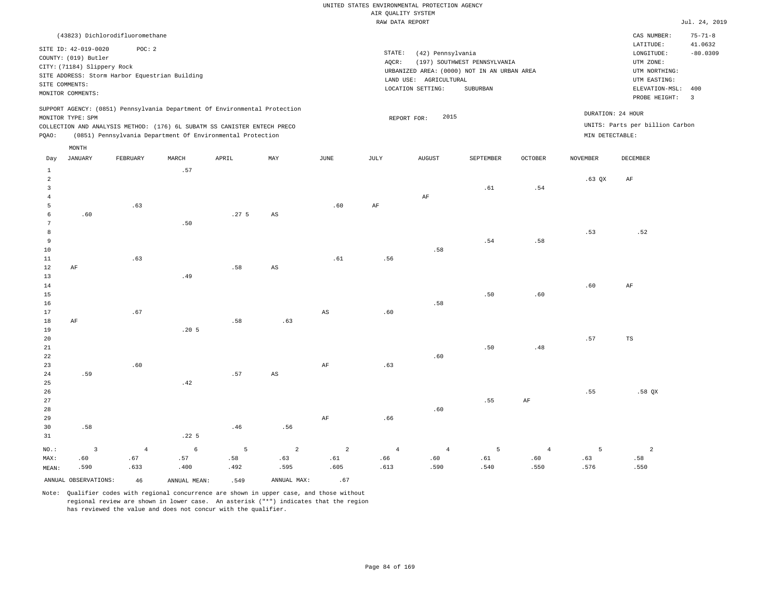|                     |                             |                                                |       |                                                                                                                                        |                        |             | RAW DATA REPORT |                        |                                             |                |                 |                                 | Jul. 24, 2019           |
|---------------------|-----------------------------|------------------------------------------------|-------|----------------------------------------------------------------------------------------------------------------------------------------|------------------------|-------------|-----------------|------------------------|---------------------------------------------|----------------|-----------------|---------------------------------|-------------------------|
|                     |                             | (43823) Dichlorodifluoromethane                |       |                                                                                                                                        |                        |             |                 |                        |                                             |                |                 | CAS NUMBER:                     | $75 - 71 - 8$           |
|                     | SITE ID: 42-019-0020        | POC: 2                                         |       |                                                                                                                                        |                        |             |                 |                        |                                             |                |                 | LATITUDE:                       | 41.0632                 |
|                     | COUNTY: (019) Butler        |                                                |       |                                                                                                                                        |                        |             | STATE:          | (42) Pennsylvania      |                                             |                |                 | LONGITUDE:                      | $-80.0309$              |
|                     | CITY: (71184) Slippery Rock |                                                |       |                                                                                                                                        |                        |             | AQCR:           |                        | (197) SOUTHWEST PENNSYLVANIA                |                |                 | UTM ZONE:                       |                         |
|                     |                             | SITE ADDRESS: Storm Harbor Equestrian Building |       |                                                                                                                                        |                        |             |                 |                        | URBANIZED AREA: (0000) NOT IN AN URBAN AREA |                |                 | UTM NORTHING:                   |                         |
|                     | SITE COMMENTS:              |                                                |       |                                                                                                                                        |                        |             |                 | LAND USE: AGRICULTURAL |                                             |                |                 | UTM EASTING:                    |                         |
|                     | MONITOR COMMENTS:           |                                                |       |                                                                                                                                        |                        |             |                 | LOCATION SETTING:      | SUBURBAN                                    |                |                 | ELEVATION-MSL:                  | 400                     |
|                     |                             |                                                |       |                                                                                                                                        |                        |             |                 |                        |                                             |                |                 | PROBE HEIGHT:                   | $\overline{\mathbf{3}}$ |
|                     |                             |                                                |       | SUPPORT AGENCY: (0851) Pennsylvania Department Of Environmental Protection                                                             |                        |             |                 | 2015                   |                                             |                |                 | DURATION: 24 HOUR               |                         |
|                     | MONITOR TYPE: SPM           |                                                |       |                                                                                                                                        |                        |             |                 | REPORT FOR:            |                                             |                |                 | UNITS: Parts per billion Carbon |                         |
| PQAO:               |                             |                                                |       | COLLECTION AND ANALYSIS METHOD: (176) 6L SUBATM SS CANISTER ENTECH PRECO<br>(0851) Pennsylvania Department Of Environmental Protection |                        |             |                 |                        |                                             |                | MIN DETECTABLE: |                                 |                         |
|                     |                             |                                                |       |                                                                                                                                        |                        |             |                 |                        |                                             |                |                 |                                 |                         |
| Day                 | MONTH<br>JANUARY            | FEBRUARY                                       | MARCH | APRIL                                                                                                                                  | MAY                    | JUNE        | JULY            | <b>AUGUST</b>          | SEPTEMBER                                   | <b>OCTOBER</b> | <b>NOVEMBER</b> | DECEMBER                        |                         |
|                     |                             |                                                |       |                                                                                                                                        |                        |             |                 |                        |                                             |                |                 |                                 |                         |
| $\mathbf{1}$        |                             |                                                | .57   |                                                                                                                                        |                        |             |                 |                        |                                             |                |                 |                                 |                         |
| $\overline{a}$<br>3 |                             |                                                |       |                                                                                                                                        |                        |             |                 |                        |                                             |                | $.63$ QX        | AF                              |                         |
| $\overline{4}$      |                             |                                                |       |                                                                                                                                        |                        |             |                 | AF                     | .61                                         | .54            |                 |                                 |                         |
| 5                   |                             | .63                                            |       |                                                                                                                                        |                        | .60         | AF              |                        |                                             |                |                 |                                 |                         |
| 6                   | .60                         |                                                |       | .27 <sub>5</sub>                                                                                                                       | AS                     |             |                 |                        |                                             |                |                 |                                 |                         |
| 7                   |                             |                                                | .50   |                                                                                                                                        |                        |             |                 |                        |                                             |                |                 |                                 |                         |
| 8                   |                             |                                                |       |                                                                                                                                        |                        |             |                 |                        |                                             |                | .53             | .52                             |                         |
| 9                   |                             |                                                |       |                                                                                                                                        |                        |             |                 |                        | .54                                         | .58            |                 |                                 |                         |
| 10                  |                             |                                                |       |                                                                                                                                        |                        |             |                 | .58                    |                                             |                |                 |                                 |                         |
| 11                  |                             | .63                                            |       |                                                                                                                                        |                        | .61         | .56             |                        |                                             |                |                 |                                 |                         |
| 12                  | AF                          |                                                |       | .58                                                                                                                                    | AS                     |             |                 |                        |                                             |                |                 |                                 |                         |
| 13                  |                             |                                                | .49   |                                                                                                                                        |                        |             |                 |                        |                                             |                |                 |                                 |                         |
| 14                  |                             |                                                |       |                                                                                                                                        |                        |             |                 |                        |                                             |                | .60             | AF                              |                         |
| 15                  |                             |                                                |       |                                                                                                                                        |                        |             |                 |                        | .50                                         | .60            |                 |                                 |                         |
| 16                  |                             |                                                |       |                                                                                                                                        |                        |             |                 | .58                    |                                             |                |                 |                                 |                         |
| 17                  |                             | .67                                            |       |                                                                                                                                        |                        | $_{\rm AS}$ | .60             |                        |                                             |                |                 |                                 |                         |
| 18                  | AF                          |                                                |       | .58                                                                                                                                    | .63                    |             |                 |                        |                                             |                |                 |                                 |                         |
| 19                  |                             |                                                | .205  |                                                                                                                                        |                        |             |                 |                        |                                             |                |                 |                                 |                         |
| 20                  |                             |                                                |       |                                                                                                                                        |                        |             |                 |                        |                                             |                | .57             | TS                              |                         |
| 21                  |                             |                                                |       |                                                                                                                                        |                        |             |                 |                        | .50                                         | .48            |                 |                                 |                         |
| 22                  |                             |                                                |       |                                                                                                                                        |                        |             |                 | .60                    |                                             |                |                 |                                 |                         |
| 23                  |                             | .60                                            |       |                                                                                                                                        |                        | $\rm{AF}$   | .63             |                        |                                             |                |                 |                                 |                         |
| 24                  | .59                         |                                                |       | .57                                                                                                                                    | $\mathbb{A}\mathbb{S}$ |             |                 |                        |                                             |                |                 |                                 |                         |
| 25                  |                             |                                                | .42   |                                                                                                                                        |                        |             |                 |                        |                                             |                |                 |                                 |                         |
| 26                  |                             |                                                |       |                                                                                                                                        |                        |             |                 |                        |                                             |                | .55             | $.58$ QX                        |                         |
| 27                  |                             |                                                |       |                                                                                                                                        |                        |             |                 |                        | .55                                         | AF             |                 |                                 |                         |
| 28                  |                             |                                                |       |                                                                                                                                        |                        |             |                 | .60                    |                                             |                |                 |                                 |                         |

29 30 31 .58 NO.: MAX: MEAN: 3 .60 .590 .22 5 .46 .56 AF .66 4 .67 .633 6 .57 .400 5 .58 .492 2 .63 .595 2 .61 .605 4 .66 .613 4 .60 .590 5 .61 .540 4 .60 .550 5 .63 .576 .58 .550 ANNUAL OBSERVATIONS:  $46$  ANNUAL MEAN: .549 ANNUAL MAX: .67

Note: Qualifier codes with regional concurrence are shown in upper case, and those without regional review are shown in lower case. An asterisk ("\*") indicates that the region has reviewed the value and does not concur with the qualifier.

2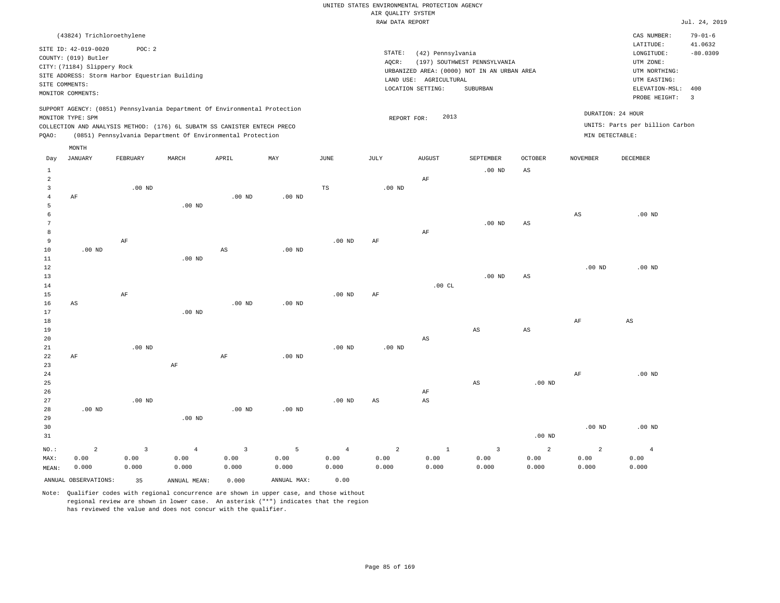|                |                                                |          |                   |                                                                            |                   |                   | RAW DATA REPORT   |                        |                                             |                        |                        |                                 | Jul. 24, 2019  |
|----------------|------------------------------------------------|----------|-------------------|----------------------------------------------------------------------------|-------------------|-------------------|-------------------|------------------------|---------------------------------------------|------------------------|------------------------|---------------------------------|----------------|
|                | (43824) Trichloroethylene                      |          |                   |                                                                            |                   |                   |                   |                        |                                             |                        |                        | CAS NUMBER:                     | $79 - 01 - 6$  |
|                |                                                |          |                   |                                                                            |                   |                   |                   |                        |                                             |                        |                        | LATITUDE:                       | 41.0632        |
|                | SITE ID: 42-019-0020                           | POC: 2   |                   |                                                                            |                   |                   | STATE:            | (42) Pennsylvania      |                                             |                        |                        | LONGITUDE:                      | $-80.0309$     |
|                | COUNTY: (019) Butler                           |          |                   |                                                                            |                   |                   | AQCR:             |                        | (197) SOUTHWEST PENNSYLVANIA                |                        |                        | UTM ZONE:                       |                |
|                | CITY: (71184) Slippery Rock                    |          |                   |                                                                            |                   |                   |                   |                        | URBANIZED AREA: (0000) NOT IN AN URBAN AREA |                        |                        | UTM NORTHING:                   |                |
|                | SITE ADDRESS: Storm Harbor Equestrian Building |          |                   |                                                                            |                   |                   |                   | LAND USE: AGRICULTURAL |                                             |                        |                        | UTM EASTING:                    |                |
|                | SITE COMMENTS:<br>MONITOR COMMENTS:            |          |                   |                                                                            |                   |                   |                   | LOCATION SETTING:      | SUBURBAN                                    |                        |                        | ELEVATION-MSL:                  | 400            |
|                |                                                |          |                   |                                                                            |                   |                   |                   |                        |                                             |                        |                        | PROBE HEIGHT:                   | $\overline{3}$ |
|                |                                                |          |                   | SUPPORT AGENCY: (0851) Pennsylvania Department Of Environmental Protection |                   |                   |                   |                        |                                             |                        |                        |                                 |                |
|                | MONITOR TYPE: SPM                              |          |                   |                                                                            |                   |                   | REPORT FOR:       | 2013                   |                                             |                        |                        | DURATION: 24 HOUR               |                |
|                |                                                |          |                   | COLLECTION AND ANALYSIS METHOD: (176) 6L SUBATM SS CANISTER ENTECH PRECO   |                   |                   |                   |                        |                                             |                        |                        | UNITS: Parts per billion Carbon |                |
| PQAO:          |                                                |          |                   | (0851) Pennsylvania Department Of Environmental Protection                 |                   |                   |                   |                        |                                             |                        | MIN DETECTABLE:        |                                 |                |
|                | MONTH                                          |          |                   |                                                                            |                   |                   |                   |                        |                                             |                        |                        |                                 |                |
| Day            | <b>JANUARY</b>                                 | FEBRUARY | MARCH             | APRIL                                                                      | MAY               | JUNE              | JULY              | <b>AUGUST</b>          | SEPTEMBER                                   | OCTOBER                | NOVEMBER               | DECEMBER                        |                |
| $\,1\,$        |                                                |          |                   |                                                                            |                   |                   |                   |                        | $.00$ ND                                    | $\mathbb{A}\mathbb{S}$ |                        |                                 |                |
| 2              |                                                |          |                   |                                                                            |                   |                   |                   | AF                     |                                             |                        |                        |                                 |                |
| $\overline{3}$ |                                                | $.00$ ND |                   |                                                                            |                   | TS                | .00 <sub>ND</sub> |                        |                                             |                        |                        |                                 |                |
| $\overline{4}$ | AF                                             |          |                   | $.00$ ND                                                                   | $.00$ ND          |                   |                   |                        |                                             |                        |                        |                                 |                |
| -5             |                                                |          | .00 <sub>ND</sub> |                                                                            |                   |                   |                   |                        |                                             |                        |                        |                                 |                |
| 6              |                                                |          |                   |                                                                            |                   |                   |                   |                        |                                             |                        | $\mathbb{A}\mathbb{S}$ | $.00$ ND                        |                |
| 7              |                                                |          |                   |                                                                            |                   |                   |                   |                        | $.00$ ND                                    | $\mathbb{A}\mathbb{S}$ |                        |                                 |                |
| 8              |                                                |          |                   |                                                                            |                   |                   |                   | AF                     |                                             |                        |                        |                                 |                |
| $\overline{9}$ |                                                | $\rm AF$ |                   |                                                                            |                   | .00 <sub>ND</sub> | AF                |                        |                                             |                        |                        |                                 |                |
| 10             | $.00$ ND                                       |          |                   | $_{\rm AS}$                                                                | .00 <sub>ND</sub> |                   |                   |                        |                                             |                        |                        |                                 |                |
| 11             |                                                |          | $.00$ ND          |                                                                            |                   |                   |                   |                        |                                             |                        |                        |                                 |                |
| 12             |                                                |          |                   |                                                                            |                   |                   |                   |                        |                                             |                        | .00 <sub>ND</sub>      | $.00$ ND                        |                |
| 13<br>14       |                                                |          |                   |                                                                            |                   |                   |                   | .00CL                  | $.00$ ND                                    | $\mathbb{A}\mathbb{S}$ |                        |                                 |                |
| 15             |                                                | $\rm AF$ |                   |                                                                            |                   | .00 <sub>ND</sub> | AF                |                        |                                             |                        |                        |                                 |                |
| 16             | AS                                             |          |                   | $.00$ ND                                                                   | .00 <sub>ND</sub> |                   |                   |                        |                                             |                        |                        |                                 |                |
| 17             |                                                |          | $.00$ ND          |                                                                            |                   |                   |                   |                        |                                             |                        |                        |                                 |                |
| 18             |                                                |          |                   |                                                                            |                   |                   |                   |                        |                                             |                        | AF                     | $\mathbb{A}\mathbb{S}$          |                |
| 19             |                                                |          |                   |                                                                            |                   |                   |                   |                        | AS                                          | AS                     |                        |                                 |                |
| 20             |                                                |          |                   |                                                                            |                   |                   |                   | AS                     |                                             |                        |                        |                                 |                |
| 21             |                                                | $.00$ ND |                   |                                                                            |                   | $.00$ ND          | .00 <sub>ND</sub> |                        |                                             |                        |                        |                                 |                |
| 22             | AF                                             |          |                   | AF                                                                         | $.00$ ND          |                   |                   |                        |                                             |                        |                        |                                 |                |
| 23             |                                                |          | AF                |                                                                            |                   |                   |                   |                        |                                             |                        |                        |                                 |                |
| 24             |                                                |          |                   |                                                                            |                   |                   |                   |                        |                                             |                        | $\rm AF$               | $.00$ ND                        |                |
| 25             |                                                |          |                   |                                                                            |                   |                   |                   |                        | AS                                          | $.00$ ND               |                        |                                 |                |
| 26             |                                                |          |                   |                                                                            |                   |                   |                   | AF                     |                                             |                        |                        |                                 |                |
| 27             |                                                | $.00$ ND |                   |                                                                            |                   | .00 <sub>ND</sub> | $_{\rm AS}$       | $_{\rm AS}$            |                                             |                        |                        |                                 |                |
| 28             | $.00$ ND                                       |          |                   | .00 <sub>ND</sub>                                                          | $.00$ ND          |                   |                   |                        |                                             |                        |                        |                                 |                |
| 29             |                                                |          | $.00$ ND          |                                                                            |                   |                   |                   |                        |                                             |                        |                        |                                 |                |
| 30             |                                                |          |                   |                                                                            |                   |                   |                   |                        |                                             |                        | $.00$ ND               | $.00$ ND                        |                |
| 31             |                                                |          |                   |                                                                            |                   |                   |                   |                        |                                             | $.00$ ND               |                        |                                 |                |
| NO.:           | $\overline{a}$                                 | 3        | $\overline{4}$    | $\overline{3}$                                                             | 5                 | $\overline{4}$    | $\overline{a}$    | $1\,$                  | $\overline{3}$                              | $\overline{a}$         | $\overline{a}$         | $\,4\,$                         |                |
| MAX:           | 0.00                                           | 0.00     | 0.00              | 0.00                                                                       | 0.00              | 0.00              | 0.00              | 0.00                   | 0.00                                        | 0.00                   | 0.00                   | 0.00                            |                |
| MEAN:          | 0.000                                          | 0.000    | 0.000             | 0.000                                                                      | 0.000             | 0.000             | 0.000             | 0.000                  | 0.000                                       | 0.000                  | 0.000                  | 0.000                           |                |
|                | ANNUAL OBSERVATIONS:                           | 35       | ANNUAL MEAN:      | 0.000                                                                      | ANNUAL MAX:       | 0.00              |                   |                        |                                             |                        |                        |                                 |                |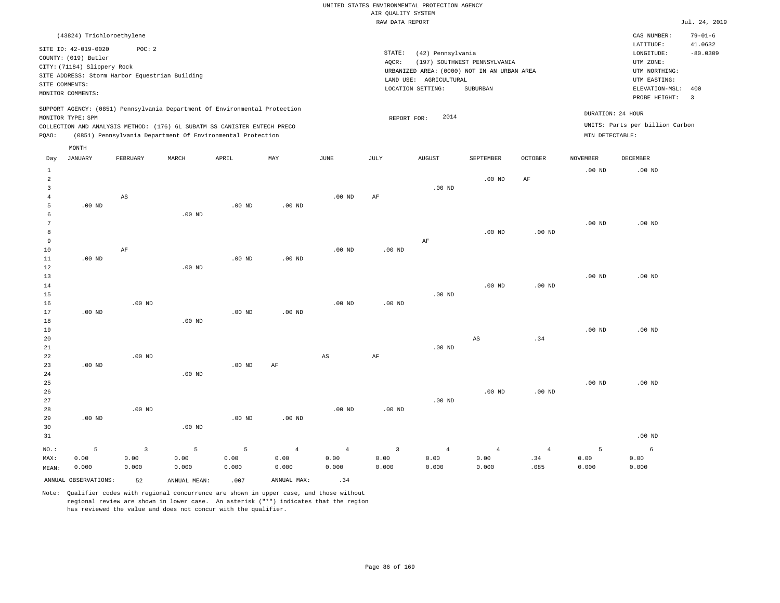|       | (43824) Trichloroethylene                                                                                          |                                                                                                                                        |       |       |                                                                            |          |      |                                                                                                                                       |                                          |                |                                      | CAS NUMBER:                                                                                                  | $79 - 01 - 6$              |
|-------|--------------------------------------------------------------------------------------------------------------------|----------------------------------------------------------------------------------------------------------------------------------------|-------|-------|----------------------------------------------------------------------------|----------|------|---------------------------------------------------------------------------------------------------------------------------------------|------------------------------------------|----------------|--------------------------------------|--------------------------------------------------------------------------------------------------------------|----------------------------|
|       | SITE ID: 42-019-0020<br>COUNTY: (019) Butler<br>CITY: (71184) Slippery Rock<br>SITE COMMENTS:<br>MONITOR COMMENTS: | POC:2<br>SITE ADDRESS: Storm Harbor Equestrian Building                                                                                |       |       |                                                                            |          |      | STATE:<br>(42) Pennsylvania<br>AQCR:<br>URBANIZED AREA: (0000) NOT IN AN URBAN AREA<br>AGRICULTURAL<br>LAND USE:<br>LOCATION SETTING: | (197) SOUTHWEST PENNSYLVANIA<br>SUBURBAN |                |                                      | LATITUDE:<br>LONGITUDE:<br>UTM ZONE:<br>UTM NORTHING:<br>UTM EASTING:<br>ELEVATION-MSL: 400<br>PROBE HEIGHT: | 41.0632<br>$-80.0309$<br>3 |
| PQAO: | MONITOR TYPE: SPM                                                                                                  | COLLECTION AND ANALYSIS METHOD: (176) 6L SUBATM SS CANISTER ENTECH PRECO<br>(0851) Pennsylvania Department Of Environmental Protection |       |       | SUPPORT AGENCY: (0851) Pennsylvania Department Of Environmental Protection |          |      | 2014<br>REPORT FOR:                                                                                                                   |                                          |                | DURATION: 24 HOUR<br>MIN DETECTABLE: | UNITS: Parts per billion Carbon                                                                              |                            |
|       | MONTH                                                                                                              |                                                                                                                                        |       |       |                                                                            |          |      |                                                                                                                                       |                                          |                |                                      |                                                                                                              |                            |
| Day   | JANUARY                                                                                                            | FEBRUARY                                                                                                                               | MARCH | APRIL | MAY                                                                        | JUNE     | JULY | <b>AUGUST</b>                                                                                                                         | SEPTEMBER                                | <b>OCTOBER</b> | <b>NOVEMBER</b>                      | DECEMBER                                                                                                     |                            |
|       |                                                                                                                    |                                                                                                                                        |       |       |                                                                            |          |      |                                                                                                                                       |                                          |                | $.00$ ND                             | $.00$ ND                                                                                                     |                            |
|       |                                                                                                                    |                                                                                                                                        |       |       |                                                                            |          |      |                                                                                                                                       | $.00$ ND                                 | AF             |                                      |                                                                                                              |                            |
|       |                                                                                                                    |                                                                                                                                        |       |       |                                                                            |          |      | $.00$ ND                                                                                                                              |                                          |                |                                      |                                                                                                              |                            |
|       |                                                                                                                    | AS                                                                                                                                     |       |       |                                                                            | $.00$ ND | AF   |                                                                                                                                       |                                          |                |                                      |                                                                                                              |                            |

 6 7 8 9 10 11 12 13 .00 ND AF .00 ND .00 ND .00 ND .00 ND .00 ND .00 ND AF .00 ND .00 ND .00 ND .00 ND .00 ND .00 ND

14 15 16 17 18 19 20 .00 ND .00 ND .00 ND .00 ND .00 ND .00 ND .00 ND .00 ND .00 ND AS .00 ND .34 .00 ND .00 ND

21 22 23 24 25 26 27 28 29 30 31 .00 ND .00 ND NO.: 5 .00 ND .00 ND .00 ND .00 ND .00 ND .00 ND AF .00 ND AS .00 ND AF .00 ND .00 ND .00 ND .00 ND .00 ND .00 ND .00 ND .00 ND 3 5 5 4 4 3 4 4 4 5 6

MAX: MEAN: 0.00 0.000 0.00 0.000 0.00 0.000 0.00 0.000 0.00 0.000 0.00 0.000 0.00 0.000 0.00 0.000 0.00 0.000 .34 .085 0.00 0.000 0.00 0.000 ANNUAL OBSERVATIONS:  $52$  ANNUAL MEAN: .007 ANNUAL MAX: .34

Note: Qualifier codes with regional concurrence are shown in upper case, and those without regional review are shown in lower case. An asterisk ("\*") indicates that the region has reviewed the value and does not concur with the qualifier.

.00 ND

.00 ND

5

.00 ND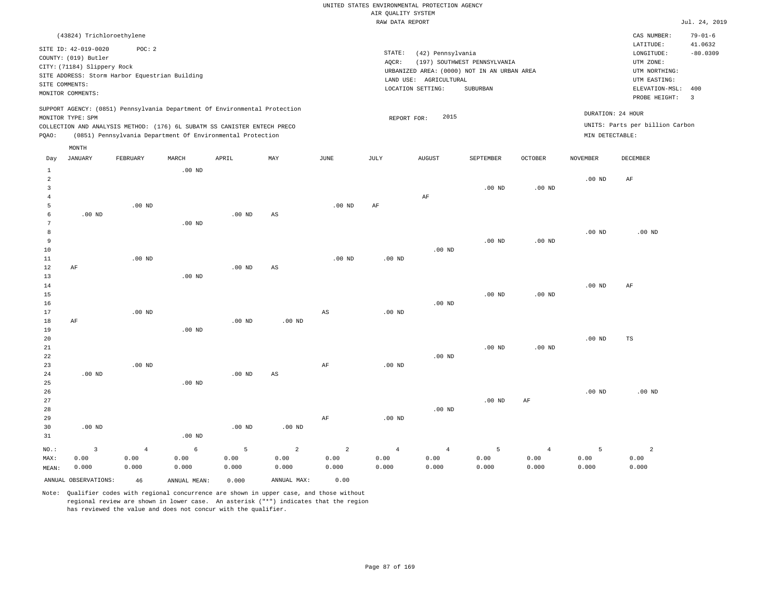|       |                             |                                                |          |                                                                                                                                                                                                                      |     |          | RAW DATA REPORT   |                                             |                              |                   |                 |                                                      | Jul. 24, 2019            |
|-------|-----------------------------|------------------------------------------------|----------|----------------------------------------------------------------------------------------------------------------------------------------------------------------------------------------------------------------------|-----|----------|-------------------|---------------------------------------------|------------------------------|-------------------|-----------------|------------------------------------------------------|--------------------------|
|       | (43824) Trichloroethylene   |                                                |          |                                                                                                                                                                                                                      |     |          |                   |                                             |                              |                   |                 | CAS NUMBER:                                          | $79 - 01 - 6$            |
|       | SITE ID: 42-019-0020        | POC: 2                                         |          |                                                                                                                                                                                                                      |     |          |                   |                                             |                              |                   |                 | LATITUDE:                                            | 41.0632                  |
|       | COUNTY: (019) Butler        |                                                |          |                                                                                                                                                                                                                      |     |          | STATE:            | (42) Pennsylvania                           |                              |                   |                 | LONGITUDE:                                           | $-80.0309$               |
|       | CITY: (71184) Slippery Rock |                                                |          |                                                                                                                                                                                                                      |     |          | AQCR:             |                                             | (197) SOUTHWEST PENNSYLVANIA |                   |                 | UTM ZONE:                                            |                          |
|       |                             | SITE ADDRESS: Storm Harbor Equestrian Building |          |                                                                                                                                                                                                                      |     |          |                   | URBANIZED AREA: (0000) NOT IN AN URBAN AREA |                              |                   |                 | UTM NORTHING:                                        |                          |
|       | SITE COMMENTS:              |                                                |          |                                                                                                                                                                                                                      |     |          |                   | LAND USE: AGRICULTURAL                      |                              |                   |                 | UTM EASTING:                                         |                          |
|       | MONITOR COMMENTS:           |                                                |          |                                                                                                                                                                                                                      |     |          |                   | LOCATION SETTING:                           | SUBURBAN                     |                   |                 | ELEVATION-MSL: 400                                   |                          |
|       |                             |                                                |          |                                                                                                                                                                                                                      |     |          |                   |                                             |                              |                   |                 | PROBE HEIGHT:                                        | $\overline{\phantom{a}}$ |
| PQAO: | MONITOR TYPE: SPM           |                                                |          | SUPPORT AGENCY: (0851) Pennsylvania Department Of Environmental Protection<br>COLLECTION AND ANALYSIS METHOD: (176) 6L SUBATM SS CANISTER ENTECH PRECO<br>(0851) Pennsylvania Department Of Environmental Protection |     |          |                   | 2015<br>REPORT FOR:                         |                              |                   | MIN DETECTABLE: | DURATION: 24 HOUR<br>UNITS: Parts per billion Carbon |                          |
|       | MONTH                       |                                                |          |                                                                                                                                                                                                                      |     |          |                   |                                             |                              |                   |                 |                                                      |                          |
| Day   | JANUARY                     | FEBRUARY                                       | MARCH    | APRIL                                                                                                                                                                                                                | MAY | JUNE     | JULY              | <b>AUGUST</b>                               | SEPTEMBER                    | <b>OCTOBER</b>    | <b>NOVEMBER</b> | DECEMBER                                             |                          |
|       |                             |                                                | $.00$ ND |                                                                                                                                                                                                                      |     |          |                   |                                             |                              |                   |                 |                                                      |                          |
|       |                             |                                                |          |                                                                                                                                                                                                                      |     |          |                   |                                             |                              |                   | $.00$ ND        | AF                                                   |                          |
| 3     |                             |                                                |          |                                                                                                                                                                                                                      |     |          |                   |                                             | $.00$ ND                     | $.00$ ND          |                 |                                                      |                          |
|       |                             |                                                |          |                                                                                                                                                                                                                      |     |          |                   | AF                                          |                              |                   |                 |                                                      |                          |
| 5     |                             | $.00$ ND                                       |          |                                                                                                                                                                                                                      |     | $.00$ ND | AF                |                                             |                              |                   |                 |                                                      |                          |
| 6     | .00 <sub>ND</sub>           |                                                |          | $.00$ ND                                                                                                                                                                                                             | AS  |          |                   |                                             |                              |                   |                 |                                                      |                          |
|       |                             |                                                | $.00$ ND |                                                                                                                                                                                                                      |     |          |                   |                                             |                              |                   |                 |                                                      |                          |
|       |                             |                                                |          |                                                                                                                                                                                                                      |     |          |                   |                                             |                              |                   | $.00$ ND        | $.00$ ND                                             |                          |
| 9     |                             |                                                |          |                                                                                                                                                                                                                      |     |          |                   |                                             | $.00$ ND                     | .00 <sub>ND</sub> |                 |                                                      |                          |
| 10    |                             |                                                |          |                                                                                                                                                                                                                      |     |          |                   | $.00$ ND                                    |                              |                   |                 |                                                      |                          |
| 11    |                             | $.00$ ND                                       |          |                                                                                                                                                                                                                      |     | $.00$ ND | .00 <sub>ND</sub> |                                             |                              |                   |                 |                                                      |                          |

| 12          | AF        |          |          | $.00$ ND | AS       |    |          |          |          |          |          |    |
|-------------|-----------|----------|----------|----------|----------|----|----------|----------|----------|----------|----------|----|
| 13          |           |          | $.00$ ND |          |          |    |          |          |          |          |          |    |
| 14          |           |          |          |          |          |    |          |          |          |          | $.00$ ND | AF |
| 15          |           |          |          |          |          |    |          |          | $.00$ ND | $.00$ ND |          |    |
| 16          |           |          |          |          |          |    |          | $.00$ ND |          |          |          |    |
| 17          |           | $.00$ ND |          |          |          | AS | $.00$ ND |          |          |          |          |    |
| 18          | $\rm{AF}$ |          |          | $.00$ ND | $.00$ ND |    |          |          |          |          |          |    |
| 19          |           |          | $.00$ ND |          |          |    |          |          |          |          |          |    |
| 20          |           |          |          |          |          |    |          |          |          |          | $.00$ ND | TS |
| 21          |           |          |          |          |          |    |          |          | $.00$ ND | $.00$ ND |          |    |
| $2\sqrt{2}$ |           |          |          |          |          |    |          | $.00$ ND |          |          |          |    |
| 23          |           | $.00$ ND |          |          |          | AF | $.00$ ND |          |          |          |          |    |

| 24   | $.00$ ND |      |          | $.00$ ND | AS       |      |                |                |          |      |          |          |
|------|----------|------|----------|----------|----------|------|----------------|----------------|----------|------|----------|----------|
| 25   |          |      | $.00$ ND |          |          |      |                |                |          |      |          |          |
| 26   |          |      |          |          |          |      |                |                |          |      | $.00$ ND | $.00$ ND |
| 27   |          |      |          |          |          |      |                |                | $.00$ ND | AF   |          |          |
| 28   |          |      |          |          |          |      |                | $.00$ ND       |          |      |          |          |
| 29   |          |      |          |          |          | AF   | $.00$ ND       |                |          |      |          |          |
| 30   | $.00$ ND |      |          | $.00$ ND | $.00$ ND |      |                |                |          |      |          |          |
| 31   |          |      | $.00$ ND |          |          |      |                |                |          |      |          |          |
| NO.: |          |      | $\circ$  | 5        | 2        | 2    | $\overline{4}$ | $\overline{4}$ |          | 4    |          |          |
| MAX: | 0.00     | 0.00 | 0.00     | 0.00     | 0.00     | 0.00 | 0.00           | 0.00           | 0.00     | 0.00 | 0.00     | 0.00     |

| MAX:  | 0.00                 | 0.00  | 0.00         | 0.00  | 0.00        | 0.00  | 0.00  | 0.00  | 0.00  | 0.00  | 0.00  | 0.00  |
|-------|----------------------|-------|--------------|-------|-------------|-------|-------|-------|-------|-------|-------|-------|
| MEAN: | 0.000                | 0.000 | 0.000        | 0.000 | 0.000       | 0.000 | 0.000 | 0.000 | 0.000 | 0.000 | 0.000 | 0.000 |
|       | ANNUAL OBSERVATIONS: | 46    | ANNUAL MEAN: | 0.000 | ANNUAL MAX: | 0.00  |       |       |       |       |       |       |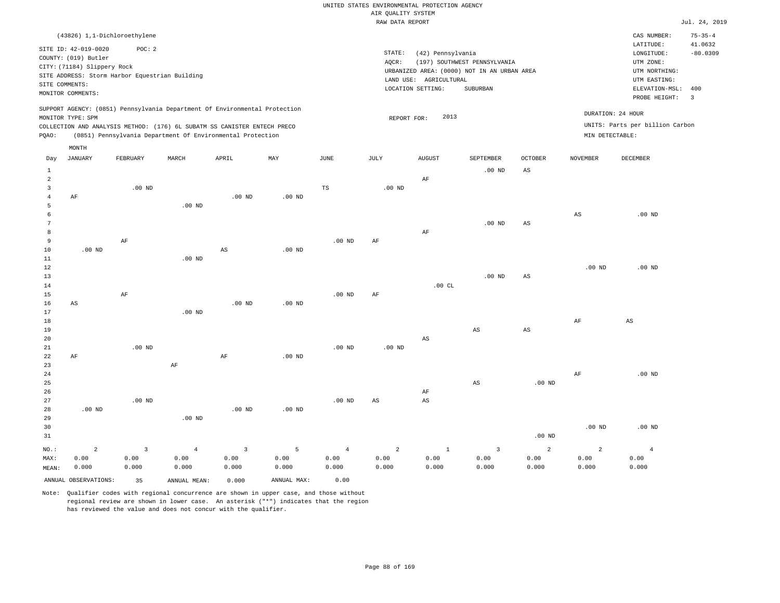|                |                                                                                                  |                                                          |                                                                                                                                        |                   |                   |                       | RAW DATA REPORT   |                                                                  |                                                                                         |                        |                   |                                                                                                              | Jul. 24, 2019                           |
|----------------|--------------------------------------------------------------------------------------------------|----------------------------------------------------------|----------------------------------------------------------------------------------------------------------------------------------------|-------------------|-------------------|-----------------------|-------------------|------------------------------------------------------------------|-----------------------------------------------------------------------------------------|------------------------|-------------------|--------------------------------------------------------------------------------------------------------------|-----------------------------------------|
|                | (43826) 1,1-Dichloroethylene                                                                     |                                                          |                                                                                                                                        |                   |                   |                       |                   |                                                                  |                                                                                         |                        |                   | CAS NUMBER:                                                                                                  | $75 - 35 - 4$                           |
| SITE COMMENTS: | SITE ID: 42-019-0020<br>COUNTY: (019) Butler<br>CITY: (71184) Slippery Rock<br>MONITOR COMMENTS: | POC: 2<br>SITE ADDRESS: Storm Harbor Equestrian Building |                                                                                                                                        |                   |                   |                       | STATE:<br>AQCR:   | (42) Pennsylvania<br>LAND USE: AGRICULTURAL<br>LOCATION SETTING: | (197) SOUTHWEST PENNSYLVANIA<br>URBANIZED AREA: (0000) NOT IN AN URBAN AREA<br>SUBURBAN |                        |                   | LATITUDE:<br>LONGITUDE:<br>UTM ZONE:<br>UTM NORTHING:<br>UTM EASTING:<br>ELEVATION-MSL: 400<br>PROBE HEIGHT: | 41.0632<br>$-80.0309$<br>$\overline{3}$ |
|                |                                                                                                  |                                                          | SUPPORT AGENCY: (0851) Pennsylvania Department Of Environmental Protection                                                             |                   |                   |                       |                   |                                                                  |                                                                                         |                        |                   | DURATION: 24 HOUR                                                                                            |                                         |
|                | MONITOR TYPE: SPM                                                                                |                                                          |                                                                                                                                        |                   |                   |                       | REPORT FOR:       | 2013                                                             |                                                                                         |                        |                   | UNITS: Parts per billion Carbon                                                                              |                                         |
| PQAO:          |                                                                                                  |                                                          | COLLECTION AND ANALYSIS METHOD: (176) 6L SUBATM SS CANISTER ENTECH PRECO<br>(0851) Pennsylvania Department Of Environmental Protection |                   |                   |                       |                   |                                                                  |                                                                                         |                        | MIN DETECTABLE:   |                                                                                                              |                                         |
|                |                                                                                                  |                                                          |                                                                                                                                        |                   |                   |                       |                   |                                                                  |                                                                                         |                        |                   |                                                                                                              |                                         |
| Day            | MONTH<br><b>JANUARY</b>                                                                          | FEBRUARY                                                 | MARCH                                                                                                                                  | APRIL             | MAY               | $\operatorname{JUNE}$ | JULY              | AUGUST                                                           | SEPTEMBER                                                                               | <b>OCTOBER</b>         | <b>NOVEMBER</b>   | DECEMBER                                                                                                     |                                         |
| $\mathbf{1}$   |                                                                                                  |                                                          |                                                                                                                                        |                   |                   |                       |                   |                                                                  | $.00$ ND                                                                                | $\mathbb{A}\mathbb{S}$ |                   |                                                                                                              |                                         |
| $\overline{a}$ |                                                                                                  |                                                          |                                                                                                                                        |                   |                   |                       |                   | AF                                                               |                                                                                         |                        |                   |                                                                                                              |                                         |
| $\overline{3}$ |                                                                                                  | $.00$ ND                                                 |                                                                                                                                        |                   |                   | $\mathbb{TS}$         | .00 <sub>ND</sub> |                                                                  |                                                                                         |                        |                   |                                                                                                              |                                         |
| $\overline{4}$ | AF                                                                                               |                                                          |                                                                                                                                        | $.00$ ND          | $.00$ ND          |                       |                   |                                                                  |                                                                                         |                        |                   |                                                                                                              |                                         |
| 5              |                                                                                                  |                                                          | $.00$ ND                                                                                                                               |                   |                   |                       |                   |                                                                  |                                                                                         |                        |                   |                                                                                                              |                                         |
| 6<br>7         |                                                                                                  |                                                          |                                                                                                                                        |                   |                   |                       |                   |                                                                  | $.00$ ND                                                                                | $_{\rm AS}$            | $_{\rm AS}$       | $.00$ ND                                                                                                     |                                         |
| 8              |                                                                                                  |                                                          |                                                                                                                                        |                   |                   |                       |                   | AF                                                               |                                                                                         |                        |                   |                                                                                                              |                                         |
| $\overline{9}$ |                                                                                                  | $\rm AF$                                                 |                                                                                                                                        |                   |                   | .00 <sub>ND</sub>     | AF                |                                                                  |                                                                                         |                        |                   |                                                                                                              |                                         |
| 10             | $.00$ ND                                                                                         |                                                          |                                                                                                                                        | $_{\rm AS}$       | $.00$ ND          |                       |                   |                                                                  |                                                                                         |                        |                   |                                                                                                              |                                         |
| $11\,$         |                                                                                                  |                                                          | $.00$ ND                                                                                                                               |                   |                   |                       |                   |                                                                  |                                                                                         |                        |                   |                                                                                                              |                                         |
| 12             |                                                                                                  |                                                          |                                                                                                                                        |                   |                   |                       |                   |                                                                  |                                                                                         |                        | .00 <sub>ND</sub> | .00 <sub>ND</sub>                                                                                            |                                         |
| 13             |                                                                                                  |                                                          |                                                                                                                                        |                   |                   |                       |                   |                                                                  | $.00$ ND                                                                                | $_{\rm AS}$            |                   |                                                                                                              |                                         |
| 14<br>15       |                                                                                                  | AF                                                       |                                                                                                                                        |                   |                   | $.00$ ND              | AF                | .00CL                                                            |                                                                                         |                        |                   |                                                                                                              |                                         |
| 16             | AS                                                                                               |                                                          |                                                                                                                                        | $.00$ ND          | $.00$ ND          |                       |                   |                                                                  |                                                                                         |                        |                   |                                                                                                              |                                         |
| 17             |                                                                                                  |                                                          | .00 <sub>ND</sub>                                                                                                                      |                   |                   |                       |                   |                                                                  |                                                                                         |                        |                   |                                                                                                              |                                         |
| 18             |                                                                                                  |                                                          |                                                                                                                                        |                   |                   |                       |                   |                                                                  |                                                                                         |                        | AF                | $_{\rm AS}$                                                                                                  |                                         |
| 19             |                                                                                                  |                                                          |                                                                                                                                        |                   |                   |                       |                   |                                                                  | AS                                                                                      | AS                     |                   |                                                                                                              |                                         |
| 20             |                                                                                                  |                                                          |                                                                                                                                        |                   |                   |                       |                   | $\mathbb{A}\mathbb{S}$                                           |                                                                                         |                        |                   |                                                                                                              |                                         |
| 21<br>22       | AF                                                                                               | $.00$ ND                                                 |                                                                                                                                        | AF                | .00 <sub>ND</sub> | $.00$ ND              | $.00$ ND          |                                                                  |                                                                                         |                        |                   |                                                                                                              |                                         |
| 23             |                                                                                                  |                                                          | $\rm{AF}$                                                                                                                              |                   |                   |                       |                   |                                                                  |                                                                                         |                        |                   |                                                                                                              |                                         |
| 24             |                                                                                                  |                                                          |                                                                                                                                        |                   |                   |                       |                   |                                                                  |                                                                                         |                        | AF                | $.00$ ND                                                                                                     |                                         |
| 25             |                                                                                                  |                                                          |                                                                                                                                        |                   |                   |                       |                   |                                                                  | $_{\rm AS}$                                                                             | $.00$ ND               |                   |                                                                                                              |                                         |
| 26             |                                                                                                  |                                                          |                                                                                                                                        |                   |                   |                       |                   | AF                                                               |                                                                                         |                        |                   |                                                                                                              |                                         |
| 27             |                                                                                                  | $.00$ ND                                                 |                                                                                                                                        |                   |                   | $.00$ ND              | AS                | AS                                                               |                                                                                         |                        |                   |                                                                                                              |                                         |
| 28<br>29       | .00 <sub>ND</sub>                                                                                |                                                          | $.00$ ND                                                                                                                               | .00 <sub>ND</sub> | $.00$ ND          |                       |                   |                                                                  |                                                                                         |                        |                   |                                                                                                              |                                         |
| 30             |                                                                                                  |                                                          |                                                                                                                                        |                   |                   |                       |                   |                                                                  |                                                                                         |                        | $.00$ ND          | $.00$ ND                                                                                                     |                                         |
| 31             |                                                                                                  |                                                          |                                                                                                                                        |                   |                   |                       |                   |                                                                  |                                                                                         | .00 <sub>ND</sub>      |                   |                                                                                                              |                                         |
| NO.:           | $\overline{a}$                                                                                   | $\overline{3}$                                           | $\overline{4}$                                                                                                                         | $\overline{3}$    | 5                 | $\overline{4}$        | $\overline{a}$    | $1\,$                                                            | $\overline{\mathbf{3}}$                                                                 | 2                      | $\overline{a}$    | $\overline{4}$                                                                                               |                                         |
| MAX:           | 0.00                                                                                             | 0.00                                                     | 0.00                                                                                                                                   | 0.00              | 0.00              | 0.00                  | 0.00              | 0.00                                                             | 0.00                                                                                    | 0.00                   | 0.00              | 0.00                                                                                                         |                                         |
| MEAN:          | 0.000                                                                                            | 0.000                                                    | 0.000                                                                                                                                  | 0.000             | 0.000             | 0.000                 | 0.000             | 0.000                                                            | 0.000                                                                                   | 0.000                  | 0.000             | 0.000                                                                                                        |                                         |
|                | ANNUAL OBSERVATIONS:                                                                             | 35                                                       | ANNUAL MEAN:                                                                                                                           | 0.000             | ANNUAL MAX:       | 0.00                  |                   |                                                                  |                                                                                         |                        |                   |                                                                                                              |                                         |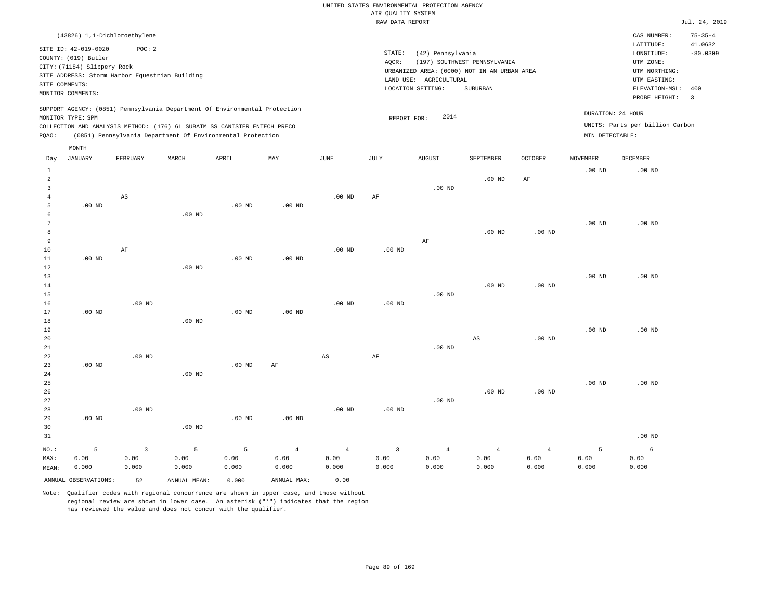|                |                             | (43826) 1,1-Dichloroethylene                   |       |                                                                          |                                                                            |      |        |                                             |                              |                |                 | CAS NUMBER:                     | $75 - 35 - 4$ |
|----------------|-----------------------------|------------------------------------------------|-------|--------------------------------------------------------------------------|----------------------------------------------------------------------------|------|--------|---------------------------------------------|------------------------------|----------------|-----------------|---------------------------------|---------------|
|                | SITE ID: 42-019-0020        | POC:2                                          |       |                                                                          |                                                                            |      |        |                                             |                              |                |                 | LATITUDE:                       | 41.0632       |
|                |                             |                                                |       |                                                                          |                                                                            |      | STATE: | (42) Pennsylvania                           |                              |                |                 | LONGITUDE:                      | $-80.0309$    |
|                | COUNTY: (019) Butler        |                                                |       |                                                                          |                                                                            |      | AQCR:  |                                             | (197) SOUTHWEST PENNSYLVANIA |                |                 | UTM ZONE:                       |               |
|                | CITY: (71184) Slippery Rock | SITE ADDRESS: Storm Harbor Equestrian Building |       |                                                                          |                                                                            |      |        | URBANIZED AREA: (0000) NOT IN AN URBAN AREA |                              |                |                 | UTM NORTHING:                   |               |
| SITE COMMENTS: |                             |                                                |       |                                                                          |                                                                            |      |        | AGRICULTURAL<br>LAND USE:                   |                              |                |                 | UTM EASTING:                    |               |
|                | MONITOR COMMENTS:           |                                                |       |                                                                          |                                                                            |      |        | LOCATION SETTING:                           | SUBURBAN                     |                |                 | ELEVATION-MSL: 400              |               |
|                |                             |                                                |       |                                                                          |                                                                            |      |        |                                             |                              |                |                 | PROBE HEIGHT:                   | - 3           |
|                | MONITOR TYPE: SPM           |                                                |       |                                                                          | SUPPORT AGENCY: (0851) Pennsylvania Department Of Environmental Protection |      |        | 2014<br>REPORT FOR:                         |                              |                |                 | DURATION: 24 HOUR               |               |
|                |                             |                                                |       | COLLECTION AND ANALYSIS METHOD: (176) 6L SUBATM SS CANISTER ENTECH PRECO |                                                                            |      |        |                                             |                              |                |                 | UNITS: Parts per billion Carbon |               |
| POAO:          |                             |                                                |       | (0851) Pennsylvania Department Of Environmental Protection               |                                                                            |      |        |                                             |                              |                | MIN DETECTABLE: |                                 |               |
|                | MONTH                       |                                                |       |                                                                          |                                                                            |      |        |                                             |                              |                |                 |                                 |               |
| Day            | JANUARY                     | FEBRUARY                                       | MARCH | APRIL                                                                    | MAY                                                                        | JUNE | JULY   | <b>AUGUST</b>                               | SEPTEMBER                    | <b>OCTOBER</b> | <b>NOVEMBER</b> | <b>DECEMBER</b>                 |               |
|                |                             |                                                |       |                                                                          |                                                                            |      |        |                                             |                              |                | $.00$ ND        | $.00$ ND                        |               |
| 2              |                             |                                                |       |                                                                          |                                                                            |      |        |                                             | $.00$ ND                     | ΑF             |                 |                                 |               |
|                |                             |                                                |       |                                                                          |                                                                            |      |        | $.00$ ND                                    |                              |                |                 |                                 |               |

| $\mathbf{b}$ | $.00$ ND |    |          | $.00$ ND | $.00$ ND |          |          |    |          |          |          |          |
|--------------|----------|----|----------|----------|----------|----------|----------|----|----------|----------|----------|----------|
| 6            |          |    | $.00$ ND |          |          |          |          |    |          |          |          |          |
| 7            |          |    |          |          |          |          |          |    |          |          | $.00$ ND | $.00$ ND |
| 8            |          |    |          |          |          |          |          |    | $.00$ ND | $.00$ ND |          |          |
| 9            |          |    |          |          |          |          |          | AF |          |          |          |          |
| 10           |          | AF |          |          |          | $.00$ ND | $.00$ ND |    |          |          |          |          |
| 11           | $.00$ ND |    |          | $.00$ ND | $.00$ ND |          |          |    |          |          |          |          |
| 12           |          |    | $.00$ ND |          |          |          |          |    |          |          |          |          |
| 13           |          |    |          |          |          |          |          |    |          |          | $.00$ ND | $.00$ ND |

.00 ND AF

| 14 |                   |          |                   |          |          |                   |          |          | $.00$ ND | .00 <sub>ND</sub> |          |          |
|----|-------------------|----------|-------------------|----------|----------|-------------------|----------|----------|----------|-------------------|----------|----------|
| 15 |                   |          |                   |          |          |                   |          | $.00$ ND |          |                   |          |          |
| 16 |                   | $.00$ ND |                   |          |          | .00 <sub>ND</sub> | $.00$ ND |          |          |                   |          |          |
| 17 | .00 <sub>ND</sub> |          |                   | $.00$ ND | $.00$ ND |                   |          |          |          |                   |          |          |
| 18 |                   |          | .00 <sub>ND</sub> |          |          |                   |          |          |          |                   |          |          |
| 19 |                   |          |                   |          |          |                   |          |          |          |                   | $.00$ ND | $.00$ ND |

| 20 |          |          |          |          |    |    |           |          | AS | $.00$ ND |          |          |
|----|----------|----------|----------|----------|----|----|-----------|----------|----|----------|----------|----------|
| 21 |          |          |          |          |    |    |           | $.00$ ND |    |          |          |          |
| 22 |          | $.00$ ND |          |          |    | AS | $\rm{AF}$ |          |    |          |          |          |
| 23 | $.00$ ND |          |          | $.00$ ND | AF |    |           |          |    |          |          |          |
| 24 |          |          | $.00$ ND |          |    |    |           |          |    |          |          |          |
| 25 |          |          |          |          |    |    |           |          |    |          | $.00$ ND | $.00$ ND |

| 26 |          |          |          |          |          |          |          |          | $.00$ ND | $.00$ ND |          |
|----|----------|----------|----------|----------|----------|----------|----------|----------|----------|----------|----------|
| 27 |          |          |          |          |          |          |          | $.00$ ND |          |          |          |
| 28 |          | $.00$ ND |          |          |          | $.00$ ND | $.00$ ND |          |          |          |          |
| 29 | $.00$ ND |          |          | $.00$ ND | $.00$ ND |          |          |          |          |          |          |
| 30 |          |          | $.00$ ND |          |          |          |          |          |          |          |          |
| 31 |          |          |          |          |          |          |          |          |          |          | $.00$ ND |
|    |          |          |          |          |          |          |          |          |          |          |          |

| NO.:  |                      |       | $5$ 3 5 5 4 4 3 4 4 |       |             |       |       |       |       | 4     |       |       |
|-------|----------------------|-------|---------------------|-------|-------------|-------|-------|-------|-------|-------|-------|-------|
| MAX:  | 0.00                 | 0.00  | 0.00                | 0.00  | 0.00        | 0.00  | 0.00  | 0.00  | 0.00  | 0.00  | 0.00  | 0.00  |
| MEAN: | 0.000                | 0.000 | 0.000               | 0.000 | 0.000       | 0.000 | 0.000 | 0.000 | 0.000 | 0.000 | 0.000 | 0.000 |
|       | ANNUAL OBSERVATIONS: | 52    | ANNUAL MEAN:        | 0.000 | ANNUAL MAX: | 0.00  |       |       |       |       |       |       |

Note: Qualifier codes with regional concurrence are shown in upper case, and those without regional review are shown in lower case. An asterisk ("\*") indicates that the region has reviewed the value and does not concur with the qualifier.

4

AS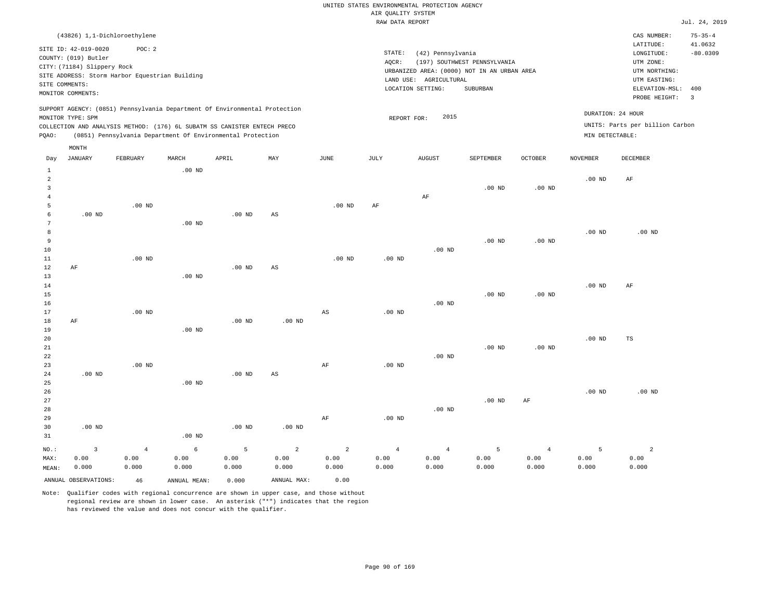|                |                                                                                                                    |                                                                                                                                                                                                                      |          |          |     |          |                 | RAW DATA REPORT                                                                                                 |                                          |                   |                   |                                                                                                          | Jul. 24, 2019                                            |
|----------------|--------------------------------------------------------------------------------------------------------------------|----------------------------------------------------------------------------------------------------------------------------------------------------------------------------------------------------------------------|----------|----------|-----|----------|-----------------|-----------------------------------------------------------------------------------------------------------------|------------------------------------------|-------------------|-------------------|----------------------------------------------------------------------------------------------------------|----------------------------------------------------------|
|                |                                                                                                                    | (43826) 1,1-Dichloroethylene                                                                                                                                                                                         |          |          |     |          |                 |                                                                                                                 |                                          |                   |                   | CAS NUMBER:                                                                                              | $75 - 35 - 4$                                            |
|                | SITE ID: 42-019-0020<br>COUNTY: (019) Butler<br>CITY: (71184) Slippery Rock<br>SITE COMMENTS:<br>MONITOR COMMENTS: | POC: 2<br>SITE ADDRESS: Storm Harbor Equestrian Building                                                                                                                                                             |          |          |     |          | STATE:<br>AOCR: | (42) Pennsylvania<br>URBANIZED AREA: (0000) NOT IN AN URBAN AREA<br>LAND USE: AGRICULTURAL<br>LOCATION SETTING: | (197) SOUTHWEST PENNSYLVANIA<br>SUBURBAN |                   |                   | LATITUDE:<br>LONGITUDE:<br>UTM ZONE:<br>UTM NORTHING:<br>UTM EASTING:<br>ELEVATION-MSL:<br>PROBE HEIGHT: | 41.0632<br>$-80.0309$<br>400<br>$\overline{\phantom{a}}$ |
| POAO:          | MONITOR TYPE: SPM                                                                                                  | SUPPORT AGENCY: (0851) Pennsylvania Department Of Environmental Protection<br>COLLECTION AND ANALYSIS METHOD: (176) 6L SUBATM SS CANISTER ENTECH PRECO<br>(0851) Pennsylvania Department Of Environmental Protection |          |          |     |          |                 | 2015<br>REPORT FOR:                                                                                             |                                          |                   | MIN DETECTABLE:   | DURATION: 24 HOUR<br>UNITS: Parts per billion Carbon                                                     |                                                          |
| Day            | MONTH<br>JANUARY                                                                                                   | FEBRUARY                                                                                                                                                                                                             | MARCH    | APRIL    | MAY | JUNE     | JULY            | <b>AUGUST</b>                                                                                                   | SEPTEMBER                                | <b>OCTOBER</b>    | <b>NOVEMBER</b>   | DECEMBER                                                                                                 |                                                          |
| $\mathfrak{D}$ |                                                                                                                    |                                                                                                                                                                                                                      | $.00$ ND |          |     |          |                 |                                                                                                                 | $.00$ ND                                 | .00 <sub>ND</sub> | $.00$ ND          | AF                                                                                                       |                                                          |
|                |                                                                                                                    | $.00$ ND                                                                                                                                                                                                             |          |          |     | $.00$ ND | AF              | AF                                                                                                              |                                          |                   |                   |                                                                                                          |                                                          |
| 6              | .00 <sub>ND</sub>                                                                                                  |                                                                                                                                                                                                                      | $.00$ ND | $.00$ ND | AS  |          |                 |                                                                                                                 |                                          |                   |                   |                                                                                                          |                                                          |
| 8<br>$\sim$    |                                                                                                                    |                                                                                                                                                                                                                      |          |          |     |          |                 |                                                                                                                 | 0.0.375                                  | 00 <sub>1</sub>   | .00 <sub>ND</sub> | $.00$ ND                                                                                                 |                                                          |

| $\sim$      |           |          | $\cdot$ $\circ$ $\cdot$ $\cdot$ |          |          |          |          |          |          |          |          |          |
|-------------|-----------|----------|---------------------------------|----------|----------|----------|----------|----------|----------|----------|----------|----------|
| $^{\rm 8}$  |           |          |                                 |          |          |          |          |          |          |          | $.00$ ND | $.00$ ND |
| 9           |           |          |                                 |          |          |          |          |          | $.00$ ND | $.00$ ND |          |          |
| 10          |           |          |                                 |          |          |          |          | $.00$ ND |          |          |          |          |
| $11\,$      |           | $.00$ ND |                                 |          |          | $.00$ ND | $.00$ ND |          |          |          |          |          |
| $1\,2$      | AF        |          |                                 | $.00$ ND | AS       |          |          |          |          |          |          |          |
| 13          |           |          | $.00$ ND                        |          |          |          |          |          |          |          |          |          |
| $14$        |           |          |                                 |          |          |          |          |          |          |          | $.00$ ND | AF       |
| 15          |           |          |                                 |          |          |          |          |          | $.00$ ND | $.00$ ND |          |          |
| 16          |           |          |                                 |          |          |          |          | $.00$ ND |          |          |          |          |
| 17          |           | .00 $ND$ |                                 |          |          | AS       | $.00$ ND |          |          |          |          |          |
| 18          | $\rm{AF}$ |          |                                 | $.00$ ND | $.00$ ND |          |          |          |          |          |          |          |
| 19          |           |          | $.00$ ND                        |          |          |          |          |          |          |          |          |          |
| 20          |           |          |                                 |          |          |          |          |          |          |          | $.00$ ND | TS       |
| $2\sqrt{1}$ |           |          |                                 |          |          |          |          |          | $.00$ ND | .00 $ND$ |          |          |
| 22          |           |          |                                 |          |          |          |          | $.00$ ND |          |          |          |          |
| 23          |           | $.00$ ND |                                 |          |          | AF       | $.00$ ND |          |          |          |          |          |
| 24          | $.00$ ND  |          |                                 | $.00$ ND | AS       |          |          |          |          |          |          |          |
| 25          |           |          | $.00$ ND                        |          |          |          |          |          |          |          |          |          |
| 26          |           |          |                                 |          |          |          |          |          |          |          | $.00$ ND | $.00$ ND |
| 27          |           |          |                                 |          |          |          |          |          | $.00$ ND | AF       |          |          |

| 27    |          |       |          |          |          |       |          |          | $.00$ ND | AF    |       |       |
|-------|----------|-------|----------|----------|----------|-------|----------|----------|----------|-------|-------|-------|
| 28    |          |       |          |          |          |       |          | $.00$ ND |          |       |       |       |
| 29    |          |       |          |          |          | AF    | $.00$ ND |          |          |       |       |       |
| 30    | $.00$ ND |       |          | $.00$ ND | $.00$ ND |       |          |          |          |       |       |       |
| 31    |          |       | $.00$ ND |          |          |       |          |          |          |       |       |       |
| NO.:  |          | -4    | 6        |          | 2        | 2     | 4        |          |          |       |       | 2     |
| MAX:  | 0.00     | 0.00  | 0.00     | 0.00     | 0.00     | 0.00  | 0.00     | 0.00     | 0.00     | 0.00  | 0.00  | 0.00  |
| MEAN: | 0.000    | 0.000 | 0.000    | 0.000    | 0.000    | 0.000 | 0.000    | 0.000    | 0.000    | 0.000 | 0.000 | 0.000 |

ANNUAL OBSERVATIONS: 46 ANNUAL MEAN: 0.000 ANNUAL MAX: 0.00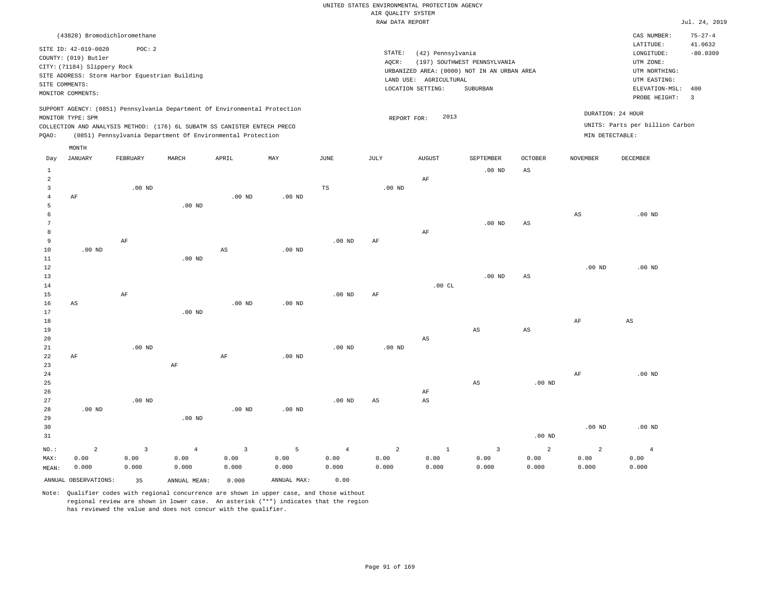|                |                                                                                                  |                                                          |                                                                            |                   |                   |                        | RAW DATA REPORT   |                                                                  |                                                                                         |                        |                   |                                                                                                              | Jul. 24, 2019                           |
|----------------|--------------------------------------------------------------------------------------------------|----------------------------------------------------------|----------------------------------------------------------------------------|-------------------|-------------------|------------------------|-------------------|------------------------------------------------------------------|-----------------------------------------------------------------------------------------|------------------------|-------------------|--------------------------------------------------------------------------------------------------------------|-----------------------------------------|
|                | (43828) Bromodichloromethane                                                                     |                                                          |                                                                            |                   |                   |                        |                   |                                                                  |                                                                                         |                        |                   | CAS NUMBER:                                                                                                  | $75 - 27 - 4$                           |
| SITE COMMENTS: | SITE ID: 42-019-0020<br>COUNTY: (019) Butler<br>CITY: (71184) Slippery Rock<br>MONITOR COMMENTS: | POC: 2<br>SITE ADDRESS: Storm Harbor Equestrian Building |                                                                            |                   |                   |                        | STATE:<br>AQCR:   | (42) Pennsylvania<br>LAND USE: AGRICULTURAL<br>LOCATION SETTING: | (197) SOUTHWEST PENNSYLVANIA<br>URBANIZED AREA: (0000) NOT IN AN URBAN AREA<br>SUBURBAN |                        |                   | LATITUDE:<br>LONGITUDE:<br>UTM ZONE:<br>UTM NORTHING:<br>UTM EASTING:<br>ELEVATION-MSL: 400<br>PROBE HEIGHT: | 41.0632<br>$-80.0309$<br>$\overline{3}$ |
|                |                                                                                                  |                                                          | SUPPORT AGENCY: (0851) Pennsylvania Department Of Environmental Protection |                   |                   |                        |                   |                                                                  |                                                                                         |                        |                   | DURATION: 24 HOUR                                                                                            |                                         |
|                | MONITOR TYPE: SPM                                                                                |                                                          | COLLECTION AND ANALYSIS METHOD: (176) 6L SUBATM SS CANISTER ENTECH PRECO   |                   |                   |                        | REPORT FOR:       | 2013                                                             |                                                                                         |                        |                   | UNITS: Parts per billion Carbon                                                                              |                                         |
| PQAO:          |                                                                                                  |                                                          | (0851) Pennsylvania Department Of Environmental Protection                 |                   |                   |                        |                   |                                                                  |                                                                                         |                        | MIN DETECTABLE:   |                                                                                                              |                                         |
|                | MONTH                                                                                            |                                                          |                                                                            |                   |                   |                        |                   |                                                                  |                                                                                         |                        |                   |                                                                                                              |                                         |
| Day            | <b>JANUARY</b>                                                                                   | FEBRUARY                                                 | MARCH                                                                      | APRIL             | MAY               | $\operatorname{JUNE}$  | JULY              | AUGUST                                                           | SEPTEMBER                                                                               | <b>OCTOBER</b>         | <b>NOVEMBER</b>   | DECEMBER                                                                                                     |                                         |
| $\mathbf{1}$   |                                                                                                  |                                                          |                                                                            |                   |                   |                        |                   |                                                                  | $.00$ ND                                                                                | $\mathbb{A}\mathbb{S}$ |                   |                                                                                                              |                                         |
| $\overline{a}$ |                                                                                                  |                                                          |                                                                            |                   |                   |                        |                   | AF                                                               |                                                                                         |                        |                   |                                                                                                              |                                         |
| $\overline{3}$ |                                                                                                  | $.00$ ND                                                 |                                                                            |                   |                   | $\mathbb{TS}$          | .00 <sub>ND</sub> |                                                                  |                                                                                         |                        |                   |                                                                                                              |                                         |
| $\overline{4}$ | AF                                                                                               |                                                          |                                                                            | $.00$ ND          | $.00$ ND          |                        |                   |                                                                  |                                                                                         |                        |                   |                                                                                                              |                                         |
| 5              |                                                                                                  |                                                          | $.00$ ND                                                                   |                   |                   |                        |                   |                                                                  |                                                                                         |                        |                   |                                                                                                              |                                         |
| 6<br>7         |                                                                                                  |                                                          |                                                                            |                   |                   |                        |                   |                                                                  | $.00$ ND                                                                                | $_{\rm AS}$            | $_{\rm AS}$       | $.00$ ND                                                                                                     |                                         |
| 8              |                                                                                                  |                                                          |                                                                            |                   |                   |                        |                   | AF                                                               |                                                                                         |                        |                   |                                                                                                              |                                         |
| $\overline{9}$ |                                                                                                  | $\rm AF$                                                 |                                                                            |                   |                   | .00 <sub>ND</sub>      | AF                |                                                                  |                                                                                         |                        |                   |                                                                                                              |                                         |
| 10             | $.00$ ND                                                                                         |                                                          |                                                                            | $_{\rm AS}$       | $.00$ ND          |                        |                   |                                                                  |                                                                                         |                        |                   |                                                                                                              |                                         |
| $11\,$         |                                                                                                  |                                                          | $.00$ ND                                                                   |                   |                   |                        |                   |                                                                  |                                                                                         |                        |                   |                                                                                                              |                                         |
| 12             |                                                                                                  |                                                          |                                                                            |                   |                   |                        |                   |                                                                  |                                                                                         |                        | .00 <sub>ND</sub> | .00 <sub>ND</sub>                                                                                            |                                         |
| 13             |                                                                                                  |                                                          |                                                                            |                   |                   |                        |                   |                                                                  | $.00$ ND                                                                                | $_{\rm AS}$            |                   |                                                                                                              |                                         |
| 14             |                                                                                                  |                                                          |                                                                            |                   |                   |                        |                   | .00CL                                                            |                                                                                         |                        |                   |                                                                                                              |                                         |
| 15             |                                                                                                  | AF                                                       |                                                                            |                   |                   | $.00$ ND               | AF                |                                                                  |                                                                                         |                        |                   |                                                                                                              |                                         |
| 16             | AS                                                                                               |                                                          | .00 <sub>ND</sub>                                                          | $.00$ ND          | $.00$ ND          |                        |                   |                                                                  |                                                                                         |                        |                   |                                                                                                              |                                         |
| 17<br>18       |                                                                                                  |                                                          |                                                                            |                   |                   |                        |                   |                                                                  |                                                                                         |                        | AF                | $_{\rm AS}$                                                                                                  |                                         |
| 19             |                                                                                                  |                                                          |                                                                            |                   |                   |                        |                   |                                                                  | AS                                                                                      | AS                     |                   |                                                                                                              |                                         |
| 20             |                                                                                                  |                                                          |                                                                            |                   |                   |                        |                   | $\mathbb{A}\mathbb{S}$                                           |                                                                                         |                        |                   |                                                                                                              |                                         |
| 21             |                                                                                                  | $.00$ ND                                                 |                                                                            |                   |                   | $.00$ ND               | $.00$ ND          |                                                                  |                                                                                         |                        |                   |                                                                                                              |                                         |
| 22             | AF                                                                                               |                                                          |                                                                            | AF                | .00 <sub>ND</sub> |                        |                   |                                                                  |                                                                                         |                        |                   |                                                                                                              |                                         |
| 23             |                                                                                                  |                                                          | $\rm{AF}$                                                                  |                   |                   |                        |                   |                                                                  |                                                                                         |                        |                   |                                                                                                              |                                         |
| 24             |                                                                                                  |                                                          |                                                                            |                   |                   |                        |                   |                                                                  |                                                                                         |                        | AF                | $.00$ ND                                                                                                     |                                         |
| 25             |                                                                                                  |                                                          |                                                                            |                   |                   |                        |                   |                                                                  | $_{\rm AS}$                                                                             | $.00$ ND               |                   |                                                                                                              |                                         |
| 26             |                                                                                                  |                                                          |                                                                            |                   |                   |                        |                   | AF                                                               |                                                                                         |                        |                   |                                                                                                              |                                         |
| 27<br>28       | .00 <sub>ND</sub>                                                                                | $.00$ ND                                                 |                                                                            | .00 <sub>ND</sub> | $.00$ ND          | $.00$ ND               | AS                | AS                                                               |                                                                                         |                        |                   |                                                                                                              |                                         |
| 29             |                                                                                                  |                                                          | $.00$ ND                                                                   |                   |                   |                        |                   |                                                                  |                                                                                         |                        |                   |                                                                                                              |                                         |
| 30             |                                                                                                  |                                                          |                                                                            |                   |                   |                        |                   |                                                                  |                                                                                         |                        | .00 <sub>ND</sub> | $.00$ ND                                                                                                     |                                         |
| 31             |                                                                                                  |                                                          |                                                                            |                   |                   |                        |                   |                                                                  |                                                                                         | .00 <sub>ND</sub>      |                   |                                                                                                              |                                         |
| NO.:           | $\overline{a}$                                                                                   | $\overline{3}$                                           | $\overline{4}$                                                             | $\overline{3}$    | 5                 |                        | $\overline{a}$    | $1\,$                                                            | $\overline{3}$                                                                          | 2                      | $\overline{a}$    |                                                                                                              |                                         |
| MAX:           | 0.00                                                                                             | 0.00                                                     | 0.00                                                                       | 0.00              | 0.00              | $\overline{4}$<br>0.00 | 0.00              | 0.00                                                             | 0.00                                                                                    | 0.00                   | 0.00              | $\overline{4}$<br>0.00                                                                                       |                                         |
| MEAN:          | 0.000                                                                                            | 0.000                                                    | 0.000                                                                      | 0.000             | 0.000             | 0.000                  | 0.000             | 0.000                                                            | 0.000                                                                                   | 0.000                  | 0.000             | 0.000                                                                                                        |                                         |
|                | ANNUAL OBSERVATIONS:                                                                             | 35                                                       | ANNUAL MEAN:                                                               | 0.000             | ANNUAL MAX:       | 0.00                   |                   |                                                                  |                                                                                         |                        |                   |                                                                                                              |                                         |
|                |                                                                                                  |                                                          |                                                                            |                   |                   |                        |                   |                                                                  |                                                                                         |                        |                   |                                                                                                              |                                         |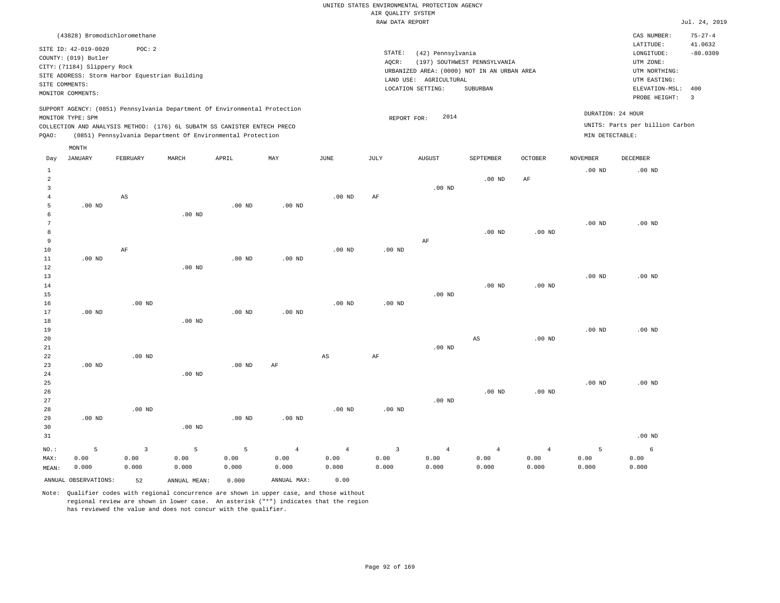|                   |                                                                                                                    |                              |                                                |                                                                                                                                                                                                                      |          |                   |                 | RAW DATA REPORT                                                                                                 |                                          |                |                                      |                                                                                                          | Jul. 24, 2019                                            |
|-------------------|--------------------------------------------------------------------------------------------------------------------|------------------------------|------------------------------------------------|----------------------------------------------------------------------------------------------------------------------------------------------------------------------------------------------------------------------|----------|-------------------|-----------------|-----------------------------------------------------------------------------------------------------------------|------------------------------------------|----------------|--------------------------------------|----------------------------------------------------------------------------------------------------------|----------------------------------------------------------|
|                   |                                                                                                                    | (43828) Bromodichloromethane |                                                |                                                                                                                                                                                                                      |          |                   |                 |                                                                                                                 |                                          |                |                                      | CAS NUMBER:                                                                                              | $75 - 27 - 4$                                            |
|                   | SITE ID: 42-019-0020<br>COUNTY: (019) Butler<br>CITY: (71184) Slippery Rock<br>SITE COMMENTS:<br>MONITOR COMMENTS: | POC:2                        | SITE ADDRESS: Storm Harbor Equestrian Building |                                                                                                                                                                                                                      |          |                   | STATE:<br>AOCR: | (42) Pennsylvania<br>URBANIZED AREA: (0000) NOT IN AN URBAN AREA<br>LAND USE: AGRICULTURAL<br>LOCATION SETTING: | (197) SOUTHWEST PENNSYLVANIA<br>SUBURBAN |                |                                      | LATITUDE:<br>LONGITUDE:<br>UTM ZONE:<br>UTM NORTHING:<br>UTM EASTING:<br>ELEVATION-MSL:<br>PROBE HEIGHT: | 41.0632<br>$-80.0309$<br>400<br>$\overline{\phantom{a}}$ |
| POAO:             | MONITOR TYPE: SPM                                                                                                  |                              |                                                | SUPPORT AGENCY: (0851) Pennsylvania Department Of Environmental Protection<br>COLLECTION AND ANALYSIS METHOD: (176) 6L SUBATM SS CANISTER ENTECH PRECO<br>(0851) Pennsylvania Department Of Environmental Protection |          |                   |                 | 2014<br>REPORT FOR:                                                                                             |                                          |                | DURATION: 24 HOUR<br>MIN DETECTABLE: | UNITS: Parts per billion Carbon                                                                          |                                                          |
| Day               | MONTH<br>JANUARY                                                                                                   | FEBRUARY                     | MARCH                                          | APRIL                                                                                                                                                                                                                | MAY      | JUNE              | JULY            | <b>AUGUST</b>                                                                                                   | <b>SEPTEMBER</b>                         | <b>OCTOBER</b> | <b>NOVEMBER</b>                      | DECEMBER                                                                                                 |                                                          |
|                   |                                                                                                                    | AS                           |                                                |                                                                                                                                                                                                                      |          | .00 <sub>ND</sub> | AF              | $.00$ ND                                                                                                        | $.00$ ND                                 | AF             | .00 <sub>ND</sub>                    | $.00$ ND                                                                                                 |                                                          |
| 5                 | $.00$ ND                                                                                                           |                              |                                                | $.00$ ND                                                                                                                                                                                                             | $.00$ ND |                   |                 |                                                                                                                 |                                          |                |                                      |                                                                                                          |                                                          |
| 6<br>$\mathbf{r}$ |                                                                                                                    |                              | $.00$ ND                                       |                                                                                                                                                                                                                      |          |                   |                 |                                                                                                                 |                                          |                | .00 <sub>ND</sub>                    | .00 <sub>ND</sub>                                                                                        |                                                          |

| $\mathbf{r}$ |          |          |          |          |          |          |          |          |          |          | $\cdot$ 00 $\cdot$ 132 | $\cdot$ $\circ$ $\cdot$ $\cdot$ $\cdot$ |
|--------------|----------|----------|----------|----------|----------|----------|----------|----------|----------|----------|------------------------|-----------------------------------------|
| 8            |          |          |          |          |          |          |          |          | $.00$ ND | $.00$ ND |                        |                                         |
| 9            |          |          |          |          |          |          |          | AF       |          |          |                        |                                         |
| 10           |          | AF       |          |          |          | $.00$ ND | $.00$ ND |          |          |          |                        |                                         |
| 11           | $.00$ ND |          |          | $.00$ ND | $.00$ ND |          |          |          |          |          |                        |                                         |
| 12           |          |          | $.00$ ND |          |          |          |          |          |          |          |                        |                                         |
| 13           |          |          |          |          |          |          |          |          |          |          | $.00$ ND               | $.00$ ND                                |
| 14           |          |          |          |          |          |          |          |          | $.00$ ND | $.00$ ND |                        |                                         |
| 15           |          |          |          |          |          |          |          | $.00$ ND |          |          |                        |                                         |
| 16           |          | $.00$ ND |          |          |          | $.00$ ND | $.00$ ND |          |          |          |                        |                                         |
| 17           | $.00$ ND |          |          | $.00$ ND | $.00$ ND |          |          |          |          |          |                        |                                         |
| 18           |          |          | $.00$ ND |          |          |          |          |          |          |          |                        |                                         |
| 19           |          |          |          |          |          |          |          |          |          |          | $.00$ ND               | $.00$ ND                                |
| 20           |          |          |          |          |          |          |          |          | AS       | $.00$ ND |                        |                                         |

| 21    |          |          |          |          |                |                |          | $.00$ ND |                |                |          |          |
|-------|----------|----------|----------|----------|----------------|----------------|----------|----------|----------------|----------------|----------|----------|
| 22    |          | $.00$ ND |          |          |                | AS             | AF       |          |                |                |          |          |
| 23    | $.00$ ND |          |          | $.00$ ND | AF             |                |          |          |                |                |          |          |
| 24    |          |          | $.00$ ND |          |                |                |          |          |                |                |          |          |
| 25    |          |          |          |          |                |                |          |          |                |                | $.00$ ND | $.00$ ND |
| 26    |          |          |          |          |                |                |          |          | $.00$ ND       | $.00$ ND       |          |          |
| 27    |          |          |          |          |                |                |          | $.00$ ND |                |                |          |          |
| 28    |          | $.00$ ND |          |          |                | $.00$ ND       | $.00$ ND |          |                |                |          |          |
| 29    | $.00$ ND |          |          | $.00$ ND | $.00$ ND       |                |          |          |                |                |          |          |
| 30    |          |          | $.00$ ND |          |                |                |          |          |                |                |          |          |
| 31    |          |          |          |          |                |                |          |          |                |                |          | $.00$ ND |
| NO.:  | 5        | 3        | 5        | 5        | $\overline{4}$ | $\overline{4}$ | 3        | 4        | $\overline{4}$ | $\overline{4}$ | 5        | 6        |
| MAX:  | 0.00     | 0.00     | 0.00     | 0.00     | 0.00           | 0.00           | 0.00     | 0.00     | 0.00           | 0.00           | 0.00     | 0.00     |
| MEAN: | 0.000    | 0.000    | 0.000    | 0.000    | 0.000          | 0.000          | 0.000    | 0.000    | 0.000          | 0.000          | 0.000    | 0.000    |

Note: Qualifier codes with regional concurrence are shown in upper case, and those without regional review are shown in lower case. An asterisk ("\*") indicates that the region has reviewed the value and does not concur with the qualifier.

ANNUAL OBSERVATIONS: 52 ANNUAL MEAN: 0.000 ANNUAL MAX: 0.00

MEAN: 0.000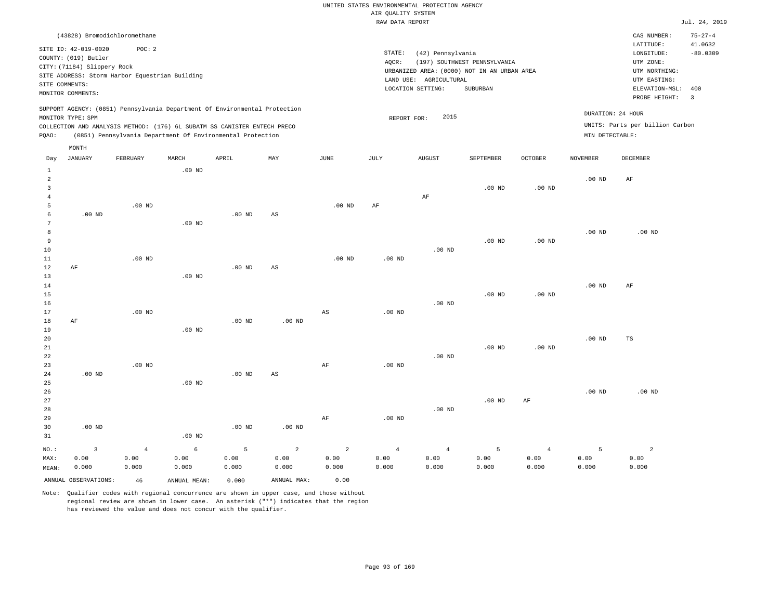|       |                             |                                                |          |                                                                            |     |          | RAW DATA REPORT |                        |                                             |                |                 |                                 | Jul. 24, 2019            |
|-------|-----------------------------|------------------------------------------------|----------|----------------------------------------------------------------------------|-----|----------|-----------------|------------------------|---------------------------------------------|----------------|-----------------|---------------------------------|--------------------------|
|       |                             |                                                |          |                                                                            |     |          |                 |                        |                                             |                |                 |                                 |                          |
|       |                             | (43828) Bromodichloromethane                   |          |                                                                            |     |          |                 |                        |                                             |                |                 | CAS NUMBER:                     | $75 - 27 - 4$            |
|       | SITE ID: 42-019-0020        | POC: 2                                         |          |                                                                            |     |          |                 |                        |                                             |                |                 | LATITUDE:                       | 41.0632                  |
|       | COUNTY: (019) Butler        |                                                |          |                                                                            |     |          | STATE:          | (42) Pennsylvania      |                                             |                |                 | LONGITUDE:                      | $-80.0309$               |
|       | CITY: (71184) Slippery Rock |                                                |          |                                                                            |     |          | AQCR:           |                        | (197) SOUTHWEST PENNSYLVANIA                |                |                 | UTM ZONE:                       |                          |
|       |                             | SITE ADDRESS: Storm Harbor Equestrian Building |          |                                                                            |     |          |                 |                        | URBANIZED AREA: (0000) NOT IN AN URBAN AREA |                |                 | UTM NORTHING:                   |                          |
|       | SITE COMMENTS:              |                                                |          |                                                                            |     |          |                 | LAND USE: AGRICULTURAL |                                             |                |                 | UTM EASTING:                    |                          |
|       | MONITOR COMMENTS:           |                                                |          |                                                                            |     |          |                 | LOCATION SETTING:      | SUBURBAN                                    |                |                 | ELEVATION-MSL: 400              |                          |
|       |                             |                                                |          |                                                                            |     |          |                 |                        |                                             |                |                 | PROBE HEIGHT:                   | $\overline{\phantom{a}}$ |
|       |                             |                                                |          | SUPPORT AGENCY: (0851) Pennsylvania Department Of Environmental Protection |     |          |                 |                        |                                             |                |                 |                                 |                          |
|       | MONITOR TYPE: SPM           |                                                |          |                                                                            |     |          | REPORT FOR:     | 2015                   |                                             |                |                 | DURATION: 24 HOUR               |                          |
|       |                             |                                                |          | COLLECTION AND ANALYSIS METHOD: (176) 6L SUBATM SS CANISTER ENTECH PRECO   |     |          |                 |                        |                                             |                |                 | UNITS: Parts per billion Carbon |                          |
| PQAO: |                             |                                                |          | (0851) Pennsylvania Department Of Environmental Protection                 |     |          |                 |                        |                                             |                | MIN DETECTABLE: |                                 |                          |
|       | MONTH                       |                                                |          |                                                                            |     |          |                 |                        |                                             |                |                 |                                 |                          |
|       |                             |                                                |          |                                                                            |     |          |                 |                        |                                             |                |                 |                                 |                          |
| Day   | JANUARY                     | FEBRUARY                                       | MARCH    | APRIL                                                                      | MAY | JUNE     | JULY            | <b>AUGUST</b>          | SEPTEMBER                                   | <b>OCTOBER</b> | NOVEMBER        | DECEMBER                        |                          |
| 1     |                             |                                                | $.00$ ND |                                                                            |     |          |                 |                        |                                             |                |                 |                                 |                          |
| 2     |                             |                                                |          |                                                                            |     |          |                 |                        |                                             |                | $.00$ ND        | AF                              |                          |
| 3     |                             |                                                |          |                                                                            |     |          |                 |                        | $.00$ ND                                    | $.00$ ND       |                 |                                 |                          |
|       |                             |                                                |          |                                                                            |     |          |                 | AF                     |                                             |                |                 |                                 |                          |
| 5     |                             | $.00$ ND                                       |          |                                                                            |     | $.00$ ND | AF              |                        |                                             |                |                 |                                 |                          |
| 6     | $.00$ ND                    |                                                |          | $.00$ ND                                                                   | AS  |          |                 |                        |                                             |                |                 |                                 |                          |
| 7     |                             |                                                | $.00$ ND |                                                                            |     |          |                 |                        |                                             |                |                 |                                 |                          |
| 8     |                             |                                                |          |                                                                            |     |          |                 |                        |                                             |                | $.00$ ND        | $.00$ ND                        |                          |
| 9     |                             |                                                |          |                                                                            |     |          |                 |                        | $.00$ ND                                    | $.00$ ND       |                 |                                 |                          |
| 10    |                             |                                                |          |                                                                            |     |          |                 | $.00$ ND               |                                             |                |                 |                                 |                          |
| 11    |                             | $.00$ ND                                       |          |                                                                            |     | $.00$ ND | $.00$ ND        |                        |                                             |                |                 |                                 |                          |
| 12    | AF                          |                                                |          | $.00$ ND                                                                   | AS  |          |                 |                        |                                             |                |                 |                                 |                          |
| 13    |                             |                                                | $.00$ ND |                                                                            |     |          |                 |                        |                                             |                |                 |                                 |                          |
| 14    |                             |                                                |          |                                                                            |     |          |                 |                        |                                             |                | $.00$ ND        | AF                              |                          |
| 15    |                             |                                                |          |                                                                            |     |          |                 |                        | $.00$ ND                                    | $.00$ ND       |                 |                                 |                          |
| 16    |                             |                                                |          |                                                                            |     |          |                 | $.00$ ND               |                                             |                |                 |                                 |                          |

17 18 19 20 21 22 23 24 25 26 27 28 29 AF .00 ND .00 ND .00 ND .00 ND .00 ND .00 ND .00 ND AS .00 ND AS AF AF .00 ND .00 ND .00 ND .00 ND .00 ND .00 ND .00 ND .00 ND AF .00 ND .00 ND TS .00 ND

| 30    | $.00$ ND             |       |              | .00 <sub>ND</sub> | $.00$ ND    |       |       |       |       |       |       |       |
|-------|----------------------|-------|--------------|-------------------|-------------|-------|-------|-------|-------|-------|-------|-------|
| 31    |                      |       | $.00$ ND     |                   |             |       |       |       |       |       |       |       |
| NO.:  |                      |       |              |                   |             |       |       |       |       |       |       |       |
| MAX:  | 0.00                 | 0.00  | 0.00         | 0.00              | 0.00        | 0.00  | 0.00  | 0.00  | 0.00  | 0.00  | 0.00  | 0.00  |
| MEAN: | 0.000                | 0.000 | 0.000        | 0.000             | 0.000       | 0.000 | 0.000 | 0.000 | 0.000 | 0.000 | 0.000 | 0.000 |
|       | ANNUAL OBSERVATIONS: | 46    | ANNUAL MEAN: | 0.000             | ANNUAL MAX: | 0.00  |       |       |       |       |       |       |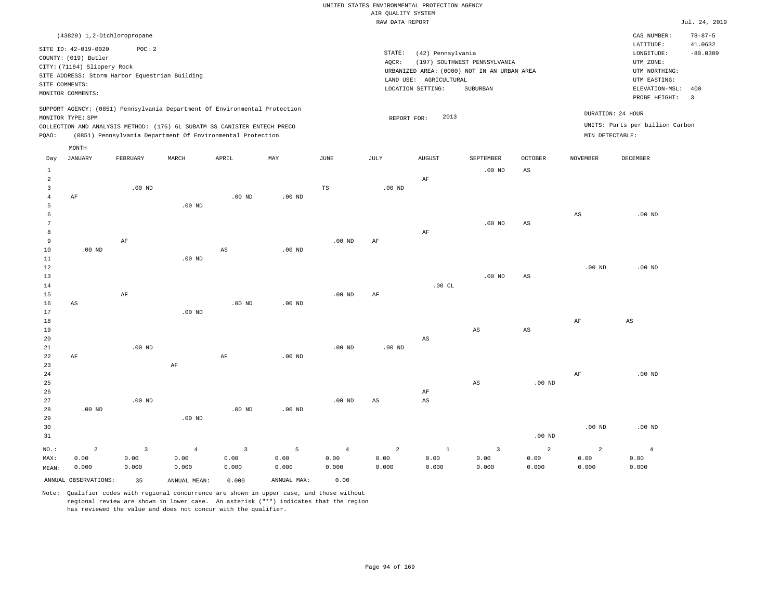|                |                                                |                   |                                                                            |                |                   |                   | RAW DATA REPORT   |                        |                                             |                        |                        |                                 | Jul. 24, 2019  |
|----------------|------------------------------------------------|-------------------|----------------------------------------------------------------------------|----------------|-------------------|-------------------|-------------------|------------------------|---------------------------------------------|------------------------|------------------------|---------------------------------|----------------|
|                | (43829) 1,2-Dichloropropane                    |                   |                                                                            |                |                   |                   |                   |                        |                                             |                        |                        | CAS NUMBER:                     | $78 - 87 - 5$  |
|                |                                                |                   |                                                                            |                |                   |                   |                   |                        |                                             |                        |                        | LATITUDE:                       | 41.0632        |
|                | SITE ID: 42-019-0020                           | POC: 2            |                                                                            |                |                   |                   | STATE:            | (42) Pennsylvania      |                                             |                        |                        | LONGITUDE:                      | $-80.0309$     |
|                | COUNTY: (019) Butler                           |                   |                                                                            |                |                   |                   | AQCR:             |                        | (197) SOUTHWEST PENNSYLVANIA                |                        |                        | UTM ZONE:                       |                |
|                | CITY: (71184) Slippery Rock                    |                   |                                                                            |                |                   |                   |                   |                        | URBANIZED AREA: (0000) NOT IN AN URBAN AREA |                        |                        | UTM NORTHING:                   |                |
|                | SITE ADDRESS: Storm Harbor Equestrian Building |                   |                                                                            |                |                   |                   |                   | LAND USE: AGRICULTURAL |                                             |                        |                        | UTM EASTING:                    |                |
|                | SITE COMMENTS:                                 |                   |                                                                            |                |                   |                   |                   | LOCATION SETTING:      | SUBURBAN                                    |                        |                        | ELEVATION-MSL:                  | 400            |
|                | MONITOR COMMENTS:                              |                   |                                                                            |                |                   |                   |                   |                        |                                             |                        |                        | PROBE HEIGHT:                   | $\overline{3}$ |
|                |                                                |                   | SUPPORT AGENCY: (0851) Pennsylvania Department Of Environmental Protection |                |                   |                   |                   |                        |                                             |                        |                        |                                 |                |
|                | MONITOR TYPE: SPM                              |                   |                                                                            |                |                   |                   | REPORT FOR:       | 2013                   |                                             |                        |                        | DURATION: 24 HOUR               |                |
|                |                                                |                   | COLLECTION AND ANALYSIS METHOD: (176) 6L SUBATM SS CANISTER ENTECH PRECO   |                |                   |                   |                   |                        |                                             |                        |                        | UNITS: Parts per billion Carbon |                |
| PQAO:          |                                                |                   | (0851) Pennsylvania Department Of Environmental Protection                 |                |                   |                   |                   |                        |                                             |                        | MIN DETECTABLE:        |                                 |                |
|                | MONTH                                          |                   |                                                                            |                |                   |                   |                   |                        |                                             |                        |                        |                                 |                |
| Day            | JANUARY                                        | FEBRUARY          | MARCH                                                                      | APRIL          | MAY               | JUNE              | JULY              | <b>AUGUST</b>          | SEPTEMBER                                   | <b>OCTOBER</b>         | <b>NOVEMBER</b>        | DECEMBER                        |                |
| $\mathbf{1}$   |                                                |                   |                                                                            |                |                   |                   |                   |                        | $.00$ ND                                    | AS                     |                        |                                 |                |
| $\overline{2}$ |                                                |                   |                                                                            |                |                   |                   |                   | $\rm AF$               |                                             |                        |                        |                                 |                |
| $\overline{3}$ |                                                | $.00$ ND          |                                                                            |                |                   | TS                | $.00$ ND          |                        |                                             |                        |                        |                                 |                |
| $\overline{4}$ | AF                                             |                   |                                                                            | $.00$ ND       | $.00$ ND          |                   |                   |                        |                                             |                        |                        |                                 |                |
| 5              |                                                |                   | $.00$ ND                                                                   |                |                   |                   |                   |                        |                                             |                        |                        |                                 |                |
| 6              |                                                |                   |                                                                            |                |                   |                   |                   |                        |                                             |                        | $\mathbb{A}\mathbb{S}$ | $.00$ ND                        |                |
| $\overline{7}$ |                                                |                   |                                                                            |                |                   |                   |                   |                        | $.00$ ND                                    | AS                     |                        |                                 |                |
| 8              |                                                |                   |                                                                            |                |                   |                   |                   | AF                     |                                             |                        |                        |                                 |                |
| $\overline{9}$ |                                                | AF                |                                                                            |                |                   | $.00$ ND          | AF                |                        |                                             |                        |                        |                                 |                |
| 10             | $.00$ ND                                       |                   |                                                                            | $_{\rm AS}$    | .00 <sub>ND</sub> |                   |                   |                        |                                             |                        |                        |                                 |                |
| 11             |                                                |                   | $.00$ ND                                                                   |                |                   |                   |                   |                        |                                             |                        |                        |                                 |                |
| 12             |                                                |                   |                                                                            |                |                   |                   |                   |                        |                                             |                        | $.00$ ND               | $.00$ ND                        |                |
| 13             |                                                |                   |                                                                            |                |                   |                   |                   |                        | $.00$ ND                                    | $\mathbb{A}\mathbb{S}$ |                        |                                 |                |
| 14             |                                                |                   |                                                                            |                |                   |                   |                   | .00CL                  |                                             |                        |                        |                                 |                |
| 15             |                                                | AF                |                                                                            |                |                   | .00 <sub>ND</sub> | AF                |                        |                                             |                        |                        |                                 |                |
| 16             | AS                                             |                   |                                                                            | $.00$ ND       | .00 <sub>ND</sub> |                   |                   |                        |                                             |                        |                        |                                 |                |
| 17             |                                                |                   | $.00$ ND                                                                   |                |                   |                   |                   |                        |                                             |                        |                        |                                 |                |
| 18             |                                                |                   |                                                                            |                |                   |                   |                   |                        |                                             |                        | AF                     | AS                              |                |
| 19             |                                                |                   |                                                                            |                |                   |                   |                   |                        | AS                                          | $\mathbb{A}\mathbb{S}$ |                        |                                 |                |
| 20             |                                                |                   |                                                                            |                |                   |                   |                   | $\mathbb{A}\mathbb{S}$ |                                             |                        |                        |                                 |                |
| 21             |                                                | .00 <sub>ND</sub> |                                                                            |                |                   | .00 <sub>ND</sub> | .00 <sub>ND</sub> |                        |                                             |                        |                        |                                 |                |
| 22             | AF                                             |                   |                                                                            | AF             | $.00$ ND          |                   |                   |                        |                                             |                        |                        |                                 |                |
| 23             |                                                |                   | $\rm{AF}$                                                                  |                |                   |                   |                   |                        |                                             |                        |                        |                                 |                |
| 24             |                                                |                   |                                                                            |                |                   |                   |                   |                        |                                             |                        | AF                     | $.00$ ND                        |                |
| 25             |                                                |                   |                                                                            |                |                   |                   |                   |                        | $\mathbb{A}\mathbb{S}$                      | $.00$ ND               |                        |                                 |                |
| 26             |                                                |                   |                                                                            |                |                   |                   |                   | AF                     |                                             |                        |                        |                                 |                |
| 27<br>28       | .00 <sub>ND</sub>                              | .00 <sub>ND</sub> |                                                                            | $.00$ ND       | $.00$ ND          | .00 <sub>ND</sub> | AS                | $\mathbb{A}\mathbb{S}$ |                                             |                        |                        |                                 |                |
| 29             |                                                |                   | $.00$ ND                                                                   |                |                   |                   |                   |                        |                                             |                        |                        |                                 |                |
| 30             |                                                |                   |                                                                            |                |                   |                   |                   |                        |                                             |                        | $.00$ ND               | $.00$ ND                        |                |
| 31             |                                                |                   |                                                                            |                |                   |                   |                   |                        |                                             | $.00$ ND               |                        |                                 |                |
|                |                                                |                   |                                                                            |                |                   |                   |                   |                        |                                             |                        |                        |                                 |                |
| NO.:           | $\overline{2}$                                 | $\mathbf{3}$      | $\overline{4}$                                                             | $\overline{3}$ | 5                 | $\overline{4}$    | $\overline{a}$    | $1\,$                  | $\overline{3}$                              | 2                      | $\overline{a}$         | $\overline{4}$                  |                |
| MAX:           | 0.00                                           | 0.00              | 0.00                                                                       | 0.00           | 0.00              | 0.00              | 0.00              | 0.00                   | 0.00                                        | 0.00                   | 0.00                   | 0.00                            |                |
| MEAN:          | 0.000                                          | 0.000             | 0.000                                                                      | 0.000          | 0.000             | 0.000             | 0.000             | 0.000                  | 0.000                                       | 0.000                  | 0.000                  | 0.000                           |                |
|                | ANNUAL OBSERVATIONS:                           | 35                | ANNUAL MEAN:                                                               | 0.000          | ANNUAL MAX:       | 0.00              |                   |                        |                                             |                        |                        |                                 |                |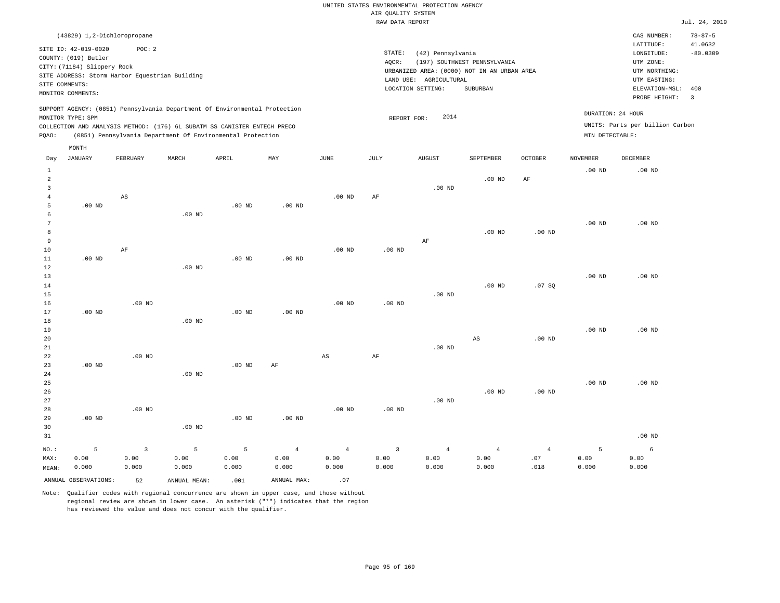|                |                                                                                                                    |                                                          |       |                                                                                                                                        |                                                                            |          |                 | RAW DATA REPORT                                                                                                 |                                          |         |                                      |                                                                                                          | Jul. 24, 2019                                            |
|----------------|--------------------------------------------------------------------------------------------------------------------|----------------------------------------------------------|-------|----------------------------------------------------------------------------------------------------------------------------------------|----------------------------------------------------------------------------|----------|-----------------|-----------------------------------------------------------------------------------------------------------------|------------------------------------------|---------|--------------------------------------|----------------------------------------------------------------------------------------------------------|----------------------------------------------------------|
|                |                                                                                                                    | (43829) 1,2-Dichloropropane                              |       |                                                                                                                                        |                                                                            |          |                 |                                                                                                                 |                                          |         |                                      | CAS NUMBER:                                                                                              | $78 - 87 - 5$                                            |
|                | SITE ID: 42-019-0020<br>COUNTY: (019) Butler<br>CITY: (71184) Slippery Rock<br>SITE COMMENTS:<br>MONITOR COMMENTS: | POC: 2<br>SITE ADDRESS: Storm Harbor Equestrian Building |       |                                                                                                                                        |                                                                            |          | STATE:<br>AQCR: | (42) Pennsylvania<br>URBANIZED AREA: (0000) NOT IN AN URBAN AREA<br>LAND USE: AGRICULTURAL<br>LOCATION SETTING: | (197) SOUTHWEST PENNSYLVANIA<br>SUBURBAN |         |                                      | LATITUDE:<br>LONGITUDE:<br>UTM ZONE:<br>UTM NORTHING:<br>UTM EASTING:<br>ELEVATION-MSL:<br>PROBE HEIGHT: | 41.0632<br>$-80.0309$<br>400<br>$\overline{\phantom{a}}$ |
| PQAO:          | MONITOR TYPE: SPM                                                                                                  |                                                          |       | COLLECTION AND ANALYSIS METHOD: (176) 6L SUBATM SS CANISTER ENTECH PRECO<br>(0851) Pennsylvania Department Of Environmental Protection | SUPPORT AGENCY: (0851) Pennsylvania Department Of Environmental Protection |          |                 | 2014<br>REPORT FOR:                                                                                             |                                          |         | DURATION: 24 HOUR<br>MIN DETECTABLE: | UNITS: Parts per billion Carbon                                                                          |                                                          |
| Day            | MONTH<br>JANUARY                                                                                                   | FEBRUARY                                                 | MARCH | APRIL                                                                                                                                  | MAY                                                                        | JUNE     | JULY            | <b>AUGUST</b>                                                                                                   | <b>SEPTEMBER</b>                         | OCTOBER | <b>NOVEMBER</b>                      | DECEMBER                                                                                                 |                                                          |
| $\mathfrak{D}$ |                                                                                                                    |                                                          |       |                                                                                                                                        |                                                                            |          |                 |                                                                                                                 | $.00$ ND                                 | AF      | $.00$ ND                             | $.00$ ND                                                                                                 |                                                          |
|                |                                                                                                                    | AS                                                       |       |                                                                                                                                        |                                                                            | $.00$ ND | AF              | $.00$ ND                                                                                                        |                                          |         |                                      |                                                                                                          |                                                          |

| 5      | $.00$ ND |          | $.00$ ND | $.00$ ND |          |          |          |          |          |          |          |
|--------|----------|----------|----------|----------|----------|----------|----------|----------|----------|----------|----------|
| 6      |          | $.00$ ND |          |          |          |          |          |          |          |          |          |
| 7      |          |          |          |          |          |          |          |          |          | $.00$ ND | $.00$ ND |
| 8      |          |          |          |          |          |          |          | $.00$ ND | $.00$ ND |          |          |
| 9      |          |          |          |          |          |          | AF       |          |          |          |          |
| 10     | AF       |          |          |          | $.00$ ND | $.00$ ND |          |          |          |          |          |
| 11     | $.00$ ND |          | $.00$ ND | $.00$ ND |          |          |          |          |          |          |          |
| $12\,$ |          | $.00$ ND |          |          |          |          |          |          |          |          |          |
| 13     |          |          |          |          |          |          |          |          |          | $.00$ ND | $.00$ ND |
| 14     |          |          |          |          |          |          |          | $.00$ ND | .07 SQ   |          |          |
| 15     |          |          |          |          |          |          | $.00$ ND |          |          |          |          |

| 16          |          | $.00$ ND |          |          |          | $.00$ ND | $.00$ ND |          |          |          |          |          |
|-------------|----------|----------|----------|----------|----------|----------|----------|----------|----------|----------|----------|----------|
| 17          | $.00$ ND |          |          | $.00$ ND | $.00$ ND |          |          |          |          |          |          |          |
| 18          |          |          | $.00$ ND |          |          |          |          |          |          |          |          |          |
| 19          |          |          |          |          |          |          |          |          |          |          | $.00$ ND | $.00$ ND |
| 20          |          |          |          |          |          |          |          |          | AS       | $.00$ ND |          |          |
| $2\sqrt{1}$ |          |          |          |          |          |          |          | $.00$ ND |          |          |          |          |
| 22          |          | $.00$ ND |          |          |          | AS       | AF       |          |          |          |          |          |
| 23          | $.00$ ND |          |          | $.00$ ND | AF       |          |          |          |          |          |          |          |
| $2\sqrt{4}$ |          |          | $.00$ ND |          |          |          |          |          |          |          |          |          |
| $25\,$      |          |          |          |          |          |          |          |          |          |          | $.00$ ND | $.00$ ND |
| 26          |          |          |          |          |          |          |          |          | $.00$ ND | $.00$ ND |          |          |
| $27\,$      |          |          |          |          |          |          |          | $.00$ ND |          |          |          |          |
| 28          |          | $.00$ ND |          |          |          | $.00$ ND | $.00$ ND |          |          |          |          |          |
| 29          | $.00$ ND |          |          | $.00$ ND | $.00$ ND |          |          |          |          |          |          |          |
| 30          |          |          | $.00$ ND |          |          |          |          |          |          |          |          |          |
| 31          |          |          |          |          |          |          |          |          |          |          |          | $.00$ ND |

|  |  |  |  | NO.: $5$ 3 5 5 4 4 3 4 4 4 5 6                                                            |  |  |
|--|--|--|--|-------------------------------------------------------------------------------------------|--|--|
|  |  |  |  |                                                                                           |  |  |
|  |  |  |  | MEAN: 0.000 0.000 0.000 0.000 0.000 0.000 0.000 0.000 0.000 0.000 0.000 0.000 0.000 0.000 |  |  |

ANNUAL OBSERVATIONS: 52 ANNUAL MEAN: .001 ANNUAL MAX: .07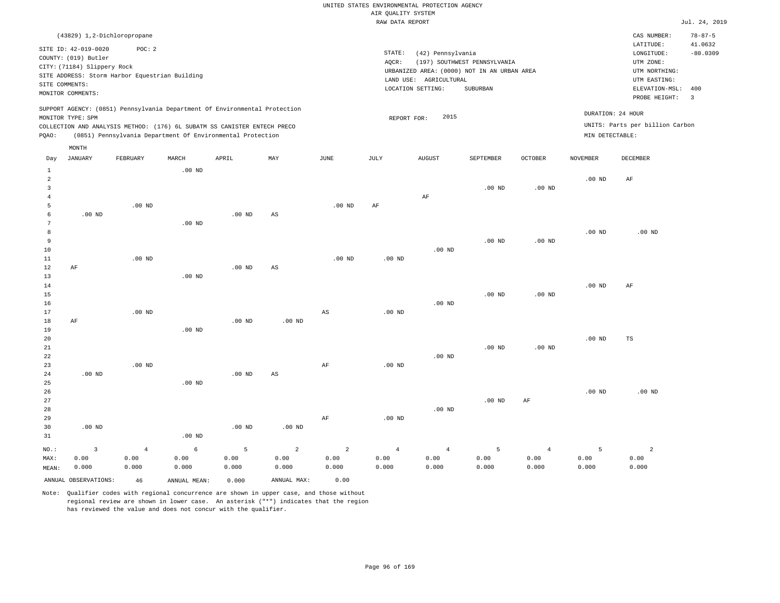|              |                                                                                                                    |                                                                                         |          |                                                                                                                                                                                                                      |     |          | RAW DATA REPORT   |                                                                                                                 |                                          |                   |                   |                                                                                                                         | Jul. 24, 2019                                                             |
|--------------|--------------------------------------------------------------------------------------------------------------------|-----------------------------------------------------------------------------------------|----------|----------------------------------------------------------------------------------------------------------------------------------------------------------------------------------------------------------------------|-----|----------|-------------------|-----------------------------------------------------------------------------------------------------------------|------------------------------------------|-------------------|-------------------|-------------------------------------------------------------------------------------------------------------------------|---------------------------------------------------------------------------|
|              | SITE ID: 42-019-0020<br>COUNTY: (019) Butler<br>CITY: (71184) Slippery Rock<br>SITE COMMENTS:<br>MONITOR COMMENTS: | (43829) 1,2-Dichloropropane<br>POC: 2<br>SITE ADDRESS: Storm Harbor Equestrian Building |          |                                                                                                                                                                                                                      |     |          | STATE:<br>AQCR:   | (42) Pennsylvania<br>URBANIZED AREA: (0000) NOT IN AN URBAN AREA<br>LAND USE: AGRICULTURAL<br>LOCATION SETTING: | (197) SOUTHWEST PENNSYLVANIA<br>SUBURBAN |                   |                   | CAS NUMBER:<br>LATITUDE:<br>LONGITUDE:<br>UTM ZONE:<br>UTM NORTHING:<br>UTM EASTING:<br>ELEVATION-MSL:<br>PROBE HEIGHT: | $78 - 87 - 5$<br>41.0632<br>$-80.0309$<br>400<br>$\overline{\phantom{a}}$ |
| POAO:        | MONITOR TYPE: SPM<br>MONTH                                                                                         |                                                                                         |          | SUPPORT AGENCY: (0851) Pennsylvania Department Of Environmental Protection<br>COLLECTION AND ANALYSIS METHOD: (176) 6L SUBATM SS CANISTER ENTECH PRECO<br>(0851) Pennsylvania Department Of Environmental Protection |     |          |                   | 2015<br>REPORT FOR:                                                                                             |                                          |                   | MIN DETECTABLE:   | DURATION: 24 HOUR<br>UNITS: Parts per billion Carbon                                                                    |                                                                           |
| Day          | JANUARY                                                                                                            | FEBRUARY                                                                                | MARCH    | APRIL                                                                                                                                                                                                                | MAY | JUNE     | JULY              | <b>AUGUST</b>                                                                                                   | SEPTEMBER                                | <b>OCTOBER</b>    | <b>NOVEMBER</b>   | DECEMBER                                                                                                                |                                                                           |
| 2<br>ર<br>5  |                                                                                                                    | $.00$ ND                                                                                | $.00$ ND |                                                                                                                                                                                                                      |     | $.00$ ND | AF                | AF                                                                                                              | $.00$ ND                                 | .00 <sub>ND</sub> | .00 <sub>ND</sub> | AF                                                                                                                      |                                                                           |
| 8<br>9<br>10 | .00 <sub>ND</sub>                                                                                                  |                                                                                         | $.00$ ND | $.00$ ND                                                                                                                                                                                                             | AS  |          |                   | $.00$ ND                                                                                                        | $.00$ ND                                 | $.00$ ND          | $.00$ ND          | $.00$ ND                                                                                                                |                                                                           |
| 11           |                                                                                                                    | $.00$ ND                                                                                |          |                                                                                                                                                                                                                      |     | $.00$ ND | .00 <sub>ND</sub> |                                                                                                                 |                                          |                   |                   |                                                                                                                         |                                                                           |

| 12          | AF       |          |          | $.00$ ND | AS       |    |          |          |          |          |          |    |
|-------------|----------|----------|----------|----------|----------|----|----------|----------|----------|----------|----------|----|
| 13          |          |          | $.00$ ND |          |          |    |          |          |          |          |          |    |
| 14          |          |          |          |          |          |    |          |          |          |          | $.00$ ND | AF |
| 15          |          |          |          |          |          |    |          |          | $.00$ ND | $.00$ ND |          |    |
| 16          |          |          |          |          |          |    |          | $.00$ ND |          |          |          |    |
| 17          |          | $.00$ ND |          |          |          | AS | $.00$ ND |          |          |          |          |    |
| 18          | AF       |          |          | $.00$ ND | $.00$ ND |    |          |          |          |          |          |    |
| 19          |          |          | $.00$ ND |          |          |    |          |          |          |          |          |    |
| 20          |          |          |          |          |          |    |          |          |          |          | $.00$ ND | TS |
| 21          |          |          |          |          |          |    |          |          | $.00$ ND | $.00$ ND |          |    |
| $2\sqrt{2}$ |          |          |          |          |          |    |          | $.00$ ND |          |          |          |    |
| 23          |          | $.00$ ND |          |          |          | AF | $.00$ ND |          |          |          |          |    |
| 24          | $.00$ ND |          |          | $.00$ ND | AS       |    |          |          |          |          |          |    |

| $ -$ | .        |          | .        | $-$      |    |          |          |          |    |          |          |
|------|----------|----------|----------|----------|----|----------|----------|----------|----|----------|----------|
| 25   |          | $.00$ ND |          |          |    |          |          |          |    |          |          |
| 26   |          |          |          |          |    |          |          |          |    | $.00$ ND | $.00$ ND |
| 27   |          |          |          |          |    |          |          | $.00$ ND | AF |          |          |
| 28   |          |          |          |          |    |          | $.00$ ND |          |    |          |          |
| 29   |          |          |          |          | AF | $.00$ ND |          |          |    |          |          |
| 30   | $.00$ ND |          | $.00$ ND | $.00$ ND |    |          |          |          |    |          |          |
| 31   |          | $.00$ ND |          |          |    |          |          |          |    |          |          |

|       |                      |       |              |       |             |       |       |       |       |       | $\sim$ 5 and $\sim$ 5 and $\sim$ 5 and $\sim$ 5 and $\sim$ |       |
|-------|----------------------|-------|--------------|-------|-------------|-------|-------|-------|-------|-------|------------------------------------------------------------|-------|
| MAX:  | 0.00                 | 0.00  | 0.00         | 0.00  | 0.00        | 0.00  | 0.00  | 0.00  | 0.00  | 0.00  | 0.00                                                       | 0.00  |
| MEAN: | 0.000                | 0.000 | 0.000        | 0.000 | 0.000       | 0.000 | 0.000 | 0.000 | 0.000 | 0.000 | 0.000                                                      | 0.000 |
|       | ANNUAL OBSERVATIONS: | 46    | ANNUAL MEAN: | 0.000 | ANNUAL MAX: | 0.00  |       |       |       |       |                                                            |       |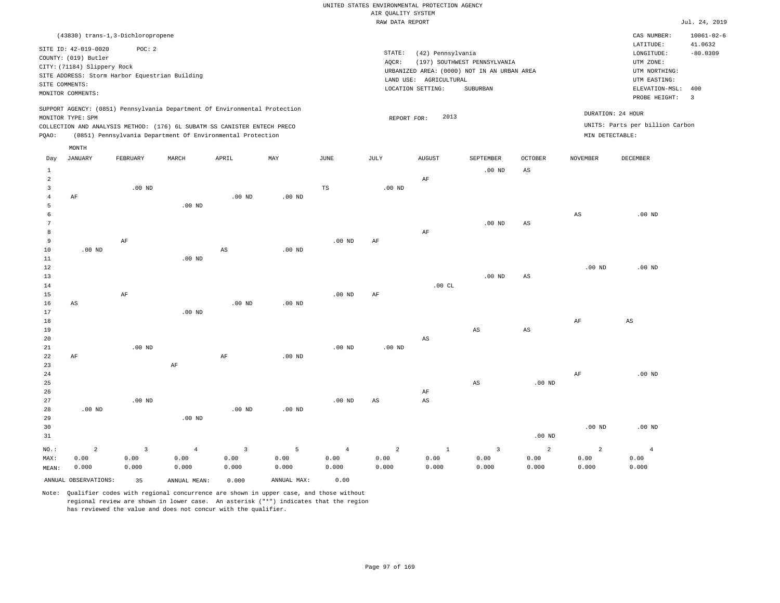|                     |                                                |                |                        |                                                                            |                   |                        | 20112222<br>RAW DATA REPORT |                        |                                             |                        |                   |                                 | Jul. 24, 2019         |
|---------------------|------------------------------------------------|----------------|------------------------|----------------------------------------------------------------------------|-------------------|------------------------|-----------------------------|------------------------|---------------------------------------------|------------------------|-------------------|---------------------------------|-----------------------|
|                     | (43830) trans-1,3-Dichloropropene              |                |                        |                                                                            |                   |                        |                             |                        |                                             |                        |                   | CAS NUMBER:                     | $10061 - 02 - 6$      |
|                     | SITE ID: 42-019-0020                           | POC: 2         |                        |                                                                            |                   |                        | STATE:                      | (42) Pennsylvania      |                                             |                        |                   | LATITUDE:<br>LONGITUDE:         | 41.0632<br>$-80.0309$ |
|                     | COUNTY: (019) Butler                           |                |                        |                                                                            |                   |                        | AQCR:                       |                        | (197) SOUTHWEST PENNSYLVANIA                |                        |                   | UTM ZONE:                       |                       |
|                     | CITY: (71184) Slippery Rock                    |                |                        |                                                                            |                   |                        |                             |                        | URBANIZED AREA: (0000) NOT IN AN URBAN AREA |                        |                   | UTM NORTHING:                   |                       |
|                     | SITE ADDRESS: Storm Harbor Equestrian Building |                |                        |                                                                            |                   |                        |                             | LAND USE: AGRICULTURAL |                                             |                        |                   | UTM EASTING:                    |                       |
| SITE COMMENTS:      |                                                |                |                        |                                                                            |                   |                        |                             | LOCATION SETTING:      | SUBURBAN                                    |                        |                   | ELEVATION-MSL:                  | 400                   |
|                     | MONITOR COMMENTS:                              |                |                        |                                                                            |                   |                        |                             |                        |                                             |                        |                   | PROBE HEIGHT:                   | $\overline{3}$        |
|                     |                                                |                |                        | SUPPORT AGENCY: (0851) Pennsylvania Department Of Environmental Protection |                   |                        |                             |                        |                                             |                        |                   | DURATION: 24 HOUR               |                       |
|                     | MONITOR TYPE: SPM                              |                |                        |                                                                            |                   |                        | REPORT FOR:                 | 2013                   |                                             |                        |                   |                                 |                       |
|                     |                                                |                |                        | COLLECTION AND ANALYSIS METHOD: (176) 6L SUBATM SS CANISTER ENTECH PRECO   |                   |                        |                             |                        |                                             |                        |                   | UNITS: Parts per billion Carbon |                       |
| PQAO:               |                                                |                |                        | (0851) Pennsylvania Department Of Environmental Protection                 |                   |                        |                             |                        |                                             |                        | MIN DETECTABLE:   |                                 |                       |
|                     | MONTH                                          |                |                        |                                                                            |                   |                        |                             |                        |                                             |                        |                   |                                 |                       |
| Day                 | <b>JANUARY</b>                                 | FEBRUARY       | MARCH                  | APRIL                                                                      | MAY               | <b>JUNE</b>            | <b>JULY</b>                 | <b>AUGUST</b>          | SEPTEMBER                                   | <b>OCTOBER</b>         | <b>NOVEMBER</b>   | DECEMBER                        |                       |
| 1                   |                                                |                |                        |                                                                            |                   |                        |                             |                        | $.00$ ND                                    | AS                     |                   |                                 |                       |
| $\overline{a}$      |                                                |                |                        |                                                                            |                   |                        |                             | $\rm AF$               |                                             |                        |                   |                                 |                       |
| 3                   |                                                | $.00$ ND       |                        |                                                                            |                   | $_{\rm TS}$            | $.00$ ND                    |                        |                                             |                        |                   |                                 |                       |
| $\overline{4}$      | AF                                             |                |                        | .00 <sub>ND</sub>                                                          | $.00$ ND          |                        |                             |                        |                                             |                        |                   |                                 |                       |
| 5                   |                                                |                | $.00$ ND               |                                                                            |                   |                        |                             |                        |                                             |                        |                   |                                 |                       |
| 6                   |                                                |                |                        |                                                                            |                   |                        |                             |                        |                                             |                        | AS                | $.00$ ND                        |                       |
| 7                   |                                                |                |                        |                                                                            |                   |                        |                             |                        | $.00$ ND                                    | AS                     |                   |                                 |                       |
| 8<br>$\overline{9}$ |                                                |                |                        |                                                                            |                   |                        |                             | AF                     |                                             |                        |                   |                                 |                       |
| 10                  | $.00$ ND                                       | AF             |                        | $_{\rm AS}$                                                                | .00 <sub>ND</sub> | $.00$ ND               | AF                          |                        |                                             |                        |                   |                                 |                       |
| $1\,1$              |                                                |                | $.00$ ND               |                                                                            |                   |                        |                             |                        |                                             |                        |                   |                                 |                       |
| 12                  |                                                |                |                        |                                                                            |                   |                        |                             |                        |                                             |                        | .00 <sub>ND</sub> | .00 <sub>ND</sub>               |                       |
| 13                  |                                                |                |                        |                                                                            |                   |                        |                             |                        | .00 <sub>ND</sub>                           | $\mathbb{A}\mathbb{S}$ |                   |                                 |                       |
| 14                  |                                                |                |                        |                                                                            |                   |                        |                             | .00CL                  |                                             |                        |                   |                                 |                       |
| 15                  |                                                | $\rm AF$       |                        |                                                                            |                   | $.00$ ND               | AF                          |                        |                                             |                        |                   |                                 |                       |
| 16                  | AS                                             |                |                        | $.00$ ND                                                                   | $.00$ ND          |                        |                             |                        |                                             |                        |                   |                                 |                       |
| 17                  |                                                |                | $.00$ ND               |                                                                            |                   |                        |                             |                        |                                             |                        |                   |                                 |                       |
| 18                  |                                                |                |                        |                                                                            |                   |                        |                             |                        |                                             |                        | $\rm{AF}$         | $\mathbb{A}\mathbb{S}$          |                       |
| 19                  |                                                |                |                        |                                                                            |                   |                        |                             |                        | AS                                          | $_{\rm AS}$            |                   |                                 |                       |
| 20                  |                                                |                |                        |                                                                            |                   |                        |                             | $_{\rm AS}$            |                                             |                        |                   |                                 |                       |
| 21                  |                                                | $.00$ ND       |                        |                                                                            |                   | .00 <sub>ND</sub>      | .00 <sub>ND</sub>           |                        |                                             |                        |                   |                                 |                       |
| 22                  | AF                                             |                |                        | AF                                                                         | $.00$ ND          |                        |                             |                        |                                             |                        |                   |                                 |                       |
| 23<br>24            |                                                |                | $\rm AF$               |                                                                            |                   |                        |                             |                        |                                             |                        | $\rm{AF}$         | $.00$ ND                        |                       |
| 25                  |                                                |                |                        |                                                                            |                   |                        |                             |                        | AS                                          | $.00$ ND               |                   |                                 |                       |
| 26                  |                                                |                |                        |                                                                            |                   |                        |                             | AF                     |                                             |                        |                   |                                 |                       |
| 27                  |                                                | $.00$ ND       |                        |                                                                            |                   | $.00$ ND               | AS                          | $\mathbb{A}\mathbb{S}$ |                                             |                        |                   |                                 |                       |
| 28                  | $.00$ ND                                       |                |                        | .00 <sub>ND</sub>                                                          | .00 <sub>ND</sub> |                        |                             |                        |                                             |                        |                   |                                 |                       |
| 29                  |                                                |                | $.00$ ND               |                                                                            |                   |                        |                             |                        |                                             |                        |                   |                                 |                       |
| 30                  |                                                |                |                        |                                                                            |                   |                        |                             |                        |                                             |                        | $.00$ ND          | $.00$ ND                        |                       |
| 31                  |                                                |                |                        |                                                                            |                   |                        |                             |                        |                                             | $.00$ ND               |                   |                                 |                       |
|                     | $\overline{a}$                                 | $\overline{3}$ |                        | $\overline{3}$                                                             | 5                 |                        |                             |                        | $\mathbf{3}$                                |                        | 2                 |                                 |                       |
| NO.:<br>MAX:        | 0.00                                           | 0.00           | $\overline{4}$<br>0.00 | 0.00                                                                       | 0.00              | $\overline{4}$<br>0.00 | $\overline{a}$<br>0.00      | $\mathbf{1}$<br>0.00   | 0.00                                        | $\overline{a}$<br>0.00 | 0.00              | $\overline{4}$<br>0.00          |                       |
| MEAN:               | 0.000                                          | 0.000          | 0.000                  | 0.000                                                                      | 0.000             | 0.000                  | 0.000                       | 0.000                  | 0.000                                       | 0.000                  | 0.000             | 0.000                           |                       |
|                     |                                                |                |                        |                                                                            |                   |                        |                             |                        |                                             |                        |                   |                                 |                       |
|                     | ANNUAL OBSERVATIONS:                           | 35             | ANNUAL MEAN:           | 0.000                                                                      | ANNUAL MAX:       | 0.00                   |                             |                        |                                             |                        |                   |                                 |                       |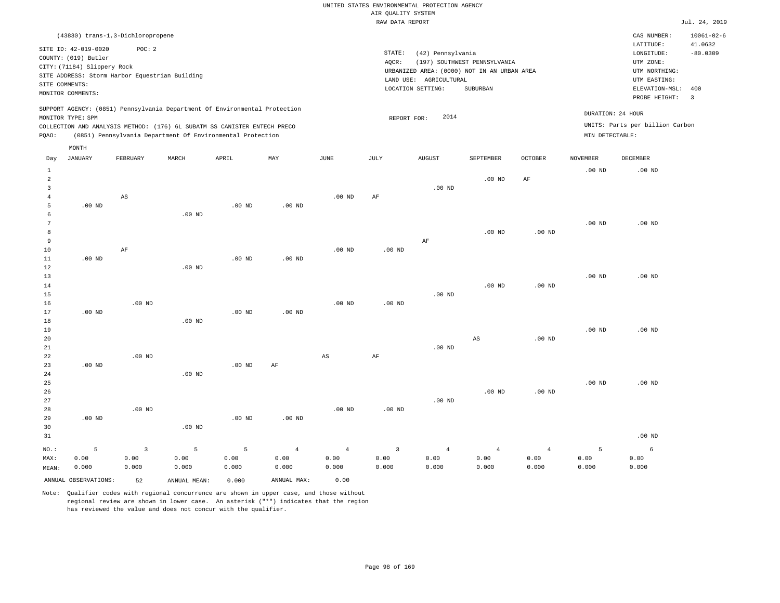|                |                                                                            |                |                                                            |                   |                   |                        | RAW DATA REPORT |                        |                                             |                   |                   |                                 | Jul. 24, 2019    |
|----------------|----------------------------------------------------------------------------|----------------|------------------------------------------------------------|-------------------|-------------------|------------------------|-----------------|------------------------|---------------------------------------------|-------------------|-------------------|---------------------------------|------------------|
|                | (43830) trans-1,3-Dichloropropene                                          |                |                                                            |                   |                   |                        |                 |                        |                                             |                   |                   | CAS NUMBER:                     | $10061 - 02 - 6$ |
|                | SITE ID: 42-019-0020                                                       | POC: 2         |                                                            |                   |                   |                        |                 |                        |                                             |                   |                   | LATITUDE:                       | 41.0632          |
|                | COUNTY: (019) Butler                                                       |                |                                                            |                   |                   |                        | STATE:          | (42) Pennsylvania      |                                             |                   |                   | LONGITUDE:                      | $-80.0309$       |
|                | CITY: (71184) Slippery Rock                                                |                |                                                            |                   |                   |                        | AQCR:           |                        | (197) SOUTHWEST PENNSYLVANIA                |                   |                   | UTM ZONE:                       |                  |
|                | SITE ADDRESS: Storm Harbor Equestrian Building                             |                |                                                            |                   |                   |                        |                 |                        | URBANIZED AREA: (0000) NOT IN AN URBAN AREA |                   |                   | UTM NORTHING:                   |                  |
| SITE COMMENTS: |                                                                            |                |                                                            |                   |                   |                        |                 | LAND USE: AGRICULTURAL |                                             |                   |                   | UTM EASTING:                    |                  |
|                | MONITOR COMMENTS:                                                          |                |                                                            |                   |                   |                        |                 | LOCATION SETTING:      | SUBURBAN                                    |                   |                   | ELEVATION-MSL:                  | 400              |
|                |                                                                            |                |                                                            |                   |                   |                        |                 |                        |                                             |                   |                   | PROBE HEIGHT:                   | $\overline{3}$   |
|                | SUPPORT AGENCY: (0851) Pennsylvania Department Of Environmental Protection |                |                                                            |                   |                   |                        |                 |                        |                                             |                   |                   | DURATION: 24 HOUR               |                  |
|                | MONITOR TYPE: SPM                                                          |                |                                                            |                   |                   |                        | REPORT FOR:     | 2014                   |                                             |                   |                   |                                 |                  |
|                | COLLECTION AND ANALYSIS METHOD: (176) 6L SUBATM SS CANISTER ENTECH PRECO   |                |                                                            |                   |                   |                        |                 |                        |                                             |                   |                   | UNITS: Parts per billion Carbon |                  |
| PQAO:          |                                                                            |                | (0851) Pennsylvania Department Of Environmental Protection |                   |                   |                        |                 |                        |                                             |                   | MIN DETECTABLE:   |                                 |                  |
|                | MONTH                                                                      |                |                                                            |                   |                   |                        |                 |                        |                                             |                   |                   |                                 |                  |
| Day            | <b>JANUARY</b>                                                             | FEBRUARY       | MARCH                                                      | APRIL             | MAY               | $\operatorname{JUNE}$  | JULY            | ${\tt AUGUST}$         | SEPTEMBER                                   | OCTOBER           | <b>NOVEMBER</b>   | DECEMBER                        |                  |
| $\mathbf{1}$   |                                                                            |                |                                                            |                   |                   |                        |                 |                        |                                             |                   | $.00$ ND          | $.00$ ND                        |                  |
| $\overline{a}$ |                                                                            |                |                                                            |                   |                   |                        |                 |                        | $.00$ ND                                    | AF                |                   |                                 |                  |
| 3              |                                                                            |                |                                                            |                   |                   |                        |                 | $.00$ ND               |                                             |                   |                   |                                 |                  |
| $\overline{4}$ |                                                                            | AS             |                                                            |                   |                   | $.00$ ND               | AF              |                        |                                             |                   |                   |                                 |                  |
| 5              | $.00$ ND                                                                   |                |                                                            | $.00$ ND          | .00 <sub>ND</sub> |                        |                 |                        |                                             |                   |                   |                                 |                  |
| 6              |                                                                            |                | .00 <sub>ND</sub>                                          |                   |                   |                        |                 |                        |                                             |                   |                   |                                 |                  |
| $\overline{7}$ |                                                                            |                |                                                            |                   |                   |                        |                 |                        |                                             |                   | .00 <sub>ND</sub> | $.00$ ND                        |                  |
| 8              |                                                                            |                |                                                            |                   |                   |                        |                 |                        | $.00$ ND                                    | .00 <sub>ND</sub> |                   |                                 |                  |
| 9              |                                                                            |                |                                                            |                   |                   |                        |                 | AF                     |                                             |                   |                   |                                 |                  |
| $10$           |                                                                            | $\rm AF$       |                                                            |                   |                   | .00 <sub>ND</sub>      | $.00$ ND        |                        |                                             |                   |                   |                                 |                  |
| $11\,$         | $.00$ ND                                                                   |                |                                                            | $.00$ ND          | $.00$ ND          |                        |                 |                        |                                             |                   |                   |                                 |                  |
| 12             |                                                                            |                | $.00$ ND                                                   |                   |                   |                        |                 |                        |                                             |                   |                   |                                 |                  |
| 13             |                                                                            |                |                                                            |                   |                   |                        |                 |                        |                                             |                   | $.00$ ND          | $.00$ ND                        |                  |
| 14             |                                                                            |                |                                                            |                   |                   |                        |                 |                        | $.00$ ND                                    | .00 <sub>ND</sub> |                   |                                 |                  |
| 15             |                                                                            |                |                                                            |                   |                   |                        |                 | $.00$ ND               |                                             |                   |                   |                                 |                  |
| 16             |                                                                            | $.00$ ND       |                                                            |                   |                   | $.00$ ND               | $.00$ ND        |                        |                                             |                   |                   |                                 |                  |
| 17             | $.00$ ND                                                                   |                |                                                            | $.00$ ND          | $.00$ ND          |                        |                 |                        |                                             |                   |                   |                                 |                  |
| 18             |                                                                            |                | $.00$ ND                                                   |                   |                   |                        |                 |                        |                                             |                   |                   |                                 |                  |
| 19             |                                                                            |                |                                                            |                   |                   |                        |                 |                        |                                             |                   | .00 <sub>ND</sub> | $.00$ ND                        |                  |
| 20             |                                                                            |                |                                                            |                   |                   |                        |                 |                        | AS                                          | .00 <sub>ND</sub> |                   |                                 |                  |
| 21             |                                                                            |                |                                                            |                   |                   |                        |                 | $.00$ ND               |                                             |                   |                   |                                 |                  |
| 22             |                                                                            | $.00$ ND       |                                                            |                   |                   | $\mathbb{A}\mathbb{S}$ | AF              |                        |                                             |                   |                   |                                 |                  |
| 23             | $.00$ ND                                                                   |                |                                                            | .00 <sub>ND</sub> | $\rm AF$          |                        |                 |                        |                                             |                   |                   |                                 |                  |
| 24             |                                                                            |                | $.00$ ND                                                   |                   |                   |                        |                 |                        |                                             |                   |                   |                                 |                  |
| 25             |                                                                            |                |                                                            |                   |                   |                        |                 |                        |                                             |                   | .00 <sub>ND</sub> | $.00$ ND                        |                  |
| 26             |                                                                            |                |                                                            |                   |                   |                        |                 |                        | $.00$ ND                                    | .00 <sub>ND</sub> |                   |                                 |                  |
| 27             |                                                                            |                |                                                            |                   |                   |                        |                 | $.00$ ND               |                                             |                   |                   |                                 |                  |
| 28             |                                                                            | $.00$ ND       |                                                            |                   |                   | $.00$ ND               | $.00$ ND        |                        |                                             |                   |                   |                                 |                  |
| 29             | $.00$ ND                                                                   |                |                                                            | $.00$ ND          | .00 <sub>ND</sub> |                        |                 |                        |                                             |                   |                   |                                 |                  |
| 30             |                                                                            |                | $.00$ ND                                                   |                   |                   |                        |                 |                        |                                             |                   |                   |                                 |                  |
| 31             |                                                                            |                |                                                            |                   |                   |                        |                 |                        |                                             |                   |                   | $.00$ ND                        |                  |
| NO.:           | 5                                                                          | $\overline{3}$ | 5                                                          | 5                 | $\overline{4}$    | $\overline{4}$         | $\overline{3}$  | $\overline{4}$         | $\overline{4}$                              | $\overline{4}$    | 5                 | 6                               |                  |
| MAX:           | 0.00                                                                       | 0.00           | 0.00                                                       | 0.00              | 0.00              | 0.00                   | 0.00            | 0.00                   | 0.00                                        | 0.00              | 0.00              | 0.00                            |                  |
| MEAN:          | 0.000                                                                      | 0.000          | 0.000                                                      | 0.000             | 0.000             | 0.000                  | 0.000           | 0.000                  | 0.000                                       | 0.000             | 0.000             | 0.000                           |                  |
|                | ANNUAL OBSERVATIONS:                                                       | 52             | ANNUAL MEAN:                                               | 0.000             | ANNUAL MAX:       | 0.00                   |                 |                        |                                             |                   |                   |                                 |                  |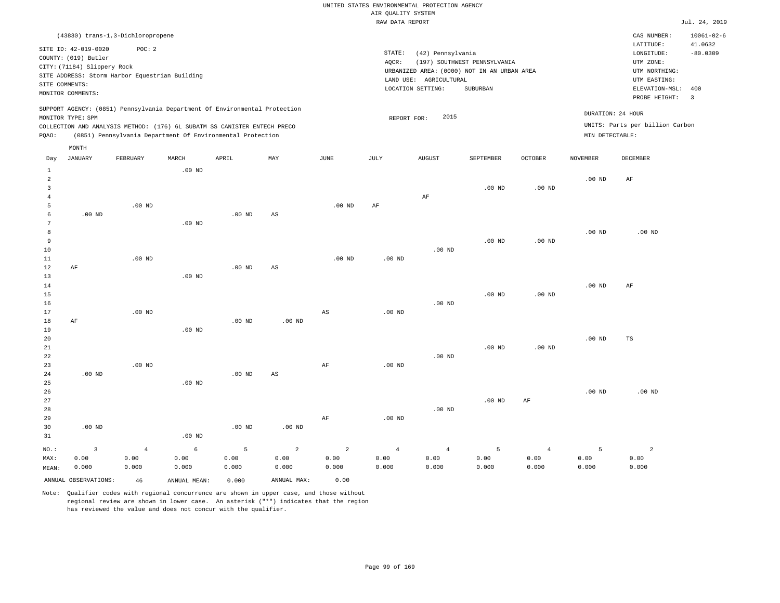|                                                           |                                                                                                                    |                                                                                                                                        |                    |                    |                    |                                 | RAW DATA REPORT                 |                                                                  |                                                                                         |                                 |                    |                                                                                             | Jul. 24, 2019                       |
|-----------------------------------------------------------|--------------------------------------------------------------------------------------------------------------------|----------------------------------------------------------------------------------------------------------------------------------------|--------------------|--------------------|--------------------|---------------------------------|---------------------------------|------------------------------------------------------------------|-----------------------------------------------------------------------------------------|---------------------------------|--------------------|---------------------------------------------------------------------------------------------|-------------------------------------|
|                                                           |                                                                                                                    | (43830) trans-1,3-Dichloropropene                                                                                                      |                    |                    |                    |                                 |                                 |                                                                  |                                                                                         |                                 |                    | CAS NUMBER:<br>LATITUDE:                                                                    | $10061 - 02 - 6$<br>41.0632         |
|                                                           | SITE ID: 42-019-0020<br>COUNTY: (019) Butler<br>CITY: (71184) Slippery Rock<br>SITE COMMENTS:<br>MONITOR COMMENTS: | POC: 2<br>SITE ADDRESS: Storm Harbor Equestrian Building                                                                               |                    |                    |                    |                                 | STATE:<br>AOCR:                 | (42) Pennsylvania<br>LAND USE: AGRICULTURAL<br>LOCATION SETTING: | (197) SOUTHWEST PENNSYLVANIA<br>URBANIZED AREA: (0000) NOT IN AN URBAN AREA<br>SUBURBAN |                                 |                    | LONGITUDE:<br>UTM ZONE:<br>UTM NORTHING:<br>UTM EASTING:<br>ELEVATION-MSL:<br>PROBE HEIGHT: | $-80.0309$<br>400<br>$\overline{3}$ |
|                                                           |                                                                                                                    | SUPPORT AGENCY: (0851) Pennsylvania Department Of Environmental Protection                                                             |                    |                    |                    |                                 |                                 |                                                                  |                                                                                         |                                 |                    | DURATION: 24 HOUR                                                                           |                                     |
|                                                           | MONITOR TYPE: SPM                                                                                                  |                                                                                                                                        |                    |                    |                    |                                 | REPORT FOR:                     | 2015                                                             |                                                                                         |                                 |                    | UNITS: Parts per billion Carbon                                                             |                                     |
| PQAO:                                                     |                                                                                                                    | COLLECTION AND ANALYSIS METHOD: (176) 6L SUBATM SS CANISTER ENTECH PRECO<br>(0851) Pennsylvania Department Of Environmental Protection |                    |                    |                    |                                 |                                 |                                                                  |                                                                                         |                                 | MIN DETECTABLE:    |                                                                                             |                                     |
|                                                           |                                                                                                                    |                                                                                                                                        |                    |                    |                    |                                 |                                 |                                                                  |                                                                                         |                                 |                    |                                                                                             |                                     |
| Day                                                       | MONTH<br><b>JANUARY</b>                                                                                            | FEBRUARY                                                                                                                               | MARCH              | APRIL              | MAY                | JUNE                            | JULY                            | <b>AUGUST</b>                                                    | SEPTEMBER                                                                               | <b>OCTOBER</b>                  | <b>NOVEMBER</b>    | DECEMBER                                                                                    |                                     |
| $\mathbf{1}$<br>$\overline{a}$<br>$\overline{\mathbf{3}}$ |                                                                                                                    |                                                                                                                                        | $.00$ ND           |                    |                    |                                 |                                 |                                                                  | $.00$ ND                                                                                | .00 <sub>ND</sub>               | .00 <sub>ND</sub>  | AF                                                                                          |                                     |
| $\overline{4}$<br>5<br>6                                  | $.00$ ND                                                                                                           | $.00$ ND                                                                                                                               |                    | $.00$ ND           | AS                 | .00 <sub>ND</sub>               | AF                              | AF                                                               |                                                                                         |                                 |                    |                                                                                             |                                     |
| 7<br>8<br>$\overline{9}$<br>10                            |                                                                                                                    |                                                                                                                                        | $.00$ ND           |                    |                    |                                 |                                 | $.00$ ND                                                         | $.00$ ND                                                                                | $.00$ ND                        | .00 <sub>ND</sub>  | $.00$ ND                                                                                    |                                     |
| $11\,$<br>12<br>13<br>14                                  | AF                                                                                                                 | $.00$ ND                                                                                                                               | $.00$ ND           | $.00$ ND           | AS                 | .00 <sub>ND</sub>               | .00 <sub>ND</sub>               |                                                                  |                                                                                         |                                 | .00 <sub>ND</sub>  | AF                                                                                          |                                     |
| 15<br>16<br>17<br>18                                      | AF                                                                                                                 | $.00$ ND                                                                                                                               |                    | $.00$ ND           | $.00$ ND           | AS                              | $.00$ ND                        | $.00$ ND                                                         | $.00$ ND                                                                                | $.00$ ND                        |                    |                                                                                             |                                     |
| 19<br>20<br>21<br>22                                      |                                                                                                                    |                                                                                                                                        | $.00$ ND           |                    |                    |                                 |                                 | $.00$ ND                                                         | $.00$ ND                                                                                | .00 <sub>ND</sub>               | .00 <sub>ND</sub>  | TS                                                                                          |                                     |
| 23<br>24<br>25<br>26                                      | $.00$ ND                                                                                                           | .00 <sub>ND</sub>                                                                                                                      | $.00$ ND           | $.00$ ND           | AS                 | AF                              | .00 <sub>ND</sub>               |                                                                  |                                                                                         |                                 | .00 <sub>ND</sub>  | $.00$ ND                                                                                    |                                     |
| 27<br>28<br>29<br>30<br>31                                | $.00$ ND                                                                                                           |                                                                                                                                        | $.00$ ND           | $.00$ ND           | $.00$ ND           | AF                              | .00 <sub>ND</sub>               | $.00$ ND                                                         | $.00$ ND                                                                                | AF                              |                    |                                                                                             |                                     |
| NO.:<br>MAX:<br>MEAN:                                     | $\overline{\mathbf{3}}$<br>0.00<br>0.000                                                                           | $\overline{4}$<br>0.00<br>0.000                                                                                                        | 6<br>0.00<br>0.000 | 5<br>0.00<br>0.000 | 2<br>0.00<br>0.000 | $\overline{2}$<br>0.00<br>0.000 | $\overline{4}$<br>0.00<br>0.000 | $\overline{4}$<br>0.00<br>0.000                                  | 5<br>0.00<br>0.000                                                                      | $\overline{4}$<br>0.00<br>0.000 | 5<br>0.00<br>0.000 | $\overline{a}$<br>0.00<br>0.000                                                             |                                     |

Note: Qualifier codes with regional concurrence are shown in upper case, and those without regional review are shown in lower case. An asterisk ("\*") indicates that the region has reviewed the value and does not concur with the qualifier.

ANNUAL OBSERVATIONS: 46 ANNUAL MEAN: 0.000 ANNUAL MAX: 0.00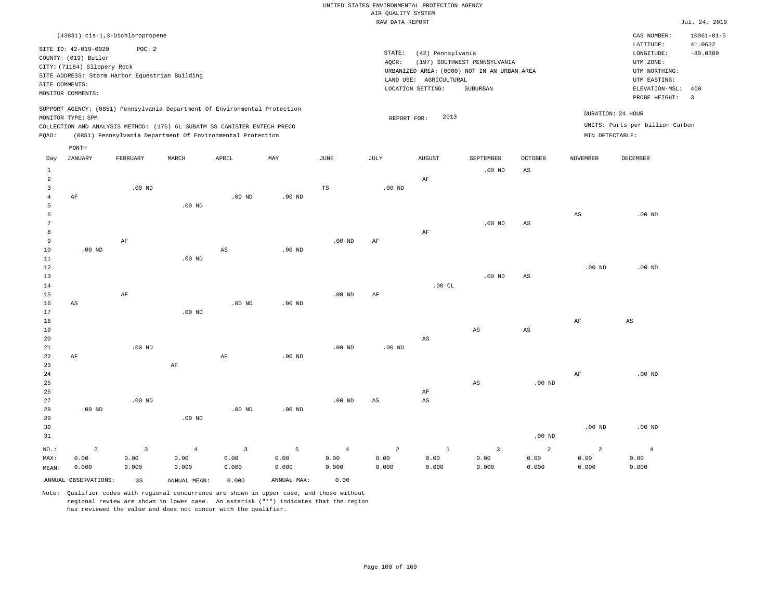|                 |                             |                                                |                   |                                                                            |                   |                   | <br>RAW DATA REPORT | Rothers nensen         |                                             |                        |                   |                                 | Jul. 24, 2019    |
|-----------------|-----------------------------|------------------------------------------------|-------------------|----------------------------------------------------------------------------|-------------------|-------------------|---------------------|------------------------|---------------------------------------------|------------------------|-------------------|---------------------------------|------------------|
|                 |                             | (43831) cis-1,3-Dichloropropene                |                   |                                                                            |                   |                   |                     |                        |                                             |                        |                   | CAS NUMBER:                     | $10061 - 01 - 5$ |
|                 |                             |                                                |                   |                                                                            |                   |                   |                     |                        |                                             |                        |                   | LATITUDE:                       | 41.0632          |
|                 | SITE ID: 42-019-0020        | POC: 2                                         |                   |                                                                            |                   |                   | $\texttt{STATE}{}:$ | (42) Pennsylvania      |                                             |                        |                   | LONGITUDE:                      | $-80.0309$       |
|                 | COUNTY: (019) Butler        |                                                |                   |                                                                            |                   |                   | AOCR:               |                        | (197) SOUTHWEST PENNSYLVANIA                |                        |                   | UTM ZONE:                       |                  |
|                 | CITY: (71184) Slippery Rock |                                                |                   |                                                                            |                   |                   |                     |                        | URBANIZED AREA: (0000) NOT IN AN URBAN AREA |                        |                   | UTM NORTHING:                   |                  |
|                 |                             | SITE ADDRESS: Storm Harbor Equestrian Building |                   |                                                                            |                   |                   |                     | LAND USE: AGRICULTURAL |                                             |                        |                   | UTM EASTING:                    |                  |
| SITE COMMENTS:  |                             |                                                |                   |                                                                            |                   |                   |                     | LOCATION SETTING:      | <b>SUBURBAN</b>                             |                        |                   | ELEVATION-MSL:                  | 400              |
|                 | MONITOR COMMENTS:           |                                                |                   |                                                                            |                   |                   |                     |                        |                                             |                        |                   | PROBE HEIGHT:                   | $\overline{3}$   |
|                 |                             |                                                |                   | SUPPORT AGENCY: (0851) Pennsylvania Department Of Environmental Protection |                   |                   |                     |                        |                                             |                        |                   |                                 |                  |
|                 | MONITOR TYPE: SPM           |                                                |                   |                                                                            |                   |                   | REPORT FOR:         | 2013                   |                                             |                        |                   | DURATION: 24 HOUR               |                  |
|                 |                             |                                                |                   | COLLECTION AND ANALYSIS METHOD: (176) 6L SUBATM SS CANISTER ENTECH PRECO   |                   |                   |                     |                        |                                             |                        |                   | UNITS: Parts per billion Carbon |                  |
| PQAO:           |                             |                                                |                   | (0851) Pennsylvania Department Of Environmental Protection                 |                   |                   |                     |                        |                                             |                        | MIN DETECTABLE:   |                                 |                  |
|                 |                             |                                                |                   |                                                                            |                   |                   |                     |                        |                                             |                        |                   |                                 |                  |
|                 | MONTH                       |                                                |                   |                                                                            |                   |                   |                     |                        |                                             |                        |                   |                                 |                  |
| Day             | <b>JANUARY</b>              | FEBRUARY                                       | MARCH             | APRIL                                                                      | MAY               | <b>JUNE</b>       | JULY                | <b>AUGUST</b>          | SEPTEMBER                                   | <b>OCTOBER</b>         | <b>NOVEMBER</b>   | DECEMBER                        |                  |
| $\mathbf{1}$    |                             |                                                |                   |                                                                            |                   |                   |                     |                        | .00 <sub>ND</sub>                           | AS                     |                   |                                 |                  |
| $\overline{2}$  |                             |                                                |                   |                                                                            |                   |                   |                     | AF                     |                                             |                        |                   |                                 |                  |
| 3               |                             | .00 <sub>ND</sub>                              |                   |                                                                            |                   | $_{\rm TS}$       | $.00$ ND            |                        |                                             |                        |                   |                                 |                  |
| $\overline{4}$  | AF                          |                                                |                   | .00 <sub>ND</sub>                                                          | $.00$ ND          |                   |                     |                        |                                             |                        |                   |                                 |                  |
| 5               |                             |                                                | $.00$ ND          |                                                                            |                   |                   |                     |                        |                                             |                        |                   |                                 |                  |
| $\epsilon$      |                             |                                                |                   |                                                                            |                   |                   |                     |                        |                                             |                        | AS                | $.00$ ND                        |                  |
| $7\phantom{.0}$ |                             |                                                |                   |                                                                            |                   |                   |                     |                        | $.00$ ND                                    | $\mathbb{A}\mathbb{S}$ |                   |                                 |                  |
| 8               |                             |                                                |                   |                                                                            |                   |                   |                     | AF                     |                                             |                        |                   |                                 |                  |
| 9               |                             | $\rm AF$                                       |                   |                                                                            |                   | .00 <sub>ND</sub> | AF                  |                        |                                             |                        |                   |                                 |                  |
| 10              | $.00$ ND                    |                                                |                   | $_{\rm AS}$                                                                | $.00$ ND          |                   |                     |                        |                                             |                        |                   |                                 |                  |
| $11\,$          |                             |                                                | .00 <sub>ND</sub> |                                                                            |                   |                   |                     |                        |                                             |                        |                   |                                 |                  |
| 12              |                             |                                                |                   |                                                                            |                   |                   |                     |                        |                                             |                        | .00 <sub>ND</sub> | $.00$ ND                        |                  |
| 13              |                             |                                                |                   |                                                                            |                   |                   |                     |                        | $.00$ ND                                    | AS                     |                   |                                 |                  |
| 14              |                             |                                                |                   |                                                                            |                   |                   |                     | .00CL                  |                                             |                        |                   |                                 |                  |
| 15              |                             | AF                                             |                   |                                                                            |                   | $.00$ ND          | AF                  |                        |                                             |                        |                   |                                 |                  |
| 16              | AS                          |                                                |                   | $.00$ ND                                                                   | $.00$ ND          |                   |                     |                        |                                             |                        |                   |                                 |                  |
| 17              |                             |                                                | $.00$ ND          |                                                                            |                   |                   |                     |                        |                                             |                        |                   |                                 |                  |
| $18\,$          |                             |                                                |                   |                                                                            |                   |                   |                     |                        |                                             |                        | AF                | AS                              |                  |
| 19              |                             |                                                |                   |                                                                            |                   |                   |                     |                        | $\mathbb{A}\mathbb{S}$                      | $_{\rm AS}$            |                   |                                 |                  |
| 20              |                             |                                                |                   |                                                                            |                   |                   |                     | $\mathbb{A}\mathbb{S}$ |                                             |                        |                   |                                 |                  |
| 21              |                             | $.00$ ND                                       |                   |                                                                            |                   | $.00$ ND          | $.00$ ND            |                        |                                             |                        |                   |                                 |                  |
| 22              | AF                          |                                                |                   | AF                                                                         | .00 <sub>ND</sub> |                   |                     |                        |                                             |                        |                   |                                 |                  |
| 23              |                             |                                                | AF                |                                                                            |                   |                   |                     |                        |                                             |                        | $\rm{AF}$         | .00 <sub>ND</sub>               |                  |
| 24<br>25        |                             |                                                |                   |                                                                            |                   |                   |                     |                        | AS                                          | .00 <sub>ND</sub>      |                   |                                 |                  |
| 26              |                             |                                                |                   |                                                                            |                   |                   |                     | AF                     |                                             |                        |                   |                                 |                  |
| 27              |                             | $.00$ ND                                       |                   |                                                                            |                   | .00 <sub>ND</sub> | AS                  | $\mathbb{A}\mathbb{S}$ |                                             |                        |                   |                                 |                  |
| 28              | $.00$ ND                    |                                                |                   | $.00$ ND                                                                   | $.00$ ND          |                   |                     |                        |                                             |                        |                   |                                 |                  |
| 29              |                             |                                                | $.00$ ND          |                                                                            |                   |                   |                     |                        |                                             |                        |                   |                                 |                  |
| 30              |                             |                                                |                   |                                                                            |                   |                   |                     |                        |                                             |                        | .00 <sub>ND</sub> | $.00$ ND                        |                  |
| 31              |                             |                                                |                   |                                                                            |                   |                   |                     |                        |                                             | .00 <sub>ND</sub>      |                   |                                 |                  |
|                 |                             |                                                |                   |                                                                            |                   |                   |                     |                        |                                             |                        |                   |                                 |                  |
| NO.:            | $\overline{a}$              | $\overline{3}$                                 | $\overline{4}$    | $\overline{3}$                                                             | $\overline{5}$    | $\overline{4}$    | $\overline{a}$      | $\mathbf{1}$           | $\overline{3}$                              | 2                      | $\overline{2}$    | $\overline{4}$                  |                  |
| MAX:            | 0.00                        | 0.00                                           | 0.00              | 0.00                                                                       | 0.00              | 0.00              | 0.00                | 0.00                   | 0.00                                        | 0.00                   | 0.00              | 0.00                            |                  |
| MEAN:           | 0.000                       | 0.000                                          | 0.000             | 0.000                                                                      | 0.000             | 0.000             | 0.000               | 0.000                  | 0.000                                       | 0.000                  | 0.000             | 0.000                           |                  |
|                 | ANNUAL OBSERVATIONS:        | 35                                             | ANNUAL MEAN:      | 0.000                                                                      | ANNUAL MAX:       | 0.00              |                     |                        |                                             |                        |                   |                                 |                  |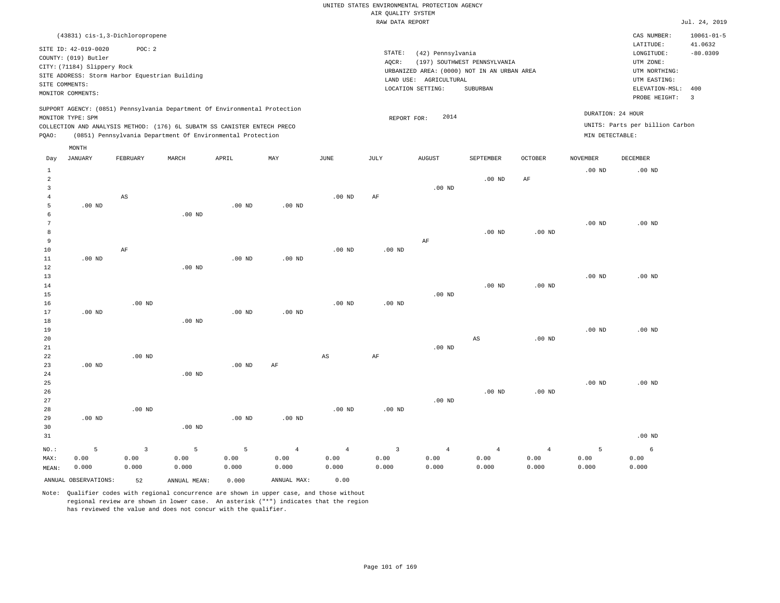|                                                        |                                                                                                                    |                                                                                             |                            |                                                                                                                                                                                                                      |                 |                   | RAW DATA REPORT |                                                                                                                 |                                          |                      |                                      |                                                                                                                         | Jul. 24, 2019                                                                |
|--------------------------------------------------------|--------------------------------------------------------------------------------------------------------------------|---------------------------------------------------------------------------------------------|----------------------------|----------------------------------------------------------------------------------------------------------------------------------------------------------------------------------------------------------------------|-----------------|-------------------|-----------------|-----------------------------------------------------------------------------------------------------------------|------------------------------------------|----------------------|--------------------------------------|-------------------------------------------------------------------------------------------------------------------------|------------------------------------------------------------------------------|
|                                                        | SITE ID: 42-019-0020<br>COUNTY: (019) Butler<br>CITY: (71184) Slippery Rock<br>SITE COMMENTS:<br>MONITOR COMMENTS: | (43831) cis-1,3-Dichloropropene<br>POC: 2<br>SITE ADDRESS: Storm Harbor Equestrian Building |                            |                                                                                                                                                                                                                      |                 |                   | STATE:<br>AQCR: | (42) Pennsylvania<br>URBANIZED AREA: (0000) NOT IN AN URBAN AREA<br>LAND USE: AGRICULTURAL<br>LOCATION SETTING: | (197) SOUTHWEST PENNSYLVANIA<br>SUBURBAN |                      |                                      | CAS NUMBER:<br>LATITUDE:<br>LONGITUDE:<br>UTM ZONE:<br>UTM NORTHING:<br>UTM EASTING:<br>ELEVATION-MSL:<br>PROBE HEIGHT: | $10061 - 01 - 5$<br>41.0632<br>$-80.0309$<br>400<br>$\overline{\phantom{a}}$ |
| POAO:                                                  | MONITOR TYPE: SPM                                                                                                  |                                                                                             |                            | SUPPORT AGENCY: (0851) Pennsylvania Department Of Environmental Protection<br>COLLECTION AND ANALYSIS METHOD: (176) 6L SUBATM SS CANISTER ENTECH PRECO<br>(0851) Pennsylvania Department Of Environmental Protection |                 |                   |                 | 2014<br>REPORT FOR:                                                                                             |                                          |                      | MIN DETECTABLE:                      | DURATION: 24 HOUR<br>UNITS: Parts per billion Carbon                                                                    |                                                                              |
|                                                        | MONTH                                                                                                              |                                                                                             |                            |                                                                                                                                                                                                                      |                 |                   |                 |                                                                                                                 |                                          |                      |                                      |                                                                                                                         |                                                                              |
| Day<br>1<br>$\overline{a}$<br>3<br>$\overline{4}$<br>5 | <b>JANUARY</b><br>$.00$ ND                                                                                         | FEBRUARY<br>AS                                                                              | MARCH<br>.00 <sub>ND</sub> | APRIL<br>$.00$ ND                                                                                                                                                                                                    | MAY<br>$.00$ ND | JUNE<br>$.00$ ND  | JULY<br>AF      | <b>AUGUST</b><br>$.00$ ND                                                                                       | SEPTEMBER<br>$.00$ ND                    | <b>OCTOBER</b><br>AF | <b>NOVEMBER</b><br>.00 <sub>ND</sub> | DECEMBER<br>$.00$ ND                                                                                                    |                                                                              |
| 6<br>8<br>9<br>10<br>11                                | $.00$ ND                                                                                                           | AF                                                                                          |                            | $.00$ ND                                                                                                                                                                                                             | $.00$ ND        | .00 <sub>ND</sub> | $.00$ ND        | AF                                                                                                              | $.00$ ND                                 | $.00$ ND             | .00 <sub>ND</sub>                    | $.00$ ND                                                                                                                |                                                                              |
| 12<br>13<br>14<br>15<br>16                             |                                                                                                                    | $.00$ ND                                                                                    | .00 <sub>ND</sub>          |                                                                                                                                                                                                                      |                 | $.00$ ND          | $.00$ ND        | $.00$ ND                                                                                                        | $.00$ ND                                 | $.00$ ND             | $.00$ ND                             | $.00$ ND                                                                                                                |                                                                              |
| 17<br>18<br>19<br>20                                   | $.00$ ND                                                                                                           |                                                                                             | $.00$ ND                   | $.00$ ND                                                                                                                                                                                                             | $.00$ ND        |                   |                 |                                                                                                                 | AS                                       | $.00$ ND             | .00 <sub>ND</sub>                    | $.00$ ND                                                                                                                |                                                                              |

| 21<br>22<br>23 | $.00$ ND | $.00$ ND |          | $.00$ ND | AF             | AS             | AF       | $.00$ ND       |                |                |          |          |
|----------------|----------|----------|----------|----------|----------------|----------------|----------|----------------|----------------|----------------|----------|----------|
| 24<br>25       |          |          | $.00$ ND |          |                |                |          |                |                |                | $.00$ ND | $.00$ ND |
| 26             |          |          |          |          |                |                |          |                | $.00$ ND       | $.00$ ND       |          |          |
| 27             |          |          |          |          |                |                |          | $.00$ ND       |                |                |          |          |
| 28             |          | $.00$ ND |          |          |                | $.00$ ND       | $.00$ ND |                |                |                |          |          |
| 29             | $.00$ ND |          |          | $.00$ ND | $.00$ ND       |                |          |                |                |                |          |          |
| 30             |          |          | $.00$ ND |          |                |                |          |                |                |                |          |          |
| 31             |          |          |          |          |                |                |          |                |                |                |          | $.00$ ND |
| $NO.$ :        | 5        | 3        | 5        | 5        | $\overline{4}$ | $\overline{4}$ | 3        | $\overline{4}$ | $\overline{4}$ | $\overline{4}$ | 5        | 6        |
| MAX:           | 0.00     | 0.00     | 0.00     | 0.00     | 0.00           | 0.00           | 0.00     | 0.00           | 0.00           | 0.00           | 0.00     | 0.00     |
| MEAN:          | 0.000    | 0.000    | 0.000    | 0.000    | 0.000          | 0.000          | 0.000    | 0.000          | 0.000          | 0.000          | 0.000    | 0.000    |

ANNUAL OBSERVATIONS: 52 ANNUAL MEAN: 0.000 ANNUAL MAX: 0.00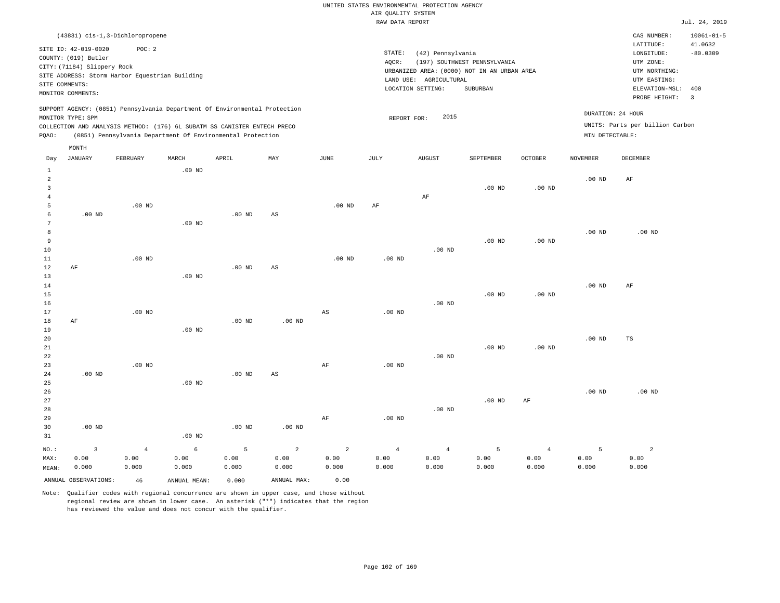|                |                             |                                                |                   |                                                                            |                        |                        | RAW DATA REPORT   |                        |                                             |          |                   |                                 | Jul. 24, 2019               |
|----------------|-----------------------------|------------------------------------------------|-------------------|----------------------------------------------------------------------------|------------------------|------------------------|-------------------|------------------------|---------------------------------------------|----------|-------------------|---------------------------------|-----------------------------|
|                |                             | (43831) cis-1,3-Dichloropropene                |                   |                                                                            |                        |                        |                   |                        |                                             |          |                   | CAS NUMBER:<br>LATITUDE:        | $10061 - 01 - 5$<br>41.0632 |
|                | SITE ID: 42-019-0020        | POC: 2                                         |                   |                                                                            |                        |                        | STATE:            | (42) Pennsylvania      |                                             |          |                   | LONGITUDE:                      | $-80.0309$                  |
|                | COUNTY: (019) Butler        |                                                |                   |                                                                            |                        |                        | AOCR:             |                        | (197) SOUTHWEST PENNSYLVANIA                |          |                   | UTM ZONE:                       |                             |
|                | CITY: (71184) Slippery Rock |                                                |                   |                                                                            |                        |                        |                   |                        | URBANIZED AREA: (0000) NOT IN AN URBAN AREA |          |                   | UTM NORTHING:                   |                             |
|                |                             | SITE ADDRESS: Storm Harbor Equestrian Building |                   |                                                                            |                        |                        |                   | LAND USE: AGRICULTURAL |                                             |          |                   | UTM EASTING:                    |                             |
|                | SITE COMMENTS:              |                                                |                   |                                                                            |                        |                        |                   | LOCATION SETTING:      | SUBURBAN                                    |          |                   | ELEVATION-MSL:                  | 400                         |
|                | MONITOR COMMENTS:           |                                                |                   |                                                                            |                        |                        |                   |                        |                                             |          |                   | PROBE HEIGHT:                   | $\overline{\mathbf{3}}$     |
|                |                             |                                                |                   | SUPPORT AGENCY: (0851) Pennsylvania Department Of Environmental Protection |                        |                        |                   |                        |                                             |          |                   | DURATION: 24 HOUR               |                             |
|                | MONITOR TYPE: SPM           |                                                |                   |                                                                            |                        |                        | REPORT FOR:       | 2015                   |                                             |          |                   | UNITS: Parts per billion Carbon |                             |
|                |                             |                                                |                   | COLLECTION AND ANALYSIS METHOD: (176) 6L SUBATM SS CANISTER ENTECH PRECO   |                        |                        |                   |                        |                                             |          |                   |                                 |                             |
| PQAO:          |                             |                                                |                   | (0851) Pennsylvania Department Of Environmental Protection                 |                        |                        |                   |                        |                                             |          | MIN DETECTABLE:   |                                 |                             |
|                | MONTH                       |                                                |                   |                                                                            |                        |                        |                   |                        |                                             |          |                   |                                 |                             |
| Day            | JANUARY                     | FEBRUARY                                       | MARCH             | APRIL                                                                      | MAY                    | JUNE                   | JULY              | AUGUST                 | SEPTEMBER                                   | OCTOBER  | <b>NOVEMBER</b>   | DECEMBER                        |                             |
| 1              |                             |                                                | $.00$ ND          |                                                                            |                        |                        |                   |                        |                                             |          |                   |                                 |                             |
| $\overline{2}$ |                             |                                                |                   |                                                                            |                        |                        |                   |                        |                                             |          | .00 <sub>ND</sub> | AF                              |                             |
| 3              |                             |                                                |                   |                                                                            |                        |                        |                   |                        | $.00$ ND                                    | $.00$ ND |                   |                                 |                             |
| $\overline{4}$ |                             |                                                |                   |                                                                            |                        |                        |                   | $\rm AF$               |                                             |          |                   |                                 |                             |
| 5              |                             | $.00$ ND                                       |                   |                                                                            |                        | $.00$ ND               | AF                |                        |                                             |          |                   |                                 |                             |
| 6              | $.00$ ND                    |                                                |                   | .00 <sub>ND</sub>                                                          | AS                     |                        |                   |                        |                                             |          |                   |                                 |                             |
| 7              |                             |                                                | $.00$ ND          |                                                                            |                        |                        |                   |                        |                                             |          |                   |                                 |                             |
| 8              |                             |                                                |                   |                                                                            |                        |                        |                   |                        |                                             |          | $.00$ ND          | $.00$ ND                        |                             |
| 9              |                             |                                                |                   |                                                                            |                        |                        |                   |                        | $.00$ ND                                    | $.00$ ND |                   |                                 |                             |
| 10             |                             |                                                |                   |                                                                            |                        |                        |                   | $.00$ ND               |                                             |          |                   |                                 |                             |
| 11             |                             | $.00$ ND                                       |                   |                                                                            |                        | $.00$ ND               | $.00$ ND          |                        |                                             |          |                   |                                 |                             |
| 12             | AF                          |                                                |                   | .00 <sub>ND</sub>                                                          | $\mathbb{A}\mathbb{S}$ |                        |                   |                        |                                             |          |                   |                                 |                             |
| 13             |                             |                                                | $.00$ ND          |                                                                            |                        |                        |                   |                        |                                             |          |                   |                                 |                             |
| 14             |                             |                                                |                   |                                                                            |                        |                        |                   |                        |                                             |          | .00 <sub>ND</sub> | AF                              |                             |
| 15             |                             |                                                |                   |                                                                            |                        |                        |                   |                        | $.00$ ND                                    | $.00$ ND |                   |                                 |                             |
| 16             |                             |                                                |                   |                                                                            |                        |                        |                   | $.00$ ND               |                                             |          |                   |                                 |                             |
| 17             |                             | $.00$ ND                                       |                   |                                                                            |                        | $\mathbb{A}\mathbb{S}$ | $.00$ ND          |                        |                                             |          |                   |                                 |                             |
| 18             | AF                          |                                                |                   | .00 <sub>ND</sub>                                                          | $.00$ ND               |                        |                   |                        |                                             |          |                   |                                 |                             |
| 19             |                             |                                                | $.00$ ND          |                                                                            |                        |                        |                   |                        |                                             |          |                   |                                 |                             |
| 20             |                             |                                                |                   |                                                                            |                        |                        |                   |                        |                                             |          | $.00$ ND          | TS                              |                             |
| 21             |                             |                                                |                   |                                                                            |                        |                        |                   |                        | $.00$ ND                                    | $.00$ ND |                   |                                 |                             |
| 22             |                             |                                                |                   |                                                                            |                        |                        |                   | $.00$ ND               |                                             |          |                   |                                 |                             |
| 23             |                             | $.00$ ND                                       |                   |                                                                            |                        | AF                     | .00 <sub>ND</sub> |                        |                                             |          |                   |                                 |                             |
| 24             | $.00$ ND                    |                                                |                   | .00 <sub>ND</sub>                                                          | AS                     |                        |                   |                        |                                             |          |                   |                                 |                             |
| 25             |                             |                                                | .00 <sub>ND</sub> |                                                                            |                        |                        |                   |                        |                                             |          |                   |                                 |                             |

26 27 28 29 30 31 .00 ND .00 ND .00 ND .00 ND AF .00 ND .00 ND .00 ND AF .00 ND .00 ND

NO.: MAX: MEAN: 3 0.00 0.000 4 0.00 0.000 6 0.00 0.000 5 0.00 0.000 2 0.00 0.000 2 0.00 0.000 4 0.00 0.000 4 0.00 0.000 5 0.00 0.000 4 0.00 0.000 5 0.00 0.000 2 0.00 0.000 ANNUAL OBSERVATIONS: 46 ANNUAL MEAN: 0.000 ANNUAL MAX: 0.00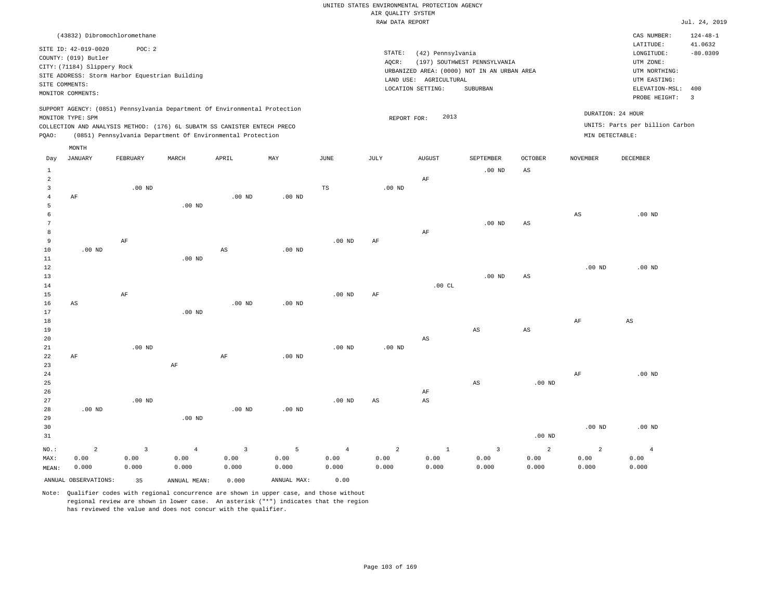|                     |                              |                                                |                                                                            |                        |                   |                | RAW DATA REPORT   |                        |                                             |                        |                   |                                 | Jul. 24, 2019  |
|---------------------|------------------------------|------------------------------------------------|----------------------------------------------------------------------------|------------------------|-------------------|----------------|-------------------|------------------------|---------------------------------------------|------------------------|-------------------|---------------------------------|----------------|
|                     | (43832) Dibromochloromethane |                                                |                                                                            |                        |                   |                |                   |                        |                                             |                        |                   | CAS NUMBER:                     | $124 - 48 - 1$ |
|                     |                              |                                                |                                                                            |                        |                   |                |                   |                        |                                             |                        |                   | LATITUDE:                       | 41.0632        |
|                     | SITE ID: 42-019-0020         | POC: 2                                         |                                                                            |                        |                   |                | STATE:            | (42) Pennsylvania      |                                             |                        |                   | LONGITUDE:                      | $-80.0309$     |
|                     | COUNTY: (019) Butler         |                                                |                                                                            |                        |                   |                | AQCR:             |                        | (197) SOUTHWEST PENNSYLVANIA                |                        |                   | UTM ZONE:                       |                |
|                     | CITY: (71184) Slippery Rock  |                                                |                                                                            |                        |                   |                |                   |                        | URBANIZED AREA: (0000) NOT IN AN URBAN AREA |                        |                   | UTM NORTHING:                   |                |
|                     |                              | SITE ADDRESS: Storm Harbor Equestrian Building |                                                                            |                        |                   |                |                   | LAND USE: AGRICULTURAL |                                             |                        |                   | UTM EASTING:                    |                |
| SITE COMMENTS:      |                              |                                                |                                                                            |                        |                   |                |                   | LOCATION SETTING:      | SUBURBAN                                    |                        |                   | ELEVATION-MSL:                  | 400            |
|                     | MONITOR COMMENTS:            |                                                |                                                                            |                        |                   |                |                   |                        |                                             |                        |                   | PROBE HEIGHT:                   | $\overline{3}$ |
|                     |                              |                                                | SUPPORT AGENCY: (0851) Pennsylvania Department Of Environmental Protection |                        |                   |                |                   |                        |                                             |                        |                   |                                 |                |
|                     | MONITOR TYPE: SPM            |                                                |                                                                            |                        |                   |                | REPORT FOR:       | 2013                   |                                             |                        |                   | DURATION: 24 HOUR               |                |
|                     |                              |                                                | COLLECTION AND ANALYSIS METHOD: (176) 6L SUBATM SS CANISTER ENTECH PRECO   |                        |                   |                |                   |                        |                                             |                        |                   | UNITS: Parts per billion Carbon |                |
| PQAO:               |                              |                                                | (0851) Pennsylvania Department Of Environmental Protection                 |                        |                   |                |                   |                        |                                             |                        | MIN DETECTABLE:   |                                 |                |
|                     | MONTH                        |                                                |                                                                            |                        |                   |                |                   |                        |                                             |                        |                   |                                 |                |
| Day                 | JANUARY                      | FEBRUARY                                       | MARCH                                                                      | APRIL                  | MAY               | JUNE           | JULY              | <b>AUGUST</b>          | SEPTEMBER                                   | <b>OCTOBER</b>         | <b>NOVEMBER</b>   | <b>DECEMBER</b>                 |                |
|                     |                              |                                                |                                                                            |                        |                   |                |                   |                        |                                             |                        |                   |                                 |                |
| $\mathbf{1}$        |                              |                                                |                                                                            |                        |                   |                |                   |                        | .00 <sub>ND</sub>                           | AS                     |                   |                                 |                |
| $\overline{a}$      |                              |                                                |                                                                            |                        |                   |                |                   | AF                     |                                             |                        |                   |                                 |                |
| $\overline{3}$      |                              | $.00$ ND                                       |                                                                            | $.00$ ND               | $.00$ ND          | TS             | $.00$ ND          |                        |                                             |                        |                   |                                 |                |
| $\overline{4}$<br>5 | AF                           |                                                | $.00$ ND                                                                   |                        |                   |                |                   |                        |                                             |                        |                   |                                 |                |
| 6                   |                              |                                                |                                                                            |                        |                   |                |                   |                        |                                             |                        | $_{\rm AS}$       | $.00$ ND                        |                |
| 7                   |                              |                                                |                                                                            |                        |                   |                |                   |                        | $.00$ ND                                    | AS                     |                   |                                 |                |
| 8                   |                              |                                                |                                                                            |                        |                   |                |                   | $\rm AF$               |                                             |                        |                   |                                 |                |
| 9                   |                              | AF                                             |                                                                            |                        |                   | $.00$ ND       | AF                |                        |                                             |                        |                   |                                 |                |
| 10                  | $.00$ ND                     |                                                |                                                                            | $\mathbb{A}\mathbb{S}$ | .00 <sub>ND</sub> |                |                   |                        |                                             |                        |                   |                                 |                |
| 11                  |                              |                                                | $.00$ ND                                                                   |                        |                   |                |                   |                        |                                             |                        |                   |                                 |                |
| 12                  |                              |                                                |                                                                            |                        |                   |                |                   |                        |                                             |                        | .00 <sub>ND</sub> | $.00$ ND                        |                |
| 13                  |                              |                                                |                                                                            |                        |                   |                |                   |                        | .00 <sub>ND</sub>                           | $_{\rm AS}$            |                   |                                 |                |
| 14                  |                              |                                                |                                                                            |                        |                   |                |                   | .00CL                  |                                             |                        |                   |                                 |                |
| 15                  |                              | AF                                             |                                                                            |                        |                   | $.00$ ND       | AF                |                        |                                             |                        |                   |                                 |                |
| 16                  | AS                           |                                                |                                                                            | $.00$ ND               | .00 <sub>ND</sub> |                |                   |                        |                                             |                        |                   |                                 |                |
| 17                  |                              |                                                | $.00$ ND                                                                   |                        |                   |                |                   |                        |                                             |                        |                   |                                 |                |
| 18                  |                              |                                                |                                                                            |                        |                   |                |                   |                        |                                             |                        | AF                | AS                              |                |
| 19                  |                              |                                                |                                                                            |                        |                   |                |                   |                        | $_{\rm AS}$                                 | $\mathbb{A}\mathbb{S}$ |                   |                                 |                |
| 20                  |                              |                                                |                                                                            |                        |                   |                |                   | AS                     |                                             |                        |                   |                                 |                |
| 21                  |                              | $.00$ ND                                       |                                                                            |                        |                   | $.00$ ND       | .00 <sub>ND</sub> |                        |                                             |                        |                   |                                 |                |
| 22                  | AF                           |                                                |                                                                            | $\rm AF$               | .00 <sub>ND</sub> |                |                   |                        |                                             |                        |                   |                                 |                |
| 23                  |                              |                                                | $\rm{AF}$                                                                  |                        |                   |                |                   |                        |                                             |                        |                   |                                 |                |
| 24                  |                              |                                                |                                                                            |                        |                   |                |                   |                        |                                             |                        | AF                | $.00$ ND                        |                |
| 25                  |                              |                                                |                                                                            |                        |                   |                |                   |                        | $_{\rm AS}$                                 | .00 <sub>ND</sub>      |                   |                                 |                |
| 26                  |                              |                                                |                                                                            |                        |                   |                |                   | AF                     |                                             |                        |                   |                                 |                |
| 27                  |                              | .00 <sub>ND</sub>                              |                                                                            |                        |                   | $.00$ ND       | AS                | $\mathbb{A}\mathbb{S}$ |                                             |                        |                   |                                 |                |
| 28                  | $.00$ ND                     |                                                |                                                                            | $.00$ ND               | .00 <sub>ND</sub> |                |                   |                        |                                             |                        |                   |                                 |                |
| 29                  |                              |                                                | $.00$ ND                                                                   |                        |                   |                |                   |                        |                                             |                        |                   |                                 |                |
| 30                  |                              |                                                |                                                                            |                        |                   |                |                   |                        |                                             |                        | .00 <sub>ND</sub> | $.00$ ND                        |                |
| 31                  |                              |                                                |                                                                            |                        |                   |                |                   |                        |                                             | .00 <sub>ND</sub>      |                   |                                 |                |
| NO.:                | $\overline{a}$               | $\overline{3}$                                 | $\overline{4}$                                                             | $\overline{3}$         | 5                 | $\overline{4}$ | $\overline{2}$    | $\mathbf{1}$           | $\overline{3}$                              | $\overline{a}$         | $\overline{a}$    | $\overline{4}$                  |                |
| MAX:                | 0.00                         | 0.00                                           | 0.00                                                                       | 0.00                   | 0.00              | 0.00           | 0.00              | 0.00                   | 0.00                                        | 0.00                   | 0.00              | 0.00                            |                |
| MEAN:               | 0.000                        | 0.000                                          | 0.000                                                                      | 0.000                  | 0.000             | 0.000          | 0.000             | 0.000                  | 0.000                                       | 0.000                  | 0.000             | 0.000                           |                |
|                     | ANNUAL OBSERVATIONS:         | 35                                             | ANNUAL MEAN:                                                               | 0.000                  | ANNUAL MAX:       | 0.00           |                   |                        |                                             |                        |                   |                                 |                |
|                     |                              |                                                |                                                                            |                        |                   |                |                   |                        |                                             |                        |                   |                                 |                |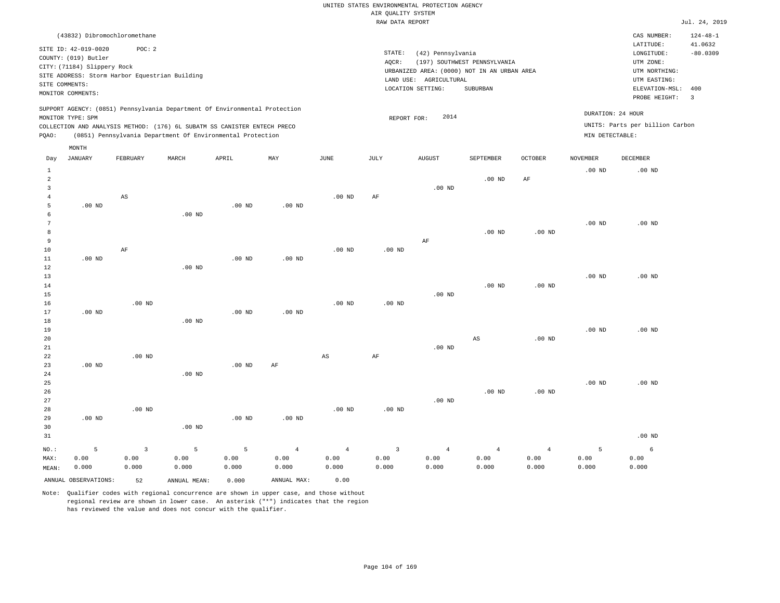|                                                                                                                                                                                                                                                    |                |                               |          |                 | RAW DATA REPORT                                                                                                                                 |                                                                                                          |                                                          |                   |             | Jul. 24, 2019  |
|----------------------------------------------------------------------------------------------------------------------------------------------------------------------------------------------------------------------------------------------------|----------------|-------------------------------|----------|-----------------|-------------------------------------------------------------------------------------------------------------------------------------------------|----------------------------------------------------------------------------------------------------------|----------------------------------------------------------|-------------------|-------------|----------------|
| (43832) Dibromochloromethane                                                                                                                                                                                                                       |                |                               |          |                 |                                                                                                                                                 |                                                                                                          |                                                          |                   | CAS NUMBER: | $124 - 48 - 1$ |
| SITE ID: 42-019-0020<br>POC:2<br>COUNTY: (019) Butler<br>CITY: (71184) Slippery Rock<br>SITE ADDRESS: Storm Harbor Equestrian Building<br>SITE COMMENTS:<br>MONITOR COMMENTS:                                                                      |                |                               |          | STATE:<br>AOCR: | (42) Pennsylvania<br>(197) SOUTHWEST PENNSYLVANIA<br>URBANIZED AREA: (0000) NOT IN AN URBAN AREA<br>LAND USE: AGRICULTURAL<br>LOCATION SETTING: | LATITUDE:<br>LONGITUDE:<br>UTM ZONE:<br>UTM NORTHING:<br>UTM EASTING:<br>ELEVATION-MSL:<br>PROBE HEIGHT: | 41.0632<br>$-80.0309$<br>400<br>$\overline{\phantom{a}}$ |                   |             |                |
| SUPPORT AGENCY: (0851) Pennsylvania Department Of Environmental Protection<br>MONITOR TYPE: SPM<br>COLLECTION AND ANALYSIS METHOD: (176) 6L SUBATM SS CANISTER ENTECH PRECO<br>(0851) Pennsylvania Department Of Environmental Protection<br>PQAO: |                |                               |          |                 | 2014<br>REPORT FOR:                                                                                                                             | DURATION: 24 HOUR<br>UNITS: Parts per billion Carbon<br>MIN DETECTABLE:                                  |                                                          |                   |             |                |
| MONTH<br>JANUARY<br>FEBRUARY<br>Day                                                                                                                                                                                                                | MARCH<br>APRIL | MAY                           | JUNE     | JULY            | <b>AUGUST</b>                                                                                                                                   | SEPTEMBER                                                                                                | <b>OCTOBER</b>                                           | <b>NOVEMBER</b>   | DECEMBER    |                |
| 2<br>3                                                                                                                                                                                                                                             |                |                               |          |                 | $.00$ ND                                                                                                                                        | $.00$ ND                                                                                                 | AF                                                       | .00 <sub>ND</sub> | $.00$ ND    |                |
| AS<br>.00 <sub>ND</sub><br>5                                                                                                                                                                                                                       |                | $.00$ ND<br>.00 <sub>ND</sub> | $.00$ ND | AF              |                                                                                                                                                 |                                                                                                          |                                                          |                   |             |                |
| 8<br>9                                                                                                                                                                                                                                             | $.00$ ND       |                               |          |                 | AF                                                                                                                                              | $.00$ ND                                                                                                 | $.00$ ND                                                 | $.00$ ND          | $.00$ ND    |                |

| -           |          |          |          |          |          |          |          | $\ddot{\phantom{0}}$ |          |          |          |                 |
|-------------|----------|----------|----------|----------|----------|----------|----------|----------------------|----------|----------|----------|-----------------|
| $10$        |          | AF       |          |          |          | $.00$ ND | $.00$ ND |                      |          |          |          |                 |
| $11$        | $.00$ ND |          |          | $.00$ ND | $.00$ ND |          |          |                      |          |          |          |                 |
| $1\,2$      |          |          | $.00$ ND |          |          |          |          |                      |          |          |          |                 |
| $13$        |          |          |          |          |          |          |          |                      |          |          | $.00$ ND | $.00$ ND        |
| 14          |          |          |          |          |          |          |          |                      | $.00$ ND | $.00$ ND |          |                 |
| 15          |          |          |          |          |          |          |          | $.00$ ND             |          |          |          |                 |
| 16          |          | $.00$ ND |          |          |          | $.00$ ND | $.00$ ND |                      |          |          |          |                 |
| 17          | $.00$ ND |          |          | $.00$ ND | $.00$ ND |          |          |                      |          |          |          |                 |
| $18\,$      |          |          | $.00$ ND |          |          |          |          |                      |          |          |          |                 |
| 19          |          |          |          |          |          |          |          |                      |          |          | .00 $ND$ | $.00$ ND        |
| $20\,$      |          |          |          |          |          |          |          |                      | AS       | $.00$ ND |          |                 |
| $2\sqrt{1}$ |          |          |          |          |          |          |          | $.00$ ND             |          |          |          |                 |
| 22          |          | $.00$ ND |          |          |          | AS       | AF       |                      |          |          |          |                 |
| 23          | $.00$ ND |          |          | $.00$ ND | $\rm AF$ |          |          |                      |          |          |          |                 |
| $2\sqrt{4}$ |          |          | $.00$ ND |          |          |          |          |                      |          |          |          |                 |
| $25\,$      |          |          |          |          |          |          |          |                      |          |          | .00 $ND$ | $.00$ ND        |
| 26          |          |          |          |          |          |          |          |                      | $.00$ ND | $.00$ ND |          |                 |
| 27          |          |          |          |          |          |          |          | $.00$ ND             |          |          |          |                 |
| 28          |          | $.00$ ND |          |          |          | $.00$ ND | $.00$ ND |                      |          |          |          |                 |
| 29          | $.00$ ND |          |          | $.00$ ND | $.00$ ND |          |          |                      |          |          |          |                 |
| 30          |          |          | $.00$ ND |          |          |          |          |                      |          |          |          |                 |
| 21          |          |          |          |          |          |          |          |                      |          |          |          | $00 \text{ MP}$ |

| - 31  |                      |                |              |                     |                 |       |                      |                 |                |       |       | .UU ND |
|-------|----------------------|----------------|--------------|---------------------|-----------------|-------|----------------------|-----------------|----------------|-------|-------|--------|
| NO.:  |                      | $\overline{3}$ | $5 - 5$      | $\sim$ 5 and $\sim$ | $4\overline{ }$ |       | $4 \hspace{1.5cm} 3$ | $4\overline{ }$ | $\overline{4}$ |       |       |        |
| MAX:  | 0.00                 | 0.00           | 0.00         | 0.00                | J.00            | 0.00  | 0.00                 | 0.00            | 0.00           | 0.00  | 0.00  | 0.00   |
| MEAN: | 0.000                | 0.000          | 0.000        | 0.000               | 0.000           | 0.000 | 0.000                | 0.000           | 0.000          | 0.000 | 0.000 | 0.000  |
|       | ANNUAL OBSERVATIONS: | 52             | ANNUAL MEAN: | 0.000               | ANNUAL MAX:     | 0.00  |                      |                 |                |       |       |        |

Note: Qualifier codes with regional concurrence are shown in upper case, and those without regional review are shown in lower case. An asterisk ("\*") indicates that the region

has reviewed the value and does not concur with the qualifier.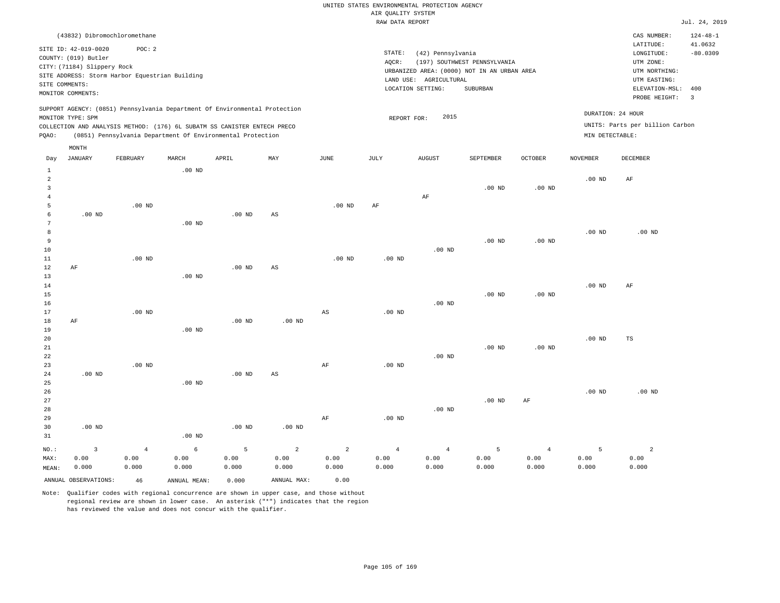|                                  |                                                                                                                    |                                                                                                                                                                                                                      |          |                   |                   |                        | RAW DATA REPORT                                                                                               |                                                                                                          |                                                          |                   |                 |                                                      | Jul. 24, 2019  |
|----------------------------------|--------------------------------------------------------------------------------------------------------------------|----------------------------------------------------------------------------------------------------------------------------------------------------------------------------------------------------------------------|----------|-------------------|-------------------|------------------------|---------------------------------------------------------------------------------------------------------------|----------------------------------------------------------------------------------------------------------|----------------------------------------------------------|-------------------|-----------------|------------------------------------------------------|----------------|
|                                  |                                                                                                                    | (43832) Dibromochloromethane                                                                                                                                                                                         |          |                   |                   |                        |                                                                                                               |                                                                                                          |                                                          |                   |                 | CAS NUMBER:                                          | $124 - 48 - 1$ |
|                                  | SITE ID: 42-019-0020<br>COUNTY: (019) Butler<br>CITY: (71184) Slippery Rock<br>SITE COMMENTS:<br>MONITOR COMMENTS: | POC: 2<br>SITE ADDRESS: Storm Harbor Equestrian Building                                                                                                                                                             |          |                   |                   |                        | STATE:<br>AQCR:<br>URBANIZED AREA: (0000) NOT IN AN URBAN AREA<br>LAND USE: AGRICULTURAL<br>LOCATION SETTING: | LATITUDE:<br>LONGITUDE:<br>UTM ZONE:<br>UTM NORTHING:<br>UTM EASTING:<br>ELEVATION-MSL:<br>PROBE HEIGHT: | 41.0632<br>$-80.0309$<br>400<br>$\overline{\phantom{a}}$ |                   |                 |                                                      |                |
| POAO:                            | MONITOR TYPE: SPM                                                                                                  | SUPPORT AGENCY: (0851) Pennsylvania Department Of Environmental Protection<br>COLLECTION AND ANALYSIS METHOD: (176) 6L SUBATM SS CANISTER ENTECH PRECO<br>(0851) Pennsylvania Department Of Environmental Protection |          |                   |                   |                        |                                                                                                               | 2015<br>REPORT FOR:                                                                                      |                                                          |                   | MIN DETECTABLE: | DURATION: 24 HOUR<br>UNITS: Parts per billion Carbon |                |
| Day                              | MONTH<br>JANUARY                                                                                                   | FEBRUARY                                                                                                                                                                                                             | MARCH    | APRIL             | MAY               | JUNE                   | JULY                                                                                                          | <b>AUGUST</b>                                                                                            | SEPTEMBER                                                | <b>OCTOBER</b>    | <b>NOVEMBER</b> | DECEMBER                                             |                |
| 1<br>2<br>3<br>4                 |                                                                                                                    |                                                                                                                                                                                                                      | $.00$ ND |                   |                   |                        |                                                                                                               | AF                                                                                                       | $.00$ ND                                                 | $.00$ ND          | $.00$ ND        | AF                                                   |                |
| 5<br>6<br>7<br>8<br>9<br>10      | $.00$ ND                                                                                                           | $.00$ ND                                                                                                                                                                                                             | $.00$ ND | $.00$ ND          | AS                | $.00$ ND               | AF                                                                                                            | $.00$ ND                                                                                                 | $.00$ ND                                                 | $.00$ ND          | $.00$ ND        | $.00$ ND                                             |                |
| 11<br>12<br>13<br>14<br>15<br>16 | AF                                                                                                                 | $.00$ ND                                                                                                                                                                                                             | $.00$ ND | $.00$ ND          | AS                | $.00$ ND               | $.00$ ND                                                                                                      | $.00$ ND                                                                                                 | $.00$ ND                                                 | .00 <sub>ND</sub> | $.00$ ND        | AF                                                   |                |
| 17<br>18                         | AF                                                                                                                 | $.00$ ND                                                                                                                                                                                                             |          | .00 <sub>ND</sub> | .00 <sub>ND</sub> | $\mathbb{A}\mathbb{S}$ | $.00$ ND                                                                                                      |                                                                                                          |                                                          |                   |                 |                                                      |                |

19 20 21 22 23 24 25 .00 ND .00 ND .00 ND .00 ND .00 ND AS AF .00 ND .00 ND .00 ND .00 ND .00 ND TS

26 27 28 29 30 31 .00 ND NO.: 3 .00 ND .00 ND .00 ND AF .00 ND .00 ND .00 ND AF .00 ND .00 ND 2 2

MAX: MEAN: 0.00 0.000 4 0.00 0.000 6 0.00 0.000 5 0.00 0.000 2 0.00 0.000 0.00 0.000 4 0.00 0.000 4 0.00 0.000 5 0.00 0.000 4 0.00 0.000 5 0.00 0.000 0.00 0.000 ANNUAL OBSERVATIONS: 46 ANNUAL MEAN: 0.000 ANNUAL MAX: 0.00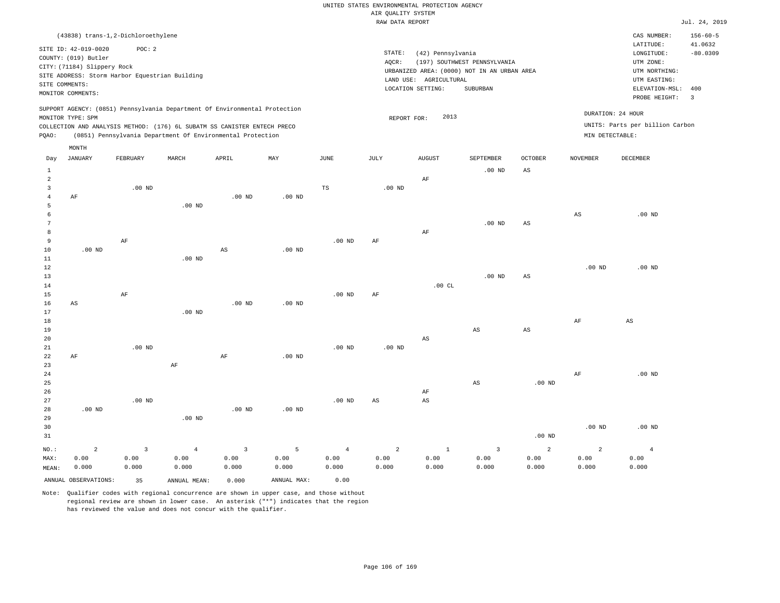|                |                                                                            |                         |                   |                                                            |                   |                   | RAW DATA REPORT   |                        |                                             |                |                        |                                 | Jul. 24, 2019  |
|----------------|----------------------------------------------------------------------------|-------------------------|-------------------|------------------------------------------------------------|-------------------|-------------------|-------------------|------------------------|---------------------------------------------|----------------|------------------------|---------------------------------|----------------|
|                | (43838) trans-1,2-Dichloroethylene                                         |                         |                   |                                                            |                   |                   |                   |                        |                                             |                |                        | CAS NUMBER:                     | $156 - 60 - 5$ |
|                |                                                                            |                         |                   |                                                            |                   |                   |                   |                        |                                             |                |                        | LATITUDE:                       | 41.0632        |
|                | SITE ID: 42-019-0020<br>COUNTY: (019) Butler                               | POC: 2                  |                   |                                                            |                   |                   | STATE:            | (42) Pennsylvania      |                                             |                |                        | LONGITUDE:                      | $-80.0309$     |
|                | CITY: (71184) Slippery Rock                                                |                         |                   |                                                            |                   |                   | AQCR:             |                        | (197) SOUTHWEST PENNSYLVANIA                |                |                        | UTM ZONE:                       |                |
|                | SITE ADDRESS: Storm Harbor Equestrian Building                             |                         |                   |                                                            |                   |                   |                   |                        | URBANIZED AREA: (0000) NOT IN AN URBAN AREA |                |                        | UTM NORTHING:                   |                |
| SITE COMMENTS: |                                                                            |                         |                   |                                                            |                   |                   |                   | LAND USE: AGRICULTURAL |                                             |                |                        | UTM EASTING:                    |                |
|                | MONITOR COMMENTS:                                                          |                         |                   |                                                            |                   |                   |                   | LOCATION SETTING:      | <b>SUBURBAN</b>                             |                |                        | ELEVATION-MSL:                  | 400            |
|                |                                                                            |                         |                   |                                                            |                   |                   |                   |                        |                                             |                |                        | PROBE HEIGHT:                   | $\overline{3}$ |
|                | SUPPORT AGENCY: (0851) Pennsylvania Department Of Environmental Protection |                         |                   |                                                            |                   |                   |                   |                        |                                             |                |                        | DURATION: 24 HOUR               |                |
|                | MONITOR TYPE: SPM                                                          |                         |                   |                                                            |                   |                   | REPORT FOR:       | 2013                   |                                             |                |                        |                                 |                |
|                | COLLECTION AND ANALYSIS METHOD: (176) 6L SUBATM SS CANISTER ENTECH PRECO   |                         |                   |                                                            |                   |                   |                   |                        |                                             |                |                        | UNITS: Parts per billion Carbon |                |
| PQAO:          |                                                                            |                         |                   | (0851) Pennsylvania Department Of Environmental Protection |                   |                   |                   |                        |                                             |                | MIN DETECTABLE:        |                                 |                |
|                | MONTH                                                                      |                         |                   |                                                            |                   |                   |                   |                        |                                             |                |                        |                                 |                |
| Day            | JANUARY                                                                    | FEBRUARY                | MARCH             | APRIL                                                      | MAY               | JUNE              | JULY              | <b>AUGUST</b>          | SEPTEMBER                                   | <b>OCTOBER</b> | <b>NOVEMBER</b>        | DECEMBER                        |                |
| $\mathbf{1}$   |                                                                            |                         |                   |                                                            |                   |                   |                   |                        | $.00$ ND                                    | $_{\rm AS}$    |                        |                                 |                |
| $\overline{a}$ |                                                                            |                         |                   |                                                            |                   |                   |                   | AF                     |                                             |                |                        |                                 |                |
| 3              |                                                                            | $.00$ ND                |                   |                                                            |                   | $_{\rm TS}$       | .00 <sub>ND</sub> |                        |                                             |                |                        |                                 |                |
| $\overline{4}$ | $\rm AF$                                                                   |                         |                   | $.00$ ND                                                   | $.00$ ND          |                   |                   |                        |                                             |                |                        |                                 |                |
| 5              |                                                                            |                         | .00 <sub>ND</sub> |                                                            |                   |                   |                   |                        |                                             |                |                        |                                 |                |
| 6              |                                                                            |                         |                   |                                                            |                   |                   |                   |                        |                                             |                | $\mathbb{A}\mathbb{S}$ | .00 <sub>ND</sub>               |                |
| 7              |                                                                            |                         |                   |                                                            |                   |                   |                   |                        | $.00$ ND                                    | $_{\rm AS}$    |                        |                                 |                |
| 8              |                                                                            |                         |                   |                                                            |                   |                   |                   | $\rm{AF}$              |                                             |                |                        |                                 |                |
| 9              |                                                                            | $\rm{AF}$               |                   |                                                            |                   | $.00$ ND          | AF                |                        |                                             |                |                        |                                 |                |
| 10             | $.00$ ND                                                                   |                         |                   | AS                                                         | $.00$ ND          |                   |                   |                        |                                             |                |                        |                                 |                |
| $11\,$         |                                                                            |                         | .00 <sub>ND</sub> |                                                            |                   |                   |                   |                        |                                             |                |                        |                                 |                |
| 12             |                                                                            |                         |                   |                                                            |                   |                   |                   |                        |                                             |                | $.00$ ND               | $.00$ ND                        |                |
| 13             |                                                                            |                         |                   |                                                            |                   |                   |                   |                        | $.00$ ND                                    | $_{\rm AS}$    |                        |                                 |                |
| 14             |                                                                            |                         |                   |                                                            |                   |                   |                   | .00CL                  |                                             |                |                        |                                 |                |
| 15<br>16       | AS                                                                         | $\rm{AF}$               |                   | $.00$ ND                                                   | $.00$ ND          | .00 <sub>ND</sub> | AF                |                        |                                             |                |                        |                                 |                |
| $17$           |                                                                            |                         | .00 <sub>ND</sub> |                                                            |                   |                   |                   |                        |                                             |                |                        |                                 |                |
| 18             |                                                                            |                         |                   |                                                            |                   |                   |                   |                        |                                             |                | AF                     | AS                              |                |
| 19             |                                                                            |                         |                   |                                                            |                   |                   |                   |                        | AS                                          | $_{\rm AS}$    |                        |                                 |                |
| 20             |                                                                            |                         |                   |                                                            |                   |                   |                   | AS                     |                                             |                |                        |                                 |                |
| 21             |                                                                            | $.00$ ND                |                   |                                                            |                   | .00 <sub>ND</sub> | $.00$ ND          |                        |                                             |                |                        |                                 |                |
| 22             | AF                                                                         |                         |                   | AF                                                         | .00 <sub>ND</sub> |                   |                   |                        |                                             |                |                        |                                 |                |
| 23             |                                                                            |                         | AF                |                                                            |                   |                   |                   |                        |                                             |                |                        |                                 |                |
| 24             |                                                                            |                         |                   |                                                            |                   |                   |                   |                        |                                             |                | $\rm{AF}$              | $.00$ ND                        |                |
| 25             |                                                                            |                         |                   |                                                            |                   |                   |                   |                        | $_{\rm AS}$                                 | $.00$ ND       |                        |                                 |                |
| 26             |                                                                            |                         |                   |                                                            |                   |                   |                   | AF                     |                                             |                |                        |                                 |                |
| 27             |                                                                            | $.00$ ND                |                   |                                                            |                   | .00 <sub>ND</sub> | $_{\rm AS}$       | $_{\rm AS}$            |                                             |                |                        |                                 |                |
| 28             | $.00$ ND                                                                   |                         |                   | $.00$ ND                                                   | $.00$ ND          |                   |                   |                        |                                             |                |                        |                                 |                |
| 29             |                                                                            |                         | $.00$ ND          |                                                            |                   |                   |                   |                        |                                             |                |                        |                                 |                |
| 30             |                                                                            |                         |                   |                                                            |                   |                   |                   |                        |                                             |                | $.00$ ND               | $.00$ ND                        |                |
| 31             |                                                                            |                         |                   |                                                            |                   |                   |                   |                        |                                             | $.00$ ND       |                        |                                 |                |
| NO.:           | $\overline{a}$                                                             | $\overline{\mathbf{3}}$ | $\overline{4}$    | $\overline{3}$                                             | 5                 | $\overline{4}$    | $\overline{a}$    | $1\,$                  | $\overline{3}$                              | $\overline{a}$ | $\overline{a}$         | $\overline{4}$                  |                |
| MAX:           | 0.00                                                                       | 0.00                    | 0.00              | 0.00                                                       | 0.00              | 0.00              | 0.00              | 0.00                   | 0.00                                        | 0.00           | 0.00                   | 0.00                            |                |
| MEAN:          | 0.000                                                                      | 0.000                   | 0.000             | 0.000                                                      | 0.000             | 0.000             | 0.000             | 0.000                  | 0.000                                       | 0.000          | 0.000                  | 0.000                           |                |
|                |                                                                            |                         |                   |                                                            |                   | 0.00              |                   |                        |                                             |                |                        |                                 |                |
|                | ANNUAL OBSERVATIONS:                                                       | 35                      | ANNUAL MEAN:      | 0.000                                                      | ANNUAL MAX:       |                   |                   |                        |                                             |                |                        |                                 |                |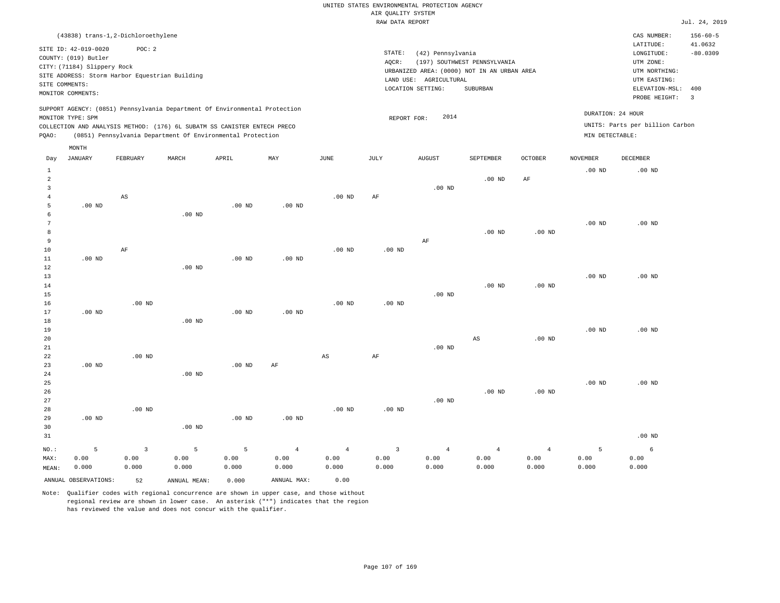|                                                                                                                                                                                |                   |                                    |          |                                                                                                                                                                                                                      |                   |                   | RAW DATA REPORT   |                                                                                                                                                 |                                                                                                          |                                                         |                   |                                                      | Jul. 24, 2019  |
|--------------------------------------------------------------------------------------------------------------------------------------------------------------------------------|-------------------|------------------------------------|----------|----------------------------------------------------------------------------------------------------------------------------------------------------------------------------------------------------------------------|-------------------|-------------------|-------------------|-------------------------------------------------------------------------------------------------------------------------------------------------|----------------------------------------------------------------------------------------------------------|---------------------------------------------------------|-------------------|------------------------------------------------------|----------------|
|                                                                                                                                                                                |                   | (43838) trans-1,2-Dichloroethylene |          |                                                                                                                                                                                                                      |                   |                   |                   |                                                                                                                                                 |                                                                                                          |                                                         |                   | CAS NUMBER:                                          | $156 - 60 - 5$ |
| SITE ID: 42-019-0020<br>POC: 2<br>COUNTY: (019) Butler<br>CITY: (71184) Slippery Rock<br>SITE ADDRESS: Storm Harbor Equestrian Building<br>SITE COMMENTS:<br>MONITOR COMMENTS: |                   |                                    |          |                                                                                                                                                                                                                      |                   |                   | STATE:<br>AQCR:   | (42) Pennsylvania<br>(197) SOUTHWEST PENNSYLVANIA<br>URBANIZED AREA: (0000) NOT IN AN URBAN AREA<br>LAND USE: AGRICULTURAL<br>LOCATION SETTING: | LATITUDE:<br>LONGITUDE:<br>UTM ZONE:<br>UTM NORTHING:<br>UTM EASTING:<br>ELEVATION-MSL:<br>PROBE HEIGHT: | 41.0632<br>$-80.0309$<br>400<br>$\overline{\mathbf{3}}$ |                   |                                                      |                |
| PQAO:                                                                                                                                                                          | MONITOR TYPE: SPM |                                    |          | SUPPORT AGENCY: (0851) Pennsylvania Department Of Environmental Protection<br>COLLECTION AND ANALYSIS METHOD: (176) 6L SUBATM SS CANISTER ENTECH PRECO<br>(0851) Pennsylvania Department Of Environmental Protection |                   |                   | REPORT FOR:       | 2014                                                                                                                                            |                                                                                                          |                                                         | MIN DETECTABLE:   | DURATION: 24 HOUR<br>UNITS: Parts per billion Carbon |                |
| Day                                                                                                                                                                            | MONTH<br>JANUARY  | FEBRUARY                           | MARCH    | APRIL                                                                                                                                                                                                                | MAY               | JUNE              | JULY              | <b>AUGUST</b>                                                                                                                                   | SEPTEMBER                                                                                                | <b>OCTOBER</b>                                          | <b>NOVEMBER</b>   | <b>DECEMBER</b>                                      |                |
| $\mathbf{1}$<br>$\overline{a}$<br>$\overline{3}$                                                                                                                               |                   |                                    |          |                                                                                                                                                                                                                      |                   |                   |                   | $.00$ ND                                                                                                                                        | .00 <sub>ND</sub>                                                                                        | $\rm{AF}$                                               | .00 <sub>ND</sub> | $.00$ ND                                             |                |
| 4<br>5<br>6                                                                                                                                                                    | $.00$ ND          | $\mathbb{A}\mathbb{S}$             | $.00$ ND | $.00$ ND                                                                                                                                                                                                             | $.00$ ND          | .00 <sub>ND</sub> | AF                |                                                                                                                                                 |                                                                                                          |                                                         |                   |                                                      |                |
| 7<br>8<br>9                                                                                                                                                                    |                   |                                    |          |                                                                                                                                                                                                                      |                   |                   |                   | AF                                                                                                                                              | $.00$ ND                                                                                                 | .00 <sub>ND</sub>                                       | .00 <sub>ND</sub> | $.00$ ND                                             |                |
| 10<br>11<br>12                                                                                                                                                                 | $.00$ ND          | $\rm AF$                           | $.00$ ND | $.00$ ND                                                                                                                                                                                                             | $.00$ ND          | .00 <sub>ND</sub> | $.00$ ND          |                                                                                                                                                 |                                                                                                          |                                                         |                   |                                                      |                |
| 13<br>14<br>15                                                                                                                                                                 |                   |                                    |          |                                                                                                                                                                                                                      |                   |                   |                   | $.00$ ND                                                                                                                                        | $.00$ ND                                                                                                 | .00 <sub>ND</sub>                                       | .00 <sub>ND</sub> | $.00$ ND                                             |                |
| 16<br>17<br>18                                                                                                                                                                 | .00 <sub>ND</sub> | $.00$ ND                           | $.00$ ND | .00 <sub>ND</sub>                                                                                                                                                                                                    | .00 <sub>ND</sub> | $.00$ ND          | .00 <sub>ND</sub> |                                                                                                                                                 |                                                                                                          |                                                         |                   |                                                      |                |
| 19<br>20<br>21                                                                                                                                                                 |                   |                                    |          |                                                                                                                                                                                                                      |                   |                   |                   | $.00$ ND                                                                                                                                        | AS                                                                                                       | $.00$ ND                                                | .00 <sub>ND</sub> | $.00$ ND                                             |                |
| 22<br>23<br>24                                                                                                                                                                 | $.00$ ND          | $.00$ ND                           | $.00$ ND | $.00$ ND                                                                                                                                                                                                             | AF                | AS                | AF                |                                                                                                                                                 |                                                                                                          |                                                         |                   |                                                      |                |
| 25<br>26<br>27                                                                                                                                                                 |                   |                                    |          |                                                                                                                                                                                                                      |                   |                   |                   | $.00$ ND                                                                                                                                        | .00 <sub>ND</sub>                                                                                        | .00 <sub>ND</sub>                                       | .00 <sub>ND</sub> | $.00$ ND                                             |                |
| 28                                                                                                                                                                             |                   | .00 <sub>ND</sub>                  |          |                                                                                                                                                                                                                      |                   | $.00$ ND          | $.00$ ND          |                                                                                                                                                 |                                                                                                          |                                                         |                   |                                                      |                |

29 30 31 .00 ND NO.: MAX: MEAN: 5 0.00 0.000 .00 ND .00 ND .00 ND .00 ND 3 0.00 0.000 5 0.00 0.000 5 0.00 0.000 4 0.00 0.000 4 0.00 0.000 3 0.00 0.000 4 0.00 0.000 4 0.00 0.000 4 0.00 0.000 5 0.00 0.000 6 0.00 0.000 ANNUAL OBSERVATIONS: 52 ANNUAL MEAN: 0.000 ANNUAL MAX: 0.00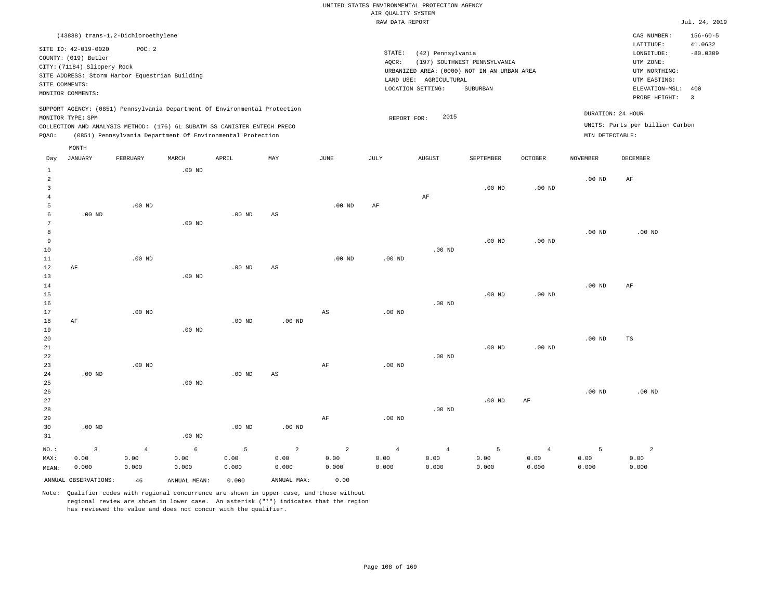|                                  |                                                                                                                    |                                                          |                   |                                                                                                                                        |             |             | RAW DATA REPORT   |                                                                  |                                                                                                |                   |                   |                                                                                                          | Jul. 24, 2019                                  |
|----------------------------------|--------------------------------------------------------------------------------------------------------------------|----------------------------------------------------------|-------------------|----------------------------------------------------------------------------------------------------------------------------------------|-------------|-------------|-------------------|------------------------------------------------------------------|------------------------------------------------------------------------------------------------|-------------------|-------------------|----------------------------------------------------------------------------------------------------------|------------------------------------------------|
|                                  |                                                                                                                    | (43838) trans-1,2-Dichloroethylene                       |                   |                                                                                                                                        |             |             |                   |                                                                  |                                                                                                |                   |                   | CAS NUMBER:                                                                                              | $156 - 60 - 5$                                 |
|                                  | SITE ID: 42-019-0020<br>COUNTY: (019) Butler<br>CITY: (71184) Slippery Rock<br>SITE COMMENTS:<br>MONITOR COMMENTS: | POC: 2<br>SITE ADDRESS: Storm Harbor Equestrian Building |                   |                                                                                                                                        |             |             | STATE:<br>AQCR:   | (42) Pennsylvania<br>LAND USE: AGRICULTURAL<br>LOCATION SETTING: | (197) SOUTHWEST PENNSYLVANIA<br>URBANIZED AREA: (0000) NOT IN AN URBAN AREA<br><b>SUBURBAN</b> |                   |                   | LATITUDE:<br>LONGITUDE:<br>UTM ZONE:<br>UTM NORTHING:<br>UTM EASTING:<br>ELEVATION-MSL:<br>PROBE HEIGHT: | 41.0632<br>$-80.0309$<br>400<br>$\overline{3}$ |
|                                  |                                                                                                                    |                                                          |                   | SUPPORT AGENCY: (0851) Pennsylvania Department Of Environmental Protection                                                             |             |             |                   | 2015                                                             |                                                                                                |                   |                   | DURATION: 24 HOUR                                                                                        |                                                |
| PQAO:                            | MONITOR TYPE: SPM                                                                                                  |                                                          |                   | COLLECTION AND ANALYSIS METHOD: (176) 6L SUBATM SS CANISTER ENTECH PRECO<br>(0851) Pennsylvania Department Of Environmental Protection |             |             | REPORT FOR:       |                                                                  |                                                                                                |                   | MIN DETECTABLE:   | UNITS: Parts per billion Carbon                                                                          |                                                |
| Day                              | MONTH<br>JANUARY                                                                                                   | FEBRUARY                                                 | MARCH             | APRIL                                                                                                                                  | MAY         | <b>JUNE</b> | JULY              | <b>AUGUST</b>                                                    | SEPTEMBER                                                                                      | <b>OCTOBER</b>    | <b>NOVEMBER</b>   | DECEMBER                                                                                                 |                                                |
| $\mathbf{1}$                     |                                                                                                                    |                                                          | .00 <sub>ND</sub> |                                                                                                                                        |             |             |                   |                                                                  |                                                                                                |                   |                   |                                                                                                          |                                                |
| $\overline{2}$<br>$\overline{3}$ |                                                                                                                    |                                                          |                   |                                                                                                                                        |             |             |                   |                                                                  | $.00$ ND                                                                                       | .00 <sub>ND</sub> | .00 <sub>ND</sub> | $\rm{AF}$                                                                                                |                                                |
| $\overline{4}$<br>5<br>6         | $.00$ ND                                                                                                           | .00 <sub>ND</sub>                                        |                   | $.00$ ND                                                                                                                               | $_{\rm AS}$ | $.00$ ND    | AF                | AF                                                               |                                                                                                |                   |                   |                                                                                                          |                                                |
| 7<br>8<br>$\overline{9}$         |                                                                                                                    |                                                          | $.00$ ND          |                                                                                                                                        |             |             |                   |                                                                  | $.00$ ND                                                                                       |                   | .00 <sub>ND</sub> | .00 <sub>ND</sub>                                                                                        |                                                |
| 10<br>11                         |                                                                                                                    | $.00$ ND                                                 |                   |                                                                                                                                        |             | $.00$ ND    | $.00$ ND          | $.00$ ND                                                         |                                                                                                | .00 <sub>ND</sub> |                   |                                                                                                          |                                                |
| 12<br>13<br>14                   | AF                                                                                                                 |                                                          | $.00$ ND          | $.00$ ND                                                                                                                               | AS          |             |                   |                                                                  |                                                                                                |                   | .00 <sub>ND</sub> | AF                                                                                                       |                                                |
| 15<br>16                         |                                                                                                                    |                                                          |                   |                                                                                                                                        |             |             |                   | $.00$ ND                                                         | $.00$ ND                                                                                       | .00 <sub>ND</sub> |                   |                                                                                                          |                                                |
| 17<br>18<br>19                   | AF                                                                                                                 | $.00$ ND                                                 | $.00$ ND          | $.00$ ND                                                                                                                               | $.00$ ND    | AS          | $.00$ ND          |                                                                  |                                                                                                |                   |                   |                                                                                                          |                                                |
| 20<br>21<br>22                   |                                                                                                                    |                                                          |                   |                                                                                                                                        |             |             |                   | $.00$ ND                                                         | $.00$ ND                                                                                       | .00 <sub>ND</sub> | .00 <sub>ND</sub> | TS                                                                                                       |                                                |
| 23<br>24                         | $.00$ ND                                                                                                           | .00 <sub>ND</sub>                                        |                   | $.00$ ND                                                                                                                               | AS          | $\rm{AF}$   | .00 <sub>ND</sub> |                                                                  |                                                                                                |                   |                   |                                                                                                          |                                                |
| 25<br>26<br>27                   |                                                                                                                    |                                                          | $.00$ ND          |                                                                                                                                        |             |             |                   |                                                                  | $.00$ ND                                                                                       | AF                | .00 <sub>ND</sub> | $.00$ ND                                                                                                 |                                                |
| 28<br>29<br>30                   | $.00$ ND                                                                                                           |                                                          |                   | $.00$ ND                                                                                                                               | $.00$ ND    | AF          | $.00$ ND          | $.00$ ND                                                         |                                                                                                |                   |                   |                                                                                                          |                                                |
| 31                               |                                                                                                                    |                                                          | $.00$ ND          |                                                                                                                                        |             |             |                   |                                                                  |                                                                                                |                   |                   |                                                                                                          |                                                |
| $NO.$ :                          | $\overline{3}$                                                                                                     | $\overline{4}$                                           | 6                 | 5                                                                                                                                      | 2           | 2           | $\overline{4}$    | $\overline{4}$                                                   | 5                                                                                              | $\overline{4}$    | 5                 | $\overline{a}$                                                                                           |                                                |

ANNUAL OBSERVATIONS: 46 ANNUAL MEAN: 0.000 ANNUAL MAX: 0.00

 0.00 0.000  0.00 0.000  0.00 0.000

 0.00 0.000

MAX: MEAN:

 0.00 0.000

 0.00 0.000

Note: Qualifier codes with regional concurrence are shown in upper case, and those without regional review are shown in lower case. An asterisk ("\*") indicates that the region has reviewed the value and does not concur with the qualifier.

 0.00 0.000  0.00 0.000  0.00 0.000  0.00 0.000  0.00 0.000  0.00 0.000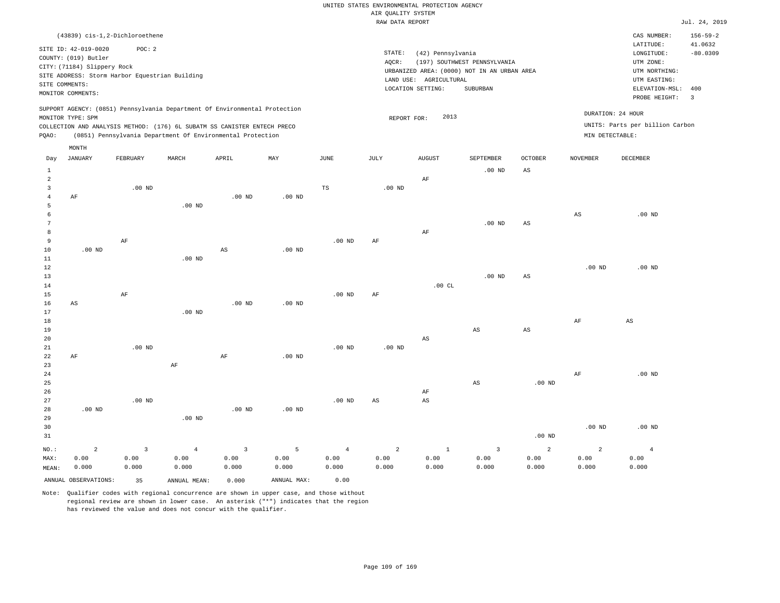|                |                                                |                   |                |                                                                            |                   |                | RAW DATA REPORT   |                        |                                             |                        |                   |                                 | Jul. 24, 2019  |
|----------------|------------------------------------------------|-------------------|----------------|----------------------------------------------------------------------------|-------------------|----------------|-------------------|------------------------|---------------------------------------------|------------------------|-------------------|---------------------------------|----------------|
|                | (43839) cis-1,2-Dichloroethene                 |                   |                |                                                                            |                   |                |                   |                        |                                             |                        |                   | CAS NUMBER:                     | $156 - 59 - 2$ |
|                |                                                |                   |                |                                                                            |                   |                |                   |                        |                                             |                        |                   | LATITUDE:                       | 41.0632        |
|                | SITE ID: 42-019-0020                           | POC: 2            |                |                                                                            |                   |                | STATE:            | (42) Pennsylvania      |                                             |                        |                   | LONGITUDE:                      | $-80.0309$     |
|                | COUNTY: (019) Butler                           |                   |                |                                                                            |                   |                | AQCR:             |                        | (197) SOUTHWEST PENNSYLVANIA                |                        |                   | UTM ZONE:                       |                |
|                | CITY: (71184) Slippery Rock                    |                   |                |                                                                            |                   |                |                   |                        | URBANIZED AREA: (0000) NOT IN AN URBAN AREA |                        |                   | UTM NORTHING:                   |                |
|                | SITE ADDRESS: Storm Harbor Equestrian Building |                   |                |                                                                            |                   |                |                   | LAND USE: AGRICULTURAL |                                             |                        |                   | UTM EASTING:                    |                |
| SITE COMMENTS: |                                                |                   |                |                                                                            |                   |                |                   | LOCATION SETTING:      | SUBURBAN                                    |                        |                   | ELEVATION-MSL:                  | 400            |
|                | MONITOR COMMENTS:                              |                   |                |                                                                            |                   |                |                   |                        |                                             |                        |                   | PROBE HEIGHT:                   | $\overline{3}$ |
|                |                                                |                   |                | SUPPORT AGENCY: (0851) Pennsylvania Department Of Environmental Protection |                   |                |                   |                        |                                             |                        |                   |                                 |                |
|                | MONITOR TYPE: SPM                              |                   |                |                                                                            |                   |                | REPORT FOR:       | 2013                   |                                             |                        |                   | DURATION: 24 HOUR               |                |
|                |                                                |                   |                | COLLECTION AND ANALYSIS METHOD: (176) 6L SUBATM SS CANISTER ENTECH PRECO   |                   |                |                   |                        |                                             |                        |                   | UNITS: Parts per billion Carbon |                |
| PQAO:          |                                                |                   |                | (0851) Pennsylvania Department Of Environmental Protection                 |                   |                |                   |                        |                                             |                        | MIN DETECTABLE:   |                                 |                |
|                |                                                |                   |                |                                                                            |                   |                |                   |                        |                                             |                        |                   |                                 |                |
| Day            | MONTH<br>JANUARY                               | FEBRUARY          | MARCH          | APRIL                                                                      | MAY               | JUNE           | JULY              | <b>AUGUST</b>          | SEPTEMBER                                   | <b>OCTOBER</b>         | <b>NOVEMBER</b>   | DECEMBER                        |                |
|                |                                                |                   |                |                                                                            |                   |                |                   |                        |                                             |                        |                   |                                 |                |
| $\mathbf{1}$   |                                                |                   |                |                                                                            |                   |                |                   |                        | .00 <sub>ND</sub>                           | AS                     |                   |                                 |                |
| $\overline{a}$ |                                                |                   |                |                                                                            |                   |                |                   | AF                     |                                             |                        |                   |                                 |                |
| $\overline{3}$ |                                                | $.00$ ND          |                |                                                                            |                   | TS             | $.00$ ND          |                        |                                             |                        |                   |                                 |                |
| $\overline{4}$ | AF                                             |                   |                | $.00$ ND                                                                   | $.00$ ND          |                |                   |                        |                                             |                        |                   |                                 |                |
| 5              |                                                |                   | $.00$ ND       |                                                                            |                   |                |                   |                        |                                             |                        |                   |                                 |                |
| 6<br>7         |                                                |                   |                |                                                                            |                   |                |                   |                        |                                             |                        | $_{\rm AS}$       | $.00$ ND                        |                |
| 8              |                                                |                   |                |                                                                            |                   |                |                   | $\rm AF$               | $.00$ ND                                    | AS                     |                   |                                 |                |
| 9              |                                                | AF                |                |                                                                            |                   | $.00$ ND       | AF                |                        |                                             |                        |                   |                                 |                |
| 10             | .00 <sub>ND</sub>                              |                   |                | $\mathbb{A}\mathbb{S}$                                                     | .00 <sub>ND</sub> |                |                   |                        |                                             |                        |                   |                                 |                |
| 11             |                                                |                   | $.00$ ND       |                                                                            |                   |                |                   |                        |                                             |                        |                   |                                 |                |
| 12             |                                                |                   |                |                                                                            |                   |                |                   |                        |                                             |                        | .00 <sub>ND</sub> | $.00$ ND                        |                |
| 13             |                                                |                   |                |                                                                            |                   |                |                   |                        | .00 <sub>ND</sub>                           | $_{\rm AS}$            |                   |                                 |                |
| 14             |                                                |                   |                |                                                                            |                   |                |                   | .00CL                  |                                             |                        |                   |                                 |                |
| 15             |                                                | AF                |                |                                                                            |                   | $.00$ ND       | AF                |                        |                                             |                        |                   |                                 |                |
| 16             | AS                                             |                   |                | $.00$ ND                                                                   | .00 <sub>ND</sub> |                |                   |                        |                                             |                        |                   |                                 |                |
| 17             |                                                |                   | $.00$ ND       |                                                                            |                   |                |                   |                        |                                             |                        |                   |                                 |                |
| 18             |                                                |                   |                |                                                                            |                   |                |                   |                        |                                             |                        | AF                | AS                              |                |
| 19             |                                                |                   |                |                                                                            |                   |                |                   |                        | $_{\rm AS}$                                 | $\mathbb{A}\mathbb{S}$ |                   |                                 |                |
| 20             |                                                |                   |                |                                                                            |                   |                |                   | AS                     |                                             |                        |                   |                                 |                |
| 21             |                                                | $.00$ ND          |                |                                                                            |                   | $.00$ ND       | .00 <sub>ND</sub> |                        |                                             |                        |                   |                                 |                |
| 22             | AF                                             |                   |                | $\rm AF$                                                                   | .00 <sub>ND</sub> |                |                   |                        |                                             |                        |                   |                                 |                |
| 23             |                                                |                   | $\rm{AF}$      |                                                                            |                   |                |                   |                        |                                             |                        |                   |                                 |                |
| 24             |                                                |                   |                |                                                                            |                   |                |                   |                        |                                             |                        | AF                | $.00$ ND                        |                |
| 25             |                                                |                   |                |                                                                            |                   |                |                   |                        | $_{\rm AS}$                                 | .00 <sub>ND</sub>      |                   |                                 |                |
| 26             |                                                |                   |                |                                                                            |                   |                |                   | AF                     |                                             |                        |                   |                                 |                |
| 27             |                                                | .00 <sub>ND</sub> |                |                                                                            |                   | $.00$ ND       | AS                | $\mathbb{A}\mathbb{S}$ |                                             |                        |                   |                                 |                |
| 28             | $.00$ ND                                       |                   |                | $.00$ ND                                                                   | .00 <sub>ND</sub> |                |                   |                        |                                             |                        |                   |                                 |                |
| 29             |                                                |                   | $.00$ ND       |                                                                            |                   |                |                   |                        |                                             |                        |                   |                                 |                |
| 30             |                                                |                   |                |                                                                            |                   |                |                   |                        |                                             |                        | .00 <sub>ND</sub> | $.00$ ND                        |                |
| 31             |                                                |                   |                |                                                                            |                   |                |                   |                        |                                             | .00 <sub>ND</sub>      |                   |                                 |                |
| NO.:           | $\overline{a}$                                 | $\overline{3}$    | $\overline{4}$ | $\overline{3}$                                                             | 5                 | $\overline{4}$ | 2                 | $\mathbf{1}$           | $\overline{3}$                              | $\overline{a}$         | $\overline{a}$    | $\overline{4}$                  |                |
| MAX:           | 0.00                                           | 0.00              | 0.00           | 0.00                                                                       | 0.00              | 0.00           | 0.00              | 0.00                   | 0.00                                        | 0.00                   | 0.00              | 0.00                            |                |
| MEAN:          | 0.000                                          | 0.000             | 0.000          | 0.000                                                                      | 0.000             | 0.000          | 0.000             | 0.000                  | 0.000                                       | 0.000                  | 0.000             | 0.000                           |                |
|                | ANNUAL OBSERVATIONS:                           | 35                | ANNUAL MEAN:   | 0.000                                                                      | ANNUAL MAX:       | 0.00           |                   |                        |                                             |                        |                   |                                 |                |
|                |                                                |                   |                |                                                                            |                   |                |                   |                        |                                             |                        |                   |                                 |                |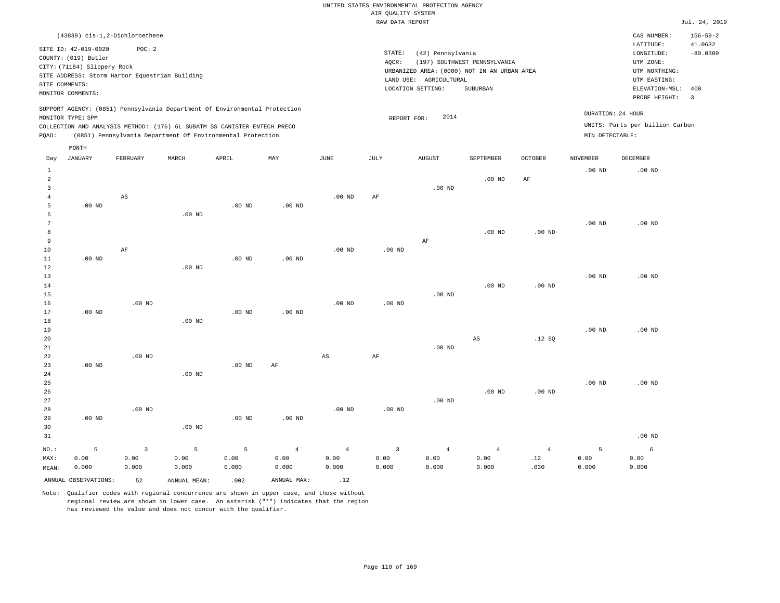|       |                             | (43839) cis-1,2-Dichloroethene                 |       |                                                                          |                                                                            |          |       |                                             |                              |                |                   | CAS NUMBER:                     | $156 - 59 - 2$ |
|-------|-----------------------------|------------------------------------------------|-------|--------------------------------------------------------------------------|----------------------------------------------------------------------------|----------|-------|---------------------------------------------|------------------------------|----------------|-------------------|---------------------------------|----------------|
|       | SITE ID: 42-019-0020        | POC:2                                          |       |                                                                          |                                                                            |          |       |                                             |                              |                |                   | LATITUDE:                       | 41.0632        |
|       | COUNTY: (019) Butler        |                                                |       |                                                                          |                                                                            |          |       | STATE:<br>(42) Pennsylvania                 |                              |                |                   | LONGITUDE:                      | $-80.0309$     |
|       | CITY: (71184) Slippery Rock |                                                |       |                                                                          |                                                                            |          | AQCR: |                                             | (197) SOUTHWEST PENNSYLVANIA |                |                   | UTM ZONE:                       |                |
|       |                             | SITE ADDRESS: Storm Harbor Equestrian Building |       |                                                                          |                                                                            |          |       | URBANIZED AREA: (0000) NOT IN AN URBAN AREA |                              |                |                   | UTM NORTHING:                   |                |
|       | SITE COMMENTS:              |                                                |       |                                                                          |                                                                            |          |       | LAND USE: AGRICULTURAL                      |                              |                |                   | UTM EASTING:                    |                |
|       | MONITOR COMMENTS:           |                                                |       |                                                                          |                                                                            |          |       | LOCATION SETTING:                           | SUBURBAN                     |                |                   | ELEVATION-MSL: 400              |                |
|       |                             |                                                |       |                                                                          |                                                                            |          |       |                                             |                              |                |                   | PROBE HEIGHT:                   | -3             |
|       |                             |                                                |       |                                                                          | SUPPORT AGENCY: (0851) Pennsylvania Department Of Environmental Protection |          |       |                                             |                              |                |                   |                                 |                |
|       | MONITOR TYPE: SPM           |                                                |       |                                                                          |                                                                            |          |       | 2014<br>REPORT FOR:                         |                              |                | DURATION: 24 HOUR |                                 |                |
|       |                             |                                                |       | COLLECTION AND ANALYSIS METHOD: (176) 6L SUBATM SS CANISTER ENTECH PRECO |                                                                            |          |       |                                             |                              |                |                   | UNITS: Parts per billion Carbon |                |
| PQAO: |                             |                                                |       | (0851) Pennsylvania Department Of Environmental Protection               |                                                                            |          |       |                                             |                              |                | MIN DETECTABLE:   |                                 |                |
|       | MONTH                       |                                                |       |                                                                          |                                                                            |          |       |                                             |                              |                |                   |                                 |                |
| Day   | JANUARY                     | FEBRUARY                                       | MARCH | APRIL                                                                    | MAY                                                                        | JUNE     | JULY  | <b>AUGUST</b>                               | SEPTEMBER                    | <b>OCTOBER</b> | <b>NOVEMBER</b>   | DECEMBER                        |                |
|       |                             |                                                |       |                                                                          |                                                                            |          |       |                                             |                              |                |                   |                                 |                |
|       |                             |                                                |       |                                                                          |                                                                            |          |       |                                             |                              |                | $.00$ ND          | $.00$ ND                        |                |
|       |                             |                                                |       |                                                                          |                                                                            |          |       |                                             | $.00$ ND                     | AF             |                   |                                 |                |
|       |                             |                                                |       |                                                                          |                                                                            |          |       | $.00$ ND                                    |                              |                |                   |                                 |                |
|       |                             | AS                                             |       |                                                                          |                                                                            | $.00$ ND | AF    |                                             |                              |                |                   |                                 |                |

 6 7 8 9 10 11 12 13 14 15 16 .00 ND AF .00 ND .00 ND .00 ND .00 ND .00 ND .00 ND .00 ND .00 ND .00 ND AF .00 ND .00 ND .00 ND .00 ND .00 ND .00 ND .00 ND .00 ND .00 ND

| 18 |          |          | $.00$ ND |          |          |          |          |          |          |          |          |                    |
|----|----------|----------|----------|----------|----------|----------|----------|----------|----------|----------|----------|--------------------|
| 19 |          |          |          |          |          |          |          |          |          |          | $.00$ ND | $.00$ ND           |
| 20 |          |          |          |          |          |          |          |          | AS       | .12SQ    |          |                    |
| 21 |          |          |          |          |          |          |          | $.00$ ND |          |          |          |                    |
| 22 |          | $.00$ ND |          |          |          | AS       | AF       |          |          |          |          |                    |
| 23 | $.00$ ND |          |          | $.00$ ND | AF       |          |          |          |          |          |          |                    |
| 24 |          |          | $.00$ ND |          |          |          |          |          |          |          |          |                    |
| 25 |          |          |          |          |          |          |          |          |          |          | $.00$ ND | $.00$ ND           |
| 26 |          |          |          |          |          |          |          |          | $.00$ ND | $.00$ ND |          |                    |
| 27 |          |          |          |          |          |          |          | $.00$ ND |          |          |          |                    |
| 28 |          | $.00$ ND |          |          |          | $.00$ ND | $.00$ ND |          |          |          |          |                    |
| 29 | $.00$ ND |          |          | $.00$ ND | $.00$ ND |          |          |          |          |          |          |                    |
| 30 |          |          | $.00$ ND |          |          |          |          |          |          |          |          |                    |
| 21 |          |          |          |          |          |          |          |          |          |          |          | $0.0 \, \text{nm}$ |

| 31    |       |       |       |       |       |       |       |       |                                 |      |       | .00 ND |
|-------|-------|-------|-------|-------|-------|-------|-------|-------|---------------------------------|------|-------|--------|
|       |       |       |       |       |       |       |       |       | $NO.$ : 5 3 5 5 4 4 3 4 4 4 5 6 |      |       |        |
| MAX:  | 0.00  | 0.00  | 0.00  | 0.00  | 0.00  | 0.00  | 0.00  | 0.00  | $0.00$ . $12$                   |      | 0.00  | 0.00   |
| MEAN: | 0.000 | 0.000 | 0.000 | 0.000 | 0.000 | 0.000 | 0.000 | 0.000 | 0.000                           | .030 | 0.000 | 0.000  |

ANNUAL OBSERVATIONS:  $52$  ANNUAL MEAN: .002 ANNUAL MAX: .12

5

.00 ND

.00 ND

17

Note: Qualifier codes with regional concurrence are shown in upper case, and those without regional review are shown in lower case. An asterisk ("\*") indicates that the region has reviewed the value and does not concur with the qualifier.

.00 ND

.00 ND

.00 ND

.00 ND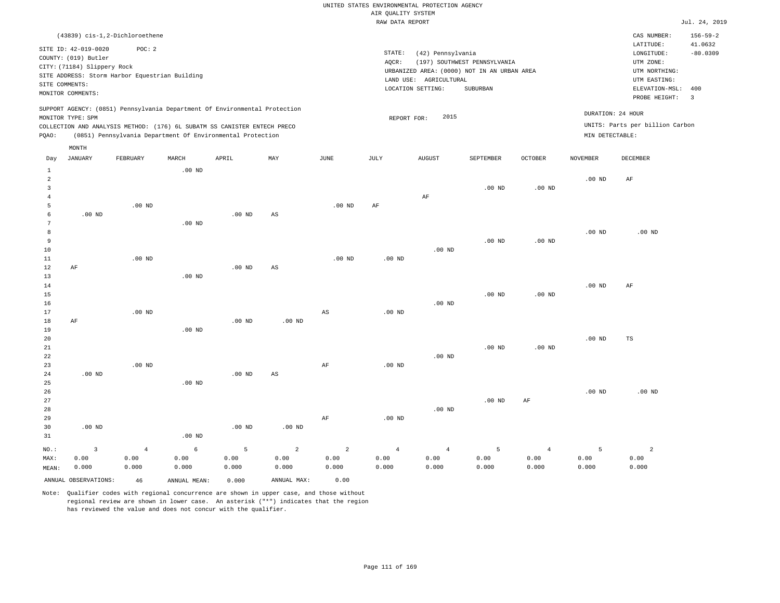|       |                                                                             |                                                                                                                                                                                                                      |                   |          |     |          |      | RAW DATA REPORT                                                                            |                              |                |                                      |                                                 | Jul. 24, 2019            |
|-------|-----------------------------------------------------------------------------|----------------------------------------------------------------------------------------------------------------------------------------------------------------------------------------------------------------------|-------------------|----------|-----|----------|------|--------------------------------------------------------------------------------------------|------------------------------|----------------|--------------------------------------|-------------------------------------------------|--------------------------|
|       |                                                                             | (43839) cis-1,2-Dichloroethene                                                                                                                                                                                       |                   |          |     |          |      |                                                                                            |                              |                |                                      | CAS NUMBER:                                     | $156 - 59 - 2$           |
|       | SITE ID: 42-019-0020<br>COUNTY: (019) Butler<br>CITY: (71184) Slippery Rock | POC: 2                                                                                                                                                                                                               |                   |          |     |          |      | STATE:<br>(42) Pennsylvania<br>AOCR:                                                       | (197) SOUTHWEST PENNSYLVANIA |                |                                      | LATITUDE:<br>LONGITUDE:<br>UTM ZONE:            | 41.0632<br>$-80.0309$    |
|       | SITE COMMENTS:                                                              | SITE ADDRESS: Storm Harbor Equestrian Building                                                                                                                                                                       |                   |          |     |          |      | URBANIZED AREA: (0000) NOT IN AN URBAN AREA<br>LAND USE: AGRICULTURAL<br>LOCATION SETTING: | SUBURBAN                     |                |                                      | UTM NORTHING:<br>UTM EASTING:<br>ELEVATION-MSL: | 400                      |
|       | MONITOR COMMENTS:                                                           |                                                                                                                                                                                                                      |                   |          |     |          |      |                                                                                            |                              |                |                                      | PROBE HEIGHT:                                   | $\overline{\phantom{a}}$ |
| POAO: | MONITOR TYPE: SPM                                                           | SUPPORT AGENCY: (0851) Pennsylvania Department Of Environmental Protection<br>COLLECTION AND ANALYSIS METHOD: (176) 6L SUBATM SS CANISTER ENTECH PRECO<br>(0851) Pennsylvania Department Of Environmental Protection |                   |          |     |          |      | 2015<br>REPORT FOR:                                                                        |                              |                | DURATION: 24 HOUR<br>MIN DETECTABLE: | UNITS: Parts per billion Carbon                 |                          |
|       | MONTH                                                                       |                                                                                                                                                                                                                      |                   |          |     |          |      |                                                                                            |                              |                |                                      |                                                 |                          |
| Day   | JANUARY                                                                     | FEBRUARY                                                                                                                                                                                                             | MARCH             | APRIL    | MAY | JUNE     | JULY | <b>AUGUST</b>                                                                              | SEPTEMBER                    | <b>OCTOBER</b> | <b>NOVEMBER</b>                      | DECEMBER                                        |                          |
| 2     |                                                                             |                                                                                                                                                                                                                      | $.00$ ND          |          |     |          |      |                                                                                            |                              |                | .00 <sub>ND</sub>                    | AF                                              |                          |
|       |                                                                             |                                                                                                                                                                                                                      |                   |          |     |          |      |                                                                                            | $.00$ ND                     | $.00$ ND       |                                      |                                                 |                          |
|       |                                                                             | $.00$ ND                                                                                                                                                                                                             |                   |          |     | $.00$ ND | AF   | AF                                                                                         |                              |                |                                      |                                                 |                          |
|       | $.00$ ND                                                                    |                                                                                                                                                                                                                      | .00 <sub>ND</sub> | $.00$ ND | AS  |          |      |                                                                                            |                              |                |                                      |                                                 |                          |
| 8     |                                                                             |                                                                                                                                                                                                                      |                   |          |     |          |      |                                                                                            |                              |                | $.00$ ND                             | $.00$ ND                                        |                          |

| 9                |    |          |                   |          |    |          |          |          | .00 <sub>ND</sub> | $.00$ ND |          |    |  |
|------------------|----|----------|-------------------|----------|----|----------|----------|----------|-------------------|----------|----------|----|--|
| 10               |    |          |                   |          |    |          |          | $.00$ ND |                   |          |          |    |  |
| 11               |    | $.00$ ND |                   |          |    | $.00$ ND | $.00$ ND |          |                   |          |          |    |  |
| 12 <sup>12</sup> | AF |          |                   | $.00$ ND | AS |          |          |          |                   |          |          |    |  |
| 13               |    |          | .00 <sub>ND</sub> |          |    |          |          |          |                   |          |          |    |  |
| 14               |    |          |                   |          |    |          |          |          |                   |          | $.00$ ND | AF |  |
| 15 <sub>1</sub>  |    |          |                   |          |    |          |          |          | .00 <sub>ND</sub> | $.00$ ND |          |    |  |

| 16          |          |          |          |          |           |    |          | $.00$ ND |          |                   |          |    |  |
|-------------|----------|----------|----------|----------|-----------|----|----------|----------|----------|-------------------|----------|----|--|
| 17          |          | $.00$ ND |          |          |           | AS | $.00$ ND |          |          |                   |          |    |  |
| 18          | AF       |          |          | $.00$ ND | $.00$ ND  |    |          |          |          |                   |          |    |  |
| 19          |          |          | $.00$ ND |          |           |    |          |          |          |                   |          |    |  |
| 20          |          |          |          |          |           |    |          |          |          |                   | $.00$ ND | TS |  |
| $2\sqrt{1}$ |          |          |          |          |           |    |          |          | $.00$ ND | .00 <sub>ND</sub> |          |    |  |
| 22          |          |          |          |          |           |    |          | $.00$ ND |          |                   |          |    |  |
| 23          |          | $.00$ ND |          |          |           | AF | $.00$ ND |          |          |                   |          |    |  |
| 24          | $.00$ ND |          |          | $.00$ ND | <b>AS</b> |    |          |          |          |                   |          |    |  |

| 25 |          | $.00$ ND |          |          |    |          |          |          |    |          |          |
|----|----------|----------|----------|----------|----|----------|----------|----------|----|----------|----------|
| 26 |          |          |          |          |    |          |          |          |    | $.00$ ND | $.00$ ND |
| 27 |          |          |          |          |    |          |          | $.00$ ND | AF |          |          |
| 28 |          |          |          |          |    |          | $.00$ ND |          |    |          |          |
| 29 |          |          |          |          | AF | $.00$ ND |          |          |    |          |          |
| 30 | $.00$ ND |          | $.00$ ND | $.00$ ND |    |          |          |          |    |          |          |
| 31 |          | $.00$ ND |          |          |    |          |          |          |    |          |          |

| NO.:  |                      | $\sim$ 4 | $6 - 6$      | $-5$ $-5$ | $\sim$ 2 and 2 | $\sim$ 2 | $4\sigma$ | $4\sigma$ | $-5$  |       |       |       |
|-------|----------------------|----------|--------------|-----------|----------------|----------|-----------|-----------|-------|-------|-------|-------|
| MAX:  | 0.00                 | 0.00     | 0.00         | 0.00      | 0.00           | 0.00     | 0.00      | 0.00      | 0.00  | 0.00  | 0.00  | 0.00  |
| MEAN: | 0.000                | 0.000    | 0.000        | 0.000     | 0.000          | 0.000    | 0.000     | 0.000     | 0.000 | 0.000 | 0.000 | 0.000 |
|       | ANNUAL OBSERVATIONS: | 46       | ANNUAL MEAN: | 0.000     | ANNUAL MAX:    | 0.00     |           |           |       |       |       |       |

Note: Qualifier codes with regional concurrence are shown in upper case, and those without regional review are shown in lower case. An asterisk ("\*") indicates that the region has reviewed the value and does not concur with the qualifier.

.00 ND AS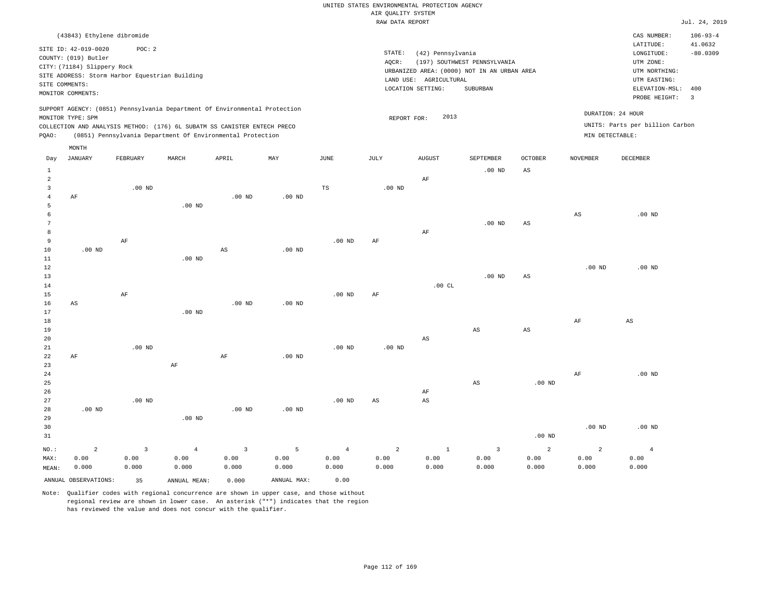|                |                                                |                   |                                                                            |                        |                   |                | RAW DATA REPORT   |                        |                                             |                        |                   |                                 | Jul. 24, 2019  |
|----------------|------------------------------------------------|-------------------|----------------------------------------------------------------------------|------------------------|-------------------|----------------|-------------------|------------------------|---------------------------------------------|------------------------|-------------------|---------------------------------|----------------|
|                | (43843) Ethylene dibromide                     |                   |                                                                            |                        |                   |                |                   |                        |                                             |                        |                   | CAS NUMBER:                     | $106 - 93 - 4$ |
|                |                                                |                   |                                                                            |                        |                   |                |                   |                        |                                             |                        |                   | LATITUDE:                       | 41.0632        |
|                | SITE ID: 42-019-0020                           | POC: 2            |                                                                            |                        |                   |                | STATE:            | (42) Pennsylvania      |                                             |                        |                   | LONGITUDE:                      | $-80.0309$     |
|                | COUNTY: (019) Butler                           |                   |                                                                            |                        |                   |                | AQCR:             |                        | (197) SOUTHWEST PENNSYLVANIA                |                        |                   | UTM ZONE:                       |                |
|                | CITY: (71184) Slippery Rock                    |                   |                                                                            |                        |                   |                |                   |                        | URBANIZED AREA: (0000) NOT IN AN URBAN AREA |                        |                   | UTM NORTHING:                   |                |
|                | SITE ADDRESS: Storm Harbor Equestrian Building |                   |                                                                            |                        |                   |                |                   | LAND USE: AGRICULTURAL |                                             |                        |                   | UTM EASTING:                    |                |
| SITE COMMENTS: |                                                |                   |                                                                            |                        |                   |                |                   | LOCATION SETTING:      | SUBURBAN                                    |                        |                   | ELEVATION-MSL:                  | 400            |
|                | MONITOR COMMENTS:                              |                   |                                                                            |                        |                   |                |                   |                        |                                             |                        |                   | PROBE HEIGHT:                   | $\overline{3}$ |
|                |                                                |                   | SUPPORT AGENCY: (0851) Pennsylvania Department Of Environmental Protection |                        |                   |                |                   |                        |                                             |                        |                   |                                 |                |
|                | MONITOR TYPE: SPM                              |                   |                                                                            |                        |                   |                | REPORT FOR:       | 2013                   |                                             |                        |                   | DURATION: 24 HOUR               |                |
|                |                                                |                   | COLLECTION AND ANALYSIS METHOD: (176) 6L SUBATM SS CANISTER ENTECH PRECO   |                        |                   |                |                   |                        |                                             |                        |                   | UNITS: Parts per billion Carbon |                |
| PQAO:          |                                                |                   | (0851) Pennsylvania Department Of Environmental Protection                 |                        |                   |                |                   |                        |                                             |                        | MIN DETECTABLE:   |                                 |                |
|                |                                                |                   |                                                                            |                        |                   |                |                   |                        |                                             |                        |                   |                                 |                |
|                | MONTH<br>JANUARY                               | FEBRUARY          | MARCH                                                                      | APRIL                  | MAY               | JUNE           | JULY              | <b>AUGUST</b>          | SEPTEMBER                                   | <b>OCTOBER</b>         | <b>NOVEMBER</b>   | DECEMBER                        |                |
| Day            |                                                |                   |                                                                            |                        |                   |                |                   |                        |                                             |                        |                   |                                 |                |
| $\mathbf{1}$   |                                                |                   |                                                                            |                        |                   |                |                   |                        | .00 <sub>ND</sub>                           | AS                     |                   |                                 |                |
| $\overline{a}$ |                                                |                   |                                                                            |                        |                   |                |                   | AF                     |                                             |                        |                   |                                 |                |
| $\overline{3}$ |                                                | $.00$ ND          |                                                                            |                        |                   | TS             | $.00$ ND          |                        |                                             |                        |                   |                                 |                |
| $\overline{4}$ | AF                                             |                   |                                                                            | $.00$ ND               | $.00$ ND          |                |                   |                        |                                             |                        |                   |                                 |                |
| 5              |                                                |                   | $.00$ ND                                                                   |                        |                   |                |                   |                        |                                             |                        |                   |                                 |                |
| 6<br>7         |                                                |                   |                                                                            |                        |                   |                |                   |                        |                                             |                        | $_{\rm AS}$       | $.00$ ND                        |                |
| 8              |                                                |                   |                                                                            |                        |                   |                |                   | $\rm AF$               | $.00$ ND                                    | AS                     |                   |                                 |                |
| 9              |                                                | AF                |                                                                            |                        |                   | $.00$ ND       | AF                |                        |                                             |                        |                   |                                 |                |
| 10             | .00 <sub>ND</sub>                              |                   |                                                                            | $\mathbb{A}\mathbb{S}$ | .00 <sub>ND</sub> |                |                   |                        |                                             |                        |                   |                                 |                |
| 11             |                                                |                   | $.00$ ND                                                                   |                        |                   |                |                   |                        |                                             |                        |                   |                                 |                |
| 12             |                                                |                   |                                                                            |                        |                   |                |                   |                        |                                             |                        | .00 <sub>ND</sub> | $.00$ ND                        |                |
| 13             |                                                |                   |                                                                            |                        |                   |                |                   |                        | .00 <sub>ND</sub>                           | $_{\rm AS}$            |                   |                                 |                |
| 14             |                                                |                   |                                                                            |                        |                   |                |                   | .00CL                  |                                             |                        |                   |                                 |                |
| 15             |                                                | AF                |                                                                            |                        |                   | $.00$ ND       | AF                |                        |                                             |                        |                   |                                 |                |
| 16             | AS                                             |                   |                                                                            | $.00$ ND               | .00 <sub>ND</sub> |                |                   |                        |                                             |                        |                   |                                 |                |
| 17             |                                                |                   | $.00$ ND                                                                   |                        |                   |                |                   |                        |                                             |                        |                   |                                 |                |
| 18             |                                                |                   |                                                                            |                        |                   |                |                   |                        |                                             |                        | AF                | AS                              |                |
| 19             |                                                |                   |                                                                            |                        |                   |                |                   |                        | $_{\rm AS}$                                 | $\mathbb{A}\mathbb{S}$ |                   |                                 |                |
| 20             |                                                |                   |                                                                            |                        |                   |                |                   | AS                     |                                             |                        |                   |                                 |                |
| 21             |                                                | $.00$ ND          |                                                                            |                        |                   | $.00$ ND       | .00 <sub>ND</sub> |                        |                                             |                        |                   |                                 |                |
| 22             | AF                                             |                   |                                                                            | $\rm AF$               | .00 <sub>ND</sub> |                |                   |                        |                                             |                        |                   |                                 |                |
| 23             |                                                |                   | $\rm{AF}$                                                                  |                        |                   |                |                   |                        |                                             |                        |                   |                                 |                |
| 24             |                                                |                   |                                                                            |                        |                   |                |                   |                        |                                             |                        | AF                | $.00$ ND                        |                |
| 25             |                                                |                   |                                                                            |                        |                   |                |                   |                        | $_{\rm AS}$                                 | .00 <sub>ND</sub>      |                   |                                 |                |
| 26             |                                                |                   |                                                                            |                        |                   |                |                   | AF                     |                                             |                        |                   |                                 |                |
| 27             |                                                | .00 <sub>ND</sub> |                                                                            |                        |                   | $.00$ ND       | AS                | $\mathbb{A}\mathbb{S}$ |                                             |                        |                   |                                 |                |
| 28             | $.00$ ND                                       |                   |                                                                            | $.00$ ND               | .00 <sub>ND</sub> |                |                   |                        |                                             |                        |                   |                                 |                |
| 29             |                                                |                   | $.00$ ND                                                                   |                        |                   |                |                   |                        |                                             |                        |                   |                                 |                |
| 30             |                                                |                   |                                                                            |                        |                   |                |                   |                        |                                             |                        | .00 <sub>ND</sub> | $.00$ ND                        |                |
| 31             |                                                |                   |                                                                            |                        |                   |                |                   |                        |                                             | .00 <sub>ND</sub>      |                   |                                 |                |
| NO.:           | $\overline{a}$                                 | $\overline{3}$    | $\overline{4}$                                                             | $\overline{3}$         | 5                 | $\overline{4}$ | 2                 | $\mathbf{1}$           | $\overline{3}$                              | $\overline{a}$         | $\overline{a}$    | $\overline{4}$                  |                |
| MAX:           | 0.00                                           | 0.00              | 0.00                                                                       | 0.00                   | 0.00              | 0.00           | 0.00              | 0.00                   | 0.00                                        | 0.00                   | 0.00              | 0.00                            |                |
| MEAN:          | 0.000                                          | 0.000             | 0.000                                                                      | 0.000                  | 0.000             | 0.000          | 0.000             | 0.000                  | 0.000                                       | 0.000                  | 0.000             | 0.000                           |                |
|                | ANNUAL OBSERVATIONS:                           | 35                | ANNUAL MEAN:                                                               | 0.000                  | ANNUAL MAX:       | 0.00           |                   |                        |                                             |                        |                   |                                 |                |
|                |                                                |                   |                                                                            |                        |                   |                |                   |                        |                                             |                        |                   |                                 |                |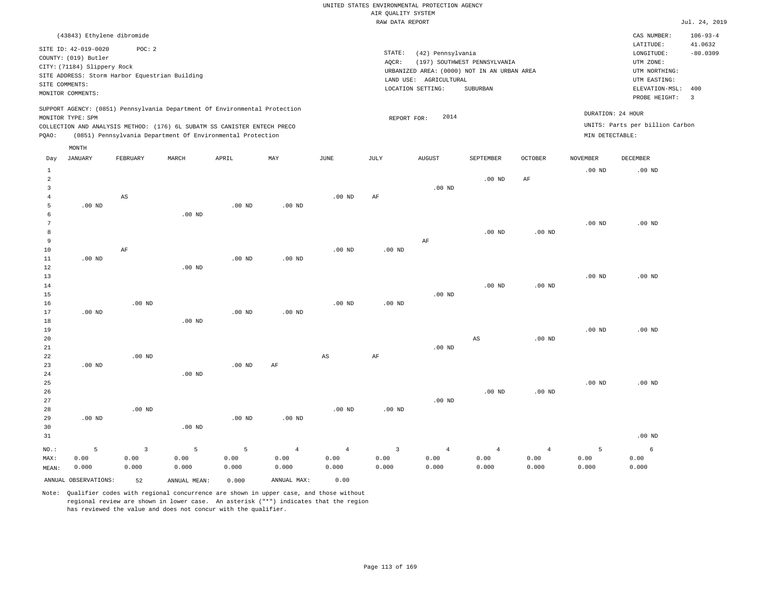| (43843) Ethylene dibromide                                                 |      |        |                                             |                              |                |                 | CAS NUMBER:                     | $106 - 93 - 4$ |
|----------------------------------------------------------------------------|------|--------|---------------------------------------------|------------------------------|----------------|-----------------|---------------------------------|----------------|
|                                                                            |      |        |                                             |                              |                |                 | LATITUDE:                       | 41.0632        |
| SITE ID: 42-019-0020<br>POC:2                                              |      | STATE: | (42) Pennsylvania                           |                              |                |                 | LONGITUDE:                      | $-80.0309$     |
| COUNTY: (019) Butler                                                       |      | AOCR:  |                                             | (197) SOUTHWEST PENNSYLVANIA |                |                 | UTM ZONE:                       |                |
| CITY: (71184) Slippery Rock                                                |      |        | URBANIZED AREA: (0000) NOT IN AN URBAN AREA |                              |                |                 | UTM NORTHING:                   |                |
| SITE ADDRESS: Storm Harbor Equestrian Building                             |      |        | LAND USE:<br>AGRICULTURAL                   |                              |                |                 | UTM EASTING:                    |                |
| SITE COMMENTS:                                                             |      |        | LOCATION SETTING:                           | SUBURBAN                     |                |                 | ELEVATION-MSL: 400              |                |
| MONITOR COMMENTS:                                                          |      |        |                                             |                              |                |                 |                                 |                |
|                                                                            |      |        |                                             |                              |                |                 | PROBE HEIGHT:                   | - 3            |
| SUPPORT AGENCY: (0851) Pennsylvania Department Of Environmental Protection |      |        |                                             |                              |                |                 |                                 |                |
| MONITOR TYPE: SPM                                                          |      |        | 2014<br>REPORT FOR:                         |                              |                |                 | DURATION: 24 HOUR               |                |
| COLLECTION AND ANALYSIS METHOD: (176) 6L SUBATM SS CANISTER ENTECH PRECO   |      |        |                                             |                              |                |                 | UNITS: Parts per billion Carbon |                |
| (0851) Pennsylvania Department Of Environmental Protection<br>POAO:        |      |        |                                             |                              |                | MIN DETECTABLE: |                                 |                |
|                                                                            |      |        |                                             |                              |                |                 |                                 |                |
| MONTH                                                                      |      |        |                                             |                              |                |                 |                                 |                |
| MAY<br>JANUARY<br>FEBRUARY<br>MARCH<br>APRIL<br>Day                        | JUNE | JULY   | <b>AUGUST</b>                               | SEPTEMBER                    | <b>OCTOBER</b> | <b>NOVEMBER</b> | DECEMBER                        |                |
|                                                                            |      |        |                                             |                              |                | $.00$ ND        | $.00$ ND                        |                |
|                                                                            |      |        |                                             | $.00$ ND                     | AF             |                 |                                 |                |
|                                                                            |      |        | $.00$ ND                                    |                              |                |                 |                                 |                |

| 6  |          |          | $.00$ ND |          |          |          |          |          |          |          |          |          |
|----|----------|----------|----------|----------|----------|----------|----------|----------|----------|----------|----------|----------|
| 7  |          |          |          |          |          |          |          |          |          |          | $.00$ ND | $.00$ ND |
| 8  |          |          |          |          |          |          |          |          | $.00$ ND | $.00$ ND |          |          |
| 9  |          |          |          |          |          |          |          | AF       |          |          |          |          |
| 10 |          | AF       |          |          |          | $.00$ ND | $.00$ ND |          |          |          |          |          |
| 11 | $.00$ ND |          |          | $.00$ ND | $.00$ ND |          |          |          |          |          |          |          |
| 12 |          |          | $.00$ ND |          |          |          |          |          |          |          |          |          |
| 13 |          |          |          |          |          |          |          |          |          |          | $.00$ ND | $.00$ ND |
| 14 |          |          |          |          |          |          |          |          | $.00$ ND | $.00$ ND |          |          |
| 15 |          |          |          |          |          |          |          | $.00$ ND |          |          |          |          |
| 16 |          | $.00$ ND |          |          |          | $.00$ ND | $.00$ ND |          |          |          |          |          |
| 17 | $.00$ ND |          |          | $.00$ ND | $.00$ ND |          |          |          |          |          |          |          |
| 18 |          |          | $.00$ ND |          |          |          |          |          |          |          |          |          |
| 19 |          |          |          |          |          |          |          |          |          |          | $.00$ ND | $.00$ ND |
| 20 |          |          |          |          |          |          |          |          | AS       | $.00$ ND |          |          |

.00 ND AF

| 21      |          |          |          |          |                |                |                         | $.00$ ND       |          |                |          |          |
|---------|----------|----------|----------|----------|----------------|----------------|-------------------------|----------------|----------|----------------|----------|----------|
| 22      |          | $.00$ ND |          |          |                | AS             | AF                      |                |          |                |          |          |
| 23      | $.00$ ND |          |          | $.00$ ND | AF             |                |                         |                |          |                |          |          |
| 24      |          |          | $.00$ ND |          |                |                |                         |                |          |                |          |          |
| 25      |          |          |          |          |                |                |                         |                |          |                | $.00$ ND | $.00$ ND |
| 26      |          |          |          |          |                |                |                         |                | $.00$ ND | $.00$ ND       |          |          |
| 27      |          |          |          |          |                |                |                         | $.00$ ND       |          |                |          |          |
| 28      |          | $.00$ ND |          |          |                | $.00$ ND       | $.00$ ND                |                |          |                |          |          |
| 29      | $.00$ ND |          |          | $.00$ ND | $.00$ ND       |                |                         |                |          |                |          |          |
| 30      |          |          | $.00$ ND |          |                |                |                         |                |          |                |          |          |
| 31      |          |          |          |          |                |                |                         |                |          |                |          | $.00$ ND |
| $NO.$ : | 5        | 3        | 5        | 5        | $\overline{4}$ | $\overline{4}$ | $\overline{\mathbf{3}}$ | $\overline{4}$ | 4        | $\overline{4}$ | 5        | 6        |
| MAX:    | 0.00     | 0.00     | 0.00     | 0.00     | 0.00           | 0.00           | 0.00                    | 0.00           | 0.00     | 0.00           | 0.00     | 0.00     |
| MEAN:   | 0.000    | 0.000    | 0.000    | 0.000    | 0.000          | 0.000          | 0.000                   | 0.000          | 0.000    | 0.000          | 0.000    | 0.000    |

ANNUAL OBSERVATIONS: 52 ANNUAL MEAN: 0.000 ANNUAL MAX: 0.00

 4 5

.00 ND

AS

Note: Qualifier codes with regional concurrence are shown in upper case, and those without regional review are shown in lower case. An asterisk ("\*") indicates that the region has reviewed the value and does not concur with the qualifier.

.00 ND

.00 ND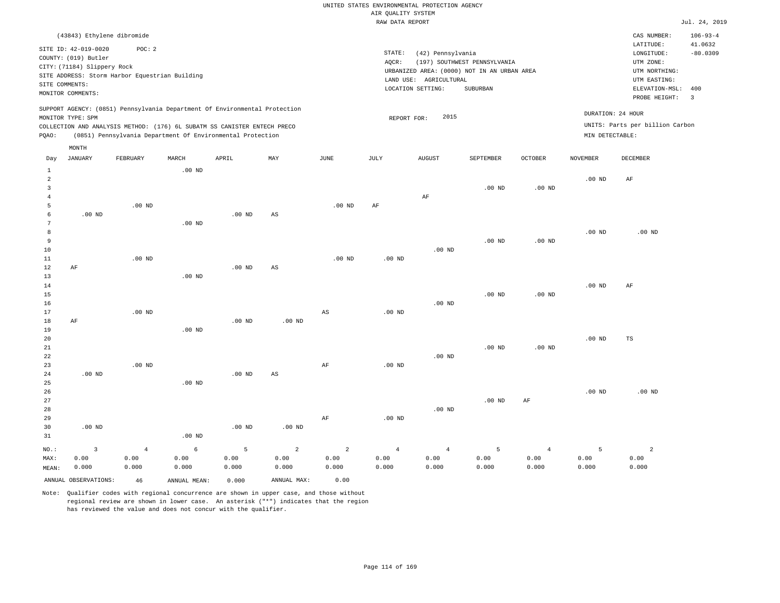|       |                             |                                                |                   |                                                                                                                                                                                                                      |     |          |        | RAW DATA REPORT                             |                              |                   |                                      |                                 | Jul. 24, 2019            |
|-------|-----------------------------|------------------------------------------------|-------------------|----------------------------------------------------------------------------------------------------------------------------------------------------------------------------------------------------------------------|-----|----------|--------|---------------------------------------------|------------------------------|-------------------|--------------------------------------|---------------------------------|--------------------------|
|       | (43843) Ethylene dibromide  |                                                |                   |                                                                                                                                                                                                                      |     |          |        |                                             |                              |                   |                                      | CAS NUMBER:                     | $106 - 93 - 4$           |
|       | SITE ID: 42-019-0020        | POC: 2                                         |                   |                                                                                                                                                                                                                      |     |          |        |                                             |                              |                   |                                      | LATITUDE:                       | 41.0632                  |
|       | COUNTY: (019) Butler        |                                                |                   |                                                                                                                                                                                                                      |     |          | STATE: | (42) Pennsylvania                           |                              |                   |                                      | LONGITUDE:                      | $-80.0309$               |
|       | CITY: (71184) Slippery Rock |                                                |                   |                                                                                                                                                                                                                      |     |          | AOCR:  |                                             | (197) SOUTHWEST PENNSYLVANIA |                   |                                      | UTM ZONE:                       |                          |
|       |                             | SITE ADDRESS: Storm Harbor Equestrian Building |                   |                                                                                                                                                                                                                      |     |          |        | URBANIZED AREA: (0000) NOT IN AN URBAN AREA |                              |                   |                                      | UTM NORTHING:                   |                          |
|       | SITE COMMENTS:              |                                                |                   |                                                                                                                                                                                                                      |     |          |        | LAND USE: AGRICULTURAL<br>LOCATION SETTING: | SUBURBAN                     |                   |                                      | UTM EASTING:<br>ELEVATION-MSL:  | 400                      |
|       | MONITOR COMMENTS:           |                                                |                   |                                                                                                                                                                                                                      |     |          |        |                                             |                              |                   |                                      | PROBE HEIGHT:                   | $\overline{\phantom{a}}$ |
| POAO: | MONITOR TYPE: SPM           |                                                |                   | SUPPORT AGENCY: (0851) Pennsylvania Department Of Environmental Protection<br>COLLECTION AND ANALYSIS METHOD: (176) 6L SUBATM SS CANISTER ENTECH PRECO<br>(0851) Pennsylvania Department Of Environmental Protection |     |          |        | 2015<br>REPORT FOR:                         |                              |                   | DURATION: 24 HOUR<br>MIN DETECTABLE: | UNITS: Parts per billion Carbon |                          |
| Day   | MONTH<br>JANUARY            | FEBRUARY                                       | MARCH             | APRIL                                                                                                                                                                                                                | MAY | JUNE     | JULY   | <b>AUGUST</b>                               | SEPTEMBER                    | <b>OCTOBER</b>    | <b>NOVEMBER</b>                      | DECEMBER                        |                          |
|       |                             |                                                | $.00$ ND          |                                                                                                                                                                                                                      |     |          |        |                                             |                              |                   |                                      |                                 |                          |
| 2     |                             |                                                |                   |                                                                                                                                                                                                                      |     |          |        |                                             |                              |                   | .00 <sub>ND</sub>                    | AF                              |                          |
|       |                             |                                                |                   |                                                                                                                                                                                                                      |     |          |        |                                             | $.00$ ND                     | .00 <sub>ND</sub> |                                      |                                 |                          |
|       |                             | $.00$ ND                                       |                   |                                                                                                                                                                                                                      |     | $.00$ ND | AF     | AF                                          |                              |                   |                                      |                                 |                          |
| 6     | $.00$ ND                    |                                                |                   | $.00$ ND                                                                                                                                                                                                             | AS  |          |        |                                             |                              |                   |                                      |                                 |                          |
| 7     |                             |                                                | .00 <sub>ND</sub> |                                                                                                                                                                                                                      |     |          |        |                                             |                              |                   |                                      |                                 |                          |

| 8         |    |          |          |          |    |          |          |          |                   |          | $.00$ ND | $.00$ ND |
|-----------|----|----------|----------|----------|----|----------|----------|----------|-------------------|----------|----------|----------|
| 9         |    |          |          |          |    |          |          |          | .00 <sub>ND</sub> | $.00$ ND |          |          |
| 10        |    |          |          |          |    |          |          | .00 $ND$ |                   |          |          |          |
| $11$ $\,$ |    | $.00$ ND |          |          |    | $.00$ ND | $.00$ ND |          |                   |          |          |          |
| 12        | AF |          |          | $.00$ ND | AS |          |          |          |                   |          |          |          |
| 13        |    |          | $.00$ ND |          |    |          |          |          |                   |          |          |          |

| 14     |    |          |          |          |          |    |          |          |          |          | $.00$ ND | AF |  |
|--------|----|----------|----------|----------|----------|----|----------|----------|----------|----------|----------|----|--|
| 15     |    |          |          |          |          |    |          |          | $.00$ ND | $.00$ ND |          |    |  |
| 16     |    |          |          |          |          |    |          | $.00$ ND |          |          |          |    |  |
| 17     |    | $.00$ ND |          |          |          | AS | $.00$ ND |          |          |          |          |    |  |
| 18     | AF |          |          | $.00$ ND | $.00$ ND |    |          |          |          |          |          |    |  |
| 19     |    |          | $.00$ ND |          |          |    |          |          |          |          |          |    |  |
| $20\,$ |    |          |          |          |          |    |          |          |          |          | $.00$ ND | TS |  |

| 21 |          |          |          |          |          |    |          |          | $.00$ ND | $.00$ ND |          |          |
|----|----------|----------|----------|----------|----------|----|----------|----------|----------|----------|----------|----------|
| 22 |          |          |          |          |          |    |          | $.00$ ND |          |          |          |          |
| 23 |          | $.00$ ND |          |          |          | AF | $.00$ ND |          |          |          |          |          |
| 24 | $.00$ ND |          |          | $.00$ ND | AS       |    |          |          |          |          |          |          |
| 25 |          |          | $.00$ ND |          |          |    |          |          |          |          |          |          |
| 26 |          |          |          |          |          |    |          |          |          |          | $.00$ ND | $.00$ ND |
| 27 |          |          |          |          |          |    |          |          | $.00$ ND | AF       |          |          |
| 28 |          |          |          |          |          |    |          | $.00$ ND |          |          |          |          |
| 29 |          |          |          |          |          | AF | $.00$ ND |          |          |          |          |          |
| 30 | $.00$ ND |          |          | $.00$ ND | $.00$ ND |    |          |          |          |          |          |          |
| 31 |          |          | $.00$ ND |          |          |    |          |          |          |          |          |          |

| NO.:  |                      | -4    | 6            | $-5$  | $\sim$ 2 and 2 | $\sim$ 2 and 2 | $\sim$ 4 | 4     |       |       |       |       |
|-------|----------------------|-------|--------------|-------|----------------|----------------|----------|-------|-------|-------|-------|-------|
| MAX:  | 0.00                 | 0.00  | 0.00         | 0.00  | 0.00           | 0.00           | 0.00     | 0.00  | 0.00  | 0.00  | 0.00  | 0.00  |
| MEAN: | 0.000                | 0.000 | 0.000        | 0.000 | 0.000          | 0.000          | 0.000    | 0.000 | 0.000 | 0.000 | 0.000 | 0.000 |
|       | ANNUAL OBSERVATIONS: | 46    | ANNUAL MEAN: | 0.000 | ANNUAL MAX:    | 0.00           |          |       |       |       |       |       |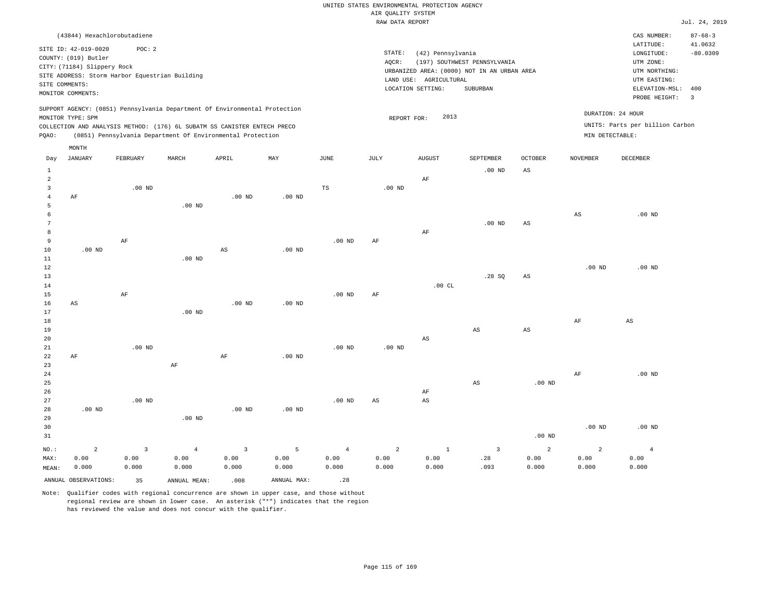|                 |                                                |                |                |                                                                            |                   |                   | RAW DATA REPORT   |                        |                                             |                        |                   |                                 | Jul. 24, 2019 |
|-----------------|------------------------------------------------|----------------|----------------|----------------------------------------------------------------------------|-------------------|-------------------|-------------------|------------------------|---------------------------------------------|------------------------|-------------------|---------------------------------|---------------|
|                 | (43844) Hexachlorobutadiene                    |                |                |                                                                            |                   |                   |                   |                        |                                             |                        |                   | CAS NUMBER:                     | $87 - 68 - 3$ |
|                 |                                                |                |                |                                                                            |                   |                   |                   |                        |                                             |                        |                   | LATITUDE:                       | 41.0632       |
|                 | SITE ID: 42-019-0020                           | POC: 2         |                |                                                                            |                   |                   | STATE:            | (42) Pennsylvania      |                                             |                        |                   | LONGITUDE:                      | $-80.0309$    |
|                 | COUNTY: (019) Butler                           |                |                |                                                                            |                   |                   | AQCR:             |                        | (197) SOUTHWEST PENNSYLVANIA                |                        |                   | UTM ZONE:                       |               |
|                 | CITY: (71184) Slippery Rock                    |                |                |                                                                            |                   |                   |                   |                        | URBANIZED AREA: (0000) NOT IN AN URBAN AREA |                        |                   | UTM NORTHING:                   |               |
|                 | SITE ADDRESS: Storm Harbor Equestrian Building |                |                |                                                                            |                   |                   |                   | LAND USE: AGRICULTURAL |                                             |                        |                   | UTM EASTING:                    |               |
|                 | SITE COMMENTS:                                 |                |                |                                                                            |                   |                   |                   | LOCATION SETTING:      | SUBURBAN                                    |                        |                   | ELEVATION-MSL:                  | 400           |
|                 | MONITOR COMMENTS:                              |                |                |                                                                            |                   |                   |                   |                        |                                             |                        |                   | PROBE HEIGHT:                   | 3             |
|                 |                                                |                |                | SUPPORT AGENCY: (0851) Pennsylvania Department Of Environmental Protection |                   |                   |                   |                        |                                             |                        |                   |                                 |               |
|                 | MONITOR TYPE: SPM                              |                |                |                                                                            |                   |                   | REPORT FOR:       | 2013                   |                                             |                        |                   | DURATION: 24 HOUR               |               |
|                 |                                                |                |                | COLLECTION AND ANALYSIS METHOD: (176) 6L SUBATM SS CANISTER ENTECH PRECO   |                   |                   |                   |                        |                                             |                        |                   | UNITS: Parts per billion Carbon |               |
| PQAO:           |                                                |                |                | (0851) Pennsylvania Department Of Environmental Protection                 |                   |                   |                   |                        |                                             |                        | MIN DETECTABLE:   |                                 |               |
|                 | MONTH                                          |                |                |                                                                            |                   |                   |                   |                        |                                             |                        |                   |                                 |               |
| Day             | JANUARY                                        | FEBRUARY       | MARCH          | APRIL                                                                      | MAY               | JUNE              | JULY              | <b>AUGUST</b>          | SEPTEMBER                                   | <b>OCTOBER</b>         | <b>NOVEMBER</b>   | DECEMBER                        |               |
| $\mathbf{1}$    |                                                |                |                |                                                                            |                   |                   |                   |                        | .00 <sub>ND</sub>                           | $\mathbb{A}\mathbb{S}$ |                   |                                 |               |
| $\overline{a}$  |                                                |                |                |                                                                            |                   |                   |                   | $\rm AF$               |                                             |                        |                   |                                 |               |
| 3               |                                                | $.00$ ND       |                |                                                                            |                   | TS                | $.00$ ND          |                        |                                             |                        |                   |                                 |               |
| $\overline{4}$  | AF                                             |                |                | .00 <sub>ND</sub>                                                          | $.00$ ND          |                   |                   |                        |                                             |                        |                   |                                 |               |
| 5               |                                                |                | $.00$ ND       |                                                                            |                   |                   |                   |                        |                                             |                        |                   |                                 |               |
| 6               |                                                |                |                |                                                                            |                   |                   |                   |                        |                                             |                        | $_{\rm AS}$       | $.00$ ND                        |               |
| $7\phantom{.0}$ |                                                |                |                |                                                                            |                   |                   |                   |                        | .00 <sub>ND</sub>                           | $_{\rm AS}$            |                   |                                 |               |
| 8               |                                                |                |                |                                                                            |                   |                   |                   | AF                     |                                             |                        |                   |                                 |               |
| 9               |                                                | $\rm AF$       |                |                                                                            |                   | $.00$ ND          | AF                |                        |                                             |                        |                   |                                 |               |
| $10$            | $.00$ ND                                       |                |                | $\mathbb{A}\mathbb{S}$                                                     | $.00$ ND          |                   |                   |                        |                                             |                        |                   |                                 |               |
| 11              |                                                |                | $.00$ ND       |                                                                            |                   |                   |                   |                        |                                             |                        |                   |                                 |               |
| 12              |                                                |                |                |                                                                            |                   |                   |                   |                        |                                             |                        | .00 <sub>ND</sub> | $.00$ ND                        |               |
| 13              |                                                |                |                |                                                                            |                   |                   |                   |                        | .28SQ                                       | $_{\rm AS}$            |                   |                                 |               |
| 14              |                                                |                |                |                                                                            |                   |                   |                   | .00CL                  |                                             |                        |                   |                                 |               |
| 15              |                                                | $\rm AF$       |                |                                                                            |                   | .00 <sub>ND</sub> | AF                |                        |                                             |                        |                   |                                 |               |
| 16              | AS                                             |                |                | .00 <sub>ND</sub>                                                          | $.00$ ND          |                   |                   |                        |                                             |                        |                   |                                 |               |
| 17              |                                                |                | $.00$ ND       |                                                                            |                   |                   |                   |                        |                                             |                        |                   |                                 |               |
| 18<br>19        |                                                |                |                |                                                                            |                   |                   |                   |                        | $_{\rm AS}$                                 | $\mathbb{A}\mathbb{S}$ | AF                | AS                              |               |
| 20              |                                                |                |                |                                                                            |                   |                   |                   | $\mathbb{A}\mathbb{S}$ |                                             |                        |                   |                                 |               |
| 21              |                                                | $.00$ ND       |                |                                                                            |                   | $.00$ ND          | .00 <sub>ND</sub> |                        |                                             |                        |                   |                                 |               |
| 22              | AF                                             |                |                | AF                                                                         | .00 <sub>ND</sub> |                   |                   |                        |                                             |                        |                   |                                 |               |
| 23              |                                                |                | AF             |                                                                            |                   |                   |                   |                        |                                             |                        |                   |                                 |               |
| 24              |                                                |                |                |                                                                            |                   |                   |                   |                        |                                             |                        | $\rm AF$          | $.00$ ND                        |               |
| 25              |                                                |                |                |                                                                            |                   |                   |                   |                        | $_{\rm AS}$                                 | $.00$ ND               |                   |                                 |               |
| 26              |                                                |                |                |                                                                            |                   |                   |                   | AF                     |                                             |                        |                   |                                 |               |
| 27              |                                                | $.00$ ND       |                |                                                                            |                   | .00 <sub>ND</sub> | AS                | AS                     |                                             |                        |                   |                                 |               |
| 28              | .00 $ND$                                       |                |                | .00 <sub>ND</sub>                                                          | $.00$ ND          |                   |                   |                        |                                             |                        |                   |                                 |               |
| 29              |                                                |                | $.00$ ND       |                                                                            |                   |                   |                   |                        |                                             |                        |                   |                                 |               |
| 30              |                                                |                |                |                                                                            |                   |                   |                   |                        |                                             |                        | .00 <sub>ND</sub> | $.00$ ND                        |               |
| 31              |                                                |                |                |                                                                            |                   |                   |                   |                        |                                             | .00 <sub>ND</sub>      |                   |                                 |               |
| $NO.$ :         | $\overline{a}$                                 | $\overline{3}$ | $\overline{4}$ | $\overline{3}$                                                             | 5                 | $\overline{4}$    | $\overline{a}$    | $1\,$                  | $\overline{\mathbf{3}}$                     | $\overline{a}$         | $\overline{a}$    | $\overline{4}$                  |               |
| MAX:            | 0.00                                           | 0.00           | 0.00           | 0.00                                                                       | 0.00              | 0.00              | 0.00              | 0.00                   | .28                                         | 0.00                   | 0.00              | 0.00                            |               |
| MEAN:           | 0.000                                          | 0.000          | 0.000          | 0.000                                                                      | 0.000             | 0.000             | 0.000             | 0.000                  | .093                                        | 0.000                  | 0.000             | 0.000                           |               |
|                 | ANNUAL OBSERVATIONS:                           | 35             | ANNUAL MEAN:   | .008                                                                       | ANNUAL MAX:       | .28               |                   |                        |                                             |                        |                   |                                 |               |
|                 |                                                |                |                |                                                                            |                   |                   |                   |                        |                                             |                        |                   |                                 |               |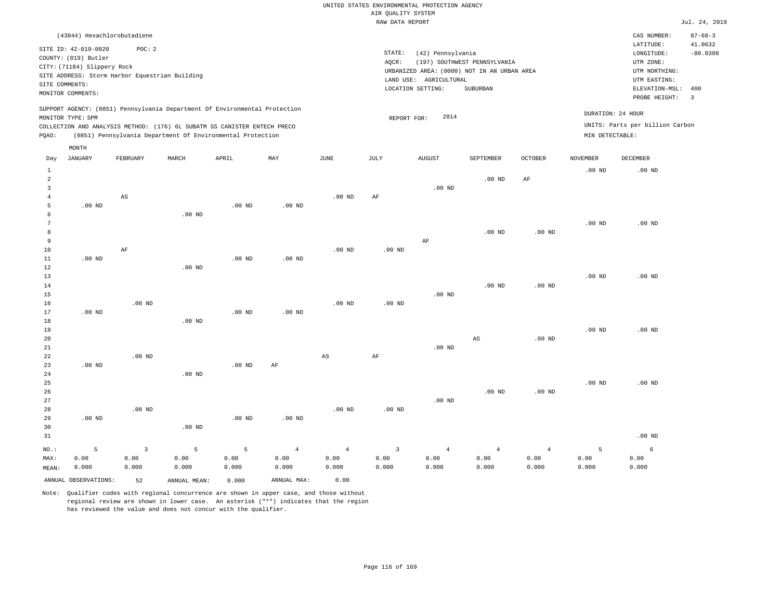|       |                                                                                                                    | (43844) Hexachlorobutadiene                             |       |                                                                                                                                        |                                                                            |          |      |                                                                                                                                       |                                          |               |                                      | CAS NUMBER:                                                                                              | $87 - 68 - 3$                                           |
|-------|--------------------------------------------------------------------------------------------------------------------|---------------------------------------------------------|-------|----------------------------------------------------------------------------------------------------------------------------------------|----------------------------------------------------------------------------|----------|------|---------------------------------------------------------------------------------------------------------------------------------------|------------------------------------------|---------------|--------------------------------------|----------------------------------------------------------------------------------------------------------|---------------------------------------------------------|
|       | SITE ID: 42-019-0020<br>COUNTY: (019) Butler<br>CITY: (71184) Slippery Rock<br>SITE COMMENTS:<br>MONITOR COMMENTS: | POC:2<br>SITE ADDRESS: Storm Harbor Equestrian Building |       |                                                                                                                                        |                                                                            |          |      | STATE:<br>(42) Pennsylvania<br>AOCR:<br>URBANIZED AREA: (0000) NOT IN AN URBAN AREA<br>LAND USE:<br>AGRICULTURAL<br>LOCATION SETTING: | (197) SOUTHWEST PENNSYLVANIA<br>SUBURBAN |               |                                      | LATITUDE:<br>LONGITUDE:<br>UTM ZONE:<br>UTM NORTHING:<br>UTM EASTING:<br>ELEVATION-MSL:<br>PROBE HEIGHT: | 41.0632<br>$-80.0309$<br>400<br>$\overline{\mathbf{3}}$ |
| POAO: | MONITOR TYPE: SPM                                                                                                  |                                                         |       | COLLECTION AND ANALYSIS METHOD: (176) 6L SUBATM SS CANISTER ENTECH PRECO<br>(0851) Pennsylvania Department Of Environmental Protection | SUPPORT AGENCY: (0851) Pennsylvania Department Of Environmental Protection |          |      | 2014<br>REPORT FOR:                                                                                                                   |                                          |               | DURATION: 24 HOUR<br>MIN DETECTABLE: | UNITS: Parts per billion Carbon                                                                          |                                                         |
| Day   | MONTH<br>JANUARY                                                                                                   | FEBRUARY                                                | MARCH | APRIL                                                                                                                                  | MAY                                                                        | JUNE     | JULY | <b>AUGUST</b>                                                                                                                         | SEPTEMBER<br>$.00$ ND                    | OCTOBER<br>AF | NOVEMBER<br>$.00$ ND                 | <b>DECEMBER</b><br>$.00$ ND                                                                              |                                                         |
|       |                                                                                                                    | AS                                                      |       |                                                                                                                                        |                                                                            | $.00$ ND | AF   | $.00$ ND                                                                                                                              |                                          |               |                                      |                                                                                                          |                                                         |

| Day            | JANUARY              | FEBRUARY          | MARCH        | APRIL             | $\ensuremath{\text{MAX}}$ | $_{\rm JUNE}$          | $\mathtt{JULY}$   | AUGUST         | SEPTEMBER              | OCTOBER           | NOVEMBER | $\tt DECEMBER$ |
|----------------|----------------------|-------------------|--------------|-------------------|---------------------------|------------------------|-------------------|----------------|------------------------|-------------------|----------|----------------|
| $\mathbf{1}$   |                      |                   |              |                   |                           |                        |                   |                |                        |                   | $.00$ ND | $.00$ ND       |
| $\overline{a}$ |                      |                   |              |                   |                           |                        |                   |                | $.00$ ND               | $\rm{AF}$         |          |                |
| 3              |                      |                   |              |                   |                           |                        |                   | $.00$ ND       |                        |                   |          |                |
| $\overline{4}$ |                      | $_{\rm AS}$       |              |                   |                           | $.00$ ND               | AF                |                |                        |                   |          |                |
| 5              | $.00$ ND             |                   |              | .00 <sub>ND</sub> | $.00$ ND                  |                        |                   |                |                        |                   |          |                |
| 6              |                      |                   | $.00$ ND     |                   |                           |                        |                   |                |                        |                   |          |                |
| 7              |                      |                   |              |                   |                           |                        |                   |                |                        |                   | $.00$ ND | $.00$ ND       |
| 8              |                      |                   |              |                   |                           |                        |                   |                | $.00$ ND               | .00 $ND$          |          |                |
| 9              |                      |                   |              |                   |                           |                        |                   | $\rm AF$       |                        |                   |          |                |
| 10             |                      | $\rm AF$          |              |                   |                           | $.00$ ND               | .00 <sub>ND</sub> |                |                        |                   |          |                |
| $11\,$         | $.00~\mathrm{ND}$    |                   |              | .00 <sub>ND</sub> | $.00$ ND                  |                        |                   |                |                        |                   |          |                |
| 12             |                      |                   | $.00$ ND     |                   |                           |                        |                   |                |                        |                   |          |                |
| 13             |                      |                   |              |                   |                           |                        |                   |                |                        |                   | $.00$ ND | $.00$ ND       |
| 14             |                      |                   |              |                   |                           |                        |                   |                | $.00$ ND               | .00 $ND$          |          |                |
| 15             |                      |                   |              |                   |                           |                        |                   | $.00$ ND       |                        |                   |          |                |
| 16             |                      | $.00$ ND          |              |                   |                           | $.00$ ND               | $.00$ ND          |                |                        |                   |          |                |
| 17             | .00 <sub>ND</sub>    |                   |              | .00 <sub>ND</sub> | .00 <sub>ND</sub>         |                        |                   |                |                        |                   |          |                |
| 18             |                      |                   | $.00$ ND     |                   |                           |                        |                   |                |                        |                   |          |                |
| 19             |                      |                   |              |                   |                           |                        |                   |                |                        |                   | $.00$ ND | $.00$ ND       |
| 20             |                      |                   |              |                   |                           |                        |                   |                | $\mathbb{A}\mathbb{S}$ | .00 $ND$          |          |                |
| 21             |                      |                   |              |                   |                           |                        |                   | $.00$ ND       |                        |                   |          |                |
| 22             |                      | .00 <sub>ND</sub> |              |                   |                           | $\mathbb{A}\mathbb{S}$ | $\rm{AF}$         |                |                        |                   |          |                |
| 23             | $.00$ ND             |                   |              | $.00$ ND          | AF                        |                        |                   |                |                        |                   |          |                |
| 24             |                      |                   | $.00$ ND     |                   |                           |                        |                   |                |                        |                   |          |                |
| 25             |                      |                   |              |                   |                           |                        |                   |                |                        |                   | .00 $ND$ | $.00$ ND       |
| 26             |                      |                   |              |                   |                           |                        |                   |                | $.00$ ND               | .00 <sub>ND</sub> |          |                |
| 27             |                      |                   |              |                   |                           |                        |                   | $.00$ ND       |                        |                   |          |                |
| 28             |                      | $.00$ ND          |              |                   |                           | $.00$ ND               | $.00$ ND          |                |                        |                   |          |                |
| 29             | .00 <sub>ND</sub>    |                   |              | .00 <sub>ND</sub> | $.00$ ND                  |                        |                   |                |                        |                   |          |                |
| 30             |                      |                   | $.00$ ND     |                   |                           |                        |                   |                |                        |                   |          |                |
| 31             |                      |                   |              |                   |                           |                        |                   |                |                        |                   |          | $.00$ ND       |
| $NO.$ :        | 5                    | $\overline{3}$    | 5            | 5                 | $\overline{4}$            | $\overline{4}$         | $\overline{3}$    | $\overline{4}$ | $\overline{4}$         | $\overline{4}$    | 5        | 6              |
| MAX:           | 0.00                 | 0.00              | 0.00         | 0.00              | 0.00                      | 0.00                   | 0.00              | 0.00           | 0.00                   | 0.00              | 0.00     | 0.00           |
| MEAN:          | 0.000                | 0.000             | 0.000        | 0.000             | 0.000                     | 0.000                  | 0.000             | 0.000          | 0.000                  | 0.000             | 0.000    | 0.000          |
|                | ANNUAL OBSERVATIONS: | 52                | ANNUAL MEAN: | 0.000             | ANNUAL MAX:               | 0.00                   |                   |                |                        |                   |          |                |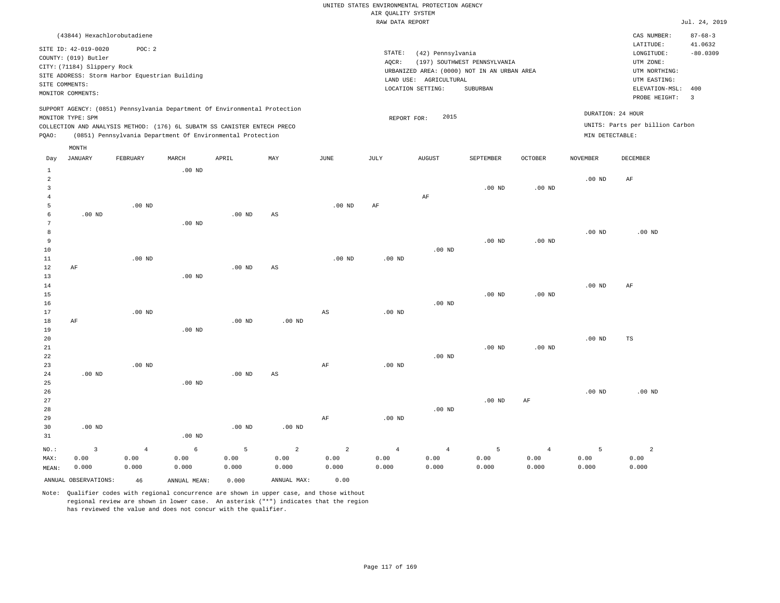|             |                                                                                               |                                                                                                                                                                                                                      |          |          |     |          |                 | RAW DATA REPORT                                                                            |                              |                |                                      |                                                          | Jul. 24, 2019                   |
|-------------|-----------------------------------------------------------------------------------------------|----------------------------------------------------------------------------------------------------------------------------------------------------------------------------------------------------------------------|----------|----------|-----|----------|-----------------|--------------------------------------------------------------------------------------------|------------------------------|----------------|--------------------------------------|----------------------------------------------------------|---------------------------------|
|             | (43844) Hexachlorobutadiene                                                                   |                                                                                                                                                                                                                      |          |          |     |          |                 |                                                                                            |                              |                |                                      | CAS NUMBER:<br>LATITUDE:                                 | $87 - 68 - 3$<br>41.0632        |
|             | SITE ID: 42-019-0020<br>COUNTY: (019) Butler<br>CITY: (71184) Slippery Rock<br>SITE COMMENTS: | POC:2<br>SITE ADDRESS: Storm Harbor Equestrian Building                                                                                                                                                              |          |          |     |          | STATE:<br>AOCR: | (42) Pennsylvania<br>URBANIZED AREA: (0000) NOT IN AN URBAN AREA<br>LAND USE: AGRICULTURAL | (197) SOUTHWEST PENNSYLVANIA |                |                                      | LONGITUDE:<br>UTM ZONE:<br>UTM NORTHING:<br>UTM EASTING: | $-80.0309$                      |
|             | MONITOR COMMENTS:                                                                             |                                                                                                                                                                                                                      |          |          |     |          |                 | LOCATION SETTING:                                                                          | SUBURBAN                     |                |                                      | ELEVATION-MSL:<br>PROBE HEIGHT:                          | 400<br>$\overline{\phantom{a}}$ |
| POAO:       | MONITOR TYPE: SPM                                                                             | SUPPORT AGENCY: (0851) Pennsylvania Department Of Environmental Protection<br>COLLECTION AND ANALYSIS METHOD: (176) 6L SUBATM SS CANISTER ENTECH PRECO<br>(0851) Pennsylvania Department Of Environmental Protection |          |          |     |          |                 | 2015<br>REPORT FOR:                                                                        |                              |                | DURATION: 24 HOUR<br>MIN DETECTABLE: | UNITS: Parts per billion Carbon                          |                                 |
| Day         | MONTH<br>JANUARY                                                                              | FEBRUARY                                                                                                                                                                                                             | MARCH    | APRIL    | MAY | JUNE     | JULY            | <b>AUGUST</b>                                                                              | SEPTEMBER                    | <b>OCTOBER</b> | <b>NOVEMBER</b>                      | <b>DECEMBER</b>                                          |                                 |
|             |                                                                                               |                                                                                                                                                                                                                      | $.00$ ND |          |     |          |                 |                                                                                            |                              |                |                                      |                                                          |                                 |
|             |                                                                                               |                                                                                                                                                                                                                      |          |          |     |          |                 |                                                                                            | $.00$ ND                     | $.00$ ND       | $.00$ ND                             | AF                                                       |                                 |
| 5           | .00 <sub>ND</sub>                                                                             | $.00$ ND                                                                                                                                                                                                             |          | $.00$ ND | AS  | $.00$ ND | AF              | AF                                                                                         |                              |                |                                      |                                                          |                                 |
| 6<br>8<br>9 |                                                                                               |                                                                                                                                                                                                                      | $.00$ ND |          |     |          |                 |                                                                                            | $.00$ ND                     | $.00$ ND       | .00 <sub>ND</sub>                    | $.00$ ND                                                 |                                 |
|             |                                                                                               |                                                                                                                                                                                                                      |          |          |     |          |                 |                                                                                            |                              |                |                                      |                                                          |                                 |

| 9           |          |          |          |          |          |                        |          |          | $.00$ ND | $.00$ ND  |          |          |
|-------------|----------|----------|----------|----------|----------|------------------------|----------|----------|----------|-----------|----------|----------|
| $10$        |          |          |          |          |          |                        |          | $.00$ ND |          |           |          |          |
| $1\,1$      |          | $.00$ ND |          |          |          | $.00$ ND               | .00 $ND$ |          |          |           |          |          |
| $1\,2$      | AF       |          |          | .00 $ND$ | AS       |                        |          |          |          |           |          |          |
| 13          |          |          | $.00$ ND |          |          |                        |          |          |          |           |          |          |
| $1\,4$      |          |          |          |          |          |                        |          |          |          |           | .00 $ND$ | AF       |
| $1\,5$      |          |          |          |          |          |                        |          |          | $.00$ ND | $.00$ ND  |          |          |
| $16$        |          |          |          |          |          |                        |          | .00 $ND$ |          |           |          |          |
| $17$        |          | $.00$ ND |          |          |          | $\mathbb{A}\mathbb{S}$ | .00 $ND$ |          |          |           |          |          |
| $1\,8$      | $\rm AF$ |          |          | .00 $ND$ | $.00$ ND |                        |          |          |          |           |          |          |
| 19          |          |          | .00 $ND$ |          |          |                        |          |          |          |           |          |          |
| $20\,$      |          |          |          |          |          |                        |          |          |          |           | .00 $ND$ | TS       |
| $2\sqrt{1}$ |          |          |          |          |          |                        |          |          | $.00$ ND | $.00$ ND  |          |          |
| $2\sqrt{2}$ |          |          |          |          |          |                        |          | $.00$ ND |          |           |          |          |
| 23          |          | $.00$ ND |          |          |          | AF                     | $.00$ ND |          |          |           |          |          |
| $2\sqrt{4}$ | $.00$ ND |          |          | .00 $ND$ | AS       |                        |          |          |          |           |          |          |
| $2\sqrt{5}$ |          |          | .00 $ND$ |          |          |                        |          |          |          |           |          |          |
| $26\,$      |          |          |          |          |          |                        |          |          |          |           | .00 $ND$ | $.00$ ND |
| 27          |          |          |          |          |          |                        |          |          | $.00$ ND | $\rm{AF}$ |          |          |
| 28          |          |          |          |          |          |                        |          | $.00$ ND |          |           |          |          |
| 29          |          |          |          |          |          | $\rm{AF}$              | .00 $ND$ |          |          |           |          |          |
| 30          | $.00$ ND |          |          | .00 $ND$ | $.00$ ND |                        |          |          |          |           |          |          |
| 31          |          |          | $.00$ ND |          |          |                        |          |          |          |           |          |          |
|             |          |          |          |          |          |                        |          |          |          |           |          |          |

2 0.00

MEAN: 0.000 0.000 0.000 0.000 0.000 0.000 0.000 0.000 0.000 ANNUAL OBSERVATIONS: 46 ANNUAL MEAN: 0.000 ANNUAL MAX: 0.00

2 0.00

5 0.00

Note: Qualifier codes with regional concurrence are shown in upper case, and those without regional review are shown in lower case. An asterisk ("\*") indicates that the region has reviewed the value and does not concur with the qualifier.

6 0.00

NO.: MAX:

3 0.00

4 0.00

4 0.00

4 0.00

5 0.00

4 0.00 0.000

5 0.00 0.000

2 0.00 0.000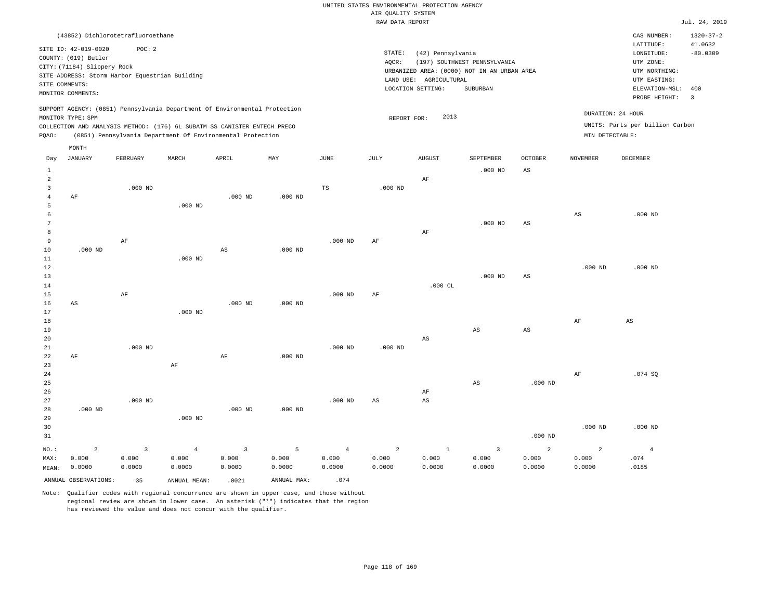|                |                                                |                |                                                                            |                        |             |                | RAW DATA REPORT |                        |                                             |                |                   |                                 | Jul. 24, 2019         |
|----------------|------------------------------------------------|----------------|----------------------------------------------------------------------------|------------------------|-------------|----------------|-----------------|------------------------|---------------------------------------------|----------------|-------------------|---------------------------------|-----------------------|
|                | (43852) Dichlorotetrafluoroethane              |                |                                                                            |                        |             |                |                 |                        |                                             |                |                   | CAS NUMBER:                     | $1320 - 37 - 2$       |
|                | SITE ID: 42-019-0020<br>COUNTY: (019) Butler   | POC: 2         |                                                                            |                        |             |                | STATE:          | (42) Pennsylvania      |                                             |                |                   | LATITUDE:<br>LONGITUDE:         | 41.0632<br>$-80.0309$ |
|                | CITY: (71184) Slippery Rock                    |                |                                                                            |                        |             |                | AQCR:           |                        | (197) SOUTHWEST PENNSYLVANIA                |                |                   | UTM ZONE:                       |                       |
|                | SITE ADDRESS: Storm Harbor Equestrian Building |                |                                                                            |                        |             |                |                 |                        | URBANIZED AREA: (0000) NOT IN AN URBAN AREA |                |                   | UTM NORTHING:                   |                       |
|                | SITE COMMENTS:                                 |                |                                                                            |                        |             |                |                 | LAND USE: AGRICULTURAL |                                             |                |                   | UTM EASTING:                    |                       |
|                | MONITOR COMMENTS:                              |                |                                                                            |                        |             |                |                 | LOCATION SETTING:      | SUBURBAN                                    |                |                   | ELEVATION-MSL:                  | 400                   |
|                |                                                |                |                                                                            |                        |             |                |                 |                        |                                             |                |                   | PROBE HEIGHT:                   | 3                     |
|                | MONITOR TYPE: SPM                              |                | SUPPORT AGENCY: (0851) Pennsylvania Department Of Environmental Protection |                        |             |                | REPORT FOR:     | 2013                   |                                             |                | DURATION: 24 HOUR |                                 |                       |
|                |                                                |                | COLLECTION AND ANALYSIS METHOD: (176) 6L SUBATM SS CANISTER ENTECH PRECO   |                        |             |                |                 |                        |                                             |                |                   | UNITS: Parts per billion Carbon |                       |
| PQAO:          |                                                |                | (0851) Pennsylvania Department Of Environmental Protection                 |                        |             |                |                 |                        |                                             |                | MIN DETECTABLE:   |                                 |                       |
|                | MONTH                                          |                |                                                                            |                        |             |                |                 |                        |                                             |                |                   |                                 |                       |
| Day            | JANUARY                                        | FEBRUARY       | MARCH                                                                      | APRIL                  | MAY         | JUNE           | JULY            | <b>AUGUST</b>          | SEPTEMBER                                   | OCTOBER        | <b>NOVEMBER</b>   | DECEMBER                        |                       |
| $1\,$          |                                                |                |                                                                            |                        |             |                |                 |                        | $.000$ ND                                   | $_{\rm AS}$    |                   |                                 |                       |
| $\overline{2}$ |                                                |                |                                                                            |                        |             |                |                 | AF                     |                                             |                |                   |                                 |                       |
| $\overline{3}$ |                                                | $.000$ ND      |                                                                            |                        |             | TS             | $.000$ ND       |                        |                                             |                |                   |                                 |                       |
| $\overline{4}$ | $\rm{AF}$                                      |                |                                                                            | $.000$ ND              | $.000$ ND   |                |                 |                        |                                             |                |                   |                                 |                       |
| 5              |                                                |                | $.000$ ND                                                                  |                        |             |                |                 |                        |                                             |                |                   |                                 |                       |
| $\epsilon$     |                                                |                |                                                                            |                        |             |                |                 |                        |                                             |                | $_{\rm AS}$       | $.000$ ND                       |                       |
| 7              |                                                |                |                                                                            |                        |             |                |                 |                        | $.000$ ND                                   | $_{\rm AS}$    |                   |                                 |                       |
| 8<br>9         |                                                |                |                                                                            |                        |             |                |                 | AF                     |                                             |                |                   |                                 |                       |
| $10$           | $.000$ ND                                      | AF             |                                                                            | $\mathbb{A}\mathbb{S}$ | $.000$ ND   | $.000$ ND      | AF              |                        |                                             |                |                   |                                 |                       |
| $1\,1$         |                                                |                | $.000$ ND                                                                  |                        |             |                |                 |                        |                                             |                |                   |                                 |                       |
| 12             |                                                |                |                                                                            |                        |             |                |                 |                        |                                             |                | $.000$ ND         | $.000$ ND                       |                       |
| 13             |                                                |                |                                                                            |                        |             |                |                 |                        | $.000$ ND                                   | AS             |                   |                                 |                       |
| 14             |                                                |                |                                                                            |                        |             |                |                 | $.000$ CL              |                                             |                |                   |                                 |                       |
| 15             |                                                | AF             |                                                                            |                        |             | $.000$ ND      | AF              |                        |                                             |                |                   |                                 |                       |
| 16             | AS                                             |                |                                                                            | $.000$ ND              | $.000$ ND   |                |                 |                        |                                             |                |                   |                                 |                       |
| 17             |                                                |                | $.000$ ND                                                                  |                        |             |                |                 |                        |                                             |                |                   |                                 |                       |
| $18$           |                                                |                |                                                                            |                        |             |                |                 |                        |                                             |                | AF                | AS                              |                       |
| 19             |                                                |                |                                                                            |                        |             |                |                 |                        | $_{\rm AS}$                                 | $_{\rm AS}$    |                   |                                 |                       |
| 20<br>21       |                                                | $.000$ ND      |                                                                            |                        |             | $.000$ ND      | $.000$ ND       | AS                     |                                             |                |                   |                                 |                       |
| 22             | AF                                             |                |                                                                            | AF                     | $.000$ ND   |                |                 |                        |                                             |                |                   |                                 |                       |
| 23             |                                                |                | $\rm AF$                                                                   |                        |             |                |                 |                        |                                             |                |                   |                                 |                       |
| 24             |                                                |                |                                                                            |                        |             |                |                 |                        |                                             |                | AF                | .074S                           |                       |
| 25             |                                                |                |                                                                            |                        |             |                |                 |                        | AS                                          | $.000$ ND      |                   |                                 |                       |
| 26             |                                                |                |                                                                            |                        |             |                |                 | $\rm AF$               |                                             |                |                   |                                 |                       |
| 27             |                                                | $.000$ ND      |                                                                            |                        |             | $.000$ ND      | $_{\rm AS}$     | $_{\rm AS}$            |                                             |                |                   |                                 |                       |
| 28             | $.000$ ND                                      |                |                                                                            | $.000$ ND              | $.000$ ND   |                |                 |                        |                                             |                |                   |                                 |                       |
| 29             |                                                |                | $.000$ ND                                                                  |                        |             |                |                 |                        |                                             |                |                   |                                 |                       |
| 30             |                                                |                |                                                                            |                        |             |                |                 |                        |                                             |                | $.000$ ND         | $.000$ ND                       |                       |
| 31             |                                                |                |                                                                            |                        |             |                |                 |                        |                                             | $.000$ ND      |                   |                                 |                       |
| NO.:           | $\overline{a}$                                 | $\overline{3}$ | $\overline{4}$                                                             | $\overline{3}$         | 5           | $\overline{4}$ | $\overline{a}$  | $\mathbf{1}$           | $\overline{3}$                              | $\overline{a}$ | 2                 | $\sqrt{4}$                      |                       |
| MAX:           | 0.000                                          | 0.000          | 0.000                                                                      | 0.000                  | 0.000       | 0.000          | 0.000           | 0.000                  | 0.000                                       | 0.000          | 0.000             | .074                            |                       |
| MEAN:          | 0.0000                                         | 0.0000         | 0.0000                                                                     | 0.0000                 | 0.0000      | 0.0000         | 0.0000          | 0.0000                 | 0.0000                                      | 0.0000         | 0.0000            | .0185                           |                       |
|                | ANNUAL OBSERVATIONS:                           | 35             | ANNUAL MEAN:                                                               | .0021                  | ANNUAL MAX: | .074           |                 |                        |                                             |                |                   |                                 |                       |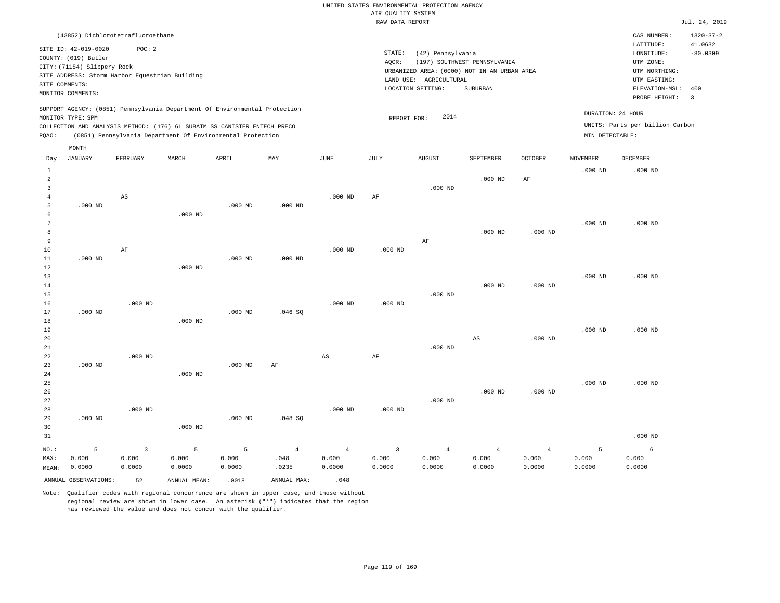|                |                                                                            |                         |                                                            |           |                |                        | RAW DATA REPORT         |                        |                                             |                |                 |                                 | Jul. 24, 2019   |
|----------------|----------------------------------------------------------------------------|-------------------------|------------------------------------------------------------|-----------|----------------|------------------------|-------------------------|------------------------|---------------------------------------------|----------------|-----------------|---------------------------------|-----------------|
|                | (43852) Dichlorotetrafluoroethane                                          |                         |                                                            |           |                |                        |                         |                        |                                             |                |                 | CAS NUMBER:                     | $1320 - 37 - 2$ |
|                |                                                                            |                         |                                                            |           |                |                        |                         |                        |                                             |                |                 | LATITUDE:                       | 41.0632         |
|                | SITE ID: 42-019-0020                                                       | POC: 2                  |                                                            |           |                |                        | STATE:                  | (42) Pennsylvania      |                                             |                |                 | LONGITUDE:                      | $-80.0309$      |
|                | COUNTY: (019) Butler                                                       |                         |                                                            |           |                |                        | AOCR:                   |                        | (197) SOUTHWEST PENNSYLVANIA                |                |                 | UTM ZONE:                       |                 |
|                | CITY: (71184) Slippery Rock                                                |                         |                                                            |           |                |                        |                         |                        | URBANIZED AREA: (0000) NOT IN AN URBAN AREA |                |                 | UTM NORTHING:                   |                 |
|                | SITE ADDRESS: Storm Harbor Equestrian Building                             |                         |                                                            |           |                |                        |                         | LAND USE: AGRICULTURAL |                                             |                |                 | UTM EASTING:                    |                 |
| SITE COMMENTS: |                                                                            |                         |                                                            |           |                |                        |                         | LOCATION SETTING:      | SUBURBAN                                    |                |                 | ELEVATION-MSL:                  | 400             |
|                | MONITOR COMMENTS:                                                          |                         |                                                            |           |                |                        |                         |                        |                                             |                |                 | PROBE HEIGHT:                   | 3               |
|                | SUPPORT AGENCY: (0851) Pennsylvania Department Of Environmental Protection |                         |                                                            |           |                |                        |                         |                        |                                             |                |                 | DURATION: 24 HOUR               |                 |
|                | MONITOR TYPE: SPM                                                          |                         |                                                            |           |                |                        | REPORT FOR:             | 2014                   |                                             |                |                 |                                 |                 |
|                | COLLECTION AND ANALYSIS METHOD: (176) 6L SUBATM SS CANISTER ENTECH PRECO   |                         |                                                            |           |                |                        |                         |                        |                                             |                |                 | UNITS: Parts per billion Carbon |                 |
| PQAO:          |                                                                            |                         | (0851) Pennsylvania Department Of Environmental Protection |           |                |                        |                         |                        |                                             |                | MIN DETECTABLE: |                                 |                 |
|                | MONTH                                                                      |                         |                                                            |           |                |                        |                         |                        |                                             |                |                 |                                 |                 |
| Day            | <b>JANUARY</b>                                                             | FEBRUARY                | MARCH                                                      | APRIL     | MAY            | <b>JUNE</b>            | <b>JULY</b>             | <b>AUGUST</b>          | SEPTEMBER                                   | OCTOBER        | <b>NOVEMBER</b> | DECEMBER                        |                 |
| $\mathbf{1}$   |                                                                            |                         |                                                            |           |                |                        |                         |                        |                                             |                | $.000$ ND       | $.000$ ND                       |                 |
| $\overline{a}$ |                                                                            |                         |                                                            |           |                |                        |                         |                        | $.000$ ND                                   | AF             |                 |                                 |                 |
| $\overline{3}$ |                                                                            |                         |                                                            |           |                |                        |                         | $.000$ ND              |                                             |                |                 |                                 |                 |
| $\overline{4}$ |                                                                            | AS                      |                                                            |           |                | $.000$ ND              | AF                      |                        |                                             |                |                 |                                 |                 |
| 5              | $.000$ ND                                                                  |                         |                                                            | $.000$ ND | $.000$ ND      |                        |                         |                        |                                             |                |                 |                                 |                 |
| 6              |                                                                            |                         | $.000$ ND                                                  |           |                |                        |                         |                        |                                             |                |                 |                                 |                 |
| $\overline{7}$ |                                                                            |                         |                                                            |           |                |                        |                         |                        |                                             |                | $.000$ ND       | $.000$ ND                       |                 |
| 8              |                                                                            |                         |                                                            |           |                |                        |                         |                        | $.000$ ND                                   | $.000$ ND      |                 |                                 |                 |
| 9              |                                                                            |                         |                                                            |           |                |                        |                         | $\rm{AF}$              |                                             |                |                 |                                 |                 |
| 10             |                                                                            | AF                      |                                                            |           |                | $.000$ ND              | $.000$ ND               |                        |                                             |                |                 |                                 |                 |
| 11             | $.000$ ND                                                                  |                         |                                                            | $.000$ ND | $.000$ ND      |                        |                         |                        |                                             |                |                 |                                 |                 |
| 12             |                                                                            |                         | $.000$ ND                                                  |           |                |                        |                         |                        |                                             |                |                 |                                 |                 |
| 13             |                                                                            |                         |                                                            |           |                |                        |                         |                        |                                             |                | $.000$ ND       | $.000$ ND                       |                 |
| 14             |                                                                            |                         |                                                            |           |                |                        |                         |                        | $.000$ ND                                   | $.000$ ND      |                 |                                 |                 |
| 15             |                                                                            |                         |                                                            |           |                |                        |                         | $.000$ ND              |                                             |                |                 |                                 |                 |
| 16             |                                                                            | $.000$ ND               |                                                            |           |                | $.000$ ND              | $.000$ ND               |                        |                                             |                |                 |                                 |                 |
|                |                                                                            |                         |                                                            |           |                |                        |                         |                        |                                             |                |                 |                                 |                 |
| $17$           | $.000$ ND                                                                  |                         |                                                            | $.000$ ND | .046SQ         |                        |                         |                        |                                             |                |                 |                                 |                 |
| 18             |                                                                            |                         | $.000$ ND                                                  |           |                |                        |                         |                        |                                             |                |                 |                                 |                 |
| 19             |                                                                            |                         |                                                            |           |                |                        |                         |                        |                                             |                | $.000$ ND       | $.000$ ND                       |                 |
| 20             |                                                                            |                         |                                                            |           |                |                        |                         |                        | AS                                          | $.000$ ND      |                 |                                 |                 |
| 21             |                                                                            |                         |                                                            |           |                |                        |                         | $.000$ ND              |                                             |                |                 |                                 |                 |
| 22             |                                                                            | $.000$ ND               |                                                            |           |                | $\mathbb{A}\mathbb{S}$ | AF                      |                        |                                             |                |                 |                                 |                 |
| 23             | $.000$ ND                                                                  |                         |                                                            | $.000$ ND | AF             |                        |                         |                        |                                             |                |                 |                                 |                 |
| 24             |                                                                            |                         | $.000$ ND                                                  |           |                |                        |                         |                        |                                             |                |                 |                                 |                 |
| 25             |                                                                            |                         |                                                            |           |                |                        |                         |                        |                                             |                | $.000$ ND       | $.000$ ND                       |                 |
| 26             |                                                                            |                         |                                                            |           |                |                        |                         |                        | $.000$ ND                                   | $.000$ ND      |                 |                                 |                 |
| 27             |                                                                            |                         |                                                            |           |                |                        |                         | $.000$ ND              |                                             |                |                 |                                 |                 |
| 28             |                                                                            | $.000$ ND               |                                                            |           |                | $.000$ ND              | $.000$ ND               |                        |                                             |                |                 |                                 |                 |
| 29             | $.000$ ND                                                                  |                         |                                                            | $.000$ ND | .048 SQ        |                        |                         |                        |                                             |                |                 |                                 |                 |
| 30             |                                                                            |                         | $.000$ ND                                                  |           |                |                        |                         |                        |                                             |                |                 |                                 |                 |
| 31             |                                                                            |                         |                                                            |           |                |                        |                         |                        |                                             |                |                 | $.000$ ND                       |                 |
|                |                                                                            |                         |                                                            |           |                |                        |                         |                        |                                             |                |                 |                                 |                 |
| $NO.$ :        | 5                                                                          | $\overline{\mathbf{3}}$ | 5                                                          | 5         | $\overline{4}$ | $\overline{4}$         | $\overline{\mathbf{3}}$ | $\overline{4}$         | $\overline{4}$                              | $\overline{4}$ | 5               | 6                               |                 |
| MAX:           | 0.000                                                                      | 0.000                   | 0.000                                                      | 0.000     | .048           | 0.000                  | 0.000                   | 0.000                  | 0.000                                       | 0.000          | 0.000           | 0.000                           |                 |
| MEAN:          | 0.0000                                                                     | 0.0000                  | 0.0000                                                     | 0.0000    | .0235          | 0.0000                 | 0.0000                  | 0.0000                 | 0.0000                                      | 0.0000         | 0.0000          | 0.0000                          |                 |
|                | ANNUAL OBSERVATIONS:                                                       | 52                      | ANNUAL MEAN:                                               | .0018     | ANNUAL MAX:    | .048                   |                         |                        |                                             |                |                 |                                 |                 |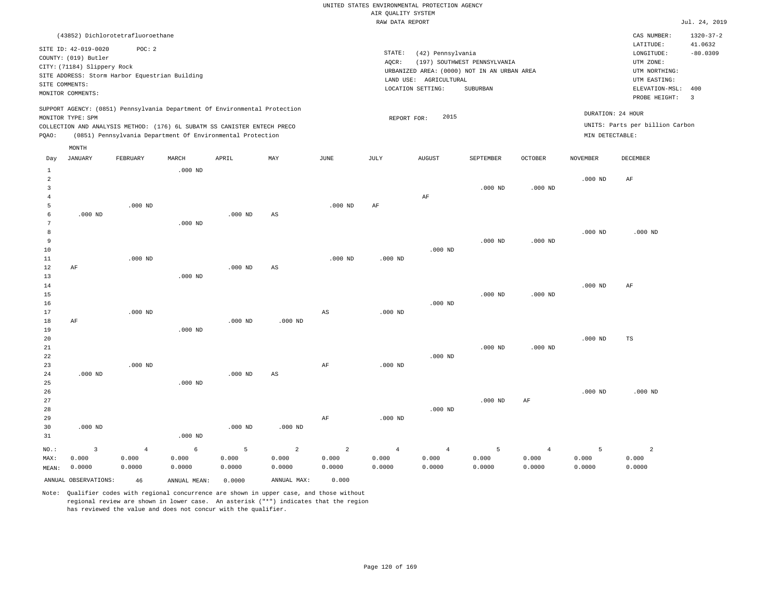|                |                                                |                |                                                                            |           |                |                | RAW DATA REPORT |                        |                                             |                |                 |                                 | Jul. 24, 2019   |
|----------------|------------------------------------------------|----------------|----------------------------------------------------------------------------|-----------|----------------|----------------|-----------------|------------------------|---------------------------------------------|----------------|-----------------|---------------------------------|-----------------|
|                | (43852) Dichlorotetrafluoroethane              |                |                                                                            |           |                |                |                 |                        |                                             |                |                 | CAS NUMBER:                     | $1320 - 37 - 2$ |
|                |                                                |                |                                                                            |           |                |                |                 |                        |                                             |                |                 | LATITUDE:                       | 41.0632         |
|                | SITE ID: 42-019-0020                           | POC: 2         |                                                                            |           |                |                | STATE:          | (42) Pennsylvania      |                                             |                |                 | LONGITUDE:                      | $-80.0309$      |
|                | COUNTY: (019) Butler                           |                |                                                                            |           |                |                | AQCR:           |                        | (197) SOUTHWEST PENNSYLVANIA                |                |                 | UTM ZONE:                       |                 |
|                | CITY: (71184) Slippery Rock                    |                |                                                                            |           |                |                |                 |                        | URBANIZED AREA: (0000) NOT IN AN URBAN AREA |                |                 | UTM NORTHING:                   |                 |
|                | SITE ADDRESS: Storm Harbor Equestrian Building |                |                                                                            |           |                |                |                 | LAND USE: AGRICULTURAL |                                             |                |                 | UTM EASTING:                    |                 |
|                | SITE COMMENTS:                                 |                |                                                                            |           |                |                |                 | LOCATION SETTING:      | <b>SUBURBAN</b>                             |                |                 | ELEVATION-MSL:                  | 400             |
|                | MONITOR COMMENTS:                              |                |                                                                            |           |                |                |                 |                        |                                             |                |                 | PROBE HEIGHT:                   | $\overline{3}$  |
|                |                                                |                | SUPPORT AGENCY: (0851) Pennsylvania Department Of Environmental Protection |           |                |                |                 |                        |                                             |                |                 |                                 |                 |
|                | MONITOR TYPE: SPM                              |                |                                                                            |           |                |                | REPORT FOR:     | 2015                   |                                             |                |                 | DURATION: 24 HOUR               |                 |
|                |                                                |                | COLLECTION AND ANALYSIS METHOD: (176) 6L SUBATM SS CANISTER ENTECH PRECO   |           |                |                |                 |                        |                                             |                |                 | UNITS: Parts per billion Carbon |                 |
| PQAO:          |                                                |                | (0851) Pennsylvania Department Of Environmental Protection                 |           |                |                |                 |                        |                                             |                | MIN DETECTABLE: |                                 |                 |
|                | MONTH                                          |                |                                                                            |           |                |                |                 |                        |                                             |                |                 |                                 |                 |
| Day            | <b>JANUARY</b>                                 | FEBRUARY       | MARCH                                                                      | APRIL     | MAY            | <b>JUNE</b>    | JULY            | <b>AUGUST</b>          | SEPTEMBER                                   | <b>OCTOBER</b> | <b>NOVEMBER</b> | DECEMBER                        |                 |
| $\mathbf{1}$   |                                                |                | $.000$ ND                                                                  |           |                |                |                 |                        |                                             |                |                 |                                 |                 |
| $\overline{a}$ |                                                |                |                                                                            |           |                |                |                 |                        |                                             |                | $.000$ ND       | AF                              |                 |
| 3              |                                                |                |                                                                            |           |                |                |                 |                        | $.000$ ND                                   | $.000$ ND      |                 |                                 |                 |
| 4              |                                                |                |                                                                            |           |                |                |                 | AF                     |                                             |                |                 |                                 |                 |
| 5              |                                                | $.000$ ND      |                                                                            |           |                | $.000$ ND      | $\rm AF$        |                        |                                             |                |                 |                                 |                 |
| 6              | $.000$ ND                                      |                |                                                                            | $.000$ ND | AS             |                |                 |                        |                                             |                |                 |                                 |                 |
| 7              |                                                |                | $.000$ ND                                                                  |           |                |                |                 |                        |                                             |                |                 |                                 |                 |
| 8              |                                                |                |                                                                            |           |                |                |                 |                        |                                             |                | $.000$ ND       | $.000$ ND                       |                 |
| 9              |                                                |                |                                                                            |           |                |                |                 |                        | $.000$ ND                                   | $.000$ ND      |                 |                                 |                 |
| 10             |                                                |                |                                                                            |           |                |                |                 | $.000$ ND              |                                             |                |                 |                                 |                 |
| 11             |                                                | $.000$ ND      |                                                                            |           |                | $.000$ ND      | $.000$ ND       |                        |                                             |                |                 |                                 |                 |
| $12 \,$        | AF                                             |                |                                                                            | $.000$ ND | AS             |                |                 |                        |                                             |                |                 |                                 |                 |
| 13             |                                                |                | $.000$ ND                                                                  |           |                |                |                 |                        |                                             |                |                 |                                 |                 |
| 14             |                                                |                |                                                                            |           |                |                |                 |                        |                                             |                | $.000$ ND       | AF                              |                 |
| 15             |                                                |                |                                                                            |           |                |                |                 |                        | $.000$ ND                                   | $.000$ ND      |                 |                                 |                 |
| 16             |                                                |                |                                                                            |           |                |                |                 | $.000$ ND              |                                             |                |                 |                                 |                 |
| 17<br>18       | AF                                             | $.000$ ND      |                                                                            | $.000$ ND |                | AS             | $.000$ ND       |                        |                                             |                |                 |                                 |                 |
| 19             |                                                |                | $.000$ ND                                                                  |           | $.000$ ND      |                |                 |                        |                                             |                |                 |                                 |                 |
| 20             |                                                |                |                                                                            |           |                |                |                 |                        |                                             |                | $.000$ ND       | TS                              |                 |
| 21             |                                                |                |                                                                            |           |                |                |                 |                        | $.000$ ND                                   | $.000$ ND      |                 |                                 |                 |
| 22             |                                                |                |                                                                            |           |                |                |                 | $.000$ ND              |                                             |                |                 |                                 |                 |
| 23             |                                                | $.000$ ND      |                                                                            |           |                | AF             | $.000$ ND       |                        |                                             |                |                 |                                 |                 |
| 24             | $.000$ ND                                      |                |                                                                            | $.000$ ND | AS             |                |                 |                        |                                             |                |                 |                                 |                 |
| 25             |                                                |                | $.000$ ND                                                                  |           |                |                |                 |                        |                                             |                |                 |                                 |                 |
| 26             |                                                |                |                                                                            |           |                |                |                 |                        |                                             |                | $.000$ ND       | $.000$ ND                       |                 |
| 27             |                                                |                |                                                                            |           |                |                |                 |                        | $.000$ ND                                   | AF             |                 |                                 |                 |
| 28             |                                                |                |                                                                            |           |                |                |                 | $.000$ ND              |                                             |                |                 |                                 |                 |
| 29             |                                                |                |                                                                            |           |                | AF             | $.000$ ND       |                        |                                             |                |                 |                                 |                 |
| 30             | $.000$ ND                                      |                |                                                                            | $.000$ ND | $.000$ ND      |                |                 |                        |                                             |                |                 |                                 |                 |
| 31             |                                                |                | $.000$ ND                                                                  |           |                |                |                 |                        |                                             |                |                 |                                 |                 |
| NO.:           | $\overline{3}$                                 | $\overline{4}$ | 6                                                                          | 5         | $\overline{a}$ | $\overline{a}$ | $\overline{4}$  | $\overline{4}$         | 5                                           | $\overline{4}$ | 5               | $\overline{a}$                  |                 |
| MAX:           | 0.000                                          | 0.000          | 0.000                                                                      | 0.000     | 0.000          | 0.000          | 0.000           | 0.000                  | 0.000                                       | 0.000          | 0.000           | 0.000                           |                 |
| MEAN:          | 0.0000                                         | 0.0000         | 0.0000                                                                     | 0.0000    | 0.0000         | 0.0000         | 0.0000          | 0.0000                 | 0.0000                                      | 0.0000         | 0.0000          | 0.0000                          |                 |
|                | ANNUAL OBSERVATIONS:                           | 46             | ANNUAL MEAN:                                                               | 0.0000    | ANNUAL MAX:    | 0.000          |                 |                        |                                             |                |                 |                                 |                 |
|                |                                                |                |                                                                            |           |                |                |                 |                        |                                             |                |                 |                                 |                 |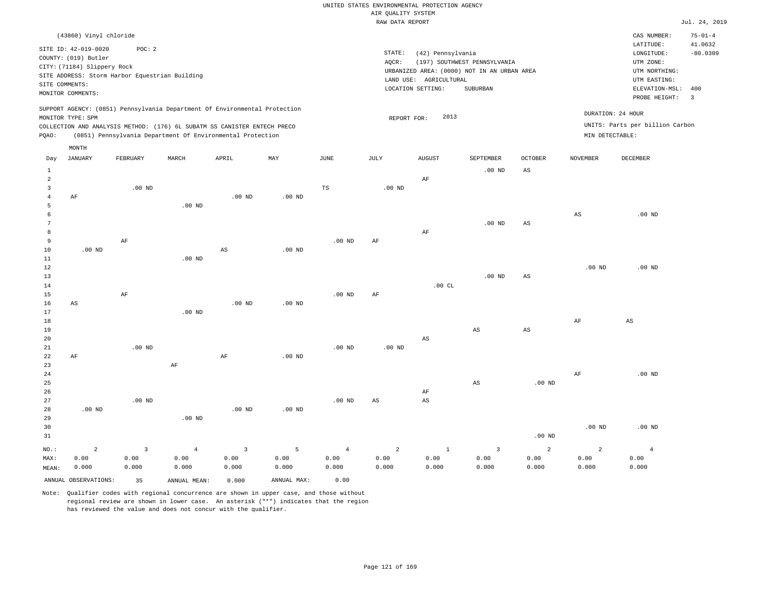|                     |                                                                                                                                                                      |                |                                                                            |                |                   |                | RAW DATA REPORT |                                                                  |                                                                                         |                        |                   |                                                                                                              | Jul. 24, 2019                           |
|---------------------|----------------------------------------------------------------------------------------------------------------------------------------------------------------------|----------------|----------------------------------------------------------------------------|----------------|-------------------|----------------|-----------------|------------------------------------------------------------------|-----------------------------------------------------------------------------------------|------------------------|-------------------|--------------------------------------------------------------------------------------------------------------|-----------------------------------------|
|                     | (43860) Vinyl chloride                                                                                                                                               |                |                                                                            |                |                   |                |                 |                                                                  |                                                                                         |                        |                   | CAS NUMBER:                                                                                                  | $75 - 01 - 4$                           |
|                     | SITE ID: 42-019-0020<br>COUNTY: (019) Butler<br>CITY: (71184) Slippery Rock<br>SITE ADDRESS: Storm Harbor Equestrian Building<br>SITE COMMENTS:<br>MONITOR COMMENTS: | POC: 2         |                                                                            |                |                   |                | STATE:<br>AQCR: | (42) Pennsylvania<br>LAND USE: AGRICULTURAL<br>LOCATION SETTING: | (197) SOUTHWEST PENNSYLVANIA<br>URBANIZED AREA: (0000) NOT IN AN URBAN AREA<br>SUBURBAN |                        |                   | LATITUDE:<br>LONGITUDE:<br>UTM ZONE:<br>UTM NORTHING:<br>UTM EASTING:<br>ELEVATION-MSL: 400<br>PROBE HEIGHT: | 41.0632<br>$-80.0309$<br>$\overline{3}$ |
|                     |                                                                                                                                                                      |                | SUPPORT AGENCY: (0851) Pennsylvania Department Of Environmental Protection |                |                   |                |                 |                                                                  |                                                                                         |                        |                   |                                                                                                              |                                         |
|                     | MONITOR TYPE: SPM                                                                                                                                                    |                |                                                                            |                |                   |                | REPORT FOR:     | 2013                                                             |                                                                                         |                        |                   | DURATION: 24 HOUR                                                                                            |                                         |
|                     |                                                                                                                                                                      |                | COLLECTION AND ANALYSIS METHOD: (176) 6L SUBATM SS CANISTER ENTECH PRECO   |                |                   |                |                 |                                                                  |                                                                                         |                        |                   | UNITS: Parts per billion Carbon                                                                              |                                         |
| POAO:               |                                                                                                                                                                      |                | (0851) Pennsylvania Department Of Environmental Protection                 |                |                   |                |                 |                                                                  |                                                                                         |                        | MIN DETECTABLE:   |                                                                                                              |                                         |
|                     | MONTH                                                                                                                                                                |                |                                                                            |                |                   |                |                 |                                                                  |                                                                                         |                        |                   |                                                                                                              |                                         |
| Day                 | <b>JANUARY</b>                                                                                                                                                       | FEBRUARY       | MARCH                                                                      | APRIL          | MAY               | $_{\rm JUNE}$  | JULY            | <b>AUGUST</b>                                                    | SEPTEMBER                                                                               | OCTOBER                | <b>NOVEMBER</b>   | DECEMBER                                                                                                     |                                         |
| $\mathbf{1}$        |                                                                                                                                                                      |                |                                                                            |                |                   |                |                 |                                                                  | $.00$ ND                                                                                | $_{\rm AS}$            |                   |                                                                                                              |                                         |
| $\overline{a}$      |                                                                                                                                                                      |                |                                                                            |                |                   |                |                 | AF                                                               |                                                                                         |                        |                   |                                                                                                              |                                         |
| $\mathbf{3}$        |                                                                                                                                                                      | $.00$ ND       |                                                                            |                |                   | $_{\rm TS}$    | $.00$ ND        |                                                                  |                                                                                         |                        |                   |                                                                                                              |                                         |
| $\overline{4}$<br>5 | AF                                                                                                                                                                   |                | .00 <sub>ND</sub>                                                          | $.00$ ND       | $.00$ ND          |                |                 |                                                                  |                                                                                         |                        |                   |                                                                                                              |                                         |
| 6                   |                                                                                                                                                                      |                |                                                                            |                |                   |                |                 |                                                                  |                                                                                         |                        | $_{\rm AS}$       | $.00$ ND                                                                                                     |                                         |
| 7                   |                                                                                                                                                                      |                |                                                                            |                |                   |                |                 |                                                                  | $.00$ ND                                                                                | AS                     |                   |                                                                                                              |                                         |
| 8                   |                                                                                                                                                                      |                |                                                                            |                |                   |                |                 | AF                                                               |                                                                                         |                        |                   |                                                                                                              |                                         |
| 9                   |                                                                                                                                                                      | AF             |                                                                            |                |                   | $.00$ ND       | AF              |                                                                  |                                                                                         |                        |                   |                                                                                                              |                                         |
| 10                  | $.00$ ND                                                                                                                                                             |                |                                                                            | AS             | $.00$ ND          |                |                 |                                                                  |                                                                                         |                        |                   |                                                                                                              |                                         |
| 11                  |                                                                                                                                                                      |                | .00 <sub>ND</sub>                                                          |                |                   |                |                 |                                                                  |                                                                                         |                        |                   |                                                                                                              |                                         |
| 12                  |                                                                                                                                                                      |                |                                                                            |                |                   |                |                 |                                                                  |                                                                                         |                        | .00 <sub>ND</sub> | $.00$ ND                                                                                                     |                                         |
| 13<br>14            |                                                                                                                                                                      |                |                                                                            |                |                   |                |                 | .00CL                                                            | $.00$ ND                                                                                | AS                     |                   |                                                                                                              |                                         |
| 15                  |                                                                                                                                                                      | AF             |                                                                            |                |                   | $.00$ ND       | AF              |                                                                  |                                                                                         |                        |                   |                                                                                                              |                                         |
| 16                  | AS                                                                                                                                                                   |                |                                                                            | $.00$ ND       | $.00$ ND          |                |                 |                                                                  |                                                                                         |                        |                   |                                                                                                              |                                         |
| 17                  |                                                                                                                                                                      |                | $.00$ ND                                                                   |                |                   |                |                 |                                                                  |                                                                                         |                        |                   |                                                                                                              |                                         |
| 18                  |                                                                                                                                                                      |                |                                                                            |                |                   |                |                 |                                                                  |                                                                                         |                        | AF                | AS                                                                                                           |                                         |
| 19                  |                                                                                                                                                                      |                |                                                                            |                |                   |                |                 |                                                                  | AS                                                                                      | $\mathbb{A}\mathbb{S}$ |                   |                                                                                                              |                                         |
| 20                  |                                                                                                                                                                      |                |                                                                            |                |                   |                |                 | AS                                                               |                                                                                         |                        |                   |                                                                                                              |                                         |
| 21                  |                                                                                                                                                                      | $.00$ ND       |                                                                            |                |                   | $.00$ ND       | $.00$ ND        |                                                                  |                                                                                         |                        |                   |                                                                                                              |                                         |
| 22<br>23            | AF                                                                                                                                                                   |                | $\rm AF$                                                                   | AF             | .00 <sub>ND</sub> |                |                 |                                                                  |                                                                                         |                        |                   |                                                                                                              |                                         |
| 24                  |                                                                                                                                                                      |                |                                                                            |                |                   |                |                 |                                                                  |                                                                                         |                        | AF                | $.00$ ND                                                                                                     |                                         |
| 25                  |                                                                                                                                                                      |                |                                                                            |                |                   |                |                 |                                                                  | $\mathbb{A}\mathbb{S}$                                                                  | .00 <sub>ND</sub>      |                   |                                                                                                              |                                         |
| 26                  |                                                                                                                                                                      |                |                                                                            |                |                   |                |                 | AF                                                               |                                                                                         |                        |                   |                                                                                                              |                                         |
| 27                  |                                                                                                                                                                      | $.00$ ND       |                                                                            |                |                   | $.00$ ND       | AS              | $\mathbb{A}\mathbb{S}$                                           |                                                                                         |                        |                   |                                                                                                              |                                         |
| 28                  | $.00$ ND                                                                                                                                                             |                |                                                                            | $.00$ ND       | .00 <sub>ND</sub> |                |                 |                                                                  |                                                                                         |                        |                   |                                                                                                              |                                         |
| 29                  |                                                                                                                                                                      |                | $.00$ ND                                                                   |                |                   |                |                 |                                                                  |                                                                                         |                        |                   |                                                                                                              |                                         |
| 30                  |                                                                                                                                                                      |                |                                                                            |                |                   |                |                 |                                                                  |                                                                                         |                        | .00 <sub>ND</sub> | $.00$ ND                                                                                                     |                                         |
| 31                  |                                                                                                                                                                      |                |                                                                            |                |                   |                |                 |                                                                  |                                                                                         | .00 <sub>ND</sub>      |                   |                                                                                                              |                                         |
| NO.:                | $\overline{a}$                                                                                                                                                       | $\overline{3}$ | $\overline{4}$                                                             | $\overline{3}$ | 5                 | $\overline{4}$ | $\overline{a}$  | $\mathbf{1}$                                                     | $\overline{\mathbf{3}}$                                                                 | $\overline{a}$         | $\overline{a}$    | $\overline{4}$                                                                                               |                                         |
| MAX:                | 0.00                                                                                                                                                                 | 0.00           | 0.00                                                                       | 0.00           | 0.00              | 0.00           | 0.00            | 0.00                                                             | 0.00                                                                                    | 0.00                   | 0.00              | 0.00                                                                                                         |                                         |
| MEAN:               | 0.000                                                                                                                                                                | 0.000          | 0.000                                                                      | 0.000          | 0.000             | 0.000          | 0.000           | 0.000                                                            | 0.000                                                                                   | 0.000                  | 0.000             | 0.000                                                                                                        |                                         |
|                     | ANNUAL OBSERVATIONS:                                                                                                                                                 | 35             | ANNUAL MEAN:                                                               | 0.000          | ANNUAL MAX:       | 0.00           |                 |                                                                  |                                                                                         |                        |                   |                                                                                                              |                                         |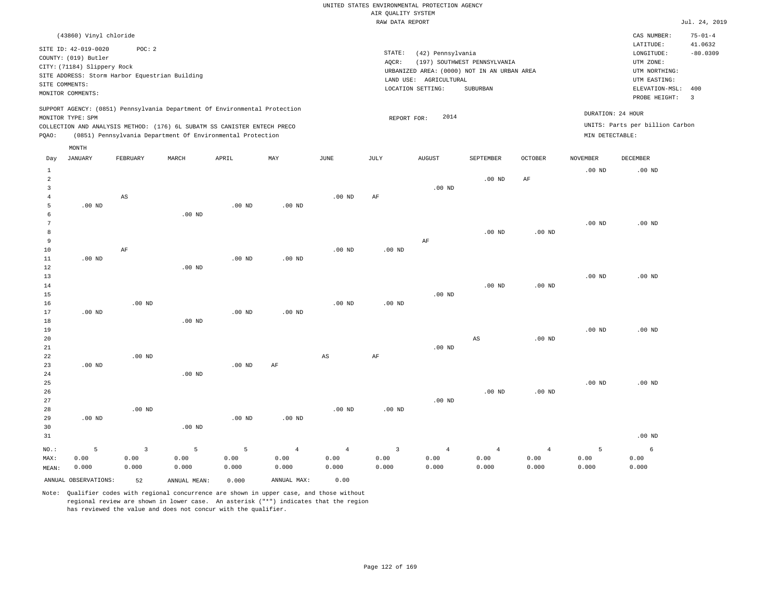|       | (43860) Vinyl chloride                                                                                             |                                                         |       |                                                                                                                                                                                                                      |     |      |                              |                                                        |                                                                                         |         |                                      | CAS NUMBER:                                                                                                  | $75 - 01 - 4$                                    |
|-------|--------------------------------------------------------------------------------------------------------------------|---------------------------------------------------------|-------|----------------------------------------------------------------------------------------------------------------------------------------------------------------------------------------------------------------------|-----|------|------------------------------|--------------------------------------------------------|-----------------------------------------------------------------------------------------|---------|--------------------------------------|--------------------------------------------------------------------------------------------------------------|--------------------------------------------------|
|       | SITE ID: 42-019-0020<br>COUNTY: (019) Butler<br>CITY: (71184) Slippery Rock<br>SITE COMMENTS:<br>MONITOR COMMENTS: | POC:2<br>SITE ADDRESS: Storm Harbor Equestrian Building |       |                                                                                                                                                                                                                      |     |      | STATE:<br>AOCR:<br>LAND USE: | (42) Pennsylvania<br>AGRICULTURAL<br>LOCATION SETTING: | (197) SOUTHWEST PENNSYLVANIA<br>URBANIZED AREA: (0000) NOT IN AN URBAN AREA<br>SUBURBAN |         |                                      | LATITUDE:<br>LONGITUDE:<br>UTM ZONE:<br>UTM NORTHING:<br>UTM EASTING:<br>ELEVATION-MSL: 400<br>PROBE HEIGHT: | 41.0632<br>$-80.0309$<br>$\overline{\mathbf{3}}$ |
| POAO: | MONITOR TYPE: SPM                                                                                                  |                                                         |       | SUPPORT AGENCY: (0851) Pennsylvania Department Of Environmental Protection<br>COLLECTION AND ANALYSIS METHOD: (176) 6L SUBATM SS CANISTER ENTECH PRECO<br>(0851) Pennsylvania Department Of Environmental Protection |     |      |                              | 2014<br>REPORT FOR:                                    |                                                                                         |         | DURATION: 24 HOUR<br>MIN DETECTABLE: | UNITS: Parts per billion Carbon                                                                              |                                                  |
| Day   | MONTH<br>JANUARY                                                                                                   | FEBRUARY                                                | MARCH | APRIL                                                                                                                                                                                                                | MAY | JUNE | JULY                         | AUGUST                                                 | SEPTEMBER                                                                               | OCTOBER | <b>NOVEMBER</b>                      | DECEMBER                                                                                                     |                                                  |

| $\mathbf{1}$<br>$\overline{a}$ |          |                        |          |                   |                |                        |                |                | $.00$ ND               | $\rm{AF}$      | $.00$ ND | .00 $ND$ |
|--------------------------------|----------|------------------------|----------|-------------------|----------------|------------------------|----------------|----------------|------------------------|----------------|----------|----------|
| 3<br>$\overline{4}$            |          | $\mathbb{A}\mathbb{S}$ |          |                   |                | .00 <sub>ND</sub>      | $\rm{AF}$      | $.00$ ND       |                        |                |          |          |
| 5                              | $.00$ ND |                        |          | .00 <sub>ND</sub> | $.00$ ND       |                        |                |                |                        |                |          |          |
| 6                              |          |                        | $.00$ ND |                   |                |                        |                |                |                        |                |          |          |
| 7                              |          |                        |          |                   |                |                        |                |                |                        |                | $.00$ ND | $.00$ ND |
| $^{\rm 8}$                     |          |                        |          |                   |                |                        |                |                | $.00$ ND               | $.00$ ND       |          |          |
| 9                              |          |                        |          |                   |                |                        |                | $\rm AF$       |                        |                |          |          |
| 10                             |          | $\rm{AF}$              |          |                   |                | .00 $ND$               | .00 $ND$       |                |                        |                |          |          |
| $11\,$                         | .00 $ND$ |                        |          | .00 $ND$          | $.00$ ND       |                        |                |                |                        |                |          |          |
| 12                             |          |                        | .00 $ND$ |                   |                |                        |                |                |                        |                |          |          |
| 13                             |          |                        |          |                   |                |                        |                |                |                        |                | $.00$ ND | $.00$ ND |
| 14                             |          |                        |          |                   |                |                        |                |                | $.00$ ND               | $.00$ ND       |          |          |
| 15                             |          |                        |          |                   |                |                        |                | $.00$ ND       |                        |                |          |          |
| 16                             |          | $.00$ ND               |          |                   |                | $.00$ ND               | $.00$ ND       |                |                        |                |          |          |
| 17                             | $.00$ ND |                        |          | $.00$ ND          | $.00$ ND       |                        |                |                |                        |                |          |          |
| 18                             |          |                        | $.00$ ND |                   |                |                        |                |                |                        |                |          |          |
| 19                             |          |                        |          |                   |                |                        |                |                |                        |                | $.00$ ND | $.00$ ND |
| 20                             |          |                        |          |                   |                |                        |                |                | $\mathbb{A}\mathbb{S}$ | .00 $ND$       |          |          |
| 21                             |          |                        |          |                   |                |                        |                | $.00$ ND       |                        |                |          |          |
| 22                             |          | $.00$ ND               |          |                   |                | $\mathbb{A}\mathbb{S}$ | $\rm{AF}$      |                |                        |                |          |          |
| 23                             | $.00$ ND |                        |          | $.00$ ND          | $\rm{AF}$      |                        |                |                |                        |                |          |          |
| 24                             |          |                        | $.00$ ND |                   |                |                        |                |                |                        |                |          |          |
| 25                             |          |                        |          |                   |                |                        |                |                |                        |                | $.00$ ND | $.00$ ND |
| 26                             |          |                        |          |                   |                |                        |                |                | $.00$ ND               | $.00$ ND       |          |          |
| 27                             |          |                        |          |                   |                |                        |                | $.00$ ND       |                        |                |          |          |
| 28                             |          | $.00$ ND               |          |                   |                | .00 $ND$               | .00 $ND$       |                |                        |                |          |          |
| 29                             | .00 $ND$ |                        |          | .00 $ND$          | $.00$ ND       |                        |                |                |                        |                |          |          |
| 30                             |          |                        | $.00$ ND |                   |                |                        |                |                |                        |                |          |          |
| 31                             |          |                        |          |                   |                |                        |                |                |                        |                |          | $.00$ ND |
| $_{\rm NO.}$ :                 | 5        | $\overline{3}$         | 5        | 5                 | $\overline{4}$ | $\sqrt{4}$             | $\overline{3}$ | $\overline{4}$ | $\overline{4}$         | $\overline{4}$ | 5        | 6        |
| MAX:                           | 0.00     | 0.00                   | 0.00     | 0.00              | 0.00           | 0.00                   | 0.00           | 0.00           | 0.00                   | 0.00           | 0.00     | 0.00     |
| MEAN:                          | 0.000    | 0.000                  | 0.000    | 0.000             | 0.000          | 0.000                  | 0.000          | 0.000          | 0.000                  | 0.000          | 0.000    | 0.000    |

ANNUAL OBSERVATIONS: 52 ANNUAL MEAN: 0.000 ANNUAL MAX: 0.00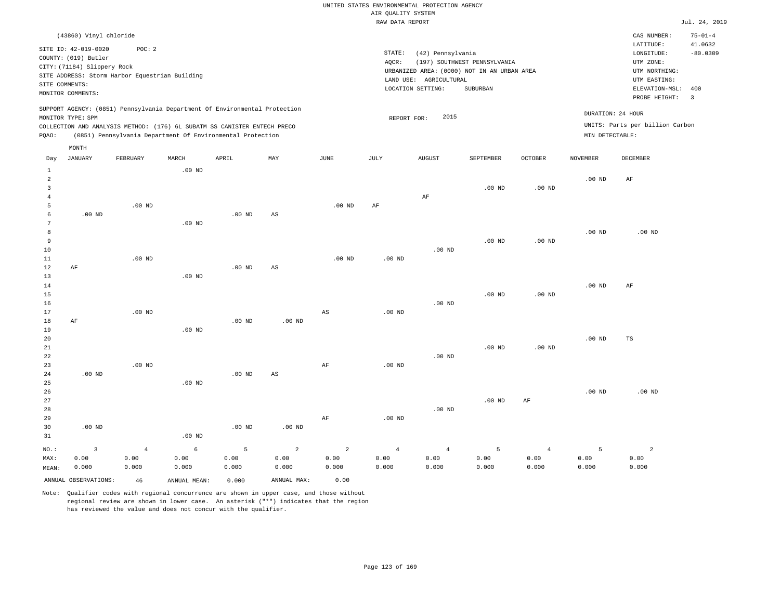|                   | (43860) Vinyl chloride      |          |                                                |                                                                          |                                                                            |      |        |                                             |                              |                |                   | CAS NUMBER:                     | $75 - 01 - 4$ |
|-------------------|-----------------------------|----------|------------------------------------------------|--------------------------------------------------------------------------|----------------------------------------------------------------------------|------|--------|---------------------------------------------|------------------------------|----------------|-------------------|---------------------------------|---------------|
|                   | SITE ID: 42-019-0020        | POC:2    |                                                |                                                                          |                                                                            |      |        |                                             |                              |                |                   | LATITUDE:                       | 41.0632       |
|                   | COUNTY: (019) Butler        |          |                                                |                                                                          |                                                                            |      | STATE: | (42) Pennsylvania                           |                              |                |                   | LONGITUDE:                      | $-80.0309$    |
|                   | CITY: (71184) Slippery Rock |          |                                                |                                                                          |                                                                            |      | AQCR:  |                                             | (197) SOUTHWEST PENNSYLVANIA |                |                   | UTM ZONE:                       |               |
|                   |                             |          | SITE ADDRESS: Storm Harbor Equestrian Building |                                                                          |                                                                            |      |        | URBANIZED AREA: (0000) NOT IN AN URBAN AREA |                              |                |                   | UTM NORTHING:                   |               |
| SITE COMMENTS:    |                             |          |                                                |                                                                          |                                                                            |      |        | AGRICULTURAL<br>LAND USE:                   |                              |                |                   | UTM EASTING:                    |               |
| MONITOR COMMENTS: |                             |          |                                                |                                                                          |                                                                            |      |        | LOCATION SETTING:                           | SUBURBAN                     |                |                   | ELEVATION-MSL: 400              |               |
|                   |                             |          |                                                |                                                                          |                                                                            |      |        |                                             |                              |                |                   | PROBE HEIGHT:                   | - 3           |
| MONITOR TYPE: SPM |                             |          |                                                |                                                                          | SUPPORT AGENCY: (0851) Pennsylvania Department Of Environmental Protection |      |        | 2015<br>REPORT FOR:                         |                              |                | DURATION: 24 HOUR |                                 |               |
|                   |                             |          |                                                | COLLECTION AND ANALYSIS METHOD: (176) 6L SUBATM SS CANISTER ENTECH PRECO |                                                                            |      |        |                                             |                              |                |                   | UNITS: Parts per billion Carbon |               |
| POAO:             |                             |          |                                                | (0851) Pennsylvania Department Of Environmental Protection               |                                                                            |      |        |                                             |                              |                | MIN DETECTABLE:   |                                 |               |
|                   |                             |          |                                                |                                                                          |                                                                            |      |        |                                             |                              |                |                   |                                 |               |
|                   | MONTH                       |          |                                                |                                                                          |                                                                            |      |        |                                             |                              |                |                   |                                 |               |
| Day               | JANUARY                     | FEBRUARY | MARCH                                          | APRIL                                                                    | MAY                                                                        | JUNE | JULY   | <b>AUGUST</b>                               | SEPTEMBER                    | <b>OCTOBER</b> | <b>NOVEMBER</b>   | <b>DECEMBER</b>                 |               |
|                   |                             |          | $.00$ ND                                       |                                                                          |                                                                            |      |        |                                             |                              |                |                   |                                 |               |
| $\overline{2}$    |                             |          |                                                |                                                                          |                                                                            |      |        |                                             |                              |                | $.00$ ND          | AF                              |               |
|                   |                             |          |                                                |                                                                          |                                                                            |      |        |                                             | $.00$ ND                     | $.00$ ND       |                   |                                 |               |

| $\overline{\mathbf{3}}$ |          |          |                   |          |                        |           |                   |                | .00 <sub>ND</sub> | $.00$ ND |          |             |
|-------------------------|----------|----------|-------------------|----------|------------------------|-----------|-------------------|----------------|-------------------|----------|----------|-------------|
| $\overline{4}$          |          |          |                   |          |                        |           |                   | AF             |                   |          |          |             |
| 5                       |          | .00 $ND$ |                   |          |                        | $.00$ ND  | $\rm{AF}$         |                |                   |          |          |             |
| 6                       | $.00$ ND |          |                   | $.00$ ND | $\mathbb{A}\mathbb{S}$ |           |                   |                |                   |          |          |             |
| 7                       |          |          | $.00$ ND          |          |                        |           |                   |                |                   |          |          |             |
| 8                       |          |          |                   |          |                        |           |                   |                |                   |          | .00 $ND$ | .00 $ND$    |
| 9                       |          |          |                   |          |                        |           |                   |                | $.00$ ND          | $.00$ ND |          |             |
| 10                      |          |          |                   |          |                        |           |                   | $.00$ ND       |                   |          |          |             |
| 11                      |          | $.00$ ND |                   |          |                        | $.00$ ND  | .00 $ND$          |                |                   |          |          |             |
| 12                      | $\rm AF$ |          |                   | $.00$ ND | $\mathbb{A}\mathbb{S}$ |           |                   |                |                   |          |          |             |
| 13                      |          |          | $.00$ ND          |          |                        |           |                   |                |                   |          |          |             |
| $14$                    |          |          |                   |          |                        |           |                   |                |                   |          | $.00$ ND | AF          |
| $15\,$                  |          |          |                   |          |                        |           |                   |                | $.00$ ND          | .00 $ND$ |          |             |
| 16                      |          |          |                   |          |                        |           |                   | $.00{\rm ~ND}$ |                   |          |          |             |
| $17$                    |          | .00 $ND$ |                   |          |                        | AS        | $.00{\rm ~ND}$    |                |                   |          |          |             |
| $18\,$                  | $\rm AF$ |          |                   | $.00$ ND | $.00$ ND               |           |                   |                |                   |          |          |             |
| 19                      |          |          | .00 $ND$          |          |                        |           |                   |                |                   |          |          |             |
| 20                      |          |          |                   |          |                        |           |                   |                |                   |          | $.00$ ND | $_{\rm TS}$ |
| 21                      |          |          |                   |          |                        |           |                   |                | $.00$ ND          | $.00$ ND |          |             |
| 22                      |          |          |                   |          |                        |           |                   | $.00$ ND       |                   |          |          |             |
| 23                      |          | .00 $ND$ |                   |          |                        | AF        | $.00$ ND          |                |                   |          |          |             |
| 24                      | $.00$ ND |          |                   | $.00$ ND | AS                     |           |                   |                |                   |          |          |             |
| 25                      |          |          | $.00$ ND          |          |                        |           |                   |                |                   |          |          |             |
| 26<br>$2\,7$            |          |          |                   |          |                        |           |                   |                | $.00$ ND          | AF       | .00 $ND$ | $.00$ ND    |
| 28                      |          |          |                   |          |                        |           |                   | $.00$ ND       |                   |          |          |             |
| 29                      |          |          |                   |          |                        | $\rm{AF}$ | $.00~\mathrm{ND}$ |                |                   |          |          |             |
| 30                      | $.00$ ND |          |                   | $.00$ ND | $.00$ ND               |           |                   |                |                   |          |          |             |
| 31                      |          |          | .00 <sub>ND</sub> |          |                        |           |                   |                |                   |          |          |             |
|                         |          |          |                   |          |                        |           |                   |                |                   |          |          |             |

|       |                         |       |              |       |             |       |       |       |       |       | $5 - 5$ |       |
|-------|-------------------------|-------|--------------|-------|-------------|-------|-------|-------|-------|-------|---------|-------|
| MAX:  | 0.00                    | 0.00  | 0.00         | 0.00  | 0.00        | 0.00  | 0.00  | 0.00  | 0.00  | 0.00  | 0.00    | 0.00  |
| MEAN: | 0.000                   | 0.000 | 0.000        | 0.000 | 0.000       | 0.000 | 0.000 | 0.000 | 0.000 | 0.000 | 0.000   | 0.000 |
|       | ANNUAL OBSERVATIONS: 46 |       | ANNUAL MEAN: | 0.000 | ANNUAL MAX: | 0.00  |       |       |       |       |         |       |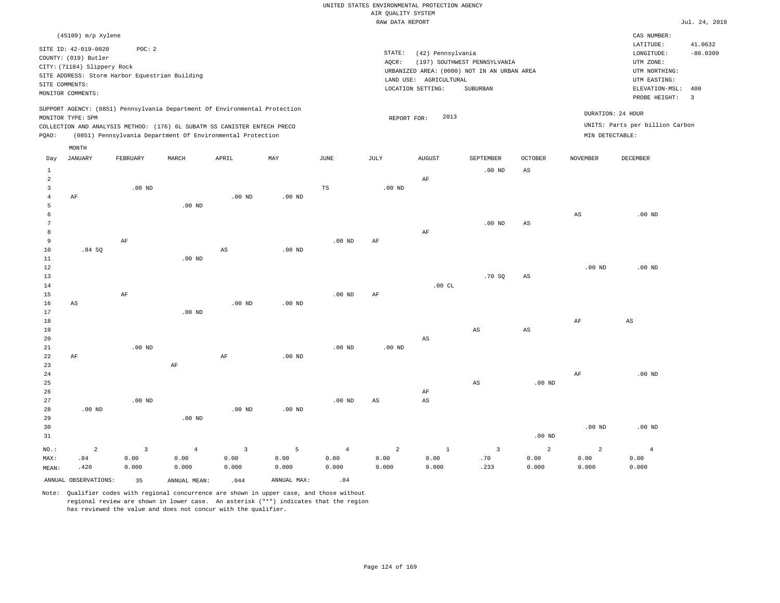|                |                             |                                                |          |                                                                            |                   |                   | RAW DATA REPORT |                        |                                             |          |                 |                                 | Jul. 24, 2019                  |
|----------------|-----------------------------|------------------------------------------------|----------|----------------------------------------------------------------------------|-------------------|-------------------|-----------------|------------------------|---------------------------------------------|----------|-----------------|---------------------------------|--------------------------------|
|                | (45109) m/p Xylene          |                                                |          |                                                                            |                   |                   |                 |                        |                                             |          |                 | CAS NUMBER:                     |                                |
|                | SITE ID: 42-019-0020        | POC: 2                                         |          |                                                                            |                   |                   |                 |                        |                                             |          |                 | LATITUDE:                       | 41.0632                        |
|                | COUNTY: (019) Butler        |                                                |          |                                                                            |                   |                   | STATE:          | (42) Pennsylvania      |                                             |          |                 | LONGITUDE:                      | $-80.0309$                     |
|                | CITY: (71184) Slippery Rock |                                                |          |                                                                            |                   |                   | AQCR:           |                        | (197) SOUTHWEST PENNSYLVANIA                |          |                 | UTM ZONE:                       |                                |
|                |                             | SITE ADDRESS: Storm Harbor Equestrian Building |          |                                                                            |                   |                   |                 |                        | URBANIZED AREA: (0000) NOT IN AN URBAN AREA |          |                 | UTM NORTHING:                   |                                |
|                | SITE COMMENTS:              |                                                |          |                                                                            |                   |                   |                 | LAND USE: AGRICULTURAL |                                             |          |                 | UTM EASTING:                    |                                |
|                | MONITOR COMMENTS:           |                                                |          |                                                                            |                   |                   |                 | LOCATION SETTING:      | SUBURBAN                                    |          |                 | ELEVATION-MSL:<br>PROBE HEIGHT: | 400<br>$\overline{\mathbf{3}}$ |
|                | MONITOR TYPE: SPM           |                                                |          | SUPPORT AGENCY: (0851) Pennsylvania Department Of Environmental Protection |                   |                   |                 | 2013<br>REPORT FOR:    |                                             |          |                 | DURATION: 24 HOUR               |                                |
|                |                             |                                                |          | COLLECTION AND ANALYSIS METHOD: (176) 6L SUBATM SS CANISTER ENTECH PRECO   |                   |                   |                 |                        |                                             |          |                 | UNITS: Parts per billion Carbon |                                |
| PQAO:          |                             |                                                |          | (0851) Pennsylvania Department Of Environmental Protection                 |                   |                   |                 |                        |                                             |          | MIN DETECTABLE: |                                 |                                |
|                | MONTH                       |                                                |          |                                                                            |                   |                   |                 |                        |                                             |          |                 |                                 |                                |
| Day            | JANUARY                     | FEBRUARY                                       | MARCH    | APRIL                                                                      | MAY               | <b>JUNE</b>       | JULY            | <b>AUGUST</b>          | SEPTEMBER                                   | OCTOBER  | NOVEMBER        | DECEMBER                        |                                |
| -1             |                             |                                                |          |                                                                            |                   |                   |                 |                        | $.00$ ND                                    | AS       |                 |                                 |                                |
| $\overline{2}$ |                             |                                                |          |                                                                            |                   |                   |                 | AF                     |                                             |          |                 |                                 |                                |
| 3              |                             | $.00$ ND                                       |          |                                                                            |                   | $_{\rm TS}$       | $.00$ ND        |                        |                                             |          |                 |                                 |                                |
| $\overline{4}$ | AF                          |                                                |          | $.00$ ND                                                                   | $.00$ ND          |                   |                 |                        |                                             |          |                 |                                 |                                |
| 5<br>6         |                             |                                                | $.00$ ND |                                                                            |                   |                   |                 |                        |                                             |          | $_{\rm AS}$     | $.00$ ND                        |                                |
| 7              |                             |                                                |          |                                                                            |                   |                   |                 |                        | $.00$ ND                                    | AS       |                 |                                 |                                |
| 8              |                             |                                                |          |                                                                            |                   |                   |                 | AF                     |                                             |          |                 |                                 |                                |
| 9              |                             | AF                                             |          |                                                                            |                   | $.00$ ND          | AF              |                        |                                             |          |                 |                                 |                                |
| 10             | .84SQ                       |                                                |          | $_{\rm AS}$                                                                | $.00$ ND          |                   |                 |                        |                                             |          |                 |                                 |                                |
| 11             |                             |                                                | $.00$ ND |                                                                            |                   |                   |                 |                        |                                             |          |                 |                                 |                                |
| 12             |                             |                                                |          |                                                                            |                   |                   |                 |                        |                                             |          | $.00$ ND        | .00 <sub>ND</sub>               |                                |
| 13             |                             |                                                |          |                                                                            |                   |                   |                 |                        | .70S                                        | AS       |                 |                                 |                                |
| 14             |                             |                                                |          |                                                                            |                   |                   |                 | .00CL                  |                                             |          |                 |                                 |                                |
| 15             |                             | $\rm AF$                                       |          |                                                                            |                   | .00 <sub>ND</sub> | AF              |                        |                                             |          |                 |                                 |                                |
| 16             | AS                          |                                                |          | .00 <sub>ND</sub>                                                          | .00 <sub>ND</sub> |                   |                 |                        |                                             |          |                 |                                 |                                |
| 17             |                             |                                                | $.00$ ND |                                                                            |                   |                   |                 |                        |                                             |          |                 |                                 |                                |
| 18             |                             |                                                |          |                                                                            |                   |                   |                 |                        |                                             |          | AF              | AS                              |                                |
| 19             |                             |                                                |          |                                                                            |                   |                   |                 |                        | AS                                          | AS       |                 |                                 |                                |
| 20             |                             |                                                |          |                                                                            |                   |                   |                 | AS                     |                                             |          |                 |                                 |                                |
| 21             |                             | $.00$ ND                                       |          |                                                                            |                   | $.00$ ND          | $.00$ ND        |                        |                                             |          |                 |                                 |                                |
| 22             | AF                          |                                                |          | AF                                                                         | $.00$ ND          |                   |                 |                        |                                             |          |                 |                                 |                                |
| 23             |                             |                                                | $\rm AF$ |                                                                            |                   |                   |                 |                        |                                             |          |                 |                                 |                                |
| 24             |                             |                                                |          |                                                                            |                   |                   |                 |                        |                                             |          | AF              | $.00$ ND                        |                                |
| 25             |                             |                                                |          |                                                                            |                   |                   |                 |                        | AS                                          | $.00$ ND |                 |                                 |                                |
| 26             |                             |                                                |          |                                                                            |                   |                   |                 | AF                     |                                             |          |                 |                                 |                                |
| 27             |                             | $.00$ ND                                       |          |                                                                            |                   | $.00$ ND          | AS              | AS                     |                                             |          |                 |                                 |                                |
| 28             | $.00$ ND                    |                                                |          | $.00$ ND                                                                   | $.00$ ND          |                   |                 |                        |                                             |          |                 |                                 |                                |
| 29             |                             |                                                | $.00$ ND |                                                                            |                   |                   |                 |                        |                                             |          |                 |                                 |                                |

30 31 NO.: MAX: MEAN: 2 .84 .420 .00 ND .00 ND .00 ND 3 0.00 0.000 4 0.00 0.000 3 0.00 0.000 5 0.00 0.000 4 0.00 0.000 2 0.00 0.000 1 0.00 0.000 3 .70 .233 2 0.00 0.000 2 0.00 0.000 4 0.00 0.000 ANNUAL OBSERVATIONS: 35 ANNUAL MEAN: .044 ANNUAL MAX: .84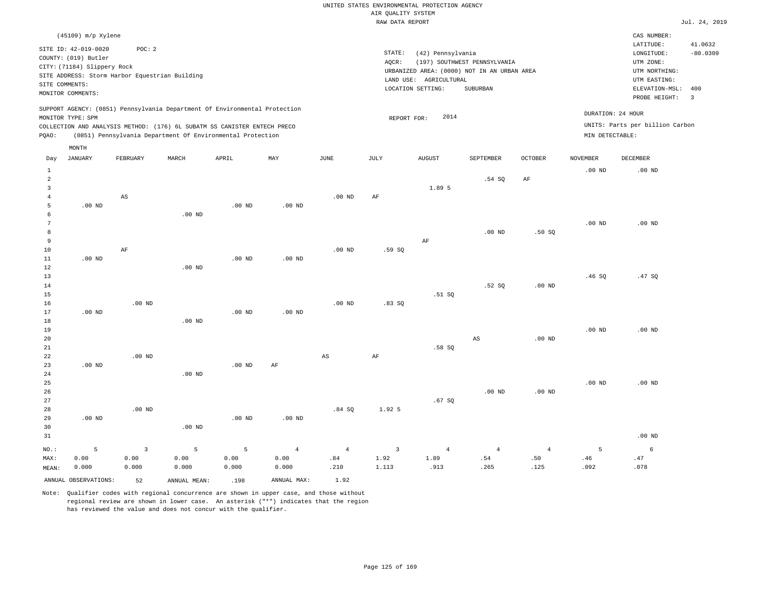|       | $(45109)$ m/p Xylene                                                                                                                                                                                                                      |          |       |       |     |      |                              |                                                        |                                                                                         |                |                                      | CAS NUMBER:                                                                                              |                                                          |
|-------|-------------------------------------------------------------------------------------------------------------------------------------------------------------------------------------------------------------------------------------------|----------|-------|-------|-----|------|------------------------------|--------------------------------------------------------|-----------------------------------------------------------------------------------------|----------------|--------------------------------------|----------------------------------------------------------------------------------------------------------|----------------------------------------------------------|
|       | SITE ID: 42-019-0020<br>COUNTY: (019) Butler<br>CITY: (71184) Slippery Rock<br>SITE ADDRESS: Storm Harbor Equestrian Building<br>SITE COMMENTS:<br>MONITOR COMMENTS:                                                                      | POC:2    |       |       |     |      | STATE:<br>AOCR:<br>LAND USE: | (42) Pennsylvania<br>AGRICULTURAL<br>LOCATION SETTING: | (197) SOUTHWEST PENNSYLVANIA<br>URBANIZED AREA: (0000) NOT IN AN URBAN AREA<br>SUBURBAN |                |                                      | LATITUDE:<br>LONGITUDE:<br>UTM ZONE:<br>UTM NORTHING:<br>UTM EASTING:<br>ELEVATION-MSL:<br>PROBE HEIGHT: | 41.0632<br>$-80.0309$<br>-400<br>$\overline{\mathbf{3}}$ |
| POAO: | SUPPORT AGENCY: (0851) Pennsylvania Department Of Environmental Protection<br>MONITOR TYPE: SPM<br>COLLECTION AND ANALYSIS METHOD: (176) 6L SUBATM SS CANISTER ENTECH PRECO<br>(0851) Pennsylvania Department Of Environmental Protection |          |       |       |     |      | REPORT FOR:                  | 2014                                                   |                                                                                         |                | DURATION: 24 HOUR<br>MIN DETECTABLE: | UNITS: Parts per billion Carbon                                                                          |                                                          |
| Day   | MONTH<br>JANUARY                                                                                                                                                                                                                          | FEBRUARY | MARCH | APRIL | MAY | JUNE | JULY                         | <b>AUGUST</b>                                          | SEPTEMBER                                                                               | <b>OCTOBER</b> | <b>NOVEMBER</b>                      | DECEMBER                                                                                                 |                                                          |

| 1<br>$\overline{a}$ |                |                         |          |                   |                |                        |                         |                | .54 SQ                       | $\rm{AF}$      | .00 $ND$                      | .00 $ND$ |
|---------------------|----------------|-------------------------|----------|-------------------|----------------|------------------------|-------------------------|----------------|------------------------------|----------------|-------------------------------|----------|
| 3                   |                |                         |          |                   |                |                        |                         | 1.89 5         |                              |                |                               |          |
| $\overline{4}$      |                | $\mathbb{A}\mathbb{S}$  |          |                   |                | $.00$ ND               | $\rm{AF}$               |                |                              |                |                               |          |
| 5                   | $.00$ ND       |                         |          | $.00$ ND          | $.00$ ND       |                        |                         |                |                              |                |                               |          |
| 6                   |                |                         | $.00$ ND |                   |                |                        |                         |                |                              |                |                               |          |
| $7\phantom{.0}$     |                |                         |          |                   |                |                        |                         |                |                              |                | $.00$ ND                      | .00 $ND$ |
| 8                   |                |                         |          |                   |                |                        |                         |                | .00 $ND$                     | .50SQ          |                               |          |
| 9                   |                |                         |          |                   |                |                        |                         | $\rm{AF}$      |                              |                |                               |          |
| 10                  |                | $\rm{AF}$               |          |                   |                | .00 $ND$               | .59 SQ                  |                |                              |                |                               |          |
| $11\,$              | $.00$ ND       |                         |          | .00 <sub>ND</sub> | $.00$ ND       |                        |                         |                |                              |                |                               |          |
| 12                  |                |                         | $.00$ ND |                   |                |                        |                         |                |                              |                |                               |          |
| 13                  |                |                         |          |                   |                |                        |                         |                |                              |                | .46SQ                         | .47SQ    |
| $14\,$              |                |                         |          |                   |                |                        |                         |                | .52SQ                        | .00 $ND$       |                               |          |
| 15                  |                |                         |          |                   |                |                        |                         | .51 SQ         |                              |                |                               |          |
| 16                  |                | $.00$ ND                |          |                   |                | $.00$ ND               | .83SQ                   |                |                              |                |                               |          |
| 17                  | .00 $ND$       |                         |          | .00 <sub>ND</sub> | $.00$ ND       |                        |                         |                |                              |                |                               |          |
| $18\,$              |                |                         | .00 $ND$ |                   |                |                        |                         |                |                              |                |                               |          |
| 19                  |                |                         |          |                   |                |                        |                         |                |                              |                | $.00$ ND                      | $.00$ ND |
| 20                  |                |                         |          |                   |                |                        |                         |                | $\mathbb{A}\mathbb{S}$       | $.00$ ND       |                               |          |
| $2\sqrt{1}$         |                |                         |          |                   |                |                        |                         | .58 SQ         |                              |                |                               |          |
| 22                  |                | .00 $ND$                |          |                   |                | $\mathbb{A}\mathbb{S}$ | $\rm{AF}$               |                |                              |                |                               |          |
| $23\,$              | .00 $ND$       |                         |          | .00 $ND$          | $\rm{AF}$      |                        |                         |                |                              |                |                               |          |
| 24                  |                |                         | $.00$ ND |                   |                |                        |                         |                |                              |                |                               |          |
| $25\,$              |                |                         |          |                   |                |                        |                         |                |                              |                | $.00$ ND                      | $.00$ ND |
| $26\,$              |                |                         |          |                   |                |                        |                         |                | $.00$ ND                     | .00 $ND$       |                               |          |
| 27                  |                |                         |          |                   |                |                        |                         | .67SQ          |                              |                |                               |          |
| 28                  |                | $.00$ ND                |          |                   |                | .84SQ                  | 1.92 5                  |                |                              |                |                               |          |
| 29                  | $.00$ ND       |                         |          | .00 <sub>ND</sub> | $.00$ ND       |                        |                         |                |                              |                |                               |          |
| 30                  |                |                         | .00 $ND$ |                   |                |                        |                         |                |                              |                |                               |          |
| 31                  |                |                         |          |                   |                |                        |                         |                |                              |                |                               | $.00$ ND |
| $_{\rm NO.}$ :      | $\overline{5}$ | $\overline{\mathbf{3}}$ | 5        | 5                 | $\overline{4}$ | $\overline{4}$         | $\overline{\mathbf{3}}$ | $\overline{4}$ | $\overline{4}$               | $\overline{4}$ | 5                             | 6        |
| MAX:                | 0.00           | 0.00                    | 0.00     | 0.00              | 0.00           | .84                    | 1.92                    | 1.89           | $\footnotesize\substack{54}$ | $.50\,$        | $\footnotesize{\texttt{.46}}$ | .47      |
| MEAN:               | 0.000          | 0.000                   | 0.000    | 0.000             | 0.000          | .210                   | 1.113                   | .913           | .265                         | .125           | .092                          | .078     |

ANNUAL OBSERVATIONS: 52 ANNUAL MEAN: .198 ANNUAL MAX: 1.92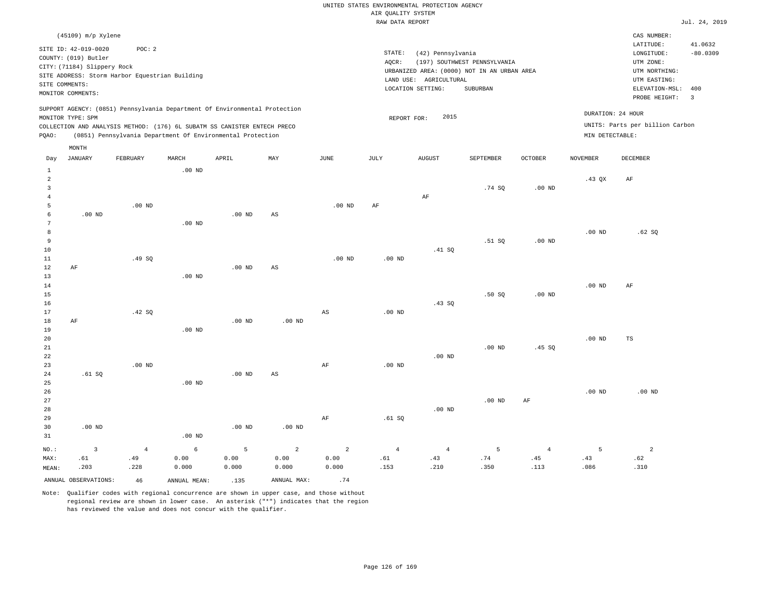|                                                                                                                                                                                                                                                    | RAW DATA REPORT                                                                                                                                                                | Jul. 24, 2019                                                                                                                            |
|----------------------------------------------------------------------------------------------------------------------------------------------------------------------------------------------------------------------------------------------------|--------------------------------------------------------------------------------------------------------------------------------------------------------------------------------|------------------------------------------------------------------------------------------------------------------------------------------|
| $(45109)$ m/p Xylene                                                                                                                                                                                                                               |                                                                                                                                                                                | CAS NUMBER:                                                                                                                              |
| SITE ID: 42-019-0020<br>POC: 2<br>COUNTY: (019) Butler<br>CITY: (71184) Slippery Rock<br>SITE ADDRESS: Storm Harbor Equestrian Building<br>SITE COMMENTS:<br>MONITOR COMMENTS:                                                                     | STATE:<br>(42) Pennsylvania<br>(197) SOUTHWEST PENNSYLVANIA<br>AOCR:<br>URBANIZED AREA: (0000) NOT IN AN URBAN AREA<br>LAND USE: AGRICULTURAL<br>LOCATION SETTING:<br>SUBURBAN | 41.0632<br>LATITUDE:<br>$-80.0309$<br>LONGITUDE:<br>UTM ZONE:<br>UTM NORTHING:<br>UTM EASTING:<br>ELEVATION-MSL:<br>400<br>PROBE HEIGHT: |
| SUPPORT AGENCY: (0851) Pennsylvania Department Of Environmental Protection<br>MONITOR TYPE: SPM<br>COLLECTION AND ANALYSIS METHOD: (176) 6L SUBATM SS CANISTER ENTECH PRECO<br>(0851) Pennsylvania Department Of Environmental Protection<br>POAO: | 2015<br>REPORT FOR:                                                                                                                                                            | DURATION: 24 HOUR<br>UNITS: Parts per billion Carbon<br>MIN DETECTABLE:                                                                  |

| Day                      | <b>JANUARY</b>       | FEBRUARY       | MARCH        | APRIL    | MAY            | $\operatorname{JUNE}$ | JULY           | ${\tt AUGUST}$ | SEPTEMBER | OCTOBER           | <b>NOVEMBER</b> | DECEMBER       |
|--------------------------|----------------------|----------------|--------------|----------|----------------|-----------------------|----------------|----------------|-----------|-------------------|-----------------|----------------|
| 1<br>$\overline{a}$<br>3 |                      |                | .00 $ND$     |          |                |                       |                |                | .74 SQ    | .00 <sub>ND</sub> | $.43$ QX        | AF             |
| $\sqrt{4}$<br>5          |                      | $.00$ ND       |              |          |                | $.00$ ND              | $\rm{AF}$      | AF             |           |                   |                 |                |
| 6                        | $.00$ ND             |                |              | $.00$ ND | AS             |                       |                |                |           |                   |                 |                |
| 7                        |                      |                | $.00$ ND     |          |                |                       |                |                |           |                   |                 |                |
| 8                        |                      |                |              |          |                |                       |                |                |           |                   | $.00$ ND        | .62SQ          |
| 9                        |                      |                |              |          |                |                       |                |                | .51 SQ    | $.00$ ND          |                 |                |
| 10                       |                      |                |              |          |                |                       |                | .41 SQ         |           |                   |                 |                |
| 11                       |                      | .49 SQ         |              |          |                | $.00$ ND              | $.00$ ND       |                |           |                   |                 |                |
| 12                       | $\rm AF$             |                |              | $.00$ ND | AS             |                       |                |                |           |                   |                 |                |
| 13                       |                      |                | $.00$ ND     |          |                |                       |                |                |           |                   |                 |                |
| 14                       |                      |                |              |          |                |                       |                |                |           |                   | $.00$ ND        | AF             |
| 15                       |                      |                |              |          |                |                       |                |                | .50SQ     | .00 <sub>ND</sub> |                 |                |
| 16                       |                      |                |              |          |                |                       |                | .43SQ          |           |                   |                 |                |
| 17                       |                      | .42 SQ         |              |          |                | $_{\rm AS}$           | $.00$ ND       |                |           |                   |                 |                |
| 18                       | AF                   |                |              | $.00$ ND | $.00$ ND       |                       |                |                |           |                   |                 |                |
| 19                       |                      |                | $.00$ ND     |          |                |                       |                |                |           |                   |                 |                |
| 20                       |                      |                |              |          |                |                       |                |                |           |                   | $.00$ ND        | $_{\rm TS}$    |
| 21                       |                      |                |              |          |                |                       |                |                | $.00$ ND  | .45SQ             |                 |                |
| 22                       |                      |                |              |          |                |                       |                | $.00$ ND       |           |                   |                 |                |
| 23                       |                      | $.00$ ND       |              |          |                | AF                    | $.00$ ND       |                |           |                   |                 |                |
| 24                       | .61SQ                |                |              | $.00$ ND | AS             |                       |                |                |           |                   |                 |                |
| 25                       |                      |                | $.00$ ND     |          |                |                       |                |                |           |                   |                 |                |
| 26                       |                      |                |              |          |                |                       |                |                |           |                   | $.00$ ND        | $.00$ ND       |
| 27                       |                      |                |              |          |                |                       |                |                | $.00$ ND  | AF                |                 |                |
| 28                       |                      |                |              |          |                |                       |                | $.00$ ND       |           |                   |                 |                |
| 29                       |                      |                |              |          |                | AF                    | .61SQ          |                |           |                   |                 |                |
| 30                       | $.00$ ND             |                |              | $.00$ ND | $.00$ ND       |                       |                |                |           |                   |                 |                |
| 31                       |                      |                | $.00$ ND     |          |                |                       |                |                |           |                   |                 |                |
| $NO.$ :                  | $\overline{3}$       | $\overline{4}$ | 6            | 5        | $\overline{a}$ | $\overline{a}$        | $\overline{4}$ | $\overline{4}$ | 5         | $\overline{4}$    | 5               | $\overline{a}$ |
| MAX:                     | .61                  | .49            | 0.00         | 0.00     | 0.00           | 0.00                  | .61            | .43            | .74       | .45               | .43             | .62            |
| MEAN:                    | .203                 | .228           | 0.000        | 0.000    | 0.000          | 0.000                 | .153           | .210           | .350      | .113              | .086            | .310           |
|                          | ANNUAL OBSERVATIONS: | 46             | ANNUAL MEAN: | .135     | ANNUAL MAX:    | .74                   |                |                |           |                   |                 |                |

Note: Qualifier codes with regional concurrence are shown in upper case, and those without regional review are shown in lower case. An asterisk ("\*") indicates that the region has reviewed the value and does not concur with the qualifier.

MONTH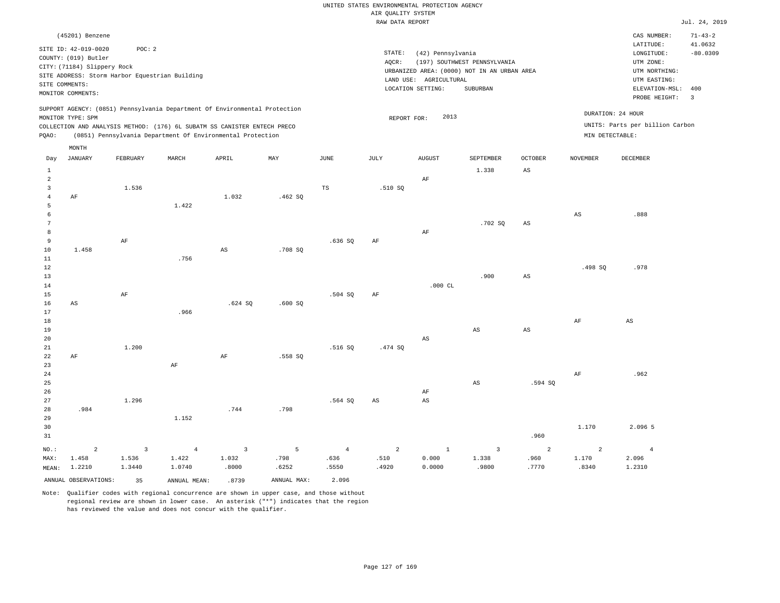|                     |                                                                                                                                                                      |            |                                                                            |                         |             |                        | RAW DATA REPORT        |                                                                  |                                                                                         |                        |                         |                                                                                                              | Jul. 24, 2019                |
|---------------------|----------------------------------------------------------------------------------------------------------------------------------------------------------------------|------------|----------------------------------------------------------------------------|-------------------------|-------------|------------------------|------------------------|------------------------------------------------------------------|-----------------------------------------------------------------------------------------|------------------------|-------------------------|--------------------------------------------------------------------------------------------------------------|------------------------------|
|                     | (45201) Benzene                                                                                                                                                      |            |                                                                            |                         |             |                        |                        |                                                                  |                                                                                         |                        |                         | CAS NUMBER:                                                                                                  | $71 - 43 - 2$<br>41.0632     |
|                     | SITE ID: 42-019-0020<br>COUNTY: (019) Butler<br>CITY: (71184) Slippery Rock<br>SITE ADDRESS: Storm Harbor Equestrian Building<br>SITE COMMENTS:<br>MONITOR COMMENTS: | POC: 2     |                                                                            |                         |             |                        | STATE:<br>AQCR:        | (42) Pennsylvania<br>LAND USE: AGRICULTURAL<br>LOCATION SETTING: | (197) SOUTHWEST PENNSYLVANIA<br>URBANIZED AREA: (0000) NOT IN AN URBAN AREA<br>SUBURBAN |                        |                         | LATITUDE:<br>LONGITUDE:<br>UTM ZONE:<br>UTM NORTHING:<br>UTM EASTING:<br>ELEVATION-MSL: 400<br>PROBE HEIGHT: | $-80.0309$<br>$\overline{3}$ |
|                     |                                                                                                                                                                      |            | SUPPORT AGENCY: (0851) Pennsylvania Department Of Environmental Protection |                         |             |                        |                        | 2013                                                             |                                                                                         |                        | DURATION: 24 HOUR       |                                                                                                              |                              |
|                     | MONITOR TYPE: SPM                                                                                                                                                    |            | COLLECTION AND ANALYSIS METHOD: (176) 6L SUBATM SS CANISTER ENTECH PRECO   |                         |             |                        | REPORT FOR:            |                                                                  |                                                                                         |                        |                         | UNITS: Parts per billion Carbon                                                                              |                              |
| PQAO:               |                                                                                                                                                                      |            | (0851) Pennsylvania Department Of Environmental Protection                 |                         |             |                        |                        |                                                                  |                                                                                         |                        | MIN DETECTABLE:         |                                                                                                              |                              |
|                     | MONTH                                                                                                                                                                |            |                                                                            |                         |             |                        |                        |                                                                  |                                                                                         |                        |                         |                                                                                                              |                              |
| Day                 | <b>JANUARY</b>                                                                                                                                                       | FEBRUARY   | MARCH                                                                      | APRIL                   | MAY         | JUNE                   | JULY                   | <b>AUGUST</b>                                                    | SEPTEMBER                                                                               | <b>OCTOBER</b>         | <b>NOVEMBER</b>         | DECEMBER                                                                                                     |                              |
| $\mathbf{1}$        |                                                                                                                                                                      |            |                                                                            |                         |             |                        |                        |                                                                  | 1.338                                                                                   | $_{\rm AS}$            |                         |                                                                                                              |                              |
| $\overline{a}$      |                                                                                                                                                                      |            |                                                                            |                         |             |                        |                        | AF                                                               |                                                                                         |                        |                         |                                                                                                              |                              |
| 3<br>$\overline{4}$ | AF                                                                                                                                                                   | 1.536      |                                                                            | 1.032                   | .462 SQ     | TS                     | .510S                  |                                                                  |                                                                                         |                        |                         |                                                                                                              |                              |
| 5                   |                                                                                                                                                                      |            | 1.422                                                                      |                         |             |                        |                        |                                                                  |                                                                                         |                        |                         |                                                                                                              |                              |
| $\epsilon$          |                                                                                                                                                                      |            |                                                                            |                         |             |                        |                        |                                                                  |                                                                                         |                        | $_{\rm AS}$             | .888                                                                                                         |                              |
| $7\phantom{.0}$     |                                                                                                                                                                      |            |                                                                            |                         |             |                        |                        |                                                                  | .702SQ                                                                                  | $_{\rm AS}$            |                         |                                                                                                              |                              |
| 8                   |                                                                                                                                                                      |            |                                                                            |                         |             |                        |                        | AF                                                               |                                                                                         |                        |                         |                                                                                                              |                              |
| 9                   |                                                                                                                                                                      | $\rm AF$   |                                                                            |                         |             | .636SQ                 | AF                     |                                                                  |                                                                                         |                        |                         |                                                                                                              |                              |
| 10<br>11            | 1.458                                                                                                                                                                |            | .756                                                                       | $_{\rm AS}$             | .708 SQ     |                        |                        |                                                                  |                                                                                         |                        |                         |                                                                                                              |                              |
| 12                  |                                                                                                                                                                      |            |                                                                            |                         |             |                        |                        |                                                                  |                                                                                         |                        | .498 SO                 | .978                                                                                                         |                              |
| 13                  |                                                                                                                                                                      |            |                                                                            |                         |             |                        |                        |                                                                  | .900                                                                                    | $\mathbb{A}\mathbb{S}$ |                         |                                                                                                              |                              |
| 14                  |                                                                                                                                                                      |            |                                                                            |                         |             |                        |                        | $.000$ CL                                                        |                                                                                         |                        |                         |                                                                                                              |                              |
| 15                  |                                                                                                                                                                      | AF         |                                                                            |                         |             | .504 SQ                | AF                     |                                                                  |                                                                                         |                        |                         |                                                                                                              |                              |
| 16<br>17            | AS                                                                                                                                                                   |            | .966                                                                       | .624 SQ                 | .600SQ      |                        |                        |                                                                  |                                                                                         |                        |                         |                                                                                                              |                              |
| 18                  |                                                                                                                                                                      |            |                                                                            |                         |             |                        |                        |                                                                  |                                                                                         |                        | AF                      | AS                                                                                                           |                              |
| 19                  |                                                                                                                                                                      |            |                                                                            |                         |             |                        |                        |                                                                  | $\mathbb{A}\mathbb{S}$                                                                  | $_{\rm AS}$            |                         |                                                                                                              |                              |
| 20                  |                                                                                                                                                                      |            |                                                                            |                         |             |                        |                        | AS                                                               |                                                                                         |                        |                         |                                                                                                              |                              |
| 21                  |                                                                                                                                                                      | 1.200      |                                                                            |                         |             | .516 SO                | .474 SQ                |                                                                  |                                                                                         |                        |                         |                                                                                                              |                              |
| 22                  | AF                                                                                                                                                                   |            |                                                                            | AF                      | .558 SQ     |                        |                        |                                                                  |                                                                                         |                        |                         |                                                                                                              |                              |
| 23<br>24            |                                                                                                                                                                      |            | $\rm AF$                                                                   |                         |             |                        |                        |                                                                  |                                                                                         |                        | AF                      | .962                                                                                                         |                              |
| 25                  |                                                                                                                                                                      |            |                                                                            |                         |             |                        |                        |                                                                  | $_{\rm AS}$                                                                             | .594 SO                |                         |                                                                                                              |                              |
| 26                  |                                                                                                                                                                      |            |                                                                            |                         |             |                        |                        | AF                                                               |                                                                                         |                        |                         |                                                                                                              |                              |
| 27                  |                                                                                                                                                                      | 1.296      |                                                                            |                         |             | .564 SQ                | $\mathbb{A}\mathbb{S}$ | AS                                                               |                                                                                         |                        |                         |                                                                                                              |                              |
| 28                  | .984                                                                                                                                                                 |            |                                                                            | .744                    | .798        |                        |                        |                                                                  |                                                                                         |                        |                         |                                                                                                              |                              |
| 29<br>30            |                                                                                                                                                                      |            | 1.152                                                                      |                         |             |                        |                        |                                                                  |                                                                                         |                        | 1.170                   | 2.096 5                                                                                                      |                              |
| 31                  |                                                                                                                                                                      |            |                                                                            |                         |             |                        |                        |                                                                  |                                                                                         | .960                   |                         |                                                                                                              |                              |
|                     |                                                                                                                                                                      |            |                                                                            |                         |             |                        |                        |                                                                  |                                                                                         |                        |                         |                                                                                                              |                              |
| NO.:<br>MAX:        | $\overline{a}$<br>1.458                                                                                                                                              | 3<br>1.536 | $\overline{4}$<br>1.422                                                    | $\overline{3}$<br>1.032 | 5<br>.798   | $\overline{4}$<br>.636 | 2<br>.510              | $\mathbf{1}$<br>0.000                                            | $\overline{3}$<br>1.338                                                                 | 2<br>.960              | $\overline{2}$<br>1.170 | $\overline{4}$<br>2.096                                                                                      |                              |
| MEAN:               | 1.2210                                                                                                                                                               | 1.3440     | 1.0740                                                                     | .8000                   | .6252       | .5550                  | .4920                  | 0.0000                                                           | .9800                                                                                   | .7770                  | .8340                   | 1.2310                                                                                                       |                              |
|                     | ANNUAL OBSERVATIONS:                                                                                                                                                 | 35         | ANNUAL, MEAN:                                                              | .8739                   | ANNUAL MAX: | 2.096                  |                        |                                                                  |                                                                                         |                        |                         |                                                                                                              |                              |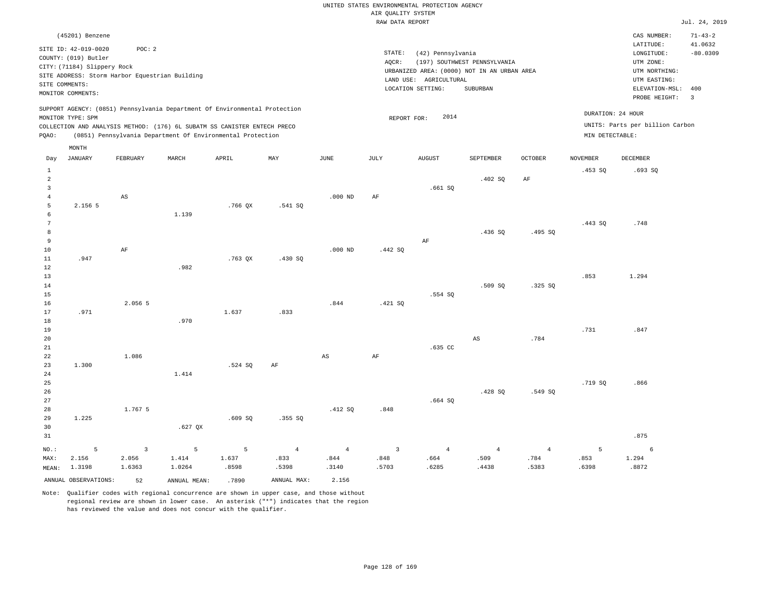|                |                                                |                         |                                                                            |           |                |                | RAW DATA REPORT    |                        |                                             |                |                 |                                 | Jul. 24, 2019  |
|----------------|------------------------------------------------|-------------------------|----------------------------------------------------------------------------|-----------|----------------|----------------|--------------------|------------------------|---------------------------------------------|----------------|-----------------|---------------------------------|----------------|
|                | (45201) Benzene                                |                         |                                                                            |           |                |                |                    |                        |                                             |                |                 | CAS NUMBER:                     | $71 - 43 - 2$  |
|                | SITE ID: 42-019-0020                           | POC: 2                  |                                                                            |           |                |                |                    |                        |                                             |                |                 | LATITUDE:                       | 41.0632        |
|                |                                                |                         |                                                                            |           |                |                | $\texttt{STATE}$ : | (42) Pennsylvania      |                                             |                |                 | LONGITUDE:                      | $-80.0309$     |
|                | COUNTY: (019) Butler                           |                         |                                                                            |           |                |                | AQCR:              |                        | (197) SOUTHWEST PENNSYLVANIA                |                |                 | UTM ZONE:                       |                |
|                | CITY: (71184) Slippery Rock                    |                         |                                                                            |           |                |                |                    |                        | URBANIZED AREA: (0000) NOT IN AN URBAN AREA |                |                 | UTM NORTHING:                   |                |
|                | SITE ADDRESS: Storm Harbor Equestrian Building |                         |                                                                            |           |                |                |                    | LAND USE: AGRICULTURAL |                                             |                |                 | UTM EASTING:                    |                |
|                | SITE COMMENTS:                                 |                         |                                                                            |           |                |                |                    | LOCATION SETTING:      | SUBURBAN                                    |                |                 | ELEVATION-MSL:                  | 400            |
|                | MONITOR COMMENTS:                              |                         |                                                                            |           |                |                |                    |                        |                                             |                |                 | PROBE HEIGHT:                   | $\overline{3}$ |
|                |                                                |                         | SUPPORT AGENCY: (0851) Pennsylvania Department Of Environmental Protection |           |                |                |                    |                        |                                             |                |                 |                                 |                |
|                | MONITOR TYPE: SPM                              |                         |                                                                            |           |                |                | REPORT FOR:        | 2014                   |                                             |                |                 | DURATION: 24 HOUR               |                |
|                |                                                |                         | COLLECTION AND ANALYSIS METHOD: (176) 6L SUBATM SS CANISTER ENTECH PRECO   |           |                |                |                    |                        |                                             |                |                 | UNITS: Parts per billion Carbon |                |
| PQAO:          |                                                |                         | (0851) Pennsylvania Department Of Environmental Protection                 |           |                |                |                    |                        |                                             |                | MIN DETECTABLE: |                                 |                |
|                | MONTH                                          |                         |                                                                            |           |                |                |                    |                        |                                             |                |                 |                                 |                |
| Day            | <b>JANUARY</b>                                 | FEBRUARY                | MARCH                                                                      | APRIL     | MAY            | $_{\rm JUNE}$  | <b>JULY</b>        | <b>AUGUST</b>          | SEPTEMBER                                   | OCTOBER        | <b>NOVEMBER</b> | DECEMBER                        |                |
| $\mathbf{1}$   |                                                |                         |                                                                            |           |                |                |                    |                        |                                             |                | .453S           | .693SQ                          |                |
| $\overline{a}$ |                                                |                         |                                                                            |           |                |                |                    |                        | .402 SQ                                     | AF             |                 |                                 |                |
| $\overline{3}$ |                                                |                         |                                                                            |           |                |                |                    | .661SQ                 |                                             |                |                 |                                 |                |
| $\overline{4}$ |                                                | $_{\rm AS}$             |                                                                            |           |                | $.000$ ND      | AF                 |                        |                                             |                |                 |                                 |                |
| 5              | 2.156 5                                        |                         |                                                                            | $.766$ QX | .541 SQ        |                |                    |                        |                                             |                |                 |                                 |                |
| 6<br>7         |                                                |                         | 1.139                                                                      |           |                |                |                    |                        |                                             |                |                 |                                 |                |
| 8              |                                                |                         |                                                                            |           |                |                |                    |                        |                                             |                | .443 SO         | .748                            |                |
| $\overline{9}$ |                                                |                         |                                                                            |           |                |                |                    | AF                     | .436SQ                                      | .495 SQ        |                 |                                 |                |
| 10             |                                                | $\rm{AF}$               |                                                                            |           |                | $.000$ ND      | .442 SQ            |                        |                                             |                |                 |                                 |                |
| 11             | .947                                           |                         |                                                                            | .763 QX   | .430 SO        |                |                    |                        |                                             |                |                 |                                 |                |
| 12             |                                                |                         | .982                                                                       |           |                |                |                    |                        |                                             |                |                 |                                 |                |
| 13             |                                                |                         |                                                                            |           |                |                |                    |                        |                                             |                | .853            | 1.294                           |                |
| 14             |                                                |                         |                                                                            |           |                |                |                    |                        | .509 SO                                     | .325 SO        |                 |                                 |                |
| 15             |                                                |                         |                                                                            |           |                |                |                    | .554 SQ                |                                             |                |                 |                                 |                |
| 16             |                                                | 2.056 5                 |                                                                            |           |                | .844           | .421 SQ            |                        |                                             |                |                 |                                 |                |
| 17             | .971                                           |                         |                                                                            | 1.637     | .833           |                |                    |                        |                                             |                |                 |                                 |                |
| 18             |                                                |                         | .970                                                                       |           |                |                |                    |                        |                                             |                |                 |                                 |                |
| 19             |                                                |                         |                                                                            |           |                |                |                    |                        |                                             |                | .731            | .847                            |                |
| 20             |                                                |                         |                                                                            |           |                |                |                    |                        | $_{\rm AS}$                                 | .784           |                 |                                 |                |
| 21             |                                                |                         |                                                                            |           |                |                |                    | .635 CC                |                                             |                |                 |                                 |                |
| 22             |                                                | 1.086                   |                                                                            |           |                | AS             | AF                 |                        |                                             |                |                 |                                 |                |
| 23             | 1.300                                          |                         |                                                                            | .524 SQ   | AF             |                |                    |                        |                                             |                |                 |                                 |                |
| 24             |                                                |                         | 1.414                                                                      |           |                |                |                    |                        |                                             |                |                 |                                 |                |
| 25             |                                                |                         |                                                                            |           |                |                |                    |                        |                                             |                | .719 SQ         | .866                            |                |
| 26             |                                                |                         |                                                                            |           |                |                |                    |                        | .428 SO                                     | .549 SO        |                 |                                 |                |
| 27             |                                                |                         |                                                                            |           |                |                |                    | .664SQ                 |                                             |                |                 |                                 |                |
| 28             |                                                | 1.767 5                 |                                                                            |           |                | .412 SQ        | .848               |                        |                                             |                |                 |                                 |                |
| 29             | 1.225                                          |                         |                                                                            | .609S     | .355 SQ        |                |                    |                        |                                             |                |                 |                                 |                |
| 30             |                                                |                         | $.627$ QX                                                                  |           |                |                |                    |                        |                                             |                |                 |                                 |                |
| 31             |                                                |                         |                                                                            |           |                |                |                    |                        |                                             |                |                 | .875                            |                |
| NO.:           | 5                                              | $\overline{\mathbf{3}}$ | 5                                                                          | 5         | $\overline{4}$ | $\overline{4}$ | $\overline{3}$     | $\overline{4}$         | $\overline{4}$                              | $\overline{4}$ | 5               | 6                               |                |
| MAX:           | 2.156                                          | 2.056                   | 1.414                                                                      | 1.637     | .833           | .844           | .848               | .664                   | .509                                        | .784           | .853            | 1.294                           |                |
| MEAN:          | 1.3198                                         | 1.6363                  | 1.0264                                                                     | .8598     | .5398          | .3140          | .5703              | .6285                  | .4438                                       | .5383          | .6398           | .8872                           |                |
|                | ANNUAL OBSERVATIONS:                           | 52                      | ANNUAL MEAN:                                                               | .7890     | ANNUAL MAX:    | 2.156          |                    |                        |                                             |                |                 |                                 |                |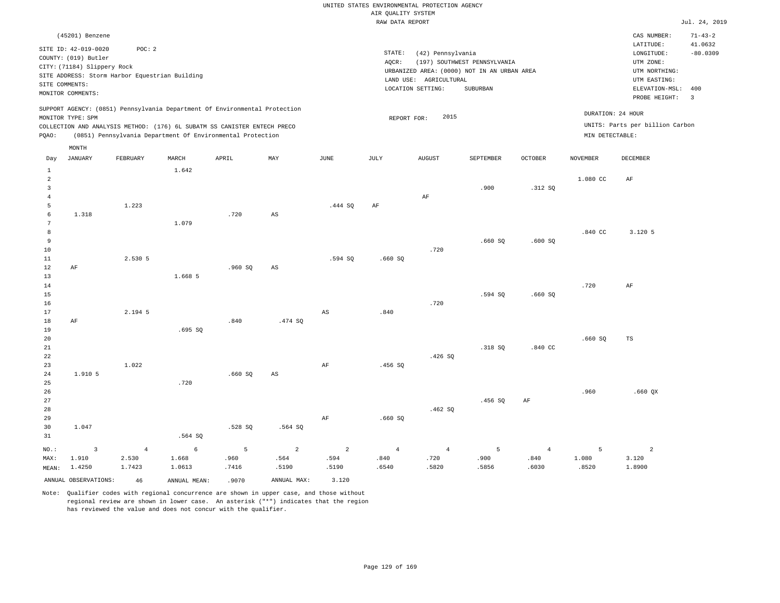|                     |                                                |                         |                                                                            |           |                        |                        | RAW DATA REPORT        |                        |                                             |                        |                 |                                 | Jul. 24, 2019  |
|---------------------|------------------------------------------------|-------------------------|----------------------------------------------------------------------------|-----------|------------------------|------------------------|------------------------|------------------------|---------------------------------------------|------------------------|-----------------|---------------------------------|----------------|
|                     | (45201) Benzene                                |                         |                                                                            |           |                        |                        |                        |                        |                                             |                        |                 | CAS NUMBER:                     | $71 - 43 - 2$  |
|                     |                                                |                         |                                                                            |           |                        |                        |                        |                        |                                             |                        |                 | LATITUDE:                       | 41.0632        |
|                     | SITE ID: 42-019-0020                           | POC: 2                  |                                                                            |           |                        |                        | STATE:                 | (42) Pennsylvania      |                                             |                        |                 | LONGITUDE:                      | $-80.0309$     |
|                     | COUNTY: (019) Butler                           |                         |                                                                            |           |                        |                        | AQCR:                  |                        | (197) SOUTHWEST PENNSYLVANIA                |                        |                 | UTM ZONE:                       |                |
|                     | CITY: (71184) Slippery Rock                    |                         |                                                                            |           |                        |                        |                        |                        | URBANIZED AREA: (0000) NOT IN AN URBAN AREA |                        |                 | UTM NORTHING:                   |                |
|                     | SITE ADDRESS: Storm Harbor Equestrian Building |                         |                                                                            |           |                        |                        |                        | LAND USE: AGRICULTURAL |                                             |                        |                 | UTM EASTING:                    |                |
|                     | SITE COMMENTS:<br>MONITOR COMMENTS:            |                         |                                                                            |           |                        |                        |                        | LOCATION SETTING:      | SUBURBAN                                    |                        |                 | ELEVATION-MSL:                  | 400            |
|                     |                                                |                         |                                                                            |           |                        |                        |                        |                        |                                             |                        |                 | PROBE HEIGHT:                   | $\overline{3}$ |
|                     |                                                |                         | SUPPORT AGENCY: (0851) Pennsylvania Department Of Environmental Protection |           |                        |                        |                        |                        |                                             |                        |                 |                                 |                |
|                     | MONITOR TYPE: SPM                              |                         |                                                                            |           |                        |                        | REPORT FOR:            | 2015                   |                                             |                        |                 | DURATION: 24 HOUR               |                |
|                     |                                                |                         | COLLECTION AND ANALYSIS METHOD: (176) 6L SUBATM SS CANISTER ENTECH PRECO   |           |                        |                        |                        |                        |                                             |                        |                 | UNITS: Parts per billion Carbon |                |
| PQAO:               |                                                |                         | (0851) Pennsylvania Department Of Environmental Protection                 |           |                        |                        |                        |                        |                                             |                        | MIN DETECTABLE: |                                 |                |
|                     | MONTH                                          |                         |                                                                            |           |                        |                        |                        |                        |                                             |                        |                 |                                 |                |
| Day                 | JANUARY                                        | FEBRUARY                | MARCH                                                                      | APRIL     | MAY                    | JUNE                   | JULY                   | <b>AUGUST</b>          | SEPTEMBER                                   | <b>OCTOBER</b>         | <b>NOVEMBER</b> | <b>DECEMBER</b>                 |                |
|                     |                                                |                         |                                                                            |           |                        |                        |                        |                        |                                             |                        |                 |                                 |                |
| $\,1\,$             |                                                |                         | 1.642                                                                      |           |                        |                        |                        |                        |                                             |                        |                 |                                 |                |
| $\overline{a}$      |                                                |                         |                                                                            |           |                        |                        |                        |                        |                                             |                        | 1.080 CC        | AF                              |                |
| $\mathbf{3}$        |                                                |                         |                                                                            |           |                        |                        |                        |                        | .900                                        | .312S                  |                 |                                 |                |
| $\overline{4}$<br>5 |                                                | 1.223                   |                                                                            |           |                        | .444 SQ                | AF                     | AF                     |                                             |                        |                 |                                 |                |
| $\epsilon$          | 1.318                                          |                         |                                                                            | .720      | AS                     |                        |                        |                        |                                             |                        |                 |                                 |                |
| $7\phantom{.0}$     |                                                |                         | 1.079                                                                      |           |                        |                        |                        |                        |                                             |                        |                 |                                 |                |
| 8                   |                                                |                         |                                                                            |           |                        |                        |                        |                        |                                             |                        | .840 CC         | 3.120 5                         |                |
| 9                   |                                                |                         |                                                                            |           |                        |                        |                        |                        | .660SQ                                      | .600SQ                 |                 |                                 |                |
| 10                  |                                                |                         |                                                                            |           |                        |                        |                        | .720                   |                                             |                        |                 |                                 |                |
| 11                  |                                                | 2.530 5                 |                                                                            |           |                        | .594 SO                | .660SQ                 |                        |                                             |                        |                 |                                 |                |
| 12                  | AF                                             |                         |                                                                            | .960SQ    | $_{\rm AS}$            |                        |                        |                        |                                             |                        |                 |                                 |                |
| 13                  |                                                |                         | 1.668 5                                                                    |           |                        |                        |                        |                        |                                             |                        |                 |                                 |                |
| 14                  |                                                |                         |                                                                            |           |                        |                        |                        |                        |                                             |                        | .720            | AF                              |                |
| 15                  |                                                |                         |                                                                            |           |                        |                        |                        |                        | $.594$ SQ                                   | .660SQ                 |                 |                                 |                |
| 16                  |                                                |                         |                                                                            |           |                        |                        |                        | .720                   |                                             |                        |                 |                                 |                |
| 17                  |                                                | 2.194 5                 |                                                                            |           |                        | $_{\rm AS}$            | .840                   |                        |                                             |                        |                 |                                 |                |
| $18\,$              | $\rm{AF}$                                      |                         |                                                                            | .840      | .474 SQ                |                        |                        |                        |                                             |                        |                 |                                 |                |
| 19                  |                                                |                         | .695SQ                                                                     |           |                        |                        |                        |                        |                                             |                        |                 |                                 |                |
| 20                  |                                                |                         |                                                                            |           |                        |                        |                        |                        |                                             |                        | .660SQ          | TS                              |                |
| 21<br>22            |                                                |                         |                                                                            |           |                        |                        |                        |                        | .318 SQ                                     | .840 CC                |                 |                                 |                |
| 23                  |                                                | 1.022                   |                                                                            |           |                        | AF                     | .456SQ                 | .426S                  |                                             |                        |                 |                                 |                |
| 24                  | 1.910 5                                        |                         |                                                                            | .660SQ    | $\mathbb{A}\mathbb{S}$ |                        |                        |                        |                                             |                        |                 |                                 |                |
| 25                  |                                                |                         | .720                                                                       |           |                        |                        |                        |                        |                                             |                        |                 |                                 |                |
| 26                  |                                                |                         |                                                                            |           |                        |                        |                        |                        |                                             |                        | .960            | $.660$ QX                       |                |
| 27                  |                                                |                         |                                                                            |           |                        |                        |                        |                        | .456SQ                                      | AF                     |                 |                                 |                |
| 28                  |                                                |                         |                                                                            |           |                        |                        |                        | .462S                  |                                             |                        |                 |                                 |                |
| 29                  |                                                |                         |                                                                            |           |                        | AF                     | .660SQ                 |                        |                                             |                        |                 |                                 |                |
| 30                  | 1.047                                          |                         |                                                                            | .528 SQ   | .564 SQ                |                        |                        |                        |                                             |                        |                 |                                 |                |
| 31                  |                                                |                         | .564 SQ                                                                    |           |                        |                        |                        |                        |                                             |                        |                 |                                 |                |
|                     |                                                |                         |                                                                            |           |                        |                        |                        |                        |                                             |                        |                 |                                 |                |
| NO.:<br>MAX:        | 3<br>1.910                                     | $\overline{4}$<br>2.530 | 6<br>1.668                                                                 | 5<br>.960 | $\overline{a}$<br>.564 | $\overline{c}$<br>.594 | $\overline{4}$<br>.840 | $\overline{4}$<br>.720 | 5<br>.900                                   | $\overline{4}$<br>.840 | 5<br>1.080      | $\overline{a}$<br>3.120         |                |
| MEAN:               | 1.4250                                         | 1.7423                  | 1.0613                                                                     | .7416     | .5190                  | .5190                  | .6540                  | .5820                  | .5856                                       | .6030                  | .8520           | 1.8900                          |                |
|                     |                                                |                         |                                                                            |           |                        |                        |                        |                        |                                             |                        |                 |                                 |                |
|                     | ANNUAL OBSERVATIONS:                           | 46                      | ANNUAL MEAN:                                                               | .9070     | ANNUAL MAX:            | 3.120                  |                        |                        |                                             |                        |                 |                                 |                |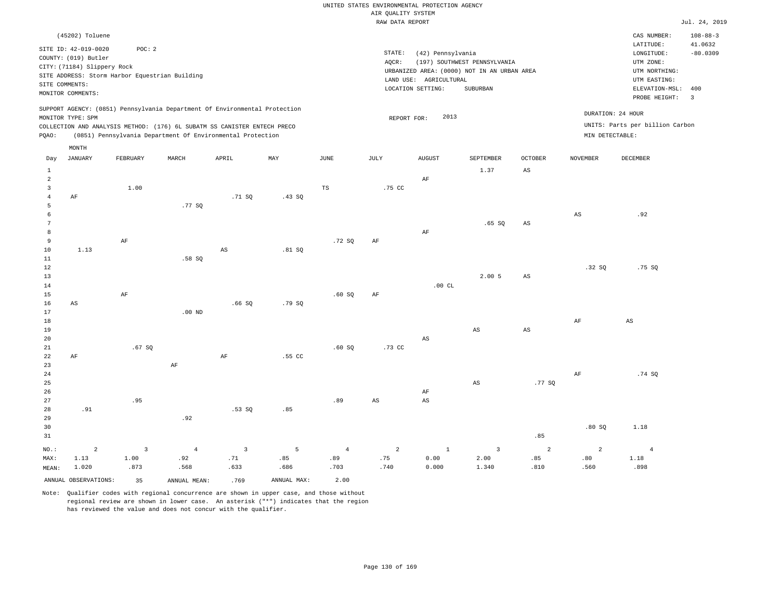|                |                             |                                                |                |                                                                                                                                        |        |                | RAW DATA REPORT |                        |                                             |                        |                 |                                 | Jul. 24, 2019  |
|----------------|-----------------------------|------------------------------------------------|----------------|----------------------------------------------------------------------------------------------------------------------------------------|--------|----------------|-----------------|------------------------|---------------------------------------------|------------------------|-----------------|---------------------------------|----------------|
|                | (45202) Toluene             |                                                |                |                                                                                                                                        |        |                |                 |                        |                                             |                        |                 | CAS NUMBER:                     | $108 - 88 - 3$ |
|                | SITE ID: 42-019-0020        | POC: 2                                         |                |                                                                                                                                        |        |                |                 |                        |                                             |                        |                 | LATITUDE:                       | 41.0632        |
|                | COUNTY: (019) Butler        |                                                |                |                                                                                                                                        |        |                | STATE:          | (42) Pennsylvania      |                                             |                        |                 | LONGITUDE:                      | $-80.0309$     |
|                | CITY: (71184) Slippery Rock |                                                |                |                                                                                                                                        |        |                | AQCR:           |                        | (197) SOUTHWEST PENNSYLVANIA                |                        |                 | UTM ZONE:                       |                |
|                |                             | SITE ADDRESS: Storm Harbor Equestrian Building |                |                                                                                                                                        |        |                |                 | LAND USE: AGRICULTURAL | URBANIZED AREA: (0000) NOT IN AN URBAN AREA |                        |                 | UTM NORTHING:<br>UTM EASTING:   |                |
|                | SITE COMMENTS:              |                                                |                |                                                                                                                                        |        |                |                 | LOCATION SETTING:      | SUBURBAN                                    |                        |                 | ELEVATION-MSL:                  | 400            |
|                | MONITOR COMMENTS:           |                                                |                |                                                                                                                                        |        |                |                 |                        |                                             |                        |                 | PROBE HEIGHT:                   | $\overline{3}$ |
|                |                             |                                                |                | SUPPORT AGENCY: (0851) Pennsylvania Department Of Environmental Protection                                                             |        |                |                 |                        |                                             |                        |                 | DURATION: 24 HOUR               |                |
|                | MONITOR TYPE: SPM           |                                                |                |                                                                                                                                        |        |                | REPORT FOR:     | 2013                   |                                             |                        |                 | UNITS: Parts per billion Carbon |                |
| PQAO:          |                             |                                                |                | COLLECTION AND ANALYSIS METHOD: (176) 6L SUBATM SS CANISTER ENTECH PRECO<br>(0851) Pennsylvania Department Of Environmental Protection |        |                |                 |                        |                                             |                        |                 | MIN DETECTABLE:                 |                |
|                |                             |                                                |                |                                                                                                                                        |        |                |                 |                        |                                             |                        |                 |                                 |                |
| Day            | MONTH<br><b>JANUARY</b>     | FEBRUARY                                       | MARCH          | APRIL                                                                                                                                  | MAY    | JUNE           | JULY            | AUGUST                 | <b>SEPTEMBER</b>                            | <b>OCTOBER</b>         | <b>NOVEMBER</b> | <b>DECEMBER</b>                 |                |
| $\mathbf{1}$   |                             |                                                |                |                                                                                                                                        |        |                |                 |                        | 1.37                                        | $_{\rm AS}$            |                 |                                 |                |
| $\overline{a}$ |                             |                                                |                |                                                                                                                                        |        |                |                 | $\rm AF$               |                                             |                        |                 |                                 |                |
| $\overline{3}$ |                             | 1.00                                           |                |                                                                                                                                        |        | TS             | .75 CC          |                        |                                             |                        |                 |                                 |                |
| $\overline{4}$ | AF                          |                                                |                | .71 SO                                                                                                                                 | .43 S0 |                |                 |                        |                                             |                        |                 |                                 |                |
| 5              |                             |                                                | .77 SO         |                                                                                                                                        |        |                |                 |                        |                                             |                        |                 |                                 |                |
| 6              |                             |                                                |                |                                                                                                                                        |        |                |                 |                        |                                             |                        | $_{\rm AS}$     | .92                             |                |
| 7              |                             |                                                |                |                                                                                                                                        |        |                |                 |                        | .65SQ                                       | $\mathbb{A}\mathbb{S}$ |                 |                                 |                |
| 8              |                             |                                                |                |                                                                                                                                        |        |                |                 | $\rm AF$               |                                             |                        |                 |                                 |                |
| 9<br>10        | 1.13                        | $\rm{AF}$                                      |                | AS                                                                                                                                     | .81 S  | .72S           | $\rm{AF}$       |                        |                                             |                        |                 |                                 |                |
| 11             |                             |                                                | .58SQ          |                                                                                                                                        |        |                |                 |                        |                                             |                        |                 |                                 |                |
| 12             |                             |                                                |                |                                                                                                                                        |        |                |                 |                        |                                             |                        | .32S            | .75 SO                          |                |
| 13             |                             |                                                |                |                                                                                                                                        |        |                |                 |                        | 2.005                                       | $_{\rm AS}$            |                 |                                 |                |
| 14             |                             |                                                |                |                                                                                                                                        |        |                |                 | .00CL                  |                                             |                        |                 |                                 |                |
| 15             |                             | AF                                             |                |                                                                                                                                        |        | .60SQ          | AF              |                        |                                             |                        |                 |                                 |                |
| 16             | $\mathbb{A}\mathbb{S}$      |                                                |                | .66SQ                                                                                                                                  | .79SQ  |                |                 |                        |                                             |                        |                 |                                 |                |
| 17             |                             |                                                | $.00$ ND       |                                                                                                                                        |        |                |                 |                        |                                             |                        |                 |                                 |                |
| 18             |                             |                                                |                |                                                                                                                                        |        |                |                 |                        |                                             |                        | AF              | AS                              |                |
| 19             |                             |                                                |                |                                                                                                                                        |        |                |                 |                        | AS                                          | AS                     |                 |                                 |                |
| 20             |                             |                                                |                |                                                                                                                                        |        |                |                 | $\mathbb{A}\mathbb{S}$ |                                             |                        |                 |                                 |                |
| 21<br>22       | $\rm AF$                    | .67SQ                                          |                | $\rm AF$                                                                                                                               | .55 CC | .60SQ          | .73 CC          |                        |                                             |                        |                 |                                 |                |
| 23             |                             |                                                | $\rm AF$       |                                                                                                                                        |        |                |                 |                        |                                             |                        |                 |                                 |                |
| 24             |                             |                                                |                |                                                                                                                                        |        |                |                 |                        |                                             |                        | AF              | .74 SO                          |                |
| 25             |                             |                                                |                |                                                                                                                                        |        |                |                 |                        | $_{\rm AS}$                                 | .77 SQ                 |                 |                                 |                |
| 26             |                             |                                                |                |                                                                                                                                        |        |                |                 | AF                     |                                             |                        |                 |                                 |                |
| 27             |                             | .95                                            |                |                                                                                                                                        |        | .89            | AS              | $\mathbb{A}\mathbb{S}$ |                                             |                        |                 |                                 |                |
| 28             | .91                         |                                                |                | .53SQ                                                                                                                                  | .85    |                |                 |                        |                                             |                        |                 |                                 |                |
| 29             |                             |                                                | .92            |                                                                                                                                        |        |                |                 |                        |                                             |                        |                 |                                 |                |
| 30             |                             |                                                |                |                                                                                                                                        |        |                |                 |                        |                                             |                        | .80SQ           | 1.18                            |                |
| 31             |                             |                                                |                |                                                                                                                                        |        |                |                 |                        |                                             | .85                    |                 |                                 |                |
| NO.:           | $\overline{a}$              | $\overline{\mathbf{3}}$                        | $\overline{4}$ | $\overline{3}$                                                                                                                         | 5      | $\overline{4}$ | $\overline{a}$  | $\mathbf{1}$           | $\overline{3}$                              | 2                      | $\overline{c}$  | $\overline{4}$                  |                |

ANNUAL OBSERVATIONS: 35 ANNUAL MEAN: .769 ANNUAL MAX: 2.00

 .92 .568

MAX: MEAN:

 1.13 1.020  1.00 .873

Note: Qualifier codes with regional concurrence are shown in upper case, and those without regional review are shown in lower case. An asterisk ("\*") indicates that the region has reviewed the value and does not concur with the qualifier.

 .71 .633  .85 .686

 .89 .703  .75 .740  0.00 0.000

 2.00 1.340  .85 .810

 .80 .560  1.18 .898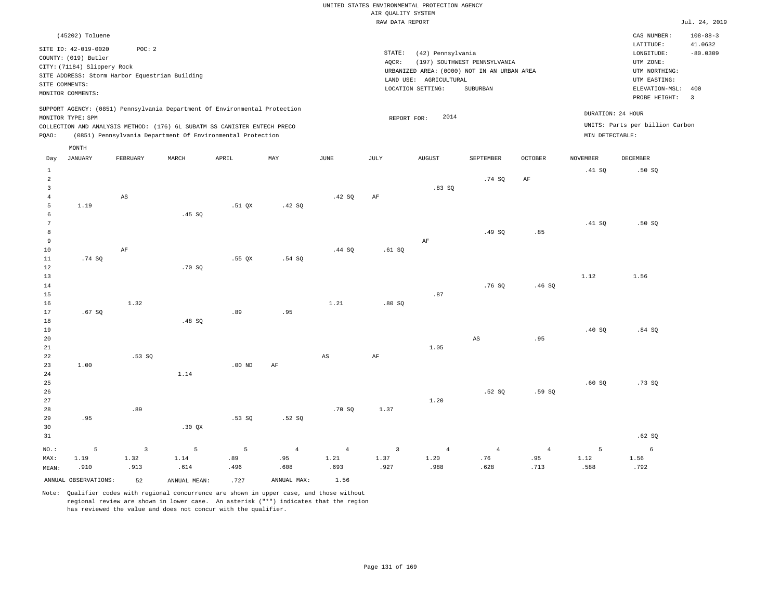|                |                                                |                        |                                                                            |                       |                       |                        | RAW DATA REPORT        |                        |                                             |                       |                 |                                 | Jul. 24, 2019  |
|----------------|------------------------------------------------|------------------------|----------------------------------------------------------------------------|-----------------------|-----------------------|------------------------|------------------------|------------------------|---------------------------------------------|-----------------------|-----------------|---------------------------------|----------------|
|                | (45202) Toluene                                |                        |                                                                            |                       |                       |                        |                        |                        |                                             |                       |                 | CAS NUMBER:                     | $108 - 88 - 3$ |
|                |                                                |                        |                                                                            |                       |                       |                        |                        |                        |                                             |                       |                 | LATITUDE:                       | 41.0632        |
|                | SITE ID: 42-019-0020                           | POC: 2                 |                                                                            |                       |                       |                        | STATE:                 | (42) Pennsylvania      |                                             |                       |                 | LONGITUDE:                      | $-80.0309$     |
|                | COUNTY: (019) Butler                           |                        |                                                                            |                       |                       |                        | AOCR:                  |                        | (197) SOUTHWEST PENNSYLVANIA                |                       |                 | UTM ZONE:                       |                |
|                | CITY: (71184) Slippery Rock                    |                        |                                                                            |                       |                       |                        |                        |                        | URBANIZED AREA: (0000) NOT IN AN URBAN AREA |                       |                 | UTM NORTHING:                   |                |
|                | SITE ADDRESS: Storm Harbor Equestrian Building |                        |                                                                            |                       |                       |                        |                        | LAND USE: AGRICULTURAL |                                             |                       |                 | UTM EASTING:                    |                |
|                | SITE COMMENTS:                                 |                        |                                                                            |                       |                       |                        |                        | LOCATION SETTING:      | SUBURBAN                                    |                       |                 | ELEVATION-MSL:                  | 400            |
|                | MONITOR COMMENTS:                              |                        |                                                                            |                       |                       |                        |                        |                        |                                             |                       |                 | PROBE HEIGHT:                   | $\overline{3}$ |
|                |                                                |                        | SUPPORT AGENCY: (0851) Pennsylvania Department Of Environmental Protection |                       |                       |                        |                        |                        |                                             |                       |                 |                                 |                |
|                | MONITOR TYPE: SPM                              |                        |                                                                            |                       |                       |                        | REPORT FOR:            | 2014                   |                                             |                       |                 | DURATION: 24 HOUR               |                |
|                |                                                |                        | COLLECTION AND ANALYSIS METHOD: (176) 6L SUBATM SS CANISTER ENTECH PRECO   |                       |                       |                        |                        |                        |                                             |                       |                 | UNITS: Parts per billion Carbon |                |
| PQAO:          |                                                |                        | (0851) Pennsylvania Department Of Environmental Protection                 |                       |                       |                        |                        |                        |                                             |                       | MIN DETECTABLE: |                                 |                |
|                | MONTH                                          |                        |                                                                            |                       |                       |                        |                        |                        |                                             |                       |                 |                                 |                |
| Day            | <b>JANUARY</b>                                 | FEBRUARY               | MARCH                                                                      | APRIL                 | MAY                   | <b>JUNE</b>            | JULY                   | <b>AUGUST</b>          | SEPTEMBER                                   | <b>OCTOBER</b>        | <b>NOVEMBER</b> | <b>DECEMBER</b>                 |                |
| $\mathbf{1}$   |                                                |                        |                                                                            |                       |                       |                        |                        |                        |                                             |                       | .41 SQ          | .50S                            |                |
| $\overline{a}$ |                                                |                        |                                                                            |                       |                       |                        |                        |                        | .74 SQ                                      | AF                    |                 |                                 |                |
| $\overline{3}$ |                                                |                        |                                                                            |                       |                       |                        |                        | .83SQ                  |                                             |                       |                 |                                 |                |
| $\overline{4}$ |                                                | $_{\rm AS}$            |                                                                            |                       |                       | .42 SQ                 | AF                     |                        |                                             |                       |                 |                                 |                |
| 5              | 1.19                                           |                        |                                                                            | $.51$ QX              | .42 SQ                |                        |                        |                        |                                             |                       |                 |                                 |                |
| 6              |                                                |                        | .45 SQ                                                                     |                       |                       |                        |                        |                        |                                             |                       |                 |                                 |                |
| 7              |                                                |                        |                                                                            |                       |                       |                        |                        |                        |                                             |                       | .41 SQ          | .50S                            |                |
| 8              |                                                |                        |                                                                            |                       |                       |                        |                        |                        | .49SQ                                       | .85                   |                 |                                 |                |
| $\overline{9}$ |                                                |                        |                                                                            |                       |                       |                        |                        | AF                     |                                             |                       |                 |                                 |                |
| 10             |                                                | AF                     |                                                                            |                       |                       | .44 SQ                 | .61SQ                  |                        |                                             |                       |                 |                                 |                |
| $11\,$         | .74SQ                                          |                        |                                                                            | .55QX                 | .54S                  |                        |                        |                        |                                             |                       |                 |                                 |                |
| 12             |                                                |                        | .70SQ                                                                      |                       |                       |                        |                        |                        |                                             |                       |                 |                                 |                |
| 13             |                                                |                        |                                                                            |                       |                       |                        |                        |                        |                                             |                       | 1.12            | 1.56                            |                |
| 14             |                                                |                        |                                                                            |                       |                       |                        |                        |                        | .76S                                        | .46SQ                 |                 |                                 |                |
| 15             |                                                |                        |                                                                            |                       |                       |                        |                        | .87                    |                                             |                       |                 |                                 |                |
| 16             |                                                | 1.32                   |                                                                            |                       |                       | 1.21                   | .80S                   |                        |                                             |                       |                 |                                 |                |
| 17             | .67SQ                                          |                        |                                                                            | .89                   | .95                   |                        |                        |                        |                                             |                       |                 |                                 |                |
| 18             |                                                |                        | .48 SQ                                                                     |                       |                       |                        |                        |                        |                                             |                       |                 |                                 |                |
| 19             |                                                |                        |                                                                            |                       |                       |                        |                        |                        |                                             |                       | .40S            | .84S                            |                |
| 20             |                                                |                        |                                                                            |                       |                       |                        |                        |                        | $\mathbb{A}\mathbb{S}$                      | .95                   |                 |                                 |                |
| 21<br>22       |                                                | .53SQ                  |                                                                            |                       |                       | $\mathbb{A}\mathbb{S}$ | AF                     | 1.05                   |                                             |                       |                 |                                 |                |
| 23             | 1.00                                           |                        |                                                                            | $.00$ ND              | AF                    |                        |                        |                        |                                             |                       |                 |                                 |                |
| 24             |                                                |                        | 1.14                                                                       |                       |                       |                        |                        |                        |                                             |                       |                 |                                 |                |
| 25             |                                                |                        |                                                                            |                       |                       |                        |                        |                        |                                             |                       | $.60$ SO        | .73 SO                          |                |
| 26             |                                                |                        |                                                                            |                       |                       |                        |                        |                        | .52S                                        | .59SQ                 |                 |                                 |                |
| 27             |                                                |                        |                                                                            |                       |                       |                        |                        | 1.20                   |                                             |                       |                 |                                 |                |
| 28             |                                                | .89                    |                                                                            |                       |                       | .70SQ                  | 1.37                   |                        |                                             |                       |                 |                                 |                |
| 29             | .95                                            |                        |                                                                            | .53S                  | .52S                  |                        |                        |                        |                                             |                       |                 |                                 |                |
| 30             |                                                |                        | .30 QX                                                                     |                       |                       |                        |                        |                        |                                             |                       |                 |                                 |                |
| 31             |                                                |                        |                                                                            |                       |                       |                        |                        |                        |                                             |                       |                 | .62 SQ                          |                |
|                |                                                |                        |                                                                            |                       |                       |                        |                        |                        |                                             |                       |                 |                                 |                |
| NO.:           | 5<br>1.19                                      | $\overline{3}$<br>1.32 | 5<br>1.14                                                                  | $\overline{5}$<br>.89 | $\overline{4}$<br>.95 | $\overline{4}$<br>1.21 | $\overline{3}$<br>1.37 | $\overline{4}$<br>1.20 | $\overline{4}$<br>.76                       | $\overline{4}$<br>.95 | 5<br>1.12       | 6<br>1.56                       |                |
| MAX:           | .910                                           | .913                   | .614                                                                       | .496                  | .608                  | .693                   | .927                   | .988                   | .628                                        | .713                  | .588            | .792                            |                |
| MEAN:          |                                                |                        |                                                                            |                       |                       |                        |                        |                        |                                             |                       |                 |                                 |                |
|                | ANNUAL OBSERVATIONS:                           | 52                     | ANNUAL MEAN:                                                               | .727                  | ANNUAL MAX:           | 1.56                   |                        |                        |                                             |                       |                 |                                 |                |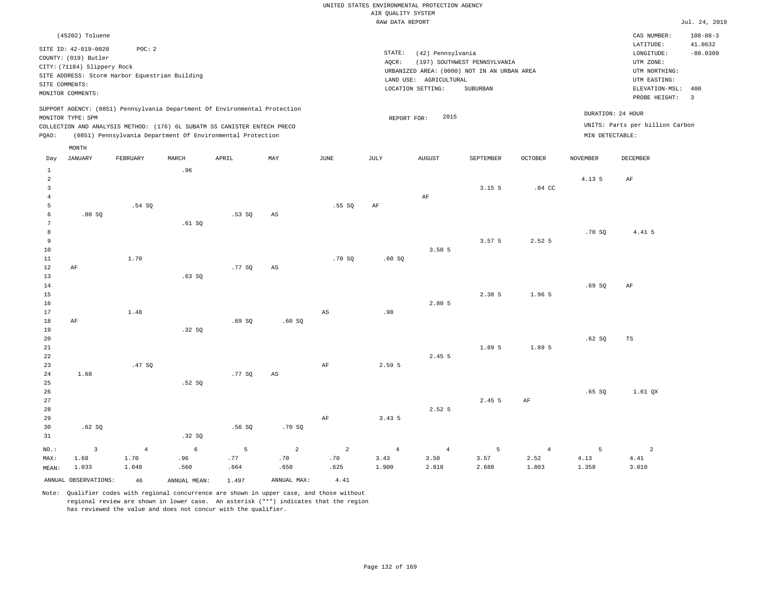|                     |                             |                                                |                 |                                                                            |                        |                        | RAW DATA REPORT |                        |                                             |                  |                 |                                 | Jul. 24, 2019             |
|---------------------|-----------------------------|------------------------------------------------|-----------------|----------------------------------------------------------------------------|------------------------|------------------------|-----------------|------------------------|---------------------------------------------|------------------|-----------------|---------------------------------|---------------------------|
|                     | (45202) Toluene             |                                                |                 |                                                                            |                        |                        |                 |                        |                                             |                  |                 | CAS NUMBER:<br>LATITUDE:        | $108 - 88 - 3$<br>41.0632 |
|                     | SITE ID: 42-019-0020        | POC: 2                                         |                 |                                                                            |                        |                        | STATE:          | (42) Pennsylvania      |                                             |                  |                 | LONGITUDE:                      | $-80.0309$                |
|                     | COUNTY: (019) Butler        |                                                |                 |                                                                            |                        |                        | AQCR:           |                        | (197) SOUTHWEST PENNSYLVANIA                |                  |                 | UTM ZONE:                       |                           |
|                     | CITY: (71184) Slippery Rock | SITE ADDRESS: Storm Harbor Equestrian Building |                 |                                                                            |                        |                        |                 |                        | URBANIZED AREA: (0000) NOT IN AN URBAN AREA |                  |                 | UTM NORTHING:                   |                           |
|                     | SITE COMMENTS:              |                                                |                 |                                                                            |                        |                        |                 | LAND USE: AGRICULTURAL |                                             |                  |                 | UTM EASTING:                    |                           |
|                     | MONITOR COMMENTS:           |                                                |                 |                                                                            |                        |                        |                 | LOCATION SETTING:      | <b>SUBURBAN</b>                             |                  |                 | ELEVATION-MSL: 400              |                           |
|                     |                             |                                                |                 |                                                                            |                        |                        |                 |                        |                                             |                  |                 | PROBE HEIGHT:                   | $\overline{3}$            |
|                     | MONITOR TYPE: SPM           |                                                |                 | SUPPORT AGENCY: (0851) Pennsylvania Department Of Environmental Protection |                        |                        | REPORT FOR:     | 2015                   |                                             |                  |                 | DURATION: 24 HOUR               |                           |
|                     |                             |                                                |                 | COLLECTION AND ANALYSIS METHOD: (176) 6L SUBATM SS CANISTER ENTECH PRECO   |                        |                        |                 |                        |                                             |                  |                 | UNITS: Parts per billion Carbon |                           |
| PQAO:               |                             |                                                |                 | (0851) Pennsylvania Department Of Environmental Protection                 |                        |                        |                 |                        |                                             |                  | MIN DETECTABLE: |                                 |                           |
|                     | MONTH                       |                                                |                 |                                                                            |                        |                        |                 |                        |                                             |                  |                 |                                 |                           |
| Day                 | <b>JANUARY</b>              | FEBRUARY                                       | MARCH           | APRIL                                                                      | MAY                    | JUNE                   | JULY            | AUGUST                 | SEPTEMBER                                   | OCTOBER          | <b>NOVEMBER</b> | DECEMBER                        |                           |
| $\mathbf{1}$        |                             |                                                | .96             |                                                                            |                        |                        |                 |                        |                                             |                  |                 |                                 |                           |
| $\overline{a}$      |                             |                                                |                 |                                                                            |                        |                        |                 |                        |                                             |                  | 4.13 5          | AF                              |                           |
| $\overline{3}$      |                             |                                                |                 |                                                                            |                        |                        |                 | $\rm AF$               | 3.15.5                                      | .84 <sub>C</sub> |                 |                                 |                           |
| $\overline{4}$<br>5 |                             | .54 SO                                         |                 |                                                                            |                        | .55 SO                 | AF              |                        |                                             |                  |                 |                                 |                           |
| 6                   | .80S                        |                                                |                 | .53SQ                                                                      | AS                     |                        |                 |                        |                                             |                  |                 |                                 |                           |
| 7                   |                             |                                                | .61 SQ          |                                                                            |                        |                        |                 |                        |                                             |                  |                 |                                 |                           |
| 8                   |                             |                                                |                 |                                                                            |                        |                        |                 |                        |                                             |                  | .70 SO          | 4.41 5                          |                           |
| 9                   |                             |                                                |                 |                                                                            |                        |                        |                 |                        | 3.57 <sub>5</sub>                           | 2.52 5           |                 |                                 |                           |
| 10                  |                             |                                                |                 |                                                                            |                        |                        |                 | 3.50 5                 |                                             |                  |                 |                                 |                           |
| 11<br>12            | AF                          | 1.70                                           |                 | .77SQ                                                                      | $\mathbb{A}\mathbb{S}$ | .70S                   | .60SQ           |                        |                                             |                  |                 |                                 |                           |
| 13                  |                             |                                                | $.63$ SO        |                                                                            |                        |                        |                 |                        |                                             |                  |                 |                                 |                           |
| 14                  |                             |                                                |                 |                                                                            |                        |                        |                 |                        |                                             |                  | .69SQ           | AF                              |                           |
| $15$                |                             |                                                |                 |                                                                            |                        |                        |                 |                        | 2.38 5                                      | 1.96 5           |                 |                                 |                           |
| 16                  |                             |                                                |                 |                                                                            |                        |                        |                 | 2.80 5                 |                                             |                  |                 |                                 |                           |
| 17                  |                             | 1.48                                           |                 |                                                                            |                        | $\mathbb{A}\mathbb{S}$ | .98             |                        |                                             |                  |                 |                                 |                           |
| 18<br>19            | AF                          |                                                | .32S            | .69SQ                                                                      | .60SQ                  |                        |                 |                        |                                             |                  |                 |                                 |                           |
| 20                  |                             |                                                |                 |                                                                            |                        |                        |                 |                        |                                             |                  | .62SQ           | TS                              |                           |
| 21                  |                             |                                                |                 |                                                                            |                        |                        |                 |                        | 1.89 5                                      | 1.89 5           |                 |                                 |                           |
| 22                  |                             |                                                |                 |                                                                            |                        |                        |                 | 2.45 5                 |                                             |                  |                 |                                 |                           |
| 23                  |                             | .47SQ                                          |                 |                                                                            |                        | $\rm AF$               | 2.59 5          |                        |                                             |                  |                 |                                 |                           |
| 24                  | 1.68                        |                                                |                 | .77SQ                                                                      | $\mathbb{A}\mathbb{S}$ |                        |                 |                        |                                             |                  |                 |                                 |                           |
| 25<br>26            |                             |                                                | .52S            |                                                                            |                        |                        |                 |                        |                                             |                  | .65SQ           | 1.61 QX                         |                           |
| 27                  |                             |                                                |                 |                                                                            |                        |                        |                 |                        | 2.45 5                                      | AF               |                 |                                 |                           |
| 28                  |                             |                                                |                 |                                                                            |                        |                        |                 | 2.52 5                 |                                             |                  |                 |                                 |                           |
| 29                  |                             |                                                |                 |                                                                            |                        | $\rm AF$               | 3.43 5          |                        |                                             |                  |                 |                                 |                           |
| 30                  | .62 S                       |                                                |                 | .56 SO                                                                     | .70SQ                  |                        |                 |                        |                                             |                  |                 |                                 |                           |
| 31                  |                             |                                                | .32S            |                                                                            |                        |                        |                 |                        |                                             |                  |                 |                                 |                           |
| NO.:                | $\overline{3}$              | $\overline{4}$                                 | $6\phantom{.}6$ | 5                                                                          | $\overline{2}$         | 2                      | $\overline{4}$  | $\overline{4}$         | 5                                           | $\overline{4}$   | 5               | $\overline{a}$                  |                           |
| MAX:                | 1.68                        | 1.70                                           | .96             | .77                                                                        | .70                    | .70                    | 3.43            | 3.50                   | 3.57                                        | 2.52             | 4.13            | 4.41                            |                           |
| MEAN:               | 1.033                       | 1.048                                          | .560            | .664                                                                       | .650                   | .625                   | 1.900           | 2.818                  | 2.688                                       | 1.803            | 1.358           | 3.010                           |                           |
|                     | ANNUAL OBSERVATIONS:        | 46                                             | ANNUAL MEAN:    | 1.497                                                                      | ANNUAL MAX:            | 4.41                   |                 |                        |                                             |                  |                 |                                 |                           |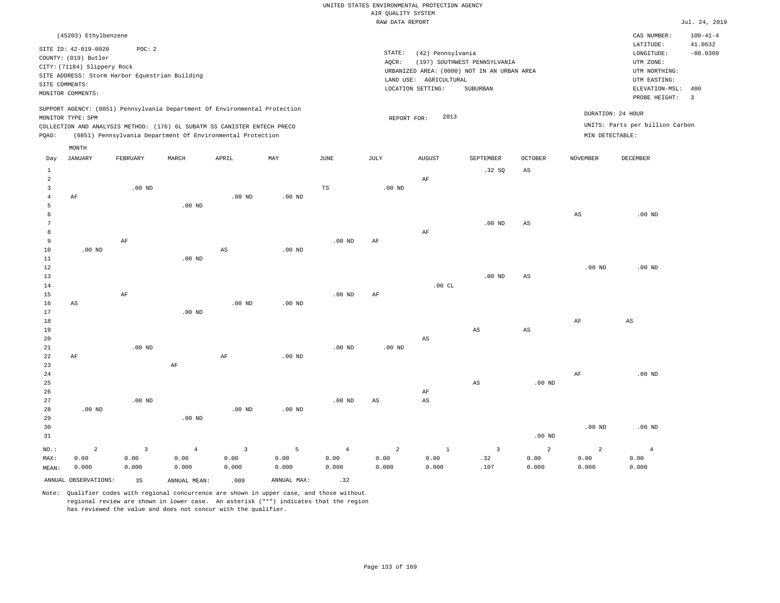|                                |                                                                                                  |                                                          |                                                                                                                                        |                        |                   |                        | RAW DATA REPORT        |                                                                  |                                                                                         |                   |                        |                                                                                                              | Jul. 24, 2019                           |
|--------------------------------|--------------------------------------------------------------------------------------------------|----------------------------------------------------------|----------------------------------------------------------------------------------------------------------------------------------------|------------------------|-------------------|------------------------|------------------------|------------------------------------------------------------------|-----------------------------------------------------------------------------------------|-------------------|------------------------|--------------------------------------------------------------------------------------------------------------|-----------------------------------------|
|                                | (45203) Ethylbenzene                                                                             |                                                          |                                                                                                                                        |                        |                   |                        |                        |                                                                  |                                                                                         |                   |                        | CAS NUMBER:                                                                                                  | $100 - 41 - 4$                          |
| SITE COMMENTS:                 | SITE ID: 42-019-0020<br>COUNTY: (019) Butler<br>CITY: (71184) Slippery Rock<br>MONITOR COMMENTS: | POC: 2<br>SITE ADDRESS: Storm Harbor Equestrian Building |                                                                                                                                        |                        |                   |                        | STATE:<br>AQCR:        | (42) Pennsylvania<br>LAND USE: AGRICULTURAL<br>LOCATION SETTING: | (197) SOUTHWEST PENNSYLVANIA<br>URBANIZED AREA: (0000) NOT IN AN URBAN AREA<br>SUBURBAN |                   |                        | LATITUDE:<br>LONGITUDE:<br>UTM ZONE:<br>UTM NORTHING:<br>UTM EASTING:<br>ELEVATION-MSL: 400<br>PROBE HEIGHT: | 41.0632<br>$-80.0309$<br>$\overline{3}$ |
|                                |                                                                                                  |                                                          | SUPPORT AGENCY: (0851) Pennsylvania Department Of Environmental Protection                                                             |                        |                   |                        |                        |                                                                  |                                                                                         |                   |                        | DURATION: 24 HOUR                                                                                            |                                         |
|                                | MONITOR TYPE: SPM                                                                                |                                                          |                                                                                                                                        |                        |                   |                        | REPORT FOR:            | 2013                                                             |                                                                                         |                   |                        | UNITS: Parts per billion Carbon                                                                              |                                         |
| PQAO:                          |                                                                                                  |                                                          | COLLECTION AND ANALYSIS METHOD: (176) 6L SUBATM SS CANISTER ENTECH PRECO<br>(0851) Pennsylvania Department Of Environmental Protection |                        |                   |                        |                        |                                                                  |                                                                                         |                   | MIN DETECTABLE:        |                                                                                                              |                                         |
|                                |                                                                                                  |                                                          |                                                                                                                                        |                        |                   |                        |                        |                                                                  |                                                                                         |                   |                        |                                                                                                              |                                         |
|                                | MONTH<br><b>JANUARY</b>                                                                          | FEBRUARY                                                 | MARCH                                                                                                                                  | APRIL                  | MAY               | $_{\rm JUNE}$          | JULY                   |                                                                  | SEPTEMBER                                                                               | <b>OCTOBER</b>    | <b>NOVEMBER</b>        | DECEMBER                                                                                                     |                                         |
| Day                            |                                                                                                  |                                                          |                                                                                                                                        |                        |                   |                        |                        | AUGUST                                                           |                                                                                         |                   |                        |                                                                                                              |                                         |
| $\mathbf{1}$<br>$\overline{a}$ |                                                                                                  |                                                          |                                                                                                                                        |                        |                   |                        |                        | AF                                                               | .32S                                                                                    | $_{\rm AS}$       |                        |                                                                                                              |                                         |
| $\mathbf{3}$                   |                                                                                                  | $.00$ ND                                                 |                                                                                                                                        |                        |                   | $_{\rm TS}$            | $.00$ ND               |                                                                  |                                                                                         |                   |                        |                                                                                                              |                                         |
| $\overline{4}$                 | AF                                                                                               |                                                          |                                                                                                                                        | $.00$ ND               | $.00$ ND          |                        |                        |                                                                  |                                                                                         |                   |                        |                                                                                                              |                                         |
| 5                              |                                                                                                  |                                                          | .00 <sub>ND</sub>                                                                                                                      |                        |                   |                        |                        |                                                                  |                                                                                         |                   |                        |                                                                                                              |                                         |
| 6                              |                                                                                                  |                                                          |                                                                                                                                        |                        |                   |                        |                        |                                                                  |                                                                                         |                   | $_{\rm AS}$            | $.00$ ND                                                                                                     |                                         |
| 7                              |                                                                                                  |                                                          |                                                                                                                                        |                        |                   |                        |                        |                                                                  | $.00$ ND                                                                                | AS                |                        |                                                                                                              |                                         |
| 8<br>9                         |                                                                                                  | $\rm AF$                                                 |                                                                                                                                        |                        |                   | .00 <sub>ND</sub>      | $\rm{AF}$              | AF                                                               |                                                                                         |                   |                        |                                                                                                              |                                         |
| 10                             | $.00$ ND                                                                                         |                                                          |                                                                                                                                        | AS                     | $.00$ ND          |                        |                        |                                                                  |                                                                                         |                   |                        |                                                                                                              |                                         |
| 11                             |                                                                                                  |                                                          | .00 <sub>ND</sub>                                                                                                                      |                        |                   |                        |                        |                                                                  |                                                                                         |                   |                        |                                                                                                              |                                         |
| 12                             |                                                                                                  |                                                          |                                                                                                                                        |                        |                   |                        |                        |                                                                  |                                                                                         |                   | .00 <sub>ND</sub>      | .00 <sub>ND</sub>                                                                                            |                                         |
| 13                             |                                                                                                  |                                                          |                                                                                                                                        |                        |                   |                        |                        |                                                                  | $.00$ ND                                                                                | AS                |                        |                                                                                                              |                                         |
| 14                             |                                                                                                  |                                                          |                                                                                                                                        |                        |                   |                        |                        | .00CL                                                            |                                                                                         |                   |                        |                                                                                                              |                                         |
| 15                             |                                                                                                  | AF                                                       |                                                                                                                                        |                        |                   | $.00$ ND               | AF                     |                                                                  |                                                                                         |                   |                        |                                                                                                              |                                         |
| 16<br>17                       | AS                                                                                               |                                                          | $.00$ ND                                                                                                                               | $.00$ ND               | $.00$ ND          |                        |                        |                                                                  |                                                                                         |                   |                        |                                                                                                              |                                         |
| 18                             |                                                                                                  |                                                          |                                                                                                                                        |                        |                   |                        |                        |                                                                  |                                                                                         |                   | AF                     | $_{\rm AS}$                                                                                                  |                                         |
| 19                             |                                                                                                  |                                                          |                                                                                                                                        |                        |                   |                        |                        |                                                                  | AS                                                                                      | AS                |                        |                                                                                                              |                                         |
| 20                             |                                                                                                  |                                                          |                                                                                                                                        |                        |                   |                        |                        | $\mathbb{A}\mathbb{S}$                                           |                                                                                         |                   |                        |                                                                                                              |                                         |
| 21                             |                                                                                                  | $.00$ ND                                                 |                                                                                                                                        |                        |                   | $.00$ ND               | $.00$ ND               |                                                                  |                                                                                         |                   |                        |                                                                                                              |                                         |
| 22<br>23                       | AF                                                                                               |                                                          |                                                                                                                                        | AF                     | .00 <sub>ND</sub> |                        |                        |                                                                  |                                                                                         |                   |                        |                                                                                                              |                                         |
| 24                             |                                                                                                  |                                                          | $\rm AF$                                                                                                                               |                        |                   |                        |                        |                                                                  |                                                                                         |                   | AF                     | $.00$ ND                                                                                                     |                                         |
| 25                             |                                                                                                  |                                                          |                                                                                                                                        |                        |                   |                        |                        |                                                                  | AS                                                                                      | .00 <sub>ND</sub> |                        |                                                                                                              |                                         |
| 26                             |                                                                                                  |                                                          |                                                                                                                                        |                        |                   |                        |                        | AF                                                               |                                                                                         |                   |                        |                                                                                                              |                                         |
| 27                             |                                                                                                  | $.00$ ND                                                 |                                                                                                                                        |                        |                   | $.00$ ND               | $\mathbb{A}\mathbb{S}$ | AS                                                               |                                                                                         |                   |                        |                                                                                                              |                                         |
| 28                             | .00 <sub>ND</sub>                                                                                |                                                          |                                                                                                                                        | $.00$ ND               | $.00$ ND          |                        |                        |                                                                  |                                                                                         |                   |                        |                                                                                                              |                                         |
| 29                             |                                                                                                  |                                                          | .00 <sub>ND</sub>                                                                                                                      |                        |                   |                        |                        |                                                                  |                                                                                         |                   |                        |                                                                                                              |                                         |
| 30<br>31                       |                                                                                                  |                                                          |                                                                                                                                        |                        |                   |                        |                        |                                                                  |                                                                                         | .00 <sub>ND</sub> | .00 <sub>ND</sub>      | $.00$ ND                                                                                                     |                                         |
|                                |                                                                                                  |                                                          |                                                                                                                                        |                        |                   |                        |                        |                                                                  |                                                                                         |                   |                        |                                                                                                              |                                         |
| NO.:                           | $\overline{a}$                                                                                   | $\overline{\mathbf{3}}$                                  | $\overline{4}$                                                                                                                         | $\overline{3}$<br>0.00 | 5<br>0.00         | $\overline{4}$<br>0.00 | $\overline{a}$         | $\mathbf{1}$<br>0.00                                             | $\overline{\mathbf{3}}$<br>.32                                                          | $\overline{a}$    | $\overline{a}$<br>0.00 | $\overline{4}$                                                                                               |                                         |
| MAX:<br>MEAN:                  | 0.00<br>0.000                                                                                    | 0.00<br>0.000                                            | 0.00<br>0.000                                                                                                                          | 0.000                  | 0.000             | 0.000                  | 0.00<br>0.000          | 0.000                                                            | .107                                                                                    | 0.00<br>0.000     | 0.000                  | 0.00<br>0.000                                                                                                |                                         |
|                                |                                                                                                  |                                                          |                                                                                                                                        |                        |                   |                        |                        |                                                                  |                                                                                         |                   |                        |                                                                                                              |                                         |
|                                | ANNUAL OBSERVATIONS:                                                                             | 35                                                       | ANNUAL MEAN:                                                                                                                           | .009                   | ANNUAL MAX:       | .32                    |                        |                                                                  |                                                                                         |                   |                        |                                                                                                              |                                         |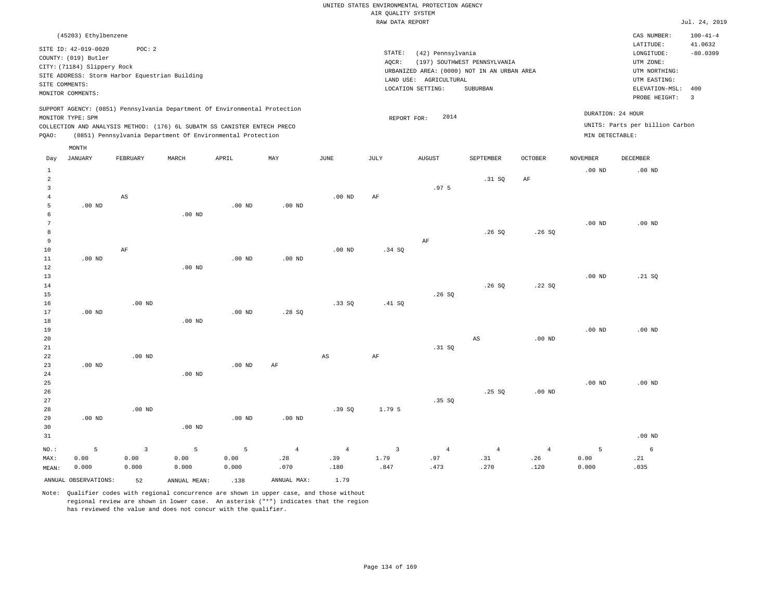|       |                             |                                                |                   |                                                                            |          |          |        | RAW DATA REPORT                             |                              |         |                   |                                 | Jul. 24, 2019            |
|-------|-----------------------------|------------------------------------------------|-------------------|----------------------------------------------------------------------------|----------|----------|--------|---------------------------------------------|------------------------------|---------|-------------------|---------------------------------|--------------------------|
|       | (45203) Ethylbenzene        |                                                |                   |                                                                            |          |          |        |                                             |                              |         |                   | CAS NUMBER:                     | $100 - 41 - 4$           |
|       | SITE ID: 42-019-0020        | POC:2                                          |                   |                                                                            |          |          |        |                                             |                              |         |                   | LATITUDE:                       | 41.0632                  |
|       | COUNTY: (019) Butler        |                                                |                   |                                                                            |          |          | STATE: | (42) Pennsylvania                           |                              |         |                   | LONGITUDE:                      | $-80.0309$               |
|       | CITY: (71184) Slippery Rock |                                                |                   |                                                                            |          |          | AQCR:  |                                             | (197) SOUTHWEST PENNSYLVANIA |         |                   | UTM ZONE:                       |                          |
|       |                             | SITE ADDRESS: Storm Harbor Equestrian Building |                   |                                                                            |          |          |        | URBANIZED AREA: (0000) NOT IN AN URBAN AREA |                              |         |                   | UTM NORTHING:                   |                          |
|       | SITE COMMENTS:              |                                                |                   |                                                                            |          |          |        | LAND USE: AGRICULTURAL                      |                              |         |                   | UTM EASTING:                    |                          |
|       | MONITOR COMMENTS:           |                                                |                   |                                                                            |          |          |        | LOCATION SETTING:                           | SUBURBAN                     |         |                   | ELEVATION-MSL:                  | 400                      |
|       |                             |                                                |                   |                                                                            |          |          |        |                                             |                              |         |                   | PROBE HEIGHT:                   | $\overline{\phantom{a}}$ |
|       | MONITOR TYPE: SPM           |                                                |                   | SUPPORT AGENCY: (0851) Pennsylvania Department Of Environmental Protection |          |          |        | 2014<br>REPORT FOR:                         |                              |         | DURATION: 24 HOUR |                                 |                          |
|       |                             |                                                |                   | COLLECTION AND ANALYSIS METHOD: (176) 6L SUBATM SS CANISTER ENTECH PRECO   |          |          |        |                                             |                              |         |                   | UNITS: Parts per billion Carbon |                          |
| POAO: |                             |                                                |                   | (0851) Pennsylvania Department Of Environmental Protection                 |          |          |        |                                             |                              |         | MIN DETECTABLE:   |                                 |                          |
|       | MONTH                       |                                                |                   |                                                                            |          |          |        |                                             |                              |         |                   |                                 |                          |
| Day   | JANUARY                     | FEBRUARY                                       | MARCH             | APRIL                                                                      | MAY      | JUNE     | JULY   | <b>AUGUST</b>                               | SEPTEMBER                    | OCTOBER | NOVEMBER          | DECEMBER                        |                          |
|       |                             |                                                |                   |                                                                            |          |          |        |                                             |                              |         | $.00$ ND          | .00 <sub>ND</sub>               |                          |
| 2     |                             |                                                |                   |                                                                            |          |          |        |                                             | .31 SQ                       | AF      |                   |                                 |                          |
|       |                             |                                                |                   |                                                                            |          |          |        | .97 <sub>5</sub>                            |                              |         |                   |                                 |                          |
|       |                             | AS                                             |                   |                                                                            |          | $.00$ ND | AF     |                                             |                              |         |                   |                                 |                          |
| 5     | $.00$ ND                    |                                                |                   | $.00$ ND                                                                   | $.00$ ND |          |        |                                             |                              |         |                   |                                 |                          |
|       |                             |                                                | .00 <sub>ND</sub> |                                                                            |          |          |        |                                             |                              |         |                   |                                 |                          |

| __ |          | $\cdots$          |          |                   |                   |          |    |       |       |          |                   |
|----|----------|-------------------|----------|-------------------|-------------------|----------|----|-------|-------|----------|-------------------|
| 7  |          |                   |          |                   |                   |          |    |       |       | $.00$ ND | .00 <sub>ND</sub> |
| 8  |          |                   |          |                   |                   |          |    | .26SQ | .26SQ |          |                   |
| 9  |          |                   |          |                   |                   |          | AF |       |       |          |                   |
| 10 | AF       |                   |          |                   | .00 <sub>ND</sub> | $.34$ SQ |    |       |       |          |                   |
| 11 | $.00$ ND |                   | $.00$ ND | .00 <sub>ND</sub> |                   |          |    |       |       |          |                   |
| 12 |          | .00 <sub>ND</sub> |          |                   |                   |          |    |       |       |          |                   |

| 13     |          |          |          |          |       |       |        |       |       |          | $.00$ ND | .21 SQ   |
|--------|----------|----------|----------|----------|-------|-------|--------|-------|-------|----------|----------|----------|
| 14     |          |          |          |          |       |       |        |       | .26SQ | .22SQ    |          |          |
| 15     |          |          |          |          |       |       |        | .26SQ |       |          |          |          |
| 16     |          | $.00$ ND |          |          |       | .33SQ | .41 SQ |       |       |          |          |          |
| 17     | $.00$ ND |          |          | $.00$ ND | .28SQ |       |        |       |       |          |          |          |
| $18\,$ |          |          | $.00$ ND |          |       |       |        |       |       |          |          |          |
| 19     |          |          |          |          |       |       |        |       |       |          | $.00$ ND | $.00$ ND |
| 20     |          |          |          |          |       |       |        |       | AS    | $.00$ ND |          |          |

| 21      |          |          |          |          |                |       |        | .31 SQ         |       |                |          |          |
|---------|----------|----------|----------|----------|----------------|-------|--------|----------------|-------|----------------|----------|----------|
| 22      |          | $.00$ ND |          |          |                | AS    | AF     |                |       |                |          |          |
| 23      | $.00$ ND |          |          | $.00$ ND | AF             |       |        |                |       |                |          |          |
| 24      |          |          | $.00$ ND |          |                |       |        |                |       |                |          |          |
| $25\,$  |          |          |          |          |                |       |        |                |       |                | $.00$ ND | $.00$ ND |
| $26\,$  |          |          |          |          |                |       |        |                | .25SQ | $.00$ ND       |          |          |
| $2\,7$  |          |          |          |          |                |       |        | .35SQ          |       |                |          |          |
| 28      |          | $.00$ ND |          |          |                | .39SQ | 1.79 5 |                |       |                |          |          |
| 29      | $.00$ ND |          |          | $.00$ ND | $.00$ ND       |       |        |                |       |                |          |          |
| 30      |          |          | $.00$ ND |          |                |       |        |                |       |                |          |          |
| 31      |          |          |          |          |                |       |        |                |       |                |          | $.00$ ND |
| $NO.$ : | 5        | 3        | 5        | 5        | $\overline{4}$ | 4     | 3      | $\overline{4}$ | 4     | $\overline{4}$ | 5        | 6        |

 .39 .180

| ANNUAL<br>R.<br>'NT.<br>$\sim$ $\sim$ $\sim$ $\sim$ $\sim$ $\sim$ $\sim$ | - - | ، NINII | MAA<br>NNI≀ | - |
|--------------------------------------------------------------------------|-----|---------|-------------|---|

 0.00 0.000

MAX: MEAN:

 0.00 0.000  0.00 0.000

Note: Qualifier codes with regional concurrence are shown in upper case, and those without regional review are shown in lower case. An asterisk ("\*") indicates that the region has reviewed the value and does not concur with the qualifier.

 0.00 0.000  .28 .070  1.79 .847

 .97 .473  .31 .270  .26 .120

 0.00 0.000  .21 .035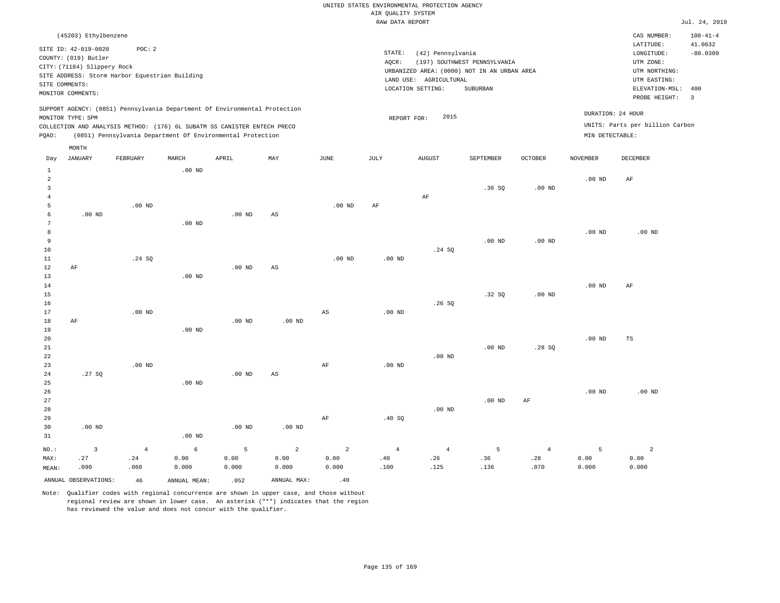|                              |                                                                                                                                            |                                                                                                                                                                                                                      |          |          |                        |          | RAW DATA REPORT   |                                                                  |                                                                                         |                   |                 |                                                                                                                         | Jul. 24, 2019                                                              |
|------------------------------|--------------------------------------------------------------------------------------------------------------------------------------------|----------------------------------------------------------------------------------------------------------------------------------------------------------------------------------------------------------------------|----------|----------|------------------------|----------|-------------------|------------------------------------------------------------------|-----------------------------------------------------------------------------------------|-------------------|-----------------|-------------------------------------------------------------------------------------------------------------------------|----------------------------------------------------------------------------|
|                              | (45203) Ethylbenzene<br>SITE ID: 42-019-0020<br>COUNTY: (019) Butler<br>CITY: (71184) Slippery Rock<br>SITE COMMENTS:<br>MONITOR COMMENTS: | POC: 2<br>SITE ADDRESS: Storm Harbor Equestrian Building                                                                                                                                                             |          |          |                        |          | STATE:<br>AOCR:   | (42) Pennsylvania<br>LAND USE: AGRICULTURAL<br>LOCATION SETTING: | (197) SOUTHWEST PENNSYLVANIA<br>URBANIZED AREA: (0000) NOT IN AN URBAN AREA<br>SUBURBAN |                   |                 | CAS NUMBER:<br>LATITUDE:<br>LONGITUDE:<br>UTM ZONE:<br>UTM NORTHING:<br>UTM EASTING:<br>ELEVATION-MSL:<br>PROBE HEIGHT: | $100 - 41 - 4$<br>41.0632<br>$-80.0309$<br>400<br>$\overline{\phantom{a}}$ |
| PQAO:                        | MONITOR TYPE: SPM<br>MONTH                                                                                                                 | SUPPORT AGENCY: (0851) Pennsylvania Department Of Environmental Protection<br>COLLECTION AND ANALYSIS METHOD: (176) 6L SUBATM SS CANISTER ENTECH PRECO<br>(0851) Pennsylvania Department Of Environmental Protection |          |          |                        |          | REPORT FOR:       | 2015                                                             |                                                                                         |                   | MIN DETECTABLE: | DURATION: 24 HOUR<br>UNITS: Parts per billion Carbon                                                                    |                                                                            |
| Day                          | JANUARY                                                                                                                                    | FEBRUARY                                                                                                                                                                                                             | MARCH    | APRIL    | MAY                    | JUNE     | JULY              | <b>AUGUST</b>                                                    | SEPTEMBER                                                                               | <b>OCTOBER</b>    | NOVEMBER        | DECEMBER                                                                                                                |                                                                            |
| 1<br>2<br>3<br>4<br>5        |                                                                                                                                            | $.00$ ND                                                                                                                                                                                                             | $.00$ ND |          |                        | $.00$ ND | AF                | AF                                                               | .36SQ                                                                                   | .00 <sub>ND</sub> | $.00$ ND        | AF                                                                                                                      |                                                                            |
| 6<br>7<br>8<br>9<br>10<br>11 | $.00$ ND                                                                                                                                   | .24 SQ                                                                                                                                                                                                               | $.00$ ND | $.00$ ND | AS                     | $.00$ ND | .00 <sub>ND</sub> | .24 SQ                                                           | $.00$ ND                                                                                | $.00$ ND          | $.00$ ND        | $.00$ ND                                                                                                                |                                                                            |
| 12<br>13<br>14<br>15<br>16   | AF                                                                                                                                         |                                                                                                                                                                                                                      | $.00$ ND | $.00$ ND | $\mathbb{A}\mathbb{S}$ |          |                   | .26S                                                             | .32S                                                                                    | .00 <sub>ND</sub> | $.00$ ND        | AF                                                                                                                      |                                                                            |

17 18 19 20 21 22 AF .00 ND .00 ND .00 ND .00 ND AS .00 ND .00 ND .00 ND

23 24 25 26 27 28 29 30 31 .27 SQ .00 ND NO.: MAX: MEAN: 3 .27 .090 .00 ND .00 ND .00 ND .00 ND .00 ND AS .00 ND AF AF .00 ND .40 SQ .00 ND .00 ND AF .00 ND .00 ND 4 .24 .060 6 0.00 0.000 5 0.00 0.000 2 0.00 0.000 2 0.00 0.000 4 .40 .100 4 .26 .125 5 .36 .136 4 .28 .070 5 0.00 0.000 2 0.00 0.000

ANNUAL OBSERVATIONS:  $46$  ANNUAL MEAN: .052 ANNUAL MAX: .40

Note: Qualifier codes with regional concurrence are shown in upper case, and those without regional review are shown in lower case. An asterisk ("\*") indicates that the region has reviewed the value and does not concur with the qualifier.

.28 SQ

.00 ND

TS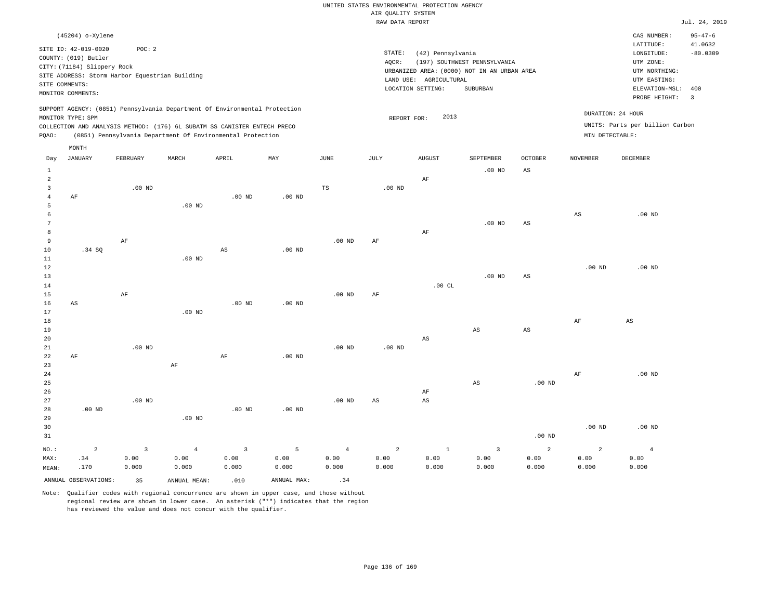|                 |                                                |                   |                   |                                                                            |             |                   | RAW DATA REPORT   |                        |                                             |                        |                   |                                 | Jul. 24, 2019  |
|-----------------|------------------------------------------------|-------------------|-------------------|----------------------------------------------------------------------------|-------------|-------------------|-------------------|------------------------|---------------------------------------------|------------------------|-------------------|---------------------------------|----------------|
|                 | (45204) o-Xylene                               |                   |                   |                                                                            |             |                   |                   |                        |                                             |                        |                   | CAS NUMBER:                     | $95 - 47 - 6$  |
|                 |                                                |                   |                   |                                                                            |             |                   |                   |                        |                                             |                        |                   | LATITUDE:                       | 41.0632        |
|                 | SITE ID: 42-019-0020                           | POC: 2            |                   |                                                                            |             |                   | STATE:            | (42) Pennsylvania      |                                             |                        |                   | LONGITUDE:                      | $-80.0309$     |
|                 | COUNTY: (019) Butler                           |                   |                   |                                                                            |             |                   | AQCR:             |                        | (197) SOUTHWEST PENNSYLVANIA                |                        |                   | UTM ZONE:                       |                |
|                 | CITY: (71184) Slippery Rock                    |                   |                   |                                                                            |             |                   |                   |                        | URBANIZED AREA: (0000) NOT IN AN URBAN AREA |                        |                   | UTM NORTHING:                   |                |
|                 | SITE ADDRESS: Storm Harbor Equestrian Building |                   |                   |                                                                            |             |                   |                   | LAND USE: AGRICULTURAL |                                             |                        |                   | UTM EASTING:                    |                |
|                 | SITE COMMENTS:                                 |                   |                   |                                                                            |             |                   |                   | LOCATION SETTING:      | SUBURBAN                                    |                        |                   | ELEVATION-MSL:                  | 400            |
|                 | MONITOR COMMENTS:                              |                   |                   |                                                                            |             |                   |                   |                        |                                             |                        |                   | PROBE HEIGHT:                   | $\overline{3}$ |
|                 |                                                |                   |                   | SUPPORT AGENCY: (0851) Pennsylvania Department Of Environmental Protection |             |                   |                   |                        |                                             |                        |                   |                                 |                |
|                 | MONITOR TYPE: SPM                              |                   |                   |                                                                            |             |                   | REPORT FOR:       | 2013                   |                                             |                        |                   | DURATION: 24 HOUR               |                |
|                 |                                                |                   |                   | COLLECTION AND ANALYSIS METHOD: (176) 6L SUBATM SS CANISTER ENTECH PRECO   |             |                   |                   |                        |                                             |                        |                   | UNITS: Parts per billion Carbon |                |
| PQAO:           |                                                |                   |                   | (0851) Pennsylvania Department Of Environmental Protection                 |             |                   |                   |                        |                                             |                        | MIN DETECTABLE:   |                                 |                |
|                 | MONTH                                          |                   |                   |                                                                            |             |                   |                   |                        |                                             |                        |                   |                                 |                |
| Day             | JANUARY                                        | FEBRUARY          | MARCH             | APRIL                                                                      | MAY         | JUNE              | JULY              | <b>AUGUST</b>          | SEPTEMBER                                   | <b>OCTOBER</b>         | <b>NOVEMBER</b>   | DECEMBER                        |                |
| $\mathbf{1}$    |                                                |                   |                   |                                                                            |             |                   |                   |                        | $.00$ ND                                    | AS                     |                   |                                 |                |
| $\overline{a}$  |                                                |                   |                   |                                                                            |             |                   |                   | AF                     |                                             |                        |                   |                                 |                |
| 3               |                                                | $.00$ ND          |                   |                                                                            |             | TS                | .00 <sub>ND</sub> |                        |                                             |                        |                   |                                 |                |
| $\overline{4}$  | AF                                             |                   |                   | $.00$ ND                                                                   | $.00$ ND    |                   |                   |                        |                                             |                        |                   |                                 |                |
| 5               |                                                |                   | $.00$ ND          |                                                                            |             |                   |                   |                        |                                             |                        |                   |                                 |                |
| 6               |                                                |                   |                   |                                                                            |             |                   |                   |                        |                                             |                        | $_{\rm AS}$       | $.00$ ND                        |                |
| $7\phantom{.0}$ |                                                |                   |                   |                                                                            |             |                   |                   |                        | $.00$ ND                                    | AS                     |                   |                                 |                |
| 8               |                                                |                   |                   |                                                                            |             |                   |                   | AF                     |                                             |                        |                   |                                 |                |
| 9               |                                                | AF                |                   |                                                                            |             | $.00$ ND          | AF                |                        |                                             |                        |                   |                                 |                |
| 10              | .34 SQ                                         |                   |                   | $\mathbb{A}\mathbb{S}$                                                     | $.00$ ND    |                   |                   |                        |                                             |                        |                   |                                 |                |
| 11              |                                                |                   | .00 <sub>ND</sub> |                                                                            |             |                   |                   |                        |                                             |                        |                   |                                 |                |
| 12              |                                                |                   |                   |                                                                            |             |                   |                   |                        |                                             |                        | .00 <sub>ND</sub> | $.00$ ND                        |                |
| 13<br>14        |                                                |                   |                   |                                                                            |             |                   |                   | .00CL                  | $.00$ ND                                    | $\mathbb{A}\mathbb{S}$ |                   |                                 |                |
| 15              |                                                | AF                |                   |                                                                            |             | .00 <sub>ND</sub> | AF                |                        |                                             |                        |                   |                                 |                |
| 16              | AS                                             |                   |                   | .00 <sub>ND</sub>                                                          | $.00$ ND    |                   |                   |                        |                                             |                        |                   |                                 |                |
| 17              |                                                |                   | $.00$ ND          |                                                                            |             |                   |                   |                        |                                             |                        |                   |                                 |                |
| 18              |                                                |                   |                   |                                                                            |             |                   |                   |                        |                                             |                        | AF                | AS                              |                |
| 19              |                                                |                   |                   |                                                                            |             |                   |                   |                        | $_{\rm AS}$                                 | $\mathbb{A}\mathbb{S}$ |                   |                                 |                |
| 20              |                                                |                   |                   |                                                                            |             |                   |                   | $_{\rm AS}$            |                                             |                        |                   |                                 |                |
| 21              |                                                | .00 <sub>ND</sub> |                   |                                                                            |             | .00 <sub>ND</sub> | .00 <sub>ND</sub> |                        |                                             |                        |                   |                                 |                |
| 22              | AF                                             |                   |                   | $\rm{AF}$                                                                  | $.00$ ND    |                   |                   |                        |                                             |                        |                   |                                 |                |
| 23              |                                                |                   | $\rm{AF}$         |                                                                            |             |                   |                   |                        |                                             |                        |                   |                                 |                |
| 24              |                                                |                   |                   |                                                                            |             |                   |                   |                        |                                             |                        | AF                | $.00$ ND                        |                |
| 25              |                                                |                   |                   |                                                                            |             |                   |                   |                        | $\mathbb{A}\mathbb{S}$                      | .00 <sub>ND</sub>      |                   |                                 |                |
| 26              |                                                |                   |                   |                                                                            |             |                   |                   | AF                     |                                             |                        |                   |                                 |                |
| 27              |                                                | $.00$ ND          |                   |                                                                            |             | .00 <sub>ND</sub> | AS                | $_{\rm AS}$            |                                             |                        |                   |                                 |                |
| 28              | $.00$ ND                                       |                   |                   | .00 <sub>ND</sub>                                                          | $.00$ ND    |                   |                   |                        |                                             |                        |                   |                                 |                |
| 29              |                                                |                   | $.00$ ND          |                                                                            |             |                   |                   |                        |                                             |                        |                   |                                 |                |
| 30              |                                                |                   |                   |                                                                            |             |                   |                   |                        |                                             |                        | .00 <sub>ND</sub> | $.00$ ND                        |                |
| 31              |                                                |                   |                   |                                                                            |             |                   |                   |                        |                                             | .00 <sub>ND</sub>      |                   |                                 |                |
| NO.:            | $\overline{a}$                                 | $\overline{3}$    | $\overline{4}$    | $\overline{3}$                                                             | 5           | $\overline{4}$    | $\overline{a}$    | $1\,$                  | $\overline{3}$                              | 2                      | $\overline{a}$    | $\overline{4}$                  |                |
| MAX:            | .34                                            | 0.00              | 0.00              | 0.00                                                                       | 0.00        | 0.00              | 0.00              | 0.00                   | 0.00                                        | 0.00                   | 0.00              | 0.00                            |                |
| MEAN:           | .170                                           | 0.000             | 0.000             | 0.000                                                                      | 0.000       | 0.000             | 0.000             | 0.000                  | 0.000                                       | 0.000                  | 0.000             | 0.000                           |                |
|                 | ANNUAL OBSERVATIONS:                           | 35                | ANNUAL MEAN:      | .010                                                                       | ANNUAL MAX: | .34               |                   |                        |                                             |                        |                   |                                 |                |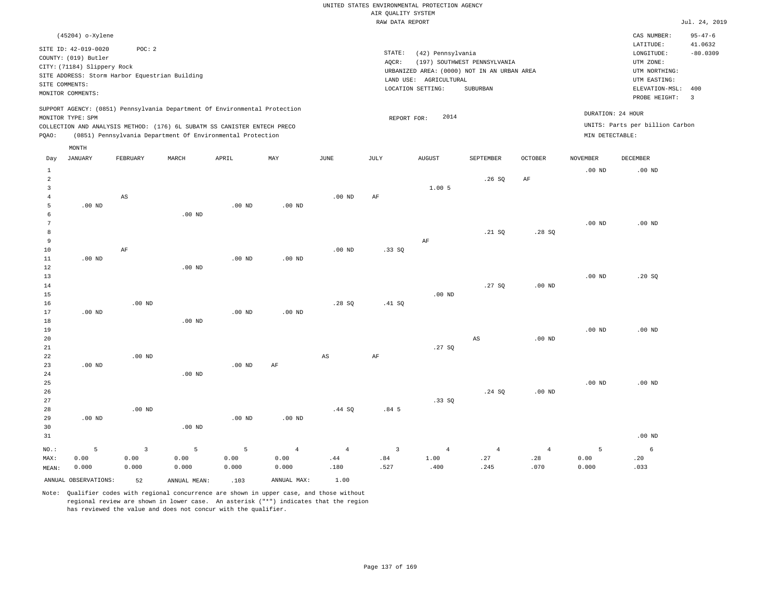|               | RAW DATA REPORT                                                                                                    |          |                                                |                                                                                                                                                                                                                      |          |          |                 |                                                                                                                 |                                          |                |                                      |                                                                                                          |                                                          |
|---------------|--------------------------------------------------------------------------------------------------------------------|----------|------------------------------------------------|----------------------------------------------------------------------------------------------------------------------------------------------------------------------------------------------------------------------|----------|----------|-----------------|-----------------------------------------------------------------------------------------------------------------|------------------------------------------|----------------|--------------------------------------|----------------------------------------------------------------------------------------------------------|----------------------------------------------------------|
|               | (45204) o-Xylene                                                                                                   |          |                                                |                                                                                                                                                                                                                      |          |          |                 |                                                                                                                 |                                          |                |                                      | CAS NUMBER:                                                                                              | $95 - 47 - 6$                                            |
|               | SITE ID: 42-019-0020<br>COUNTY: (019) Butler<br>CITY: (71184) Slippery Rock<br>SITE COMMENTS:<br>MONITOR COMMENTS: | POC:2    | SITE ADDRESS: Storm Harbor Equestrian Building |                                                                                                                                                                                                                      |          |          | STATE:<br>AOCR: | (42) Pennsylvania<br>URBANIZED AREA: (0000) NOT IN AN URBAN AREA<br>LAND USE: AGRICULTURAL<br>LOCATION SETTING: | (197) SOUTHWEST PENNSYLVANIA<br>SUBURBAN |                |                                      | LATITUDE:<br>LONGITUDE:<br>UTM ZONE:<br>UTM NORTHING:<br>UTM EASTING:<br>ELEVATION-MSL:<br>PROBE HEIGHT: | 41.0632<br>$-80.0309$<br>400<br>$\overline{\phantom{a}}$ |
| POAO:         | MONITOR TYPE: SPM                                                                                                  |          |                                                | SUPPORT AGENCY: (0851) Pennsylvania Department Of Environmental Protection<br>COLLECTION AND ANALYSIS METHOD: (176) 6L SUBATM SS CANISTER ENTECH PRECO<br>(0851) Pennsylvania Department Of Environmental Protection |          |          |                 | 2014<br>REPORT FOR:                                                                                             |                                          |                | DURATION: 24 HOUR<br>MIN DETECTABLE: | UNITS: Parts per billion Carbon                                                                          |                                                          |
|               | MONTH                                                                                                              |          |                                                |                                                                                                                                                                                                                      |          |          |                 |                                                                                                                 |                                          |                |                                      |                                                                                                          |                                                          |
| Day           | <b>JANUARY</b>                                                                                                     | FEBRUARY | MARCH                                          | APRIL                                                                                                                                                                                                                | MAY      | JUNE     | JULY            | <b>AUGUST</b>                                                                                                   | SEPTEMBER                                | <b>OCTOBER</b> | <b>NOVEMBER</b>                      | DECEMBER                                                                                                 |                                                          |
| 2             |                                                                                                                    |          |                                                |                                                                                                                                                                                                                      |          |          |                 | 1.00 5                                                                                                          | .26SQ                                    | AF             | $.00$ ND                             | $.00$ ND                                                                                                 |                                                          |
|               |                                                                                                                    | AS       |                                                |                                                                                                                                                                                                                      |          | $.00$ ND | AF              |                                                                                                                 |                                          |                |                                      |                                                                                                          |                                                          |
|               | $.00$ ND                                                                                                           |          |                                                | $.00$ ND                                                                                                                                                                                                             | $.00$ ND |          |                 |                                                                                                                 |                                          |                |                                      |                                                                                                          |                                                          |
|               |                                                                                                                    |          | $.00$ ND                                       |                                                                                                                                                                                                                      |          |          |                 |                                                                                                                 |                                          |                |                                      |                                                                                                          |                                                          |
| $\mathcal{L}$ |                                                                                                                    |          |                                                |                                                                                                                                                                                                                      |          |          |                 |                                                                                                                 |                                          |                | $.00$ ND                             | .00 <sub>ND</sub>                                                                                        |                                                          |

| 8  |          |          |          |          |           |          |        |          | .21 SQ | .28SQ    |          |          |
|----|----------|----------|----------|----------|-----------|----------|--------|----------|--------|----------|----------|----------|
| 9  |          |          |          |          |           |          |        | AF       |        |          |          |          |
| 10 |          | AF       |          |          |           | $.00$ ND | .33SQ  |          |        |          |          |          |
| 11 | $.00$ ND |          |          | $.00$ ND | $.00$ ND  |          |        |          |        |          |          |          |
| 12 |          |          | $.00$ ND |          |           |          |        |          |        |          |          |          |
| 13 |          |          |          |          |           |          |        |          |        |          | $.00$ ND | .20 SQ   |
| 14 |          |          |          |          |           |          |        |          | .27SQ  | $.00$ ND |          |          |
| 15 |          |          |          |          |           |          |        | $.00$ ND |        |          |          |          |
| 16 |          | $.00$ ND |          |          |           | .28SQ    | .41 SQ |          |        |          |          |          |
| 17 | $.00$ ND |          |          | $.00$ ND | $.00$ ND  |          |        |          |        |          |          |          |
| 18 |          |          | $.00$ ND |          |           |          |        |          |        |          |          |          |
| 19 |          |          |          |          |           |          |        |          |        |          | $.00$ ND | $.00$ ND |
| 20 |          |          |          |          |           |          |        |          | AS     | $.00$ ND |          |          |
| 21 |          |          |          |          |           |          |        | .27SQ    |        |          |          |          |
| 22 |          | $.00$ ND |          |          |           | AS       | AF     |          |        |          |          |          |
| 23 | $.00$ ND |          |          | $.00$ ND | $\rm{AF}$ |          |        |          |        |          |          |          |
| 24 |          |          | $.00$ ND |          |           |          |        |          |        |          |          |          |
| 25 |          |          |          |          |           |          |        |          |        |          | $.00$ ND | $.00$ ND |

| 26    |          |          |          |          |             |        |                  |       | .24 SQ | $.00$ ND       |            |          |
|-------|----------|----------|----------|----------|-------------|--------|------------------|-------|--------|----------------|------------|----------|
| 27    |          |          |          |          |             |        |                  | .33SQ |        |                |            |          |
| 28    |          | $.00$ ND |          |          |             | .44 SQ | .84 <sub>5</sub> |       |        |                |            |          |
| 29    | $.00$ ND |          |          | $.00$ ND | $.00$ ND    |        |                  |       |        |                |            |          |
| 30    |          |          | $.00$ ND |          |             |        |                  |       |        |                |            |          |
| 31    |          |          |          |          |             |        |                  |       |        |                |            | $.00$ ND |
| NO.:  | 5        |          | 5        | 5        | $4^{\circ}$ | 4      |                  |       | 4      | $\overline{4}$ | $\sqrt{2}$ | 6        |
| MAX:  | 0.00     | 0.00     | 0.00     | 0.00     | 0.00        | .44    | .84              | 1.00  | .27    | .28            | 0.00       | .20      |
| MEAN: | 0.000    | 0.000    | 0.000    | 0.000    | 0.000       | .180   | .527             | .400  | .245   | .070           | 0.000      | .033     |

Note: Qualifier codes with regional concurrence are shown in upper case, and those without regional review are shown in lower case. An asterisk ("\*") indicates that the region has reviewed the value and does not concur with the qualifier.

ANNUAL OBSERVATIONS: 52 ANNUAL MEAN: .103 ANNUAL MAX: 1.00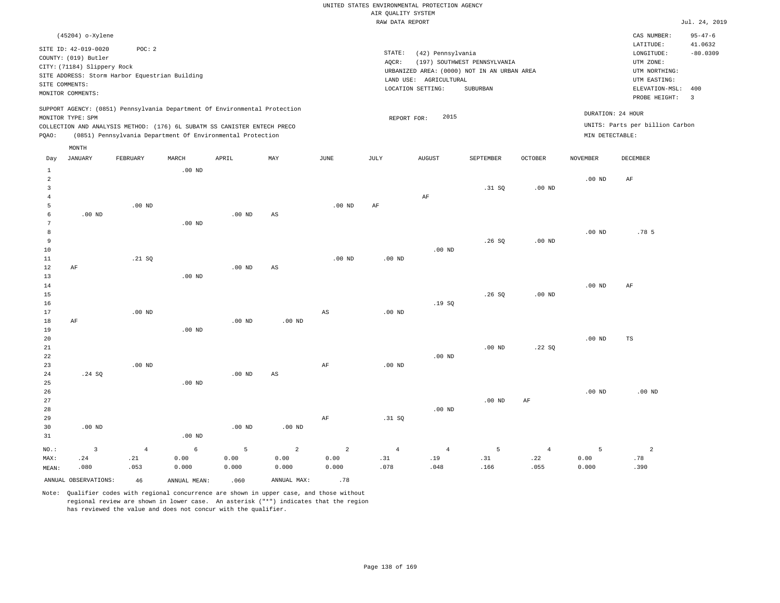|                               |                                                                                                                   |                                                                                                                                                                                                                      |          |          |     |          | RAW DATA REPORT   |                                                                                                                 |                                          |                |                   |                                                                                                        | Jul. 24, 2019                                 |
|-------------------------------|-------------------------------------------------------------------------------------------------------------------|----------------------------------------------------------------------------------------------------------------------------------------------------------------------------------------------------------------------|----------|----------|-----|----------|-------------------|-----------------------------------------------------------------------------------------------------------------|------------------------------------------|----------------|-------------------|--------------------------------------------------------------------------------------------------------|-----------------------------------------------|
|                               | (45204) o-Xylene<br>SITE ID: 42-019-0020<br>COUNTY: (019) Butler<br>CITY: (71184) Slippery Rock<br>SITE COMMENTS: | POC:2<br>SITE ADDRESS: Storm Harbor Equestrian Building                                                                                                                                                              |          |          |     |          | STATE:<br>AOCR:   | (42) Pennsylvania<br>URBANIZED AREA: (0000) NOT IN AN URBAN AREA<br>LAND USE: AGRICULTURAL<br>LOCATION SETTING: | (197) SOUTHWEST PENNSYLVANIA<br>SUBURBAN |                |                   | CAS NUMBER:<br>LATITUDE:<br>LONGITUDE:<br>UTM ZONE:<br>UTM NORTHING:<br>UTM EASTING:<br>ELEVATION-MSL: | $95 - 47 - 6$<br>41.0632<br>$-80.0309$<br>400 |
| PQAO:                         | MONITOR COMMENTS:<br>MONITOR TYPE: SPM                                                                            | SUPPORT AGENCY: (0851) Pennsylvania Department Of Environmental Protection<br>COLLECTION AND ANALYSIS METHOD: (176) 6L SUBATM SS CANISTER ENTECH PRECO<br>(0851) Pennsylvania Department Of Environmental Protection |          |          |     |          | REPORT FOR:       | 2015                                                                                                            |                                          |                | MIN DETECTABLE:   | PROBE HEIGHT:<br>DURATION: 24 HOUR<br>UNITS: Parts per billion Carbon                                  | $\overline{\phantom{a}}$                      |
| Day                           | MONTH<br><b>JANUARY</b>                                                                                           | FEBRUARY                                                                                                                                                                                                             | MARCH    | APRIL    | MAY | JUNE     | JULY              | <b>AUGUST</b>                                                                                                   | SEPTEMBER                                | <b>OCTOBER</b> | NOVEMBER          | DECEMBER                                                                                               |                                               |
| 1<br>$\overline{2}$<br>3<br>4 |                                                                                                                   |                                                                                                                                                                                                                      | $.00$ ND |          |     |          |                   | AF                                                                                                              | .31 SQ                                   | $.00$ ND       | $.00$ ND          | AF                                                                                                     |                                               |
| 5<br>6<br>8<br>9              | $.00$ ND                                                                                                          | $.00$ ND                                                                                                                                                                                                             | $.00$ ND | $.00$ ND | AS  | $.00$ ND | AF                |                                                                                                                 | .26SQ                                    | $.00$ ND       | .00 <sub>ND</sub> | .78 <sub>5</sub>                                                                                       |                                               |
| 10<br>11<br>12<br>13<br>14    | AF                                                                                                                | .21 SQ                                                                                                                                                                                                               | $.00$ ND | $.00$ ND | AS  | $.00$ ND | .00 <sub>ND</sub> | $.00$ ND                                                                                                        |                                          |                | $.00$ ND          | AF                                                                                                     |                                               |
| 15<br>16                      |                                                                                                                   |                                                                                                                                                                                                                      |          |          |     |          |                   | .19S                                                                                                            | .26SQ                                    | $.00$ ND       |                   |                                                                                                        |                                               |

17 18 19 20 21 22 23 24 25 26 AF .24 SQ .00 ND .00 ND .00 ND .00 ND .00 ND .00 ND AS .00 ND AS AF .00 ND .00 ND .00 ND .00 ND .22 SQ .00 ND .00 ND

| 26      |          |                |          |          |                |       |                |                |          |                | $.00$ ND | $.00$ ND |
|---------|----------|----------------|----------|----------|----------------|-------|----------------|----------------|----------|----------------|----------|----------|
| 27      |          |                |          |          |                |       |                |                | $.00$ ND | AF             |          |          |
| 28      |          |                |          |          |                |       |                | $.00$ ND       |          |                |          |          |
| 29      |          |                |          |          |                | AF    | .31 SQ         |                |          |                |          |          |
| 30      | $.00$ ND |                |          | $.00$ ND | $.00$ ND       |       |                |                |          |                |          |          |
| 31      |          |                | $.00$ ND |          |                |       |                |                |          |                |          |          |
| $NO.$ : |          | $\overline{4}$ | 6        | 5        | $\overline{a}$ | 2     | $\overline{4}$ | $\overline{4}$ | 5        | $\overline{4}$ |          | 2        |
| MAX:    | .24      | .21            | 0.00     | 0.00     | 0.00           | 0.00  | .31            | .19            | .31      | .22            | 0.00     | .78      |
| MEAN:   | .080     | .053           | 0.000    | 0.000    | 0.000          | 0.000 | .078           | .048           | .166     | .055           | 0.000    | .390     |

ANNUAL OBSERVATIONS:  $46$  ANNUAL MEAN: .060 ANNUAL MAX: .78

Note: Qualifier codes with regional concurrence are shown in upper case, and those without regional review are shown in lower case. An asterisk ("\*") indicates that the region has reviewed the value and does not concur with the qualifier.

TS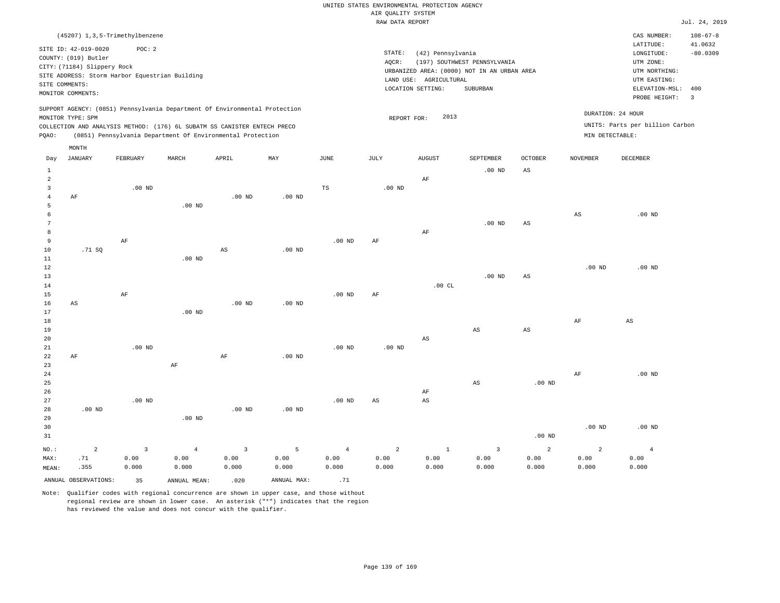|                      |                                                |                   |                   |                                                                            |             |                   | RAW DATA REPORT   |                        |                                             |                        |                   |                                 | Jul. 24, 2019  |
|----------------------|------------------------------------------------|-------------------|-------------------|----------------------------------------------------------------------------|-------------|-------------------|-------------------|------------------------|---------------------------------------------|------------------------|-------------------|---------------------------------|----------------|
|                      | (45207) 1, 3, 5-Trimethylbenzene               |                   |                   |                                                                            |             |                   |                   |                        |                                             |                        |                   | CAS NUMBER:                     | $108 - 67 - 8$ |
|                      |                                                |                   |                   |                                                                            |             |                   |                   |                        |                                             |                        |                   | LATITUDE:                       | 41.0632        |
|                      | SITE ID: 42-019-0020                           | POC: 2            |                   |                                                                            |             |                   | STATE:            | (42) Pennsylvania      |                                             |                        |                   | LONGITUDE:                      | $-80.0309$     |
|                      | COUNTY: (019) Butler                           |                   |                   |                                                                            |             |                   | AQCR:             |                        | (197) SOUTHWEST PENNSYLVANIA                |                        |                   | UTM ZONE:                       |                |
|                      | CITY: (71184) Slippery Rock                    |                   |                   |                                                                            |             |                   |                   |                        | URBANIZED AREA: (0000) NOT IN AN URBAN AREA |                        |                   | UTM NORTHING:                   |                |
|                      | SITE ADDRESS: Storm Harbor Equestrian Building |                   |                   |                                                                            |             |                   |                   | LAND USE: AGRICULTURAL |                                             |                        |                   | UTM EASTING:                    |                |
|                      | SITE COMMENTS:                                 |                   |                   |                                                                            |             |                   |                   | LOCATION SETTING:      | SUBURBAN                                    |                        |                   | ELEVATION-MSL:                  | 400            |
|                      | MONITOR COMMENTS:                              |                   |                   |                                                                            |             |                   |                   |                        |                                             |                        |                   | PROBE HEIGHT:                   | $\overline{3}$ |
|                      |                                                |                   |                   | SUPPORT AGENCY: (0851) Pennsylvania Department Of Environmental Protection |             |                   |                   |                        |                                             |                        |                   |                                 |                |
|                      | MONITOR TYPE: SPM                              |                   |                   |                                                                            |             |                   | REPORT FOR:       | 2013                   |                                             |                        |                   | DURATION: 24 HOUR               |                |
|                      |                                                |                   |                   | COLLECTION AND ANALYSIS METHOD: (176) 6L SUBATM SS CANISTER ENTECH PRECO   |             |                   |                   |                        |                                             |                        |                   | UNITS: Parts per billion Carbon |                |
| PQAO:                |                                                |                   |                   | (0851) Pennsylvania Department Of Environmental Protection                 |             |                   |                   |                        |                                             |                        | MIN DETECTABLE:   |                                 |                |
|                      |                                                |                   |                   |                                                                            |             |                   |                   |                        |                                             |                        |                   |                                 |                |
|                      | MONTH                                          |                   |                   |                                                                            |             |                   |                   |                        |                                             |                        |                   |                                 |                |
| Day                  | JANUARY                                        | FEBRUARY          | MARCH             | APRIL                                                                      | MAY         | JUNE              | JULY              | <b>AUGUST</b>          | SEPTEMBER                                   | <b>OCTOBER</b>         | <b>NOVEMBER</b>   | DECEMBER                        |                |
| $\mathbf{1}$         |                                                |                   |                   |                                                                            |             |                   |                   |                        | $.00$ ND                                    | AS                     |                   |                                 |                |
| $\overline{a}$       |                                                |                   |                   |                                                                            |             |                   |                   | AF                     |                                             |                        |                   |                                 |                |
| 3                    |                                                | $.00$ ND          |                   |                                                                            |             | TS                | $.00$ ND          |                        |                                             |                        |                   |                                 |                |
| $\overline{4}$       | AF                                             |                   |                   | $.00$ ND                                                                   | $.00$ ND    |                   |                   |                        |                                             |                        |                   |                                 |                |
| 5                    |                                                |                   | $.00$ ND          |                                                                            |             |                   |                   |                        |                                             |                        |                   |                                 |                |
| 6<br>$7\phantom{.0}$ |                                                |                   |                   |                                                                            |             |                   |                   |                        |                                             |                        | $_{\rm AS}$       | $.00$ ND                        |                |
| 8                    |                                                |                   |                   |                                                                            |             |                   |                   |                        | $.00$ ND                                    | AS                     |                   |                                 |                |
| 9                    |                                                | AF                |                   |                                                                            |             | $.00$ ND          | AF                | AF                     |                                             |                        |                   |                                 |                |
| 10                   | .71 SQ                                         |                   |                   | $\mathbb{A}\mathbb{S}$                                                     | $.00$ ND    |                   |                   |                        |                                             |                        |                   |                                 |                |
| $11\,$               |                                                |                   | .00 <sub>ND</sub> |                                                                            |             |                   |                   |                        |                                             |                        |                   |                                 |                |
| 12                   |                                                |                   |                   |                                                                            |             |                   |                   |                        |                                             |                        | .00 <sub>ND</sub> | $.00$ ND                        |                |
| 13                   |                                                |                   |                   |                                                                            |             |                   |                   |                        | $.00$ ND                                    | $\mathbb{A}\mathbb{S}$ |                   |                                 |                |
| 14                   |                                                |                   |                   |                                                                            |             |                   |                   | .00CL                  |                                             |                        |                   |                                 |                |
| 15                   |                                                | AF                |                   |                                                                            |             | .00 <sub>ND</sub> | AF                |                        |                                             |                        |                   |                                 |                |
| 16                   | AS                                             |                   |                   | .00 <sub>ND</sub>                                                          | $.00$ ND    |                   |                   |                        |                                             |                        |                   |                                 |                |
| 17                   |                                                |                   | $.00$ ND          |                                                                            |             |                   |                   |                        |                                             |                        |                   |                                 |                |
| 18                   |                                                |                   |                   |                                                                            |             |                   |                   |                        |                                             |                        | AF                | AS                              |                |
| 19                   |                                                |                   |                   |                                                                            |             |                   |                   |                        | $_{\rm AS}$                                 | $\mathbb{A}\mathbb{S}$ |                   |                                 |                |
| 20                   |                                                |                   |                   |                                                                            |             |                   |                   | $_{\rm AS}$            |                                             |                        |                   |                                 |                |
| 21                   |                                                | .00 <sub>ND</sub> |                   |                                                                            |             | .00 <sub>ND</sub> | .00 <sub>ND</sub> |                        |                                             |                        |                   |                                 |                |
| 22                   | AF                                             |                   |                   | $\rm{AF}$                                                                  | $.00$ ND    |                   |                   |                        |                                             |                        |                   |                                 |                |
| 23                   |                                                |                   | $\rm{AF}$         |                                                                            |             |                   |                   |                        |                                             |                        |                   |                                 |                |
| 24                   |                                                |                   |                   |                                                                            |             |                   |                   |                        |                                             |                        | AF                | $.00$ ND                        |                |
| 25                   |                                                |                   |                   |                                                                            |             |                   |                   |                        | $\mathbb{A}\mathbb{S}$                      | .00 <sub>ND</sub>      |                   |                                 |                |
| 26                   |                                                |                   |                   |                                                                            |             |                   |                   | AF                     |                                             |                        |                   |                                 |                |
| 27                   |                                                | $.00$ ND          |                   |                                                                            |             | .00 <sub>ND</sub> | AS                | $_{\rm AS}$            |                                             |                        |                   |                                 |                |
| 28                   | $.00$ ND                                       |                   |                   | .00 <sub>ND</sub>                                                          | $.00$ ND    |                   |                   |                        |                                             |                        |                   |                                 |                |
| 29                   |                                                |                   | $.00$ ND          |                                                                            |             |                   |                   |                        |                                             |                        |                   |                                 |                |
| 30                   |                                                |                   |                   |                                                                            |             |                   |                   |                        |                                             |                        | .00 <sub>ND</sub> | $.00$ ND                        |                |
| 31                   |                                                |                   |                   |                                                                            |             |                   |                   |                        |                                             | .00 <sub>ND</sub>      |                   |                                 |                |
| NO.:                 | $\overline{a}$                                 | $\overline{3}$    | $\overline{4}$    | $\overline{3}$                                                             | 5           | $\overline{4}$    | $\overline{a}$    | $1\,$                  | $\overline{3}$                              | 2                      | $\overline{a}$    | $\overline{4}$                  |                |
| MAX:                 | .71                                            | 0.00              | 0.00              | 0.00                                                                       | 0.00        | 0.00              | 0.00              | 0.00                   | 0.00                                        | 0.00                   | 0.00              | 0.00                            |                |
| MEAN:                | .355                                           | 0.000             | 0.000             | 0.000                                                                      | 0.000       | 0.000             | 0.000             | 0.000                  | 0.000                                       | 0.000                  | 0.000             | 0.000                           |                |
|                      | ANNUAL OBSERVATIONS:                           | 35                | ANNUAL MEAN:      | .020                                                                       | ANNUAL MAX: | .71               |                   |                        |                                             |                        |                   |                                 |                |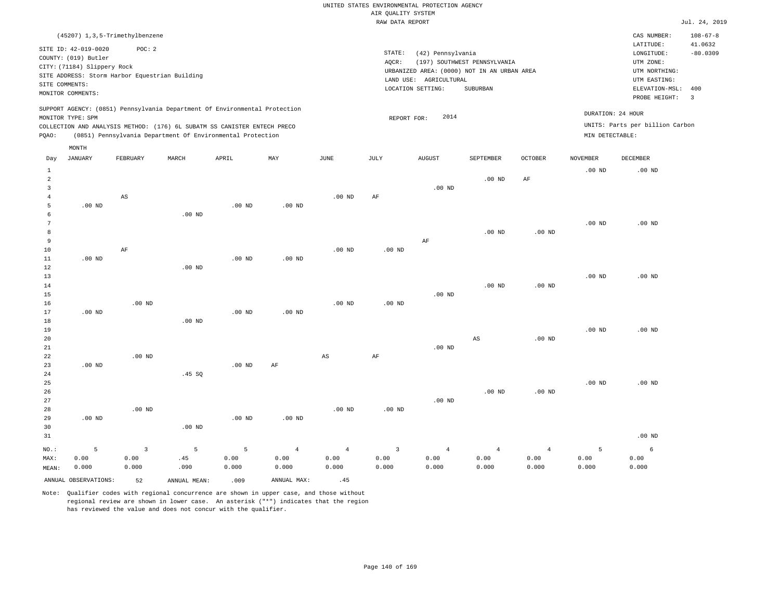|                |                             | (45207) 1,3,5-Trimethylbenzene                 |       |                                                                          |                                                                            |          |      |                                             |                              |                |                   | CAS NUMBER:                     | $108 - 67 - 8$          |
|----------------|-----------------------------|------------------------------------------------|-------|--------------------------------------------------------------------------|----------------------------------------------------------------------------|----------|------|---------------------------------------------|------------------------------|----------------|-------------------|---------------------------------|-------------------------|
|                | SITE ID: 42-019-0020        | POC:2                                          |       |                                                                          |                                                                            |          |      |                                             |                              |                |                   | LATITUDE:                       | 41.0632                 |
|                | COUNTY: (019) Butler        |                                                |       |                                                                          |                                                                            |          |      | STATE:<br>(42) Pennsylvania                 |                              |                |                   | LONGITUDE:                      | $-80.0309$              |
|                | CITY: (71184) Slippery Rock |                                                |       |                                                                          |                                                                            |          |      | AOCR:                                       | (197) SOUTHWEST PENNSYLVANIA |                |                   | UTM ZONE:                       |                         |
|                |                             | SITE ADDRESS: Storm Harbor Equestrian Building |       |                                                                          |                                                                            |          |      | URBANIZED AREA: (0000) NOT IN AN URBAN AREA |                              |                |                   | UTM NORTHING:                   |                         |
|                | SITE COMMENTS:              |                                                |       |                                                                          |                                                                            |          |      | LAND USE: AGRICULTURAL                      |                              |                |                   | UTM EASTING:                    |                         |
|                | MONITOR COMMENTS:           |                                                |       |                                                                          |                                                                            |          |      | LOCATION SETTING:                           | SUBURBAN                     |                |                   | ELEVATION-MSL:                  | 400                     |
|                |                             |                                                |       |                                                                          |                                                                            |          |      |                                             |                              |                |                   | PROBE HEIGHT:                   | $\overline{\mathbf{3}}$ |
|                | MONITOR TYPE: SPM           |                                                |       |                                                                          | SUPPORT AGENCY: (0851) Pennsylvania Department Of Environmental Protection |          |      | 2014                                        |                              |                | DURATION: 24 HOUR |                                 |                         |
|                |                             |                                                |       | COLLECTION AND ANALYSIS METHOD: (176) 6L SUBATM SS CANISTER ENTECH PRECO |                                                                            |          |      | REPORT FOR:                                 |                              |                |                   | UNITS: Parts per billion Carbon |                         |
| POAO:          |                             |                                                |       | (0851) Pennsylvania Department Of Environmental Protection               |                                                                            |          |      |                                             |                              |                | MIN DETECTABLE:   |                                 |                         |
|                |                             |                                                |       |                                                                          |                                                                            |          |      |                                             |                              |                |                   |                                 |                         |
|                | MONTH                       |                                                |       |                                                                          |                                                                            |          |      |                                             |                              |                |                   |                                 |                         |
| Day            | JANUARY                     | FEBRUARY                                       | MARCH | APRIL                                                                    | MAY                                                                        | JUNE     | JULY | <b>AUGUST</b>                               | SEPTEMBER                    | <b>OCTOBER</b> | <b>NOVEMBER</b>   | DECEMBER                        |                         |
|                |                             |                                                |       |                                                                          |                                                                            |          |      |                                             |                              |                | $.00$ ND          | $.00$ ND                        |                         |
| $\overline{2}$ |                             |                                                |       |                                                                          |                                                                            |          |      |                                             | $.00$ ND                     | AF             |                   |                                 |                         |
|                |                             |                                                |       |                                                                          |                                                                            |          |      | .00 <sub>ND</sub>                           |                              |                |                   |                                 |                         |
|                |                             | AS                                             |       |                                                                          |                                                                            | $.00$ ND | AF   |                                             |                              |                |                   |                                 |                         |
|                |                             |                                                |       |                                                                          |                                                                            |          |      |                                             |                              |                |                   |                                 |                         |

 5 6 7 8 9 10 11 12 .00 ND .00 ND AF .00 ND .00 ND .00 ND .00 ND .00 ND .00 ND .00 ND .00 ND AF .00 ND .00 ND .00 ND .00 ND

| 13          |          |          |          |          |          |          |          |          |          |          | $.00$ ND | $.00$ ND |
|-------------|----------|----------|----------|----------|----------|----------|----------|----------|----------|----------|----------|----------|
| 14          |          |          |          |          |          |          |          |          | $.00$ ND | $.00$ ND |          |          |
| 15          |          |          |          |          |          |          |          | $.00$ ND |          |          |          |          |
| 16          |          | $.00$ ND |          |          |          | $.00$ ND | $.00$ ND |          |          |          |          |          |
| 17          | $.00$ ND |          |          | $.00$ ND | $.00$ ND |          |          |          |          |          |          |          |
| $1\,8$      |          |          | $.00$ ND |          |          |          |          |          |          |          |          |          |
| 19          |          |          |          |          |          |          |          |          |          |          | $.00$ ND | $.00$ ND |
| 20          |          |          |          |          |          |          |          |          | AS       | $.00$ ND |          |          |
| $2\sqrt{1}$ |          |          |          |          |          |          |          | $.00$ ND |          |          |          |          |
| 22          |          | $.00$ ND |          |          |          | AS       | AF       |          |          |          |          |          |

| 24      |          |          | .45 SQ   |          |                |          |                |          |          |                |          |          |
|---------|----------|----------|----------|----------|----------------|----------|----------------|----------|----------|----------------|----------|----------|
| 25      |          |          |          |          |                |          |                |          |          |                | $.00$ ND | $.00$ ND |
| 26      |          |          |          |          |                |          |                |          | $.00$ ND | $.00$ ND       |          |          |
| 27      |          |          |          |          |                |          |                | $.00$ ND |          |                |          |          |
| 28      |          | $.00$ ND |          |          |                | $.00$ ND | $.00$ ND       |          |          |                |          |          |
| 29      | $.00$ ND |          |          | $.00$ ND | $.00$ ND       |          |                |          |          |                |          |          |
| 30      |          |          | $.00$ ND |          |                |          |                |          |          |                |          |          |
| 31      |          |          |          |          |                |          |                |          |          |                |          | $.00$ ND |
| $NO.$ : | 5        | 3        | 5        | 5        | $\overline{4}$ | -4       | $\overline{3}$ | 4        | 4        | $\overline{4}$ |          | 6        |

| NU.   |                      |       | $\sim$ $\sim$ $\sim$ |       |             |       |       |       | _______ |       |       |       |
|-------|----------------------|-------|----------------------|-------|-------------|-------|-------|-------|---------|-------|-------|-------|
| MAX:  | 0.00                 | 0.00  | .45                  | 0.00  | 0.00        | 0.00  | 0.00  | 0.00  | 0.00    | 0.00  | 0.00  | 0.00  |
| MEAN: | 0.000                | 0.000 | .090                 | 0.000 | 0.000       | 0.000 | 0.000 | 0.000 | 0.000   | 0.000 | 0.000 | 0.000 |
|       | ANNUAL OBSERVATIONS: | 52    | ANNUAL MEAN:         | .009  | ANNUAL MAX: |       |       |       |         |       |       |       |

Note: Qualifier codes with regional concurrence are shown in upper case, and those without regional review are shown in lower case. An asterisk ("\*") indicates that the region has reviewed the value and does not concur with the qualifier.

.00 ND AF

23

.00 ND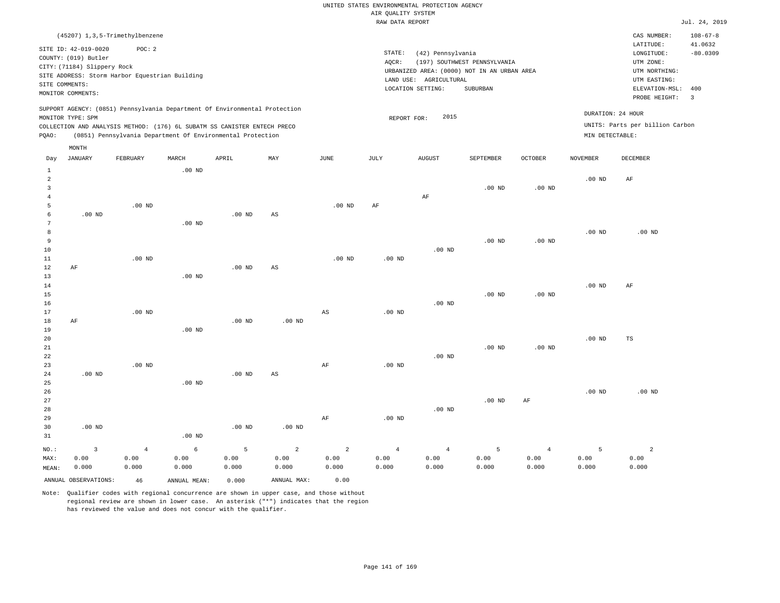|        |                                                     |                                                                            |                   |          |     |          |                                          | RAW DATA REPORT                                                       |           |                   |                 |                               | Jul. 24, 2019            |
|--------|-----------------------------------------------------|----------------------------------------------------------------------------|-------------------|----------|-----|----------|------------------------------------------|-----------------------------------------------------------------------|-----------|-------------------|-----------------|-------------------------------|--------------------------|
|        |                                                     | (45207) 1,3,5-Trimethylbenzene                                             |                   |          |     |          |                                          |                                                                       |           |                   |                 | CAS NUMBER:                   | $108 - 67 - 8$           |
|        | SITE ID: 42-019-0020                                | POC: 2                                                                     |                   |          |     |          |                                          | STATE:<br>(42) Pennsylvania                                           |           |                   |                 | LATITUDE:<br>LONGITUDE:       | 41.0632<br>$-80.0309$    |
|        | COUNTY: (019) Butler<br>CITY: (71184) Slippery Rock |                                                                            |                   |          |     |          | AQCR:                                    | UTM ZONE:                                                             |           |                   |                 |                               |                          |
|        |                                                     | SITE ADDRESS: Storm Harbor Equestrian Building                             |                   |          |     |          |                                          | URBANIZED AREA: (0000) NOT IN AN URBAN AREA<br>LAND USE: AGRICULTURAL |           |                   |                 | UTM NORTHING:<br>UTM EASTING: |                          |
|        | SITE COMMENTS:<br>MONITOR COMMENTS:                 |                                                                            |                   |          |     |          |                                          | LOCATION SETTING:                                                     | SUBURBAN  |                   |                 | ELEVATION-MSL:                | 400                      |
|        |                                                     |                                                                            |                   |          |     |          |                                          |                                                                       |           |                   |                 | PROBE HEIGHT:                 | $\overline{\phantom{a}}$ |
|        | MONITOR TYPE: SPM                                   | SUPPORT AGENCY: (0851) Pennsylvania Department Of Environmental Protection |                   |          |     |          | DURATION: 24 HOUR<br>2015<br>REPORT FOR: |                                                                       |           |                   |                 |                               |                          |
|        |                                                     | COLLECTION AND ANALYSIS METHOD: (176) 6L SUBATM SS CANISTER ENTECH PRECO   |                   |          |     |          |                                          | UNITS: Parts per billion Carbon                                       |           |                   |                 |                               |                          |
| POAO:  |                                                     | (0851) Pennsylvania Department Of Environmental Protection                 |                   |          |     |          |                                          |                                                                       |           |                   | MIN DETECTABLE: |                               |                          |
|        | MONTH                                               |                                                                            |                   |          |     |          |                                          |                                                                       |           |                   |                 |                               |                          |
| Day    | JANUARY                                             | FEBRUARY                                                                   | MARCH             | APRIL    | MAY | JUNE     | JULY                                     | <b>AUGUST</b>                                                         | SEPTEMBER | <b>OCTOBER</b>    | <b>NOVEMBER</b> | DECEMBER                      |                          |
| 2      |                                                     |                                                                            | .00 <sub>ND</sub> |          |     |          |                                          |                                                                       |           |                   | $.00$ ND        | AF                            |                          |
|        |                                                     |                                                                            |                   |          |     |          |                                          |                                                                       | $.00$ ND  | $.00$ ND          |                 |                               |                          |
| 5      |                                                     | $.00$ ND                                                                   |                   |          |     | $.00$ ND | AF                                       | AF                                                                    |           |                   |                 |                               |                          |
| 6      | $.00$ ND                                            |                                                                            |                   | $.00$ ND | AS  |          |                                          |                                                                       |           |                   |                 |                               |                          |
|        |                                                     |                                                                            | $.00$ ND          |          |     |          |                                          |                                                                       |           |                   |                 |                               |                          |
| 8<br>9 |                                                     |                                                                            |                   |          |     |          |                                          |                                                                       | $.00$ ND  | .00 <sub>ND</sub> | $.00$ ND        | $.00$ ND                      |                          |
|        |                                                     |                                                                            |                   |          |     |          |                                          |                                                                       |           |                   |                 |                               |                          |

| 5               |          | .00 $ND$       |            |                |                        | .00 $ND$       | AF             |                |          |                |                   |                |
|-----------------|----------|----------------|------------|----------------|------------------------|----------------|----------------|----------------|----------|----------------|-------------------|----------------|
| 6               | .00 $ND$ |                |            | $.00$ ND       | $\mathbb{A}\mathbb{S}$ |                |                |                |          |                |                   |                |
| $7\phantom{.0}$ |          |                | $.00$ ND   |                |                        |                |                |                |          |                |                   |                |
| 8               |          |                |            |                |                        |                |                |                |          |                | $.00~\mathrm{ND}$ | $.00$ ND       |
| 9               |          |                |            |                |                        |                |                |                | $.00$ ND | $.00$ ND       |                   |                |
| $10$            |          |                |            |                |                        |                |                | $.00$ ND       |          |                |                   |                |
| $11\,$          |          | $.00$ ND       |            |                |                        | $.00$ ND       | $.00$ ND       |                |          |                |                   |                |
| $1\,2$          | AF       |                |            | .00 $ND$       | AS                     |                |                |                |          |                |                   |                |
| $13$            |          |                | $.00$ ND   |                |                        |                |                |                |          |                |                   |                |
| 14              |          |                |            |                |                        |                |                |                |          |                | .00 $ND$          | AF             |
| 15              |          |                |            |                |                        |                |                |                | $.00$ ND | $.00$ ND       |                   |                |
| 16              |          |                |            |                |                        |                |                | $.00$ ND       |          |                |                   |                |
| $17$            |          | $.00$ ND       |            |                |                        | AS             | $.00$ ND       |                |          |                |                   |                |
| 18              | $\rm AF$ |                |            | $.00$ ND       | $.00$ ND               |                |                |                |          |                |                   |                |
| 19              |          |                | $.00$ ND   |                |                        |                |                |                |          |                |                   |                |
| 20              |          |                |            |                |                        |                |                |                |          |                | $.00$ ND          | $_{\rm TS}$    |
| $2\sqrt{1}$     |          |                |            |                |                        |                |                |                | $.00$ ND | $.00$ ND       |                   |                |
| $2\sqrt{2}$     |          |                |            |                |                        |                |                | $.00$ ND       |          |                |                   |                |
| 23              |          | .00 $ND$       |            |                |                        | $\rm{AF}$      | .00 $ND$       |                |          |                |                   |                |
| 24              | $.00$ ND |                |            | $.00$ ND       | $\mathbb{A}\mathbb{S}$ |                |                |                |          |                |                   |                |
| $2\sqrt{5}$     |          |                | $.00$ ND   |                |                        |                |                |                |          |                |                   |                |
| 26              |          |                |            |                |                        |                |                |                |          |                | .00 $ND$          | $.00$ ND       |
| $2\,7$          |          |                |            |                |                        |                |                |                | $.00$ ND | $\rm{AF}$      |                   |                |
| 28              |          |                |            |                |                        |                |                | $.00$ ND       |          |                |                   |                |
| 29              |          |                |            |                |                        | AF             | $.00$ ND       |                |          |                |                   |                |
| 30              | .00 $ND$ |                |            | $.00$ ND       | $.00$ ND               |                |                |                |          |                |                   |                |
| $3\,1$          |          |                | $.00$ ND   |                |                        |                |                |                |          |                |                   |                |
| NO.:            | 3        | $\overline{4}$ | $\epsilon$ | $\overline{5}$ | $\overline{a}$         | $\overline{2}$ | $\overline{4}$ | $\overline{4}$ | 5        | $\overline{4}$ | $\overline{5}$    | $\overline{a}$ |
| MAX:            | 0.00     | 0.00           | 0.00       | 0.00           | 0.00                   | 0.00           | 0.00           | 0.00           | 0.00     | 0.00           | 0.00              | 0.00           |
| MEAN:           | 0.000    | 0.000          | 0.000      | 0.000          | 0.000                  | 0.000          | 0.000          | 0.000          | 0.000    | 0.000          | 0.000             | 0.000          |

ANNUAL OBSERVATIONS: 46 ANNUAL MEAN: 0.000 ANNUAL MAX: 0.00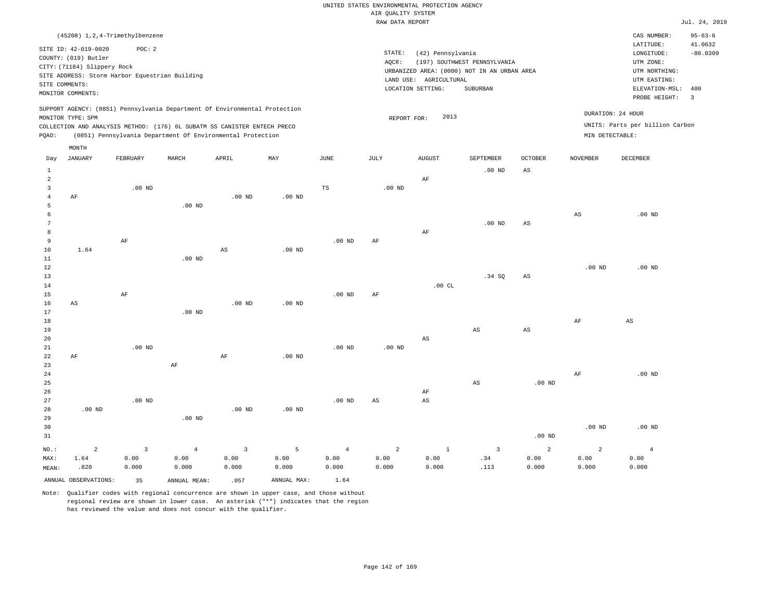|                |                                                |                         |                |                                                                            |             |                | RAW DATA REPORT        |                        |                                             |                   |                   |                                 | Jul. 24, 2019  |
|----------------|------------------------------------------------|-------------------------|----------------|----------------------------------------------------------------------------|-------------|----------------|------------------------|------------------------|---------------------------------------------|-------------------|-------------------|---------------------------------|----------------|
|                | (45208) 1, 2, 4-Trimethylbenzene               |                         |                |                                                                            |             |                |                        |                        |                                             |                   |                   | CAS NUMBER:                     | $95 - 63 - 6$  |
|                |                                                |                         |                |                                                                            |             |                |                        |                        |                                             |                   |                   | LATITUDE:                       | 41.0632        |
|                | SITE ID: 42-019-0020                           | POC: 2                  |                |                                                                            |             |                | STATE:                 | (42) Pennsylvania      |                                             |                   |                   | LONGITUDE:                      | $-80.0309$     |
|                | COUNTY: (019) Butler                           |                         |                |                                                                            |             |                | AQCR:                  |                        | (197) SOUTHWEST PENNSYLVANIA                |                   |                   | UTM ZONE:                       |                |
|                | CITY: (71184) Slippery Rock                    |                         |                |                                                                            |             |                |                        |                        | URBANIZED AREA: (0000) NOT IN AN URBAN AREA |                   |                   | UTM NORTHING:                   |                |
|                | SITE ADDRESS: Storm Harbor Equestrian Building |                         |                |                                                                            |             |                |                        | LAND USE: AGRICULTURAL |                                             |                   |                   | UTM EASTING:                    |                |
|                | SITE COMMENTS:                                 |                         |                |                                                                            |             |                |                        | LOCATION SETTING:      | SUBURBAN                                    |                   |                   | ELEVATION-MSL:                  | 400            |
|                | MONITOR COMMENTS:                              |                         |                |                                                                            |             |                |                        |                        |                                             |                   |                   | PROBE HEIGHT:                   | $\overline{3}$ |
|                |                                                |                         |                | SUPPORT AGENCY: (0851) Pennsylvania Department Of Environmental Protection |             |                |                        |                        |                                             |                   |                   |                                 |                |
|                | MONITOR TYPE: SPM                              |                         |                |                                                                            |             |                | REPORT FOR:            | 2013                   |                                             |                   |                   | DURATION: 24 HOUR               |                |
|                |                                                |                         |                | COLLECTION AND ANALYSIS METHOD: (176) 6L SUBATM SS CANISTER ENTECH PRECO   |             |                |                        |                        |                                             |                   |                   | UNITS: Parts per billion Carbon |                |
| PQAO:          |                                                |                         |                | (0851) Pennsylvania Department Of Environmental Protection                 |             |                |                        |                        |                                             |                   | MIN DETECTABLE:   |                                 |                |
|                | MONTH                                          |                         |                |                                                                            |             |                |                        |                        |                                             |                   |                   |                                 |                |
| Day            | <b>JANUARY</b>                                 | FEBRUARY                | MARCH          | APRIL                                                                      | MAY         | JUNE           | JULY                   | <b>AUGUST</b>          | SEPTEMBER                                   | <b>OCTOBER</b>    | <b>NOVEMBER</b>   | <b>DECEMBER</b>                 |                |
| $\mathbf{1}$   |                                                |                         |                |                                                                            |             |                |                        |                        | $.00$ ND                                    | AS                |                   |                                 |                |
| $\overline{a}$ |                                                |                         |                |                                                                            |             |                |                        | AF                     |                                             |                   |                   |                                 |                |
| 3              |                                                | $.00$ ND                |                |                                                                            |             | TS             | $.00$ ND               |                        |                                             |                   |                   |                                 |                |
| $\overline{4}$ | AF                                             |                         |                | $.00$ ND                                                                   | $.00$ ND    |                |                        |                        |                                             |                   |                   |                                 |                |
| 5              |                                                |                         | $.00$ ND       |                                                                            |             |                |                        |                        |                                             |                   |                   |                                 |                |
| 6              |                                                |                         |                |                                                                            |             |                |                        |                        |                                             |                   | $_{\rm AS}$       | $.00$ ND                        |                |
| 7              |                                                |                         |                |                                                                            |             |                |                        |                        | .00 <sub>ND</sub>                           | AS                |                   |                                 |                |
| 8              |                                                |                         |                |                                                                            |             |                |                        | AF                     |                                             |                   |                   |                                 |                |
| 9              |                                                | AF                      |                |                                                                            |             | $.00$ ND       | AF                     |                        |                                             |                   |                   |                                 |                |
| 10             | 1.64                                           |                         |                | $\mathbb{A}\mathbb{S}$                                                     | $.00$ ND    |                |                        |                        |                                             |                   |                   |                                 |                |
| 11             |                                                |                         | $.00$ ND       |                                                                            |             |                |                        |                        |                                             |                   |                   |                                 |                |
| 12             |                                                |                         |                |                                                                            |             |                |                        |                        |                                             |                   | .00 <sub>ND</sub> | $.00$ ND                        |                |
| 13             |                                                |                         |                |                                                                            |             |                |                        |                        | .34 SQ                                      | AS                |                   |                                 |                |
| 14             |                                                |                         |                |                                                                            |             |                |                        | .00CL                  |                                             |                   |                   |                                 |                |
| 15             |                                                | AF                      |                |                                                                            |             | $.00$ ND       | AF                     |                        |                                             |                   |                   |                                 |                |
| 16             | AS                                             |                         |                | $.00$ ND                                                                   | $.00$ ND    |                |                        |                        |                                             |                   |                   |                                 |                |
| 17             |                                                |                         | $.00$ ND       |                                                                            |             |                |                        |                        |                                             |                   |                   |                                 |                |
| 18             |                                                |                         |                |                                                                            |             |                |                        |                        |                                             |                   | AF                | $\mathbb{A}\mathbb{S}$          |                |
| 19             |                                                |                         |                |                                                                            |             |                |                        |                        | $_{\rm AS}$                                 | AS                |                   |                                 |                |
| 20             |                                                |                         |                |                                                                            |             |                |                        | $\mathbb{A}\mathbb{S}$ |                                             |                   |                   |                                 |                |
| 21             |                                                | $.00$ ND                |                |                                                                            |             | $.00$ ND       | .00 <sub>ND</sub>      |                        |                                             |                   |                   |                                 |                |
| 22             | AF                                             |                         |                | AF                                                                         | $.00$ ND    |                |                        |                        |                                             |                   |                   |                                 |                |
| 23<br>24       |                                                |                         | $\rm AF$       |                                                                            |             |                |                        |                        |                                             |                   | AF                | $.00$ ND                        |                |
| 25             |                                                |                         |                |                                                                            |             |                |                        |                        | AS                                          | .00 <sub>ND</sub> |                   |                                 |                |
| 26             |                                                |                         |                |                                                                            |             |                |                        | AF                     |                                             |                   |                   |                                 |                |
| 27             |                                                | $.00$ ND                |                |                                                                            |             | $.00$ ND       | $\mathbb{A}\mathbb{S}$ | $\mathbb{A}\mathbb{S}$ |                                             |                   |                   |                                 |                |
| 28             | $.00$ ND                                       |                         |                | $.00$ ND                                                                   | $.00$ ND    |                |                        |                        |                                             |                   |                   |                                 |                |
| 29             |                                                |                         | $.00$ ND       |                                                                            |             |                |                        |                        |                                             |                   |                   |                                 |                |
| 30             |                                                |                         |                |                                                                            |             |                |                        |                        |                                             |                   | .00 <sub>ND</sub> | $.00$ ND                        |                |
| 31             |                                                |                         |                |                                                                            |             |                |                        |                        |                                             | .00 <sub>ND</sub> |                   |                                 |                |
|                |                                                |                         |                |                                                                            |             |                |                        |                        |                                             |                   |                   |                                 |                |
| NO.:           | $\overline{a}$                                 | $\overline{\mathbf{3}}$ | $\overline{4}$ | $\overline{\mathbf{3}}$                                                    | 5           | $\overline{4}$ | $\overline{a}$         | $\mathbf{1}$           | $\overline{\mathbf{3}}$                     | 2                 | $\overline{a}$    | $\overline{4}$                  |                |
| MAX:           | 1.64                                           | 0.00                    | 0.00           | 0.00                                                                       | 0.00        | 0.00           | 0.00                   | 0.00                   | .34                                         | 0.00              | 0.00              | 0.00                            |                |
| MEAN:          | .820                                           | 0.000                   | 0.000          | 0.000                                                                      | 0.000       | 0.000          | 0.000                  | 0.000                  | .113                                        | 0.000             | 0.000             | 0.000                           |                |
|                | ANNUAL OBSERVATIONS:                           | 35                      | ANNUAL MEAN:   | .057                                                                       | ANNUAL MAX: | 1.64           |                        |                        |                                             |                   |                   |                                 |                |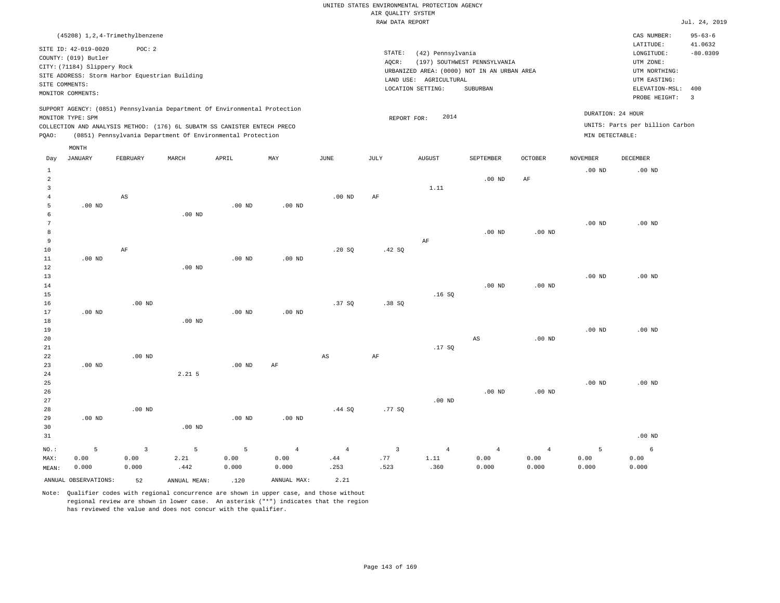|                                                                                                                                                                                                                                                             | (45208) 1, 2, 4-Trimethylbenzene                                                                                                                                     |          |       |       |     |      |       |                                                                                                                              |                                          |         |                                      | CAS NUMBER:                                                                                                  | $95 - 63 - 6$                                    |
|-------------------------------------------------------------------------------------------------------------------------------------------------------------------------------------------------------------------------------------------------------------|----------------------------------------------------------------------------------------------------------------------------------------------------------------------|----------|-------|-------|-----|------|-------|------------------------------------------------------------------------------------------------------------------------------|------------------------------------------|---------|--------------------------------------|--------------------------------------------------------------------------------------------------------------|--------------------------------------------------|
|                                                                                                                                                                                                                                                             | SITE ID: 42-019-0020<br>COUNTY: (019) Butler<br>CITY: (71184) Slippery Rock<br>SITE ADDRESS: Storm Harbor Equestrian Building<br>SITE COMMENTS:<br>MONITOR COMMENTS: | POC: 2   |       |       |     |      | AOCR: | STATE:<br>(42) Pennsylvania<br>URBANIZED AREA: (0000) NOT IN AN URBAN AREA<br>AGRICULTURAL<br>LAND USE:<br>LOCATION SETTING: | (197) SOUTHWEST PENNSYLVANIA<br>SUBURBAN |         |                                      | LATITUDE:<br>LONGITUDE:<br>UTM ZONE:<br>UTM NORTHING:<br>UTM EASTING:<br>ELEVATION-MSL: 400<br>PROBE HEIGHT: | 41.0632<br>$-80.0309$<br>$\overline{\mathbf{3}}$ |
| SUPPORT AGENCY: (0851) Pennsylvania Department Of Environmental Protection<br>MONITOR TYPE: SPM<br>COLLECTION AND ANALYSIS METHOD: (176) 6L SUBATM SS CANISTER ENTECH PRECO<br>(0851) Pennsylvania Department Of Environmental Protection<br>POAO:<br>MONTH |                                                                                                                                                                      |          |       |       |     |      |       | 2014<br>REPORT FOR:                                                                                                          |                                          |         | DURATION: 24 HOUR<br>MIN DETECTABLE: | UNITS: Parts per billion Carbon                                                                              |                                                  |
| Day                                                                                                                                                                                                                                                         | JANUARY                                                                                                                                                              | FEBRUARY | MARCH | APRIL | MAY | JUNE | JULY  | AUGUST                                                                                                                       | SEPTEMBER                                | OCTOBER | <b>NOVEMBER</b>                      | DECEMBER                                                                                                     |                                                  |

| 1<br>$\overline{\mathbf{c}}$ |                |                         |                |          |                                 |             |                |            | $.00$ ND               | $\rm{AF}$      | $.00$ ND | .00 $ND$ |
|------------------------------|----------------|-------------------------|----------------|----------|---------------------------------|-------------|----------------|------------|------------------------|----------------|----------|----------|
| 3                            |                |                         |                |          |                                 |             |                | 1.11       |                        |                |          |          |
| $\overline{4}$               |                | $\mathbb{A}\mathbb{S}$  |                |          |                                 | $.00$ ND    | $\rm{AF}$      |            |                        |                |          |          |
| 5                            | $.00$ ND       |                         |                | $.00$ ND | .00 $ND$                        |             |                |            |                        |                |          |          |
| 6                            |                |                         | $.00$ ND       |          |                                 |             |                |            |                        |                |          |          |
| 7                            |                |                         |                |          |                                 |             |                |            |                        |                | $.00$ ND | $.00$ ND |
| 8                            |                |                         |                |          |                                 |             |                |            | $.00$ ND               | $.00$ ND       |          |          |
| 9                            |                |                         |                |          |                                 |             |                | $\rm{AF}$  |                        |                |          |          |
| 10                           |                | $\rm AF$                |                |          |                                 | .20 SQ      | .42 SQ         |            |                        |                |          |          |
| $11\,$                       | $.00$ ND       |                         |                | $.00$ ND | $.00$ ND                        |             |                |            |                        |                |          |          |
| 12                           |                |                         | $.00$ ND       |          |                                 |             |                |            |                        |                |          |          |
| 13                           |                |                         |                |          |                                 |             |                |            |                        |                | $.00$ ND | $.00$ ND |
| $14$                         |                |                         |                |          |                                 |             |                |            | $.00$ ND               | $.00$ ND       |          |          |
| 15                           |                |                         |                |          |                                 |             |                | .16SQ      |                        |                |          |          |
| 16                           |                | $.00$ ND                |                |          |                                 | .37SQ       | .38SQ          |            |                        |                |          |          |
| 17                           | .00 $ND$       |                         |                | .00 $ND$ | $.00$ ND                        |             |                |            |                        |                |          |          |
| 18                           |                |                         | .00 $ND$       |          |                                 |             |                |            |                        |                |          |          |
| 19                           |                |                         |                |          |                                 |             |                |            |                        |                | $.00$ ND | $.00$ ND |
| 20                           |                |                         |                |          |                                 |             |                |            | $\mathbb{A}\mathbb{S}$ | $.00$ ND       |          |          |
| 21                           |                |                         |                |          |                                 |             |                | .17 SQ     |                        |                |          |          |
| 22                           |                | $.00$ ND                |                |          |                                 | $_{\rm AS}$ | $\rm AF$       |            |                        |                |          |          |
| 23                           | $.00$ ND       |                         |                | $.00$ ND | $\rm AF$                        |             |                |            |                        |                |          |          |
| 24                           |                |                         | $2.21$ 5       |          |                                 |             |                |            |                        |                |          |          |
| 25                           |                |                         |                |          |                                 |             |                |            |                        |                | $.00$ ND | $.00$ ND |
| 26                           |                |                         |                |          |                                 |             |                |            | $.00$ ND               | .00 $ND$       |          |          |
| 27                           |                |                         |                |          |                                 |             |                | $.00$ ND   |                        |                |          |          |
| 28                           |                | $.00$ ND                |                |          |                                 | .44 SQ      | .77 SQ         |            |                        |                |          |          |
| 29                           | $.00$ ND       |                         |                | $.00$ ND | $.00$ ND                        |             |                |            |                        |                |          |          |
| 30                           |                |                         | $.00$ ND       |          |                                 |             |                |            |                        |                |          |          |
| 31                           |                |                         |                |          |                                 |             |                |            |                        |                |          | $.00$ ND |
| $_{\rm NO.}$ :               | $\overline{5}$ | $\overline{\mathbf{3}}$ | $\overline{5}$ | 5        | $\overline{4}$                  | $\sqrt{4}$  | $\overline{3}$ | $\sqrt{4}$ | $\overline{4}$         | $\overline{4}$ | 5        | 6        |
| MAX:                         | 0.00           | 0.00                    | 2.21           | 0.00     | ${\bf 0}$ . ${\bf 0}$ ${\bf 0}$ | .44         | $\sqrt{77}$    | 1.11       | 0.00                   | 0.00           | 0.00     | 0.00     |
| MEAN:                        | 0.000          | 0.000                   | .442           | 0.000    | 0.000                           | .253        | .523           | .360       | 0.000                  | 0.000          | 0.000    | 0.000    |

ANNUAL OBSERVATIONS: 52 ANNUAL MEAN: .120 ANNUAL MAX: 2.21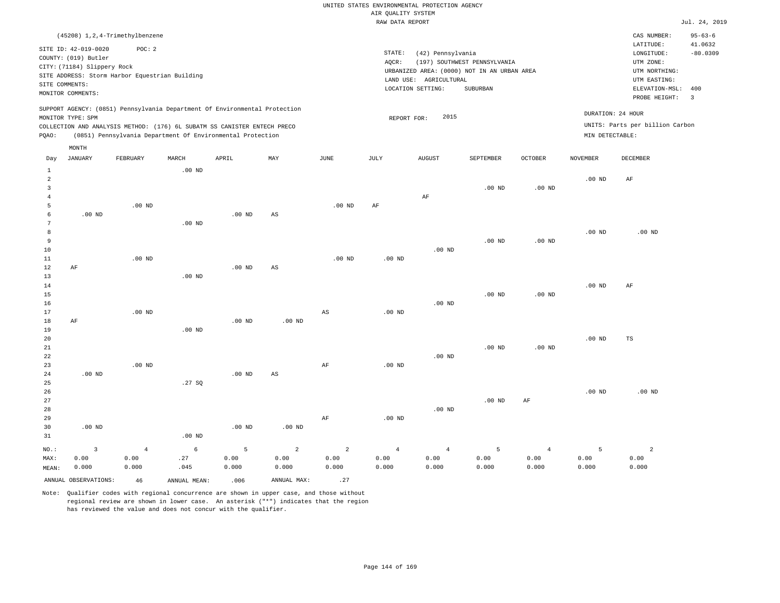|       |                             |                                                                                                                                                                                                                      |          |          |     |          |        | RAW DATA REPORT                             |                              |          |                 |                                                      | Jul. 24, 2019            |
|-------|-----------------------------|----------------------------------------------------------------------------------------------------------------------------------------------------------------------------------------------------------------------|----------|----------|-----|----------|--------|---------------------------------------------|------------------------------|----------|-----------------|------------------------------------------------------|--------------------------|
|       |                             | (45208) 1, 2, 4-Trimethylbenzene                                                                                                                                                                                     |          |          |     |          |        |                                             |                              |          |                 | CAS NUMBER:                                          | $95 - 63 - 6$            |
|       |                             |                                                                                                                                                                                                                      |          |          |     |          |        |                                             |                              |          |                 | LATITUDE:                                            | 41.0632                  |
|       | SITE ID: 42-019-0020        | POC:2                                                                                                                                                                                                                |          |          |     |          | STATE: | (42) Pennsylvania                           |                              |          |                 | LONGITUDE:                                           | $-80.0309$               |
|       | COUNTY: (019) Butler        |                                                                                                                                                                                                                      |          |          |     |          | AOCR:  |                                             | (197) SOUTHWEST PENNSYLVANIA |          |                 | UTM ZONE:                                            |                          |
|       | CITY: (71184) Slippery Rock |                                                                                                                                                                                                                      |          |          |     |          |        | URBANIZED AREA: (0000) NOT IN AN URBAN AREA |                              |          |                 | UTM NORTHING:                                        |                          |
|       |                             | SITE ADDRESS: Storm Harbor Equestrian Building                                                                                                                                                                       |          |          |     |          |        | LAND USE: AGRICULTURAL                      |                              |          |                 | UTM EASTING:                                         |                          |
|       | SITE COMMENTS:              |                                                                                                                                                                                                                      |          |          |     |          |        | LOCATION SETTING:                           | SUBURBAN                     |          |                 | ELEVATION-MSL:                                       | 400                      |
|       | MONITOR COMMENTS:           |                                                                                                                                                                                                                      |          |          |     |          |        |                                             |                              |          |                 | PROBE HEIGHT:                                        | $\overline{\phantom{a}}$ |
| POAO: | MONITOR TYPE: SPM           | SUPPORT AGENCY: (0851) Pennsylvania Department Of Environmental Protection<br>COLLECTION AND ANALYSIS METHOD: (176) 6L SUBATM SS CANISTER ENTECH PRECO<br>(0851) Pennsylvania Department Of Environmental Protection |          |          |     |          |        | 2015<br>REPORT FOR:                         |                              |          | MIN DETECTABLE: | DURATION: 24 HOUR<br>UNITS: Parts per billion Carbon |                          |
|       | MONTH                       |                                                                                                                                                                                                                      |          |          |     |          |        |                                             |                              |          |                 |                                                      |                          |
| Day   | JANUARY                     | FEBRUARY                                                                                                                                                                                                             | MARCH    | APRIL    | MAY | JUNE     | JULY   | AUGUST                                      | <b>SEPTEMBER</b>             | OCTOBER  | <b>NOVEMBER</b> | DECEMBER                                             |                          |
|       |                             |                                                                                                                                                                                                                      | $.00$ ND |          |     |          |        |                                             |                              |          |                 |                                                      |                          |
| 2     |                             |                                                                                                                                                                                                                      |          |          |     |          |        |                                             |                              |          | $.00$ ND        | AF                                                   |                          |
|       |                             |                                                                                                                                                                                                                      |          |          |     |          |        |                                             | $.00$ ND                     | $.00$ ND |                 |                                                      |                          |
|       |                             |                                                                                                                                                                                                                      |          |          |     |          |        | AF                                          |                              |          |                 |                                                      |                          |
|       |                             | $.00$ ND                                                                                                                                                                                                             |          |          |     | $.00$ ND | AF     |                                             |                              |          |                 |                                                      |                          |
|       | $.00$ ND                    |                                                                                                                                                                                                                      |          | $.00$ ND | AS  |          |        |                                             |                              |          |                 |                                                      |                          |
|       |                             |                                                                                                                                                                                                                      | $.00$ ND |          |     |          |        |                                             |                              |          |                 |                                                      |                          |
| 8     |                             |                                                                                                                                                                                                                      |          |          |     |          |        |                                             |                              |          | $.00$ ND        | .00 <sub>ND</sub>                                    |                          |

| 9  |           |          |          |          |    |          |          |          | $.00$ ND | .00 <sub>ND</sub> |          |    |  |
|----|-----------|----------|----------|----------|----|----------|----------|----------|----------|-------------------|----------|----|--|
| 10 |           |          |          |          |    |          |          | $.00$ ND |          |                   |          |    |  |
| 11 |           | $.00$ ND |          |          |    | $.00$ ND | $.00$ ND |          |          |                   |          |    |  |
| 12 | $\rm{AF}$ |          |          | $.00$ ND | AS |          |          |          |          |                   |          |    |  |
| 13 |           |          | $.00$ ND |          |    |          |          |          |          |                   |          |    |  |
| 14 |           |          |          |          |    |          |          |          |          |                   | $.00$ ND | AF |  |

.00 ND

.00 ND

| 16          |    |                   |          |          |          |    |          | $.00$ ND |          |          |          |    |
|-------------|----|-------------------|----------|----------|----------|----|----------|----------|----------|----------|----------|----|
| 17          |    | $.00$ ND          |          |          |          | AS | $.00$ ND |          |          |          |          |    |
| 18          | AF |                   |          | $.00$ ND | $.00$ ND |    |          |          |          |          |          |    |
| 19          |    |                   | $.00$ ND |          |          |    |          |          |          |          |          |    |
| 20          |    |                   |          |          |          |    |          |          |          |          | $.00$ ND | TS |
| 21          |    |                   |          |          |          |    |          |          | $.00$ ND | $.00$ ND |          |    |
| $2\sqrt{2}$ |    |                   |          |          |          |    |          | $.00$ ND |          |          |          |    |
| 23          |    | .00 <sub>ND</sub> |          |          |          | AF | $.00$ ND |          |          |          |          |    |

| 24 | $.00$ ND |          | $.00$ ND | AS       |    |          |          |          |    |          |          |
|----|----------|----------|----------|----------|----|----------|----------|----------|----|----------|----------|
| 25 |          | .27SQ    |          |          |    |          |          |          |    |          |          |
| 26 |          |          |          |          |    |          |          |          |    | $.00$ ND | $.00$ ND |
| 27 |          |          |          |          |    |          |          | $.00$ ND | AF |          |          |
| 28 |          |          |          |          |    |          | $.00$ ND |          |    |          |          |
| 29 |          |          |          |          | AF | $.00$ ND |          |          |    |          |          |
| 30 | $.00$ ND |          | $.00$ ND | $.00$ ND |    |          |          |          |    |          |          |
| 31 |          | $.00$ ND |          |          |    |          |          |          |    |          |          |

| NO.:  |                         |       | $\begin{array}{ccccccccccccccccccccc} 3 & 4 & 6 & 5 & 2 & 2 & 4 & 4 & 5 \end{array}$ |       |             |       |       |       |       | 4     |       |       |
|-------|-------------------------|-------|--------------------------------------------------------------------------------------|-------|-------------|-------|-------|-------|-------|-------|-------|-------|
| MAX:  | 0.00                    | 0.00  | .27                                                                                  | 0.00  | 0.00        | 0.00  | 0.00  | 0.00  | 0.00  | 0.00  | 0.00  | 0.00  |
| MEAN: | 0.000                   | 0.000 | .045                                                                                 | 0.000 | 0.000       | 0.000 | 0.000 | 0.000 | 0.000 | 0.000 | 0.000 | 0.000 |
|       | ANNUAL OBSERVATIONS: 46 |       | ANNUAL MEAN:                                                                         | .006  | ANNUAL MAX: | .27   |       |       |       |       |       |       |

Note: Qualifier codes with regional concurrence are shown in upper case, and those without regional review are shown in lower case. An asterisk ("\*") indicates that the region has reviewed the value and does not concur with the qualifier.

15

24

.00 ND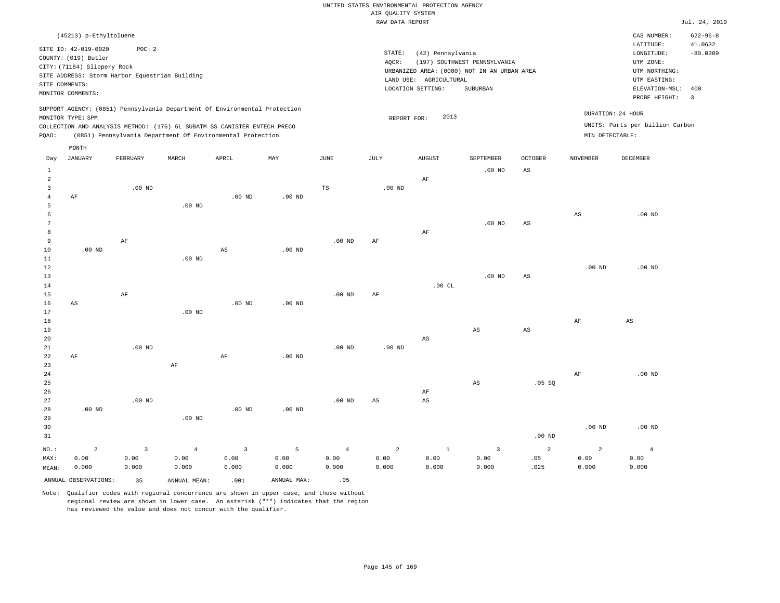|                                |                                                                             |                                                |                        |                                                                            |                   |                        | RAW DATA REPORT        |                        |                                                                             |                   |                        |                                                       | Jul. 24, 2019         |
|--------------------------------|-----------------------------------------------------------------------------|------------------------------------------------|------------------------|----------------------------------------------------------------------------|-------------------|------------------------|------------------------|------------------------|-----------------------------------------------------------------------------|-------------------|------------------------|-------------------------------------------------------|-----------------------|
|                                | (45213) p-Ethyltoluene                                                      |                                                |                        |                                                                            |                   |                        |                        |                        |                                                                             |                   |                        | CAS NUMBER:                                           | $622 - 96 - 8$        |
|                                | SITE ID: 42-019-0020<br>COUNTY: (019) Butler<br>CITY: (71184) Slippery Rock | POC: 2                                         |                        |                                                                            |                   |                        | STATE:<br>AQCR:        | (42) Pennsylvania      | (197) SOUTHWEST PENNSYLVANIA<br>URBANIZED AREA: (0000) NOT IN AN URBAN AREA |                   |                        | LATITUDE:<br>LONGITUDE:<br>UTM ZONE:<br>UTM NORTHING: | 41.0632<br>$-80.0309$ |
| SITE COMMENTS:                 |                                                                             | SITE ADDRESS: Storm Harbor Equestrian Building |                        |                                                                            |                   |                        |                        | LAND USE: AGRICULTURAL |                                                                             |                   |                        | UTM EASTING:                                          |                       |
|                                | MONITOR COMMENTS:                                                           |                                                |                        |                                                                            |                   |                        |                        | LOCATION SETTING:      | SUBURBAN                                                                    |                   |                        | ELEVATION-MSL: 400<br>PROBE HEIGHT:                   | $\overline{3}$        |
|                                |                                                                             |                                                |                        | SUPPORT AGENCY: (0851) Pennsylvania Department Of Environmental Protection |                   |                        |                        |                        |                                                                             |                   |                        |                                                       |                       |
|                                | MONITOR TYPE: SPM                                                           |                                                |                        |                                                                            |                   |                        | REPORT FOR:            | 2013                   |                                                                             |                   |                        | DURATION: 24 HOUR                                     |                       |
|                                |                                                                             |                                                |                        | COLLECTION AND ANALYSIS METHOD: (176) 6L SUBATM SS CANISTER ENTECH PRECO   |                   |                        |                        |                        |                                                                             |                   |                        | UNITS: Parts per billion Carbon                       |                       |
| PQAO:                          |                                                                             |                                                |                        | (0851) Pennsylvania Department Of Environmental Protection                 |                   |                        |                        |                        |                                                                             |                   | MIN DETECTABLE:        |                                                       |                       |
|                                | MONTH                                                                       |                                                |                        |                                                                            |                   |                        |                        |                        |                                                                             |                   |                        |                                                       |                       |
| Day                            | <b>JANUARY</b>                                                              | FEBRUARY                                       | MARCH                  | APRIL                                                                      | MAY               | $_{\rm JUNE}$          | JULY                   | <b>AUGUST</b>          | SEPTEMBER                                                                   | <b>OCTOBER</b>    | <b>NOVEMBER</b>        | DECEMBER                                              |                       |
| $\mathbf{1}$                   |                                                                             |                                                |                        |                                                                            |                   |                        |                        |                        | $.00$ ND                                                                    | $_{\rm AS}$       |                        |                                                       |                       |
| $\overline{a}$<br>$\mathbf{3}$ |                                                                             | $.00$ ND                                       |                        |                                                                            |                   | $_{\rm TS}$            | $.00$ ND               | AF                     |                                                                             |                   |                        |                                                       |                       |
| $\overline{4}$                 | AF                                                                          |                                                |                        | $.00$ ND                                                                   | $.00$ ND          |                        |                        |                        |                                                                             |                   |                        |                                                       |                       |
| 5                              |                                                                             |                                                | .00 <sub>ND</sub>      |                                                                            |                   |                        |                        |                        |                                                                             |                   |                        |                                                       |                       |
| 6                              |                                                                             |                                                |                        |                                                                            |                   |                        |                        |                        |                                                                             |                   | $_{\rm AS}$            | $.00$ ND                                              |                       |
| 7<br>8                         |                                                                             |                                                |                        |                                                                            |                   |                        |                        |                        | $.00$ ND                                                                    | AS                |                        |                                                       |                       |
| 9                              |                                                                             | $\rm AF$                                       |                        |                                                                            |                   | .00 <sub>ND</sub>      | $\rm{AF}$              | AF                     |                                                                             |                   |                        |                                                       |                       |
| 10                             | $.00$ ND                                                                    |                                                |                        | AS                                                                         | $.00$ ND          |                        |                        |                        |                                                                             |                   |                        |                                                       |                       |
| 11                             |                                                                             |                                                | .00 <sub>ND</sub>      |                                                                            |                   |                        |                        |                        |                                                                             |                   |                        |                                                       |                       |
| 12                             |                                                                             |                                                |                        |                                                                            |                   |                        |                        |                        |                                                                             |                   | .00 <sub>ND</sub>      | .00 <sub>ND</sub>                                     |                       |
| 13<br>14                       |                                                                             |                                                |                        |                                                                            |                   |                        |                        | .00CL                  | $.00$ ND                                                                    | $_{\rm AS}$       |                        |                                                       |                       |
| 15                             |                                                                             | AF                                             |                        |                                                                            |                   | $.00$ ND               | AF                     |                        |                                                                             |                   |                        |                                                       |                       |
| 16                             | AS                                                                          |                                                |                        | $.00$ ND                                                                   | $.00$ ND          |                        |                        |                        |                                                                             |                   |                        |                                                       |                       |
| 17                             |                                                                             |                                                | $.00$ ND               |                                                                            |                   |                        |                        |                        |                                                                             |                   |                        |                                                       |                       |
| 18                             |                                                                             |                                                |                        |                                                                            |                   |                        |                        |                        |                                                                             |                   | AF                     | $\mathbb{A}\mathbb{S}$                                |                       |
| 19<br>20                       |                                                                             |                                                |                        |                                                                            |                   |                        |                        | $\mathbb{A}\mathbb{S}$ | AS                                                                          | AS                |                        |                                                       |                       |
| 21                             |                                                                             | $.00$ ND                                       |                        |                                                                            |                   | $.00$ ND               | $.00$ ND               |                        |                                                                             |                   |                        |                                                       |                       |
| 22                             | AF                                                                          |                                                |                        | AF                                                                         | .00 <sub>ND</sub> |                        |                        |                        |                                                                             |                   |                        |                                                       |                       |
| 23                             |                                                                             |                                                | $\rm AF$               |                                                                            |                   |                        |                        |                        |                                                                             |                   |                        |                                                       |                       |
| 24<br>25                       |                                                                             |                                                |                        |                                                                            |                   |                        |                        |                        | $_{\rm AS}$                                                                 | .05 SQ            | AF                     | $.00$ ND                                              |                       |
| 26                             |                                                                             |                                                |                        |                                                                            |                   |                        |                        | AF                     |                                                                             |                   |                        |                                                       |                       |
| 27                             |                                                                             | $.00$ ND                                       |                        |                                                                            |                   | $.00$ ND               | $\mathbb{A}\mathbb{S}$ | AS                     |                                                                             |                   |                        |                                                       |                       |
| 28                             | .00 <sub>ND</sub>                                                           |                                                |                        | $.00$ ND                                                                   | $.00$ ND          |                        |                        |                        |                                                                             |                   |                        |                                                       |                       |
| 29                             |                                                                             |                                                | $.00$ ND               |                                                                            |                   |                        |                        |                        |                                                                             |                   |                        |                                                       |                       |
| 30<br>31                       |                                                                             |                                                |                        |                                                                            |                   |                        |                        |                        |                                                                             | .00 <sub>ND</sub> | .00 <sub>ND</sub>      | $.00$ ND                                              |                       |
|                                |                                                                             |                                                |                        |                                                                            |                   |                        |                        |                        |                                                                             |                   |                        |                                                       |                       |
| NO.:<br>MAX:                   | $\overline{a}$<br>0.00                                                      | $\overline{3}$<br>0.00                         | $\overline{4}$<br>0.00 | $\overline{3}$<br>0.00                                                     | 5<br>0.00         | $\overline{4}$<br>0.00 | $\overline{a}$<br>0.00 | $\mathbf{1}$<br>0.00   | $\overline{3}$<br>0.00                                                      | 2<br>.05          | $\overline{a}$<br>0.00 | $\overline{4}$<br>0.00                                |                       |
| MEAN:                          | 0.000                                                                       | 0.000                                          | 0.000                  | 0.000                                                                      | 0.000             | 0.000                  | 0.000                  | 0.000                  | 0.000                                                                       | .025              | 0.000                  | 0.000                                                 |                       |
|                                | ANNUAL OBSERVATIONS:                                                        | 35                                             | ANNUAL MEAN:           | .001                                                                       | ANNUAL MAX:       | .05                    |                        |                        |                                                                             |                   |                        |                                                       |                       |
|                                |                                                                             |                                                |                        |                                                                            |                   |                        |                        |                        |                                                                             |                   |                        |                                                       |                       |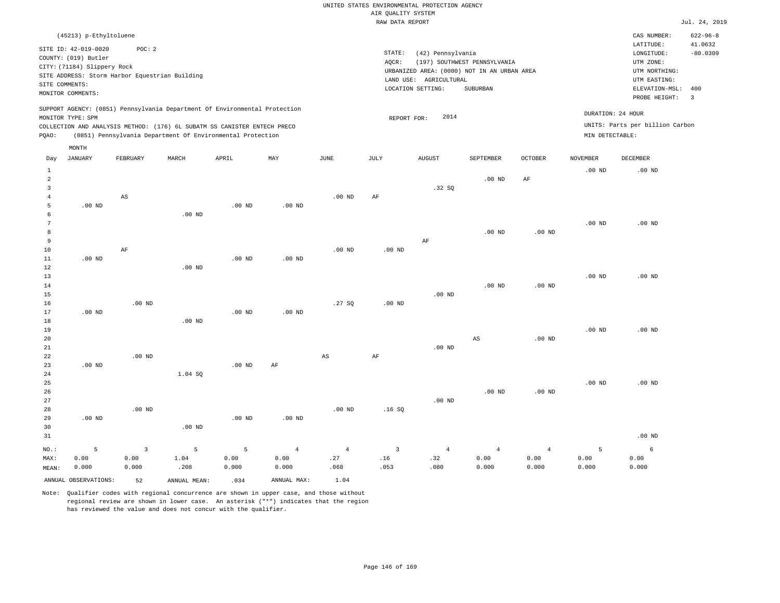| (45213) p-Ethyltoluene                                                                                                                                                      |                   |                                                            |     |      |        |                           |                                             |         |                 | CAS NUMBER:                                          | $622 - 96 - 8$ |
|-----------------------------------------------------------------------------------------------------------------------------------------------------------------------------|-------------------|------------------------------------------------------------|-----|------|--------|---------------------------|---------------------------------------------|---------|-----------------|------------------------------------------------------|----------------|
| SITE ID: 42-019-0020                                                                                                                                                        | POC:2             |                                                            |     |      |        |                           |                                             |         |                 | LATITUDE:                                            | 41.0632        |
| COUNTY: (019) Butler                                                                                                                                                        |                   |                                                            |     |      | STATE: | (42) Pennsylvania         |                                             |         |                 | LONGITUDE:                                           | $-80.0309$     |
|                                                                                                                                                                             |                   |                                                            |     |      | AQCR:  |                           | (197) SOUTHWEST PENNSYLVANIA                |         |                 | UTM ZONE:                                            |                |
| CITY: (71184) Slippery Rock<br>SITE ADDRESS: Storm Harbor Equestrian Building                                                                                               |                   |                                                            |     |      |        |                           | URBANIZED AREA: (0000) NOT IN AN URBAN AREA |         |                 | UTM NORTHING:                                        |                |
| SITE COMMENTS:                                                                                                                                                              |                   |                                                            |     |      |        | LAND USE:<br>AGRICULTURAL |                                             |         |                 | UTM EASTING:                                         |                |
| MONITOR COMMENTS:                                                                                                                                                           |                   |                                                            |     |      |        | LOCATION SETTING:         | SUBURBAN                                    |         |                 | ELEVATION-MSL:                                       | 400            |
|                                                                                                                                                                             |                   |                                                            |     |      |        |                           |                                             |         |                 | PROBE HEIGHT:                                        | -3             |
| SUPPORT AGENCY: (0851) Pennsylvania Department Of Environmental Protection<br>MONITOR TYPE: SPM<br>COLLECTION AND ANALYSIS METHOD: (176) 6L SUBATM SS CANISTER ENTECH PRECO |                   |                                                            |     |      |        | 2014<br>REPORT FOR:       |                                             |         |                 | DURATION: 24 HOUR<br>UNITS: Parts per billion Carbon |                |
| POAO:                                                                                                                                                                       |                   | (0851) Pennsylvania Department Of Environmental Protection |     |      |        |                           |                                             |         | MIN DETECTABLE: |                                                      |                |
| MONTH                                                                                                                                                                       |                   |                                                            |     |      |        |                           |                                             |         |                 |                                                      |                |
| JANUARY<br>Day                                                                                                                                                              | FEBRUARY<br>MARCH | APRIL                                                      | MAY | JUNE | JULY   | <b>AUGUST</b>             | SEPTEMBER                                   | OCTOBER | NOVEMBER        | DECEMBER                                             |                |
|                                                                                                                                                                             |                   |                                                            |     |      |        |                           |                                             |         | $.00$ ND        | $.00$ ND                                             |                |
| $\overline{2}$                                                                                                                                                              |                   |                                                            |     |      |        |                           | $.00$ ND                                    | AF      |                 |                                                      |                |

| 3           |          |                         |          |                   |                   |                        |                | .32 SQ         |                |                |                   |            |
|-------------|----------|-------------------------|----------|-------------------|-------------------|------------------------|----------------|----------------|----------------|----------------|-------------------|------------|
| 4           |          | AS                      |          |                   |                   | $.00$ ND               | AF             |                |                |                |                   |            |
| 5           | $.00$ ND |                         |          | $.00$ ND          | $.00$ ND          |                        |                |                |                |                |                   |            |
| 6           |          |                         | $.00$ ND |                   |                   |                        |                |                |                |                |                   |            |
| 7           |          |                         |          |                   |                   |                        |                |                |                |                | .00 $ND$          | $.00$ ND   |
| 8           |          |                         |          |                   |                   |                        |                |                | $.00$ ND       | $.00$ ND       |                   |            |
| 9           |          |                         |          |                   |                   |                        |                | $\rm AF$       |                |                |                   |            |
| $10$        |          | $\rm AF$                |          |                   |                   | $.00$ ND               | $.00$ ND       |                |                |                |                   |            |
| 11          | $.00$ ND |                         |          | $.00$ ND          | .00 <sub>ND</sub> |                        |                |                |                |                |                   |            |
| 12          |          |                         | $.00$ ND |                   |                   |                        |                |                |                |                |                   |            |
| 13          |          |                         |          |                   |                   |                        |                |                |                |                | $.00$ ND          | $.00$ ND   |
| 14          |          |                         |          |                   |                   |                        |                |                | $.00$ ND       | $.00$ ND       |                   |            |
| 15          |          |                         |          |                   |                   |                        |                | .00 $ND$       |                |                |                   |            |
| 16<br>17    | $.00$ ND | $.00$ ND                |          | $.00$ ND          | .00 <sub>ND</sub> | .27SQ                  | .00 $ND$       |                |                |                |                   |            |
| 18          |          |                         | $.00$ ND |                   |                   |                        |                |                |                |                |                   |            |
| 19          |          |                         |          |                   |                   |                        |                |                |                |                | .00 <sub>ND</sub> | $.00$ ND   |
| 20          |          |                         |          |                   |                   |                        |                |                | AS             | $.00$ ND       |                   |            |
| $2\sqrt{1}$ |          |                         |          |                   |                   |                        |                | $.00$ ND       |                |                |                   |            |
| 22          |          | $.00$ ND                |          |                   |                   | $\mathbb{A}\mathbb{S}$ | $\rm{AF}$      |                |                |                |                   |            |
| 23          | .00 $ND$ |                         |          | .00 <sub>ND</sub> | $\rm AF$          |                        |                |                |                |                |                   |            |
| 24          |          |                         | 1.04S    |                   |                   |                        |                |                |                |                |                   |            |
| 25          |          |                         |          |                   |                   |                        |                |                |                |                | .00 <sub>ND</sub> | $.00$ ND   |
| $26\,$      |          |                         |          |                   |                   |                        |                |                | $.00$ ND       | $.00$ ND       |                   |            |
| $2\,7$      |          |                         |          |                   |                   |                        |                | $.00$ ND       |                |                |                   |            |
| 28          |          | $.00$ ND                |          |                   |                   | $.00$ ND               | .16S           |                |                |                |                   |            |
| 29          | .00 $ND$ |                         |          | $.00$ ND          | .00 <sub>ND</sub> |                        |                |                |                |                |                   |            |
| 30          |          |                         | $.00$ ND |                   |                   |                        |                |                |                |                |                   |            |
| 31          |          |                         |          |                   |                   |                        |                |                |                |                |                   | .00 $ND$   |
| $NO.$ :     | 5        | $\overline{\mathbf{3}}$ | 5        | 5                 | $\overline{4}$    | $\overline{4}$         | $\overline{3}$ | $\overline{4}$ | $\overline{4}$ | $\overline{4}$ | 5                 | $\epsilon$ |
| MAX:        | 0.00     | 0.00                    | 1.04     | 0.00              | 0.00              | .27                    | .16            | .32            | 0.00           | 0.00           | 0.00              | 0.00       |
| MEAN:       | 0.000    | 0.000                   | .208     | 0.000             | 0.000             | .068                   | .053           | .080           | 0.000          | 0.000          | 0.000             | 0.000      |
|             |          |                         |          |                   |                   |                        |                |                |                |                |                   |            |

Note: Qualifier codes with regional concurrence are shown in upper case, and those without regional review are shown in lower case. An asterisk ("\*") indicates that the region

ANNUAL OBSERVATIONS: 52 ANNUAL MEAN: .034 ANNUAL MAX: 1.04

has reviewed the value and does not concur with the qualifier.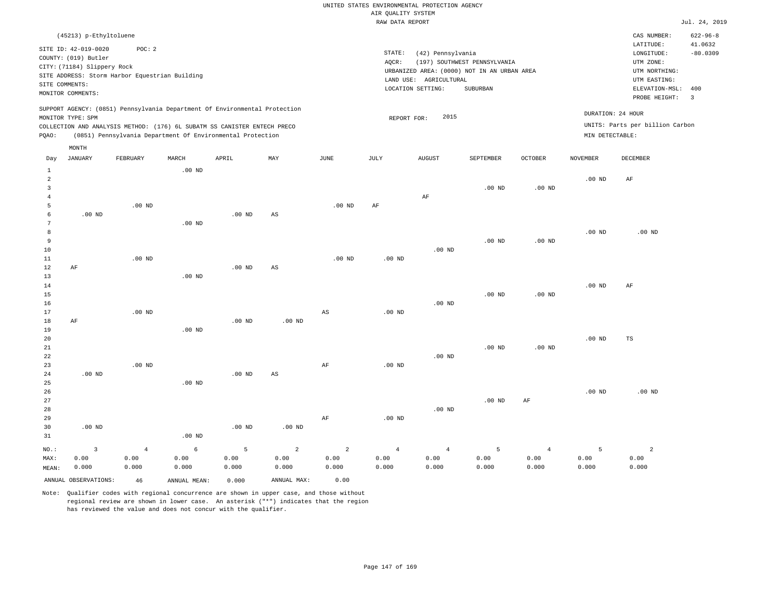|       | (45213) p-Ethyltoluene                                                                                                                                                      |          |                                                            |       |     |          |        |                                                                                               |                                          |          |                                      | CAS NUMBER:                                                                   | $622 - 96 - 8$                 |
|-------|-----------------------------------------------------------------------------------------------------------------------------------------------------------------------------|----------|------------------------------------------------------------|-------|-----|----------|--------|-----------------------------------------------------------------------------------------------|------------------------------------------|----------|--------------------------------------|-------------------------------------------------------------------------------|--------------------------------|
|       | SITE ID: 42-019-0020                                                                                                                                                        | POC:2    |                                                            |       |     |          | STATE: | (42) Pennsylvania                                                                             |                                          |          |                                      | LATITUDE:<br>LONGITUDE:                                                       | 41.0632<br>$-80.0309$          |
|       | COUNTY: (019) Butler<br>CITY: (71184) Slippery Rock<br>SITE ADDRESS: Storm Harbor Equestrian Building<br>SITE COMMENTS:<br>MONITOR COMMENTS:                                |          |                                                            |       |     |          | AQCR:  | URBANIZED AREA: (0000) NOT IN AN URBAN AREA<br>AGRICULTURAL<br>LAND USE:<br>LOCATION SETTING: | (197) SOUTHWEST PENNSYLVANIA<br>SUBURBAN |          |                                      | UTM ZONE:<br>UTM NORTHING:<br>UTM EASTING:<br>ELEVATION-MSL:<br>PROBE HEIGHT: | 400<br>$\overline{\mathbf{3}}$ |
| PQAO: | SUPPORT AGENCY: (0851) Pennsylvania Department Of Environmental Protection<br>MONITOR TYPE: SPM<br>COLLECTION AND ANALYSIS METHOD: (176) 6L SUBATM SS CANISTER ENTECH PRECO |          | (0851) Pennsylvania Department Of Environmental Protection |       |     |          |        | 2015<br>REPORT FOR:                                                                           |                                          |          | DURATION: 24 HOUR<br>MIN DETECTABLE: | UNITS: Parts per billion Carbon                                               |                                |
|       | MONTH                                                                                                                                                                       |          |                                                            |       |     |          |        |                                                                                               |                                          |          |                                      |                                                                               |                                |
| Day   | JANUARY                                                                                                                                                                     | FEBRUARY | MARCH                                                      | APRIL | MAY | JUNE     | JULY   | <b>AUGUST</b>                                                                                 | SEPTEMBER                                | OCTOBER  | <b>NOVEMBER</b>                      | DECEMBER                                                                      |                                |
|       |                                                                                                                                                                             |          | $.00$ ND                                                   |       |     |          |        |                                                                                               |                                          |          |                                      |                                                                               |                                |
| 2     |                                                                                                                                                                             |          |                                                            |       |     |          |        |                                                                                               |                                          |          | $.00$ ND                             | AF                                                                            |                                |
|       |                                                                                                                                                                             |          |                                                            |       |     |          |        |                                                                                               |                                          |          |                                      |                                                                               |                                |
|       |                                                                                                                                                                             |          |                                                            |       |     |          |        |                                                                                               |                                          |          |                                      |                                                                               |                                |
|       |                                                                                                                                                                             | $.00$ ND |                                                            |       |     | $.00$ ND | AF     | AF                                                                                            | $.00$ ND                                 | $.00$ ND |                                      |                                                                               |                                |

| 7    |    |          | $.00$ ND |          |          |          |          |          |          |          |          |          |
|------|----|----------|----------|----------|----------|----------|----------|----------|----------|----------|----------|----------|
| 8    |    |          |          |          |          |          |          |          |          |          | $.00$ ND | $.00$ ND |
| 9    |    |          |          |          |          |          |          |          | $.00$ ND | $.00$ ND |          |          |
| $10$ |    |          |          |          |          |          |          | $.00$ ND |          |          |          |          |
| 11   |    | $.00$ ND |          |          |          | $.00$ ND | $.00$ ND |          |          |          |          |          |
| 12   | AF |          |          | $.00$ ND | AS       |          |          |          |          |          |          |          |
| 13   |    |          | $.00$ ND |          |          |          |          |          |          |          |          |          |
| 14   |    |          |          |          |          |          |          |          |          |          | $.00$ ND | AF       |
| 15   |    |          |          |          |          |          |          |          | $.00$ ND | $.00$ ND |          |          |
| 16   |    |          |          |          |          |          |          | $.00$ ND |          |          |          |          |
| 17   |    | $.00$ ND |          |          |          | AS       | $.00$ ND |          |          |          |          |          |
| 18   | AF |          |          | $.00$ ND | $.00$ ND |          |          |          |          |          |          |          |
| 10   |    |          | 00 MD    |          |          |          |          |          |          |          |          |          |

| 19          |          |          | $.00$ ND          |          |    |    |          |          |          |                   |          |    |
|-------------|----------|----------|-------------------|----------|----|----|----------|----------|----------|-------------------|----------|----|
| 20          |          |          |                   |          |    |    |          |          |          |                   | $.00$ ND | TS |
| $2\sqrt{1}$ |          |          |                   |          |    |    |          |          | $.00$ ND | .00 <sub>ND</sub> |          |    |
| 22          |          |          |                   |          |    |    |          | $.00$ ND |          |                   |          |    |
| 23          |          | $.00$ ND |                   |          |    | AF | $.00$ ND |          |          |                   |          |    |
| 24          | $.00$ ND |          |                   | $.00$ ND | AS |    |          |          |          |                   |          |    |
| 25          |          |          | .00 <sub>ND</sub> |          |    |    |          |          |          |                   |          |    |

| 26 |          |          |          |          |    |          |          |          |    | $.00$ ND | $.00$ ND |
|----|----------|----------|----------|----------|----|----------|----------|----------|----|----------|----------|
| 27 |          |          |          |          |    |          |          | $.00$ ND | AF |          |          |
| 28 |          |          |          |          |    |          | $.00$ ND |          |    |          |          |
| 29 |          |          |          |          | AF | $.00$ ND |          |          |    |          |          |
| 30 | $.00$ ND |          | $.00$ ND | $.00$ ND |    |          |          |          |    |          |          |
| 31 |          | $.00$ ND |          |          |    |          |          |          |    |          |          |

|       |                         |       |              |       |             |       |       |       |       | $\sim$ 4 | <b>Contract Contract Contract Contract</b> |       |
|-------|-------------------------|-------|--------------|-------|-------------|-------|-------|-------|-------|----------|--------------------------------------------|-------|
| MAX:  | 0.00                    | 0.00  | 0.00         | 0.00  | 0.00        | 0.00  | 0.00  | 0.00  | 0.00  | 0.00     | 0.00                                       | 0.00  |
| MEAN: | 0.000                   | 0.000 | 0.000        | 0.000 | 0.000       | 0.000 | 0.000 | 0.000 | 0.000 | 0.000    | 0.000                                      | 0.000 |
|       | ANNUAL OBSERVATIONS: 46 |       | ANNUAL MEAN: | 0.000 | ANNUAL MAX: | 0.00  |       |       |       |          |                                            |       |

Note: Qualifier codes with regional concurrence are shown in upper case, and those without regional review are shown in lower case. An asterisk ("\*") indicates that the region has reviewed the value and does not concur with the qualifier.

.00 ND AS

6

.00 ND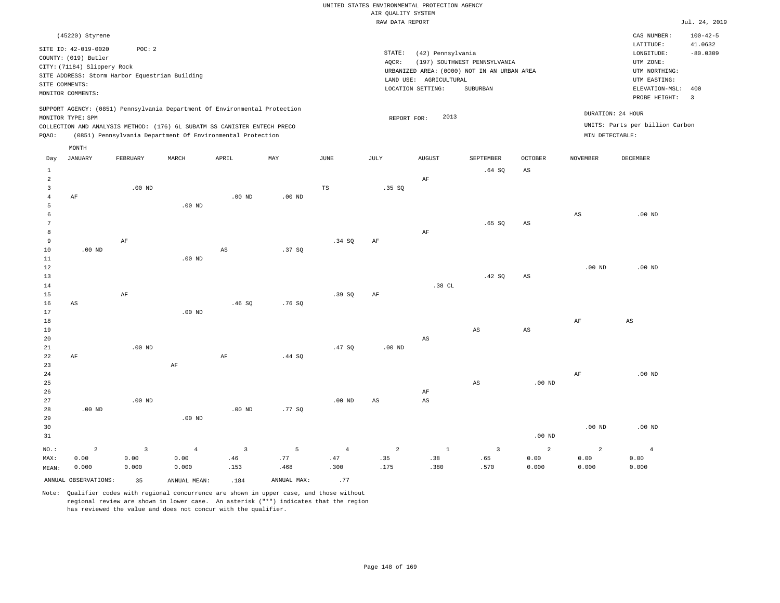|                         |                                                |                |                   |                                                                            |                   |                | RAW DATA REPORT        |                        |                                             |                   |                   |                                 | Jul. 24, 2019  |
|-------------------------|------------------------------------------------|----------------|-------------------|----------------------------------------------------------------------------|-------------------|----------------|------------------------|------------------------|---------------------------------------------|-------------------|-------------------|---------------------------------|----------------|
|                         | (45220) Styrene                                |                |                   |                                                                            |                   |                |                        |                        |                                             |                   |                   | CAS NUMBER:                     | $100 - 42 - 5$ |
|                         | SITE ID: 42-019-0020                           | POC: 2         |                   |                                                                            |                   |                |                        |                        |                                             |                   |                   | LATITUDE:                       | 41.0632        |
|                         | COUNTY: (019) Butler                           |                |                   |                                                                            |                   |                | STATE:                 | (42) Pennsylvania      |                                             |                   |                   | LONGITUDE:                      | $-80.0309$     |
|                         | CITY: (71184) Slippery Rock                    |                |                   |                                                                            |                   |                | AQCR:                  |                        | (197) SOUTHWEST PENNSYLVANIA                |                   |                   | UTM ZONE:                       |                |
|                         |                                                |                |                   |                                                                            |                   |                |                        |                        | URBANIZED AREA: (0000) NOT IN AN URBAN AREA |                   |                   | UTM NORTHING:                   |                |
|                         | SITE ADDRESS: Storm Harbor Equestrian Building |                |                   |                                                                            |                   |                |                        | LAND USE: AGRICULTURAL |                                             |                   |                   | UTM EASTING:                    |                |
|                         | SITE COMMENTS:                                 |                |                   |                                                                            |                   |                |                        | LOCATION SETTING:      | SUBURBAN                                    |                   |                   | ELEVATION-MSL:                  | 400            |
|                         | MONITOR COMMENTS:                              |                |                   |                                                                            |                   |                |                        |                        |                                             |                   |                   | PROBE HEIGHT:                   | $\overline{3}$ |
|                         |                                                |                |                   | SUPPORT AGENCY: (0851) Pennsylvania Department Of Environmental Protection |                   |                |                        |                        |                                             |                   |                   |                                 |                |
|                         | MONITOR TYPE: SPM                              |                |                   |                                                                            |                   |                | REPORT FOR:            | 2013                   |                                             |                   |                   | DURATION: 24 HOUR               |                |
|                         |                                                |                |                   | COLLECTION AND ANALYSIS METHOD: (176) 6L SUBATM SS CANISTER ENTECH PRECO   |                   |                |                        |                        |                                             |                   |                   | UNITS: Parts per billion Carbon |                |
| PQAO:                   |                                                |                |                   | (0851) Pennsylvania Department Of Environmental Protection                 |                   |                |                        |                        |                                             |                   | MIN DETECTABLE:   |                                 |                |
|                         | MONTH                                          |                |                   |                                                                            |                   |                |                        |                        |                                             |                   |                   |                                 |                |
| Day                     | <b>JANUARY</b>                                 | FEBRUARY       | MARCH             | APRIL                                                                      | MAY               | <b>JUNE</b>    | JULY                   | <b>AUGUST</b>          | SEPTEMBER                                   | <b>OCTOBER</b>    | <b>NOVEMBER</b>   | <b>DECEMBER</b>                 |                |
| $\mathbf{1}$            |                                                |                |                   |                                                                            |                   |                |                        |                        | .64 SQ                                      | AS                |                   |                                 |                |
| $\overline{a}$          |                                                |                |                   |                                                                            |                   |                |                        | AF                     |                                             |                   |                   |                                 |                |
| $\overline{\mathbf{3}}$ |                                                | $.00$ ND       |                   |                                                                            |                   | TS             | .35SQ                  |                        |                                             |                   |                   |                                 |                |
| $\overline{4}$          | AF                                             |                |                   | .00 <sub>ND</sub>                                                          | .00 <sub>ND</sub> |                |                        |                        |                                             |                   |                   |                                 |                |
| 5                       |                                                |                | $.00$ ND          |                                                                            |                   |                |                        |                        |                                             |                   |                   |                                 |                |
| 6                       |                                                |                |                   |                                                                            |                   |                |                        |                        |                                             |                   | $_{\rm AS}$       | $.00$ ND                        |                |
| 7                       |                                                |                |                   |                                                                            |                   |                |                        |                        | .65SQ                                       | AS                |                   |                                 |                |
| 8                       |                                                |                |                   |                                                                            |                   |                |                        | $\rm{AF}$              |                                             |                   |                   |                                 |                |
| 9                       |                                                | AF             |                   |                                                                            |                   | .34 SQ         | AF                     |                        |                                             |                   |                   |                                 |                |
| 10                      | .00 <sub>ND</sub>                              |                |                   | $_{\rm AS}$                                                                | .37SQ             |                |                        |                        |                                             |                   |                   |                                 |                |
| $11\,$                  |                                                |                | .00 <sub>ND</sub> |                                                                            |                   |                |                        |                        |                                             |                   |                   |                                 |                |
| 12                      |                                                |                |                   |                                                                            |                   |                |                        |                        |                                             |                   | .00 <sub>ND</sub> | $.00$ ND                        |                |
| 13                      |                                                |                |                   |                                                                            |                   |                |                        |                        | .42SQ                                       | AS                |                   |                                 |                |
| 14                      |                                                |                |                   |                                                                            |                   |                |                        | .38 CL                 |                                             |                   |                   |                                 |                |
| 15                      |                                                | $\rm{AF}$      |                   |                                                                            |                   | .39SQ          | AF                     |                        |                                             |                   |                   |                                 |                |
| 16                      | AS                                             |                |                   | .46SQ                                                                      | .76SQ             |                |                        |                        |                                             |                   |                   |                                 |                |
| 17                      |                                                |                | $.00$ ND          |                                                                            |                   |                |                        |                        |                                             |                   |                   |                                 |                |
| 18                      |                                                |                |                   |                                                                            |                   |                |                        |                        |                                             |                   | AF                | $_{\rm AS}$                     |                |
| 19                      |                                                |                |                   |                                                                            |                   |                |                        |                        | AS                                          | AS                |                   |                                 |                |
| 20                      |                                                |                |                   |                                                                            |                   |                |                        | $_{\rm AS}$            |                                             |                   |                   |                                 |                |
| 21                      |                                                | $.00$ ND       |                   |                                                                            |                   | .47SQ          | .00 <sub>ND</sub>      |                        |                                             |                   |                   |                                 |                |
| 22                      | AF                                             |                |                   | AF                                                                         | .44S              |                |                        |                        |                                             |                   |                   |                                 |                |
| 23                      |                                                |                | $\rm AF$          |                                                                            |                   |                |                        |                        |                                             |                   |                   |                                 |                |
| 24                      |                                                |                |                   |                                                                            |                   |                |                        |                        |                                             |                   | AF                | $.00$ ND                        |                |
| 25                      |                                                |                |                   |                                                                            |                   |                |                        |                        | AS                                          | .00 <sub>ND</sub> |                   |                                 |                |
| 26                      |                                                |                |                   |                                                                            |                   |                |                        | AF                     |                                             |                   |                   |                                 |                |
| 27                      |                                                | $.00$ ND       |                   |                                                                            |                   | $.00$ ND       | $\mathbb{A}\mathbb{S}$ | $\mathbb{A}\mathbb{S}$ |                                             |                   |                   |                                 |                |
| 28                      | $.00$ ND                                       |                |                   | $.00$ ND                                                                   | .77 SO            |                |                        |                        |                                             |                   |                   |                                 |                |
| 29                      |                                                |                | .00 <sub>ND</sub> |                                                                            |                   |                |                        |                        |                                             |                   |                   |                                 |                |
| 30                      |                                                |                |                   |                                                                            |                   |                |                        |                        |                                             |                   | $.00$ ND          | $.00$ ND                        |                |
| 31                      |                                                |                |                   |                                                                            |                   |                |                        |                        |                                             | .00 <sub>ND</sub> |                   |                                 |                |
| NO.:                    | $\overline{a}$                                 | $\overline{3}$ | $\overline{4}$    | $\overline{3}$                                                             | 5                 | $\overline{4}$ | $\overline{a}$         | $\mathbf{1}$           | $\overline{\mathbf{3}}$                     | 2                 | $\overline{a}$    | $\overline{4}$                  |                |
| MAX:                    | 0.00                                           | 0.00           | 0.00              | .46                                                                        | .77               | .47            | .35                    | .38                    | .65                                         | 0.00              | 0.00              | 0.00                            |                |
| MEAN:                   | 0.000                                          | 0.000          | 0.000             | .153                                                                       | .468              | .300           | .175                   | .380                   | .570                                        | 0.000             | 0.000             | 0.000                           |                |
|                         | ANNUAL OBSERVATIONS:                           | 35             | ANNUAL MEAN:      | .184                                                                       | ANNUAL MAX:       | .77            |                        |                        |                                             |                   |                   |                                 |                |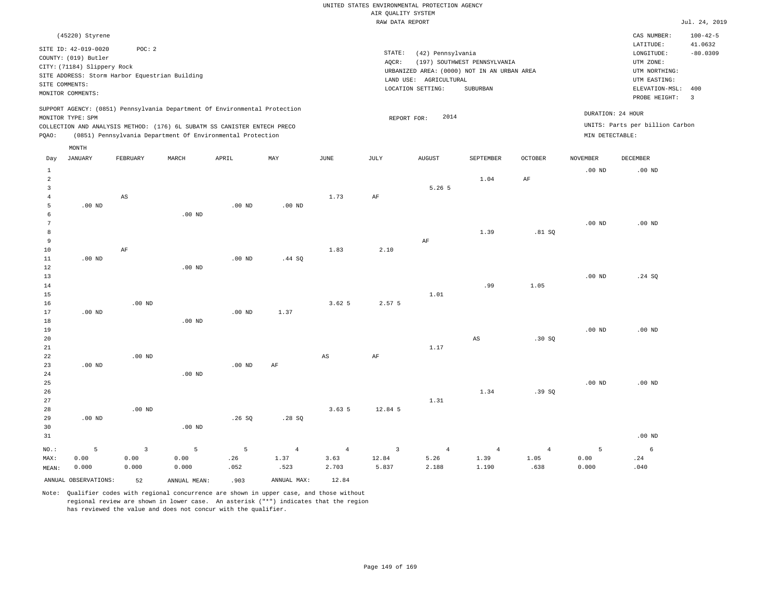|       |                                                                             |          |                                                |                                                                                                                                                                                                                      |          |      |                 | RAW DATA REPORT                                                  |                              |            |                                      |                                                       | Jul. 24, 2019                   |
|-------|-----------------------------------------------------------------------------|----------|------------------------------------------------|----------------------------------------------------------------------------------------------------------------------------------------------------------------------------------------------------------------------|----------|------|-----------------|------------------------------------------------------------------|------------------------------|------------|--------------------------------------|-------------------------------------------------------|---------------------------------|
|       | (45220) Styrene                                                             |          |                                                |                                                                                                                                                                                                                      |          |      |                 |                                                                  |                              |            |                                      | CAS NUMBER:                                           | $100 - 42 - 5$                  |
|       | SITE ID: 42-019-0020<br>COUNTY: (019) Butler<br>CITY: (71184) Slippery Rock | POC:2    | SITE ADDRESS: Storm Harbor Equestrian Building |                                                                                                                                                                                                                      |          |      | STATE:<br>AOCR: | (42) Pennsylvania<br>URBANIZED AREA: (0000) NOT IN AN URBAN AREA | (197) SOUTHWEST PENNSYLVANIA |            |                                      | LATITUDE:<br>LONGITUDE:<br>UTM ZONE:<br>UTM NORTHING: | 41.0632<br>$-80.0309$           |
|       | SITE COMMENTS:<br>MONITOR COMMENTS:                                         |          |                                                |                                                                                                                                                                                                                      |          |      |                 | LAND USE: AGRICULTURAL<br>LOCATION SETTING:                      | SUBURBAN                     |            |                                      | UTM EASTING:<br>ELEVATION-MSL:<br>PROBE HEIGHT:       | 400<br>$\overline{\phantom{a}}$ |
| POAO: | MONITOR TYPE: SPM                                                           |          |                                                | SUPPORT AGENCY: (0851) Pennsylvania Department Of Environmental Protection<br>COLLECTION AND ANALYSIS METHOD: (176) 6L SUBATM SS CANISTER ENTECH PRECO<br>(0851) Pennsylvania Department Of Environmental Protection |          |      |                 | 2014<br>REPORT FOR:                                              |                              |            | DURATION: 24 HOUR<br>MIN DETECTABLE: | UNITS: Parts per billion Carbon                       |                                 |
|       | MONTH                                                                       |          |                                                |                                                                                                                                                                                                                      |          |      |                 |                                                                  |                              |            |                                      |                                                       |                                 |
| Day   | <b>JANUARY</b>                                                              | FEBRUARY | MARCH                                          | APRIL                                                                                                                                                                                                                | MAY      | JUNE | JULY            | <b>AUGUST</b>                                                    | SEPTEMBER                    | OCTOBER    | <b>NOVEMBER</b>                      | DECEMBER                                              |                                 |
|       |                                                                             |          |                                                |                                                                                                                                                                                                                      |          |      |                 |                                                                  | 1.04                         | AF         | $.00$ ND                             | $.00$ ND                                              |                                 |
|       |                                                                             | AS       |                                                |                                                                                                                                                                                                                      |          | 1.73 | AF              | 5.26 <sub>5</sub>                                                |                              |            |                                      |                                                       |                                 |
|       | $.00$ ND                                                                    |          | $.00$ ND                                       | $.00$ ND                                                                                                                                                                                                             | $.00$ ND |      |                 |                                                                  |                              |            |                                      |                                                       |                                 |
|       |                                                                             |          |                                                |                                                                                                                                                                                                                      |          |      |                 |                                                                  | 1 2 0                        | $91 \,$ CO | .00 <sub>ND</sub>                    | $.00$ ND                                              |                                 |

| 8      |          |           |          |          |          |             |         |      | 1.39                   | .81SQ  |          |          |
|--------|----------|-----------|----------|----------|----------|-------------|---------|------|------------------------|--------|----------|----------|
| 9      |          |           |          |          |          |             |         | AF   |                        |        |          |          |
| 10     |          | $\rm{AF}$ |          |          |          | 1.83        | 2.10    |      |                        |        |          |          |
| 11     | $.00$ ND |           |          | $.00$ ND | .44 SQ   |             |         |      |                        |        |          |          |
| 12     |          |           | $.00$ ND |          |          |             |         |      |                        |        |          |          |
| $13$   |          |           |          |          |          |             |         |      |                        |        | .00 $ND$ | .24 SQ   |
| $14\,$ |          |           |          |          |          |             |         |      | .99                    | 1.05   |          |          |
| $15\,$ |          |           |          |          |          |             |         | 1.01 |                        |        |          |          |
| $16\,$ |          | $.00$ ND  |          |          |          | 3.62 5      | 2.57 5  |      |                        |        |          |          |
| 17     | $.00$ ND |           |          | $.00$ ND | 1.37     |             |         |      |                        |        |          |          |
| 18     |          |           | $.00$ ND |          |          |             |         |      |                        |        |          |          |
| 19     |          |           |          |          |          |             |         |      |                        |        | $.00$ ND | $.00$ ND |
| $20\,$ |          |           |          |          |          |             |         |      | $\mathbb{A}\mathbb{S}$ | .30 SQ |          |          |
| $21\,$ |          |           |          |          |          |             |         | 1.17 |                        |        |          |          |
| 22     |          | $.00$ ND  |          |          |          | $_{\rm AS}$ | AF      |      |                        |        |          |          |
| 23     | $.00$ ND |           |          | $.00$ ND | $\rm AF$ |             |         |      |                        |        |          |          |
| 24     |          |           | $.00$ ND |          |          |             |         |      |                        |        |          |          |
| $25\,$ |          |           |          |          |          |             |         |      |                        |        | .00 $ND$ | $.00$ ND |
| $26\,$ |          |           |          |          |          |             |         |      | 1.34                   | .39SQ  |          |          |
| $27\,$ |          |           |          |          |          |             |         | 1.31 |                        |        |          |          |
| 28     |          | $.00$ ND  |          |          |          | 3.635       | 12.84 5 |      |                        |        |          |          |

| 29    | $.00$ ND |       |          | .26 SQ | .28 SO |       |                   |       |                 |                 |       |                   |
|-------|----------|-------|----------|--------|--------|-------|-------------------|-------|-----------------|-----------------|-------|-------------------|
| 30    |          |       | $.00$ ND |        |        |       |                   |       |                 |                 |       |                   |
| 31    |          |       |          |        |        |       |                   |       |                 |                 |       | .00 <sub>ND</sub> |
| NO.:  |          |       |          |        |        |       | $5$ 3 5 5 4 4 3 4 |       | $4\overline{ }$ | $4\overline{ }$ |       |                   |
| MAX:  | 0.00     | 0.00  | 0.00     | .26    | 1.37   | 3.63  | 12.84             | 5.26  | 1.39            | 1.05            | 0.00  | .24               |
| MEAN: | 0.000    | 0.000 | 0.000    | .052   | .523   | 2.703 | 5.837             | 2.188 | 1.190           | .638            | 0.000 | .040              |
|       |          |       |          |        |        |       |                   |       |                 |                 |       |                   |

3.63 5 12.84 5

ANNUAL OBSERVATIONS: 52 ANNUAL MEAN: .903 ANNUAL MAX: 12.84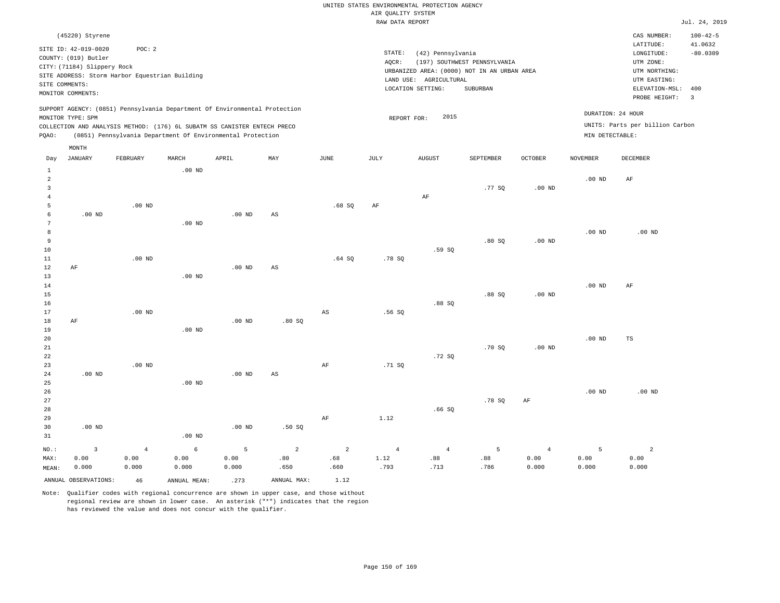|                |                                         |                                                                            |                   |                   |       |       | RAW DATA REPORT |                        |                                             |                   |                   |                                 | Jul. 24, 2019             |
|----------------|-----------------------------------------|----------------------------------------------------------------------------|-------------------|-------------------|-------|-------|-----------------|------------------------|---------------------------------------------|-------------------|-------------------|---------------------------------|---------------------------|
|                | (45220) Styrene<br>SITE ID: 42-019-0020 | POC: 2                                                                     |                   |                   |       |       |                 |                        |                                             |                   |                   | CAS NUMBER:<br>LATITUDE:        | $100 - 42 - 5$<br>41.0632 |
|                | COUNTY: (019) Butler                    |                                                                            |                   |                   |       |       | STATE:          | (42) Pennsylvania      |                                             |                   |                   | LONGITUDE:                      | $-80.0309$                |
|                | CITY: (71184) Slippery Rock             |                                                                            |                   |                   |       |       | AOCR:           |                        | (197) SOUTHWEST PENNSYLVANIA                |                   |                   | UTM ZONE:                       |                           |
|                |                                         | SITE ADDRESS: Storm Harbor Equestrian Building                             |                   |                   |       |       |                 |                        | URBANIZED AREA: (0000) NOT IN AN URBAN AREA |                   |                   | UTM NORTHING:                   |                           |
|                | SITE COMMENTS:                          |                                                                            |                   |                   |       |       |                 | LAND USE: AGRICULTURAL |                                             |                   |                   | UTM EASTING:                    |                           |
|                | MONITOR COMMENTS:                       |                                                                            |                   |                   |       |       |                 | LOCATION SETTING:      | SUBURBAN                                    |                   |                   | ELEVATION-MSL:                  | 400                       |
|                |                                         |                                                                            |                   |                   |       |       |                 |                        |                                             |                   |                   | PROBE HEIGHT:                   | $\overline{\phantom{a}}$  |
|                | MONITOR TYPE: SPM                       | SUPPORT AGENCY: (0851) Pennsylvania Department Of Environmental Protection |                   |                   |       |       | REPORT FOR:     | 2015                   |                                             |                   |                   | DURATION: 24 HOUR               |                           |
|                |                                         | COLLECTION AND ANALYSIS METHOD: (176) 6L SUBATM SS CANISTER ENTECH PRECO   |                   |                   |       |       |                 |                        |                                             |                   |                   | UNITS: Parts per billion Carbon |                           |
| POAO:          |                                         | (0851) Pennsylvania Department Of Environmental Protection                 |                   |                   |       |       |                 |                        |                                             |                   | MIN DETECTABLE:   |                                 |                           |
|                | MONTH                                   |                                                                            |                   |                   |       |       |                 |                        |                                             |                   |                   |                                 |                           |
| Day            | JANUARY                                 | FEBRUARY                                                                   | MARCH             | APRIL             | MAY   | JUNE  | JULY            | <b>AUGUST</b>          | SEPTEMBER                                   | <b>OCTOBER</b>    | <b>NOVEMBER</b>   | DECEMBER                        |                           |
| $\mathbf{1}$   |                                         |                                                                            | .00 <sub>ND</sub> |                   |       |       |                 |                        |                                             |                   |                   |                                 |                           |
| $\overline{a}$ |                                         |                                                                            |                   |                   |       |       |                 |                        |                                             |                   | $.00$ ND          | AF                              |                           |
| 3              |                                         |                                                                            |                   |                   |       |       |                 |                        | .77 SQ                                      | $.00$ ND          |                   |                                 |                           |
| $\overline{4}$ |                                         |                                                                            |                   |                   |       |       |                 | AF                     |                                             |                   |                   |                                 |                           |
| 5              |                                         | $.00$ ND                                                                   |                   |                   |       | .68SQ | AF              |                        |                                             |                   |                   |                                 |                           |
| 6              | $.00$ ND                                |                                                                            |                   | $.00$ ND          | AS    |       |                 |                        |                                             |                   |                   |                                 |                           |
| 7              |                                         |                                                                            | $.00$ ND          |                   |       |       |                 |                        |                                             |                   |                   |                                 |                           |
| 8              |                                         |                                                                            |                   |                   |       |       |                 |                        |                                             |                   | .00 <sub>ND</sub> | $.00$ ND                        |                           |
| 9              |                                         |                                                                            |                   |                   |       |       |                 |                        | .80S                                        | .00 <sub>ND</sub> |                   |                                 |                           |
| 10             |                                         |                                                                            |                   |                   |       |       |                 | .59 SO                 |                                             |                   |                   |                                 |                           |
| 11             |                                         | $.00$ ND                                                                   |                   |                   |       | .64SQ | .78S            |                        |                                             |                   |                   |                                 |                           |
| 12             | AF                                      |                                                                            |                   | $.00$ ND          | AS    |       |                 |                        |                                             |                   |                   |                                 |                           |
| 13             |                                         |                                                                            | $.00$ ND          |                   |       |       |                 |                        |                                             |                   |                   |                                 |                           |
| 14             |                                         |                                                                            |                   |                   |       |       |                 |                        |                                             |                   | $.00$ ND          | AF                              |                           |
| 15             |                                         |                                                                            |                   |                   |       |       |                 |                        | .88SQ                                       | .00 <sub>ND</sub> |                   |                                 |                           |
| 16             |                                         |                                                                            |                   |                   |       |       |                 | $.88$ SO               |                                             |                   |                   |                                 |                           |
| 17             |                                         | $.00$ ND                                                                   |                   |                   |       | AS    | .56SQ           |                        |                                             |                   |                   |                                 |                           |
| 18             | AF                                      |                                                                            |                   | .00 <sub>ND</sub> | .80SQ |       |                 |                        |                                             |                   |                   |                                 |                           |
| 19             |                                         |                                                                            | $.00$ ND          |                   |       |       |                 |                        |                                             |                   |                   |                                 |                           |
| 20             |                                         |                                                                            |                   |                   |       |       |                 |                        |                                             |                   | .00 <sub>ND</sub> | TS                              |                           |
| 21             |                                         |                                                                            |                   |                   |       |       |                 |                        | .70S                                        | $.00$ ND          |                   |                                 |                           |
| 22             |                                         |                                                                            |                   |                   |       |       |                 | .72 SO                 |                                             |                   |                   |                                 |                           |

| 24   | $.00$ ND |      |          | $.00$ ND | AS   |     |      |                |        |      |          |          |
|------|----------|------|----------|----------|------|-----|------|----------------|--------|------|----------|----------|
| 25   |          |      | $.00$ ND |          |      |     |      |                |        |      |          |          |
| 26   |          |      |          |          |      |     |      |                |        |      | $.00$ ND | $.00$ ND |
| 27   |          |      |          |          |      |     |      |                | .78 SQ | AF   |          |          |
| 28   |          |      |          |          |      |     |      | .66SQ          |        |      |          |          |
| 29   |          |      |          |          |      | AF  | 1.12 |                |        |      |          |          |
| 30   | $.00$ ND |      |          | $.00$ ND | .50S |     |      |                |        |      |          |          |
| 31   |          |      | $.00$ ND |          |      |     |      |                |        |      |          |          |
| NO.: |          | 4    | 6        |          | 2    | 2   | 4    | $\overline{4}$ | 5.     | 4    |          |          |
| MAX: | 0.00     | 0.00 | 0.00     | 0.00     | .80  | .68 | 1.12 | .88            | .88    | 0.00 | 0.00     | 0.00     |

AF

MAX: MEAN: 0.00 0.000 0.00 0.000 0.00 0.000 0.00 0.000 .80 .650 .68 .660 1.12 .793 .88 .713 .88 .786 0.00 0.000 ANNUAL OBSERVATIONS:  $46$  ANNUAL MEAN: .273 ANNUAL MAX:  $1.12$ 

Note: Qualifier codes with regional concurrence are shown in upper case, and those without regional review are shown in lower case. An asterisk ("\*") indicates that the region has reviewed the value and does not concur with the qualifier.

.00 ND

23

.71 SQ

0.000

0.000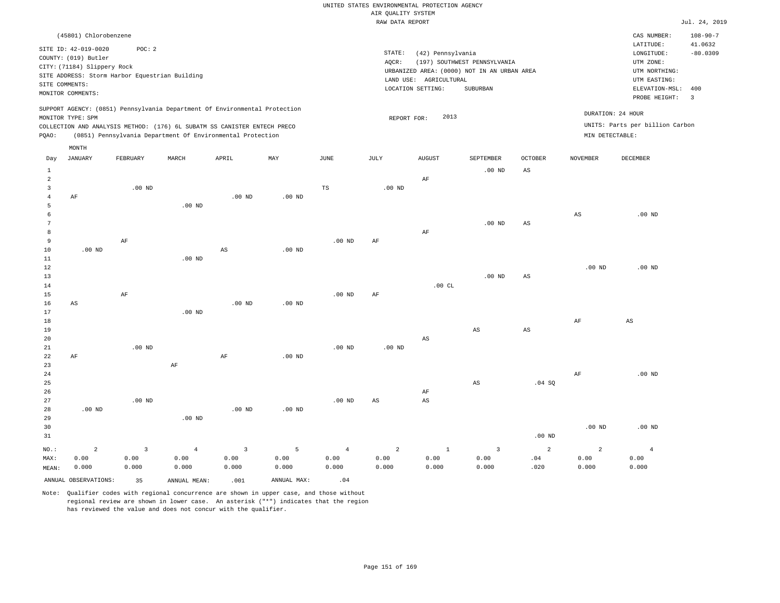|                |                                                                               |              |                   |                                                                            |                           |                   | RAW DATA REPORT   |                        |                                             |                        |                        |                                 | Jul. 24, 2019  |
|----------------|-------------------------------------------------------------------------------|--------------|-------------------|----------------------------------------------------------------------------|---------------------------|-------------------|-------------------|------------------------|---------------------------------------------|------------------------|------------------------|---------------------------------|----------------|
|                | (45801) Chlorobenzene                                                         |              |                   |                                                                            |                           |                   |                   |                        |                                             |                        |                        | CAS NUMBER:                     | $108 - 90 - 7$ |
|                |                                                                               |              |                   |                                                                            |                           |                   |                   |                        |                                             |                        |                        | LATITUDE:                       | 41.0632        |
|                | SITE ID: 42-019-0020                                                          | POC: 2       |                   |                                                                            |                           |                   | STATE:            | (42) Pennsylvania      |                                             |                        |                        | LONGITUDE:                      | $-80.0309$     |
|                | COUNTY: (019) Butler                                                          |              |                   |                                                                            |                           |                   | AQCR:             |                        | (197) SOUTHWEST PENNSYLVANIA                |                        |                        | UTM ZONE:                       |                |
|                | CITY: (71184) Slippery Rock<br>SITE ADDRESS: Storm Harbor Equestrian Building |              |                   |                                                                            |                           |                   |                   |                        | URBANIZED AREA: (0000) NOT IN AN URBAN AREA |                        |                        | UTM NORTHING:                   |                |
|                | SITE COMMENTS:                                                                |              |                   |                                                                            |                           |                   |                   | LAND USE: AGRICULTURAL |                                             |                        |                        | UTM EASTING:                    |                |
|                | MONITOR COMMENTS:                                                             |              |                   |                                                                            |                           |                   |                   | LOCATION SETTING:      | SUBURBAN                                    |                        |                        | ELEVATION-MSL: 400              |                |
|                |                                                                               |              |                   |                                                                            |                           |                   |                   |                        |                                             |                        |                        | PROBE HEIGHT:                   | $\overline{3}$ |
|                |                                                                               |              |                   | SUPPORT AGENCY: (0851) Pennsylvania Department Of Environmental Protection |                           |                   |                   |                        |                                             |                        |                        |                                 |                |
|                | MONITOR TYPE: SPM                                                             |              |                   |                                                                            |                           |                   | REPORT FOR:       | 2013                   |                                             |                        |                        | DURATION: 24 HOUR               |                |
|                |                                                                               |              |                   | COLLECTION AND ANALYSIS METHOD: (176) 6L SUBATM SS CANISTER ENTECH PRECO   |                           |                   |                   |                        |                                             |                        |                        | UNITS: Parts per billion Carbon |                |
| PQAO:          |                                                                               |              |                   | (0851) Pennsylvania Department Of Environmental Protection                 |                           |                   |                   |                        |                                             |                        | MIN DETECTABLE:        |                                 |                |
|                | MONTH                                                                         |              |                   |                                                                            |                           |                   |                   |                        |                                             |                        |                        |                                 |                |
| Day            | <b>JANUARY</b>                                                                | FEBRUARY     | MARCH             | APRIL                                                                      | $\ensuremath{\text{MAX}}$ | JUNE              | JULY              | <b>AUGUST</b>          | SEPTEMBER                                   | OCTOBER                | NOVEMBER               | DECEMBER                        |                |
| $\,1\,$        |                                                                               |              |                   |                                                                            |                           |                   |                   |                        | $.00$ ND                                    | $\mathbb{A}\mathbb{S}$ |                        |                                 |                |
| 2              |                                                                               |              |                   |                                                                            |                           |                   |                   | AF                     |                                             |                        |                        |                                 |                |
| $\overline{3}$ |                                                                               | $.00$ ND     |                   |                                                                            |                           | TS                | .00 <sub>ND</sub> |                        |                                             |                        |                        |                                 |                |
| $\overline{4}$ | AF                                                                            |              |                   | $.00$ ND                                                                   | $.00$ ND                  |                   |                   |                        |                                             |                        |                        |                                 |                |
| -5             |                                                                               |              | .00 <sub>ND</sub> |                                                                            |                           |                   |                   |                        |                                             |                        |                        |                                 |                |
| 6              |                                                                               |              |                   |                                                                            |                           |                   |                   |                        |                                             |                        | $\mathbb{A}\mathbb{S}$ | $.00$ ND                        |                |
| 7              |                                                                               |              |                   |                                                                            |                           |                   |                   |                        | $.00$ ND                                    | $\mathbb{A}\mathbb{S}$ |                        |                                 |                |
| 8              |                                                                               |              |                   |                                                                            |                           |                   |                   | AF                     |                                             |                        |                        |                                 |                |
| $\overline{9}$ |                                                                               | $\rm AF$     |                   |                                                                            |                           | .00 <sub>ND</sub> | AF                |                        |                                             |                        |                        |                                 |                |
| 10             | $.00$ ND                                                                      |              |                   | $_{\rm AS}$                                                                | .00 <sub>ND</sub>         |                   |                   |                        |                                             |                        |                        |                                 |                |
| 11             |                                                                               |              | $.00$ ND          |                                                                            |                           |                   |                   |                        |                                             |                        |                        |                                 |                |
| 12             |                                                                               |              |                   |                                                                            |                           |                   |                   |                        |                                             |                        | .00 <sub>ND</sub>      | $.00$ ND                        |                |
| 13             |                                                                               |              |                   |                                                                            |                           |                   |                   |                        | $.00$ ND                                    | $\mathbb{A}\mathbb{S}$ |                        |                                 |                |
| 14             |                                                                               |              |                   |                                                                            |                           |                   |                   | .00CL                  |                                             |                        |                        |                                 |                |
| 15<br>16       |                                                                               | $\rm AF$     |                   | $.00$ ND                                                                   | $.00$ ND                  | .00 <sub>ND</sub> | AF                |                        |                                             |                        |                        |                                 |                |
| 17             | AS                                                                            |              | $.00$ ND          |                                                                            |                           |                   |                   |                        |                                             |                        |                        |                                 |                |
| 18             |                                                                               |              |                   |                                                                            |                           |                   |                   |                        |                                             |                        | $\rm{AF}$              | $\mathbb{A}\mathbb{S}$          |                |
| 19             |                                                                               |              |                   |                                                                            |                           |                   |                   |                        | AS                                          | AS                     |                        |                                 |                |
| 20             |                                                                               |              |                   |                                                                            |                           |                   |                   | AS                     |                                             |                        |                        |                                 |                |
| 21             |                                                                               | $.00$ ND     |                   |                                                                            |                           | $.00$ ND          | .00 <sub>ND</sub> |                        |                                             |                        |                        |                                 |                |
| 22             | AF                                                                            |              |                   | AF                                                                         | $.00$ ND                  |                   |                   |                        |                                             |                        |                        |                                 |                |
| 23             |                                                                               |              | AF                |                                                                            |                           |                   |                   |                        |                                             |                        |                        |                                 |                |
| 24             |                                                                               |              |                   |                                                                            |                           |                   |                   |                        |                                             |                        | $\rm AF$               | $.00$ ND                        |                |
| 25             |                                                                               |              |                   |                                                                            |                           |                   |                   |                        | AS                                          | .04 SQ                 |                        |                                 |                |
| 26             |                                                                               |              |                   |                                                                            |                           |                   |                   | AF                     |                                             |                        |                        |                                 |                |
| 27             |                                                                               | $.00$ ND     |                   |                                                                            |                           | .00 <sub>ND</sub> | $_{\rm AS}$       | $_{\rm AS}$            |                                             |                        |                        |                                 |                |
| 28             | $.00$ ND                                                                      |              |                   | .00 <sub>ND</sub>                                                          | $.00$ ND                  |                   |                   |                        |                                             |                        |                        |                                 |                |
| 29             |                                                                               |              | $.00$ ND          |                                                                            |                           |                   |                   |                        |                                             |                        |                        |                                 |                |
| 30             |                                                                               |              |                   |                                                                            |                           |                   |                   |                        |                                             |                        | $.00$ ND               | $.00$ ND                        |                |
| 31             |                                                                               |              |                   |                                                                            |                           |                   |                   |                        |                                             | $.00$ ND               |                        |                                 |                |
| NO.:           | $\overline{a}$                                                                | $\mathbf{3}$ | $\overline{4}$    | $\overline{3}$                                                             | 5                         | $\overline{4}$    | $\overline{a}$    | $1\,$                  | $\overline{3}$                              | $\overline{a}$         | $\overline{a}$         | $\,4\,$                         |                |
| MAX:           | 0.00                                                                          | 0.00         | 0.00              | 0.00                                                                       | 0.00                      | 0.00              | 0.00              | 0.00                   | 0.00                                        | .04                    | 0.00                   | 0.00                            |                |
| MEAN:          | 0.000                                                                         | 0.000        | 0.000             | 0.000                                                                      | 0.000                     | 0.000             | 0.000             | 0.000                  | 0.000                                       | .020                   | 0.000                  | 0.000                           |                |
|                | ANNUAL OBSERVATIONS:                                                          | 35           | ANNUAL MEAN:      | .001                                                                       | ANNUAL MAX:               | .04               |                   |                        |                                             |                        |                        |                                 |                |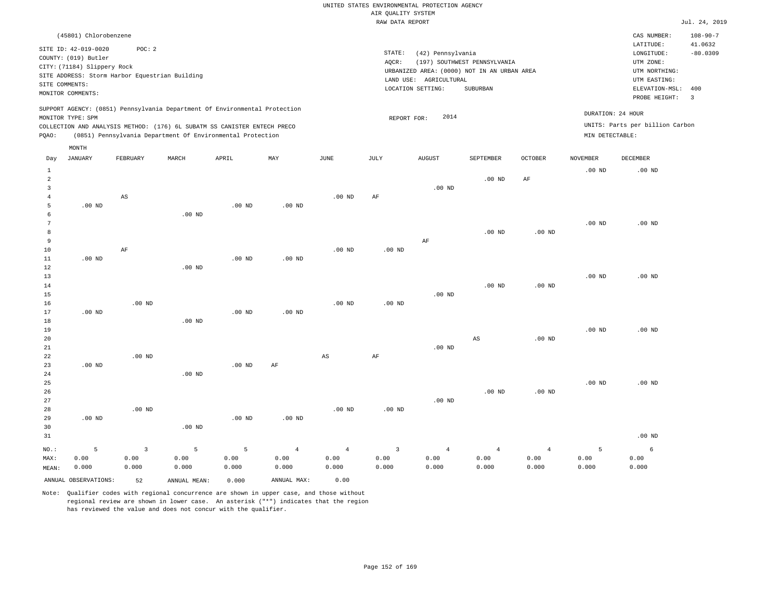|         |                                                                                                                    |          |                                                                                                                                                                                                                      |          |                   |                   | RAW DATA REPORT |                                                                                                                 |                                          |                |                 |                                                                                                          | Jul. 24, 2019                                            |
|---------|--------------------------------------------------------------------------------------------------------------------|----------|----------------------------------------------------------------------------------------------------------------------------------------------------------------------------------------------------------------------|----------|-------------------|-------------------|-----------------|-----------------------------------------------------------------------------------------------------------------|------------------------------------------|----------------|-----------------|----------------------------------------------------------------------------------------------------------|----------------------------------------------------------|
|         | (45801) Chlorobenzene                                                                                              |          |                                                                                                                                                                                                                      |          |                   |                   |                 |                                                                                                                 |                                          |                |                 | CAS NUMBER:                                                                                              | $108 - 90 - 7$                                           |
|         | SITE ID: 42-019-0020<br>COUNTY: (019) Butler<br>CITY: (71184) Slippery Rock<br>SITE COMMENTS:<br>MONITOR COMMENTS: | POC:2    | SITE ADDRESS: Storm Harbor Equestrian Building                                                                                                                                                                       |          |                   |                   | STATE:<br>AOCR: | (42) Pennsylvania<br>URBANIZED AREA: (0000) NOT IN AN URBAN AREA<br>LAND USE: AGRICULTURAL<br>LOCATION SETTING: | (197) SOUTHWEST PENNSYLVANIA<br>SUBURBAN |                |                 | LATITUDE:<br>LONGITUDE:<br>UTM ZONE:<br>UTM NORTHING:<br>UTM EASTING:<br>ELEVATION-MSL:<br>PROBE HEIGHT: | 41.0632<br>$-80.0309$<br>400<br>$\overline{\phantom{a}}$ |
| POAO:   | MONITOR TYPE: SPM                                                                                                  |          | SUPPORT AGENCY: (0851) Pennsylvania Department Of Environmental Protection<br>COLLECTION AND ANALYSIS METHOD: (176) 6L SUBATM SS CANISTER ENTECH PRECO<br>(0851) Pennsylvania Department Of Environmental Protection |          |                   |                   | REPORT FOR:     | 2014                                                                                                            |                                          |                | MIN DETECTABLE: | DURATION: 24 HOUR<br>UNITS: Parts per billion Carbon                                                     |                                                          |
| Day     | MONTH<br>JANUARY                                                                                                   | FEBRUARY | MARCH                                                                                                                                                                                                                | APRIL    | MAY               | JUNE              | JULY            | <b>AUGUST</b>                                                                                                   | SEPTEMBER                                | <b>OCTOBER</b> | NOVEMBER        | DECEMBER                                                                                                 |                                                          |
| 2       |                                                                                                                    |          |                                                                                                                                                                                                                      |          |                   |                   |                 |                                                                                                                 | $.00$ ND                                 | AF             | $.00$ ND        | $.00$ ND                                                                                                 |                                                          |
|         |                                                                                                                    | AS       |                                                                                                                                                                                                                      |          |                   | $.00$ ND          | AF              | $.00$ ND                                                                                                        |                                          |                |                 |                                                                                                          |                                                          |
| 5       | $.00$ ND                                                                                                           |          | $.00$ ND                                                                                                                                                                                                             | $.00$ ND | $.00$ ND          |                   |                 |                                                                                                                 |                                          |                |                 |                                                                                                          |                                                          |
| 8       |                                                                                                                    |          |                                                                                                                                                                                                                      |          |                   |                   |                 |                                                                                                                 | $.00$ ND                                 | $.00$ ND       | $.00$ ND        | $.00$ ND                                                                                                 |                                                          |
| 9<br>10 |                                                                                                                    | AF       |                                                                                                                                                                                                                      |          |                   | .00 <sub>ND</sub> | $.00$ ND        | AF                                                                                                              |                                          |                |                 |                                                                                                          |                                                          |
| 11      | $.00$ ND                                                                                                           |          |                                                                                                                                                                                                                      | $.00$ ND | .00 <sub>ND</sub> |                   |                 |                                                                                                                 |                                          |                |                 |                                                                                                          |                                                          |

| 12 |          |          | $.00$ ND |          |          |          |          |          |          |          |          |          |
|----|----------|----------|----------|----------|----------|----------|----------|----------|----------|----------|----------|----------|
| 13 |          |          |          |          |          |          |          |          |          |          | $.00$ ND | $.00$ ND |
| 14 |          |          |          |          |          |          |          |          | $.00$ ND | $.00$ ND |          |          |
| 15 |          |          |          |          |          |          |          | $.00$ ND |          |          |          |          |
| 16 |          | $.00$ ND |          |          |          | $.00$ ND | $.00$ ND |          |          |          |          |          |
| 17 | $.00$ ND |          |          | $.00$ ND | $.00$ ND |          |          |          |          |          |          |          |
| 18 |          |          | $.00$ ND |          |          |          |          |          |          |          |          |          |
| 19 |          |          |          |          |          |          |          |          |          |          | $.00$ ND | $.00$ ND |
| 20 |          |          |          |          |          |          |          |          | AS       | $.00$ ND |          |          |
| 21 |          |          |          |          |          |          |          | $.00$ ND |          |          |          |          |
| 22 |          | $.00$ ND |          |          |          | AS       | AF       |          |          |          |          |          |
| 23 | $.00$ ND |          |          | $.00$ ND | AF       |          |          |          |          |          |          |          |

| 24      |          |          | $.00$ ND |          |                |          |          |                |                 |          |          |          |
|---------|----------|----------|----------|----------|----------------|----------|----------|----------------|-----------------|----------|----------|----------|
| 25      |          |          |          |          |                |          |          |                |                 |          | $.00$ ND | $.00$ ND |
| 26      |          |          |          |          |                |          |          |                | $.00$ ND        | $.00$ ND |          |          |
| 27      |          |          |          |          |                |          |          | $.00$ ND       |                 |          |          |          |
| 28      |          | $.00$ ND |          |          |                | $.00$ ND | $.00$ ND |                |                 |          |          |          |
| 29      | $.00$ ND |          |          | $.00$ ND | $.00$ ND       |          |          |                |                 |          |          |          |
| 30      |          |          | $.00$ ND |          |                |          |          |                |                 |          |          |          |
| 31      |          |          |          |          |                |          |          |                |                 |          |          | $.00$ ND |
| $NO.$ : |          |          | 5        | 5        | $\overline{4}$ | 4        | 3        | $\overline{4}$ | $4\overline{ }$ | 4        | 5        | 6        |
| MAX:    | 0.00     | 0.00     | 0.00     | 0.00     | 0.00           | 0.00     | 0.00     | 0.00           | 0.00            | 0.00     | 0.00     | 0.00     |

0.000

Note: Qualifier codes with regional concurrence are shown in upper case, and those without regional review are shown in lower case. An asterisk ("\*") indicates that the region has reviewed the value and does not concur with the qualifier.

ANNUAL OBSERVATIONS: 52 ANNUAL MEAN: 0.000 ANNUAL MAX: 0.00

0.000

0.000

0.000

MEAN: 0.000

0.000

0.000 0.000

0.000

0.000

0.000

0.000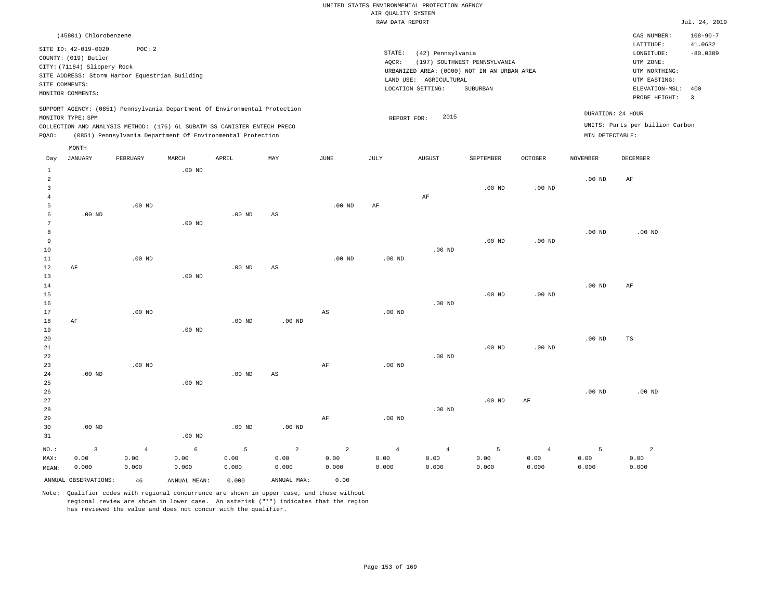|              |                             |                                                |          |                                                                            |     |          | RAW DATA REPORT   |                                             |                              |                   |                   |                                 | Jul. 24, 2019             |
|--------------|-----------------------------|------------------------------------------------|----------|----------------------------------------------------------------------------|-----|----------|-------------------|---------------------------------------------|------------------------------|-------------------|-------------------|---------------------------------|---------------------------|
|              | (45801) Chlorobenzene       |                                                |          |                                                                            |     |          |                   |                                             |                              |                   |                   | CAS NUMBER:<br>LATITUDE:        | $108 - 90 - 7$<br>41.0632 |
|              | SITE ID: 42-019-0020        | POC: 2                                         |          |                                                                            |     |          | STATE:            | (42) Pennsylvania                           |                              |                   |                   | LONGITUDE:                      | $-80.0309$                |
|              | COUNTY: (019) Butler        |                                                |          |                                                                            |     |          | AOCR:             |                                             | (197) SOUTHWEST PENNSYLVANIA |                   |                   | UTM ZONE:                       |                           |
|              | CITY: (71184) Slippery Rock |                                                |          |                                                                            |     |          |                   | URBANIZED AREA: (0000) NOT IN AN URBAN AREA |                              |                   |                   | UTM NORTHING:                   |                           |
|              |                             | SITE ADDRESS: Storm Harbor Equestrian Building |          |                                                                            |     |          |                   | LAND USE: AGRICULTURAL                      |                              |                   |                   | UTM EASTING:                    |                           |
|              | SITE COMMENTS:              |                                                |          |                                                                            |     |          |                   | LOCATION SETTING:                           | SUBURBAN                     |                   |                   | ELEVATION-MSL:                  | 400                       |
|              | MONITOR COMMENTS:           |                                                |          |                                                                            |     |          |                   |                                             |                              |                   |                   | PROBE HEIGHT:                   | $\overline{\mathbf{3}}$   |
|              | MONITOR TYPE: SPM           |                                                |          | SUPPORT AGENCY: (0851) Pennsylvania Department Of Environmental Protection |     |          |                   | 2015<br>REPORT FOR:                         |                              |                   |                   | DURATION: 24 HOUR               |                           |
|              |                             |                                                |          | COLLECTION AND ANALYSIS METHOD: (176) 6L SUBATM SS CANISTER ENTECH PRECO   |     |          |                   |                                             |                              |                   |                   | UNITS: Parts per billion Carbon |                           |
| POAO:        |                             |                                                |          | (0851) Pennsylvania Department Of Environmental Protection                 |     |          |                   |                                             |                              |                   | MIN DETECTABLE:   |                                 |                           |
|              | MONTH                       |                                                |          |                                                                            |     |          |                   |                                             |                              |                   |                   |                                 |                           |
| Day          | JANUARY                     | FEBRUARY                                       | MARCH    | APRIL                                                                      | MAY | JUNE     | JULY              | <b>AUGUST</b>                               | SEPTEMBER                    | <b>OCTOBER</b>    | <b>NOVEMBER</b>   | DECEMBER                        |                           |
| $\mathbf{1}$ |                             |                                                | $.00$ ND |                                                                            |     |          |                   |                                             |                              |                   |                   |                                 |                           |
| 2            |                             |                                                |          |                                                                            |     |          |                   |                                             |                              |                   | .00 <sub>ND</sub> | AF                              |                           |
| 3            |                             |                                                |          |                                                                            |     |          |                   |                                             | .00 <sub>ND</sub>            | .00 <sub>ND</sub> |                   |                                 |                           |
| 4            |                             |                                                |          |                                                                            |     |          |                   | AF                                          |                              |                   |                   |                                 |                           |
| 5            |                             | $.00$ ND                                       |          |                                                                            |     | $.00$ ND | AF                |                                             |                              |                   |                   |                                 |                           |
| 6            | .00 <sub>ND</sub>           |                                                |          | $.00$ ND                                                                   | AS  |          |                   |                                             |                              |                   |                   |                                 |                           |
| 7            |                             |                                                | $.00$ ND |                                                                            |     |          |                   |                                             |                              |                   |                   |                                 |                           |
| 8            |                             |                                                |          |                                                                            |     |          |                   |                                             |                              |                   | .00 <sub>ND</sub> | $.00$ ND                        |                           |
| 9            |                             |                                                |          |                                                                            |     |          |                   |                                             | $.00$ ND                     | .00 <sub>ND</sub> |                   |                                 |                           |
| 10           |                             |                                                |          |                                                                            |     |          |                   | $.00$ ND                                    |                              |                   |                   |                                 |                           |
| 11           |                             | $.00$ ND                                       |          |                                                                            |     | $.00$ ND | $.00$ ND          |                                             |                              |                   |                   |                                 |                           |
| 12           | AF                          |                                                |          | $.00$ ND                                                                   | AS  |          |                   |                                             |                              |                   |                   |                                 |                           |
| 13           |                             |                                                | $.00$ ND |                                                                            |     |          |                   |                                             |                              |                   |                   |                                 |                           |
| 14           |                             |                                                |          |                                                                            |     |          |                   |                                             |                              |                   | $.00$ ND          | AF                              |                           |
| 15           |                             |                                                |          |                                                                            |     |          |                   |                                             | .00 <sub>ND</sub>            | .00 <sub>ND</sub> |                   |                                 |                           |
| 16           |                             | $.00$ ND                                       |          |                                                                            |     |          |                   | $.00$ ND                                    |                              |                   |                   |                                 |                           |
| 17           |                             |                                                |          |                                                                            |     | AS       | .00 <sub>ND</sub> |                                             |                              |                   |                   |                                 |                           |

18 19 20 21 AF .00 ND .00 ND .00 ND

| 22      |          |                |          |          |                |                |          | $.00$ ND       |          |                |          |          |
|---------|----------|----------------|----------|----------|----------------|----------------|----------|----------------|----------|----------------|----------|----------|
| 23      |          | $.00$ ND       |          |          |                | AF             | $.00$ ND |                |          |                |          |          |
| 24      | $.00$ ND |                |          | $.00$ ND | AS             |                |          |                |          |                |          |          |
| 25      |          |                | $.00$ ND |          |                |                |          |                |          |                |          |          |
| 26      |          |                |          |          |                |                |          |                |          |                | $.00$ ND | $.00$ ND |
| 27      |          |                |          |          |                |                |          |                | $.00$ ND | AF             |          |          |
| 28      |          |                |          |          |                |                |          | $.00$ ND       |          |                |          |          |
| 29      |          |                |          |          |                | AF             | $.00$ ND |                |          |                |          |          |
| 30      | $.00$ ND |                |          | $.00$ ND | $.00$ ND       |                |          |                |          |                |          |          |
| 31      |          |                | $.00$ ND |          |                |                |          |                |          |                |          |          |
| $NO.$ : |          | $\overline{4}$ | 6        | 5        | $\overline{a}$ | $\overline{2}$ | 4        | $\overline{4}$ | 5        | $\overline{4}$ | 5        | 2        |

MAX: MEAN: 0.00 0.000 0.00 0.000 0.00 0.000 0.00 0.000 0.00 0.000 0.00 0.000 0.00 0.000 0.00 0.000 0.00 0.000 0.00 0.000 0.00 0.000 ANNUAL OBSERVATIONS: 46 ANNUAL MEAN: 0.000 ANNUAL MAX: 0.00

Note: Qualifier codes with regional concurrence are shown in upper case, and those without regional review are shown in lower case. An asterisk ("\*") indicates that the region has reviewed the value and does not concur with the qualifier.

.00 ND

.00 ND

.00 ND

TS

 0.00 0.000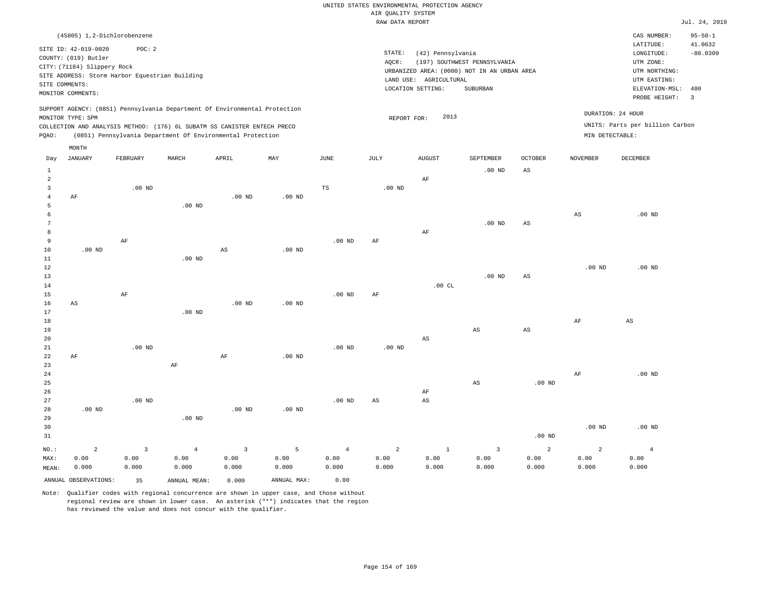|                 |                                                |          |                |                                                                            |                   |                   | RAW DATA REPORT   |                        |                                             |                        |                   |                                 | Jul. 24, 2019  |
|-----------------|------------------------------------------------|----------|----------------|----------------------------------------------------------------------------|-------------------|-------------------|-------------------|------------------------|---------------------------------------------|------------------------|-------------------|---------------------------------|----------------|
|                 | (45805) 1,2-Dichlorobenzene                    |          |                |                                                                            |                   |                   |                   |                        |                                             |                        |                   | CAS NUMBER:                     | $95 - 50 - 1$  |
|                 |                                                |          |                |                                                                            |                   |                   |                   |                        |                                             |                        |                   | LATITUDE:                       | 41.0632        |
|                 | SITE ID: 42-019-0020                           | POC: 2   |                |                                                                            |                   |                   | STATE:            | (42) Pennsylvania      |                                             |                        |                   | LONGITUDE:                      | $-80.0309$     |
|                 | COUNTY: (019) Butler                           |          |                |                                                                            |                   |                   | AQCR:             |                        | (197) SOUTHWEST PENNSYLVANIA                |                        |                   | UTM ZONE:                       |                |
|                 | CITY: (71184) Slippery Rock                    |          |                |                                                                            |                   |                   |                   |                        | URBANIZED AREA: (0000) NOT IN AN URBAN AREA |                        |                   | UTM NORTHING:                   |                |
|                 | SITE ADDRESS: Storm Harbor Equestrian Building |          |                |                                                                            |                   |                   |                   | LAND USE: AGRICULTURAL |                                             |                        |                   | UTM EASTING:                    |                |
|                 | SITE COMMENTS:                                 |          |                |                                                                            |                   |                   |                   | LOCATION SETTING:      | SUBURBAN                                    |                        |                   | ELEVATION-MSL:                  | 400            |
|                 | MONITOR COMMENTS:                              |          |                |                                                                            |                   |                   |                   |                        |                                             |                        |                   | PROBE HEIGHT:                   | $\overline{3}$ |
|                 |                                                |          |                | SUPPORT AGENCY: (0851) Pennsylvania Department Of Environmental Protection |                   |                   |                   |                        |                                             |                        |                   |                                 |                |
|                 | MONITOR TYPE: SPM                              |          |                |                                                                            |                   |                   | REPORT FOR:       | 2013                   |                                             |                        |                   | DURATION: 24 HOUR               |                |
|                 |                                                |          |                | COLLECTION AND ANALYSIS METHOD: (176) 6L SUBATM SS CANISTER ENTECH PRECO   |                   |                   |                   |                        |                                             |                        |                   | UNITS: Parts per billion Carbon |                |
| PQAO:           |                                                |          |                | (0851) Pennsylvania Department Of Environmental Protection                 |                   |                   |                   |                        |                                             |                        | MIN DETECTABLE:   |                                 |                |
|                 | MONTH                                          |          |                |                                                                            |                   |                   |                   |                        |                                             |                        |                   |                                 |                |
| Day             | JANUARY                                        | FEBRUARY | MARCH          | APRIL                                                                      | MAY               | JUNE              | JULY              | <b>AUGUST</b>          | SEPTEMBER                                   | OCTOBER                | NOVEMBER          | DECEMBER                        |                |
| $\mathbf{1}$    |                                                |          |                |                                                                            |                   |                   |                   |                        | $.00$ ND                                    | $\mathbb{A}\mathbb{S}$ |                   |                                 |                |
| $\overline{2}$  |                                                |          |                |                                                                            |                   |                   |                   | AF                     |                                             |                        |                   |                                 |                |
| $\overline{3}$  |                                                | $.00$ ND |                |                                                                            |                   | TS                | .00 <sub>ND</sub> |                        |                                             |                        |                   |                                 |                |
| $\overline{4}$  | AF                                             |          |                | $.00$ ND                                                                   | .00 <sub>ND</sub> |                   |                   |                        |                                             |                        |                   |                                 |                |
| 5               |                                                |          | $.00$ ND       |                                                                            |                   |                   |                   |                        |                                             |                        |                   |                                 |                |
| 6               |                                                |          |                |                                                                            |                   |                   |                   |                        |                                             |                        | AS                | $.00$ ND                        |                |
| $7\phantom{.0}$ |                                                |          |                |                                                                            |                   |                   |                   |                        | $.00$ ND                                    | $\mathbb{A}\mathbb{S}$ |                   |                                 |                |
| 8               |                                                |          |                |                                                                            |                   |                   |                   | $\rm{AF}$              |                                             |                        |                   |                                 |                |
| 9               |                                                | AF       |                |                                                                            |                   | .00 <sub>ND</sub> | AF                |                        |                                             |                        |                   |                                 |                |
| 10              | $.00$ ND                                       |          |                | $\mathbb{A}\mathbb{S}$                                                     | $.00$ ND          |                   |                   |                        |                                             |                        |                   |                                 |                |
| 11              |                                                |          | $.00$ ND       |                                                                            |                   |                   |                   |                        |                                             |                        |                   |                                 |                |
| $12\,$          |                                                |          |                |                                                                            |                   |                   |                   |                        |                                             |                        | $.00$ ND          | $.00$ ND                        |                |
| 13<br>14        |                                                |          |                |                                                                            |                   |                   |                   | .00CL                  | $.00$ ND                                    | $\mathbb{A}\mathbb{S}$ |                   |                                 |                |
| 15              |                                                | $\rm AF$ |                |                                                                            |                   | .00 <sub>ND</sub> | AF                |                        |                                             |                        |                   |                                 |                |
| 16              | AS                                             |          |                | $.00$ ND                                                                   | $.00$ ND          |                   |                   |                        |                                             |                        |                   |                                 |                |
| 17              |                                                |          | $.00$ ND       |                                                                            |                   |                   |                   |                        |                                             |                        |                   |                                 |                |
| 18              |                                                |          |                |                                                                            |                   |                   |                   |                        |                                             |                        | $\rm{AF}$         | AS                              |                |
| 19              |                                                |          |                |                                                                            |                   |                   |                   |                        | AS                                          | $\mathbb{A}\mathbb{S}$ |                   |                                 |                |
| 20              |                                                |          |                |                                                                            |                   |                   |                   | $_{\rm AS}$            |                                             |                        |                   |                                 |                |
| 21              |                                                | $.00$ ND |                |                                                                            |                   | .00 <sub>ND</sub> | .00 <sub>ND</sub> |                        |                                             |                        |                   |                                 |                |
| 22              | AF                                             |          |                | AF                                                                         | .00 <sub>ND</sub> |                   |                   |                        |                                             |                        |                   |                                 |                |
| 23              |                                                |          | AF             |                                                                            |                   |                   |                   |                        |                                             |                        |                   |                                 |                |
| 24              |                                                |          |                |                                                                            |                   |                   |                   |                        |                                             |                        | $\rm{AF}$         | $.00$ ND                        |                |
| 25              |                                                |          |                |                                                                            |                   |                   |                   |                        | AS                                          | $.00$ ND               |                   |                                 |                |
| 26              |                                                |          |                |                                                                            |                   |                   |                   | AF                     |                                             |                        |                   |                                 |                |
| 27              |                                                | $.00$ ND |                |                                                                            |                   | .00 <sub>ND</sub> | AS                | AS                     |                                             |                        |                   |                                 |                |
| 28              | $.00$ ND                                       |          |                | $.00$ ND                                                                   | $.00$ ND          |                   |                   |                        |                                             |                        |                   |                                 |                |
| 29              |                                                |          | $.00$ ND       |                                                                            |                   |                   |                   |                        |                                             |                        |                   |                                 |                |
| 30              |                                                |          |                |                                                                            |                   |                   |                   |                        |                                             |                        | .00 <sub>ND</sub> | $.00$ ND                        |                |
| 31              |                                                |          |                |                                                                            |                   |                   |                   |                        |                                             | $.00$ ND               |                   |                                 |                |
| NO.:            | $\overline{a}$                                 | 3        | $\overline{4}$ | $\mathbf{3}$                                                               | 5                 | $\overline{4}$    | $\overline{a}$    | $\,1\,$                | $\overline{3}$                              | 2                      | $\overline{a}$    | $\overline{4}$                  |                |
| MAX:            | 0.00                                           | 0.00     | 0.00           | 0.00                                                                       | 0.00              | 0.00              | 0.00              | 0.00                   | 0.00                                        | 0.00                   | 0.00              | 0.00                            |                |
| MEAN:           | 0.000                                          | 0.000    | 0.000          | 0.000                                                                      | 0.000             | 0.000             | 0.000             | 0.000                  | 0.000                                       | 0.000                  | 0.000             | 0.000                           |                |
|                 | ANNUAL OBSERVATIONS:                           | 35       | ANNUAL MEAN:   | 0.000                                                                      | ANNUAL MAX:       | 0.00              |                   |                        |                                             |                        |                   |                                 |                |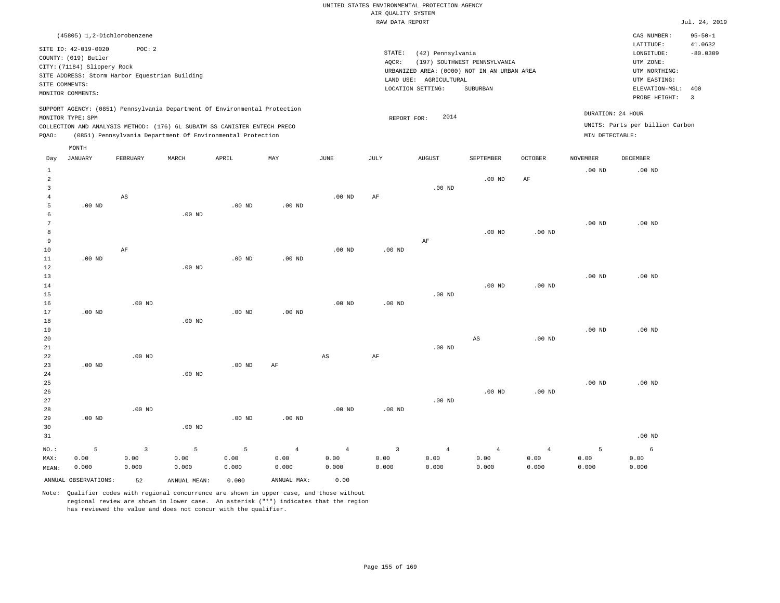|       | (45805) 1,2-Dichlorobenzene                         |                                                |       |                                                                                                                                                                                                                      |     |      |        |                           |                                                                             |         |                 | CAS NUMBER:                                          | $95 - 50 - 1$         |
|-------|-----------------------------------------------------|------------------------------------------------|-------|----------------------------------------------------------------------------------------------------------------------------------------------------------------------------------------------------------------------|-----|------|--------|---------------------------|-----------------------------------------------------------------------------|---------|-----------------|------------------------------------------------------|-----------------------|
|       | SITE ID: 42-019-0020                                | POC:2                                          |       |                                                                                                                                                                                                                      |     |      | STATE: | (42) Pennsylvania         |                                                                             |         |                 | LATITUDE:<br>LONGITUDE:                              | 41.0632<br>$-80.0309$ |
|       | COUNTY: (019) Butler<br>CITY: (71184) Slippery Rock | SITE ADDRESS: Storm Harbor Equestrian Building |       |                                                                                                                                                                                                                      |     |      | AOCR:  | LAND USE:<br>AGRICULTURAL | (197) SOUTHWEST PENNSYLVANIA<br>URBANIZED AREA: (0000) NOT IN AN URBAN AREA |         |                 | UTM ZONE:<br>UTM NORTHING:<br>UTM EASTING:           |                       |
|       | SITE COMMENTS:<br>MONITOR COMMENTS:                 |                                                |       |                                                                                                                                                                                                                      |     |      |        | LOCATION SETTING:         | SUBURBAN                                                                    |         |                 | ELEVATION-MSL:<br>PROBE HEIGHT:                      | 400<br>-3             |
| POAO: | MONITOR TYPE: SPM                                   |                                                |       | SUPPORT AGENCY: (0851) Pennsylvania Department Of Environmental Protection<br>COLLECTION AND ANALYSIS METHOD: (176) 6L SUBATM SS CANISTER ENTECH PRECO<br>(0851) Pennsylvania Department Of Environmental Protection |     |      |        | 2014<br>REPORT FOR:       |                                                                             |         | MIN DETECTABLE: | DURATION: 24 HOUR<br>UNITS: Parts per billion Carbon |                       |
|       | MONTH                                               |                                                |       |                                                                                                                                                                                                                      |     |      |        |                           |                                                                             |         |                 |                                                      |                       |
| Day   | JANUARY                                             | FEBRUARY                                       | MARCH | APRIL                                                                                                                                                                                                                | MAY | JUNE | JULY   | AUGUST                    | SEPTEMBER                                                                   | OCTOBER | <b>NOVEMBER</b> | <b>DECEMBER</b>                                      |                       |
|       |                                                     |                                                |       |                                                                                                                                                                                                                      |     |      |        |                           | $.00$ ND                                                                    | AF      | $.00$ ND        | $.00$ ND                                             |                       |

| $\overline{3}$  |          |                        |          |          |          |                        |          | $.00$ ND  |          |          |          |          |
|-----------------|----------|------------------------|----------|----------|----------|------------------------|----------|-----------|----------|----------|----------|----------|
| $\overline{4}$  |          | $\mathbb{A}\mathbb{S}$ |          |          |          | $.00$ ND               | $\rm AF$ |           |          |          |          |          |
| 5               | $.00$ ND |                        |          | $.00$ ND | $.00$ ND |                        |          |           |          |          |          |          |
| 6               |          |                        | $.00$ ND |          |          |                        |          |           |          |          |          |          |
| $7\phantom{.0}$ |          |                        |          |          |          |                        |          |           |          |          | $.00$ ND | $.00$ ND |
| 8               |          |                        |          |          |          |                        |          |           | $.00$ ND | $.00$ ND |          |          |
| $\overline{9}$  |          |                        |          |          |          |                        |          | $\rm{AF}$ |          |          |          |          |
| $10$            |          | $\rm{AF}$              |          |          |          | $.00$ ND               | $.00$ ND |           |          |          |          |          |
| $11$            | $.00$ ND |                        |          | $.00$ ND | $.00$ ND |                        |          |           |          |          |          |          |
| $1\,2$          |          |                        | $.00$ ND |          |          |                        |          |           |          |          |          |          |
| 13              |          |                        |          |          |          |                        |          |           |          |          | $.00$ ND | $.00$ ND |
| $14\,$          |          |                        |          |          |          |                        |          |           | $.00$ ND | $.00$ ND |          |          |
| $15\,$          |          |                        |          |          |          |                        |          | $.00$ ND  |          |          |          |          |
| 16              |          | $.00$ ND               |          |          |          | .00 $ND$               | $.00$ ND |           |          |          |          |          |
| 17              | $.00$ ND |                        |          | $.00$ ND | $.00$ ND |                        |          |           |          |          |          |          |
| $18\,$<br>19    |          |                        | $.00$ ND |          |          |                        |          |           |          |          | $.00$ ND | $.00$ ND |
| $20\,$          |          |                        |          |          |          |                        |          |           | AS       | $.00$ ND |          |          |
| $2\sqrt{1}$     |          |                        |          |          |          |                        |          | $.00$ ND  |          |          |          |          |
| 22              |          | $.00$ ND               |          |          |          | $\mathbb{A}\mathbb{S}$ | AF       |           |          |          |          |          |
| 23              | $.00$ ND |                        |          | $.00$ ND | $\rm AF$ |                        |          |           |          |          |          |          |
| 24              |          |                        | $.00$ ND |          |          |                        |          |           |          |          |          |          |
| $2\sqrt{5}$     |          |                        |          |          |          |                        |          |           |          |          | $.00$ ND | $.00$ ND |
| 26              |          |                        |          |          |          |                        |          |           | $.00$ ND | $.00$ ND |          |          |
| 27              |          |                        |          |          |          |                        |          | $.00$ ND  |          |          |          |          |
| 28              |          | $.00$ ND               |          |          |          | $.00~\mathrm{ND}$      | .00 $ND$ |           |          |          |          |          |
| 29              | $.00$ ND |                        |          | $.00$ ND | $.00$ ND |                        |          |           |          |          |          |          |
| 30              |          |                        | $.00$ ND |          |          |                        |          |           |          |          |          |          |

| 31    |                      |       |              |       |             |       |       |       |       |       |       | $.00$ ND |
|-------|----------------------|-------|--------------|-------|-------------|-------|-------|-------|-------|-------|-------|----------|
| NO.:  |                      |       |              |       |             | 4     |       | -4    |       |       |       |          |
| MAX:  | 0.00                 | 0.00  | 0.00         | 0.00  | 0.00        | 0.00  | 0.00  | 0.00  | 0.00  | 0.00  | 0.00  | 0.00     |
| MEAN: | 0.000                | 0.000 | 0.000        | 0.000 | 0.000       | 0.000 | 0.000 | 0.000 | 0.000 | 0.000 | 0.000 | 0.000    |
|       | ANNUAL OBSERVATIONS: | 52    | ANNUAL MEAN: | 0.000 | ANNUAL MAX: | 0.00  |       |       |       |       |       |          |

Note: Qualifier codes with regional concurrence are shown in upper case, and those without regional review are shown in lower case. An asterisk ("\*") indicates that the region

has reviewed the value and does not concur with the qualifier.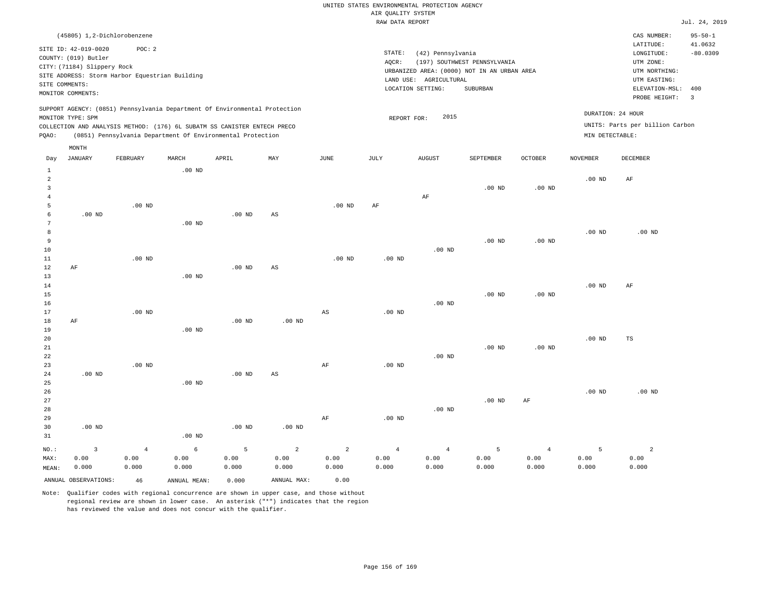|              |                             |                                                                                                                                                                                                                      |          |          |     |          |        | RAW DATA REPORT                             |                              |                   |                 |                                                      | Jul. 24, 2019            |
|--------------|-----------------------------|----------------------------------------------------------------------------------------------------------------------------------------------------------------------------------------------------------------------|----------|----------|-----|----------|--------|---------------------------------------------|------------------------------|-------------------|-----------------|------------------------------------------------------|--------------------------|
|              | (45805) 1,2-Dichlorobenzene |                                                                                                                                                                                                                      |          |          |     |          |        |                                             |                              |                   |                 | CAS NUMBER:                                          | $95 - 50 - 1$            |
|              |                             |                                                                                                                                                                                                                      |          |          |     |          |        |                                             |                              |                   |                 | LATITUDE:                                            | 41.0632                  |
|              | SITE ID: 42-019-0020        | POC:2                                                                                                                                                                                                                |          |          |     |          | STATE: | (42) Pennsylvania                           |                              |                   |                 | LONGITUDE:                                           | $-80.0309$               |
|              | COUNTY: (019) Butler        |                                                                                                                                                                                                                      |          |          |     |          | AOCR:  |                                             | (197) SOUTHWEST PENNSYLVANIA |                   |                 | UTM ZONE:                                            |                          |
|              | CITY: (71184) Slippery Rock |                                                                                                                                                                                                                      |          |          |     |          |        | URBANIZED AREA: (0000) NOT IN AN URBAN AREA |                              |                   |                 | UTM NORTHING:                                        |                          |
|              |                             | SITE ADDRESS: Storm Harbor Equestrian Building                                                                                                                                                                       |          |          |     |          |        | LAND USE: AGRICULTURAL                      |                              |                   |                 | UTM EASTING:                                         |                          |
|              | SITE COMMENTS:              |                                                                                                                                                                                                                      |          |          |     |          |        | LOCATION SETTING:                           | SUBURBAN                     |                   |                 | ELEVATION-MSL:                                       | 400                      |
|              | MONITOR COMMENTS:           |                                                                                                                                                                                                                      |          |          |     |          |        |                                             |                              |                   |                 | PROBE HEIGHT:                                        | $\overline{\phantom{a}}$ |
| POAO:        | MONITOR TYPE: SPM           | SUPPORT AGENCY: (0851) Pennsylvania Department Of Environmental Protection<br>COLLECTION AND ANALYSIS METHOD: (176) 6L SUBATM SS CANISTER ENTECH PRECO<br>(0851) Pennsylvania Department Of Environmental Protection |          |          |     |          |        | 2015<br>REPORT FOR:                         |                              |                   | MIN DETECTABLE: | DURATION: 24 HOUR<br>UNITS: Parts per billion Carbon |                          |
|              | MONTH                       |                                                                                                                                                                                                                      |          |          |     |          |        |                                             |                              |                   |                 |                                                      |                          |
| Day          | JANUARY                     | FEBRUARY                                                                                                                                                                                                             | MARCH    | APRIL    | MAY | JUNE     | JULY   | <b>AUGUST</b>                               | SEPTEMBER                    | <b>OCTOBER</b>    | <b>NOVEMBER</b> | DECEMBER                                             |                          |
|              |                             |                                                                                                                                                                                                                      | $.00$ ND |          |     |          |        |                                             |                              |                   |                 |                                                      |                          |
| 2            |                             |                                                                                                                                                                                                                      |          |          |     |          |        |                                             |                              |                   | $.00$ ND        | AF                                                   |                          |
|              |                             |                                                                                                                                                                                                                      |          |          |     |          |        |                                             | $.00$ ND                     | .00 <sub>ND</sub> |                 |                                                      |                          |
|              |                             |                                                                                                                                                                                                                      |          |          |     |          |        | AF                                          |                              |                   |                 |                                                      |                          |
| 5            |                             | $.00$ ND                                                                                                                                                                                                             |          |          |     | $.00$ ND | AF     |                                             |                              |                   |                 |                                                      |                          |
| 6            | $.00$ ND                    |                                                                                                                                                                                                                      |          | $.00$ ND | AS  |          |        |                                             |                              |                   |                 |                                                      |                          |
|              |                             |                                                                                                                                                                                                                      | $.00$ ND |          |     |          |        |                                             |                              |                   |                 |                                                      |                          |
| $\mathsf{R}$ |                             |                                                                                                                                                                                                                      |          |          |     |          |        |                                             |                              |                   | 00 ND           | רדות חח                                              |                          |

| $\sim$ |    |                   |          |          |    |          |                   |          |                   |          | .        | $\cdot$ $\circ$ $\cdot$ $\cdot$ |  |
|--------|----|-------------------|----------|----------|----|----------|-------------------|----------|-------------------|----------|----------|---------------------------------|--|
| 9      |    |                   |          |          |    |          |                   |          | .00 <sub>ND</sub> | $.00$ ND |          |                                 |  |
| 10     |    |                   |          |          |    |          |                   | $.00$ ND |                   |          |          |                                 |  |
| 11     |    | .00 <sub>ND</sub> |          |          |    | $.00$ ND | .00 <sub>ND</sub> |          |                   |          |          |                                 |  |
| 12     | AF |                   |          | $.00$ ND | AS |          |                   |          |                   |          |          |                                 |  |
| 13     |    |                   | $.00$ ND |          |    |          |                   |          |                   |          |          |                                 |  |
| 14     |    |                   |          |          |    |          |                   |          |                   |          | $.00$ ND | AF                              |  |

| 15   |           |          |          |          |          |    |                   |          | $.00$ ND          | $.00$ ND |          |    |  |
|------|-----------|----------|----------|----------|----------|----|-------------------|----------|-------------------|----------|----------|----|--|
| 16   |           |          |          |          |          |    |                   | $.00$ ND |                   |          |          |    |  |
| 17   |           | $.00$ ND |          |          |          | AS | .00 <sub>ND</sub> |          |                   |          |          |    |  |
| $18$ | $\rm{AF}$ |          |          | $.00$ ND | $.00$ ND |    |                   |          |                   |          |          |    |  |
| 19   |           |          | $.00$ ND |          |          |    |                   |          |                   |          |          |    |  |
| 20   |           |          |          |          |          |    |                   |          |                   |          | $.00$ ND | TS |  |
| 21   |           |          |          |          |          |    |                   |          | .00 <sub>ND</sub> | $.00$ ND |          |    |  |
| 22   |           |          |          |          |          |    |                   | $.00$ ND |                   |          |          |    |  |

| 23    |          | $.00$ ND       |          |          |          | AF    | .00 <sub>ND</sub> |                |          |                |          |                   |
|-------|----------|----------------|----------|----------|----------|-------|-------------------|----------------|----------|----------------|----------|-------------------|
| 24    | $.00$ ND |                |          | $.00$ ND | AS       |       |                   |                |          |                |          |                   |
| 25    |          |                | $.00$ ND |          |          |       |                   |                |          |                |          |                   |
| 26    |          |                |          |          |          |       |                   |                |          |                | $.00$ ND | .00 <sub>ND</sub> |
| 27    |          |                |          |          |          |       |                   |                | $.00$ ND | AF             |          |                   |
| 28    |          |                |          |          |          |       |                   | $.00$ ND       |          |                |          |                   |
| 29    |          |                |          |          |          | AF    | $.00$ ND          |                |          |                |          |                   |
| 30    | $.00$ ND |                |          | $.00$ ND | $.00$ ND |       |                   |                |          |                |          |                   |
| 31    |          |                | $.00$ ND |          |          |       |                   |                |          |                |          |                   |
| NO.:  | 3        | $\overline{4}$ | 6        | 5        | 2        | 2     | $\overline{4}$    | $\overline{4}$ | 5        | $\overline{4}$ | 5        | 2                 |
| MAX:  | 0.00     | 0.00           | 0.00     | 0.00     | 0.00     | 0.00  | 0.00              | 0.00           | 0.00     | 0.00           | 0.00     | 0.00              |
| MEAN: | 0.000    | 0.000          | 0.000    | 0.000    | 0.000    | 0.000 | 0.000             | 0.000          | 0.000    | 0.000          | 0.000    | 0.000             |

ANNUAL OBSERVATIONS: 46 ANNUAL MEAN: 0.000 ANNUAL MAX: 0.00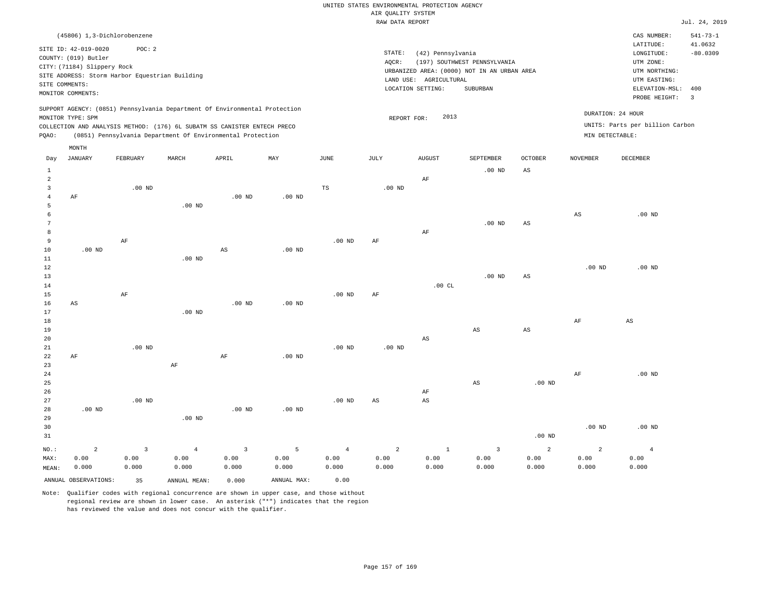|                     |                                                |                   |                                                                            |                        |             |                   | RAW DATA REPORT   |                        |                                             |                        |                   |                                 | Jul. 24, 2019  |
|---------------------|------------------------------------------------|-------------------|----------------------------------------------------------------------------|------------------------|-------------|-------------------|-------------------|------------------------|---------------------------------------------|------------------------|-------------------|---------------------------------|----------------|
|                     | (45806) 1,3-Dichlorobenzene                    |                   |                                                                            |                        |             |                   |                   |                        |                                             |                        |                   | CAS NUMBER:                     | $541 - 73 - 1$ |
|                     |                                                |                   |                                                                            |                        |             |                   |                   |                        |                                             |                        |                   | LATITUDE:                       | 41.0632        |
|                     | SITE ID: 42-019-0020                           | POC: 2            |                                                                            |                        |             |                   | STATE:            | (42) Pennsylvania      |                                             |                        |                   | LONGITUDE:                      | $-80.0309$     |
|                     | COUNTY: (019) Butler                           |                   |                                                                            |                        |             |                   | AQCR:             |                        | (197) SOUTHWEST PENNSYLVANIA                |                        |                   | UTM ZONE:                       |                |
|                     | CITY: (71184) Slippery Rock                    |                   |                                                                            |                        |             |                   |                   |                        | URBANIZED AREA: (0000) NOT IN AN URBAN AREA |                        |                   | UTM NORTHING:                   |                |
|                     | SITE ADDRESS: Storm Harbor Equestrian Building |                   |                                                                            |                        |             |                   |                   | LAND USE: AGRICULTURAL |                                             |                        |                   | UTM EASTING:                    |                |
|                     | SITE COMMENTS:                                 |                   |                                                                            |                        |             |                   |                   | LOCATION SETTING:      | SUBURBAN                                    |                        |                   | ELEVATION-MSL:                  | 400            |
|                     | MONITOR COMMENTS:                              |                   |                                                                            |                        |             |                   |                   |                        |                                             |                        |                   | PROBE HEIGHT:                   | $\overline{3}$ |
|                     |                                                |                   | SUPPORT AGENCY: (0851) Pennsylvania Department Of Environmental Protection |                        |             |                   |                   |                        |                                             |                        |                   |                                 |                |
|                     | MONITOR TYPE: SPM                              |                   |                                                                            |                        |             |                   | REPORT FOR:       | 2013                   |                                             |                        |                   | DURATION: 24 HOUR               |                |
|                     |                                                |                   | COLLECTION AND ANALYSIS METHOD: (176) 6L SUBATM SS CANISTER ENTECH PRECO   |                        |             |                   |                   |                        |                                             |                        |                   | UNITS: Parts per billion Carbon |                |
| PQAO:               |                                                |                   | (0851) Pennsylvania Department Of Environmental Protection                 |                        |             |                   |                   |                        |                                             |                        | MIN DETECTABLE:   |                                 |                |
|                     |                                                |                   |                                                                            |                        |             |                   |                   |                        |                                             |                        |                   |                                 |                |
| Day                 | MONTH<br>JANUARY                               | FEBRUARY          | MARCH                                                                      | APRIL                  | MAY         | JUNE              | JULY              | <b>AUGUST</b>          | SEPTEMBER                                   | <b>OCTOBER</b>         | <b>NOVEMBER</b>   | DECEMBER                        |                |
|                     |                                                |                   |                                                                            |                        |             |                   |                   |                        |                                             |                        |                   |                                 |                |
| $\mathbf{1}$        |                                                |                   |                                                                            |                        |             |                   |                   |                        | $.00$ ND                                    | AS                     |                   |                                 |                |
| $\overline{a}$      |                                                |                   |                                                                            |                        |             |                   |                   | AF                     |                                             |                        |                   |                                 |                |
| 3                   |                                                | $.00$ ND          |                                                                            |                        |             | TS                | $.00$ ND          |                        |                                             |                        |                   |                                 |                |
| $\overline{4}$<br>5 | AF                                             |                   | $.00$ ND                                                                   | $.00$ ND               | $.00$ ND    |                   |                   |                        |                                             |                        |                   |                                 |                |
| 6                   |                                                |                   |                                                                            |                        |             |                   |                   |                        |                                             |                        | $_{\rm AS}$       | $.00$ ND                        |                |
| $7\phantom{.0}$     |                                                |                   |                                                                            |                        |             |                   |                   |                        | $.00$ ND                                    | AS                     |                   |                                 |                |
| 8                   |                                                |                   |                                                                            |                        |             |                   |                   | AF                     |                                             |                        |                   |                                 |                |
| 9                   |                                                | AF                |                                                                            |                        |             | $.00$ ND          | AF                |                        |                                             |                        |                   |                                 |                |
| 10                  | .00 <sub>ND</sub>                              |                   |                                                                            | $\mathbb{A}\mathbb{S}$ | $.00$ ND    |                   |                   |                        |                                             |                        |                   |                                 |                |
| 11                  |                                                |                   | .00 <sub>ND</sub>                                                          |                        |             |                   |                   |                        |                                             |                        |                   |                                 |                |
| 12                  |                                                |                   |                                                                            |                        |             |                   |                   |                        |                                             |                        | .00 <sub>ND</sub> | $.00$ ND                        |                |
| 13                  |                                                |                   |                                                                            |                        |             |                   |                   |                        | $.00$ ND                                    | $_{\rm AS}$            |                   |                                 |                |
| 14                  |                                                |                   |                                                                            |                        |             |                   |                   | .00CL                  |                                             |                        |                   |                                 |                |
| 15                  |                                                | AF                |                                                                            |                        |             | .00 <sub>ND</sub> | AF                |                        |                                             |                        |                   |                                 |                |
| 16                  | AS                                             |                   |                                                                            | .00 <sub>ND</sub>      | $.00$ ND    |                   |                   |                        |                                             |                        |                   |                                 |                |
| 17                  |                                                |                   | $.00$ ND                                                                   |                        |             |                   |                   |                        |                                             |                        |                   |                                 |                |
| 18                  |                                                |                   |                                                                            |                        |             |                   |                   |                        |                                             |                        | AF                | AS                              |                |
| 19                  |                                                |                   |                                                                            |                        |             |                   |                   |                        | $_{\rm AS}$                                 | $\mathbb{A}\mathbb{S}$ |                   |                                 |                |
| 20                  |                                                |                   |                                                                            |                        |             |                   |                   | $\mathbb{A}\mathbb{S}$ |                                             |                        |                   |                                 |                |
| 21                  |                                                | .00 <sub>ND</sub> |                                                                            |                        |             | .00 <sub>ND</sub> | .00 <sub>ND</sub> |                        |                                             |                        |                   |                                 |                |
| 22                  | AF                                             |                   |                                                                            | $\rm{AF}$              | $.00$ ND    |                   |                   |                        |                                             |                        |                   |                                 |                |
| 23                  |                                                |                   | $\rm{AF}$                                                                  |                        |             |                   |                   |                        |                                             |                        |                   |                                 |                |
| 24                  |                                                |                   |                                                                            |                        |             |                   |                   |                        |                                             |                        | AF                | $.00$ ND                        |                |
| 25                  |                                                |                   |                                                                            |                        |             |                   |                   |                        | $\mathbb{A}\mathbb{S}$                      | .00 <sub>ND</sub>      |                   |                                 |                |
| 26                  |                                                |                   |                                                                            |                        |             |                   |                   | AF                     |                                             |                        |                   |                                 |                |
| 27                  |                                                | $.00$ ND          |                                                                            |                        |             | .00 <sub>ND</sub> | AS                | $_{\rm AS}$            |                                             |                        |                   |                                 |                |
| 28                  | $.00$ ND                                       |                   |                                                                            | .00 <sub>ND</sub>      | $.00$ ND    |                   |                   |                        |                                             |                        |                   |                                 |                |
| 29                  |                                                |                   | $.00$ ND                                                                   |                        |             |                   |                   |                        |                                             |                        |                   |                                 |                |
| 30                  |                                                |                   |                                                                            |                        |             |                   |                   |                        |                                             |                        | .00 <sub>ND</sub> | $.00$ ND                        |                |
| 31                  |                                                |                   |                                                                            |                        |             |                   |                   |                        |                                             | .00 <sub>ND</sub>      |                   |                                 |                |
| NO.:                | $\overline{2}$                                 | $\overline{3}$    | $\overline{4}$                                                             | $\overline{3}$         | 5           | $\overline{4}$    | $\overline{a}$    | $1\,$                  | $\overline{3}$                              | 2                      | $\overline{a}$    | $\overline{4}$                  |                |
| MAX:                | 0.00                                           | 0.00              | 0.00                                                                       | 0.00                   | 0.00        | 0.00              | 0.00              | 0.00                   | 0.00                                        | 0.00                   | 0.00              | 0.00                            |                |
| MEAN:               | 0.000                                          | 0.000             | 0.000                                                                      | 0.000                  | 0.000       | 0.000             | 0.000             | 0.000                  | 0.000                                       | 0.000                  | 0.000             | 0.000                           |                |
|                     | ANNUAL OBSERVATIONS:                           | 35                | ANNUAL MEAN:                                                               | 0.000                  | ANNUAL MAX: | 0.00              |                   |                        |                                             |                        |                   |                                 |                |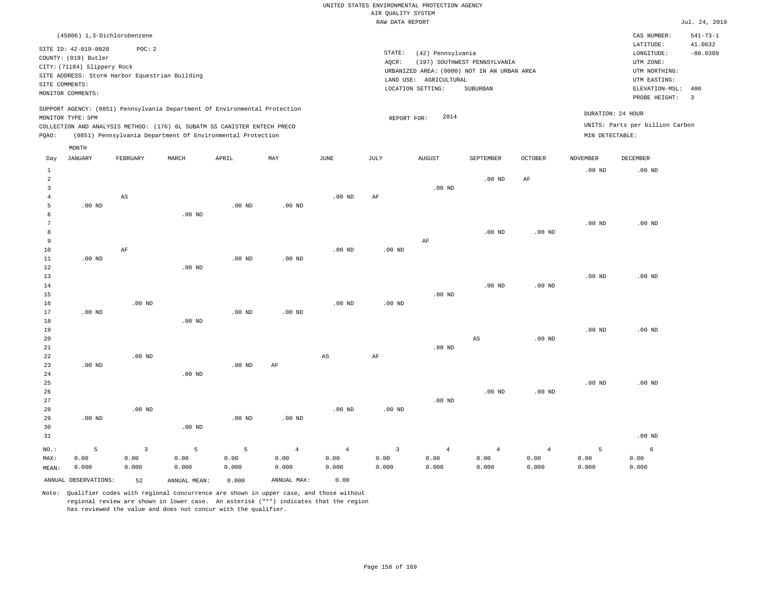|                | (45806) 1,3-Dichlorobenzene |          |                                                |                                                                            |          |          |        |                                             |                              |         |                   | CAS NUMBER:                     | $541 - 73 - 1$          |
|----------------|-----------------------------|----------|------------------------------------------------|----------------------------------------------------------------------------|----------|----------|--------|---------------------------------------------|------------------------------|---------|-------------------|---------------------------------|-------------------------|
|                | SITE ID: 42-019-0020        | POC:2    |                                                |                                                                            |          |          |        |                                             |                              |         |                   | LATITUDE:                       | 41.0632                 |
|                | COUNTY: (019) Butler        |          |                                                |                                                                            |          |          | STATE: | (42) Pennsylvania                           |                              |         |                   | LONGITUDE:                      | $-80.0309$              |
|                | CITY: (71184) Slippery Rock |          |                                                |                                                                            |          |          | AQCR:  |                                             | (197) SOUTHWEST PENNSYLVANIA |         |                   | UTM ZONE:                       |                         |
|                |                             |          | SITE ADDRESS: Storm Harbor Equestrian Building |                                                                            |          |          |        | URBANIZED AREA: (0000) NOT IN AN URBAN AREA |                              |         |                   | UTM NORTHING:                   |                         |
|                | SITE COMMENTS:              |          |                                                |                                                                            |          |          |        | LAND USE:<br>AGRICULTURAL                   |                              |         |                   | UTM EASTING:                    |                         |
|                | MONITOR COMMENTS:           |          |                                                |                                                                            |          |          |        | LOCATION SETTING:                           | SUBURBAN                     |         |                   | ELEVATION-MSL:                  | 400                     |
|                |                             |          |                                                |                                                                            |          |          |        |                                             |                              |         |                   | PROBE HEIGHT:                   | $\overline{\mathbf{3}}$ |
|                | MONITOR TYPE: SPM           |          |                                                | SUPPORT AGENCY: (0851) Pennsylvania Department Of Environmental Protection |          |          |        | 2014<br>REPORT FOR:                         |                              |         | DURATION: 24 HOUR |                                 |                         |
|                |                             |          |                                                | COLLECTION AND ANALYSIS METHOD: (176) 6L SUBATM SS CANISTER ENTECH PRECO   |          |          |        |                                             |                              |         |                   | UNITS: Parts per billion Carbon |                         |
| POAO:          |                             |          |                                                | (0851) Pennsylvania Department Of Environmental Protection                 |          |          |        |                                             |                              |         | MIN DETECTABLE:   |                                 |                         |
|                | MONTH                       |          |                                                |                                                                            |          |          |        |                                             |                              |         |                   |                                 |                         |
| Day            | JANUARY                     | FEBRUARY | MARCH                                          | APRIL                                                                      | MAY      | JUNE     | JULY   | <b>AUGUST</b>                               | <b>SEPTEMBER</b>             | OCTOBER | <b>NOVEMBER</b>   | DECEMBER                        |                         |
|                |                             |          |                                                |                                                                            |          |          |        |                                             |                              |         | $.00$ ND          | $.00$ ND                        |                         |
| $\overline{2}$ |                             |          |                                                |                                                                            |          |          |        |                                             | $.00$ ND                     | AF      |                   |                                 |                         |
|                |                             |          |                                                |                                                                            |          |          |        | $.00$ ND                                    |                              |         |                   |                                 |                         |
|                |                             | AS       |                                                |                                                                            |          | $.00$ ND | AF     |                                             |                              |         |                   |                                 |                         |
|                | $.00$ ND                    |          |                                                | $.00$ ND                                                                   | $.00$ ND |          |        |                                             |                              |         |                   |                                 |                         |

| 6  |          |    | $.00$ ND |          |          |          |          |    |          |          |          |          |
|----|----------|----|----------|----------|----------|----------|----------|----|----------|----------|----------|----------|
| 7  |          |    |          |          |          |          |          |    |          |          | $.00$ ND | $.00$ ND |
| 8  |          |    |          |          |          |          |          |    | $.00$ ND | $.00$ ND |          |          |
| 9  |          |    |          |          |          |          |          | AF |          |          |          |          |
| 10 |          | AF |          |          |          | $.00$ ND | $.00$ ND |    |          |          |          |          |
| 11 | $.00$ ND |    |          | $.00$ ND | $.00$ ND |          |          |    |          |          |          |          |
| 12 |          |    | $.00$ ND |          |          |          |          |    |          |          |          |          |
| 13 |          |    |          |          |          |          |          |    |          |          | $.00$ ND | $.00$ ND |

| 14 |          |          |          |          |          |          |          |          | $.00$ ND | $.00$ ND |          |          |
|----|----------|----------|----------|----------|----------|----------|----------|----------|----------|----------|----------|----------|
| 15 |          |          |          |          |          |          |          | $.00$ ND |          |          |          |          |
| 16 |          | $.00$ ND |          |          |          | $.00$ ND | $.00$ ND |          |          |          |          |          |
| 17 | .00 $ND$ |          |          | $.00$ ND | $.00$ ND |          |          |          |          |          |          |          |
| 18 |          |          | $.00$ ND |          |          |          |          |          |          |          |          |          |
| 19 |          |          |          |          |          |          |          |          |          |          | $.00$ ND | $.00$ ND |

| 20          |          |          |          |          |                        |    |    |          | AS | $.00$ ND |          |          |
|-------------|----------|----------|----------|----------|------------------------|----|----|----------|----|----------|----------|----------|
| $21\,$      |          |          |          |          |                        |    |    | $.00$ ND |    |          |          |          |
| $^{\rm 22}$ |          | $.00$ ND |          |          |                        | AS | AF |          |    |          |          |          |
| 23          | $.00$ ND |          |          | $.00$ ND | $\mathbb{A}\mathbb{F}$ |    |    |          |    |          |          |          |
| 24          |          |          | $.00$ ND |          |                        |    |    |          |    |          |          |          |
| 25          |          |          |          |          |                        |    |    |          |    |          | $.00$ ND | $.00$ ND |

| 26 |          |          |                   |          |          |          |          |          | $.00$ ND | $.00$ ND |          |
|----|----------|----------|-------------------|----------|----------|----------|----------|----------|----------|----------|----------|
| 27 |          |          |                   |          |          |          |          | .00 $ND$ |          |          |          |
| 28 |          | $.00$ ND |                   |          |          | $.00$ ND | $.00$ ND |          |          |          |          |
| 29 | $.00$ ND |          |                   | $.00$ ND | $.00$ ND |          |          |          |          |          |          |
| 30 |          |          | .00 <sub>ND</sub> |          |          |          |          |          |          |          |          |
| 31 |          |          |                   |          |          |          |          |          |          |          | $.00$ ND |

|  |  |  |  |  | $\texttt{MAX:} \quad \quad 0.00 \quad \quad \quad 0.00 \quad \quad \quad 0.00 \quad \quad \quad 0.00 \quad \quad \quad 0.00 \quad \quad \quad 0.00 \quad \quad \quad 0.00 \quad \quad \quad 0.00 \quad \quad \quad 0.00 \quad \quad \quad 0.00 \quad \quad \quad 0.00 \quad \quad \quad 0.00 \quad \quad \quad 0.00 \quad \quad \quad 0.00 \quad \quad \quad 0.00 \quad \quad \quad 0.00 \quad \quad 0.00 \quad \quad 0.00 \quad \quad 0.00 \quad \quad 0.00 \quad \$ |  |
|--|--|--|--|--|-----------------------------------------------------------------------------------------------------------------------------------------------------------------------------------------------------------------------------------------------------------------------------------------------------------------------------------------------------------------------------------------------------------------------------------------------------------------------|--|
|  |  |  |  |  | MEAN: 0.000 0.000 0.000 0.000 0.000 0.000 0.000 0.000 0.000 0.000 0.000 0.000 0.000 0.000                                                                                                                                                                                                                                                                                                                                                                             |  |

ANNUAL OBSERVATIONS: 52 ANNUAL MEAN: 0.000 ANNUAL MAX: 0.00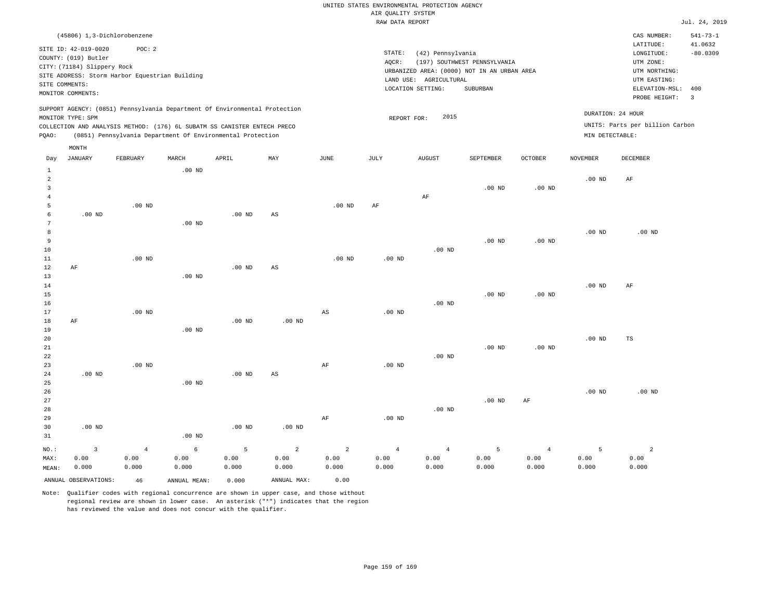|         |                                                                                                                    |                                                         |          |                                                                                                                                                                                                                      |     |          |                 | RAW DATA REPORT                                                                                                 |                                          |                   |                                      |                                                                                                          | Jul. 24, 2019                                            |
|---------|--------------------------------------------------------------------------------------------------------------------|---------------------------------------------------------|----------|----------------------------------------------------------------------------------------------------------------------------------------------------------------------------------------------------------------------|-----|----------|-----------------|-----------------------------------------------------------------------------------------------------------------|------------------------------------------|-------------------|--------------------------------------|----------------------------------------------------------------------------------------------------------|----------------------------------------------------------|
|         |                                                                                                                    | (45806) 1,3-Dichlorobenzene                             |          |                                                                                                                                                                                                                      |     |          |                 |                                                                                                                 |                                          |                   |                                      | CAS NUMBER:                                                                                              | $541 - 73 - 1$                                           |
|         | SITE ID: 42-019-0020<br>COUNTY: (019) Butler<br>CITY: (71184) Slippery Rock<br>SITE COMMENTS:<br>MONITOR COMMENTS: | POC:2<br>SITE ADDRESS: Storm Harbor Equestrian Building |          |                                                                                                                                                                                                                      |     |          | STATE:<br>AOCR: | (42) Pennsylvania<br>URBANIZED AREA: (0000) NOT IN AN URBAN AREA<br>LAND USE: AGRICULTURAL<br>LOCATION SETTING: | (197) SOUTHWEST PENNSYLVANIA<br>SUBURBAN |                   |                                      | LATITUDE:<br>LONGITUDE:<br>UTM ZONE:<br>UTM NORTHING:<br>UTM EASTING:<br>ELEVATION-MSL:<br>PROBE HEIGHT: | 41.0632<br>$-80.0309$<br>400<br>$\overline{\phantom{a}}$ |
| POAO:   | MONITOR TYPE: SPM<br>MONTH                                                                                         |                                                         |          | SUPPORT AGENCY: (0851) Pennsylvania Department Of Environmental Protection<br>COLLECTION AND ANALYSIS METHOD: (176) 6L SUBATM SS CANISTER ENTECH PRECO<br>(0851) Pennsylvania Department Of Environmental Protection |     |          |                 | 2015<br>REPORT FOR:                                                                                             |                                          |                   | DURATION: 24 HOUR<br>MIN DETECTABLE: | UNITS: Parts per billion Carbon                                                                          |                                                          |
| Day     | JANUARY                                                                                                            | FEBRUARY                                                | MARCH    | APRIL                                                                                                                                                                                                                | MAY | JUNE     | JULY            | <b>AUGUST</b>                                                                                                   | SEPTEMBER                                | <b>OCTOBER</b>    | <b>NOVEMBER</b>                      | DECEMBER                                                                                                 |                                                          |
|         |                                                                                                                    |                                                         | $.00$ ND |                                                                                                                                                                                                                      |     |          |                 | AF                                                                                                              | $.00$ ND                                 | .00 <sub>ND</sub> | $.00$ ND                             | AF                                                                                                       |                                                          |
| 5<br>6  | .00 <sub>ND</sub>                                                                                                  | $.00$ ND                                                |          | $.00$ ND                                                                                                                                                                                                             | AS  | $.00$ ND | AF              |                                                                                                                 |                                          |                   |                                      |                                                                                                          |                                                          |
| 9<br>10 |                                                                                                                    |                                                         | $.00$ ND |                                                                                                                                                                                                                      |     |          |                 | $.00$ ND                                                                                                        | $.00$ ND                                 | $.00$ ND          | .00 <sub>ND</sub>                    | $.00$ ND                                                                                                 |                                                          |

| $11\,$      |          | $.00$ ND |          |          |          | $.00$ ND | $.00$ ND |          |          |          |          |          |
|-------------|----------|----------|----------|----------|----------|----------|----------|----------|----------|----------|----------|----------|
| 12          | AF       |          |          | $.00$ ND | AS       |          |          |          |          |          |          |          |
| 13          |          |          | $.00$ ND |          |          |          |          |          |          |          |          |          |
| 14          |          |          |          |          |          |          |          |          |          |          | $.00$ ND | AF       |
| 15          |          |          |          |          |          |          |          |          | $.00$ ND | $.00$ ND |          |          |
| 16          |          |          |          |          |          |          |          | $.00$ ND |          |          |          |          |
| 17          |          | $.00$ ND |          |          |          | AS       | $.00$ ND |          |          |          |          |          |
| 18          | $\rm AF$ |          |          | $.00$ ND | $.00$ ND |          |          |          |          |          |          |          |
| 19          |          |          | $.00$ ND |          |          |          |          |          |          |          |          |          |
| 20          |          |          |          |          |          |          |          |          |          |          | $.00$ ND | TS       |
| $2\sqrt{1}$ |          |          |          |          |          |          |          |          | $.00$ ND | $.00$ ND |          |          |
| ${\bf 22}$  |          |          |          |          |          |          |          | $.00$ ND |          |          |          |          |
| 23          |          | $.00$ ND |          |          |          | AF       | $.00$ ND |          |          |          |          |          |
| 24          | $.00$ ND |          |          | $.00$ ND | AS       |          |          |          |          |          |          |          |
| 25          |          |          | $.00$ ND |          |          |          |          |          |          |          |          |          |
| 26          |          |          |          |          |          |          |          |          |          |          | $.00$ ND | $.00$ ND |

27 28 29 30 31 .00 ND NO.: MAX: 3 0.00 0.000 .00 ND .00 ND .00 ND AF .00 ND .00 ND .00 ND AF 4 0.00 0.000 6 0.00 0.000 5 0.00 0.000 2 0.00 0.000 2 0.00 0.000 4 0.00 0.000 4 0.00 0.000 5 0.00 0.000 4 0.00 0.000 5 0.00 0.000 2 0.00 0.000

Note: Qualifier codes with regional concurrence are shown in upper case, and those without regional review are shown in lower case. An asterisk ("\*") indicates that the region has reviewed the value and does not concur with the qualifier.

ANNUAL OBSERVATIONS: 46 ANNUAL MEAN: 0.000 ANNUAL MAX: 0.00

MEAN: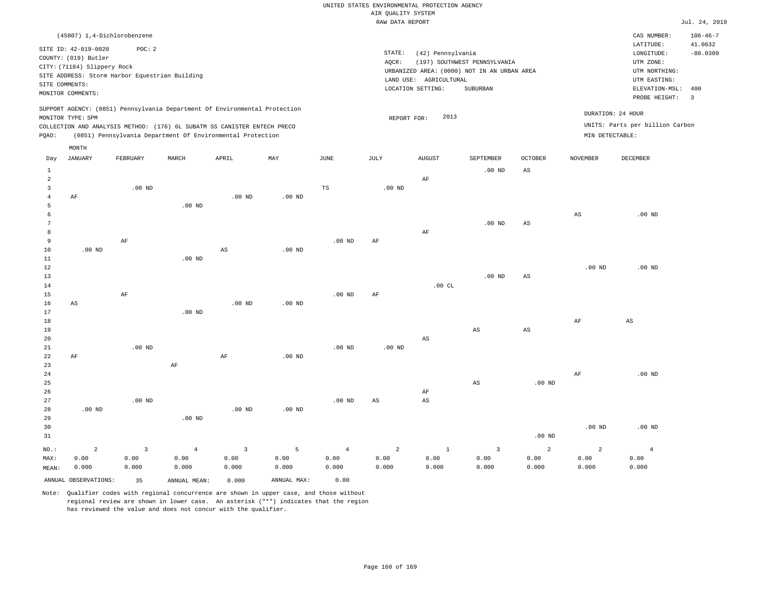|                 |                                                |                   |                   |                                                                            |             |                   | RAW DATA REPORT   |                        |                                             |                        |                   |                                 | Jul. 24, 2019  |
|-----------------|------------------------------------------------|-------------------|-------------------|----------------------------------------------------------------------------|-------------|-------------------|-------------------|------------------------|---------------------------------------------|------------------------|-------------------|---------------------------------|----------------|
|                 | (45807) 1,4-Dichlorobenzene                    |                   |                   |                                                                            |             |                   |                   |                        |                                             |                        |                   | CAS NUMBER:                     | $106 - 46 - 7$ |
|                 |                                                |                   |                   |                                                                            |             |                   |                   |                        |                                             |                        |                   | LATITUDE:                       | 41.0632        |
|                 | SITE ID: 42-019-0020                           | POC: 2            |                   |                                                                            |             |                   | STATE:            | (42) Pennsylvania      |                                             |                        |                   | LONGITUDE:                      | $-80.0309$     |
|                 | COUNTY: (019) Butler                           |                   |                   |                                                                            |             |                   | AQCR:             |                        | (197) SOUTHWEST PENNSYLVANIA                |                        |                   | UTM ZONE:                       |                |
|                 | CITY: (71184) Slippery Rock                    |                   |                   |                                                                            |             |                   |                   |                        | URBANIZED AREA: (0000) NOT IN AN URBAN AREA |                        |                   | UTM NORTHING:                   |                |
|                 | SITE ADDRESS: Storm Harbor Equestrian Building |                   |                   |                                                                            |             |                   |                   | LAND USE: AGRICULTURAL |                                             |                        |                   | UTM EASTING:                    |                |
| SITE COMMENTS:  |                                                |                   |                   |                                                                            |             |                   |                   | LOCATION SETTING:      | SUBURBAN                                    |                        |                   | ELEVATION-MSL:                  | 400            |
|                 | MONITOR COMMENTS:                              |                   |                   |                                                                            |             |                   |                   |                        |                                             |                        |                   | PROBE HEIGHT:                   | $\overline{3}$ |
|                 |                                                |                   |                   | SUPPORT AGENCY: (0851) Pennsylvania Department Of Environmental Protection |             |                   |                   |                        |                                             |                        |                   |                                 |                |
|                 | MONITOR TYPE: SPM                              |                   |                   |                                                                            |             |                   | REPORT FOR:       | 2013                   |                                             |                        |                   | DURATION: 24 HOUR               |                |
|                 |                                                |                   |                   | COLLECTION AND ANALYSIS METHOD: (176) 6L SUBATM SS CANISTER ENTECH PRECO   |             |                   |                   |                        |                                             |                        |                   | UNITS: Parts per billion Carbon |                |
| PQAO:           |                                                |                   |                   | (0851) Pennsylvania Department Of Environmental Protection                 |             |                   |                   |                        |                                             |                        | MIN DETECTABLE:   |                                 |                |
|                 | MONTH                                          |                   |                   |                                                                            |             |                   |                   |                        |                                             |                        |                   |                                 |                |
| Day             | JANUARY                                        | FEBRUARY          | MARCH             | APRIL                                                                      | MAY         | JUNE              | JULY              | <b>AUGUST</b>          | SEPTEMBER                                   | <b>OCTOBER</b>         | <b>NOVEMBER</b>   | DECEMBER                        |                |
| $\mathbf{1}$    |                                                |                   |                   |                                                                            |             |                   |                   |                        | $.00$ ND                                    | AS                     |                   |                                 |                |
| $\overline{a}$  |                                                |                   |                   |                                                                            |             |                   |                   | AF                     |                                             |                        |                   |                                 |                |
| 3               |                                                | $.00$ ND          |                   |                                                                            |             | TS                | $.00$ ND          |                        |                                             |                        |                   |                                 |                |
| $\overline{4}$  | AF                                             |                   |                   | $.00$ ND                                                                   | $.00$ ND    |                   |                   |                        |                                             |                        |                   |                                 |                |
| 5               |                                                |                   | $.00$ ND          |                                                                            |             |                   |                   |                        |                                             |                        |                   |                                 |                |
| 6               |                                                |                   |                   |                                                                            |             |                   |                   |                        |                                             |                        | $_{\rm AS}$       | $.00$ ND                        |                |
| $7\phantom{.0}$ |                                                |                   |                   |                                                                            |             |                   |                   |                        | $.00$ ND                                    | AS                     |                   |                                 |                |
| 8               |                                                |                   |                   |                                                                            |             |                   |                   | AF                     |                                             |                        |                   |                                 |                |
| 9               |                                                | AF                |                   |                                                                            |             | $.00$ ND          | AF                |                        |                                             |                        |                   |                                 |                |
| 10              | .00 <sub>ND</sub>                              |                   |                   | $_{\rm AS}$                                                                | $.00$ ND    |                   |                   |                        |                                             |                        |                   |                                 |                |
| 11              |                                                |                   | .00 <sub>ND</sub> |                                                                            |             |                   |                   |                        |                                             |                        |                   |                                 |                |
| 12              |                                                |                   |                   |                                                                            |             |                   |                   |                        |                                             |                        | .00 <sub>ND</sub> | $.00$ ND                        |                |
| 13              |                                                |                   |                   |                                                                            |             |                   |                   |                        | $.00$ ND                                    | $_{\rm AS}$            |                   |                                 |                |
| 14              |                                                |                   |                   |                                                                            |             |                   |                   | .00CL                  |                                             |                        |                   |                                 |                |
| 15              |                                                | AF                |                   |                                                                            |             | .00 <sub>ND</sub> | AF                |                        |                                             |                        |                   |                                 |                |
| 16<br>17        | AS                                             |                   | $.00$ ND          | .00 <sub>ND</sub>                                                          | $.00$ ND    |                   |                   |                        |                                             |                        |                   |                                 |                |
| 18              |                                                |                   |                   |                                                                            |             |                   |                   |                        |                                             |                        | AF                | AS                              |                |
| 19              |                                                |                   |                   |                                                                            |             |                   |                   |                        | $_{\rm AS}$                                 | $\mathbb{A}\mathbb{S}$ |                   |                                 |                |
| 20              |                                                |                   |                   |                                                                            |             |                   |                   | $\mathbb{A}\mathbb{S}$ |                                             |                        |                   |                                 |                |
| 21              |                                                | .00 <sub>ND</sub> |                   |                                                                            |             | .00 <sub>ND</sub> | .00 <sub>ND</sub> |                        |                                             |                        |                   |                                 |                |
| 22              | AF                                             |                   |                   | $\rm{AF}$                                                                  | $.00$ ND    |                   |                   |                        |                                             |                        |                   |                                 |                |
| 23              |                                                |                   | $\rm{AF}$         |                                                                            |             |                   |                   |                        |                                             |                        |                   |                                 |                |
| 24              |                                                |                   |                   |                                                                            |             |                   |                   |                        |                                             |                        | AF                | $.00$ ND                        |                |
| 25              |                                                |                   |                   |                                                                            |             |                   |                   |                        | $\mathbb{A}\mathbb{S}$                      | .00 <sub>ND</sub>      |                   |                                 |                |
| 26              |                                                |                   |                   |                                                                            |             |                   |                   | AF                     |                                             |                        |                   |                                 |                |
| 27              |                                                | $.00$ ND          |                   |                                                                            |             | .00 <sub>ND</sub> | AS                | $_{\rm AS}$            |                                             |                        |                   |                                 |                |
| 28              | $.00$ ND                                       |                   |                   | .00 <sub>ND</sub>                                                          | $.00$ ND    |                   |                   |                        |                                             |                        |                   |                                 |                |
| 29              |                                                |                   | $.00$ ND          |                                                                            |             |                   |                   |                        |                                             |                        |                   |                                 |                |
| 30              |                                                |                   |                   |                                                                            |             |                   |                   |                        |                                             |                        | .00 <sub>ND</sub> | $.00$ ND                        |                |
| 31              |                                                |                   |                   |                                                                            |             |                   |                   |                        |                                             | .00 <sub>ND</sub>      |                   |                                 |                |
| NO.:            | $\overline{2}$                                 | $\overline{3}$    | $\overline{4}$    | $\overline{3}$                                                             | 5           | $\overline{4}$    | $\overline{a}$    | $1\,$                  | $\overline{3}$                              | 2                      | $\overline{a}$    | $\overline{4}$                  |                |
| MAX:            | 0.00                                           | 0.00              | 0.00              | 0.00                                                                       | 0.00        | 0.00              | 0.00              | 0.00                   | 0.00                                        | 0.00                   | 0.00              | 0.00                            |                |
| MEAN:           | 0.000                                          | 0.000             | 0.000             | 0.000                                                                      | 0.000       | 0.000             | 0.000             | 0.000                  | 0.000                                       | 0.000                  | 0.000             | 0.000                           |                |
|                 | ANNUAL OBSERVATIONS:                           | 35                | ANNUAL MEAN:      | 0.000                                                                      | ANNUAL MAX: | 0.00              |                   |                        |                                             |                        |                   |                                 |                |
|                 |                                                |                   |                   |                                                                            |             |                   |                   |                        |                                             |                        |                   |                                 |                |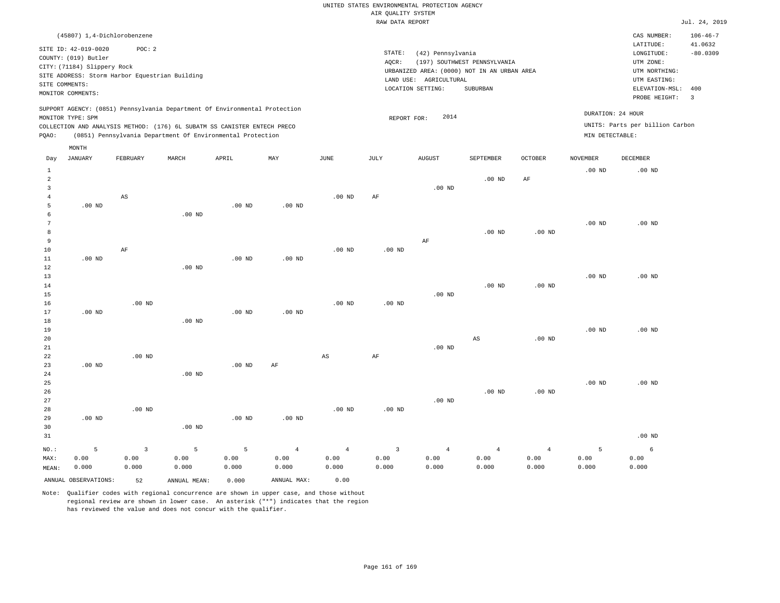|       |                             | (45807) 1,4-Dichlorobenzene                    |       |                                                                                                                                                                                                                      |          |          |      |                                             |                              |         |                                      | CAS NUMBER:                     | $106 - 46 - 7$          |
|-------|-----------------------------|------------------------------------------------|-------|----------------------------------------------------------------------------------------------------------------------------------------------------------------------------------------------------------------------|----------|----------|------|---------------------------------------------|------------------------------|---------|--------------------------------------|---------------------------------|-------------------------|
|       | SITE ID: 42-019-0020        | POC:2                                          |       |                                                                                                                                                                                                                      |          |          |      |                                             |                              |         |                                      | LATITUDE:                       | 41.0632                 |
|       | COUNTY: (019) Butler        |                                                |       |                                                                                                                                                                                                                      |          |          |      | STATE:<br>(42) Pennsylvania                 |                              |         |                                      | LONGITUDE:                      | $-80.0309$              |
|       | CITY: (71184) Slippery Rock |                                                |       |                                                                                                                                                                                                                      |          |          |      | AQCR:                                       | (197) SOUTHWEST PENNSYLVANIA |         |                                      | UTM ZONE:                       |                         |
|       |                             | SITE ADDRESS: Storm Harbor Equestrian Building |       |                                                                                                                                                                                                                      |          |          |      | URBANIZED AREA: (0000) NOT IN AN URBAN AREA |                              |         |                                      | UTM NORTHING:                   |                         |
|       | SITE COMMENTS:              |                                                |       |                                                                                                                                                                                                                      |          |          |      | AGRICULTURAL<br>LAND USE:                   |                              |         |                                      | UTM EASTING:                    |                         |
|       | MONITOR COMMENTS:           |                                                |       |                                                                                                                                                                                                                      |          |          |      | LOCATION SETTING:                           | SUBURBAN                     |         |                                      | ELEVATION-MSL:                  | 400                     |
|       |                             |                                                |       |                                                                                                                                                                                                                      |          |          |      |                                             |                              |         |                                      | PROBE HEIGHT:                   | $\overline{\mathbf{3}}$ |
| POAO: | MONITOR TYPE: SPM           |                                                |       | SUPPORT AGENCY: (0851) Pennsylvania Department Of Environmental Protection<br>COLLECTION AND ANALYSIS METHOD: (176) 6L SUBATM SS CANISTER ENTECH PRECO<br>(0851) Pennsylvania Department Of Environmental Protection |          |          |      | 2014<br>REPORT FOR:                         |                              |         | DURATION: 24 HOUR<br>MIN DETECTABLE: | UNITS: Parts per billion Carbon |                         |
|       | MONTH                       |                                                |       |                                                                                                                                                                                                                      |          |          |      |                                             |                              |         |                                      |                                 |                         |
| Day   | JANUARY                     | FEBRUARY                                       | MARCH | APRIL                                                                                                                                                                                                                | MAY      | JUNE     | JULY | <b>AUGUST</b>                               | <b>SEPTEMBER</b>             | OCTOBER | <b>NOVEMBER</b>                      | DECEMBER                        |                         |
|       |                             |                                                |       |                                                                                                                                                                                                                      |          |          |      |                                             |                              |         | $.00$ ND                             | $.00$ ND                        |                         |
|       |                             |                                                |       |                                                                                                                                                                                                                      |          |          |      |                                             | $.00$ ND                     | AF      |                                      |                                 |                         |
|       |                             |                                                |       |                                                                                                                                                                                                                      |          |          |      | $.00$ ND                                    |                              |         |                                      |                                 |                         |
|       |                             | AS                                             |       |                                                                                                                                                                                                                      |          | $.00$ ND | AF   |                                             |                              |         |                                      |                                 |                         |
| 5     | $.00$ ND                    |                                                |       | $.00$ ND                                                                                                                                                                                                             | $.00$ ND |          |      |                                             |                              |         |                                      |                                 |                         |
|       |                             |                                                | 00 ND |                                                                                                                                                                                                                      |          |          |      |                                             |                              |         |                                      |                                 |                         |

| b             |          |    | $.00$ ND |                   |          |          |                   |    |          |          |          |          |
|---------------|----------|----|----------|-------------------|----------|----------|-------------------|----|----------|----------|----------|----------|
| $\mathcal{L}$ |          |    |          |                   |          |          |                   |    |          |          | $.00$ ND | $.00$ ND |
| 8             |          |    |          |                   |          |          |                   |    | $.00$ ND | $.00$ ND |          |          |
| 9             |          |    |          |                   |          |          |                   | AF |          |          |          |          |
| 10            |          | AF |          |                   |          | $.00$ ND | .00 <sub>ND</sub> |    |          |          |          |          |
| 11            | $.00$ ND |    |          | .00 <sub>ND</sub> | $.00$ ND |          |                   |    |          |          |          |          |
| 12            |          |    | $.00$ ND |                   |          |          |                   |    |          |          |          |          |
| 13            |          |    |          |                   |          |          |                   |    |          |          | $.00$ ND | $.00$ ND |

| 14              |          |          |          |          |                   |          |          |          | $.00$ ND      | $.00$ ND        |          |                   |
|-----------------|----------|----------|----------|----------|-------------------|----------|----------|----------|---------------|-----------------|----------|-------------------|
| 15              |          |          |          |          |                   |          |          | $.00$ ND |               |                 |          |                   |
| 16              |          | $.00$ ND |          |          |                   | $.00$ ND | $.00$ ND |          |               |                 |          |                   |
| 17              | $.00$ ND |          |          | $.00$ ND | .00 <sub>ND</sub> |          |          |          |               |                 |          |                   |
| 18              |          |          | $.00$ ND |          |                   |          |          |          |               |                 |          |                   |
| 19              |          |          |          |          |                   |          |          |          |               |                 | $.00$ ND | .00 <sub>ND</sub> |
| 20 <sup>o</sup> |          |          |          |          |                   |          |          |          | $\sim$ $\sim$ | $0.0 \text{ m}$ |          |                   |

| 20 |                   |          |                   |                   |    |    |    |          | AS | $.00$ ND |          |                   |
|----|-------------------|----------|-------------------|-------------------|----|----|----|----------|----|----------|----------|-------------------|
| 21 |                   |          |                   |                   |    |    |    | $.00$ ND |    |          |          |                   |
| 22 |                   | $.00$ ND |                   |                   |    | AS | AF |          |    |          |          |                   |
| 23 | .00 <sub>ND</sub> |          |                   | .00 <sub>ND</sub> | AF |    |    |          |    |          |          |                   |
| 24 |                   |          | .00 <sub>ND</sub> |                   |    |    |    |          |    |          |          |                   |
| 25 |                   |          |                   |                   |    |    |    |          |    |          | $.00$ ND | .00 <sub>ND</sub> |

| 26   |          |          |          |          |          |                   |                         |          | $.00$ ND | $.00$ ND |                   |
|------|----------|----------|----------|----------|----------|-------------------|-------------------------|----------|----------|----------|-------------------|
| 27   |          |          |          |          |          |                   |                         | $.00$ ND |          |          |                   |
| 28   |          | $.00$ ND |          |          |          | .00 <sub>ND</sub> | .00 <sub>ND</sub>       |          |          |          |                   |
| 29   | $.00$ ND |          |          | $.00$ ND | $.00$ ND |                   |                         |          |          |          |                   |
| 30   |          |          | $.00$ ND |          |          |                   |                         |          |          |          |                   |
| 31   |          |          |          |          |          |                   |                         |          |          |          | .00 <sub>ND</sub> |
| NO.: | 5.       |          | -5.      | -5       | 4        | 4 <sup>1</sup>    | $\overline{\mathbf{3}}$ | 4        | 4        | 4        | 6                 |

|       |                         |       | NO.: 5 3 5 5 4 4 3 4 4 |       |             |       |       |       |       | 4     |       |       |
|-------|-------------------------|-------|------------------------|-------|-------------|-------|-------|-------|-------|-------|-------|-------|
| MAX:  | 0.00                    | 0.00  | 0.00                   | 0.00  | 0.00        | 0.00  | 0.00  | 0.00  | 0.00  | 0.00  | 0.00  | 0.00  |
| MEAN: | 0.000                   | 0.000 | 0.000                  | 0.000 | 0.000       | 0.000 | 0.000 | 0.000 | 0.000 | 0.000 | 0.000 | 0.000 |
|       | ANNUAL OBSERVATIONS: 52 |       | ANNUAL MEAN:           | 0.000 | ANNUAL MAX: | 0.00  |       |       |       |       |       |       |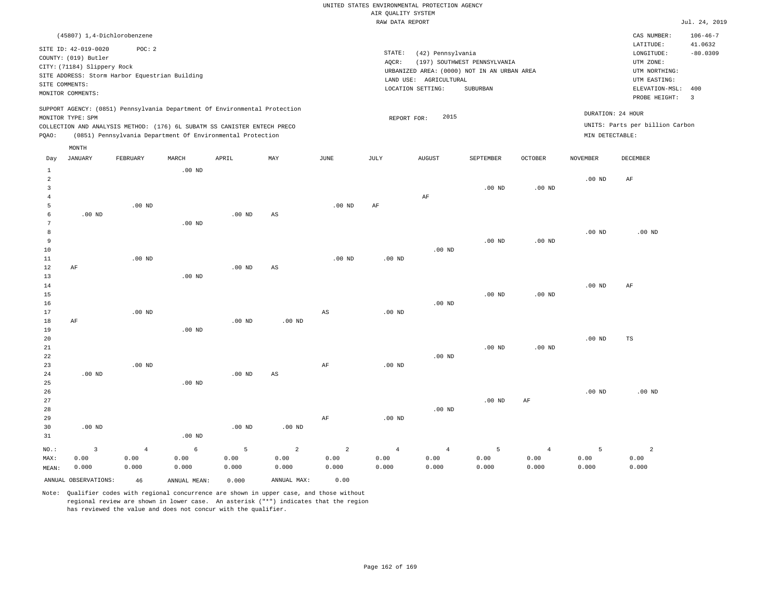|                  |                                                                                                                    |                                                          |          |                                                                                                                                                                                                                      |     |          | RAW DATA REPORT |                                                                                                                 |                                          |                   |                 |                                                                                                          | Jul. 24, 2019                                            |
|------------------|--------------------------------------------------------------------------------------------------------------------|----------------------------------------------------------|----------|----------------------------------------------------------------------------------------------------------------------------------------------------------------------------------------------------------------------|-----|----------|-----------------|-----------------------------------------------------------------------------------------------------------------|------------------------------------------|-------------------|-----------------|----------------------------------------------------------------------------------------------------------|----------------------------------------------------------|
|                  |                                                                                                                    | (45807) 1,4-Dichlorobenzene                              |          |                                                                                                                                                                                                                      |     |          |                 |                                                                                                                 |                                          |                   |                 | CAS NUMBER:                                                                                              | $106 - 46 - 7$                                           |
|                  | SITE ID: 42-019-0020<br>COUNTY: (019) Butler<br>CITY: (71184) Slippery Rock<br>SITE COMMENTS:<br>MONITOR COMMENTS: | POC: 2<br>SITE ADDRESS: Storm Harbor Equestrian Building |          |                                                                                                                                                                                                                      |     |          | STATE:<br>AOCR: | (42) Pennsylvania<br>URBANIZED AREA: (0000) NOT IN AN URBAN AREA<br>LAND USE: AGRICULTURAL<br>LOCATION SETTING: | (197) SOUTHWEST PENNSYLVANIA<br>SUBURBAN |                   |                 | LATITUDE:<br>LONGITUDE:<br>UTM ZONE:<br>UTM NORTHING:<br>UTM EASTING:<br>ELEVATION-MSL:<br>PROBE HEIGHT: | 41.0632<br>$-80.0309$<br>400<br>$\overline{\phantom{a}}$ |
| POAO:            | MONITOR TYPE: SPM                                                                                                  |                                                          |          | SUPPORT AGENCY: (0851) Pennsylvania Department Of Environmental Protection<br>COLLECTION AND ANALYSIS METHOD: (176) 6L SUBATM SS CANISTER ENTECH PRECO<br>(0851) Pennsylvania Department Of Environmental Protection |     |          |                 | 2015<br>REPORT FOR:                                                                                             |                                          |                   | MIN DETECTABLE: | DURATION: 24 HOUR<br>UNITS: Parts per billion Carbon                                                     |                                                          |
| Day              | MONTH<br>JANUARY                                                                                                   | FEBRUARY                                                 | MARCH    | APRIL                                                                                                                                                                                                                | MAY | JUNE     | JULY            | <b>AUGUST</b>                                                                                                   | SEPTEMBER                                | <b>OCTOBER</b>    | <b>NOVEMBER</b> | <b>DECEMBER</b>                                                                                          |                                                          |
| 2<br>3           |                                                                                                                    |                                                          | $.00$ ND |                                                                                                                                                                                                                      |     |          |                 | AF                                                                                                              | $.00$ ND                                 | .00 <sub>ND</sub> | $.00$ ND        | AF                                                                                                       |                                                          |
| 5<br>6<br>8<br>9 | $.00$ ND                                                                                                           | $.00$ ND                                                 | $.00$ ND | $.00$ ND                                                                                                                                                                                                             | AS  | $.00$ ND | AF              |                                                                                                                 | $.00$ ND                                 | $.00$ ND          | $.00$ ND        | $.00$ ND                                                                                                 |                                                          |
| 10<br>11<br>12   | AF                                                                                                                 | $.00$ ND                                                 |          | $.00$ ND                                                                                                                                                                                                             | AS  | $.00$ ND | $.00$ ND        | $.00$ ND                                                                                                        |                                          |                   |                 |                                                                                                          |                                                          |

13 14 15 16 17 18 19 20 21 22 23 AF AF .00 ND .00 ND .00 ND .00 ND .00 ND .00 ND AS .00 ND AS AF .00 ND .00 ND .00 ND .00 ND .00 ND .00 ND .00 ND .00 ND .00 ND .00 ND AF TS

| 24    | $.00$ ND |       |          | $.00$ ND | AS       |       |                |          |          |       |          |          |
|-------|----------|-------|----------|----------|----------|-------|----------------|----------|----------|-------|----------|----------|
| 25    |          |       | $.00$ ND |          |          |       |                |          |          |       |          |          |
| 26    |          |       |          |          |          |       |                |          |          |       | $.00$ ND | $.00$ ND |
| 27    |          |       |          |          |          |       |                |          | $.00$ ND | AF    |          |          |
| 28    |          |       |          |          |          |       |                | $.00$ ND |          |       |          |          |
| 29    |          |       |          |          |          | AF    | $.00$ ND       |          |          |       |          |          |
| 30    | $.00$ ND |       |          | $.00$ ND | $.00$ ND |       |                |          |          |       |          |          |
| 31    |          |       | $.00$ ND |          |          |       |                |          |          |       |          |          |
| NO.:  |          | 4     | 6        |          | 2        | 2     | $\overline{4}$ | 4        |          | 4     |          | 2        |
| MAX:  | 0.00     | 0.00  | 0.00     | 0.00     | 0.00     | 0.00  | 0.00           | 0.00     | 0.00     | 0.00  | 0.00     | 0.00     |
| MEAN: | 0.000    | 0.000 | 0.000    | 0.000    | 0.000    | 0.000 | 0.000          | 0.000    | 0.000    | 0.000 | 0.000    | 0.000    |

Note: Qualifier codes with regional concurrence are shown in upper case, and those without regional review are shown in lower case. An asterisk ("\*") indicates that the region has reviewed the value and does not concur with the qualifier.

ANNUAL OBSERVATIONS: 46 ANNUAL MEAN: 0.000 ANNUAL MAX: 0.00

MEAN: 0.000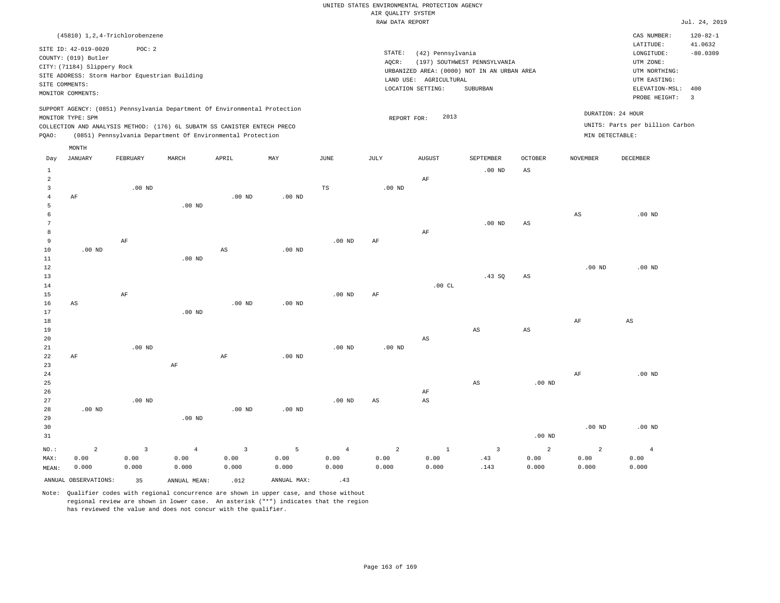|                                |                                                |                   |                                                                            |                         |                   |                | RAW DATA REPORT   |                        |                                             |                        |                   |                                 | Jul. 24, 2019  |
|--------------------------------|------------------------------------------------|-------------------|----------------------------------------------------------------------------|-------------------------|-------------------|----------------|-------------------|------------------------|---------------------------------------------|------------------------|-------------------|---------------------------------|----------------|
|                                | (45810) 1, 2, 4-Trichlorobenzene               |                   |                                                                            |                         |                   |                |                   |                        |                                             |                        |                   | CAS NUMBER:                     | $120 - 82 - 1$ |
|                                |                                                |                   |                                                                            |                         |                   |                |                   |                        |                                             |                        |                   | LATITUDE:                       | 41.0632        |
|                                | SITE ID: 42-019-0020                           | POC: 2            |                                                                            |                         |                   |                | STATE:            | (42) Pennsylvania      |                                             |                        |                   | LONGITUDE:                      | $-80.0309$     |
|                                | COUNTY: (019) Butler                           |                   |                                                                            |                         |                   |                | AQCR:             |                        | (197) SOUTHWEST PENNSYLVANIA                |                        |                   | UTM ZONE:                       |                |
|                                | CITY: (71184) Slippery Rock                    |                   |                                                                            |                         |                   |                |                   |                        | URBANIZED AREA: (0000) NOT IN AN URBAN AREA |                        |                   | UTM NORTHING:                   |                |
|                                | SITE ADDRESS: Storm Harbor Equestrian Building |                   |                                                                            |                         |                   |                |                   | LAND USE: AGRICULTURAL |                                             |                        |                   | UTM EASTING:                    |                |
| SITE COMMENTS:                 |                                                |                   |                                                                            |                         |                   |                |                   | LOCATION SETTING:      | SUBURBAN                                    |                        |                   | ELEVATION-MSL:                  | 400            |
|                                | MONITOR COMMENTS:                              |                   |                                                                            |                         |                   |                |                   |                        |                                             |                        |                   | PROBE HEIGHT:                   | $\overline{3}$ |
|                                |                                                |                   | SUPPORT AGENCY: (0851) Pennsylvania Department Of Environmental Protection |                         |                   |                |                   |                        |                                             |                        |                   |                                 |                |
|                                | MONITOR TYPE: SPM                              |                   |                                                                            |                         |                   |                | REPORT FOR:       | 2013                   |                                             |                        |                   | DURATION: 24 HOUR               |                |
|                                |                                                |                   | COLLECTION AND ANALYSIS METHOD: (176) 6L SUBATM SS CANISTER ENTECH PRECO   |                         |                   |                |                   |                        |                                             |                        |                   | UNITS: Parts per billion Carbon |                |
| PQAO:                          |                                                |                   | (0851) Pennsylvania Department Of Environmental Protection                 |                         |                   |                |                   |                        |                                             |                        | MIN DETECTABLE:   |                                 |                |
|                                | MONTH                                          |                   |                                                                            |                         |                   |                |                   |                        |                                             |                        |                   |                                 |                |
| Day                            | JANUARY                                        | FEBRUARY          | MARCH                                                                      | APRIL                   | MAY               | JUNE           | JULY              | <b>AUGUST</b>          | SEPTEMBER                                   | <b>OCTOBER</b>         | <b>NOVEMBER</b>   | <b>DECEMBER</b>                 |                |
|                                |                                                |                   |                                                                            |                         |                   |                |                   |                        |                                             |                        |                   |                                 |                |
| $\mathbf{1}$<br>$\overline{a}$ |                                                |                   |                                                                            |                         |                   |                |                   |                        | .00 <sub>ND</sub>                           | AS                     |                   |                                 |                |
| $\overline{3}$                 |                                                | $.00$ ND          |                                                                            |                         |                   | TS             | $.00$ ND          | AF                     |                                             |                        |                   |                                 |                |
| $\overline{4}$                 | AF                                             |                   |                                                                            | $.00$ ND                | $.00$ ND          |                |                   |                        |                                             |                        |                   |                                 |                |
| 5                              |                                                |                   | $.00$ ND                                                                   |                         |                   |                |                   |                        |                                             |                        |                   |                                 |                |
| 6                              |                                                |                   |                                                                            |                         |                   |                |                   |                        |                                             |                        | $_{\rm AS}$       | $.00$ ND                        |                |
| 7                              |                                                |                   |                                                                            |                         |                   |                |                   |                        | $.00$ ND                                    | AS                     |                   |                                 |                |
| 8                              |                                                |                   |                                                                            |                         |                   |                |                   | $\rm AF$               |                                             |                        |                   |                                 |                |
| 9                              |                                                | AF                |                                                                            |                         |                   | $.00$ ND       | AF                |                        |                                             |                        |                   |                                 |                |
| 10                             | $.00$ ND                                       |                   |                                                                            | $\mathbb{A}\mathbb{S}$  | .00 <sub>ND</sub> |                |                   |                        |                                             |                        |                   |                                 |                |
| 11                             |                                                |                   | $.00$ ND                                                                   |                         |                   |                |                   |                        |                                             |                        |                   |                                 |                |
| 12                             |                                                |                   |                                                                            |                         |                   |                |                   |                        |                                             |                        | .00 <sub>ND</sub> | $.00$ ND                        |                |
| 13                             |                                                |                   |                                                                            |                         |                   |                |                   |                        | .43SQ                                       | $_{\rm AS}$            |                   |                                 |                |
| 14                             |                                                |                   |                                                                            |                         |                   |                |                   | .00CL                  |                                             |                        |                   |                                 |                |
| 15                             |                                                | AF                |                                                                            |                         |                   | $.00$ ND       | AF                |                        |                                             |                        |                   |                                 |                |
| 16                             | AS                                             |                   |                                                                            | $.00$ ND                | .00 <sub>ND</sub> |                |                   |                        |                                             |                        |                   |                                 |                |
| 17                             |                                                |                   | $.00$ ND                                                                   |                         |                   |                |                   |                        |                                             |                        |                   |                                 |                |
| 18                             |                                                |                   |                                                                            |                         |                   |                |                   |                        |                                             |                        | AF                | AS                              |                |
| 19                             |                                                |                   |                                                                            |                         |                   |                |                   |                        | $\mathbb{A}\mathbb{S}$                      | $\mathbb{A}\mathbb{S}$ |                   |                                 |                |
| 20                             |                                                |                   |                                                                            |                         |                   |                |                   | AS                     |                                             |                        |                   |                                 |                |
| 21                             |                                                | $.00$ ND          |                                                                            |                         |                   | $.00$ ND       | .00 <sub>ND</sub> |                        |                                             |                        |                   |                                 |                |
| 22                             | AF                                             |                   |                                                                            | $\rm AF$                | .00 <sub>ND</sub> |                |                   |                        |                                             |                        |                   |                                 |                |
| 23                             |                                                |                   | $\rm{AF}$                                                                  |                         |                   |                |                   |                        |                                             |                        |                   |                                 |                |
| 24                             |                                                |                   |                                                                            |                         |                   |                |                   |                        |                                             |                        | AF                | $.00$ ND                        |                |
| 25                             |                                                |                   |                                                                            |                         |                   |                |                   |                        | $\mathbb{A}\mathbb{S}$                      | .00 <sub>ND</sub>      |                   |                                 |                |
| 26                             |                                                |                   |                                                                            |                         |                   |                |                   | AF                     |                                             |                        |                   |                                 |                |
| 27                             |                                                | .00 <sub>ND</sub> |                                                                            |                         |                   | $.00$ ND       | AS                | $\mathbb{A}\mathbb{S}$ |                                             |                        |                   |                                 |                |
| 28                             | $.00$ ND                                       |                   |                                                                            | $.00$ ND                | .00 <sub>ND</sub> |                |                   |                        |                                             |                        |                   |                                 |                |
| 29                             |                                                |                   | $.00$ ND                                                                   |                         |                   |                |                   |                        |                                             |                        |                   |                                 |                |
| 30                             |                                                |                   |                                                                            |                         |                   |                |                   |                        |                                             |                        | .00 <sub>ND</sub> | $.00$ ND                        |                |
| 31                             |                                                |                   |                                                                            |                         |                   |                |                   |                        |                                             | .00 <sub>ND</sub>      |                   |                                 |                |
| NO.:                           | $\overline{a}$                                 | $\overline{3}$    | $\overline{4}$                                                             | $\overline{\mathbf{3}}$ | 5                 | $\overline{4}$ | 2                 | $1\,$                  | $\overline{3}$                              | $\overline{a}$         | $\overline{a}$    | $\overline{4}$                  |                |
| MAX:                           | 0.00                                           | 0.00              | 0.00                                                                       | 0.00                    | 0.00              | 0.00           | 0.00              | 0.00                   | .43                                         | 0.00                   | 0.00              | 0.00                            |                |
| MEAN:                          | 0.000                                          | 0.000             | 0.000                                                                      | 0.000                   | 0.000             | 0.000          | 0.000             | 0.000                  | .143                                        | 0.000                  | 0.000             | 0.000                           |                |
|                                | ANNUAL OBSERVATIONS:                           | 35                | ANNUAL MEAN:                                                               | .012                    | ANNUAL MAX:       | .43            |                   |                        |                                             |                        |                   |                                 |                |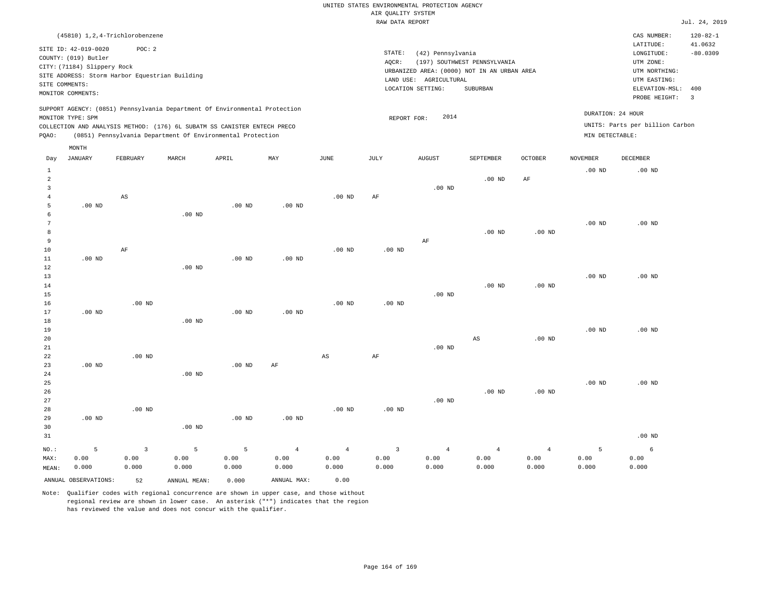|                |                             | (45810) 1,2,4-Trichlorobenzene                 |          |                                                                                                                                                                                                                      |          |          |      |                                             |                              |         |                   | CAS NUMBER:                                          | $120 - 82 - 1$ |
|----------------|-----------------------------|------------------------------------------------|----------|----------------------------------------------------------------------------------------------------------------------------------------------------------------------------------------------------------------------|----------|----------|------|---------------------------------------------|------------------------------|---------|-------------------|------------------------------------------------------|----------------|
|                | SITE ID: 42-019-0020        | POC:2                                          |          |                                                                                                                                                                                                                      |          |          |      |                                             |                              |         |                   | LATITUDE:                                            | 41.0632        |
|                | COUNTY: (019) Butler        |                                                |          |                                                                                                                                                                                                                      |          |          |      | STATE:<br>(42) Pennsylvania                 |                              |         |                   | LONGITUDE:                                           | $-80.0309$     |
|                | CITY: (71184) Slippery Rock |                                                |          |                                                                                                                                                                                                                      |          |          |      | AQCR:                                       | (197) SOUTHWEST PENNSYLVANIA |         |                   | UTM ZONE:                                            |                |
|                |                             |                                                |          |                                                                                                                                                                                                                      |          |          |      | URBANIZED AREA: (0000) NOT IN AN URBAN AREA |                              |         |                   | UTM NORTHING:                                        |                |
|                |                             | SITE ADDRESS: Storm Harbor Equestrian Building |          |                                                                                                                                                                                                                      |          |          |      | AGRICULTURAL<br>LAND USE:                   |                              |         |                   | UTM EASTING:                                         |                |
|                | SITE COMMENTS:              |                                                |          |                                                                                                                                                                                                                      |          |          |      | LOCATION SETTING:                           | SUBURBAN                     |         |                   | ELEVATION-MSL:                                       | 400            |
|                | MONITOR COMMENTS:           |                                                |          |                                                                                                                                                                                                                      |          |          |      |                                             |                              |         |                   | PROBE HEIGHT:                                        | 3              |
| POAO:          | MONITOR TYPE: SPM           |                                                |          | SUPPORT AGENCY: (0851) Pennsylvania Department Of Environmental Protection<br>COLLECTION AND ANALYSIS METHOD: (176) 6L SUBATM SS CANISTER ENTECH PRECO<br>(0851) Pennsylvania Department Of Environmental Protection |          |          |      | 2014<br>REPORT FOR:                         |                              |         | MIN DETECTABLE:   | DURATION: 24 HOUR<br>UNITS: Parts per billion Carbon |                |
|                | MONTH                       |                                                |          |                                                                                                                                                                                                                      |          |          |      |                                             |                              |         |                   |                                                      |                |
| Day            | JANUARY                     | FEBRUARY                                       | MARCH    | APRIL                                                                                                                                                                                                                | MAY      | JUNE     | JULY | <b>AUGUST</b>                               | <b>SEPTEMBER</b>             | OCTOBER | <b>NOVEMBER</b>   | DECEMBER                                             |                |
|                |                             |                                                |          |                                                                                                                                                                                                                      |          |          |      |                                             |                              |         | .00 <sub>ND</sub> | $.00$ ND                                             |                |
| $\overline{2}$ |                             |                                                |          |                                                                                                                                                                                                                      |          |          |      |                                             | $.00$ ND                     | AF      |                   |                                                      |                |
|                |                             |                                                |          |                                                                                                                                                                                                                      |          |          |      | $.00$ ND                                    |                              |         |                   |                                                      |                |
|                |                             | AS                                             |          |                                                                                                                                                                                                                      |          | $.00$ ND | AF   |                                             |                              |         |                   |                                                      |                |
|                | $.00$ ND                    |                                                |          | $.00$ ND                                                                                                                                                                                                             | $.00$ ND |          |      |                                             |                              |         |                   |                                                      |                |
| 6              |                             |                                                | $.00$ ND |                                                                                                                                                                                                                      |          |          |      |                                             |                              |         |                   |                                                      |                |

| 7  |          |    |          |          |          |                   |          |          |          |          | $.00$ ND | $.00$ ND |
|----|----------|----|----------|----------|----------|-------------------|----------|----------|----------|----------|----------|----------|
| 8  |          |    |          |          |          |                   |          |          | $.00$ ND | $.00$ ND |          |          |
| 9  |          |    |          |          |          |                   |          | AF       |          |          |          |          |
| 10 |          | AF |          |          |          | .00 <sub>ND</sub> | $.00$ ND |          |          |          |          |          |
| 11 | $.00$ ND |    |          | $.00$ ND | $.00$ ND |                   |          |          |          |          |          |          |
| 12 |          |    | $.00$ ND |          |          |                   |          |          |          |          |          |          |
| 13 |          |    |          |          |          |                   |          |          |          |          | $.00$ ND | $.00$ ND |
| 14 |          |    |          |          |          |                   |          |          | $.00$ ND | $.00$ ND |          |          |
| 15 |          |    |          |          |          |                   |          | $.00$ ND |          |          |          |          |

| 16 |          | $.00$ ND |          |          |          | $.00$ ND | $.00$ ND |          |                   |          |          |          |
|----|----------|----------|----------|----------|----------|----------|----------|----------|-------------------|----------|----------|----------|
| 17 | $.00$ ND |          |          | $.00$ ND | $.00$ ND |          |          |          |                   |          |          |          |
| 18 |          |          | $.00$ ND |          |          |          |          |          |                   |          |          |          |
| 19 |          |          |          |          |          |          |          |          |                   |          | $.00$ ND | $.00$ ND |
| 20 |          |          |          |          |          |          |          |          | AS                | $.00$ ND |          |          |
| 21 |          |          |          |          |          |          |          | $.00$ ND |                   |          |          |          |
| 22 |          | $.00$ ND |          |          |          | AS       | AF       |          |                   |          |          |          |
| 23 | $.00$ ND |          |          | $.00$ ND | AF       |          |          |          |                   |          |          |          |
| 24 |          |          | $.00$ ND |          |          |          |          |          |                   |          |          |          |
| 25 |          |          |          |          |          |          |          |          |                   |          | $.00$ ND | $.00$ ND |
| 26 |          |          |          |          |          |          |          |          | .00 <sub>ND</sub> | $.00$ ND |          |          |

| $\sim$ $\sim$ |          |          |          |          |          |              |          |          | .    |      |      |        |
|---------------|----------|----------|----------|----------|----------|--------------|----------|----------|------|------|------|--------|
| 27            |          |          |          |          |          |              |          | $.00$ ND |      |      |      |        |
| 28            |          | $.00$ ND |          |          |          | $.00$ ND     | $.00$ ND |          |      |      |      |        |
| 29            | $.00$ ND |          |          | $.00$ ND | $.00$ ND |              |          |          |      |      |      |        |
| 30            |          |          | $.00$ ND |          |          |              |          |          |      |      |      |        |
| 31            |          |          |          |          |          |              |          |          |      |      |      | .00 ND |
| $NO.$ :       |          |          |          | 5        | -4       | $\mathbf{A}$ |          | 4        |      |      |      | b      |
| MAX:          | 0.00     | 0.00     | 0.00     | 0.00     | 0.00     | 0.00         | 0.00     | 0.00     | 0.00 | 0.00 | 0.00 | 0.00   |

0.000

Note: Qualifier codes with regional concurrence are shown in upper case, and those without regional review are shown in lower case. An asterisk ("\*") indicates that the region has reviewed the value and does not concur with the qualifier.

ANNUAL OBSERVATIONS: 52 ANNUAL MEAN: 0.000 ANNUAL MAX: 0.00

0.000

0.000

0.000

MEAN:

0.000

0.000

0.000

0.000

0.000

0.000

0.000

0.000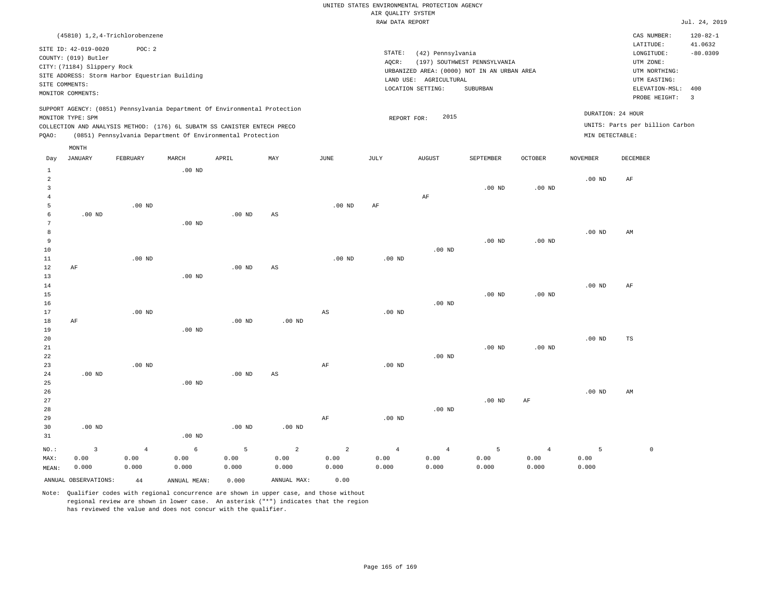|                | (45810) 1,2,4-Trichlorobenzene                                                                                                                                              |          |          |                                                            |     |          |      |                                                                                                        |                                          |                |                                      | CAS NUMBER:                                                                   | $120 - 82 - 1$        |
|----------------|-----------------------------------------------------------------------------------------------------------------------------------------------------------------------------|----------|----------|------------------------------------------------------------|-----|----------|------|--------------------------------------------------------------------------------------------------------|------------------------------------------|----------------|--------------------------------------|-------------------------------------------------------------------------------|-----------------------|
|                | SITE ID: 42-019-0020<br>COUNTY: (019) Butler                                                                                                                                | POC: 2   |          |                                                            |     |          |      | STATE:<br>(42) Pennsylvania                                                                            |                                          |                |                                      | LATITUDE:<br>LONGITUDE:                                                       | 41.0632<br>$-80.0309$ |
|                | CITY: (71184) Slippery Rock<br>SITE ADDRESS: Storm Harbor Equestrian Building<br>SITE COMMENTS:<br>MONITOR COMMENTS:                                                        |          |          |                                                            |     |          |      | AQCR:<br>URBANIZED AREA: (0000) NOT IN AN URBAN AREA<br>LAND USE:<br>AGRICULTURAL<br>LOCATION SETTING: | (197) SOUTHWEST PENNSYLVANIA<br>SUBURBAN |                |                                      | UTM ZONE:<br>UTM NORTHING:<br>UTM EASTING:<br>ELEVATION-MSL:<br>PROBE HEIGHT: | 400<br>- 3            |
| POAO:          | SUPPORT AGENCY: (0851) Pennsylvania Department Of Environmental Protection<br>MONITOR TYPE: SPM<br>COLLECTION AND ANALYSIS METHOD: (176) 6L SUBATM SS CANISTER ENTECH PRECO |          |          | (0851) Pennsylvania Department Of Environmental Protection |     |          |      | 2015<br>REPORT FOR:                                                                                    |                                          |                | DURATION: 24 HOUR<br>MIN DETECTABLE: | UNITS: Parts per billion Carbon                                               |                       |
|                | MONTH                                                                                                                                                                       |          |          |                                                            |     |          |      |                                                                                                        |                                          |                |                                      |                                                                               |                       |
| Day            | JANUARY                                                                                                                                                                     | FEBRUARY | MARCH    | APRIL                                                      | MAY | JUNE     | JULY | <b>AUGUST</b>                                                                                          | <b>SEPTEMBER</b>                         | <b>OCTOBER</b> | <b>NOVEMBER</b>                      | DECEMBER                                                                      |                       |
| $\overline{2}$ |                                                                                                                                                                             |          | $.00$ ND |                                                            |     |          |      |                                                                                                        |                                          |                | $.00$ ND                             | AF                                                                            |                       |
| 3              |                                                                                                                                                                             |          |          |                                                            |     |          |      | AF                                                                                                     | .00 <sub>ND</sub>                        | $.00$ ND       |                                      |                                                                               |                       |
|                |                                                                                                                                                                             | $.00$ ND |          |                                                            |     | $.00$ ND | AF   |                                                                                                        |                                          |                |                                      |                                                                               |                       |

| 6               | $.00$ ND |          |          | $.00$ ND | AS       |           |                   |          |          |          |          |    |
|-----------------|----------|----------|----------|----------|----------|-----------|-------------------|----------|----------|----------|----------|----|
| $7\phantom{.0}$ |          |          | $.00$ ND |          |          |           |                   |          |          |          |          |    |
| 8               |          |          |          |          |          |           |                   |          |          |          | $.00$ ND | AM |
| $\overline{9}$  |          |          |          |          |          |           |                   |          | $.00$ ND | $.00$ ND |          |    |
| $10\,$          |          |          |          |          |          |           |                   | .00 $ND$ |          |          |          |    |
| $11\,$          |          | $.00$ ND |          |          |          | .00 $ND$  | $.00~\mathrm{ND}$ |          |          |          |          |    |
| $12\,$          | AF       |          |          | $.00$ ND | AS       |           |                   |          |          |          |          |    |
| 13              |          |          | $.00$ ND |          |          |           |                   |          |          |          |          |    |
| 14              |          |          |          |          |          |           |                   |          |          |          | $.00$ ND | AF |
| 15              |          |          |          |          |          |           |                   |          | $.00$ ND | $.00$ ND |          |    |
| 16              |          |          |          |          |          |           |                   | $.00$ ND |          |          |          |    |
| 17              |          | .00 $ND$ |          |          |          | AS        | .00 $ND$          |          |          |          |          |    |
| 18              | AF       |          |          | $.00$ ND | $.00$ ND |           |                   |          |          |          |          |    |
| 19              |          |          | $.00$ ND |          |          |           |                   |          |          |          |          |    |
| $20\,$          |          |          |          |          |          |           |                   |          |          |          | $.00$ ND | TS |
| $2\sqrt{1}$     |          |          |          |          |          |           |                   |          | $.00$ ND | $.00$ ND |          |    |
| 22              |          |          |          |          |          |           |                   | $.00$ ND |          |          |          |    |
| 23              |          | $.00$ ND |          |          |          | $\rm{AF}$ | .00 $ND$          |          |          |          |          |    |
| 24              | $.00$ ND |          |          | $.00$ ND | AS       |           |                   |          |          |          |          |    |
| 25              |          |          | $.00$ ND |          |          |           |                   |          |          |          |          |    |

.00 ND AF

| 26 |          |          |          |          |    |          |          |          |    | $.00$ ND | AM |
|----|----------|----------|----------|----------|----|----------|----------|----------|----|----------|----|
| 27 |          |          |          |          |    |          |          | $.00$ ND | AF |          |    |
| 28 |          |          |          |          |    |          | $.00$ ND |          |    |          |    |
| 29 |          |          |          |          | AF | $.00$ ND |          |          |    |          |    |
| 30 | $.00$ ND |          | $.00$ ND | $.00$ ND |    |          |          |          |    |          |    |
| 31 |          | $.00$ ND |          |          |    |          |          |          |    |          |    |

|  |  |  |  |  |                                                                                                                                                                                                                                                                                                                                                                                                                                                                       | NO.: 3 4 6 5 2 2 4 4 5 4 5 0 |  |
|--|--|--|--|--|-----------------------------------------------------------------------------------------------------------------------------------------------------------------------------------------------------------------------------------------------------------------------------------------------------------------------------------------------------------------------------------------------------------------------------------------------------------------------|------------------------------|--|
|  |  |  |  |  | $\mathtt{MAX:}\qquad \begin{matrix}0.00\\0.00\end{matrix}\qquad \begin{matrix}0.00\\0.00\end{matrix}\qquad \begin{matrix}0.00\\0.00\end{matrix}\qquad \begin{matrix}0.00\\0.00\end{matrix}\qquad \begin{matrix}0.00\\0.00\end{matrix}\qquad \begin{matrix}0.00\\0.00\end{matrix}\qquad \begin{matrix}0.00\\0.00\end{matrix}\qquad \begin{matrix}0.00\\0.00\end{matrix}\qquad \begin{matrix}0.00\\0.00\end{matrix}\qquad \begin{matrix}0.00\\0.00\end{matrix}\qquad \$ |                              |  |
|  |  |  |  |  | ${\tt MEAN:} \hspace{1.5cm} 0.000 \hspace{1.5cm} 0.000 \hspace{1.5cm} 0.000 \hspace{1.5cm} 0.000 \hspace{1.5cm} 0.000 \hspace{1.5cm} 0.000 \hspace{1.5cm} 0.000 \hspace{1.5cm} 0.000 \hspace{1.5cm} 0.000 \hspace{1.5cm} 0.000 \hspace{1.5cm} 0.000 \hspace{1.5cm} 0.000 \hspace{1.5cm} 0.000 \hspace{1.5cm} 0.000 \hspace{$                                                                                                                                          |                              |  |

ANNUAL OBSERVATIONS: 44 ANNUAL MEAN: 0.000 ANNUAL MAX: 0.00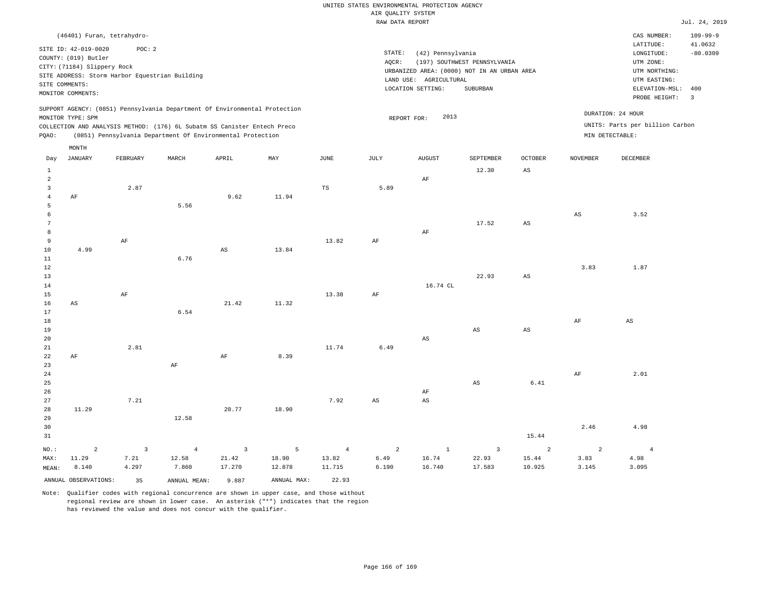|                     |                                                |                         |                                                                            |                         |             |                | RAW DATA REPORT        |                                             |                              |                               |                        |                                 | Jul. 24, 2019  |
|---------------------|------------------------------------------------|-------------------------|----------------------------------------------------------------------------|-------------------------|-------------|----------------|------------------------|---------------------------------------------|------------------------------|-------------------------------|------------------------|---------------------------------|----------------|
|                     | (46401) Furan, tetrahydro-                     |                         |                                                                            |                         |             |                |                        |                                             |                              |                               |                        | CAS NUMBER:                     | $109 - 99 - 9$ |
|                     | SITE ID: 42-019-0020                           | POC: 2                  |                                                                            |                         |             |                |                        |                                             |                              |                               |                        | LATITUDE:                       | 41.0632        |
|                     | COUNTY: (019) Butler                           |                         |                                                                            |                         |             |                | STATE:                 | (42) Pennsylvania                           |                              |                               |                        | LONGITUDE:                      | $-80.0309$     |
|                     | CITY: (71184) Slippery Rock                    |                         |                                                                            |                         |             |                | AQCR:                  |                                             | (197) SOUTHWEST PENNSYLVANIA |                               |                        | UTM ZONE:                       |                |
|                     | SITE ADDRESS: Storm Harbor Equestrian Building |                         |                                                                            |                         |             |                |                        | URBANIZED AREA: (0000) NOT IN AN URBAN AREA |                              |                               |                        | UTM NORTHING:                   |                |
|                     | SITE COMMENTS:                                 |                         |                                                                            |                         |             |                |                        | LAND USE: AGRICULTURAL                      |                              |                               |                        | UTM EASTING:                    |                |
|                     |                                                |                         |                                                                            |                         |             |                |                        | LOCATION SETTING:                           | SUBURBAN                     |                               |                        | ELEVATION-MSL:                  | 400            |
|                     | MONITOR COMMENTS:                              |                         |                                                                            |                         |             |                |                        |                                             |                              |                               |                        | PROBE HEIGHT:                   | $\overline{3}$ |
|                     |                                                |                         | SUPPORT AGENCY: (0851) Pennsylvania Department Of Environmental Protection |                         |             |                |                        |                                             |                              |                               |                        | DURATION: 24 HOUR               |                |
|                     | MONITOR TYPE: SPM                              |                         |                                                                            |                         |             |                | REPORT FOR:            | 2013                                        |                              |                               |                        |                                 |                |
|                     |                                                |                         | COLLECTION AND ANALYSIS METHOD: (176) 6L Subatm SS Canister Entech Preco   |                         |             |                |                        |                                             |                              |                               |                        | UNITS: Parts per billion Carbon |                |
| PQAO:               |                                                |                         | (0851) Pennsylvania Department Of Environmental Protection                 |                         |             |                |                        |                                             |                              |                               |                        | MIN DETECTABLE:                 |                |
|                     | MONTH                                          |                         |                                                                            |                         |             |                |                        |                                             |                              |                               |                        |                                 |                |
| Day<br>$\mathbf{1}$ | <b>JANUARY</b>                                 | FEBRUARY                | MARCH                                                                      | APRIL                   | MAY         | <b>JUNE</b>    | <b>JULY</b>            | <b>AUGUST</b>                               | SEPTEMBER<br>12.30           | <b>OCTOBER</b><br>$_{\rm AS}$ | <b>NOVEMBER</b>        | <b>DECEMBER</b>                 |                |
| $\overline{a}$      |                                                |                         |                                                                            |                         |             |                |                        |                                             |                              |                               |                        |                                 |                |
|                     |                                                |                         |                                                                            |                         |             |                |                        | AF                                          |                              |                               |                        |                                 |                |
| 3                   |                                                | 2.87                    |                                                                            | 9.62                    | 11.94       | TS             | 5.89                   |                                             |                              |                               |                        |                                 |                |
| $\overline{4}$<br>5 | AF                                             |                         | 5.56                                                                       |                         |             |                |                        |                                             |                              |                               |                        |                                 |                |
| 6                   |                                                |                         |                                                                            |                         |             |                |                        |                                             |                              |                               | $\mathbb{A}\mathbb{S}$ | 3.52                            |                |
| 7                   |                                                |                         |                                                                            |                         |             |                |                        |                                             | 17.52                        | AS                            |                        |                                 |                |
| 8                   |                                                |                         |                                                                            |                         |             |                |                        | AF                                          |                              |                               |                        |                                 |                |
| 9                   |                                                | $\rm AF$                |                                                                            |                         |             | 13.82          | $\rm{AF}$              |                                             |                              |                               |                        |                                 |                |
| 10                  | 4.99                                           |                         |                                                                            | $\mathbb{A}\mathbb{S}$  | 13.84       |                |                        |                                             |                              |                               |                        |                                 |                |
| 11                  |                                                |                         | 6.76                                                                       |                         |             |                |                        |                                             |                              |                               |                        |                                 |                |
| 12                  |                                                |                         |                                                                            |                         |             |                |                        |                                             |                              |                               | 3.83                   | 1.87                            |                |
| 13                  |                                                |                         |                                                                            |                         |             |                |                        |                                             | 22.93                        | $\mathbb{A}\mathbb{S}$        |                        |                                 |                |
| 14                  |                                                |                         |                                                                            |                         |             |                |                        | 16.74 CL                                    |                              |                               |                        |                                 |                |
| 15                  |                                                | AF                      |                                                                            |                         |             | 13.38          | AF                     |                                             |                              |                               |                        |                                 |                |
| 16                  | $\mathbb{A}\mathbb{S}$                         |                         |                                                                            | 21.42                   | 11.32       |                |                        |                                             |                              |                               |                        |                                 |                |
| 17                  |                                                |                         | 6.54                                                                       |                         |             |                |                        |                                             |                              |                               |                        |                                 |                |
| 18                  |                                                |                         |                                                                            |                         |             |                |                        |                                             |                              |                               | AF                     | $\mathbb{A}\mathbb{S}$          |                |
| 19                  |                                                |                         |                                                                            |                         |             |                |                        |                                             | AS                           | $_{\rm AS}$                   |                        |                                 |                |
| 20                  |                                                |                         |                                                                            |                         |             |                |                        | AS                                          |                              |                               |                        |                                 |                |
| 21                  |                                                | 2.81                    |                                                                            |                         |             | 11.74          | 6.49                   |                                             |                              |                               |                        |                                 |                |
| 22                  | AF                                             |                         |                                                                            | AF                      | 8.39        |                |                        |                                             |                              |                               |                        |                                 |                |
| 23                  |                                                |                         | $\rm AF$                                                                   |                         |             |                |                        |                                             |                              |                               |                        |                                 |                |
| 24                  |                                                |                         |                                                                            |                         |             |                |                        |                                             |                              |                               | AF                     | 2.01                            |                |
| 25                  |                                                |                         |                                                                            |                         |             |                |                        |                                             | $_{\rm AS}$                  | 6.41                          |                        |                                 |                |
| 26                  |                                                |                         |                                                                            |                         |             |                |                        | AF                                          |                              |                               |                        |                                 |                |
| 27                  |                                                | 7.21                    |                                                                            |                         |             | 7.92           | $\mathbb{A}\mathbb{S}$ | $\mathbb{A}\mathbb{S}$                      |                              |                               |                        |                                 |                |
| 28                  | 11.29                                          |                         |                                                                            | 20.77                   | 18.90       |                |                        |                                             |                              |                               |                        |                                 |                |
| 29                  |                                                |                         | 12.58                                                                      |                         |             |                |                        |                                             |                              |                               |                        |                                 |                |
| 30                  |                                                |                         |                                                                            |                         |             |                |                        |                                             |                              |                               | 2.46                   | 4.98                            |                |
| 31                  |                                                |                         |                                                                            |                         |             |                |                        |                                             |                              | 15.44                         |                        |                                 |                |
| NO.:                | $\overline{a}$                                 | $\overline{\mathbf{3}}$ | $\overline{4}$                                                             | $\overline{\mathbf{3}}$ | 5           | $\overline{4}$ | $\overline{a}$         | $\mathbf{1}$                                | $\overline{\mathbf{3}}$      | 2                             | $\overline{a}$         | $\overline{4}$                  |                |
| MAX:                | 11.29                                          | 7.21                    | 12.58                                                                      | 21.42                   | 18.90       | 13.82          | 6.49                   | 16.74                                       | 22.93                        | 15.44                         | 3.83                   | 4.98                            |                |
| MEAN:               | 8.140                                          | 4.297                   | 7.860                                                                      | 17.270                  | 12.878      | 11.715         | 6.190                  | 16.740                                      | 17.583                       | 10.925                        | 3.145                  | 3.095                           |                |
|                     | ANNUAL OBSERVATIONS:                           |                         |                                                                            |                         | ANNUAL MAX: | 22.93          |                        |                                             |                              |                               |                        |                                 |                |
|                     |                                                | 35                      | ANNUAL MEAN:                                                               | 9.887                   |             |                |                        |                                             |                              |                               |                        |                                 |                |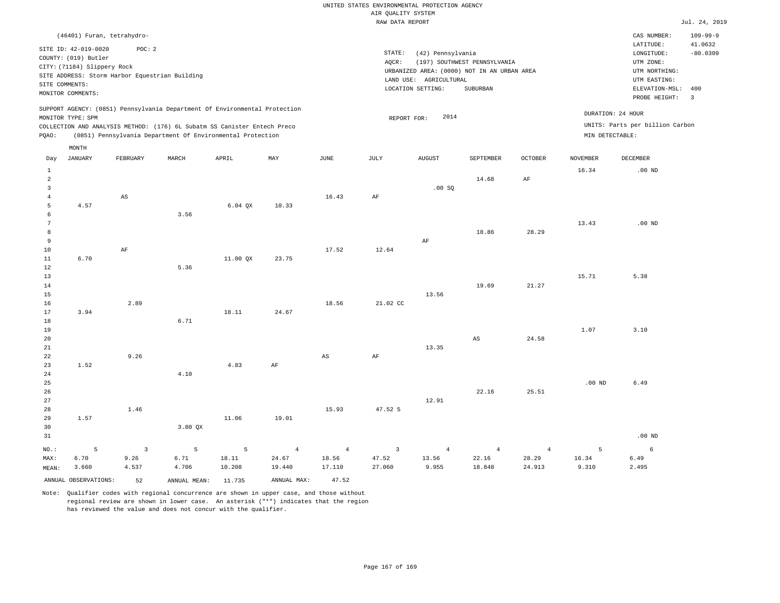|                                                                                                                                                                                |                    |                                 |                    |                      |                                   |                                                                                                                                                                                       | Rosmers nensen<br>RAW DATA REPORT |                                  |                                   |                                   |                     |                                                                                                          | Jul. 24, 2019                                           |  |  |
|--------------------------------------------------------------------------------------------------------------------------------------------------------------------------------|--------------------|---------------------------------|--------------------|----------------------|-----------------------------------|---------------------------------------------------------------------------------------------------------------------------------------------------------------------------------------|-----------------------------------|----------------------------------|-----------------------------------|-----------------------------------|---------------------|----------------------------------------------------------------------------------------------------------|---------------------------------------------------------|--|--|
|                                                                                                                                                                                |                    | (46401) Furan, tetrahydro-      |                    |                      |                                   |                                                                                                                                                                                       |                                   |                                  |                                   |                                   |                     | CAS NUMBER:                                                                                              | $109 - 99 - 9$                                          |  |  |
| SITE ID: 42-019-0020<br>POC: 2<br>COUNTY: (019) Butler<br>CITY: (71184) Slippery Rock<br>SITE ADDRESS: Storm Harbor Equestrian Building<br>SITE COMMENTS:<br>MONITOR COMMENTS: |                    |                                 |                    |                      |                                   | STATE:<br>(42) Pennsylvania<br>AQCR:<br>(197) SOUTHWEST PENNSYLVANIA<br>URBANIZED AREA: (0000) NOT IN AN URBAN AREA<br>LAND USE: AGRICULTURAL<br>LOCATION SETTING:<br><b>SUBURBAN</b> |                                   |                                  |                                   |                                   |                     | LATITUDE:<br>LONGITUDE:<br>UTM ZONE:<br>UTM NORTHING:<br>UTM EASTING:<br>ELEVATION-MSL:<br>PROBE HEIGHT: | 41.0632<br>$-80.0309$<br>400<br>$\overline{\mathbf{3}}$ |  |  |
| SUPPORT AGENCY: (0851) Pennsylvania Department Of Environmental Protection<br>MONITOR TYPE: SPM                                                                                |                    |                                 |                    |                      |                                   |                                                                                                                                                                                       | 2014<br>REPORT FOR:               |                                  |                                   |                                   |                     |                                                                                                          | DURATION: 24 HOUR                                       |  |  |
| COLLECTION AND ANALYSIS METHOD: (176) 6L Subatm SS Canister Entech Preco<br>(0851) Pennsylvania Department Of Environmental Protection<br>PQAO:                                |                    |                                 |                    |                      |                                   |                                                                                                                                                                                       |                                   |                                  | MIN DETECTABLE:                   | UNITS: Parts per billion Carbon   |                     |                                                                                                          |                                                         |  |  |
| Day                                                                                                                                                                            | MONTH<br>JANUARY   | FEBRUARY                        | MARCH              | APRIL                | MAY                               | JUNE                                                                                                                                                                                  | JULY                              | <b>AUGUST</b>                    | SEPTEMBER                         | OCTOBER                           | <b>NOVEMBER</b>     | DECEMBER                                                                                                 |                                                         |  |  |
| $\mathbf{1}$<br>$\overline{a}$                                                                                                                                                 |                    |                                 |                    |                      |                                   |                                                                                                                                                                                       |                                   |                                  | 14.68                             | AF                                | 16.34               | $.00$ ND                                                                                                 |                                                         |  |  |
| 3<br>$\overline{4}$                                                                                                                                                            |                    | AS                              |                    |                      |                                   | 16.43                                                                                                                                                                                 | AF                                | .00SQ                            |                                   |                                   |                     |                                                                                                          |                                                         |  |  |
| 5<br>6<br>$7\phantom{.0}$                                                                                                                                                      | 4.57               |                                 | 3.56               | $6.04$ QX            | 10.33                             |                                                                                                                                                                                       |                                   |                                  |                                   |                                   | 13.43               | $.00$ ND                                                                                                 |                                                         |  |  |
| 8<br>9                                                                                                                                                                         |                    |                                 |                    |                      |                                   |                                                                                                                                                                                       |                                   | AF                               | 18.86                             | 28.29                             |                     |                                                                                                          |                                                         |  |  |
| 10<br>11<br>12                                                                                                                                                                 | 6.70               | $\rm{AF}$                       | 5.36               | 11.00 QX             | 23.75                             | 17.52                                                                                                                                                                                 | 12.64                             |                                  |                                   |                                   |                     |                                                                                                          |                                                         |  |  |
| 13<br>14                                                                                                                                                                       |                    |                                 |                    |                      |                                   |                                                                                                                                                                                       |                                   |                                  | 19.69                             | 21.27                             | 15.71               | 5.38                                                                                                     |                                                         |  |  |
| 15<br>16<br>17                                                                                                                                                                 | 3.94               | 2.89                            |                    | 18.11                | 24.67                             | 18.56                                                                                                                                                                                 | 21.02 CC                          | 13.56                            |                                   |                                   |                     |                                                                                                          |                                                         |  |  |
| 18<br>19<br>20                                                                                                                                                                 |                    |                                 | 6.71               |                      |                                   |                                                                                                                                                                                       |                                   |                                  | $\mathbb{A}\mathbb{S}$            | 24.58                             | 1.07                | 3.10                                                                                                     |                                                         |  |  |
| 21<br>22<br>23                                                                                                                                                                 | 1.52               | 9.26                            |                    | 4.83                 | AF                                | $\mathbb{A}\mathbb{S}$                                                                                                                                                                | AF                                | 13.35                            |                                   |                                   |                     |                                                                                                          |                                                         |  |  |
| 24<br>25                                                                                                                                                                       |                    |                                 | 4.10               |                      |                                   |                                                                                                                                                                                       |                                   |                                  |                                   |                                   | .00 <sub>ND</sub>   | 6.49                                                                                                     |                                                         |  |  |
| 26<br>27<br>28                                                                                                                                                                 |                    | 1.46                            |                    |                      |                                   | 15.93                                                                                                                                                                                 | 47.52 5                           | 12.91                            | 22.16                             | 25.51                             |                     |                                                                                                          |                                                         |  |  |
| 29<br>30<br>31                                                                                                                                                                 | 1.57               |                                 | 3.80 QX            | 11.06                | 19.01                             |                                                                                                                                                                                       |                                   |                                  |                                   |                                   |                     | $.00$ ND                                                                                                 |                                                         |  |  |
| NO.:<br>MAX:<br>MEAN:                                                                                                                                                          | 5<br>6.70<br>3.660 | $\overline{3}$<br>9.26<br>4.537 | 5<br>6.71<br>4.706 | 5<br>18.11<br>10.208 | $\overline{4}$<br>24.67<br>19.440 | $\overline{4}$<br>18.56<br>17.110                                                                                                                                                     | $\overline{3}$<br>47.52<br>27.060 | $\overline{4}$<br>13.56<br>9.955 | $\overline{4}$<br>22.16<br>18.848 | $\overline{4}$<br>28.29<br>24.913 | 5<br>16.34<br>9.310 | 6<br>6.49<br>2.495                                                                                       |                                                         |  |  |

ANNUAL OBSERVATIONS: 52 ANNUAL MEAN: 11.735 ANNUAL MAX: 47.52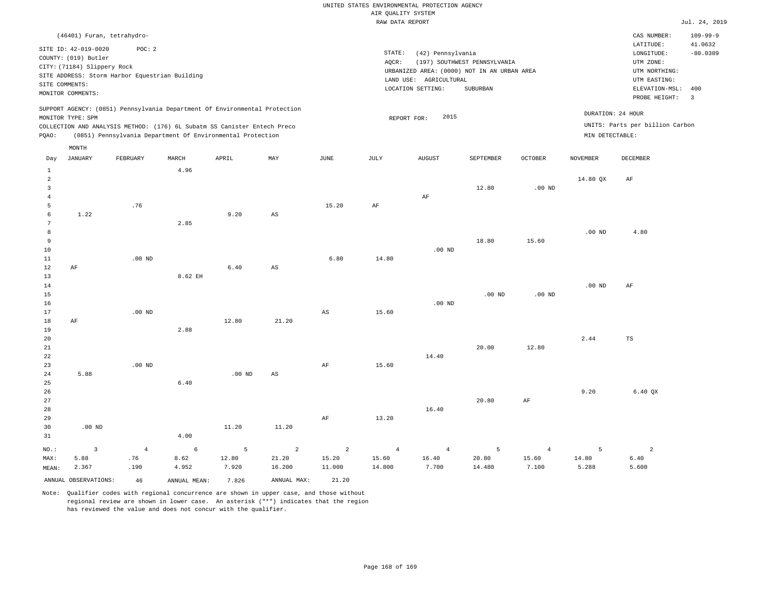|                                                                                               |                                                                                                                    |                                                          |              |                                                                            |                        |                | RAW DATA REPORT |                                                                                                                 |                                          |                |                   |                                                                                             | Jul. 24, 2019                       |
|-----------------------------------------------------------------------------------------------|--------------------------------------------------------------------------------------------------------------------|----------------------------------------------------------|--------------|----------------------------------------------------------------------------|------------------------|----------------|-----------------|-----------------------------------------------------------------------------------------------------------------|------------------------------------------|----------------|-------------------|---------------------------------------------------------------------------------------------|-------------------------------------|
|                                                                                               | (46401) Furan, tetrahydro-                                                                                         |                                                          |              |                                                                            |                        |                |                 |                                                                                                                 |                                          |                |                   | CAS NUMBER:<br>LATITUDE:                                                                    | $109 - 99 - 9$<br>41.0632           |
|                                                                                               | SITE ID: 42-019-0020<br>COUNTY: (019) Butler<br>CITY: (71184) Slippery Rock<br>SITE COMMENTS:<br>MONITOR COMMENTS: | POC: 2<br>SITE ADDRESS: Storm Harbor Equestrian Building |              |                                                                            |                        |                | STATE:<br>AQCR: | (42) Pennsylvania<br>URBANIZED AREA: (0000) NOT IN AN URBAN AREA<br>LAND USE: AGRICULTURAL<br>LOCATION SETTING: | (197) SOUTHWEST PENNSYLVANIA<br>SUBURBAN |                |                   | LONGITUDE:<br>UTM ZONE:<br>UTM NORTHING:<br>UTM EASTING:<br>ELEVATION-MSL:<br>PROBE HEIGHT: | $-80.0309$<br>400<br>$\overline{3}$ |
|                                                                                               |                                                                                                                    |                                                          |              | SUPPORT AGENCY: (0851) Pennsylvania Department Of Environmental Protection |                        |                |                 | 2015                                                                                                            |                                          |                |                   | DURATION: 24 HOUR                                                                           |                                     |
| MONITOR TYPE: SPM<br>COLLECTION AND ANALYSIS METHOD: (176) 6L Subatm SS Canister Entech Preco |                                                                                                                    |                                                          |              |                                                                            |                        |                | REPORT FOR:     |                                                                                                                 |                                          |                |                   | UNITS: Parts per billion Carbon                                                             |                                     |
| PQAO:                                                                                         |                                                                                                                    |                                                          |              | (0851) Pennsylvania Department Of Environmental Protection                 |                        |                |                 |                                                                                                                 |                                          |                | MIN DETECTABLE:   |                                                                                             |                                     |
|                                                                                               |                                                                                                                    |                                                          |              |                                                                            |                        |                |                 |                                                                                                                 |                                          |                |                   |                                                                                             |                                     |
|                                                                                               | MONTH                                                                                                              |                                                          |              |                                                                            |                        |                |                 |                                                                                                                 |                                          |                |                   |                                                                                             |                                     |
| Day                                                                                           | <b>JANUARY</b>                                                                                                     | FEBRUARY                                                 | MARCH        | APRIL                                                                      | MAY                    | JUNE           | JULY            | <b>AUGUST</b>                                                                                                   | SEPTEMBER                                | <b>OCTOBER</b> | <b>NOVEMBER</b>   | DECEMBER                                                                                    |                                     |
| $\mathbf{1}$                                                                                  |                                                                                                                    |                                                          | 4.96         |                                                                            |                        |                |                 |                                                                                                                 |                                          |                |                   |                                                                                             |                                     |
| $\overline{a}$<br>$\overline{3}$                                                              |                                                                                                                    |                                                          |              |                                                                            |                        |                |                 |                                                                                                                 | 12.80                                    | $.00$ ND       | 14.80 QX          | AF                                                                                          |                                     |
| $\overline{4}$                                                                                |                                                                                                                    |                                                          |              |                                                                            |                        |                |                 | $\rm AF$                                                                                                        |                                          |                |                   |                                                                                             |                                     |
| 5                                                                                             |                                                                                                                    | .76                                                      |              |                                                                            |                        | 15.20          | $\rm AF$        |                                                                                                                 |                                          |                |                   |                                                                                             |                                     |
| 6                                                                                             | 1.22                                                                                                               |                                                          |              | 9.20                                                                       | AS                     |                |                 |                                                                                                                 |                                          |                |                   |                                                                                             |                                     |
| $7\phantom{.0}$                                                                               |                                                                                                                    |                                                          | 2.85         |                                                                            |                        |                |                 |                                                                                                                 |                                          |                |                   |                                                                                             |                                     |
| 8                                                                                             |                                                                                                                    |                                                          |              |                                                                            |                        |                |                 |                                                                                                                 |                                          |                | .00 <sub>ND</sub> | 4.80                                                                                        |                                     |
| 9                                                                                             |                                                                                                                    |                                                          |              |                                                                            |                        |                |                 |                                                                                                                 | 18.80                                    | 15.60          |                   |                                                                                             |                                     |
| 10                                                                                            |                                                                                                                    |                                                          |              |                                                                            |                        |                |                 | $.00$ ND                                                                                                        |                                          |                |                   |                                                                                             |                                     |
| 11                                                                                            |                                                                                                                    | $.00$ ND                                                 |              |                                                                            |                        | 6.80           | 14.80           |                                                                                                                 |                                          |                |                   |                                                                                             |                                     |
| 12                                                                                            | AF                                                                                                                 |                                                          |              | 6.40                                                                       | $\mathbb{A}\mathbb{S}$ |                |                 |                                                                                                                 |                                          |                |                   |                                                                                             |                                     |
| 13                                                                                            |                                                                                                                    |                                                          | 8.62 EH      |                                                                            |                        |                |                 |                                                                                                                 |                                          |                |                   |                                                                                             |                                     |
| 14                                                                                            |                                                                                                                    |                                                          |              |                                                                            |                        |                |                 |                                                                                                                 |                                          |                | .00 <sub>ND</sub> | AF                                                                                          |                                     |
| 15                                                                                            |                                                                                                                    |                                                          |              |                                                                            |                        |                |                 |                                                                                                                 | .00 <sub>ND</sub>                        | $.00$ ND       |                   |                                                                                             |                                     |
| 16                                                                                            |                                                                                                                    |                                                          |              |                                                                            |                        |                |                 | $.00$ ND                                                                                                        |                                          |                |                   |                                                                                             |                                     |
| 17                                                                                            |                                                                                                                    | $.00$ ND                                                 |              |                                                                            |                        | AS             | 15.60           |                                                                                                                 |                                          |                |                   |                                                                                             |                                     |
| 18<br>19                                                                                      | AF                                                                                                                 |                                                          | 2.88         | 12.80                                                                      | 21.20                  |                |                 |                                                                                                                 |                                          |                |                   |                                                                                             |                                     |
| 20                                                                                            |                                                                                                                    |                                                          |              |                                                                            |                        |                |                 |                                                                                                                 |                                          |                | 2.44              | <b>TS</b>                                                                                   |                                     |
| 21                                                                                            |                                                                                                                    |                                                          |              |                                                                            |                        |                |                 |                                                                                                                 | 20.00                                    | 12.80          |                   |                                                                                             |                                     |
| 22                                                                                            |                                                                                                                    |                                                          |              |                                                                            |                        |                |                 | 14.40                                                                                                           |                                          |                |                   |                                                                                             |                                     |
| 23                                                                                            |                                                                                                                    | $.00$ ND                                                 |              |                                                                            |                        | AF             | 15.60           |                                                                                                                 |                                          |                |                   |                                                                                             |                                     |
| 24                                                                                            | 5.88                                                                                                               |                                                          |              | .00 <sub>ND</sub>                                                          | $\mathbb{A}\mathbb{S}$ |                |                 |                                                                                                                 |                                          |                |                   |                                                                                             |                                     |
| 25                                                                                            |                                                                                                                    |                                                          | 6.40         |                                                                            |                        |                |                 |                                                                                                                 |                                          |                |                   |                                                                                             |                                     |
| 26                                                                                            |                                                                                                                    |                                                          |              |                                                                            |                        |                |                 |                                                                                                                 |                                          |                | 9.20              | 6.40 QX                                                                                     |                                     |
| 27                                                                                            |                                                                                                                    |                                                          |              |                                                                            |                        |                |                 |                                                                                                                 | 20.80                                    | $\rm{AF}$      |                   |                                                                                             |                                     |
| 28                                                                                            |                                                                                                                    |                                                          |              |                                                                            |                        |                |                 | 16.40                                                                                                           |                                          |                |                   |                                                                                             |                                     |
| 29                                                                                            |                                                                                                                    |                                                          |              |                                                                            |                        | $\rm{AF}$      | 13.20           |                                                                                                                 |                                          |                |                   |                                                                                             |                                     |
| 30                                                                                            | $.00$ ND                                                                                                           |                                                          |              | 11.20                                                                      | 11.20                  |                |                 |                                                                                                                 |                                          |                |                   |                                                                                             |                                     |
| 31                                                                                            |                                                                                                                    |                                                          | 4.00         |                                                                            |                        |                |                 |                                                                                                                 |                                          |                |                   |                                                                                             |                                     |
| NO.:                                                                                          | $\overline{3}$                                                                                                     | $\overline{4}$                                           | 6            | 5                                                                          | 2                      | $\overline{2}$ | $\overline{4}$  | $\overline{4}$                                                                                                  | 5                                        | $\overline{4}$ | 5                 | $\overline{a}$                                                                              |                                     |
| MAX:                                                                                          | 5.88                                                                                                               | .76                                                      | 8.62         | 12.80                                                                      | 21.20                  | 15.20          | 15.60           | 16.40                                                                                                           | 20.80                                    | 15.60          | 14.80             | 6.40                                                                                        |                                     |
| MEAN:                                                                                         | 2.367                                                                                                              | .190                                                     | 4.952        | 7.920                                                                      | 16.200                 | 11.000         | 14.800          | 7.700                                                                                                           | 14.480                                   | 7.100          | 5.288             | 5.600                                                                                       |                                     |
|                                                                                               | ANNUAL OBSERVATIONS:                                                                                               | 46                                                       | ANNUAL MEAN: | 7.826                                                                      | ANNUAL MAX:            | 21.20          |                 |                                                                                                                 |                                          |                |                   |                                                                                             |                                     |